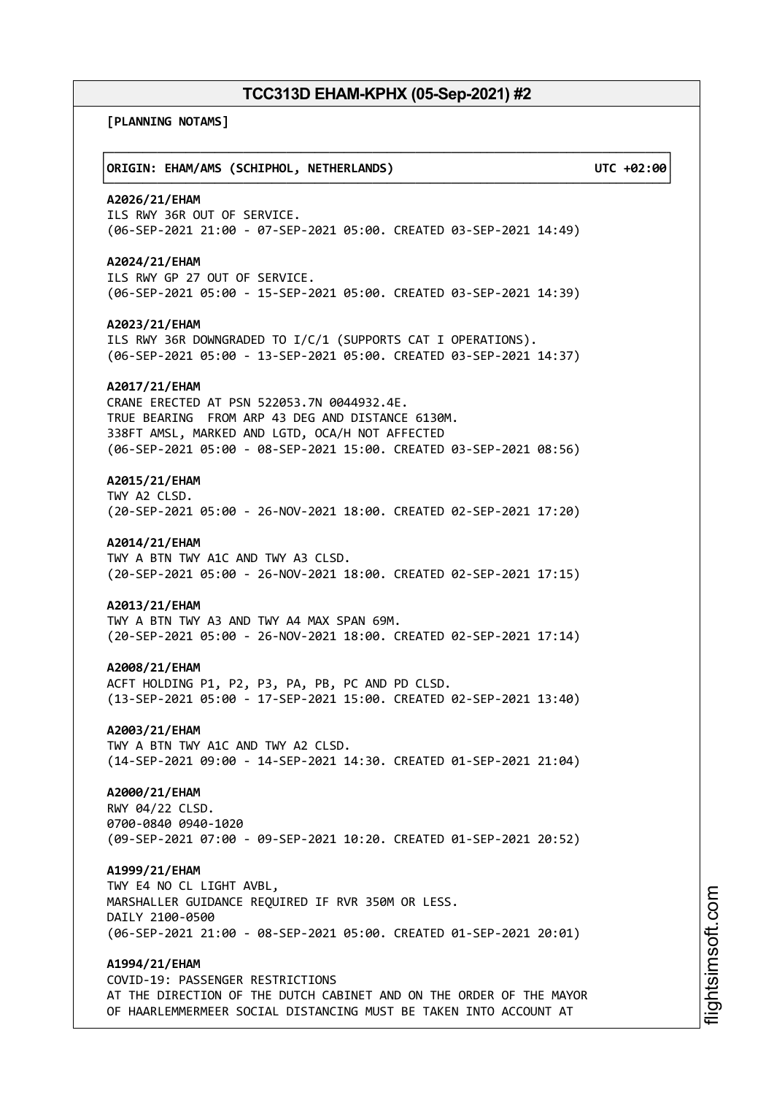**[PLANNING NOTAMS]**

┌──────────────────────────────────────────────────────────────────────────────┐ │**ORIGIN: EHAM/AMS (SCHIPHOL, NETHERLANDS) UTC +02:00**│ └──────────────────────────────────────────────────────────────────────────────┘ **A2026/21/EHAM** ILS RWY 36R OUT OF SERVICE. (06-SEP-2021 21:00 - 07-SEP-2021 05:00. CREATED 03-SEP-2021 14:49) **A2024/21/EHAM** ILS RWY GP 27 OUT OF SERVICE. (06-SEP-2021 05:00 - 15-SEP-2021 05:00. CREATED 03-SEP-2021 14:39) **A2023/21/EHAM** ILS RWY 36R DOWNGRADED TO I/C/1 (SUPPORTS CAT I OPERATIONS). (06-SEP-2021 05:00 - 13-SEP-2021 05:00. CREATED 03-SEP-2021 14:37) **A2017/21/EHAM** CRANE ERECTED AT PSN 522053.7N 0044932.4E. TRUE BEARING FROM ARP 43 DEG AND DISTANCE 6130M. 338FT AMSL, MARKED AND LGTD, OCA/H NOT AFFECTED (06-SEP-2021 05:00 - 08-SEP-2021 15:00. CREATED 03-SEP-2021 08:56) **A2015/21/EHAM** TWY A2 CLSD. (20-SEP-2021 05:00 - 26-NOV-2021 18:00. CREATED 02-SEP-2021 17:20) **A2014/21/EHAM** TWY A BTN TWY A1C AND TWY A3 CLSD. (20-SEP-2021 05:00 - 26-NOV-2021 18:00. CREATED 02-SEP-2021 17:15) **A2013/21/EHAM** TWY A BTN TWY A3 AND TWY A4 MAX SPAN 69M. (20-SEP-2021 05:00 - 26-NOV-2021 18:00. CREATED 02-SEP-2021 17:14) **A2008/21/EHAM** ACFT HOLDING P1, P2, P3, PA, PB, PC AND PD CLSD. (13-SEP-2021 05:00 - 17-SEP-2021 15:00. CREATED 02-SEP-2021 13:40) **A2003/21/EHAM** TWY A BTN TWY A1C AND TWY A2 CLSD. (14-SEP-2021 09:00 - 14-SEP-2021 14:30. CREATED 01-SEP-2021 21:04) **A2000/21/EHAM** RWY 04/22 CLSD. 0700-0840 0940-1020 (09-SEP-2021 07:00 - 09-SEP-2021 10:20. CREATED 01-SEP-2021 20:52) **A1999/21/EHAM** TWY E4 NO CL LIGHT AVBL, MARSHALLER GUIDANCE REQUIRED IF RVR 350M OR LESS. DAILY 2100-0500 (06-SEP-2021 21:00 - 08-SEP-2021 05:00. CREATED 01-SEP-2021 20:01) **A1994/21/EHAM** COVID-19: PASSENGER RESTRICTIONS AT THE DIRECTION OF THE DUTCH CABINET AND ON THE ORDER OF THE MAYOR OF HAARLEMMERMEER SOCIAL DISTANCING MUST BE TAKEN INTO ACCOUNT AT

m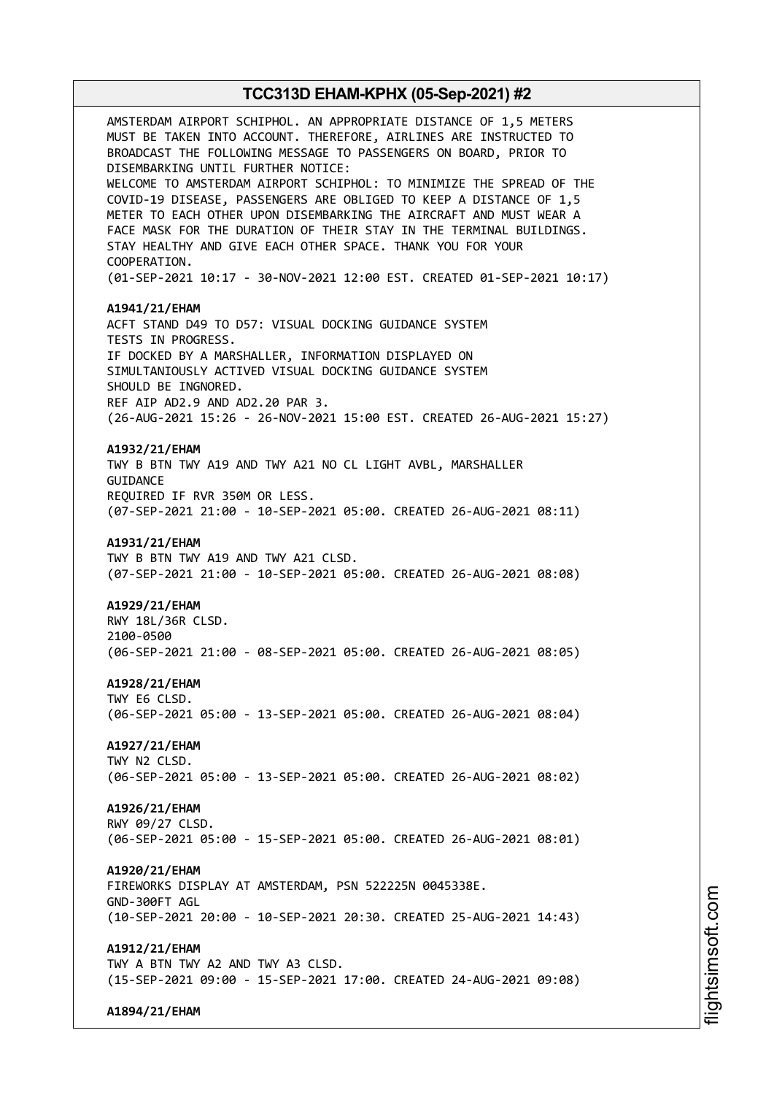AMSTERDAM AIRPORT SCHIPHOL. AN APPROPRIATE DISTANCE OF 1,5 METERS MUST BE TAKEN INTO ACCOUNT. THEREFORE, AIRLINES ARE INSTRUCTED TO BROADCAST THE FOLLOWING MESSAGE TO PASSENGERS ON BOARD, PRIOR TO DISEMBARKING UNTIL FURTHER NOTICE: WELCOME TO AMSTERDAM AIRPORT SCHIPHOL: TO MINIMIZE THE SPREAD OF THE COVID-19 DISEASE, PASSENGERS ARE OBLIGED TO KEEP A DISTANCE OF 1,5 METER TO EACH OTHER UPON DISEMBARKING THE AIRCRAFT AND MUST WEAR A FACE MASK FOR THE DURATION OF THEIR STAY IN THE TERMINAL BUILDINGS. STAY HEALTHY AND GIVE EACH OTHER SPACE. THANK YOU FOR YOUR COOPERATION. (01-SEP-2021 10:17 - 30-NOV-2021 12:00 EST. CREATED 01-SEP-2021 10:17) **A1941/21/EHAM** ACFT STAND D49 TO D57: VISUAL DOCKING GUIDANCE SYSTEM TESTS IN PROGRESS. IF DOCKED BY A MARSHALLER, INFORMATION DISPLAYED ON SIMULTANIOUSLY ACTIVED VISUAL DOCKING GUIDANCE SYSTEM SHOULD BE INGNORED. REF AIP AD2.9 AND AD2.20 PAR 3. (26-AUG-2021 15:26 - 26-NOV-2021 15:00 EST. CREATED 26-AUG-2021 15:27) **A1932/21/EHAM** TWY B BTN TWY A19 AND TWY A21 NO CL LIGHT AVBL, MARSHALLER **GUITDANCE** REQUIRED IF RVR 350M OR LESS. (07-SEP-2021 21:00 - 10-SEP-2021 05:00. CREATED 26-AUG-2021 08:11) **A1931/21/EHAM** TWY B BTN TWY A19 AND TWY A21 CLSD. (07-SEP-2021 21:00 - 10-SEP-2021 05:00. CREATED 26-AUG-2021 08:08) **A1929/21/EHAM** RWY 18L/36R CLSD. 2100-0500 (06-SEP-2021 21:00 - 08-SEP-2021 05:00. CREATED 26-AUG-2021 08:05) **A1928/21/EHAM** TWY E6 CLSD. (06-SEP-2021 05:00 - 13-SEP-2021 05:00. CREATED 26-AUG-2021 08:04) **A1927/21/EHAM** TWY N2 CLSD. (06-SEP-2021 05:00 - 13-SEP-2021 05:00. CREATED 26-AUG-2021 08:02) **A1926/21/EHAM** RWY 09/27 CLSD. (06-SEP-2021 05:00 - 15-SEP-2021 05:00. CREATED 26-AUG-2021 08:01) **A1920/21/EHAM** FIREWORKS DISPLAY AT AMSTERDAM, PSN 522225N 0045338E. GND-300FT AGL (10-SEP-2021 20:00 - 10-SEP-2021 20:30. CREATED 25-AUG-2021 14:43) **A1912/21/EHAM** TWY A BTN TWY A2 AND TWY A3 CLSD. (15-SEP-2021 09:00 - 15-SEP-2021 17:00. CREATED 24-AUG-2021 09:08)

**A1894/21/EHAM**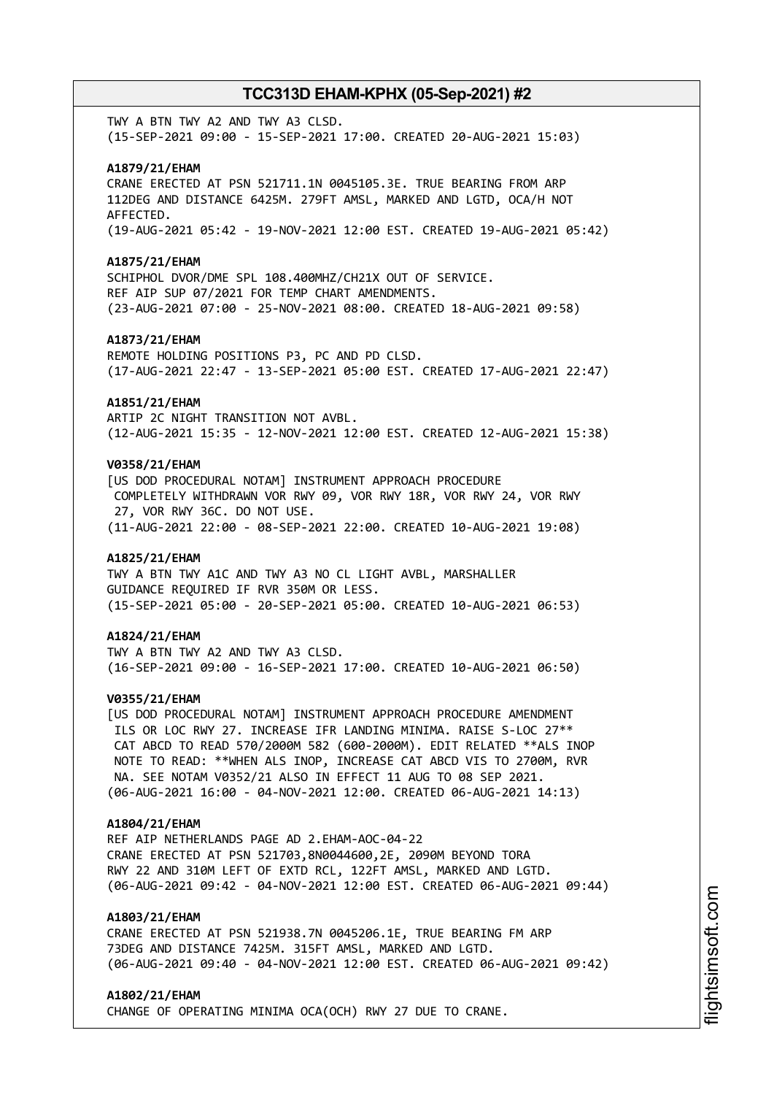TWY A BTN TWY A2 AND TWY A3 CLSD. (15-SEP-2021 09:00 - 15-SEP-2021 17:00. CREATED 20-AUG-2021 15:03)

### **A1879/21/EHAM**

CRANE ERECTED AT PSN 521711.1N 0045105.3E. TRUE BEARING FROM ARP 112DEG AND DISTANCE 6425M. 279FT AMSL, MARKED AND LGTD, OCA/H NOT AFFECTED. (19-AUG-2021 05:42 - 19-NOV-2021 12:00 EST. CREATED 19-AUG-2021 05:42)

#### **A1875/21/EHAM**

SCHIPHOL DVOR/DME SPL 108.400MHZ/CH21X OUT OF SERVICE. REF AIP SUP 07/2021 FOR TEMP CHART AMENDMENTS. (23-AUG-2021 07:00 - 25-NOV-2021 08:00. CREATED 18-AUG-2021 09:58)

#### **A1873/21/EHAM**

REMOTE HOLDING POSITIONS P3, PC AND PD CLSD. (17-AUG-2021 22:47 - 13-SEP-2021 05:00 EST. CREATED 17-AUG-2021 22:47)

#### **A1851/21/EHAM**

ARTIP 2C NIGHT TRANSITION NOT AVBL. (12-AUG-2021 15:35 - 12-NOV-2021 12:00 EST. CREATED 12-AUG-2021 15:38)

### **V0358/21/EHAM**

[US DOD PROCEDURAL NOTAM] INSTRUMENT APPROACH PROCEDURE COMPLETELY WITHDRAWN VOR RWY 09, VOR RWY 18R, VOR RWY 24, VOR RWY 27, VOR RWY 36C. DO NOT USE. (11-AUG-2021 22:00 - 08-SEP-2021 22:00. CREATED 10-AUG-2021 19:08)

### **A1825/21/EHAM**

TWY A BTN TWY A1C AND TWY A3 NO CL LIGHT AVBL, MARSHALLER GUIDANCE REQUIRED IF RVR 350M OR LESS. (15-SEP-2021 05:00 - 20-SEP-2021 05:00. CREATED 10-AUG-2021 06:53)

### **A1824/21/EHAM**

TWY A BTN TWY A2 AND TWY A3 CLSD. (16-SEP-2021 09:00 - 16-SEP-2021 17:00. CREATED 10-AUG-2021 06:50)

### **V0355/21/EHAM**

[US DOD PROCEDURAL NOTAM] INSTRUMENT APPROACH PROCEDURE AMENDMENT ILS OR LOC RWY 27. INCREASE IFR LANDING MINIMA. RAISE S-LOC 27\*\* CAT ABCD TO READ 570/2000M 582 (600-2000M). EDIT RELATED \*\*ALS INOP NOTE TO READ: \*\*WHEN ALS INOP, INCREASE CAT ABCD VIS TO 2700M, RVR NA. SEE NOTAM V0352/21 ALSO IN EFFECT 11 AUG TO 08 SEP 2021. (06-AUG-2021 16:00 - 04-NOV-2021 12:00. CREATED 06-AUG-2021 14:13)

### **A1804/21/EHAM**

REF AIP NETHERLANDS PAGE AD 2.EHAM-AOC-04-22 CRANE ERECTED AT PSN 521703,8N0044600,2E, 2090M BEYOND TORA RWY 22 AND 310M LEFT OF EXTD RCL, 122FT AMSL, MARKED AND LGTD. (06-AUG-2021 09:42 - 04-NOV-2021 12:00 EST. CREATED 06-AUG-2021 09:44)

### **A1803/21/EHAM**

CRANE ERECTED AT PSN 521938.7N 0045206.1E, TRUE BEARING FM ARP 73DEG AND DISTANCE 7425M. 315FT AMSL, MARKED AND LGTD. (06-AUG-2021 09:40 - 04-NOV-2021 12:00 EST. CREATED 06-AUG-2021 09:42)

#### **A1802/21/EHAM**

CHANGE OF OPERATING MINIMA OCA(OCH) RWY 27 DUE TO CRANE.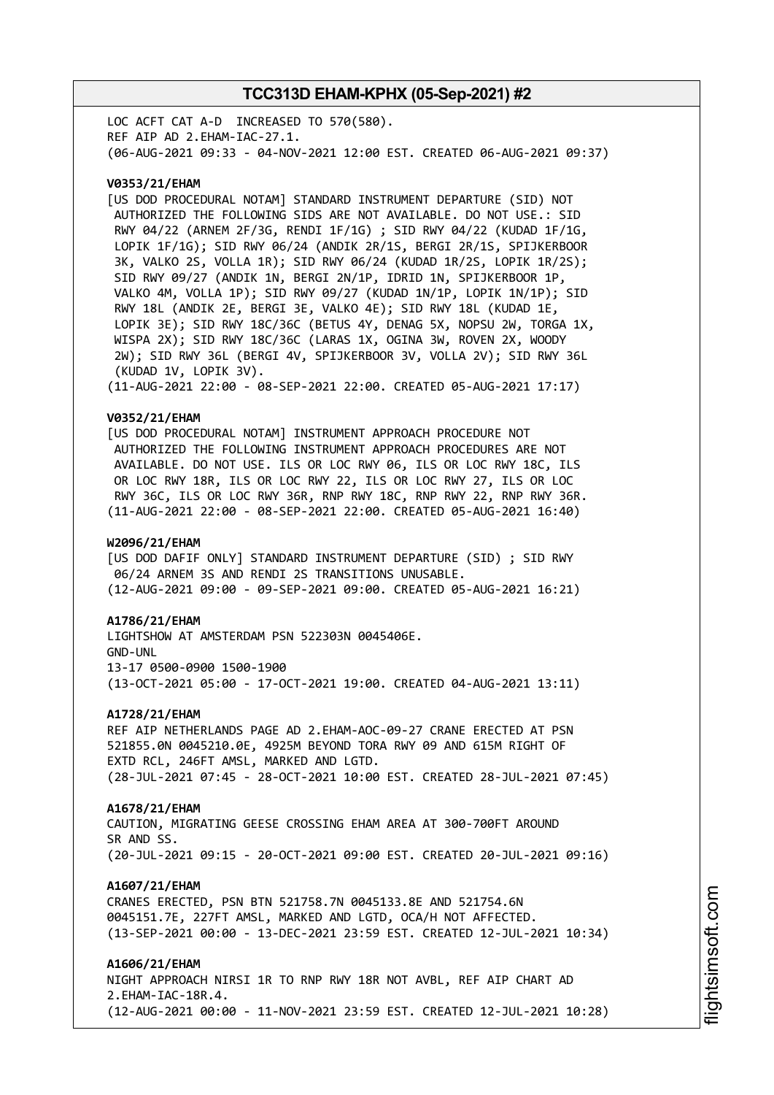LOC ACFT CAT A-D INCREASED TO 570(580). REF AIP AD 2.EHAM-IAC-27.1. (06-AUG-2021 09:33 - 04-NOV-2021 12:00 EST. CREATED 06-AUG-2021 09:37)

### **V0353/21/EHAM**

[US DOD PROCEDURAL NOTAM] STANDARD INSTRUMENT DEPARTURE (SID) NOT AUTHORIZED THE FOLLOWING SIDS ARE NOT AVAILABLE. DO NOT USE.: SID RWY 04/22 (ARNEM 2F/3G, RENDI 1F/1G) ; SID RWY 04/22 (KUDAD 1F/1G, LOPIK 1F/1G); SID RWY 06/24 (ANDIK 2R/1S, BERGI 2R/1S, SPIJKERBOOR 3K, VALKO 2S, VOLLA 1R); SID RWY 06/24 (KUDAD 1R/2S, LOPIK 1R/2S); SID RWY 09/27 (ANDIK 1N, BERGI 2N/1P, IDRID 1N, SPIJKERBOOR 1P, VALKO 4M, VOLLA 1P); SID RWY 09/27 (KUDAD 1N/1P, LOPIK 1N/1P); SID RWY 18L (ANDIK 2E, BERGI 3E, VALKO 4E); SID RWY 18L (KUDAD 1E, LOPIK 3E); SID RWY 18C/36C (BETUS 4Y, DENAG 5X, NOPSU 2W, TORGA 1X, WISPA 2X); SID RWY 18C/36C (LARAS 1X, OGINA 3W, ROVEN 2X, WOODY 2W); SID RWY 36L (BERGI 4V, SPIJKERBOOR 3V, VOLLA 2V); SID RWY 36L (KUDAD 1V, LOPIK 3V). (11-AUG-2021 22:00 - 08-SEP-2021 22:00. CREATED 05-AUG-2021 17:17)

#### **V0352/21/EHAM**

[US DOD PROCEDURAL NOTAM] INSTRUMENT APPROACH PROCEDURE NOT AUTHORIZED THE FOLLOWING INSTRUMENT APPROACH PROCEDURES ARE NOT AVAILABLE. DO NOT USE. ILS OR LOC RWY 06, ILS OR LOC RWY 18C, ILS OR LOC RWY 18R, ILS OR LOC RWY 22, ILS OR LOC RWY 27, ILS OR LOC RWY 36C, ILS OR LOC RWY 36R, RNP RWY 18C, RNP RWY 22, RNP RWY 36R. (11-AUG-2021 22:00 - 08-SEP-2021 22:00. CREATED 05-AUG-2021 16:40)

#### **W2096/21/EHAM**

[US DOD DAFIF ONLY] STANDARD INSTRUMENT DEPARTURE (SID) ; SID RWY 06/24 ARNEM 3S AND RENDI 2S TRANSITIONS UNUSABLE. (12-AUG-2021 09:00 - 09-SEP-2021 09:00. CREATED 05-AUG-2021 16:21)

#### **A1786/21/EHAM**

LIGHTSHOW AT AMSTERDAM PSN 522303N 0045406E. GND-UNL 13-17 0500-0900 1500-1900 (13-OCT-2021 05:00 - 17-OCT-2021 19:00. CREATED 04-AUG-2021 13:11)

#### **A1728/21/EHAM**

REF AIP NETHERLANDS PAGE AD 2.EHAM-AOC-09-27 CRANE ERECTED AT PSN 521855.0N 0045210.0E, 4925M BEYOND TORA RWY 09 AND 615M RIGHT OF EXTD RCL, 246FT AMSL, MARKED AND LGTD. (28-JUL-2021 07:45 - 28-OCT-2021 10:00 EST. CREATED 28-JUL-2021 07:45)

#### **A1678/21/EHAM**

CAUTION, MIGRATING GEESE CROSSING EHAM AREA AT 300-700FT AROUND SR AND SS. (20-JUL-2021 09:15 - 20-OCT-2021 09:00 EST. CREATED 20-JUL-2021 09:16)

#### **A1607/21/EHAM**

CRANES ERECTED, PSN BTN 521758.7N 0045133.8E AND 521754.6N 0045151.7E, 227FT AMSL, MARKED AND LGTD, OCA/H NOT AFFECTED. (13-SEP-2021 00:00 - 13-DEC-2021 23:59 EST. CREATED 12-JUL-2021 10:34)

### **A1606/21/EHAM**

NIGHT APPROACH NIRSI 1R TO RNP RWY 18R NOT AVBL, REF AIP CHART AD 2.EHAM-IAC-18R.4. (12-AUG-2021 00:00 - 11-NOV-2021 23:59 EST. CREATED 12-JUL-2021 10:28)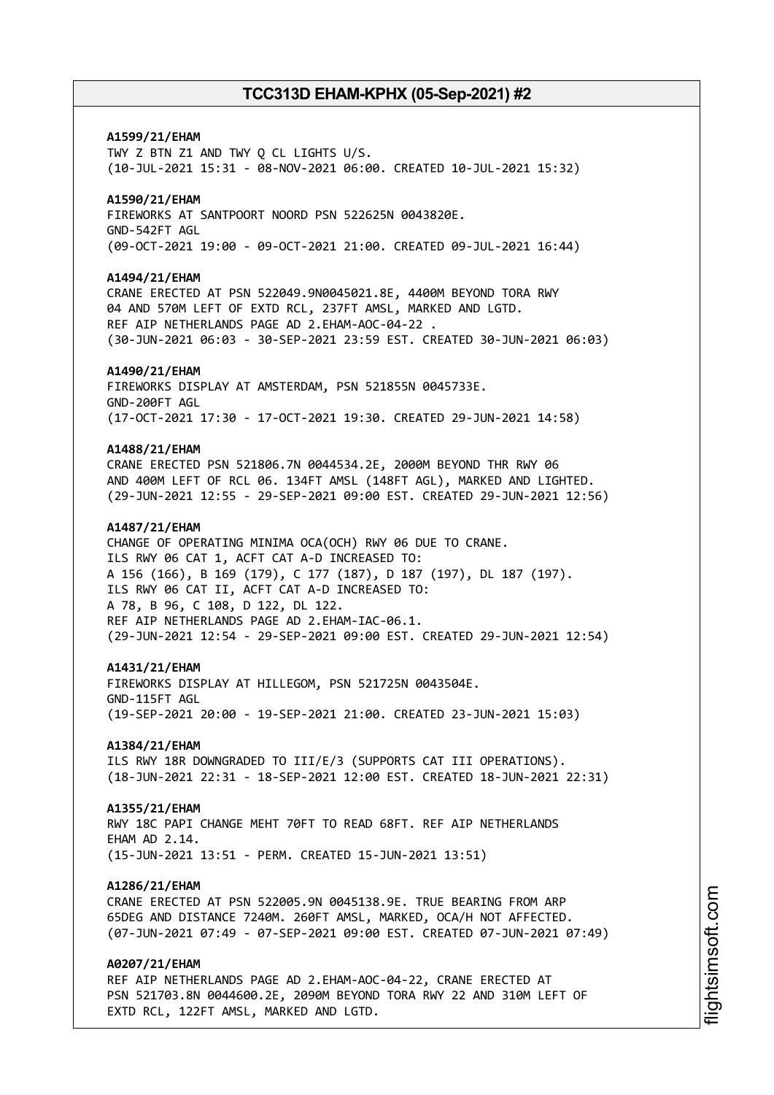# **A1599/21/EHAM** TWY Z BTN Z1 AND TWY Q CL LIGHTS U/S. (10-JUL-2021 15:31 - 08-NOV-2021 06:00. CREATED 10-JUL-2021 15:32) **A1590/21/EHAM** FIREWORKS AT SANTPOORT NOORD PSN 522625N 0043820E. GND-542FT AGL (09-OCT-2021 19:00 - 09-OCT-2021 21:00. CREATED 09-JUL-2021 16:44) **A1494/21/EHAM** CRANE ERECTED AT PSN 522049.9N0045021.8E, 4400M BEYOND TORA RWY 04 AND 570M LEFT OF EXTD RCL, 237FT AMSL, MARKED AND LGTD. REF AIP NETHERLANDS PAGE AD 2.EHAM-AOC-04-22 . (30-JUN-2021 06:03 - 30-SEP-2021 23:59 EST. CREATED 30-JUN-2021 06:03) **A1490/21/EHAM** FIREWORKS DISPLAY AT AMSTERDAM, PSN 521855N 0045733E. GND-200FT AGL (17-OCT-2021 17:30 - 17-OCT-2021 19:30. CREATED 29-JUN-2021 14:58) **A1488/21/EHAM** CRANE ERECTED PSN 521806.7N 0044534.2E, 2000M BEYOND THR RWY 06 AND 400M LEFT OF RCL 06. 134FT AMSL (148FT AGL), MARKED AND LIGHTED. (29-JUN-2021 12:55 - 29-SEP-2021 09:00 EST. CREATED 29-JUN-2021 12:56) **A1487/21/EHAM** CHANGE OF OPERATING MINIMA OCA(OCH) RWY 06 DUE TO CRANE. ILS RWY 06 CAT 1, ACFT CAT A-D INCREASED TO: A 156 (166), B 169 (179), C 177 (187), D 187 (197), DL 187 (197). ILS RWY 06 CAT II, ACFT CAT A-D INCREASED TO: A 78, B 96, C 108, D 122, DL 122. REF AIP NETHERLANDS PAGE AD 2.EHAM-IAC-06.1. (29-JUN-2021 12:54 - 29-SEP-2021 09:00 EST. CREATED 29-JUN-2021 12:54) **A1431/21/EHAM** FIREWORKS DISPLAY AT HILLEGOM, PSN 521725N 0043504E. GND-115FT AGL (19-SEP-2021 20:00 - 19-SEP-2021 21:00. CREATED 23-JUN-2021 15:03) **A1384/21/EHAM** ILS RWY 18R DOWNGRADED TO III/E/3 (SUPPORTS CAT III OPERATIONS). (18-JUN-2021 22:31 - 18-SEP-2021 12:00 EST. CREATED 18-JUN-2021 22:31) **A1355/21/EHAM** RWY 18C PAPI CHANGE MEHT 70FT TO READ 68FT. REF AIP NETHERLANDS FHAM AD 2 14 (15-JUN-2021 13:51 - PERM. CREATED 15-JUN-2021 13:51) **A1286/21/EHAM** CRANE ERECTED AT PSN 522005.9N 0045138.9E. TRUE BEARING FROM ARP 65DEG AND DISTANCE 7240M. 260FT AMSL, MARKED, OCA/H NOT AFFECTED. (07-JUN-2021 07:49 - 07-SEP-2021 09:00 EST. CREATED 07-JUN-2021 07:49) **A0207/21/EHAM** REF AIP NETHERLANDS PAGE AD 2.EHAM-AOC-04-22, CRANE ERECTED AT

PSN 521703.8N 0044600.2E, 2090M BEYOND TORA RWY 22 AND 310M LEFT OF EXTD RCL, 122FT AMSL, MARKED AND LGTD.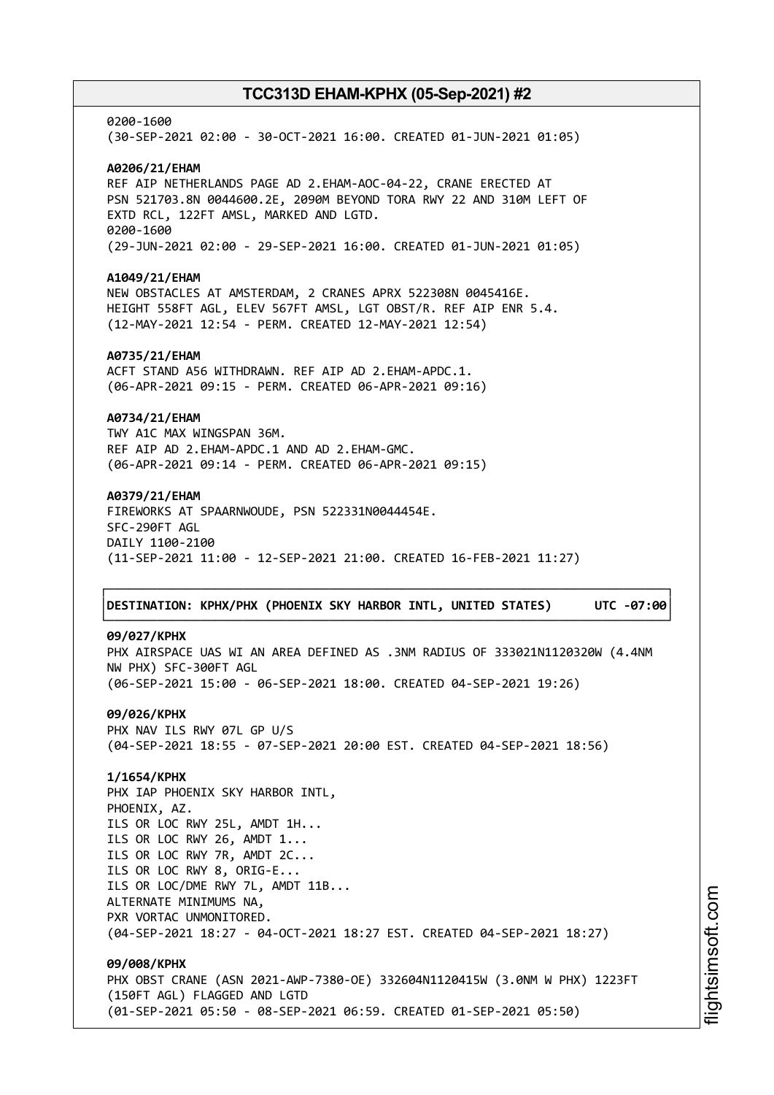0200-1600 (30-SEP-2021 02:00 - 30-OCT-2021 16:00. CREATED 01-JUN-2021 01:05) **A0206/21/EHAM** REF AIP NETHERLANDS PAGE AD 2.EHAM-AOC-04-22, CRANE ERECTED AT PSN 521703.8N 0044600.2E, 2090M BEYOND TORA RWY 22 AND 310M LEFT OF EXTD RCL, 122FT AMSL, MARKED AND LGTD. 0200-1600 (29-JUN-2021 02:00 - 29-SEP-2021 16:00. CREATED 01-JUN-2021 01:05) **A1049/21/EHAM** NEW OBSTACLES AT AMSTERDAM, 2 CRANES APRX 522308N 0045416E. HEIGHT 558FT AGL, ELEV 567FT AMSL, LGT OBST/R. REF AIP ENR 5.4. (12-MAY-2021 12:54 - PERM. CREATED 12-MAY-2021 12:54) **A0735/21/EHAM** ACFT STAND A56 WITHDRAWN. REF AIP AD 2.EHAM-APDC.1. (06-APR-2021 09:15 - PERM. CREATED 06-APR-2021 09:16) **A0734/21/EHAM** TWY A1C MAX WINGSPAN 36M. REF AIP AD 2.EHAM-APDC.1 AND AD 2.EHAM-GMC. (06-APR-2021 09:14 - PERM. CREATED 06-APR-2021 09:15) **A0379/21/EHAM** FIREWORKS AT SPAARNWOUDE, PSN 522331N0044454E. SFC-290FT AGL DAILY 1100-2100 (11-SEP-2021 11:00 - 12-SEP-2021 21:00. CREATED 16-FEB-2021 11:27) ┌──────────────────────────────────────────────────────────────────────────────┐ │**DESTINATION: KPHX/PHX (PHOENIX SKY HARBOR INTL, UNITED STATES) UTC -07:00**│ └──────────────────────────────────────────────────────────────────────────────┘ **09/027/KPHX** PHX AIRSPACE UAS WI AN AREA DEFINED AS .3NM RADIUS OF 333021N1120320W (4.4NM NW PHX) SFC-300FT AGL (06-SEP-2021 15:00 - 06-SEP-2021 18:00. CREATED 04-SEP-2021 19:26) **09/026/KPHX** PHX NAV ILS RWY 07L GP U/S (04-SEP-2021 18:55 - 07-SEP-2021 20:00 EST. CREATED 04-SEP-2021 18:56) **1/1654/KPHX** PHX IAP PHOENIX SKY HARBOR INTL, PHOENIX, AZ. ILS OR LOC RWY 25L, AMDT 1H... ILS OR LOC RWY 26, AMDT 1... ILS OR LOC RWY 7R, AMDT 2C... ILS OR LOC RWY 8, ORIG-E... ILS OR LOC/DME RWY 7L, AMDT 11B... ALTERNATE MINIMUMS NA, PXR VORTAC UNMONITORED. (04-SEP-2021 18:27 - 04-OCT-2021 18:27 EST. CREATED 04-SEP-2021 18:27) **09/008/KPHX** PHX OBST CRANE (ASN 2021-AWP-7380-OE) 332604N1120415W (3.0NM W PHX) 1223FT (150FT AGL) FLAGGED AND LGTD (01-SEP-2021 05:50 - 08-SEP-2021 06:59. CREATED 01-SEP-2021 05:50)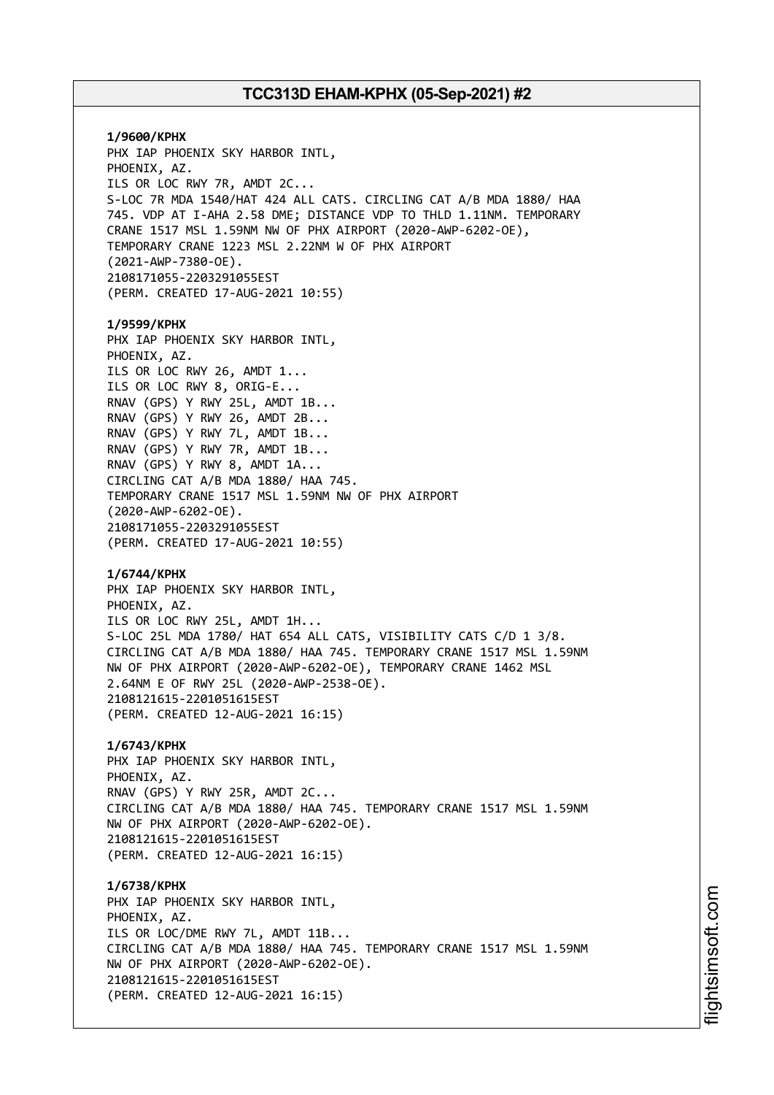**1/9600/KPHX** PHX IAP PHOENIX SKY HARBOR INTL, PHOENIX, AZ. ILS OR LOC RWY 7R, AMDT 2C... S-LOC 7R MDA 1540/HAT 424 ALL CATS. CIRCLING CAT A/B MDA 1880/ HAA 745. VDP AT I-AHA 2.58 DME; DISTANCE VDP TO THLD 1.11NM. TEMPORARY CRANE 1517 MSL 1.59NM NW OF PHX AIRPORT (2020-AWP-6202-OE), TEMPORARY CRANE 1223 MSL 2.22NM W OF PHX AIRPORT (2021-AWP-7380-OE). 2108171055-2203291055EST (PERM. CREATED 17-AUG-2021 10:55) **1/9599/KPHX** PHX IAP PHOENIX SKY HARBOR INTL, PHOENIX, AZ. ILS OR LOC RWY 26, AMDT 1... ILS OR LOC RWY 8, ORIG-E... RNAV (GPS) Y RWY 25L, AMDT 1B... RNAV (GPS) Y RWY 26, AMDT 2B... RNAV (GPS) Y RWY 7L, AMDT 1B... RNAV (GPS) Y RWY 7R, AMDT 1B... RNAV (GPS) Y RWY 8, AMDT 1A... CIRCLING CAT A/B MDA 1880/ HAA 745. TEMPORARY CRANE 1517 MSL 1.59NM NW OF PHX AIRPORT (2020-AWP-6202-OE). 2108171055-2203291055EST (PERM. CREATED 17-AUG-2021 10:55) **1/6744/KPHX** PHX IAP PHOENIX SKY HARBOR INTL, PHOENIX, AZ. ILS OR LOC RWY 25L, AMDT 1H... S-LOC 25L MDA 1780/ HAT 654 ALL CATS, VISIBILITY CATS C/D 1 3/8. CIRCLING CAT A/B MDA 1880/ HAA 745. TEMPORARY CRANE 1517 MSL 1.59NM NW OF PHX AIRPORT (2020-AWP-6202-OE), TEMPORARY CRANE 1462 MSL 2.64NM E OF RWY 25L (2020-AWP-2538-OE). 2108121615-2201051615EST (PERM. CREATED 12-AUG-2021 16:15) **1/6743/KPHX** PHX IAP PHOENIX SKY HARBOR INTL, PHOENIX, AZ. RNAV (GPS) Y RWY 25R, AMDT 2C... CIRCLING CAT A/B MDA 1880/ HAA 745. TEMPORARY CRANE 1517 MSL 1.59NM NW OF PHX AIRPORT (2020-AWP-6202-OE). 2108121615-2201051615EST (PERM. CREATED 12-AUG-2021 16:15) **1/6738/KPHX** PHX IAP PHOENIX SKY HARBOR INTL, PHOENIX, AZ. ILS OR LOC/DME RWY 7L, AMDT 11B... CIRCLING CAT A/B MDA 1880/ HAA 745. TEMPORARY CRANE 1517 MSL 1.59NM NW OF PHX AIRPORT (2020-AWP-6202-OE). 2108121615-2201051615EST (PERM. CREATED 12-AUG-2021 16:15)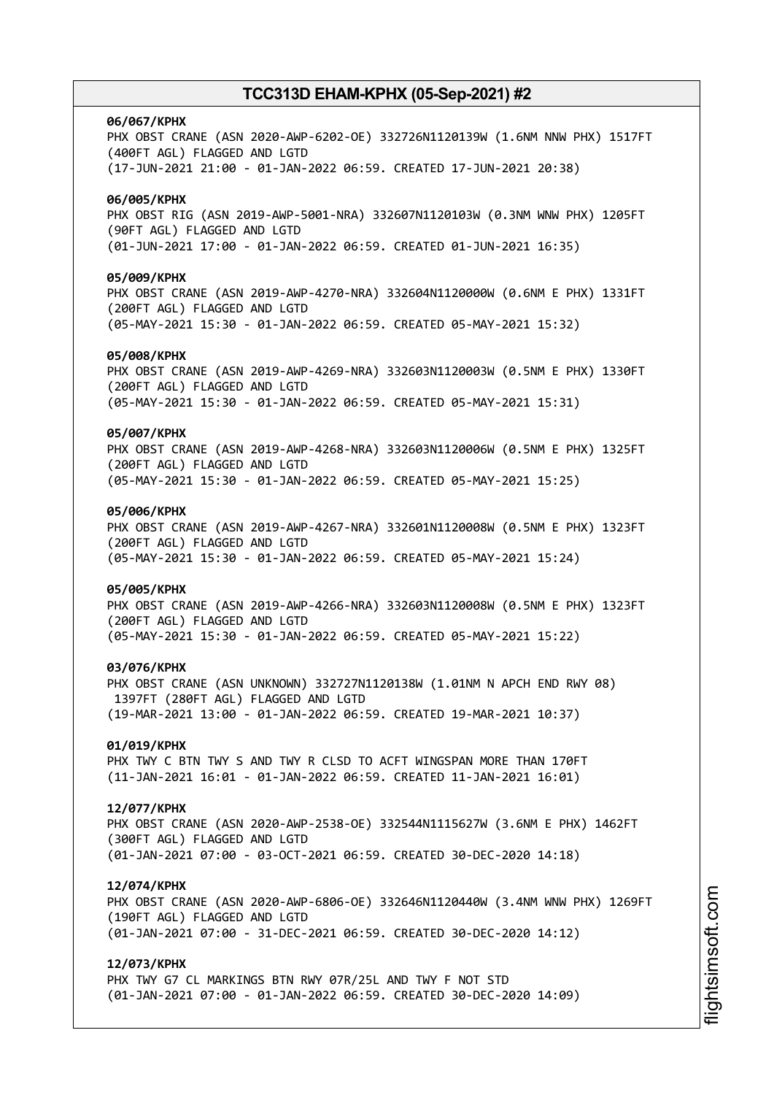#### **06/067/KPHX**

PHX OBST CRANE (ASN 2020-AWP-6202-OE) 332726N1120139W (1.6NM NNW PHX) 1517FT (400FT AGL) FLAGGED AND LGTD (17-JUN-2021 21:00 - 01-JAN-2022 06:59. CREATED 17-JUN-2021 20:38)

# **06/005/KPHX**

PHX OBST RIG (ASN 2019-AWP-5001-NRA) 332607N1120103W (0.3NM WNW PHX) 1205FT (90FT AGL) FLAGGED AND LGTD (01-JUN-2021 17:00 - 01-JAN-2022 06:59. CREATED 01-JUN-2021 16:35)

### **05/009/KPHX**

PHX OBST CRANE (ASN 2019-AWP-4270-NRA) 332604N1120000W (0.6NM E PHX) 1331FT (200FT AGL) FLAGGED AND LGTD (05-MAY-2021 15:30 - 01-JAN-2022 06:59. CREATED 05-MAY-2021 15:32)

### **05/008/KPHX**

PHX OBST CRANE (ASN 2019-AWP-4269-NRA) 332603N1120003W (0.5NM E PHX) 1330FT (200FT AGL) FLAGGED AND LGTD (05-MAY-2021 15:30 - 01-JAN-2022 06:59. CREATED 05-MAY-2021 15:31)

#### **05/007/KPHX**

PHX OBST CRANE (ASN 2019-AWP-4268-NRA) 332603N1120006W (0.5NM E PHX) 1325FT (200FT AGL) FLAGGED AND LGTD (05-MAY-2021 15:30 - 01-JAN-2022 06:59. CREATED 05-MAY-2021 15:25)

### **05/006/KPHX**

PHX OBST CRANE (ASN 2019-AWP-4267-NRA) 332601N1120008W (0.5NM E PHX) 1323FT (200FT AGL) FLAGGED AND LGTD (05-MAY-2021 15:30 - 01-JAN-2022 06:59. CREATED 05-MAY-2021 15:24)

#### **05/005/KPHX**

PHX OBST CRANE (ASN 2019-AWP-4266-NRA) 332603N1120008W (0.5NM E PHX) 1323FT (200FT AGL) FLAGGED AND LGTD (05-MAY-2021 15:30 - 01-JAN-2022 06:59. CREATED 05-MAY-2021 15:22)

#### **03/076/KPHX**

PHX OBST CRANE (ASN UNKNOWN) 332727N1120138W (1.01NM N APCH END RWY 08) 1397FT (280FT AGL) FLAGGED AND LGTD (19-MAR-2021 13:00 - 01-JAN-2022 06:59. CREATED 19-MAR-2021 10:37)

### **01/019/KPHX**

PHX TWY C BTN TWY S AND TWY R CLSD TO ACFT WINGSPAN MORE THAN 170FT (11-JAN-2021 16:01 - 01-JAN-2022 06:59. CREATED 11-JAN-2021 16:01)

#### **12/077/KPHX**

PHX OBST CRANE (ASN 2020-AWP-2538-OE) 332544N1115627W (3.6NM E PHX) 1462FT (300FT AGL) FLAGGED AND LGTD (01-JAN-2021 07:00 - 03-OCT-2021 06:59. CREATED 30-DEC-2020 14:18)

#### **12/074/KPHX**

PHX OBST CRANE (ASN 2020-AWP-6806-OE) 332646N1120440W (3.4NM WNW PHX) 1269FT (190FT AGL) FLAGGED AND LGTD (01-JAN-2021 07:00 - 31-DEC-2021 06:59. CREATED 30-DEC-2020 14:12)

### **12/073/KPHX**

PHX TWY G7 CL MARKINGS BTN RWY 07R/25L AND TWY F NOT STD (01-JAN-2021 07:00 - 01-JAN-2022 06:59. CREATED 30-DEC-2020 14:09)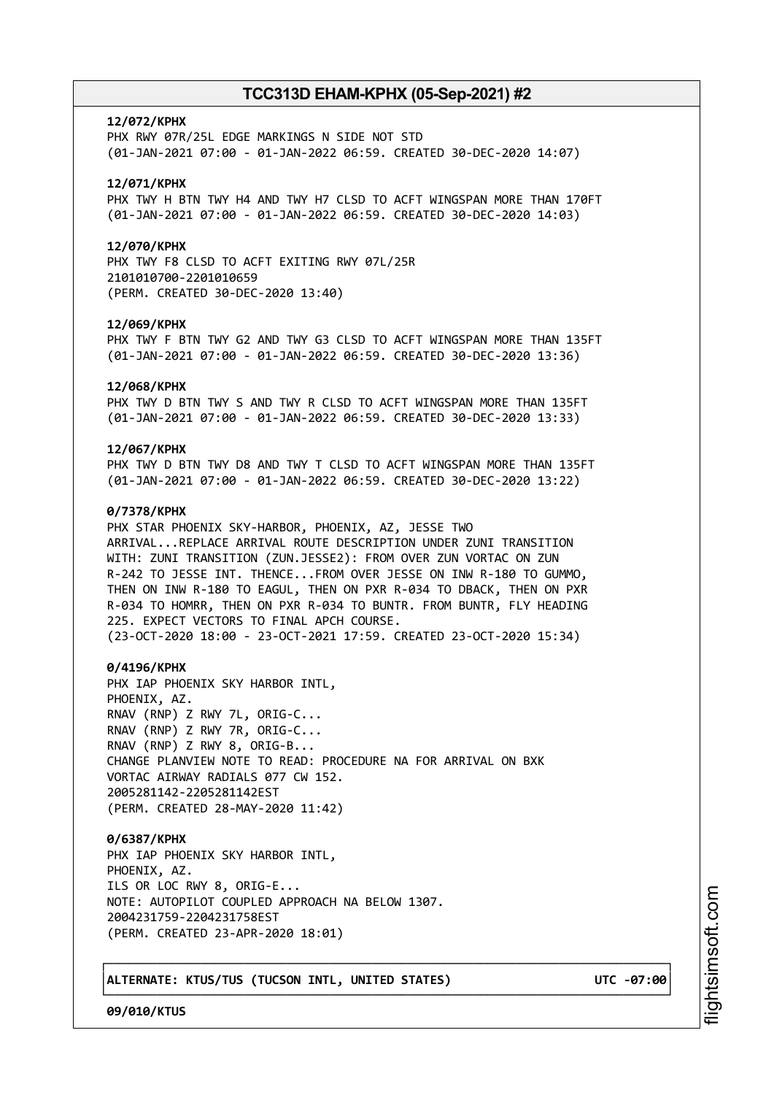#### **12/072/KPHX**

PHX RWY 07R/25L EDGE MARKINGS N SIDE NOT STD (01-JAN-2021 07:00 - 01-JAN-2022 06:59. CREATED 30-DEC-2020 14:07)

### **12/071/KPHX**

PHX TWY H BTN TWY H4 AND TWY H7 CLSD TO ACFT WINGSPAN MORE THAN 170FT (01-JAN-2021 07:00 - 01-JAN-2022 06:59. CREATED 30-DEC-2020 14:03)

### **12/070/KPHX**

PHX TWY F8 CLSD TO ACFT EXITING RWY 07L/25R 2101010700-2201010659 (PERM. CREATED 30-DEC-2020 13:40)

### **12/069/KPHX**

PHX TWY F BTN TWY G2 AND TWY G3 CLSD TO ACFT WINGSPAN MORE THAN 135FT (01-JAN-2021 07:00 - 01-JAN-2022 06:59. CREATED 30-DEC-2020 13:36)

#### **12/068/KPHX**

PHX TWY D BTN TWY S AND TWY R CLSD TO ACFT WINGSPAN MORE THAN 135FT (01-JAN-2021 07:00 - 01-JAN-2022 06:59. CREATED 30-DEC-2020 13:33)

### **12/067/KPHX**

PHX TWY D BTN TWY D8 AND TWY T CLSD TO ACFT WINGSPAN MORE THAN 135FT (01-JAN-2021 07:00 - 01-JAN-2022 06:59. CREATED 30-DEC-2020 13:22)

### **0/7378/KPHX**

PHX STAR PHOENIX SKY-HARBOR, PHOENIX, AZ, JESSE TWO ARRIVAL...REPLACE ARRIVAL ROUTE DESCRIPTION UNDER ZUNI TRANSITION WITH: ZUNI TRANSITION (ZUN.JESSE2): FROM OVER ZUN VORTAC ON ZUN R-242 TO JESSE INT. THENCE...FROM OVER JESSE ON INW R-180 TO GUMMO, THEN ON INW R-180 TO EAGUL, THEN ON PXR R-034 TO DBACK, THEN ON PXR R-034 TO HOMRR, THEN ON PXR R-034 TO BUNTR. FROM BUNTR, FLY HEADING 225. EXPECT VECTORS TO FINAL APCH COURSE. (23-OCT-2020 18:00 - 23-OCT-2021 17:59. CREATED 23-OCT-2020 15:34)

#### **0/4196/KPHX**

PHX IAP PHOENIX SKY HARBOR INTL, PHOENIX, AZ. RNAV (RNP) Z RWY 7L, ORIG-C... RNAV (RNP) Z RWY 7R, ORIG-C... RNAV (RNP) Z RWY 8, ORIG-B... CHANGE PLANVIEW NOTE TO READ: PROCEDURE NA FOR ARRIVAL ON BXK VORTAC AIRWAY RADIALS 077 CW 152. 2005281142-2205281142EST (PERM. CREATED 28-MAY-2020 11:42)

┌──────────────────────────────────────────────────────────────────────────────┐

└──────────────────────────────────────────────────────────────────────────────┘

**0/6387/KPHX** PHX IAP PHOENIX SKY HARBOR INTL, PHOENIX, AZ. ILS OR LOC RWY 8, ORIG-E... NOTE: AUTOPILOT COUPLED APPROACH NA BELOW 1307. 2004231759-2204231758EST (PERM. CREATED 23-APR-2020 18:01)

│**ALTERNATE: KTUS/TUS (TUCSON INTL, UNITED STATES) UTC -07:00**│

**09/010/KTUS**

m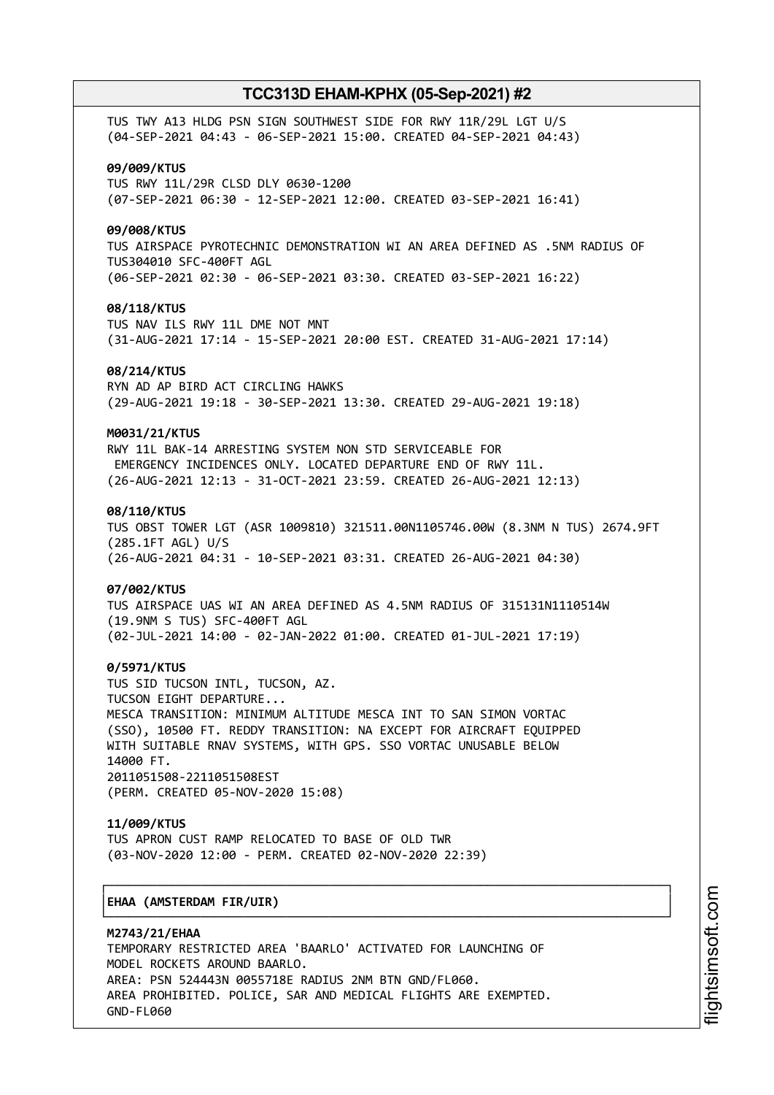TUS TWY A13 HLDG PSN SIGN SOUTHWEST SIDE FOR RWY 11R/29L LGT U/S (04-SEP-2021 04:43 - 06-SEP-2021 15:00. CREATED 04-SEP-2021 04:43) **09/009/KTUS** TUS RWY 11L/29R CLSD DLY 0630-1200 (07-SEP-2021 06:30 - 12-SEP-2021 12:00. CREATED 03-SEP-2021 16:41) **09/008/KTUS** TUS AIRSPACE PYROTECHNIC DEMONSTRATION WI AN AREA DEFINED AS .5NM RADIUS OF TUS304010 SFC-400FT AGL (06-SEP-2021 02:30 - 06-SEP-2021 03:30. CREATED 03-SEP-2021 16:22) **08/118/KTUS** TUS NAV ILS RWY 11L DME NOT MNT (31-AUG-2021 17:14 - 15-SEP-2021 20:00 EST. CREATED 31-AUG-2021 17:14) **08/214/KTUS** RYN AD AP BIRD ACT CIRCLING HAWKS (29-AUG-2021 19:18 - 30-SEP-2021 13:30. CREATED 29-AUG-2021 19:18) **M0031/21/KTUS** RWY 11L BAK-14 ARRESTING SYSTEM NON STD SERVICEABLE FOR EMERGENCY INCIDENCES ONLY. LOCATED DEPARTURE END OF RWY 11L. (26-AUG-2021 12:13 - 31-OCT-2021 23:59. CREATED 26-AUG-2021 12:13) **08/110/KTUS** TUS OBST TOWER LGT (ASR 1009810) 321511.00N1105746.00W (8.3NM N TUS) 2674.9FT (285.1FT AGL) U/S (26-AUG-2021 04:31 - 10-SEP-2021 03:31. CREATED 26-AUG-2021 04:30) **07/002/KTUS** TUS AIRSPACE UAS WI AN AREA DEFINED AS 4.5NM RADIUS OF 315131N1110514W (19.9NM S TUS) SFC-400FT AGL (02-JUL-2021 14:00 - 02-JAN-2022 01:00. CREATED 01-JUL-2021 17:19) **0/5971/KTUS** TUS SID TUCSON INTL, TUCSON, AZ. TUCSON EIGHT DEPARTURE... MESCA TRANSITION: MINIMUM ALTITUDE MESCA INT TO SAN SIMON VORTAC (SSO), 10500 FT. REDDY TRANSITION: NA EXCEPT FOR AIRCRAFT EQUIPPED WITH SUITABLE RNAV SYSTEMS, WITH GPS. SSO VORTAC UNUSABLE BELOW 14000 FT. 2011051508-2211051508EST (PERM. CREATED 05-NOV-2020 15:08) **11/009/KTUS** TUS APRON CUST RAMP RELOCATED TO BASE OF OLD TWR (03-NOV-2020 12:00 - PERM. CREATED 02-NOV-2020 22:39) ┌──────────────────────────────────────────────────────────────────────────────┐ │**EHAA (AMSTERDAM FIR/UIR)** │ └──────────────────────────────────────────────────────────────────────────────┘ **M2743/21/EHAA** TEMPORARY RESTRICTED AREA 'BAARLO' ACTIVATED FOR LAUNCHING OF MODEL ROCKETS AROUND BAARLO. AREA: PSN 524443N 0055718E RADIUS 2NM BTN GND/FL060.

AREA PROHIBITED. POLICE, SAR AND MEDICAL FLIGHTS ARE EXEMPTED. GND-FL060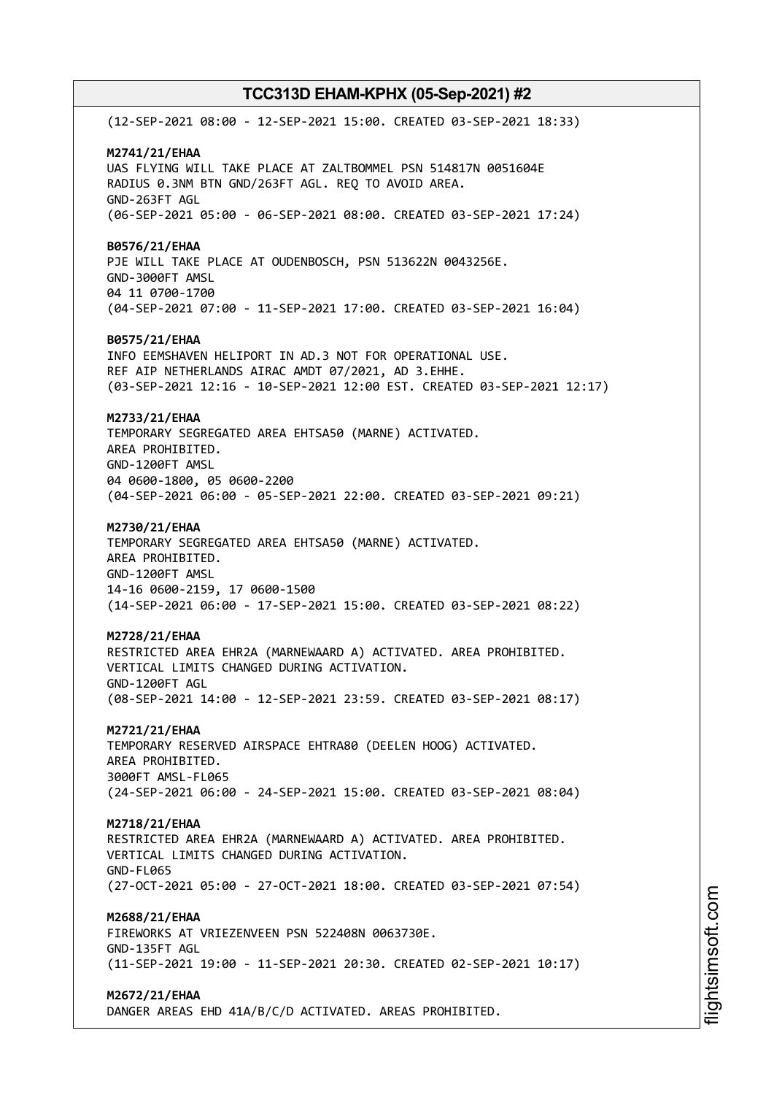(12-SEP-2021 08:00 - 12-SEP-2021 15:00. CREATED 03-SEP-2021 18:33) **M2741/21/EHAA** UAS FLYING WILL TAKE PLACE AT ZALTBOMMEL PSN 514817N 0051604E RADIUS 0.3NM BTN GND/263FT AGL. REQ TO AVOID AREA. GND-263FT AGL (06-SEP-2021 05:00 - 06-SEP-2021 08:00. CREATED 03-SEP-2021 17:24) **B0576/21/EHAA** PJE WILL TAKE PLACE AT OUDENBOSCH, PSN 513622N 0043256E. GND-3000FT AMSL 04 11 0700-1700 (04-SEP-2021 07:00 - 11-SEP-2021 17:00. CREATED 03-SEP-2021 16:04) **B0575/21/EHAA** INFO EEMSHAVEN HELIPORT IN AD.3 NOT FOR OPERATIONAL USE. REF AIP NETHERLANDS AIRAC AMDT 07/2021, AD 3.EHHE. (03-SEP-2021 12:16 - 10-SEP-2021 12:00 EST. CREATED 03-SEP-2021 12:17) **M2733/21/EHAA** TEMPORARY SEGREGATED AREA EHTSA50 (MARNE) ACTIVATED. AREA PROHIBITED. GND-1200FT AMSL 04 0600-1800, 05 0600-2200 (04-SEP-2021 06:00 - 05-SEP-2021 22:00. CREATED 03-SEP-2021 09:21) **M2730/21/EHAA** TEMPORARY SEGREGATED AREA EHTSA50 (MARNE) ACTIVATED. AREA PROHIBITED. GND-1200FT AMSL 14-16 0600-2159, 17 0600-1500 (14-SEP-2021 06:00 - 17-SEP-2021 15:00. CREATED 03-SEP-2021 08:22) **M2728/21/EHAA** RESTRICTED AREA EHR2A (MARNEWAARD A) ACTIVATED. AREA PROHIBITED. VERTICAL LIMITS CHANGED DURING ACTIVATION. GND-1200FT AGL (08-SEP-2021 14:00 - 12-SEP-2021 23:59. CREATED 03-SEP-2021 08:17) **M2721/21/EHAA** TEMPORARY RESERVED AIRSPACE EHTRA80 (DEELEN HOOG) ACTIVATED. AREA PROHIBITED. 3000FT AMSL-FL065 (24-SEP-2021 06:00 - 24-SEP-2021 15:00. CREATED 03-SEP-2021 08:04) **M2718/21/EHAA** RESTRICTED AREA EHR2A (MARNEWAARD A) ACTIVATED. AREA PROHIBITED. VERTICAL LIMITS CHANGED DURING ACTIVATION. GND-FL065 (27-OCT-2021 05:00 - 27-OCT-2021 18:00. CREATED 03-SEP-2021 07:54) **M2688/21/EHAA** FIREWORKS AT VRIEZENVEEN PSN 522408N 0063730E. GND-135FT AGL (11-SEP-2021 19:00 - 11-SEP-2021 20:30. CREATED 02-SEP-2021 10:17) **M2672/21/EHAA** DANGER AREAS EHD 41A/B/C/D ACTIVATED. AREAS PROHIBITED.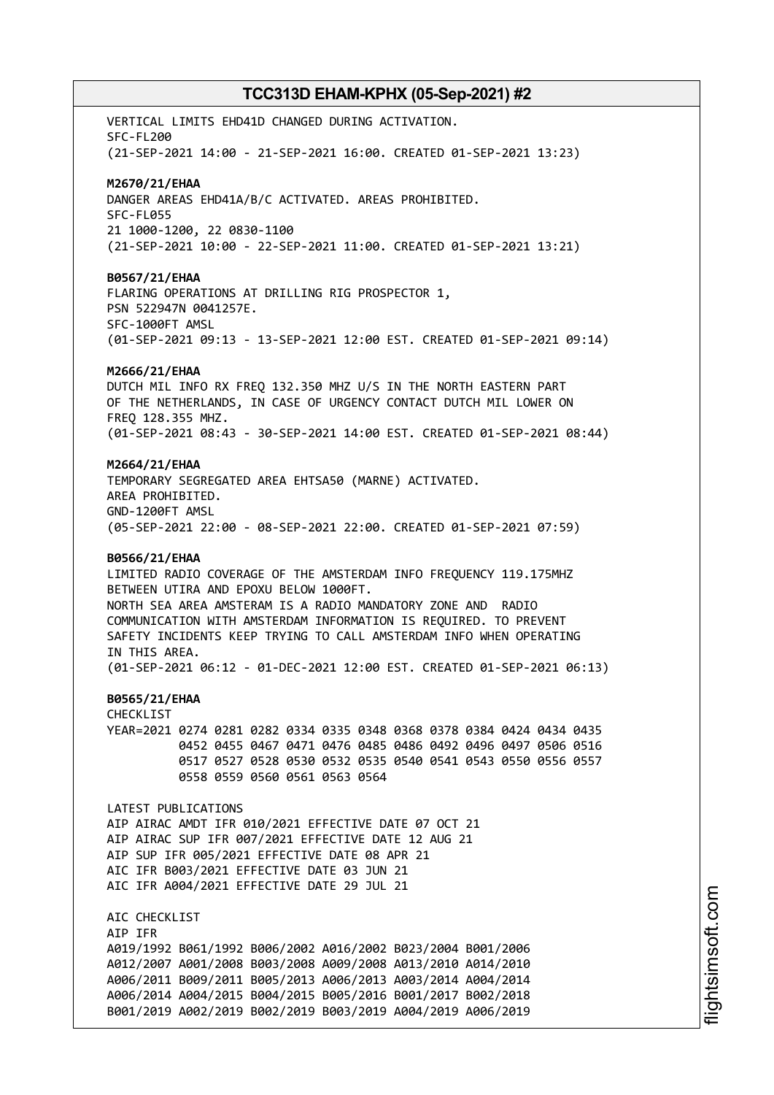VERTICAL LIMITS EHD41D CHANGED DURING ACTIVATION. SFC-FL200 (21-SEP-2021 14:00 - 21-SEP-2021 16:00. CREATED 01-SEP-2021 13:23) **M2670/21/EHAA** DANGER AREAS EHD41A/B/C ACTIVATED. AREAS PROHIBITED. SFC-FL055 21 1000-1200, 22 0830-1100 (21-SEP-2021 10:00 - 22-SEP-2021 11:00. CREATED 01-SEP-2021 13:21) **B0567/21/EHAA** FLARING OPERATIONS AT DRILLING RIG PROSPECTOR 1, PSN 522947N 0041257E. SFC-1000FT AMSL (01-SEP-2021 09:13 - 13-SEP-2021 12:00 EST. CREATED 01-SEP-2021 09:14) **M2666/21/EHAA** DUTCH MIL INFO RX FREQ 132.350 MHZ U/S IN THE NORTH EASTERN PART OF THE NETHERLANDS, IN CASE OF URGENCY CONTACT DUTCH MIL LOWER ON FREQ 128.355 MHZ. (01-SEP-2021 08:43 - 30-SEP-2021 14:00 EST. CREATED 01-SEP-2021 08:44) **M2664/21/EHAA** TEMPORARY SEGREGATED AREA EHTSA50 (MARNE) ACTIVATED. AREA PROHIBITED. GND-1200FT AMSL (05-SEP-2021 22:00 - 08-SEP-2021 22:00. CREATED 01-SEP-2021 07:59) **B0566/21/EHAA** LIMITED RADIO COVERAGE OF THE AMSTERDAM INFO FREQUENCY 119.175MHZ BETWEEN UTIRA AND EPOXU BELOW 1000FT. NORTH SEA AREA AMSTERAM IS A RADIO MANDATORY ZONE AND RADIO COMMUNICATION WITH AMSTERDAM INFORMATION IS REQUIRED. TO PREVENT SAFETY INCIDENTS KEEP TRYING TO CALL AMSTERDAM INFO WHEN OPERATING IN THIS AREA. (01-SEP-2021 06:12 - 01-DEC-2021 12:00 EST. CREATED 01-SEP-2021 06:13) **B0565/21/EHAA** CHECKLIST YEAR=2021 0274 0281 0282 0334 0335 0348 0368 0378 0384 0424 0434 0435 0452 0455 0467 0471 0476 0485 0486 0492 0496 0497 0506 0516 0517 0527 0528 0530 0532 0535 0540 0541 0543 0550 0556 0557 0558 0559 0560 0561 0563 0564 LATEST PUBLICATIONS AIP AIRAC AMDT IFR 010/2021 EFFECTIVE DATE 07 OCT 21 AIP AIRAC SUP IFR 007/2021 EFFECTIVE DATE 12 AUG 21 AIP SUP IFR 005/2021 EFFECTIVE DATE 08 APR 21 AIC IFR B003/2021 EFFECTIVE DATE 03 JUN 21 AIC IFR A004/2021 EFFECTIVE DATE 29 JUL 21 AIC CHECKLIST AIP IFR A019/1992 B061/1992 B006/2002 A016/2002 B023/2004 B001/2006 A012/2007 A001/2008 B003/2008 A009/2008 A013/2010 A014/2010 A006/2011 B009/2011 B005/2013 A006/2013 A003/2014 A004/2014 A006/2014 A004/2015 B004/2015 B005/2016 B001/2017 B002/2018 B001/2019 A002/2019 B002/2019 B003/2019 A004/2019 A006/2019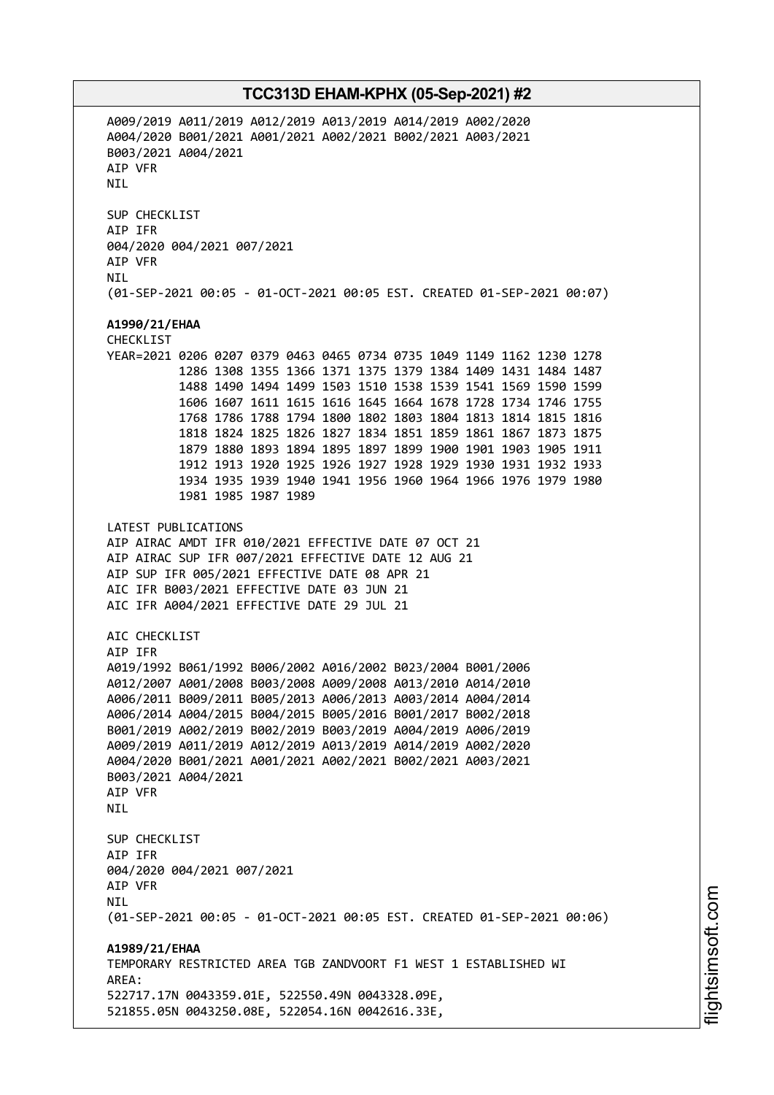A009/2019 A011/2019 A012/2019 A013/2019 A014/2019 A002/2020 A004/2020 B001/2021 A001/2021 A002/2021 B002/2021 A003/2021 B003/2021 A004/2021 AIP VFR **NTI** SUP CHECKLIST AIP IFR 004/2020 004/2021 007/2021 AIP VFR NIL (01-SEP-2021 00:05 - 01-OCT-2021 00:05 EST. CREATED 01-SEP-2021 00:07) **A1990/21/EHAA** CHECKLIST YEAR=2021 0206 0207 0379 0463 0465 0734 0735 1049 1149 1162 1230 1278 1286 1308 1355 1366 1371 1375 1379 1384 1409 1431 1484 1487 1488 1490 1494 1499 1503 1510 1538 1539 1541 1569 1590 1599 1606 1607 1611 1615 1616 1645 1664 1678 1728 1734 1746 1755 1768 1786 1788 1794 1800 1802 1803 1804 1813 1814 1815 1816 1818 1824 1825 1826 1827 1834 1851 1859 1861 1867 1873 1875 1879 1880 1893 1894 1895 1897 1899 1900 1901 1903 1905 1911 1912 1913 1920 1925 1926 1927 1928 1929 1930 1931 1932 1933 1934 1935 1939 1940 1941 1956 1960 1964 1966 1976 1979 1980 1981 1985 1987 1989 LATEST PUBLICATIONS AIP AIRAC AMDT IFR 010/2021 EFFECTIVE DATE 07 OCT 21 AIP AIRAC SUP IFR 007/2021 EFFECTIVE DATE 12 AUG 21 AIP SUP IFR 005/2021 EFFECTIVE DATE 08 APR 21 AIC IFR B003/2021 EFFECTIVE DATE 03 JUN 21 AIC IFR A004/2021 EFFECTIVE DATE 29 JUL 21 AIC CHECKLIST AIP IFR A019/1992 B061/1992 B006/2002 A016/2002 B023/2004 B001/2006 A012/2007 A001/2008 B003/2008 A009/2008 A013/2010 A014/2010 A006/2011 B009/2011 B005/2013 A006/2013 A003/2014 A004/2014 A006/2014 A004/2015 B004/2015 B005/2016 B001/2017 B002/2018 B001/2019 A002/2019 B002/2019 B003/2019 A004/2019 A006/2019 A009/2019 A011/2019 A012/2019 A013/2019 A014/2019 A002/2020 A004/2020 B001/2021 A001/2021 A002/2021 B002/2021 A003/2021 B003/2021 A004/2021 AIP VFR **NTI** SUP CHECKLIST AIP IFR 004/2020 004/2021 007/2021 AIP VFR **NTI** (01-SEP-2021 00:05 - 01-OCT-2021 00:05 EST. CREATED 01-SEP-2021 00:06) **A1989/21/EHAA** TEMPORARY RESTRICTED AREA TGB ZANDVOORT F1 WEST 1 ESTABLISHED WI AREA: 522717.17N 0043359.01E, 522550.49N 0043328.09E, 521855.05N 0043250.08E, 522054.16N 0042616.33E,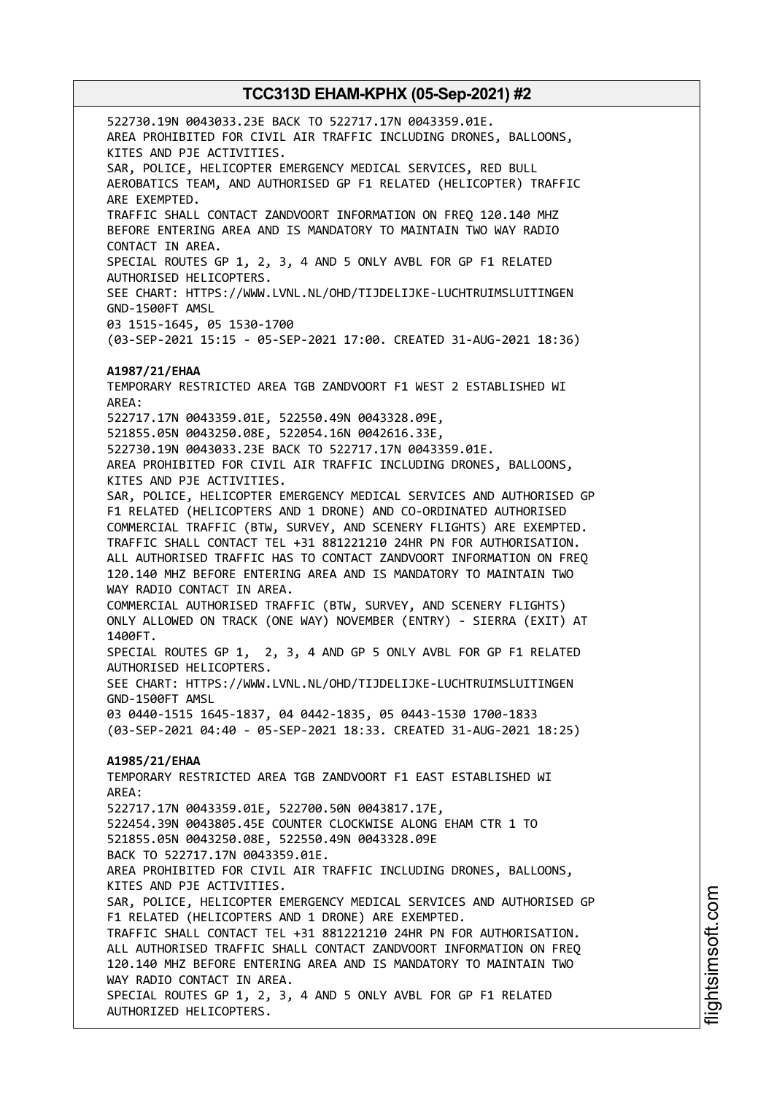522730.19N 0043033.23E BACK TO 522717.17N 0043359.01E. AREA PROHIBITED FOR CIVIL AIR TRAFFIC INCLUDING DRONES, BALLOONS, KITES AND PJE ACTIVITIES. SAR, POLICE, HELICOPTER EMERGENCY MEDICAL SERVICES, RED BULL AEROBATICS TEAM, AND AUTHORISED GP F1 RELATED (HELICOPTER) TRAFFIC ARE EXEMPTED. TRAFFIC SHALL CONTACT ZANDVOORT INFORMATION ON FREQ 120.140 MHZ BEFORE ENTERING AREA AND IS MANDATORY TO MAINTAIN TWO WAY RADIO CONTACT IN AREA. SPECIAL ROUTES GP 1, 2, 3, 4 AND 5 ONLY AVBL FOR GP F1 RELATED AUTHORISED HELICOPTERS. SEE CHART: HTTPS://WWW.LVNL.NL/OHD/TIJDELIJKE-LUCHTRUIMSLUITINGEN GND-1500FT AMSL 03 1515-1645, 05 1530-1700 (03-SEP-2021 15:15 - 05-SEP-2021 17:00. CREATED 31-AUG-2021 18:36) **A1987/21/EHAA** TEMPORARY RESTRICTED AREA TGB ZANDVOORT F1 WEST 2 ESTABLISHED WI AREA: 522717.17N 0043359.01E, 522550.49N 0043328.09E, 521855.05N 0043250.08E, 522054.16N 0042616.33E, 522730.19N 0043033.23E BACK TO 522717.17N 0043359.01E. AREA PROHIBITED FOR CIVIL AIR TRAFFIC INCLUDING DRONES, BALLOONS, KITES AND PJE ACTIVITIES. SAR, POLICE, HELICOPTER EMERGENCY MEDICAL SERVICES AND AUTHORISED GP F1 RELATED (HELICOPTERS AND 1 DRONE) AND CO-ORDINATED AUTHORISED COMMERCIAL TRAFFIC (BTW, SURVEY, AND SCENERY FLIGHTS) ARE EXEMPTED. TRAFFIC SHALL CONTACT TEL +31 881221210 24HR PN FOR AUTHORISATION. ALL AUTHORISED TRAFFIC HAS TO CONTACT ZANDVOORT INFORMATION ON FREQ 120.140 MHZ BEFORE ENTERING AREA AND IS MANDATORY TO MAINTAIN TWO WAY RADIO CONTACT IN AREA. COMMERCIAL AUTHORISED TRAFFIC (BTW, SURVEY, AND SCENERY FLIGHTS) ONLY ALLOWED ON TRACK (ONE WAY) NOVEMBER (ENTRY) - SIERRA (EXIT) AT 1400FT. SPECIAL ROUTES GP 1, 2, 3, 4 AND GP 5 ONLY AVBL FOR GP F1 RELATED AUTHORISED HELICOPTERS. SEE CHART: HTTPS://WWW.LVNL.NL/OHD/TIJDELIJKE-LUCHTRUIMSLUITINGEN GND-1500FT AMSL 03 0440-1515 1645-1837, 04 0442-1835, 05 0443-1530 1700-1833 (03-SEP-2021 04:40 - 05-SEP-2021 18:33. CREATED 31-AUG-2021 18:25) **A1985/21/EHAA** TEMPORARY RESTRICTED AREA TGB ZANDVOORT F1 EAST ESTABLISHED WI AREA: 522717.17N 0043359.01E, 522700.50N 0043817.17E, 522454.39N 0043805.45E COUNTER CLOCKWISE ALONG EHAM CTR 1 TO 521855.05N 0043250.08E, 522550.49N 0043328.09E BACK TO 522717.17N 0043359.01E. AREA PROHIBITED FOR CIVIL AIR TRAFFIC INCLUDING DRONES, BALLOONS, KITES AND PJE ACTIVITIES. SAR, POLICE, HELICOPTER EMERGENCY MEDICAL SERVICES AND AUTHORISED GP F1 RELATED (HELICOPTERS AND 1 DRONE) ARE EXEMPTED. TRAFFIC SHALL CONTACT TEL +31 881221210 24HR PN FOR AUTHORISATION. ALL AUTHORISED TRAFFIC SHALL CONTACT ZANDVOORT INFORMATION ON FREQ 120.140 MHZ BEFORE ENTERING AREA AND IS MANDATORY TO MAINTAIN TWO WAY RADIO CONTACT IN AREA. SPECIAL ROUTES GP 1, 2, 3, 4 AND 5 ONLY AVBL FOR GP F1 RELATED AUTHORIZED HELICOPTERS.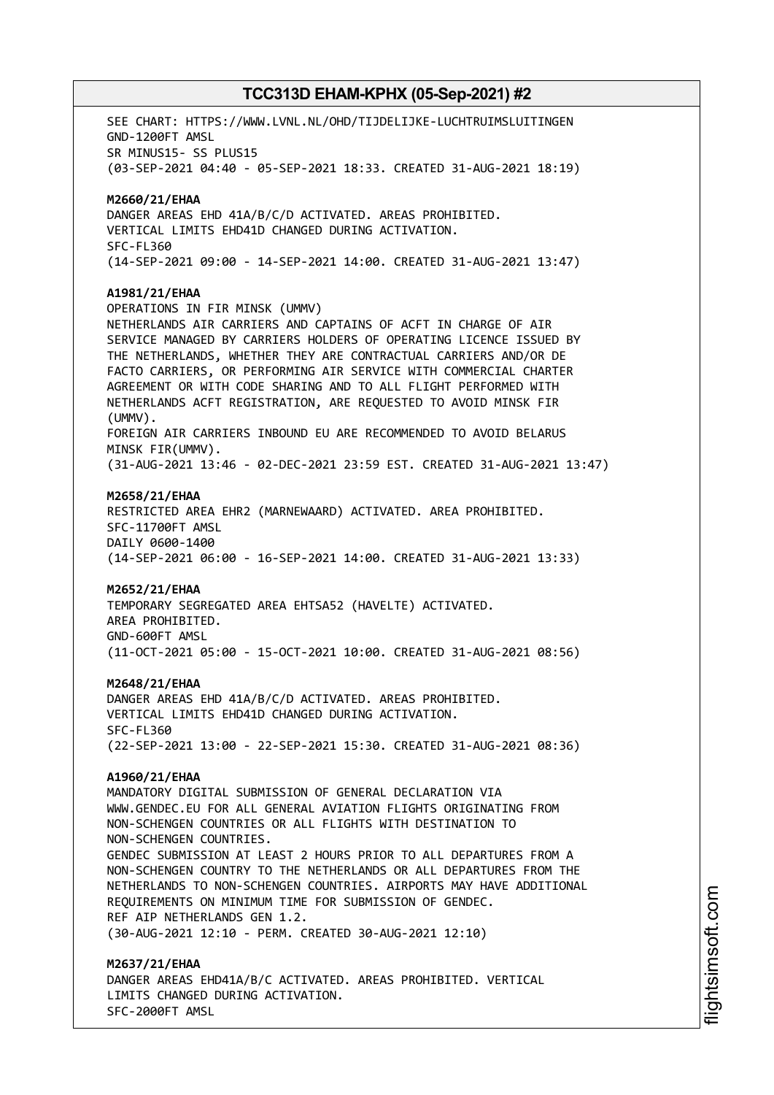SEE CHART: HTTPS://WWW.LVNL.NL/OHD/TIJDELIJKE-LUCHTRUIMSLUITINGEN GND-1200FT AMSL SR MINUS15- SS PLUS15 (03-SEP-2021 04:40 - 05-SEP-2021 18:33. CREATED 31-AUG-2021 18:19) **M2660/21/EHAA** DANGER AREAS EHD 41A/B/C/D ACTIVATED. AREAS PROHIBITED. VERTICAL LIMITS EHD41D CHANGED DURING ACTIVATION. SFC-FL360 (14-SEP-2021 09:00 - 14-SEP-2021 14:00. CREATED 31-AUG-2021 13:47) **A1981/21/EHAA** OPERATIONS IN FIR MINSK (UMMV) NETHERLANDS AIR CARRIERS AND CAPTAINS OF ACFT IN CHARGE OF AIR SERVICE MANAGED BY CARRIERS HOLDERS OF OPERATING LICENCE ISSUED BY THE NETHERLANDS, WHETHER THEY ARE CONTRACTUAL CARRIERS AND/OR DE FACTO CARRIERS, OR PERFORMING AIR SERVICE WITH COMMERCIAL CHARTER AGREEMENT OR WITH CODE SHARING AND TO ALL FLIGHT PERFORMED WITH NETHERLANDS ACFT REGISTRATION, ARE REQUESTED TO AVOID MINSK FIR (UMMV). FOREIGN AIR CARRIERS INBOUND EU ARE RECOMMENDED TO AVOID BELARUS MINSK FIR(UMMV). (31-AUG-2021 13:46 - 02-DEC-2021 23:59 EST. CREATED 31-AUG-2021 13:47) **M2658/21/EHAA** RESTRICTED AREA EHR2 (MARNEWAARD) ACTIVATED. AREA PROHIBITED. SFC-11700FT AMSL DAILY 0600-1400 (14-SEP-2021 06:00 - 16-SEP-2021 14:00. CREATED 31-AUG-2021 13:33) **M2652/21/EHAA** TEMPORARY SEGREGATED AREA EHTSA52 (HAVELTE) ACTIVATED. AREA PROHIBITED. GND-600FT AMSL (11-OCT-2021 05:00 - 15-OCT-2021 10:00. CREATED 31-AUG-2021 08:56) **M2648/21/EHAA** DANGER AREAS EHD 41A/B/C/D ACTIVATED. AREAS PROHIBITED. VERTICAL LIMITS EHD41D CHANGED DURING ACTIVATION. SFC-FL360 (22-SEP-2021 13:00 - 22-SEP-2021 15:30. CREATED 31-AUG-2021 08:36) **A1960/21/EHAA** MANDATORY DIGITAL SUBMISSION OF GENERAL DECLARATION VIA WWW.GENDEC.EU FOR ALL GENERAL AVIATION FLIGHTS ORIGINATING FROM NON-SCHENGEN COUNTRIES OR ALL FLIGHTS WITH DESTINATION TO NON-SCHENGEN COUNTRIES. GENDEC SUBMISSION AT LEAST 2 HOURS PRIOR TO ALL DEPARTURES FROM A NON-SCHENGEN COUNTRY TO THE NETHERLANDS OR ALL DEPARTURES FROM THE NETHERLANDS TO NON-SCHENGEN COUNTRIES. AIRPORTS MAY HAVE ADDITIONAL REQUIREMENTS ON MINIMUM TIME FOR SUBMISSION OF GENDEC. REF AIP NETHERLANDS GEN 1.2. (30-AUG-2021 12:10 - PERM. CREATED 30-AUG-2021 12:10) **M2637/21/EHAA** DANGER AREAS EHD41A/B/C ACTIVATED. AREAS PROHIBITED. VERTICAL LIMITS CHANGED DURING ACTIVATION.

SFC-2000FT AMSL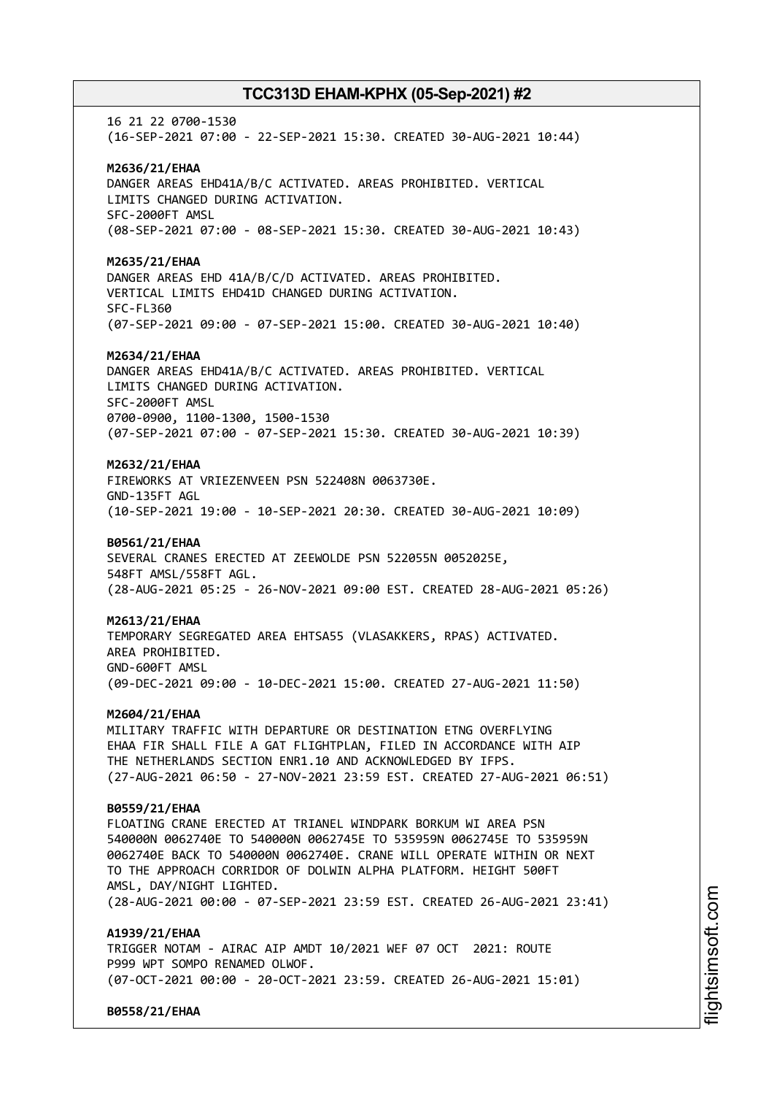16 21 22 0700-1530 (16-SEP-2021 07:00 - 22-SEP-2021 15:30. CREATED 30-AUG-2021 10:44) **M2636/21/EHAA** DANGER AREAS EHD41A/B/C ACTIVATED. AREAS PROHIBITED. VERTICAL LIMITS CHANGED DURING ACTIVATION. SFC-2000FT AMSL (08-SEP-2021 07:00 - 08-SEP-2021 15:30. CREATED 30-AUG-2021 10:43) **M2635/21/EHAA** DANGER AREAS EHD 41A/B/C/D ACTIVATED. AREAS PROHIBITED. VERTICAL LIMITS EHD41D CHANGED DURING ACTIVATION. SFC-FL360 (07-SEP-2021 09:00 - 07-SEP-2021 15:00. CREATED 30-AUG-2021 10:40) **M2634/21/EHAA** DANGER AREAS EHD41A/B/C ACTIVATED. AREAS PROHIBITED. VERTICAL LIMITS CHANGED DURING ACTIVATION. SFC-2000FT AMSL 0700-0900, 1100-1300, 1500-1530 (07-SEP-2021 07:00 - 07-SEP-2021 15:30. CREATED 30-AUG-2021 10:39) **M2632/21/EHAA** FIREWORKS AT VRIEZENVEEN PSN 522408N 0063730E. GND-135FT AGL (10-SEP-2021 19:00 - 10-SEP-2021 20:30. CREATED 30-AUG-2021 10:09) **B0561/21/EHAA** SEVERAL CRANES ERECTED AT ZEEWOLDE PSN 522055N 0052025E, 548FT AMSL/558FT AGL. (28-AUG-2021 05:25 - 26-NOV-2021 09:00 EST. CREATED 28-AUG-2021 05:26) **M2613/21/EHAA** TEMPORARY SEGREGATED AREA EHTSA55 (VLASAKKERS, RPAS) ACTIVATED. AREA PROHIBITED. GND-600FT AMSL (09-DEC-2021 09:00 - 10-DEC-2021 15:00. CREATED 27-AUG-2021 11:50) **M2604/21/EHAA** MILITARY TRAFFIC WITH DEPARTURE OR DESTINATION ETNG OVERFLYING EHAA FIR SHALL FILE A GAT FLIGHTPLAN, FILED IN ACCORDANCE WITH AIP THE NETHERLANDS SECTION ENR1.10 AND ACKNOWLEDGED BY IFPS. (27-AUG-2021 06:50 - 27-NOV-2021 23:59 EST. CREATED 27-AUG-2021 06:51) **B0559/21/EHAA** FLOATING CRANE ERECTED AT TRIANEL WINDPARK BORKUM WI AREA PSN 540000N 0062740E TO 540000N 0062745E TO 535959N 0062745E TO 535959N 0062740E BACK TO 540000N 0062740E. CRANE WILL OPERATE WITHIN OR NEXT TO THE APPROACH CORRIDOR OF DOLWIN ALPHA PLATFORM. HEIGHT 500FT AMSL, DAY/NIGHT LIGHTED. (28-AUG-2021 00:00 - 07-SEP-2021 23:59 EST. CREATED 26-AUG-2021 23:41) **A1939/21/EHAA** TRIGGER NOTAM - AIRAC AIP AMDT 10/2021 WEF 07 OCT 2021: ROUTE P999 WPT SOMPO RENAMED OLWOF. (07-OCT-2021 00:00 - 20-OCT-2021 23:59. CREATED 26-AUG-2021 15:01)

**B0558/21/EHAA**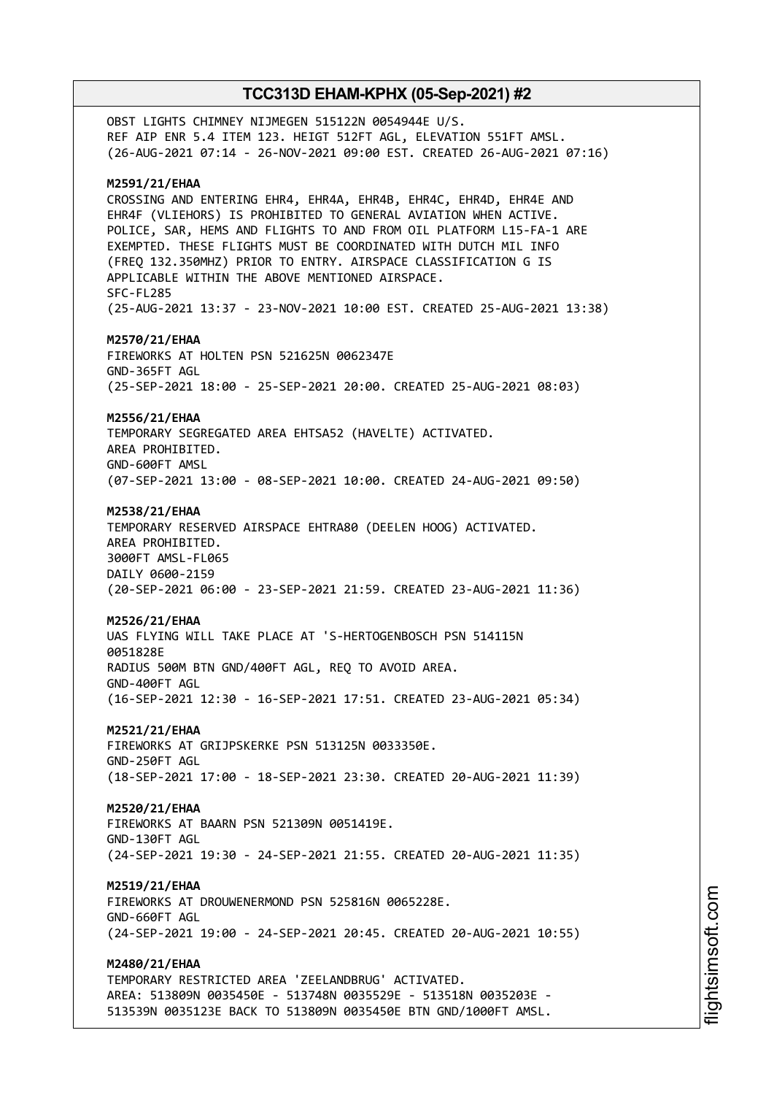OBST LIGHTS CHIMNEY NIJMEGEN 515122N 0054944E U/S. REF AIP ENR 5.4 ITEM 123. HEIGT 512FT AGL, ELEVATION 551FT AMSL. (26-AUG-2021 07:14 - 26-NOV-2021 09:00 EST. CREATED 26-AUG-2021 07:16) **M2591/21/EHAA** CROSSING AND ENTERING EHR4, EHR4A, EHR4B, EHR4C, EHR4D, EHR4E AND EHR4F (VLIEHORS) IS PROHIBITED TO GENERAL AVIATION WHEN ACTIVE. POLICE, SAR, HEMS AND FLIGHTS TO AND FROM OIL PLATFORM L15-FA-1 ARE EXEMPTED. THESE FLIGHTS MUST BE COORDINATED WITH DUTCH MIL INFO (FREQ 132.350MHZ) PRIOR TO ENTRY. AIRSPACE CLASSIFICATION G IS APPLICABLE WITHIN THE ABOVE MENTIONED AIRSPACE. SFC-FL285 (25-AUG-2021 13:37 - 23-NOV-2021 10:00 EST. CREATED 25-AUG-2021 13:38) **M2570/21/EHAA** FIREWORKS AT HOLTEN PSN 521625N 0062347E GND-365FT AGL (25-SEP-2021 18:00 - 25-SEP-2021 20:00. CREATED 25-AUG-2021 08:03) **M2556/21/EHAA** TEMPORARY SEGREGATED AREA EHTSA52 (HAVELTE) ACTIVATED. AREA PROHIBITED. GND-600FT AMSL (07-SEP-2021 13:00 - 08-SEP-2021 10:00. CREATED 24-AUG-2021 09:50) **M2538/21/EHAA** TEMPORARY RESERVED AIRSPACE EHTRA80 (DEELEN HOOG) ACTIVATED. AREA PROHIBITED. 3000FT AMSL-FL065 DAILY 0600-2159 (20-SEP-2021 06:00 - 23-SEP-2021 21:59. CREATED 23-AUG-2021 11:36) **M2526/21/EHAA** UAS FLYING WILL TAKE PLACE AT 'S-HERTOGENBOSCH PSN 514115N 0051828E RADIUS 500M BTN GND/400FT AGL, REQ TO AVOID AREA. GND-400FT AGL (16-SEP-2021 12:30 - 16-SEP-2021 17:51. CREATED 23-AUG-2021 05:34) **M2521/21/EHAA** FIREWORKS AT GRIJPSKERKE PSN 513125N 0033350E. GND-250FT AGL (18-SEP-2021 17:00 - 18-SEP-2021 23:30. CREATED 20-AUG-2021 11:39) **M2520/21/EHAA** FIREWORKS AT BAARN PSN 521309N 0051419E. GND-130FT AGL (24-SEP-2021 19:30 - 24-SEP-2021 21:55. CREATED 20-AUG-2021 11:35) **M2519/21/EHAA** FIREWORKS AT DROUWENERMOND PSN 525816N 0065228E. GND-660FT AGL (24-SEP-2021 19:00 - 24-SEP-2021 20:45. CREATED 20-AUG-2021 10:55) **M2480/21/EHAA** TEMPORARY RESTRICTED AREA 'ZEELANDBRUG' ACTIVATED. AREA: 513809N 0035450E - 513748N 0035529E - 513518N 0035203E - 513539N 0035123E BACK TO 513809N 0035450E BTN GND/1000FT AMSL.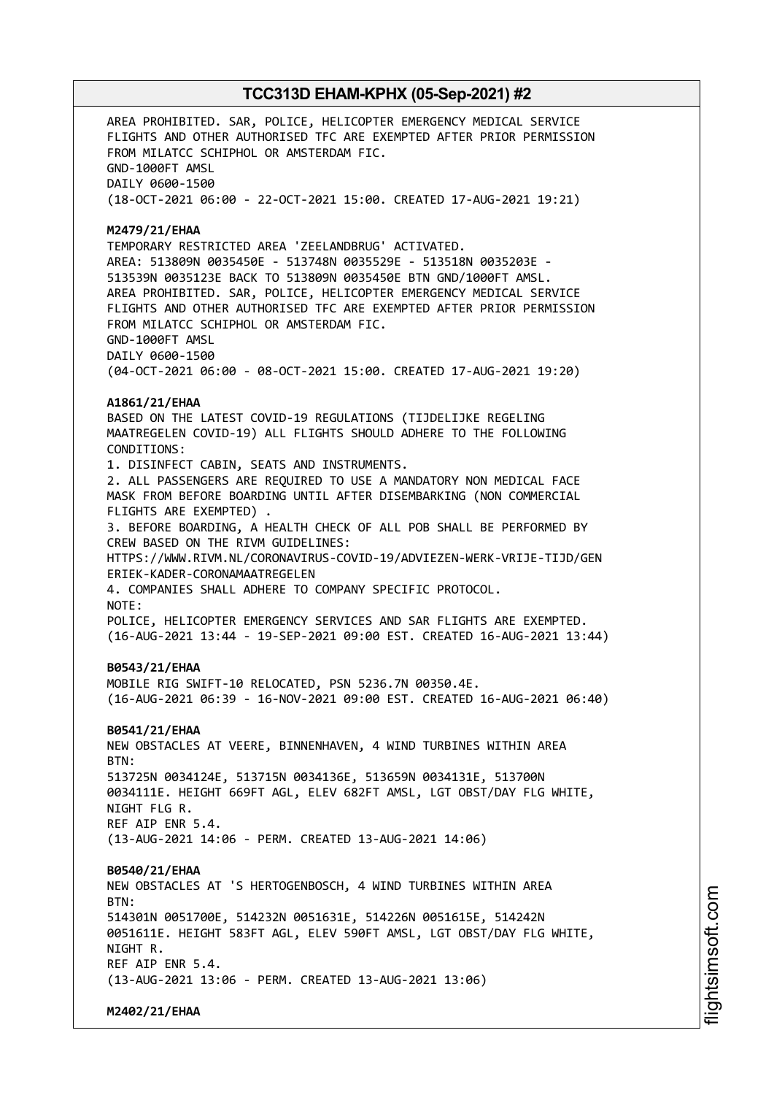AREA PROHIBITED. SAR, POLICE, HELICOPTER EMERGENCY MEDICAL SERVICE FLIGHTS AND OTHER AUTHORISED TFC ARE EXEMPTED AFTER PRIOR PERMISSION FROM MILATCC SCHIPHOL OR AMSTERDAM FIC. GND-1000FT AMSL DAILY 0600-1500 (18-OCT-2021 06:00 - 22-OCT-2021 15:00. CREATED 17-AUG-2021 19:21) **M2479/21/EHAA** TEMPORARY RESTRICTED AREA 'ZEELANDBRUG' ACTIVATED. AREA: 513809N 0035450E - 513748N 0035529E - 513518N 0035203E - 513539N 0035123E BACK TO 513809N 0035450E BTN GND/1000FT AMSL. AREA PROHIBITED. SAR, POLICE, HELICOPTER EMERGENCY MEDICAL SERVICE FLIGHTS AND OTHER AUTHORISED TFC ARE EXEMPTED AFTER PRIOR PERMISSION FROM MILATCC SCHIPHOL OR AMSTERDAM FIC. GND-1000FT AMSL DAILY 0600-1500 (04-OCT-2021 06:00 - 08-OCT-2021 15:00. CREATED 17-AUG-2021 19:20) **A1861/21/EHAA** BASED ON THE LATEST COVID-19 REGULATIONS (TIJDELIJKE REGELING MAATREGELEN COVID-19) ALL FLIGHTS SHOULD ADHERE TO THE FOLLOWING CONDITIONS: 1. DISINFECT CABIN, SEATS AND INSTRUMENTS. 2. ALL PASSENGERS ARE REQUIRED TO USE A MANDATORY NON MEDICAL FACE MASK FROM BEFORE BOARDING UNTIL AFTER DISEMBARKING (NON COMMERCIAL FLIGHTS ARE EXEMPTED) . 3. BEFORE BOARDING, A HEALTH CHECK OF ALL POB SHALL BE PERFORMED BY CREW BASED ON THE RIVM GUIDELINES: HTTPS://WWW.RIVM.NL/CORONAVIRUS-COVID-19/ADVIEZEN-WERK-VRIJE-TIJD/GEN ERIEK-KADER-CORONAMAATREGELEN 4. COMPANIES SHALL ADHERE TO COMPANY SPECIFIC PROTOCOL. NOTE: POLICE, HELICOPTER EMERGENCY SERVICES AND SAR FLIGHTS ARE EXEMPTED. (16-AUG-2021 13:44 - 19-SEP-2021 09:00 EST. CREATED 16-AUG-2021 13:44) **B0543/21/EHAA** MOBILE RIG SWIFT-10 RELOCATED, PSN 5236.7N 00350.4E. (16-AUG-2021 06:39 - 16-NOV-2021 09:00 EST. CREATED 16-AUG-2021 06:40) **B0541/21/EHAA** NEW OBSTACLES AT VEERE, BINNENHAVEN, 4 WIND TURBINES WITHIN AREA BTN: 513725N 0034124E, 513715N 0034136E, 513659N 0034131E, 513700N 0034111E. HEIGHT 669FT AGL, ELEV 682FT AMSL, LGT OBST/DAY FLG WHITE, NIGHT FLG R. REF AIP ENR 5.4. (13-AUG-2021 14:06 - PERM. CREATED 13-AUG-2021 14:06) **B0540/21/EHAA** NEW OBSTACLES AT 'S HERTOGENBOSCH, 4 WIND TURBINES WITHIN AREA  $RTN$ 514301N 0051700E, 514232N 0051631E, 514226N 0051615E, 514242N 0051611E. HEIGHT 583FT AGL, ELEV 590FT AMSL, LGT OBST/DAY FLG WHITE, NIGHT R. REF AIP ENR 5.4. (13-AUG-2021 13:06 - PERM. CREATED 13-AUG-2021 13:06) **M2402/21/EHAA**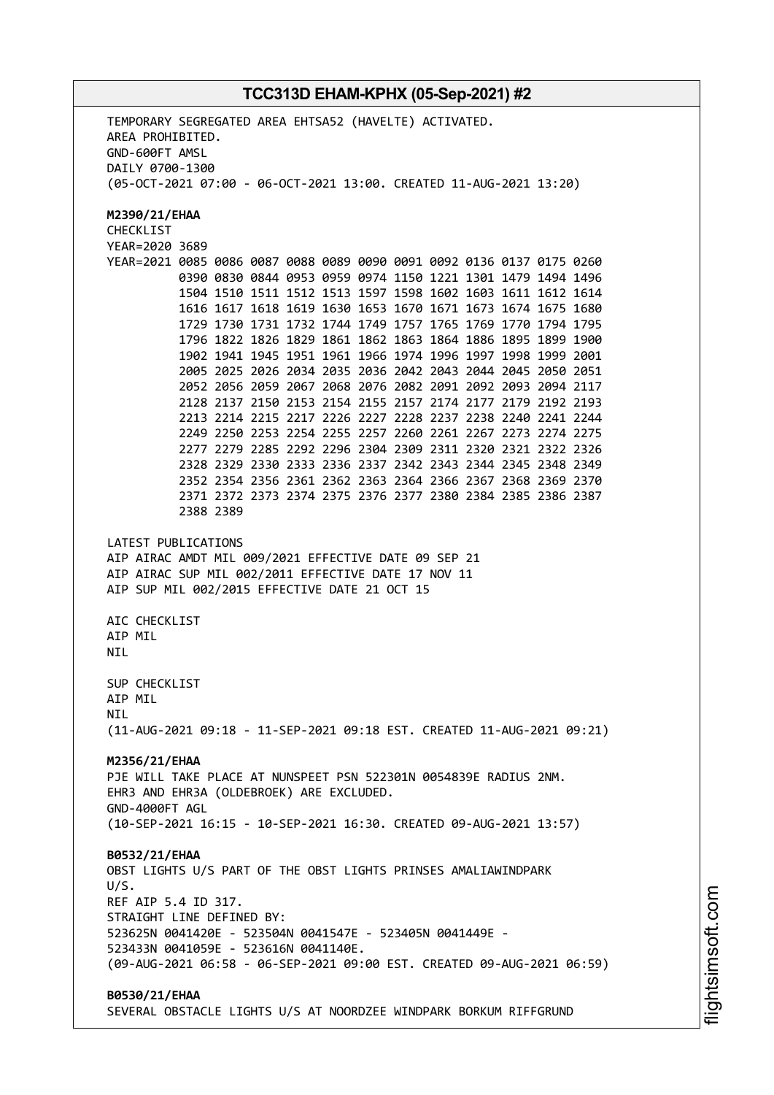TEMPORARY SEGREGATED AREA EHTSA52 (HAVELTE) ACTIVATED. AREA PROHIBITED. GND-600FT AMSL DAILY 0700-1300 (05-OCT-2021 07:00 - 06-OCT-2021 13:00. CREATED 11-AUG-2021 13:20) **M2390/21/EHAA** CHECKLIST YEAR=2020 3689 YEAR=2021 0085 0086 0087 0088 0089 0090 0091 0092 0136 0137 0175 0260 0390 0830 0844 0953 0959 0974 1150 1221 1301 1479 1494 1496 1504 1510 1511 1512 1513 1597 1598 1602 1603 1611 1612 1614 1616 1617 1618 1619 1630 1653 1670 1671 1673 1674 1675 1680 1729 1730 1731 1732 1744 1749 1757 1765 1769 1770 1794 1795 1796 1822 1826 1829 1861 1862 1863 1864 1886 1895 1899 1900 1902 1941 1945 1951 1961 1966 1974 1996 1997 1998 1999 2001 2005 2025 2026 2034 2035 2036 2042 2043 2044 2045 2050 2051 2052 2056 2059 2067 2068 2076 2082 2091 2092 2093 2094 2117 2128 2137 2150 2153 2154 2155 2157 2174 2177 2179 2192 2193 2213 2214 2215 2217 2226 2227 2228 2237 2238 2240 2241 2244 2249 2250 2253 2254 2255 2257 2260 2261 2267 2273 2274 2275 2277 2279 2285 2292 2296 2304 2309 2311 2320 2321 2322 2326 2328 2329 2330 2333 2336 2337 2342 2343 2344 2345 2348 2349 2352 2354 2356 2361 2362 2363 2364 2366 2367 2368 2369 2370 2371 2372 2373 2374 2375 2376 2377 2380 2384 2385 2386 2387 2388 2389 LATEST PUBLICATIONS AIP AIRAC AMDT MIL 009/2021 EFFECTIVE DATE 09 SEP 21 AIP AIRAC SUP MIL 002/2011 EFFECTIVE DATE 17 NOV 11 AIP SUP MIL 002/2015 EFFECTIVE DATE 21 OCT 15 AIC CHECKLIST **ATP MTL** NIL SUP CHECKLIST AIP MIL **NTI** (11-AUG-2021 09:18 - 11-SEP-2021 09:18 EST. CREATED 11-AUG-2021 09:21) **M2356/21/EHAA** PJE WILL TAKE PLACE AT NUNSPEET PSN 522301N 0054839E RADIUS 2NM. EHR3 AND EHR3A (OLDEBROEK) ARE EXCLUDED. GND-4000FT AGL (10-SEP-2021 16:15 - 10-SEP-2021 16:30. CREATED 09-AUG-2021 13:57) **B0532/21/EHAA** OBST LIGHTS U/S PART OF THE OBST LIGHTS PRINSES AMALIAWINDPARK U/S. REF AIP 5.4 ID 317. STRAIGHT LINE DEFINED BY: 523625N 0041420E - 523504N 0041547E - 523405N 0041449E - 523433N 0041059E - 523616N 0041140E. (09-AUG-2021 06:58 - 06-SEP-2021 09:00 EST. CREATED 09-AUG-2021 06:59) **B0530/21/EHAA** SEVERAL OBSTACLE LIGHTS U/S AT NOORDZEE WINDPARK BORKUM RIFFGRUND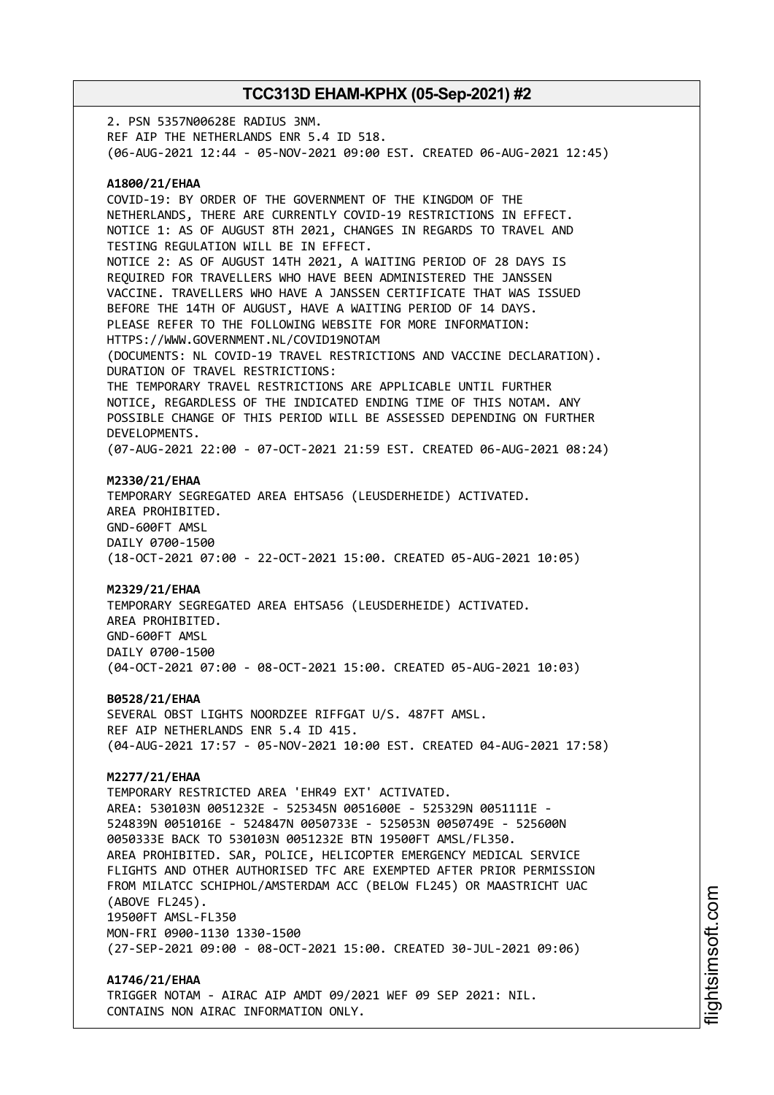2. PSN 5357N00628E RADIUS 3NM. REF AIP THE NETHERLANDS ENR 5.4 ID 518. (06-AUG-2021 12:44 - 05-NOV-2021 09:00 EST. CREATED 06-AUG-2021 12:45) **A1800/21/EHAA** COVID-19: BY ORDER OF THE GOVERNMENT OF THE KINGDOM OF THE NETHERLANDS, THERE ARE CURRENTLY COVID-19 RESTRICTIONS IN EFFECT. NOTICE 1: AS OF AUGUST 8TH 2021, CHANGES IN REGARDS TO TRAVEL AND TESTING REGULATION WILL BE IN EFFECT. NOTICE 2: AS OF AUGUST 14TH 2021, A WAITING PERIOD OF 28 DAYS IS REQUIRED FOR TRAVELLERS WHO HAVE BEEN ADMINISTERED THE JANSSEN VACCINE. TRAVELLERS WHO HAVE A JANSSEN CERTIFICATE THAT WAS ISSUED BEFORE THE 14TH OF AUGUST, HAVE A WAITING PERIOD OF 14 DAYS. PLEASE REFER TO THE FOLLOWING WEBSITE FOR MORE INFORMATION: HTTPS://WWW.GOVERNMENT.NL/COVID19NOTAM (DOCUMENTS: NL COVID-19 TRAVEL RESTRICTIONS AND VACCINE DECLARATION). DURATION OF TRAVEL RESTRICTIONS: THE TEMPORARY TRAVEL RESTRICTIONS ARE APPLICABLE UNTIL FURTHER NOTICE, REGARDLESS OF THE INDICATED ENDING TIME OF THIS NOTAM. ANY POSSIBLE CHANGE OF THIS PERIOD WILL BE ASSESSED DEPENDING ON FURTHER DEVELOPMENTS. (07-AUG-2021 22:00 - 07-OCT-2021 21:59 EST. CREATED 06-AUG-2021 08:24) **M2330/21/EHAA** TEMPORARY SEGREGATED AREA EHTSA56 (LEUSDERHEIDE) ACTIVATED. AREA PROHIBITED. GND-600FT AMSL DAILY 0700-1500 (18-OCT-2021 07:00 - 22-OCT-2021 15:00. CREATED 05-AUG-2021 10:05) **M2329/21/EHAA** TEMPORARY SEGREGATED AREA EHTSA56 (LEUSDERHEIDE) ACTIVATED. AREA PROHIBITED. GND-600FT AMSL DAILY 0700-1500 (04-OCT-2021 07:00 - 08-OCT-2021 15:00. CREATED 05-AUG-2021 10:03) **B0528/21/EHAA** SEVERAL OBST LIGHTS NOORDZEE RIFFGAT U/S. 487FT AMSL. REF AIP NETHERLANDS ENR 5.4 ID 415. (04-AUG-2021 17:57 - 05-NOV-2021 10:00 EST. CREATED 04-AUG-2021 17:58) **M2277/21/EHAA** TEMPORARY RESTRICTED AREA 'EHR49 EXT' ACTIVATED. AREA: 530103N 0051232E - 525345N 0051600E - 525329N 0051111E - 524839N 0051016E - 524847N 0050733E - 525053N 0050749E - 525600N 0050333E BACK TO 530103N 0051232E BTN 19500FT AMSL/FL350. AREA PROHIBITED. SAR, POLICE, HELICOPTER EMERGENCY MEDICAL SERVICE FLIGHTS AND OTHER AUTHORISED TFC ARE EXEMPTED AFTER PRIOR PERMISSION FROM MILATCC SCHIPHOL/AMSTERDAM ACC (BELOW FL245) OR MAASTRICHT UAC (ABOVE FL245). 19500FT AMSL-FL350 MON-FRI 0900-1130 1330-1500 (27-SEP-2021 09:00 - 08-OCT-2021 15:00. CREATED 30-JUL-2021 09:06) **A1746/21/EHAA** TRIGGER NOTAM - AIRAC AIP AMDT 09/2021 WEF 09 SEP 2021: NIL.

CONTAINS NON AIRAC INFORMATION ONLY.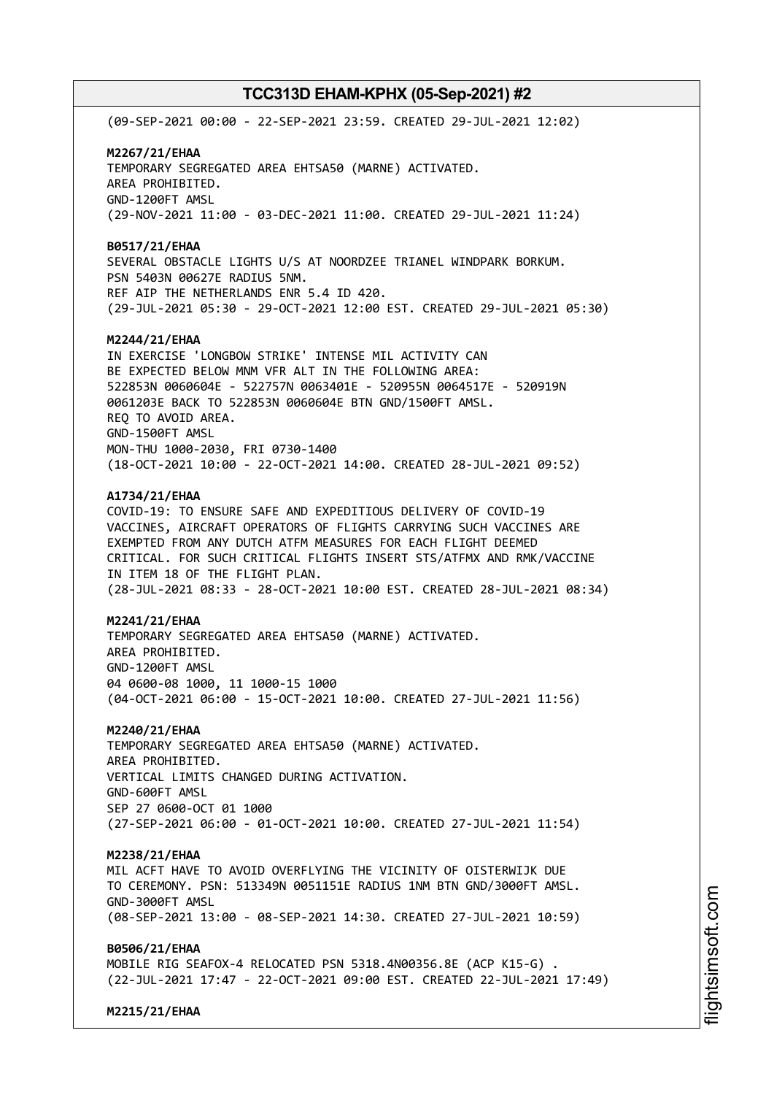(09-SEP-2021 00:00 - 22-SEP-2021 23:59. CREATED 29-JUL-2021 12:02) **M2267/21/EHAA** TEMPORARY SEGREGATED AREA EHTSA50 (MARNE) ACTIVATED. AREA PROHIBITED. GND-1200FT AMSL (29-NOV-2021 11:00 - 03-DEC-2021 11:00. CREATED 29-JUL-2021 11:24) **B0517/21/EHAA** SEVERAL OBSTACLE LIGHTS U/S AT NOORDZEE TRIANEL WINDPARK BORKUM. PSN 5403N 00627E RADIUS 5NM. REF AIP THE NETHERLANDS ENR 5.4 ID 420. (29-JUL-2021 05:30 - 29-OCT-2021 12:00 EST. CREATED 29-JUL-2021 05:30) **M2244/21/EHAA** IN EXERCISE 'LONGBOW STRIKE' INTENSE MIL ACTIVITY CAN BE EXPECTED BELOW MNM VFR ALT IN THE FOLLOWING AREA: 522853N 0060604E - 522757N 0063401E - 520955N 0064517E - 520919N 0061203E BACK TO 522853N 0060604E BTN GND/1500FT AMSL. REQ TO AVOID AREA. GND-1500FT AMSL MON-THU 1000-2030, FRI 0730-1400 (18-OCT-2021 10:00 - 22-OCT-2021 14:00. CREATED 28-JUL-2021 09:52) **A1734/21/EHAA** COVID-19: TO ENSURE SAFE AND EXPEDITIOUS DELIVERY OF COVID-19 VACCINES, AIRCRAFT OPERATORS OF FLIGHTS CARRYING SUCH VACCINES ARE EXEMPTED FROM ANY DUTCH ATFM MEASURES FOR EACH FLIGHT DEEMED CRITICAL. FOR SUCH CRITICAL FLIGHTS INSERT STS/ATFMX AND RMK/VACCINE IN ITEM 18 OF THE FLIGHT PLAN. (28-JUL-2021 08:33 - 28-OCT-2021 10:00 EST. CREATED 28-JUL-2021 08:34) **M2241/21/EHAA** TEMPORARY SEGREGATED AREA EHTSA50 (MARNE) ACTIVATED. AREA PROHIBITED. GND-1200FT AMSL 04 0600-08 1000, 11 1000-15 1000 (04-OCT-2021 06:00 - 15-OCT-2021 10:00. CREATED 27-JUL-2021 11:56) **M2240/21/EHAA** TEMPORARY SEGREGATED AREA EHTSA50 (MARNE) ACTIVATED. AREA PROHIBITED. VERTICAL LIMITS CHANGED DURING ACTIVATION. GND-600FT AMSL SEP 27 0600-OCT 01 1000 (27-SEP-2021 06:00 - 01-OCT-2021 10:00. CREATED 27-JUL-2021 11:54) **M2238/21/EHAA** MIL ACFT HAVE TO AVOID OVERFLYING THE VICINITY OF OISTERWIJK DUE TO CEREMONY. PSN: 513349N 0051151E RADIUS 1NM BTN GND/3000FT AMSL. GND-3000FT AMSL (08-SEP-2021 13:00 - 08-SEP-2021 14:30. CREATED 27-JUL-2021 10:59) **B0506/21/EHAA** MOBILE RIG SEAFOX-4 RELOCATED PSN 5318.4N00356.8E (ACP K15-G) . (22-JUL-2021 17:47 - 22-OCT-2021 09:00 EST. CREATED 22-JUL-2021 17:49)

m

**M2215/21/EHAA**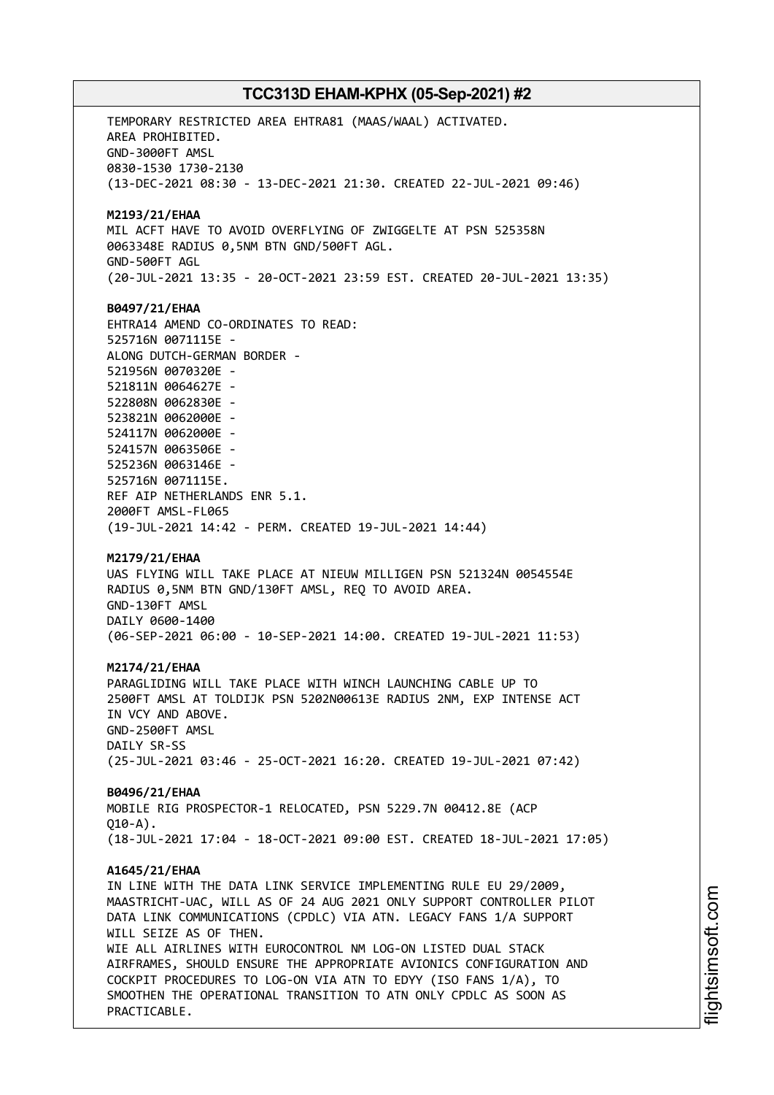TEMPORARY RESTRICTED AREA EHTRA81 (MAAS/WAAL) ACTIVATED. AREA PROHIBITED. GND-3000FT AMSL 0830-1530 1730-2130 (13-DEC-2021 08:30 - 13-DEC-2021 21:30. CREATED 22-JUL-2021 09:46) **M2193/21/EHAA** MIL ACFT HAVE TO AVOID OVERFLYING OF ZWIGGELTE AT PSN 525358N 0063348E RADIUS 0,5NM BTN GND/500FT AGL. GND-500FT AGL (20-JUL-2021 13:35 - 20-OCT-2021 23:59 EST. CREATED 20-JUL-2021 13:35) **B0497/21/EHAA** EHTRA14 AMEND CO-ORDINATES TO READ: 525716N 0071115E - ALONG DUTCH-GERMAN BORDER - 521956N 0070320E - 521811N 0064627E - 522808N 0062830E - 523821N 0062000E - 524117N 0062000E - 524157N 0063506E - 525236N 0063146E - 525716N 0071115E. REF AIP NETHERLANDS ENR 5.1. 2000FT AMSL-FL065 (19-JUL-2021 14:42 - PERM. CREATED 19-JUL-2021 14:44) **M2179/21/EHAA** UAS FLYING WILL TAKE PLACE AT NIEUW MILLIGEN PSN 521324N 0054554E RADIUS 0,5NM BTN GND/130FT AMSL, REQ TO AVOID AREA. GND-130FT AMSL DAILY 0600-1400 (06-SEP-2021 06:00 - 10-SEP-2021 14:00. CREATED 19-JUL-2021 11:53) **M2174/21/EHAA** PARAGLIDING WILL TAKE PLACE WITH WINCH LAUNCHING CABLE UP TO 2500FT AMSL AT TOLDIJK PSN 5202N00613E RADIUS 2NM, EXP INTENSE ACT IN VCY AND ABOVE. GND-2500FT AMSL DAILY SR-SS (25-JUL-2021 03:46 - 25-OCT-2021 16:20. CREATED 19-JUL-2021 07:42) **B0496/21/EHAA** MOBILE RIG PROSPECTOR-1 RELOCATED, PSN 5229.7N 00412.8E (ACP  $010 - A$ ). (18-JUL-2021 17:04 - 18-OCT-2021 09:00 EST. CREATED 18-JUL-2021 17:05) **A1645/21/EHAA** IN LINE WITH THE DATA LINK SERVICE IMPLEMENTING RULE EU 29/2009, MAASTRICHT-UAC, WILL AS OF 24 AUG 2021 ONLY SUPPORT CONTROLLER PILOT DATA LINK COMMUNICATIONS (CPDLC) VIA ATN. LEGACY FANS 1/A SUPPORT WILL SEIZE AS OF THEN. WIE ALL AIRLINES WITH EUROCONTROL NM LOG-ON LISTED DUAL STACK AIRFRAMES, SHOULD ENSURE THE APPROPRIATE AVIONICS CONFIGURATION AND COCKPIT PROCEDURES TO LOG-ON VIA ATN TO EDYY (ISO FANS 1/A), TO SMOOTHEN THE OPERATIONAL TRANSITION TO ATN ONLY CPDLC AS SOON AS PRACTICABLE.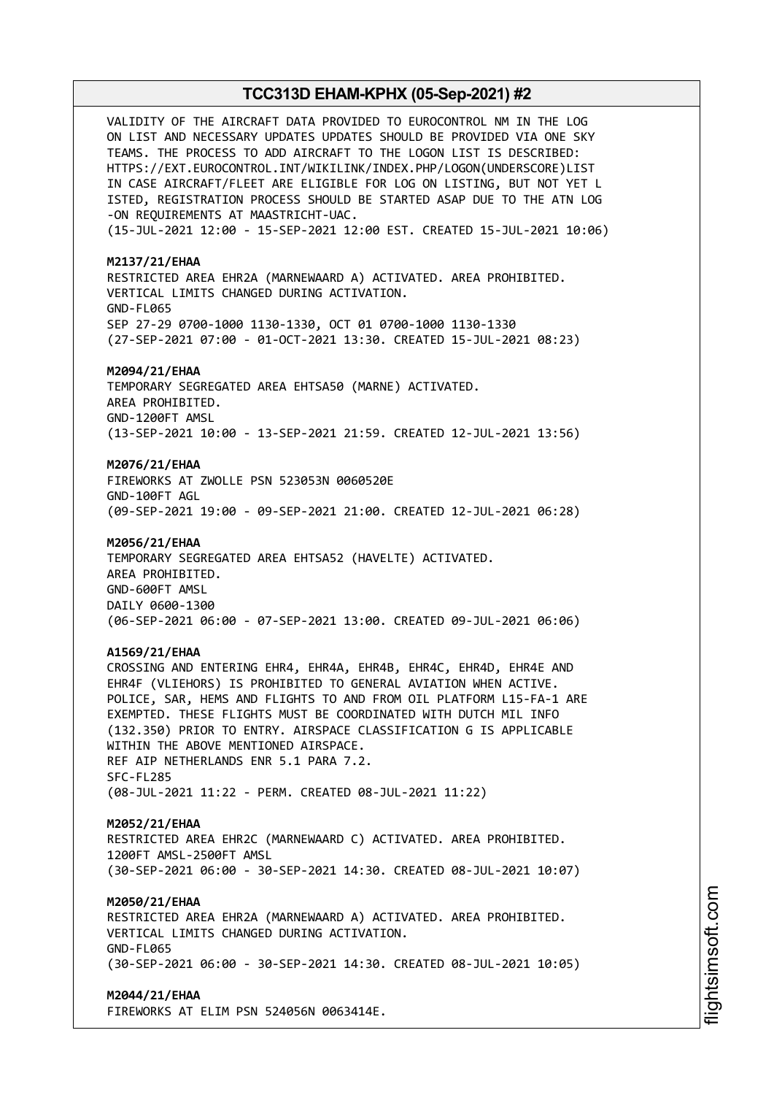VALIDITY OF THE AIRCRAFT DATA PROVIDED TO EUROCONTROL NM IN THE LOG ON LIST AND NECESSARY UPDATES UPDATES SHOULD BE PROVIDED VIA ONE SKY TEAMS. THE PROCESS TO ADD AIRCRAFT TO THE LOGON LIST IS DESCRIBED: HTTPS://EXT.EUROCONTROL.INT/WIKILINK/INDEX.PHP/LOGON(UNDERSCORE)LIST IN CASE AIRCRAFT/FLEET ARE ELIGIBLE FOR LOG ON LISTING, BUT NOT YET L ISTED, REGISTRATION PROCESS SHOULD BE STARTED ASAP DUE TO THE ATN LOG -ON REQUIREMENTS AT MAASTRICHT-UAC. (15-JUL-2021 12:00 - 15-SEP-2021 12:00 EST. CREATED 15-JUL-2021 10:06) **M2137/21/EHAA** RESTRICTED AREA EHR2A (MARNEWAARD A) ACTIVATED. AREA PROHIBITED. VERTICAL LIMITS CHANGED DURING ACTIVATION. GND-FL065 SEP 27-29 0700-1000 1130-1330, OCT 01 0700-1000 1130-1330 (27-SEP-2021 07:00 - 01-OCT-2021 13:30. CREATED 15-JUL-2021 08:23) **M2094/21/EHAA** TEMPORARY SEGREGATED AREA EHTSA50 (MARNE) ACTIVATED. AREA PROHIBITED. GND-1200FT AMSL (13-SEP-2021 10:00 - 13-SEP-2021 21:59. CREATED 12-JUL-2021 13:56) **M2076/21/EHAA** FIREWORKS AT ZWOLLE PSN 523053N 0060520E GND-100FT AGL (09-SEP-2021 19:00 - 09-SEP-2021 21:00. CREATED 12-JUL-2021 06:28) **M2056/21/EHAA** TEMPORARY SEGREGATED AREA EHTSA52 (HAVELTE) ACTIVATED. AREA PROHIBITED. GND-600FT AMSL DAILY 0600-1300 (06-SEP-2021 06:00 - 07-SEP-2021 13:00. CREATED 09-JUL-2021 06:06) **A1569/21/EHAA** CROSSING AND ENTERING EHR4, EHR4A, EHR4B, EHR4C, EHR4D, EHR4E AND EHR4F (VLIEHORS) IS PROHIBITED TO GENERAL AVIATION WHEN ACTIVE. POLICE, SAR, HEMS AND FLIGHTS TO AND FROM OIL PLATFORM L15-FA-1 ARE EXEMPTED. THESE FLIGHTS MUST BE COORDINATED WITH DUTCH MIL INFO (132.350) PRIOR TO ENTRY. AIRSPACE CLASSIFICATION G IS APPLICABLE WITHIN THE ABOVE MENTIONED AIRSPACE. REF AIP NETHERLANDS ENR 5.1 PARA 7.2. SFC-FL285 (08-JUL-2021 11:22 - PERM. CREATED 08-JUL-2021 11:22) **M2052/21/EHAA** RESTRICTED AREA EHR2C (MARNEWAARD C) ACTIVATED. AREA PROHIBITED. 1200FT AMSL-2500FT AMSL (30-SEP-2021 06:00 - 30-SEP-2021 14:30. CREATED 08-JUL-2021 10:07) **M2050/21/EHAA** RESTRICTED AREA EHR2A (MARNEWAARD A) ACTIVATED. AREA PROHIBITED. VERTICAL LIMITS CHANGED DURING ACTIVATION. GND-FL065 (30-SEP-2021 06:00 - 30-SEP-2021 14:30. CREATED 08-JUL-2021 10:05) **M2044/21/EHAA** FIREWORKS AT ELIM PSN 524056N 0063414E.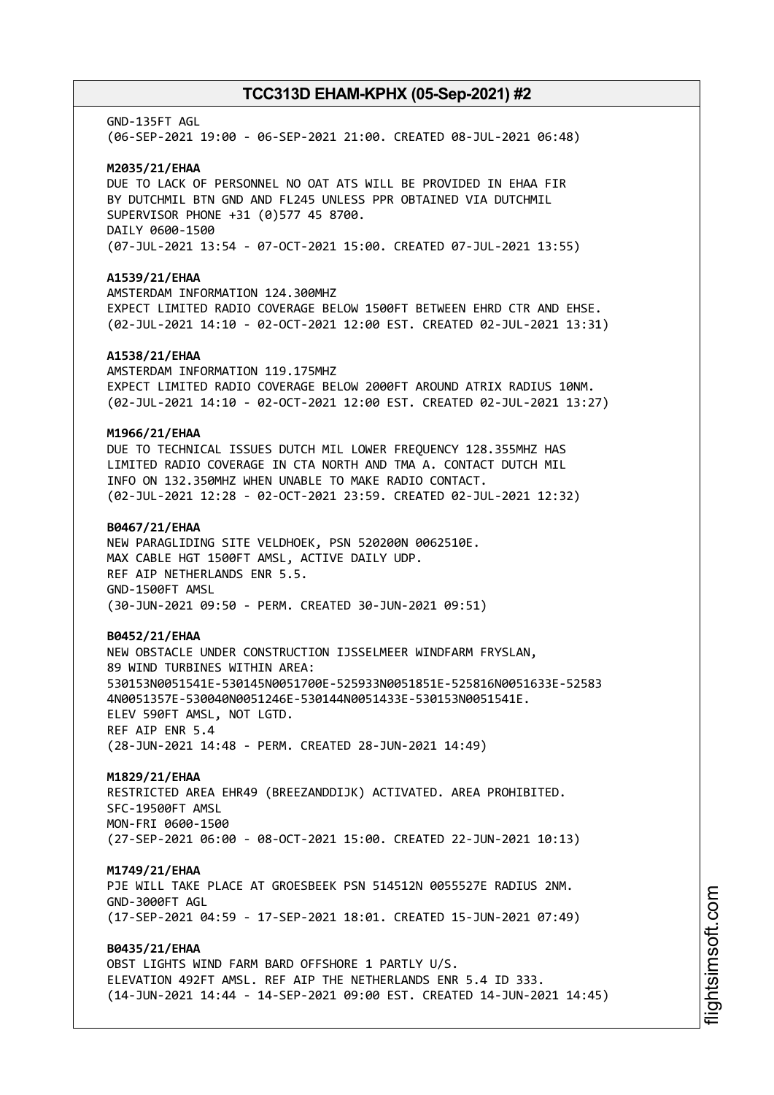# GND-135FT AGL (06-SEP-2021 19:00 - 06-SEP-2021 21:00. CREATED 08-JUL-2021 06:48) **M2035/21/EHAA** DUE TO LACK OF PERSONNEL NO OAT ATS WILL BE PROVIDED IN EHAA FIR BY DUTCHMIL BTN GND AND FL245 UNLESS PPR OBTAINED VIA DUTCHMIL SUPERVISOR PHONE +31 (0)577 45 8700. DAILY 0600-1500 (07-JUL-2021 13:54 - 07-OCT-2021 15:00. CREATED 07-JUL-2021 13:55) **A1539/21/EHAA** AMSTERDAM INFORMATION 124.300MHZ EXPECT LIMITED RADIO COVERAGE BELOW 1500FT BETWEEN EHRD CTR AND EHSE. (02-JUL-2021 14:10 - 02-OCT-2021 12:00 EST. CREATED 02-JUL-2021 13:31) **A1538/21/EHAA** AMSTERDAM INFORMATION 119.175MHZ EXPECT LIMITED RADIO COVERAGE BELOW 2000FT AROUND ATRIX RADIUS 10NM. (02-JUL-2021 14:10 - 02-OCT-2021 12:00 EST. CREATED 02-JUL-2021 13:27) **M1966/21/EHAA** DUE TO TECHNICAL ISSUES DUTCH MIL LOWER FREQUENCY 128.355MHZ HAS LIMITED RADIO COVERAGE IN CTA NORTH AND TMA A. CONTACT DUTCH MIL INFO ON 132.350MHZ WHEN UNABLE TO MAKE RADIO CONTACT. (02-JUL-2021 12:28 - 02-OCT-2021 23:59. CREATED 02-JUL-2021 12:32) **B0467/21/EHAA** NEW PARAGLIDING SITE VELDHOEK, PSN 520200N 0062510E. MAX CABLE HGT 1500FT AMSL, ACTIVE DAILY UDP. REF AIP NETHERLANDS ENR 5.5. GND-1500FT AMSL (30-JUN-2021 09:50 - PERM. CREATED 30-JUN-2021 09:51) **B0452/21/EHAA** NEW OBSTACLE UNDER CONSTRUCTION IJSSELMEER WINDFARM FRYSLAN, 89 WIND TURBINES WITHIN AREA: 530153N0051541E-530145N0051700E-525933N0051851E-525816N0051633E-52583 4N0051357E-530040N0051246E-530144N0051433E-530153N0051541E. ELEV 590FT AMSL, NOT LGTD. REF AIP ENR 5.4 (28-JUN-2021 14:48 - PERM. CREATED 28-JUN-2021 14:49) **M1829/21/EHAA** RESTRICTED AREA EHR49 (BREEZANDDIJK) ACTIVATED. AREA PROHIBITED. SFC-19500FT AMSL MON-FRI 0600-1500 (27-SEP-2021 06:00 - 08-OCT-2021 15:00. CREATED 22-JUN-2021 10:13) **M1749/21/EHAA** PJE WILL TAKE PLACE AT GROESBEEK PSN 514512N 0055527E RADIUS 2NM. GND-3000FT AGL (17-SEP-2021 04:59 - 17-SEP-2021 18:01. CREATED 15-JUN-2021 07:49) **B0435/21/EHAA** OBST LIGHTS WIND FARM BARD OFFSHORE 1 PARTLY U/S. ELEVATION 492FT AMSL. REF AIP THE NETHERLANDS ENR 5.4 ID 333. (14-JUN-2021 14:44 - 14-SEP-2021 09:00 EST. CREATED 14-JUN-2021 14:45)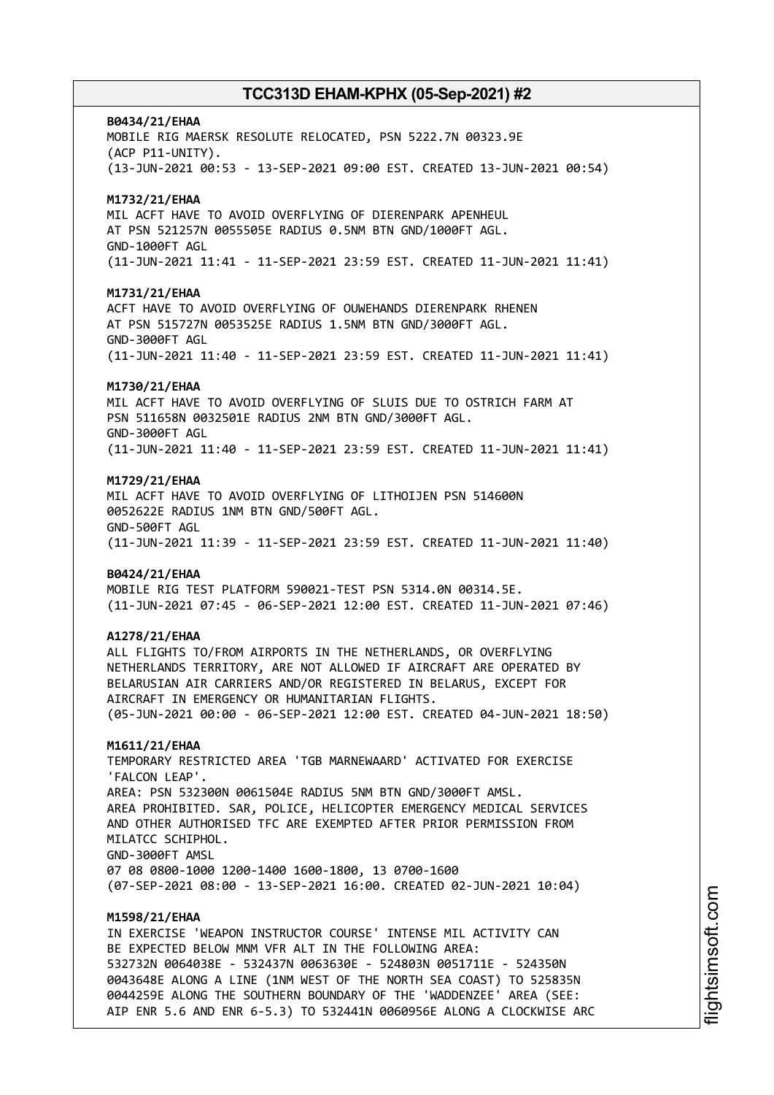### **B0434/21/EHAA**

MOBILE RIG MAERSK RESOLUTE RELOCATED, PSN 5222.7N 00323.9E (ACP P11-UNITY). (13-JUN-2021 00:53 - 13-SEP-2021 09:00 EST. CREATED 13-JUN-2021 00:54)

### **M1732/21/EHAA**

MIL ACFT HAVE TO AVOID OVERFLYING OF DIERENPARK APENHEUL AT PSN 521257N 0055505E RADIUS 0.5NM BTN GND/1000FT AGL. GND-1000FT AGL (11-JUN-2021 11:41 - 11-SEP-2021 23:59 EST. CREATED 11-JUN-2021 11:41)

### **M1731/21/EHAA**

ACFT HAVE TO AVOID OVERFLYING OF OUWEHANDS DIERENPARK RHENEN AT PSN 515727N 0053525E RADIUS 1.5NM BTN GND/3000FT AGL. GND-3000FT AGL (11-JUN-2021 11:40 - 11-SEP-2021 23:59 EST. CREATED 11-JUN-2021 11:41)

#### **M1730/21/EHAA**

MIL ACFT HAVE TO AVOID OVERFLYING OF SLUIS DUE TO OSTRICH FARM AT PSN 511658N 0032501E RADIUS 2NM BTN GND/3000FT AGL. GND-3000FT AGL (11-JUN-2021 11:40 - 11-SEP-2021 23:59 EST. CREATED 11-JUN-2021 11:41)

### **M1729/21/EHAA**

MIL ACFT HAVE TO AVOID OVERFLYING OF LITHOIJEN PSN 514600N 0052622E RADIUS 1NM BTN GND/500FT AGL. GND-500FT AGL (11-JUN-2021 11:39 - 11-SEP-2021 23:59 EST. CREATED 11-JUN-2021 11:40)

#### **B0424/21/EHAA**

MOBILE RIG TEST PLATFORM 590021-TEST PSN 5314.0N 00314.5E. (11-JUN-2021 07:45 - 06-SEP-2021 12:00 EST. CREATED 11-JUN-2021 07:46)

### **A1278/21/EHAA**

ALL FLIGHTS TO/FROM AIRPORTS IN THE NETHERLANDS, OR OVERFLYING NETHERLANDS TERRITORY, ARE NOT ALLOWED IF AIRCRAFT ARE OPERATED BY BELARUSIAN AIR CARRIERS AND/OR REGISTERED IN BELARUS, EXCEPT FOR AIRCRAFT IN EMERGENCY OR HUMANITARIAN FLIGHTS. (05-JUN-2021 00:00 - 06-SEP-2021 12:00 EST. CREATED 04-JUN-2021 18:50)

### **M1611/21/EHAA**

TEMPORARY RESTRICTED AREA 'TGB MARNEWAARD' ACTIVATED FOR EXERCISE 'FALCON LEAP'. AREA: PSN 532300N 0061504E RADIUS 5NM BTN GND/3000FT AMSL. AREA PROHIBITED. SAR, POLICE, HELICOPTER EMERGENCY MEDICAL SERVICES AND OTHER AUTHORISED TFC ARE EXEMPTED AFTER PRIOR PERMISSION FROM MILATCC SCHIPHOL. GND-3000FT AMSL 07 08 0800-1000 1200-1400 1600-1800, 13 0700-1600 (07-SEP-2021 08:00 - 13-SEP-2021 16:00. CREATED 02-JUN-2021 10:04)

### **M1598/21/EHAA**

IN EXERCISE 'WEAPON INSTRUCTOR COURSE' INTENSE MIL ACTIVITY CAN BE EXPECTED BELOW MNM VFR ALT IN THE FOLLOWING AREA: 532732N 0064038E - 532437N 0063630E - 524803N 0051711E - 524350N 0043648E ALONG A LINE (1NM WEST OF THE NORTH SEA COAST) TO 525835N 0044259E ALONG THE SOUTHERN BOUNDARY OF THE 'WADDENZEE' AREA (SEE: AIP ENR 5.6 AND ENR 6-5.3) TO 532441N 0060956E ALONG A CLOCKWISE ARC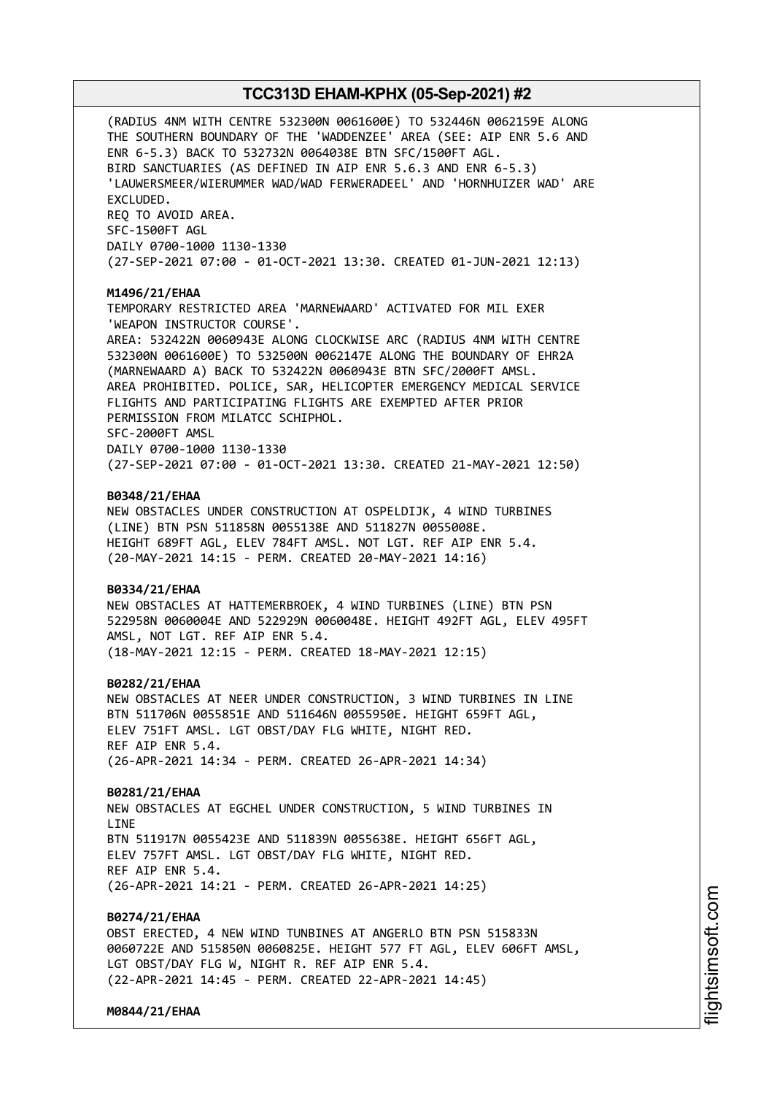(RADIUS 4NM WITH CENTRE 532300N 0061600E) TO 532446N 0062159E ALONG THE SOUTHERN BOUNDARY OF THE 'WADDENZEE' AREA (SEE: AIP ENR 5.6 AND ENR 6-5.3) BACK TO 532732N 0064038E BTN SFC/1500FT AGL. BIRD SANCTUARIES (AS DEFINED IN AIP ENR 5.6.3 AND ENR 6-5.3) 'LAUWERSMEER/WIERUMMER WAD/WAD FERWERADEEL' AND 'HORNHUIZER WAD' ARE EXCLUDED. REQ TO AVOID AREA. SFC-1500FT AGL DAILY 0700-1000 1130-1330 (27-SEP-2021 07:00 - 01-OCT-2021 13:30. CREATED 01-JUN-2021 12:13) **M1496/21/EHAA** TEMPORARY RESTRICTED AREA 'MARNEWAARD' ACTIVATED FOR MIL EXER 'WEAPON INSTRUCTOR COURSE'. AREA: 532422N 0060943E ALONG CLOCKWISE ARC (RADIUS 4NM WITH CENTRE 532300N 0061600E) TO 532500N 0062147E ALONG THE BOUNDARY OF EHR2A (MARNEWAARD A) BACK TO 532422N 0060943E BTN SFC/2000FT AMSL. AREA PROHIBITED. POLICE, SAR, HELICOPTER EMERGENCY MEDICAL SERVICE FLIGHTS AND PARTICIPATING FLIGHTS ARE EXEMPTED AFTER PRIOR PERMISSION FROM MILATCC SCHIPHOL. SFC-2000FT AMSL DAILY 0700-1000 1130-1330 (27-SEP-2021 07:00 - 01-OCT-2021 13:30. CREATED 21-MAY-2021 12:50) **B0348/21/EHAA** NEW OBSTACLES UNDER CONSTRUCTION AT OSPELDIJK, 4 WIND TURBINES (LINE) BTN PSN 511858N 0055138E AND 511827N 0055008E. HEIGHT 689FT AGL, ELEV 784FT AMSL. NOT LGT. REF AIP ENR 5.4. (20-MAY-2021 14:15 - PERM. CREATED 20-MAY-2021 14:16) **B0334/21/EHAA** NEW OBSTACLES AT HATTEMERBROEK, 4 WIND TURBINES (LINE) BTN PSN 522958N 0060004E AND 522929N 0060048E. HEIGHT 492FT AGL, ELEV 495FT AMSL, NOT LGT. REF AIP ENR 5.4. (18-MAY-2021 12:15 - PERM. CREATED 18-MAY-2021 12:15) **B0282/21/EHAA** NEW OBSTACLES AT NEER UNDER CONSTRUCTION, 3 WIND TURBINES IN LINE BTN 511706N 0055851E AND 511646N 0055950E. HEIGHT 659FT AGL, ELEV 751FT AMSL. LGT OBST/DAY FLG WHITE, NIGHT RED. REF AIP ENR 5.4. (26-APR-2021 14:34 - PERM. CREATED 26-APR-2021 14:34) **B0281/21/EHAA** NEW OBSTACLES AT EGCHEL UNDER CONSTRUCTION, 5 WIND TURBINES IN **LTNF** BTN 511917N 0055423E AND 511839N 0055638E. HEIGHT 656FT AGL, ELEV 757FT AMSL. LGT OBST/DAY FLG WHITE, NIGHT RED. REF AIP ENR 5.4. (26-APR-2021 14:21 - PERM. CREATED 26-APR-2021 14:25) **B0274/21/EHAA** OBST ERECTED, 4 NEW WIND TUNBINES AT ANGERLO BTN PSN 515833N 0060722E AND 515850N 0060825E. HEIGHT 577 FT AGL, ELEV 606FT AMSL, LGT OBST/DAY FLG W, NIGHT R. REF AIP ENR 5.4. (22-APR-2021 14:45 - PERM. CREATED 22-APR-2021 14:45) **M0844/21/EHAA**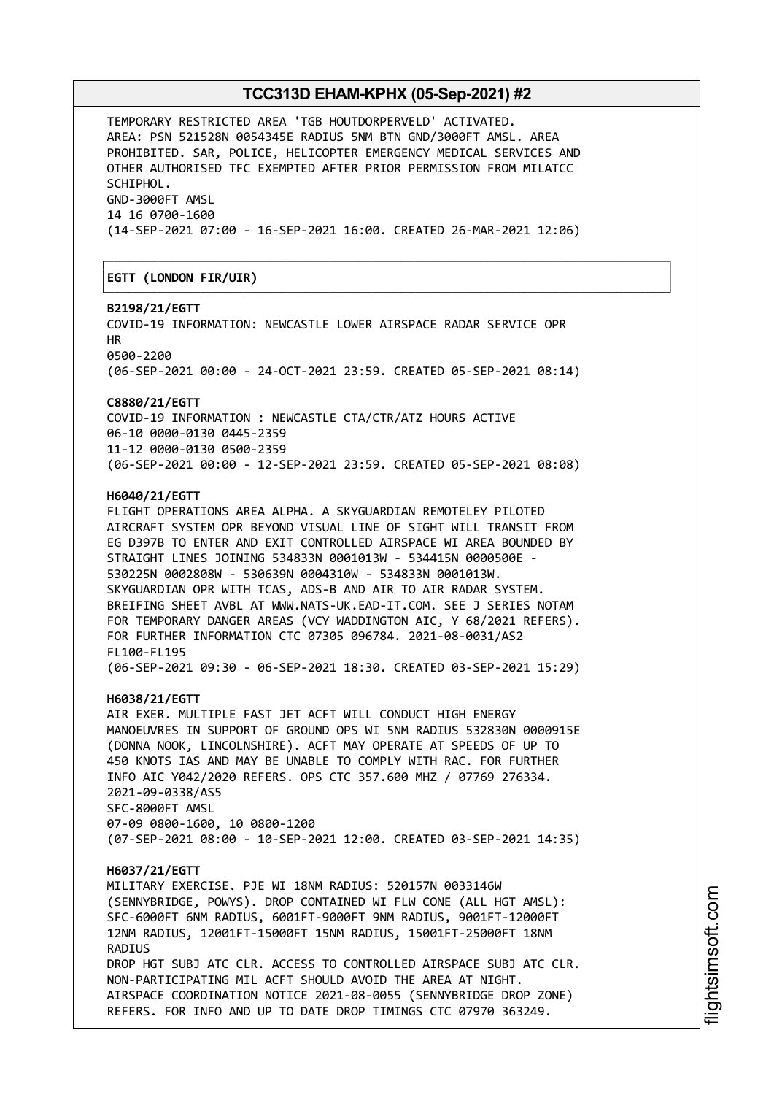┌──────────────────────────────────────────────────────────────────────────────┐

└──────────────────────────────────────────────────────────────────────────────┘

TEMPORARY RESTRICTED AREA 'TGB HOUTDORPERVELD' ACTIVATED. AREA: PSN 521528N 0054345E RADIUS 5NM BTN GND/3000FT AMSL. AREA PROHIBITED. SAR, POLICE, HELICOPTER EMERGENCY MEDICAL SERVICES AND OTHER AUTHORISED TFC EXEMPTED AFTER PRIOR PERMISSION FROM MILATCC SCHIPHOL. GND-3000FT AMSL 14 16 0700-1600 (14-SEP-2021 07:00 - 16-SEP-2021 16:00. CREATED 26-MAR-2021 12:06)

│**EGTT (LONDON FIR/UIR)** │

### **B2198/21/EGTT**

COVID-19 INFORMATION: NEWCASTLE LOWER AIRSPACE RADAR SERVICE OPR HR 0500-2200

(06-SEP-2021 00:00 - 24-OCT-2021 23:59. CREATED 05-SEP-2021 08:14)

### **C8880/21/EGTT**

COVID-19 INFORMATION : NEWCASTLE CTA/CTR/ATZ HOURS ACTIVE 06-10 0000-0130 0445-2359 11-12 0000-0130 0500-2359 (06-SEP-2021 00:00 - 12-SEP-2021 23:59. CREATED 05-SEP-2021 08:08)

### **H6040/21/EGTT**

FLIGHT OPERATIONS AREA ALPHA. A SKYGUARDIAN REMOTELEY PILOTED AIRCRAFT SYSTEM OPR BEYOND VISUAL LINE OF SIGHT WILL TRANSIT FROM EG D397B TO ENTER AND EXIT CONTROLLED AIRSPACE WI AREA BOUNDED BY STRAIGHT LINES JOINING 534833N 0001013W - 534415N 0000500E - 530225N 0002808W - 530639N 0004310W - 534833N 0001013W. SKYGUARDIAN OPR WITH TCAS, ADS-B AND AIR TO AIR RADAR SYSTEM. BREIFING SHEET AVBL AT WWW.NATS-UK.EAD-IT.COM. SEE J SERIES NOTAM FOR TEMPORARY DANGER AREAS (VCY WADDINGTON AIC, Y 68/2021 REFERS). FOR FURTHER INFORMATION CTC 07305 096784. 2021-08-0031/AS2 FL100-FL195 (06-SEP-2021 09:30 - 06-SEP-2021 18:30. CREATED 03-SEP-2021 15:29)

#### **H6038/21/EGTT**

AIR EXER. MULTIPLE FAST JET ACFT WILL CONDUCT HIGH ENERGY MANOEUVRES IN SUPPORT OF GROUND OPS WI 5NM RADIUS 532830N 0000915E (DONNA NOOK, LINCOLNSHIRE). ACFT MAY OPERATE AT SPEEDS OF UP TO 450 KNOTS IAS AND MAY BE UNABLE TO COMPLY WITH RAC. FOR FURTHER INFO AIC Y042/2020 REFERS. OPS CTC 357.600 MHZ / 07769 276334. 2021-09-0338/AS5 SFC-8000FT AMSL 07-09 0800-1600, 10 0800-1200 (07-SEP-2021 08:00 - 10-SEP-2021 12:00. CREATED 03-SEP-2021 14:35)

### **H6037/21/EGTT**

MILITARY EXERCISE. PJE WI 18NM RADIUS: 520157N 0033146W (SENNYBRIDGE, POWYS). DROP CONTAINED WI FLW CONE (ALL HGT AMSL): SFC-6000FT 6NM RADIUS, 6001FT-9000FT 9NM RADIUS, 9001FT-12000FT 12NM RADIUS, 12001FT-15000FT 15NM RADIUS, 15001FT-25000FT 18NM **RADIUS** DROP HGT SUBJ ATC CLR. ACCESS TO CONTROLLED AIRSPACE SUBJ ATC CLR. NON-PARTICIPATING MIL ACFT SHOULD AVOID THE AREA AT NIGHT. AIRSPACE COORDINATION NOTICE 2021-08-0055 (SENNYBRIDGE DROP ZONE) REFERS. FOR INFO AND UP TO DATE DROP TIMINGS CTC 07970 363249.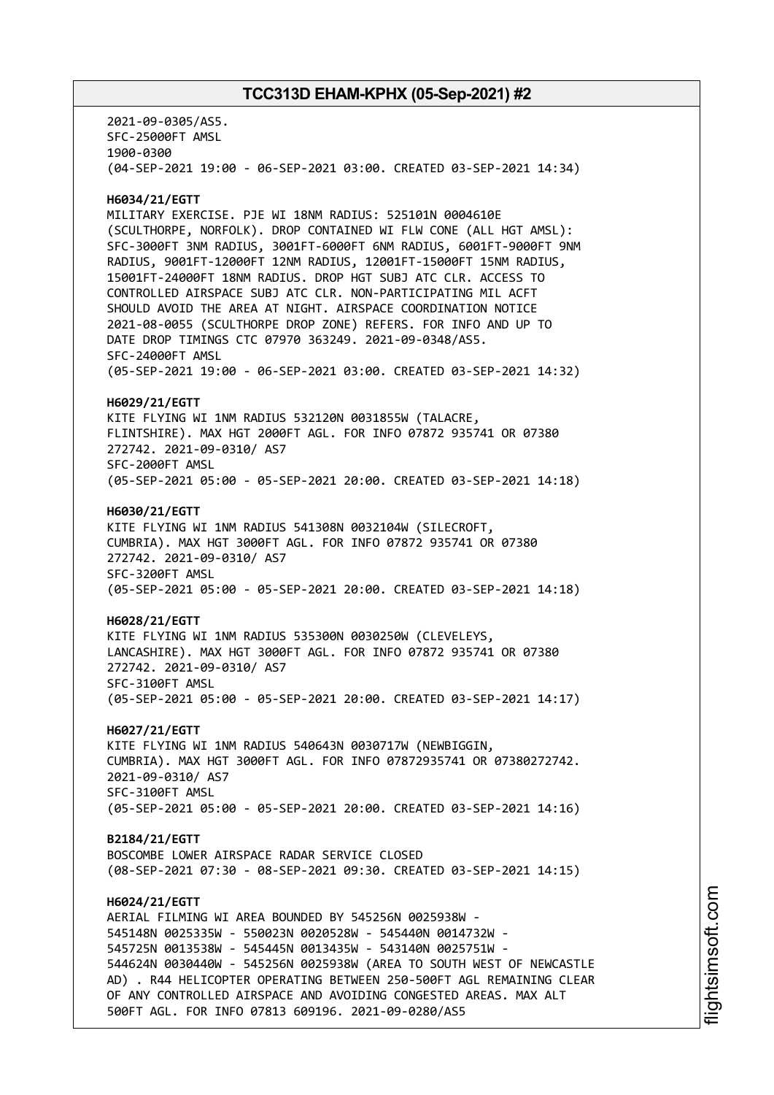2021-09-0305/AS5. SFC-25000FT AMSL 1900-0300 (04-SEP-2021 19:00 - 06-SEP-2021 03:00. CREATED 03-SEP-2021 14:34) **H6034/21/EGTT** MILITARY EXERCISE. PJE WI 18NM RADIUS: 525101N 0004610E (SCULTHORPE, NORFOLK). DROP CONTAINED WI FLW CONE (ALL HGT AMSL): SFC-3000FT 3NM RADIUS, 3001FT-6000FT 6NM RADIUS, 6001FT-9000FT 9NM RADIUS, 9001FT-12000FT 12NM RADIUS, 12001FT-15000FT 15NM RADIUS, 15001FT-24000FT 18NM RADIUS. DROP HGT SUBJ ATC CLR. ACCESS TO CONTROLLED AIRSPACE SUBJ ATC CLR. NON-PARTICIPATING MIL ACFT SHOULD AVOID THE AREA AT NIGHT. AIRSPACE COORDINATION NOTICE 2021-08-0055 (SCULTHORPE DROP ZONE) REFERS. FOR INFO AND UP TO DATE DROP TIMINGS CTC 07970 363249. 2021-09-0348/AS5. SFC-24000FT AMSL (05-SEP-2021 19:00 - 06-SEP-2021 03:00. CREATED 03-SEP-2021 14:32) **H6029/21/EGTT** KITE FLYING WI 1NM RADIUS 532120N 0031855W (TALACRE, FLINTSHIRE). MAX HGT 2000FT AGL. FOR INFO 07872 935741 OR 07380 272742. 2021-09-0310/ AS7 SFC-2000FT AMSL (05-SEP-2021 05:00 - 05-SEP-2021 20:00. CREATED 03-SEP-2021 14:18) **H6030/21/EGTT** KITE FLYING WI 1NM RADIUS 541308N 0032104W (SILECROFT, CUMBRIA). MAX HGT 3000FT AGL. FOR INFO 07872 935741 OR 07380 272742. 2021-09-0310/ AS7 SFC-3200FT AMSL (05-SEP-2021 05:00 - 05-SEP-2021 20:00. CREATED 03-SEP-2021 14:18) **H6028/21/EGTT** KITE FLYING WI 1NM RADIUS 535300N 0030250W (CLEVELEYS, LANCASHIRE). MAX HGT 3000FT AGL. FOR INFO 07872 935741 OR 07380 272742. 2021-09-0310/ AS7 SFC-3100FT AMSL (05-SEP-2021 05:00 - 05-SEP-2021 20:00. CREATED 03-SEP-2021 14:17) **H6027/21/EGTT** KITE FLYING WI 1NM RADIUS 540643N 0030717W (NEWBIGGIN, CUMBRIA). MAX HGT 3000FT AGL. FOR INFO 07872935741 OR 07380272742. 2021-09-0310/ AS7 SFC-3100FT AMSL (05-SEP-2021 05:00 - 05-SEP-2021 20:00. CREATED 03-SEP-2021 14:16) **B2184/21/EGTT** BOSCOMBE LOWER AIRSPACE RADAR SERVICE CLOSED (08-SEP-2021 07:30 - 08-SEP-2021 09:30. CREATED 03-SEP-2021 14:15) **H6024/21/EGTT** AERIAL FILMING WI AREA BOUNDED BY 545256N 0025938W - 545148N 0025335W - 550023N 0020528W - 545440N 0014732W - 545725N 0013538W - 545445N 0013435W - 543140N 0025751W - 544624N 0030440W - 545256N 0025938W (AREA TO SOUTH WEST OF NEWCASTLE AD) . R44 HELICOPTER OPERATING BETWEEN 250-500FT AGL REMAINING CLEAR OF ANY CONTROLLED AIRSPACE AND AVOIDING CONGESTED AREAS. MAX ALT 500FT AGL. FOR INFO 07813 609196. 2021-09-0280/AS5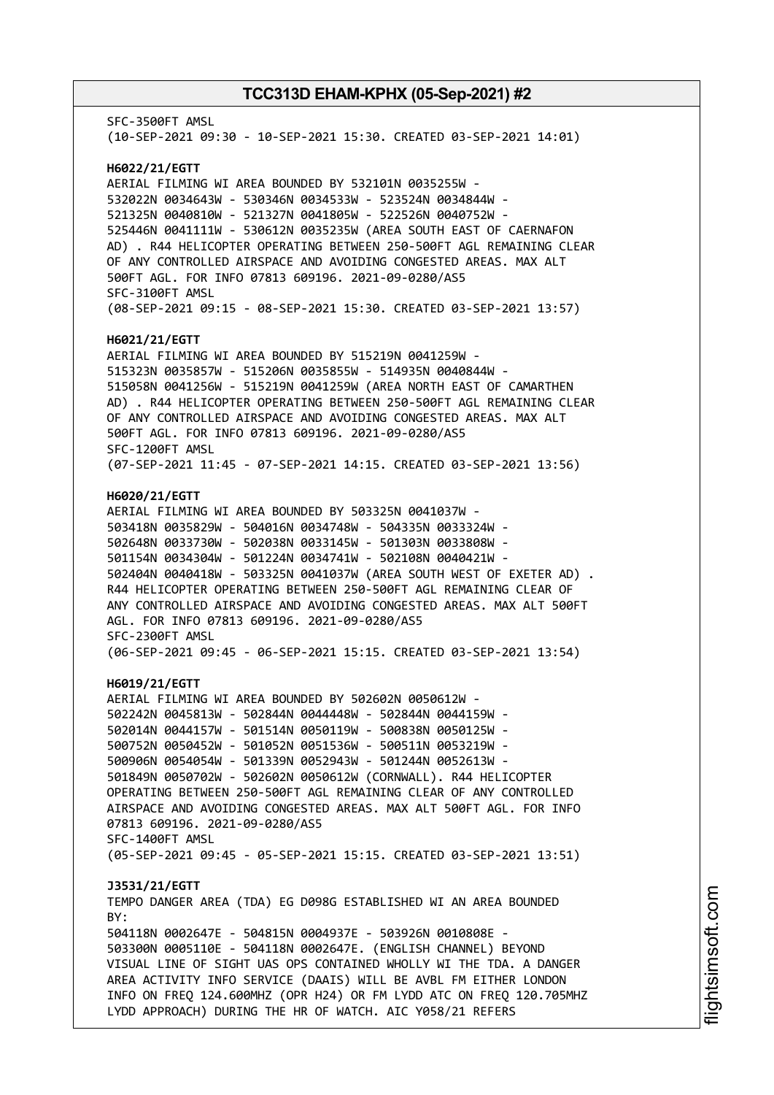SFC-3500FT AMSL (10-SEP-2021 09:30 - 10-SEP-2021 15:30. CREATED 03-SEP-2021 14:01) **H6022/21/EGTT** AERIAL FILMING WI AREA BOUNDED BY 532101N 0035255W - 532022N 0034643W - 530346N 0034533W - 523524N 0034844W - 521325N 0040810W - 521327N 0041805W - 522526N 0040752W - 525446N 0041111W - 530612N 0035235W (AREA SOUTH EAST OF CAERNAFON AD) . R44 HELICOPTER OPERATING BETWEEN 250-500FT AGL REMAINING CLEAR OF ANY CONTROLLED AIRSPACE AND AVOIDING CONGESTED AREAS. MAX ALT 500FT AGL. FOR INFO 07813 609196. 2021-09-0280/AS5 SFC-3100FT AMSL (08-SEP-2021 09:15 - 08-SEP-2021 15:30. CREATED 03-SEP-2021 13:57) **H6021/21/EGTT** AERIAL FILMING WI AREA BOUNDED BY 515219N 0041259W - 515323N 0035857W - 515206N 0035855W - 514935N 0040844W - 515058N 0041256W - 515219N 0041259W (AREA NORTH EAST OF CAMARTHEN AD) . R44 HELICOPTER OPERATING BETWEEN 250-500FT AGL REMAINING CLEAR OF ANY CONTROLLED AIRSPACE AND AVOIDING CONGESTED AREAS. MAX ALT 500FT AGL. FOR INFO 07813 609196. 2021-09-0280/AS5 SFC-1200FT AMSL (07-SEP-2021 11:45 - 07-SEP-2021 14:15. CREATED 03-SEP-2021 13:56) **H6020/21/EGTT** AERIAL FILMING WI AREA BOUNDED BY 503325N 0041037W - 503418N 0035829W - 504016N 0034748W - 504335N 0033324W - 502648N 0033730W - 502038N 0033145W - 501303N 0033808W - 501154N 0034304W - 501224N 0034741W - 502108N 0040421W - 502404N 0040418W - 503325N 0041037W (AREA SOUTH WEST OF EXETER AD) . R44 HELICOPTER OPERATING BETWEEN 250-500FT AGL REMAINING CLEAR OF ANY CONTROLLED AIRSPACE AND AVOIDING CONGESTED AREAS. MAX ALT 500FT AGL. FOR INFO 07813 609196. 2021-09-0280/AS5 SFC-2300FT AMSL (06-SEP-2021 09:45 - 06-SEP-2021 15:15. CREATED 03-SEP-2021 13:54) **H6019/21/EGTT** AERIAL FILMING WI AREA BOUNDED BY 502602N 0050612W - 502242N 0045813W - 502844N 0044448W - 502844N 0044159W - 502014N 0044157W - 501514N 0050119W - 500838N 0050125W - 500752N 0050452W - 501052N 0051536W - 500511N 0053219W - 500906N 0054054W - 501339N 0052943W - 501244N 0052613W - 501849N 0050702W - 502602N 0050612W (CORNWALL). R44 HELICOPTER OPERATING BETWEEN 250-500FT AGL REMAINING CLEAR OF ANY CONTROLLED AIRSPACE AND AVOIDING CONGESTED AREAS. MAX ALT 500FT AGL. FOR INFO 07813 609196. 2021-09-0280/AS5 SFC-1400FT AMSL (05-SEP-2021 09:45 - 05-SEP-2021 15:15. CREATED 03-SEP-2021 13:51) **J3531/21/EGTT** TEMPO DANGER AREA (TDA) EG D098G ESTABLISHED WI AN AREA BOUNDED BY: 504118N 0002647E - 504815N 0004937E - 503926N 0010808E - 503300N 0005110E - 504118N 0002647E. (ENGLISH CHANNEL) BEYOND VISUAL LINE OF SIGHT UAS OPS CONTAINED WHOLLY WI THE TDA. A DANGER AREA ACTIVITY INFO SERVICE (DAAIS) WILL BE AVBL FM EITHER LONDON INFO ON FREQ 124.600MHZ (OPR H24) OR FM LYDD ATC ON FREQ 120.705MHZ LYDD APPROACH) DURING THE HR OF WATCH. AIC Y058/21 REFERS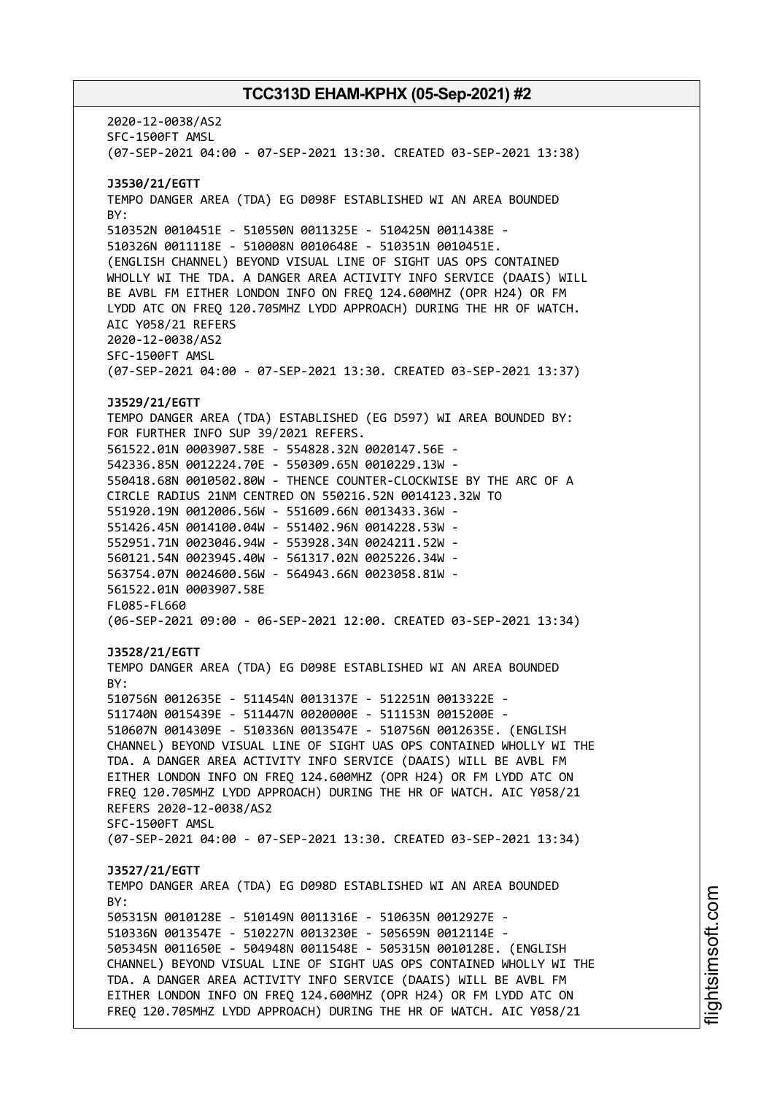2020-12-0038/AS2 SFC-1500FT AMSL (07-SEP-2021 04:00 - 07-SEP-2021 13:30. CREATED 03-SEP-2021 13:38) **J3530/21/EGTT** TEMPO DANGER AREA (TDA) EG D098F ESTABLISHED WI AN AREA BOUNDED BY: 510352N 0010451E - 510550N 0011325E - 510425N 0011438E - 510326N 0011118E - 510008N 0010648E - 510351N 0010451E. (ENGLISH CHANNEL) BEYOND VISUAL LINE OF SIGHT UAS OPS CONTAINED WHOLLY WI THE TDA. A DANGER AREA ACTIVITY INFO SERVICE (DAAIS) WILL BE AVBL FM EITHER LONDON INFO ON FREQ 124.600MHZ (OPR H24) OR FM LYDD ATC ON FREQ 120.705MHZ LYDD APPROACH) DURING THE HR OF WATCH. AIC Y058/21 REFERS 2020-12-0038/AS2 SFC-1500FT AMSL (07-SEP-2021 04:00 - 07-SEP-2021 13:30. CREATED 03-SEP-2021 13:37) **J3529/21/EGTT** TEMPO DANGER AREA (TDA) ESTABLISHED (EG D597) WI AREA BOUNDED BY: FOR FURTHER INFO SUP 39/2021 REFERS. 561522.01N 0003907.58E - 554828.32N 0020147.56E - 542336.85N 0012224.70E - 550309.65N 0010229.13W - 550418.68N 0010502.80W - THENCE COUNTER-CLOCKWISE BY THE ARC OF A CIRCLE RADIUS 21NM CENTRED ON 550216.52N 0014123.32W TO 551920.19N 0012006.56W - 551609.66N 0013433.36W - 551426.45N 0014100.04W - 551402.96N 0014228.53W - 552951.71N 0023046.94W - 553928.34N 0024211.52W - 560121.54N 0023945.40W - 561317.02N 0025226.34W - 563754.07N 0024600.56W - 564943.66N 0023058.81W - 561522.01N 0003907.58E FL085-FL660 (06-SEP-2021 09:00 - 06-SEP-2021 12:00. CREATED 03-SEP-2021 13:34) **J3528/21/EGTT** TEMPO DANGER AREA (TDA) EG D098E ESTABLISHED WI AN AREA BOUNDED BY: 510756N 0012635E - 511454N 0013137E - 512251N 0013322E - 511740N 0015439E - 511447N 0020000E - 511153N 0015200E - 510607N 0014309E - 510336N 0013547E - 510756N 0012635E. (ENGLISH CHANNEL) BEYOND VISUAL LINE OF SIGHT UAS OPS CONTAINED WHOLLY WI THE TDA. A DANGER AREA ACTIVITY INFO SERVICE (DAAIS) WILL BE AVBL FM EITHER LONDON INFO ON FREQ 124.600MHZ (OPR H24) OR FM LYDD ATC ON FREQ 120.705MHZ LYDD APPROACH) DURING THE HR OF WATCH. AIC Y058/21 REFERS 2020-12-0038/AS2 SFC-1500FT AMSL (07-SEP-2021 04:00 - 07-SEP-2021 13:30. CREATED 03-SEP-2021 13:34) **J3527/21/EGTT** TEMPO DANGER AREA (TDA) EG D098D ESTABLISHED WI AN AREA BOUNDED  $RY$ 505315N 0010128E - 510149N 0011316E - 510635N 0012927E - 510336N 0013547E - 510227N 0013230E - 505659N 0012114E - 505345N 0011650E - 504948N 0011548E - 505315N 0010128E. (ENGLISH CHANNEL) BEYOND VISUAL LINE OF SIGHT UAS OPS CONTAINED WHOLLY WI THE TDA. A DANGER AREA ACTIVITY INFO SERVICE (DAAIS) WILL BE AVBL FM EITHER LONDON INFO ON FREQ 124.600MHZ (OPR H24) OR FM LYDD ATC ON FREQ 120.705MHZ LYDD APPROACH) DURING THE HR OF WATCH. AIC Y058/21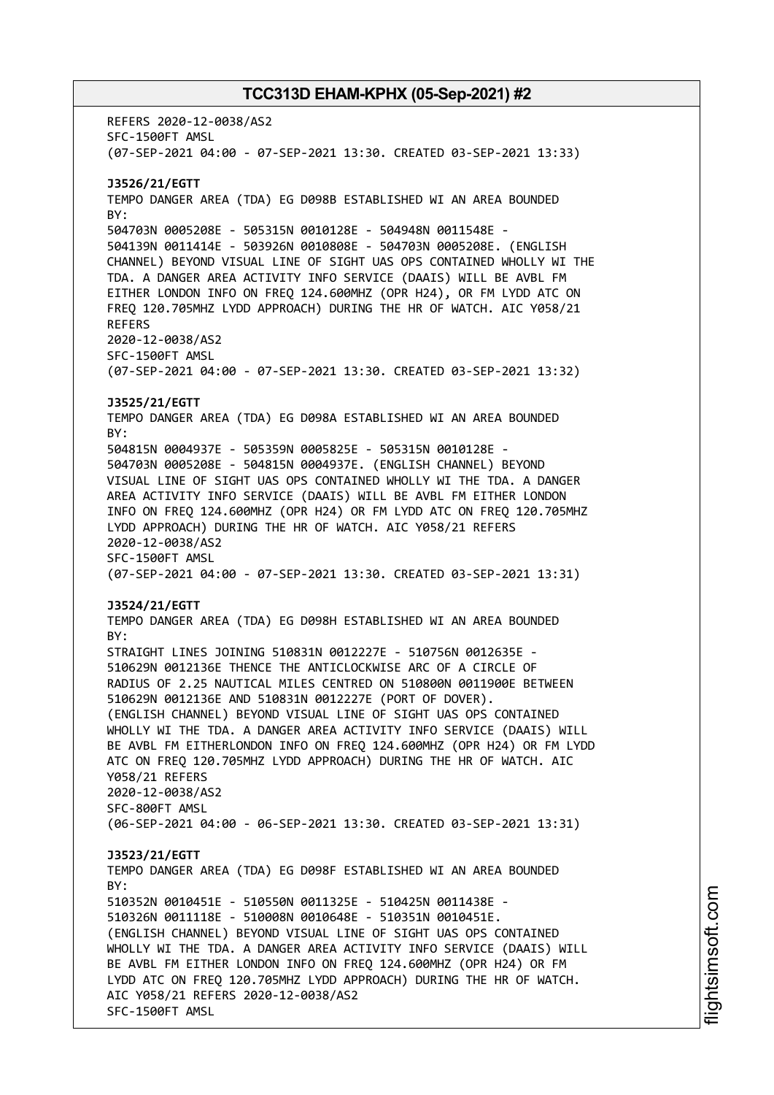REFERS 2020-12-0038/AS2 SFC-1500FT AMSL (07-SEP-2021 04:00 - 07-SEP-2021 13:30. CREATED 03-SEP-2021 13:33) **J3526/21/EGTT** TEMPO DANGER AREA (TDA) EG D098B ESTABLISHED WI AN AREA BOUNDED BY: 504703N 0005208E - 505315N 0010128E - 504948N 0011548E - 504139N 0011414E - 503926N 0010808E - 504703N 0005208E. (ENGLISH CHANNEL) BEYOND VISUAL LINE OF SIGHT UAS OPS CONTAINED WHOLLY WI THE TDA. A DANGER AREA ACTIVITY INFO SERVICE (DAAIS) WILL BE AVBL FM EITHER LONDON INFO ON FREQ 124.600MHZ (OPR H24), OR FM LYDD ATC ON FREQ 120.705MHZ LYDD APPROACH) DURING THE HR OF WATCH. AIC Y058/21 REFERS 2020-12-0038/AS2 SFC-1500FT AMSL (07-SEP-2021 04:00 - 07-SEP-2021 13:30. CREATED 03-SEP-2021 13:32) **J3525/21/EGTT** TEMPO DANGER AREA (TDA) EG D098A ESTABLISHED WI AN AREA BOUNDED BY: 504815N 0004937E - 505359N 0005825E - 505315N 0010128E - 504703N 0005208E - 504815N 0004937E. (ENGLISH CHANNEL) BEYOND VISUAL LINE OF SIGHT UAS OPS CONTAINED WHOLLY WI THE TDA. A DANGER AREA ACTIVITY INFO SERVICE (DAAIS) WILL BE AVBL FM EITHER LONDON INFO ON FREQ 124.600MHZ (OPR H24) OR FM LYDD ATC ON FREQ 120.705MHZ LYDD APPROACH) DURING THE HR OF WATCH. AIC Y058/21 REFERS 2020-12-0038/AS2 SFC-1500FT AMSL (07-SEP-2021 04:00 - 07-SEP-2021 13:30. CREATED 03-SEP-2021 13:31) **J3524/21/EGTT** TEMPO DANGER AREA (TDA) EG D098H ESTABLISHED WI AN AREA BOUNDED BY: STRAIGHT LINES JOINING 510831N 0012227E - 510756N 0012635E - 510629N 0012136E THENCE THE ANTICLOCKWISE ARC OF A CIRCLE OF RADIUS OF 2.25 NAUTICAL MILES CENTRED ON 510800N 0011900E BETWEEN 510629N 0012136E AND 510831N 0012227E (PORT OF DOVER). (ENGLISH CHANNEL) BEYOND VISUAL LINE OF SIGHT UAS OPS CONTAINED WHOLLY WI THE TDA. A DANGER AREA ACTIVITY INFO SERVICE (DAAIS) WILL BE AVBL FM EITHERLONDON INFO ON FREQ 124.600MHZ (OPR H24) OR FM LYDD ATC ON FREQ 120.705MHZ LYDD APPROACH) DURING THE HR OF WATCH. AIC Y058/21 REFERS 2020-12-0038/AS2 SFC-800FT AMSL (06-SEP-2021 04:00 - 06-SEP-2021 13:30. CREATED 03-SEP-2021 13:31) **J3523/21/EGTT** TEMPO DANGER AREA (TDA) EG D098F ESTABLISHED WI AN AREA BOUNDED BY: 510352N 0010451E - 510550N 0011325E - 510425N 0011438E - 510326N 0011118E - 510008N 0010648E - 510351N 0010451E. (ENGLISH CHANNEL) BEYOND VISUAL LINE OF SIGHT UAS OPS CONTAINED WHOLLY WI THE TDA. A DANGER AREA ACTIVITY INFO SERVICE (DAAIS) WILL BE AVBL FM EITHER LONDON INFO ON FREQ 124.600MHZ (OPR H24) OR FM LYDD ATC ON FREQ 120.705MHZ LYDD APPROACH) DURING THE HR OF WATCH. AIC Y058/21 REFERS 2020-12-0038/AS2 SFC-1500FT AMSL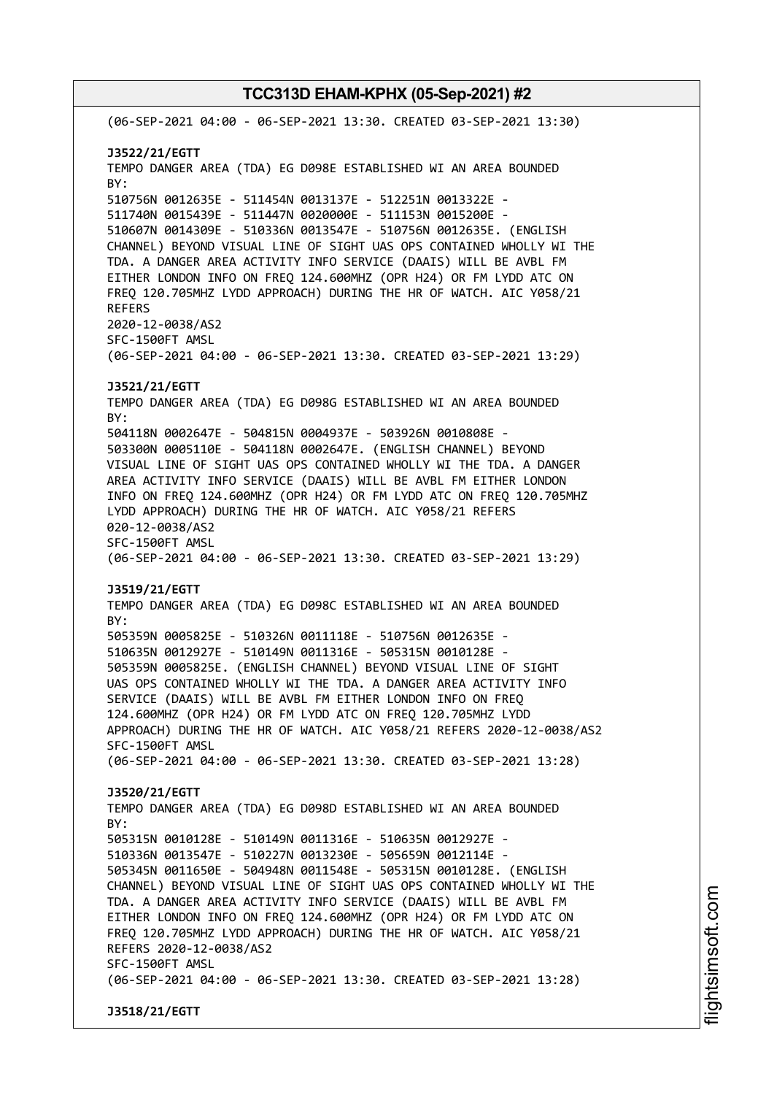(06-SEP-2021 04:00 - 06-SEP-2021 13:30. CREATED 03-SEP-2021 13:30) **J3522/21/EGTT** TEMPO DANGER AREA (TDA) EG D098E ESTABLISHED WI AN AREA BOUNDED BY: 510756N 0012635E - 511454N 0013137E - 512251N 0013322E - 511740N 0015439E - 511447N 0020000E - 511153N 0015200E - 510607N 0014309E - 510336N 0013547E - 510756N 0012635E. (ENGLISH CHANNEL) BEYOND VISUAL LINE OF SIGHT UAS OPS CONTAINED WHOLLY WI THE TDA. A DANGER AREA ACTIVITY INFO SERVICE (DAAIS) WILL BE AVBL FM EITHER LONDON INFO ON FREQ 124.600MHZ (OPR H24) OR FM LYDD ATC ON FREQ 120.705MHZ LYDD APPROACH) DURING THE HR OF WATCH. AIC Y058/21 REFERS 2020-12-0038/AS2 SFC-1500FT AMSL (06-SEP-2021 04:00 - 06-SEP-2021 13:30. CREATED 03-SEP-2021 13:29) **J3521/21/EGTT** TEMPO DANGER AREA (TDA) EG D098G ESTABLISHED WI AN AREA BOUNDED BY: 504118N 0002647E - 504815N 0004937E - 503926N 0010808E - 503300N 0005110E - 504118N 0002647E. (ENGLISH CHANNEL) BEYOND VISUAL LINE OF SIGHT UAS OPS CONTAINED WHOLLY WI THE TDA. A DANGER AREA ACTIVITY INFO SERVICE (DAAIS) WILL BE AVBL FM EITHER LONDON INFO ON FREQ 124.600MHZ (OPR H24) OR FM LYDD ATC ON FREQ 120.705MHZ LYDD APPROACH) DURING THE HR OF WATCH. AIC Y058/21 REFERS 020-12-0038/AS2 SFC-1500FT AMSL (06-SEP-2021 04:00 - 06-SEP-2021 13:30. CREATED 03-SEP-2021 13:29) **J3519/21/EGTT** TEMPO DANGER AREA (TDA) EG D098C ESTABLISHED WI AN AREA BOUNDED BY: 505359N 0005825E - 510326N 0011118E - 510756N 0012635E - 510635N 0012927E - 510149N 0011316E - 505315N 0010128E - 505359N 0005825E. (ENGLISH CHANNEL) BEYOND VISUAL LINE OF SIGHT UAS OPS CONTAINED WHOLLY WI THE TDA. A DANGER AREA ACTIVITY INFO SERVICE (DAAIS) WILL BE AVBL FM EITHER LONDON INFO ON FREQ 124.600MHZ (OPR H24) OR FM LYDD ATC ON FREQ 120.705MHZ LYDD APPROACH) DURING THE HR OF WATCH. AIC Y058/21 REFERS 2020-12-0038/AS2 SFC-1500FT AMSL (06-SEP-2021 04:00 - 06-SEP-2021 13:30. CREATED 03-SEP-2021 13:28) **J3520/21/EGTT** TEMPO DANGER AREA (TDA) EG D098D ESTABLISHED WI AN AREA BOUNDED  $RY$ 505315N 0010128E - 510149N 0011316E - 510635N 0012927E - 510336N 0013547E - 510227N 0013230E - 505659N 0012114E - 505345N 0011650E - 504948N 0011548E - 505315N 0010128E. (ENGLISH CHANNEL) BEYOND VISUAL LINE OF SIGHT UAS OPS CONTAINED WHOLLY WI THE TDA. A DANGER AREA ACTIVITY INFO SERVICE (DAAIS) WILL BE AVBL FM EITHER LONDON INFO ON FREQ 124.600MHZ (OPR H24) OR FM LYDD ATC ON FREQ 120.705MHZ LYDD APPROACH) DURING THE HR OF WATCH. AIC Y058/21 REFERS 2020-12-0038/AS2 SFC-1500FT AMSL (06-SEP-2021 04:00 - 06-SEP-2021 13:30. CREATED 03-SEP-2021 13:28) **J3518/21/EGTT**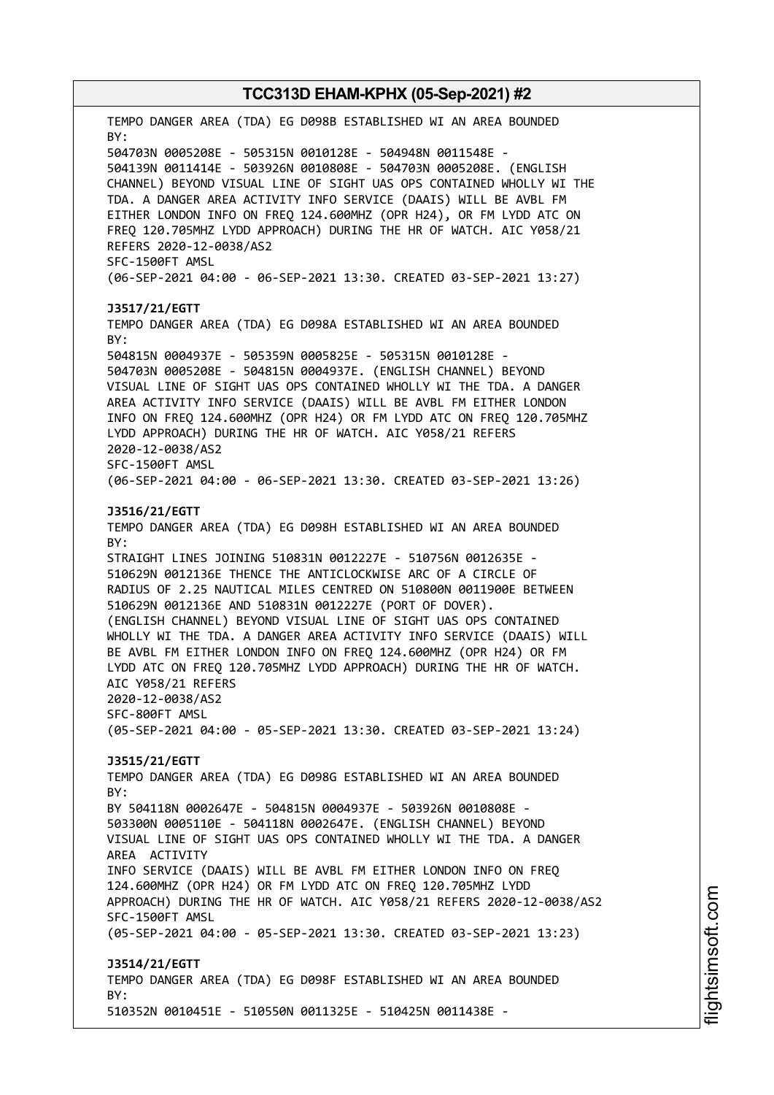TEMPO DANGER AREA (TDA) EG D098B ESTABLISHED WI AN AREA BOUNDED BY: 504703N 0005208E - 505315N 0010128E - 504948N 0011548E - 504139N 0011414E - 503926N 0010808E - 504703N 0005208E. (ENGLISH CHANNEL) BEYOND VISUAL LINE OF SIGHT UAS OPS CONTAINED WHOLLY WI THE TDA. A DANGER AREA ACTIVITY INFO SERVICE (DAAIS) WILL BE AVBL FM EITHER LONDON INFO ON FREQ 124.600MHZ (OPR H24), OR FM LYDD ATC ON FREQ 120.705MHZ LYDD APPROACH) DURING THE HR OF WATCH. AIC Y058/21 REFERS 2020-12-0038/AS2 SFC-1500FT AMSL (06-SEP-2021 04:00 - 06-SEP-2021 13:30. CREATED 03-SEP-2021 13:27) **J3517/21/EGTT** TEMPO DANGER AREA (TDA) EG D098A ESTABLISHED WI AN AREA BOUNDED BY: 504815N 0004937E - 505359N 0005825E - 505315N 0010128E - 504703N 0005208E - 504815N 0004937E. (ENGLISH CHANNEL) BEYOND VISUAL LINE OF SIGHT UAS OPS CONTAINED WHOLLY WI THE TDA. A DANGER AREA ACTIVITY INFO SERVICE (DAAIS) WILL BE AVBL FM EITHER LONDON INFO ON FREQ 124.600MHZ (OPR H24) OR FM LYDD ATC ON FREQ 120.705MHZ LYDD APPROACH) DURING THE HR OF WATCH. AIC Y058/21 REFERS 2020-12-0038/AS2 SFC-1500FT AMSL (06-SEP-2021 04:00 - 06-SEP-2021 13:30. CREATED 03-SEP-2021 13:26) **J3516/21/EGTT** TEMPO DANGER AREA (TDA) EG D098H ESTABLISHED WI AN AREA BOUNDED BY: STRAIGHT LINES JOINING 510831N 0012227E - 510756N 0012635E - 510629N 0012136E THENCE THE ANTICLOCKWISE ARC OF A CIRCLE OF RADIUS OF 2.25 NAUTICAL MILES CENTRED ON 510800N 0011900E BETWEEN 510629N 0012136E AND 510831N 0012227E (PORT OF DOVER). (ENGLISH CHANNEL) BEYOND VISUAL LINE OF SIGHT UAS OPS CONTAINED WHOLLY WI THE TDA. A DANGER AREA ACTIVITY INFO SERVICE (DAAIS) WILL BE AVBL FM EITHER LONDON INFO ON FREQ 124.600MHZ (OPR H24) OR FM LYDD ATC ON FREQ 120.705MHZ LYDD APPROACH) DURING THE HR OF WATCH. AIC Y058/21 REFERS 2020-12-0038/AS2 SFC-800FT AMSL (05-SEP-2021 04:00 - 05-SEP-2021 13:30. CREATED 03-SEP-2021 13:24) **J3515/21/EGTT** TEMPO DANGER AREA (TDA) EG D098G ESTABLISHED WI AN AREA BOUNDED BY: BY 504118N 0002647E - 504815N 0004937E - 503926N 0010808E - 503300N 0005110E - 504118N 0002647E. (ENGLISH CHANNEL) BEYOND VISUAL LINE OF SIGHT UAS OPS CONTAINED WHOLLY WI THE TDA. A DANGER AREA ACTIVITY INFO SERVICE (DAAIS) WILL BE AVBL FM EITHER LONDON INFO ON FREQ 124.600MHZ (OPR H24) OR FM LYDD ATC ON FREQ 120.705MHZ LYDD APPROACH) DURING THE HR OF WATCH. AIC Y058/21 REFERS 2020-12-0038/AS2 SFC-1500FT AMSL (05-SEP-2021 04:00 - 05-SEP-2021 13:30. CREATED 03-SEP-2021 13:23) **J3514/21/EGTT** TEMPO DANGER AREA (TDA) EG D098F ESTABLISHED WI AN AREA BOUNDED  $RY$ 510352N 0010451E - 510550N 0011325E - 510425N 0011438E -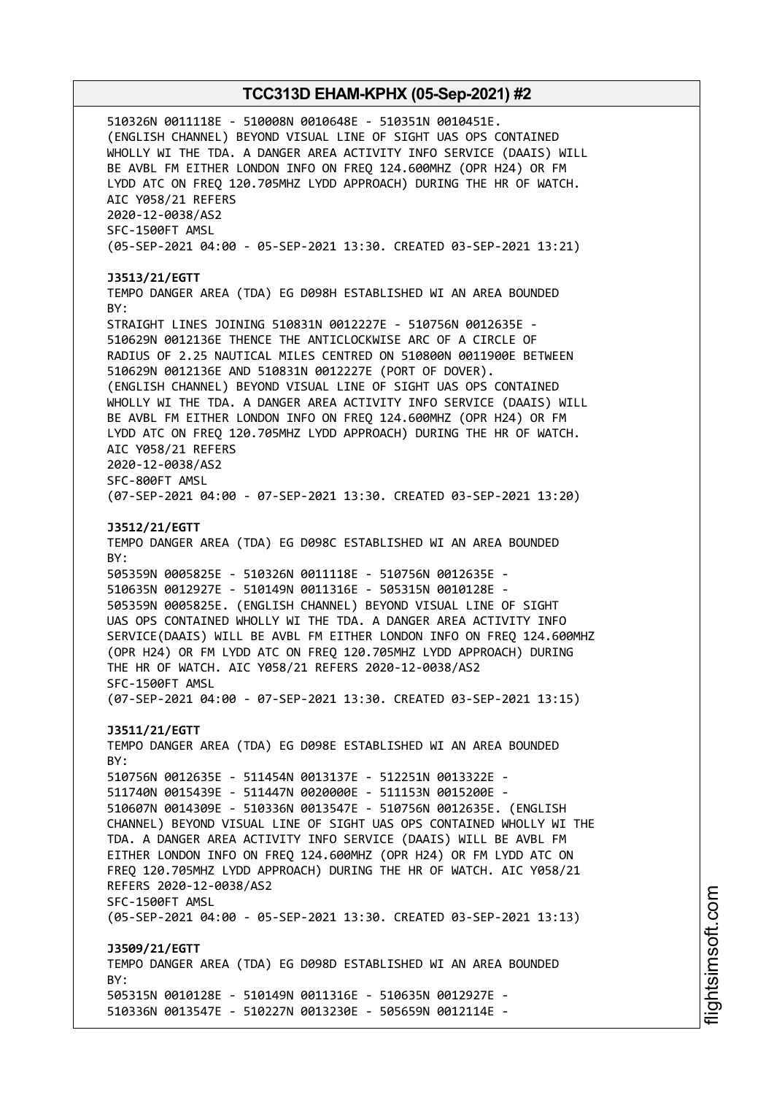510326N 0011118E - 510008N 0010648E - 510351N 0010451E. (ENGLISH CHANNEL) BEYOND VISUAL LINE OF SIGHT UAS OPS CONTAINED WHOLLY WI THE TDA. A DANGER AREA ACTIVITY INFO SERVICE (DAAIS) WILL BE AVBL FM EITHER LONDON INFO ON FREQ 124.600MHZ (OPR H24) OR FM LYDD ATC ON FREQ 120.705MHZ LYDD APPROACH) DURING THE HR OF WATCH. AIC Y058/21 REFERS 2020-12-0038/AS2 SFC-1500FT AMSL (05-SEP-2021 04:00 - 05-SEP-2021 13:30. CREATED 03-SEP-2021 13:21) **J3513/21/EGTT** TEMPO DANGER AREA (TDA) EG D098H ESTABLISHED WI AN AREA BOUNDED BY: STRAIGHT LINES JOINING 510831N 0012227E - 510756N 0012635E - 510629N 0012136E THENCE THE ANTICLOCKWISE ARC OF A CIRCLE OF RADIUS OF 2.25 NAUTICAL MILES CENTRED ON 510800N 0011900E BETWEEN 510629N 0012136E AND 510831N 0012227E (PORT OF DOVER). (ENGLISH CHANNEL) BEYOND VISUAL LINE OF SIGHT UAS OPS CONTAINED WHOLLY WI THE TDA. A DANGER AREA ACTIVITY INFO SERVICE (DAAIS) WILL BE AVBL FM EITHER LONDON INFO ON FREQ 124.600MHZ (OPR H24) OR FM LYDD ATC ON FREQ 120.705MHZ LYDD APPROACH) DURING THE HR OF WATCH. AIC Y058/21 REFERS 2020-12-0038/AS2 SFC-800FT AMSL (07-SEP-2021 04:00 - 07-SEP-2021 13:30. CREATED 03-SEP-2021 13:20) **J3512/21/EGTT** TEMPO DANGER AREA (TDA) EG D098C ESTABLISHED WI AN AREA BOUNDED BY: 505359N 0005825E - 510326N 0011118E - 510756N 0012635E - 510635N 0012927E - 510149N 0011316E - 505315N 0010128E - 505359N 0005825E. (ENGLISH CHANNEL) BEYOND VISUAL LINE OF SIGHT UAS OPS CONTAINED WHOLLY WI THE TDA. A DANGER AREA ACTIVITY INFO SERVICE(DAAIS) WILL BE AVBL FM EITHER LONDON INFO ON FREQ 124.600MHZ (OPR H24) OR FM LYDD ATC ON FREQ 120.705MHZ LYDD APPROACH) DURING THE HR OF WATCH. AIC Y058/21 REFERS 2020-12-0038/AS2 SFC-1500FT AMSL (07-SEP-2021 04:00 - 07-SEP-2021 13:30. CREATED 03-SEP-2021 13:15) **J3511/21/EGTT** TEMPO DANGER AREA (TDA) EG D098E ESTABLISHED WI AN AREA BOUNDED BY: 510756N 0012635E - 511454N 0013137E - 512251N 0013322E - 511740N 0015439E - 511447N 0020000E - 511153N 0015200E - 510607N 0014309E - 510336N 0013547E - 510756N 0012635E. (ENGLISH CHANNEL) BEYOND VISUAL LINE OF SIGHT UAS OPS CONTAINED WHOLLY WI THE TDA. A DANGER AREA ACTIVITY INFO SERVICE (DAAIS) WILL BE AVBL FM EITHER LONDON INFO ON FREQ 124.600MHZ (OPR H24) OR FM LYDD ATC ON FREQ 120.705MHZ LYDD APPROACH) DURING THE HR OF WATCH. AIC Y058/21 REFERS 2020-12-0038/AS2 SFC-1500FT AMSL (05-SEP-2021 04:00 - 05-SEP-2021 13:30. CREATED 03-SEP-2021 13:13) **J3509/21/EGTT** TEMPO DANGER AREA (TDA) EG D098D ESTABLISHED WI AN AREA BOUNDED  $RY$ 505315N 0010128E - 510149N 0011316E - 510635N 0012927E - 510336N 0013547E - 510227N 0013230E - 505659N 0012114E -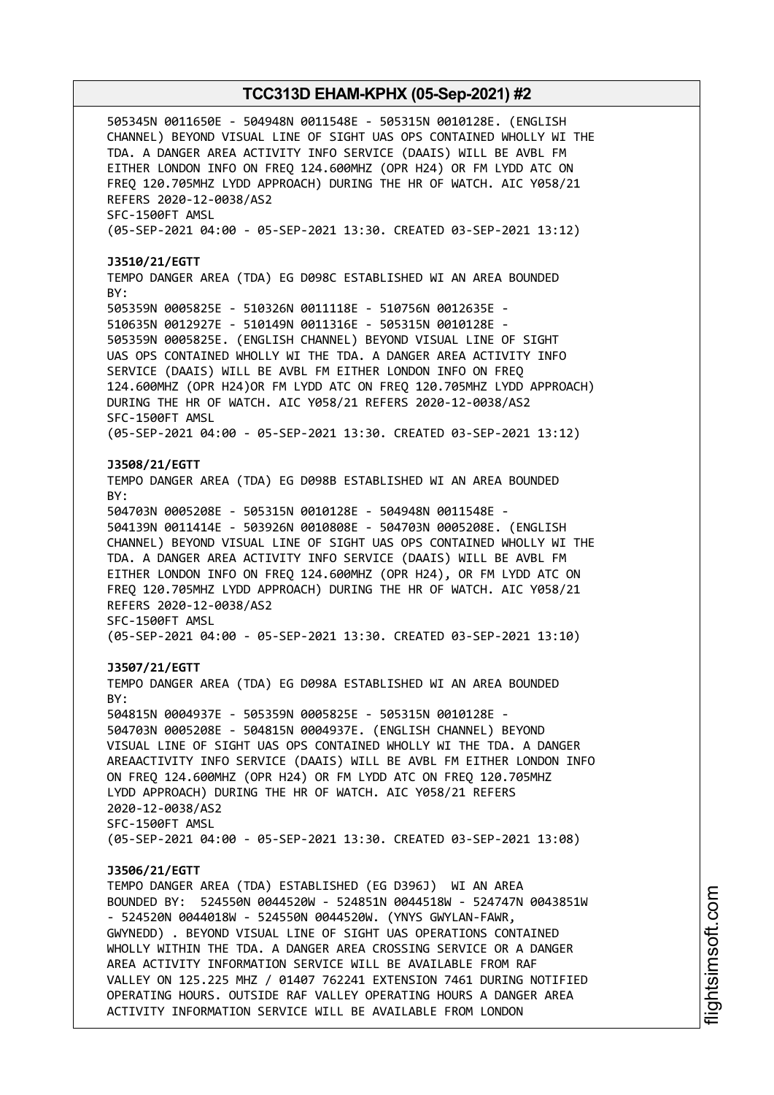505345N 0011650E - 504948N 0011548E - 505315N 0010128E. (ENGLISH CHANNEL) BEYOND VISUAL LINE OF SIGHT UAS OPS CONTAINED WHOLLY WI THE TDA. A DANGER AREA ACTIVITY INFO SERVICE (DAAIS) WILL BE AVBL FM EITHER LONDON INFO ON FREQ 124.600MHZ (OPR H24) OR FM LYDD ATC ON FREQ 120.705MHZ LYDD APPROACH) DURING THE HR OF WATCH. AIC Y058/21 REFERS 2020-12-0038/AS2 SFC-1500FT AMSL (05-SEP-2021 04:00 - 05-SEP-2021 13:30. CREATED 03-SEP-2021 13:12) **J3510/21/EGTT** TEMPO DANGER AREA (TDA) EG D098C ESTABLISHED WI AN AREA BOUNDED BY: 505359N 0005825E - 510326N 0011118E - 510756N 0012635E - 510635N 0012927E - 510149N 0011316E - 505315N 0010128E - 505359N 0005825E. (ENGLISH CHANNEL) BEYOND VISUAL LINE OF SIGHT UAS OPS CONTAINED WHOLLY WI THE TDA. A DANGER AREA ACTIVITY INFO SERVICE (DAAIS) WILL BE AVBL FM EITHER LONDON INFO ON FREQ 124.600MHZ (OPR H24)OR FM LYDD ATC ON FREQ 120.705MHZ LYDD APPROACH) DURING THE HR OF WATCH. AIC Y058/21 REFERS 2020-12-0038/AS2 SFC-1500FT AMSL (05-SEP-2021 04:00 - 05-SEP-2021 13:30. CREATED 03-SEP-2021 13:12) **J3508/21/EGTT** TEMPO DANGER AREA (TDA) EG D098B ESTABLISHED WI AN AREA BOUNDED BY: 504703N 0005208E - 505315N 0010128E - 504948N 0011548E - 504139N 0011414E - 503926N 0010808E - 504703N 0005208E. (ENGLISH CHANNEL) BEYOND VISUAL LINE OF SIGHT UAS OPS CONTAINED WHOLLY WI THE TDA. A DANGER AREA ACTIVITY INFO SERVICE (DAAIS) WILL BE AVBL FM EITHER LONDON INFO ON FREQ 124.600MHZ (OPR H24), OR FM LYDD ATC ON FREQ 120.705MHZ LYDD APPROACH) DURING THE HR OF WATCH. AIC Y058/21 REFERS 2020-12-0038/AS2 SFC-1500FT AMSL (05-SEP-2021 04:00 - 05-SEP-2021 13:30. CREATED 03-SEP-2021 13:10) **J3507/21/EGTT** TEMPO DANGER AREA (TDA) EG D098A ESTABLISHED WI AN AREA BOUNDED BY: 504815N 0004937E - 505359N 0005825E - 505315N 0010128E - 504703N 0005208E - 504815N 0004937E. (ENGLISH CHANNEL) BEYOND VISUAL LINE OF SIGHT UAS OPS CONTAINED WHOLLY WI THE TDA. A DANGER AREAACTIVITY INFO SERVICE (DAAIS) WILL BE AVBL FM EITHER LONDON INFO ON FREQ 124.600MHZ (OPR H24) OR FM LYDD ATC ON FREQ 120.705MHZ LYDD APPROACH) DURING THE HR OF WATCH. AIC Y058/21 REFERS 2020-12-0038/AS2 SFC-1500FT AMSL (05-SEP-2021 04:00 - 05-SEP-2021 13:30. CREATED 03-SEP-2021 13:08) **J3506/21/EGTT** TEMPO DANGER AREA (TDA) ESTABLISHED (EG D396J) WI AN AREA BOUNDED BY: 524550N 0044520W - 524851N 0044518W - 524747N 0043851W - 524520N 0044018W - 524550N 0044520W. (YNYS GWYLAN-FAWR, GWYNEDD) . BEYOND VISUAL LINE OF SIGHT UAS OPERATIONS CONTAINED WHOLLY WITHIN THE TDA. A DANGER AREA CROSSING SERVICE OR A DANGER AREA ACTIVITY INFORMATION SERVICE WILL BE AVAILABLE FROM RAF VALLEY ON 125.225 MHZ / 01407 762241 EXTENSION 7461 DURING NOTIFIED OPERATING HOURS. OUTSIDE RAF VALLEY OPERATING HOURS A DANGER AREA ACTIVITY INFORMATION SERVICE WILL BE AVAILABLE FROM LONDON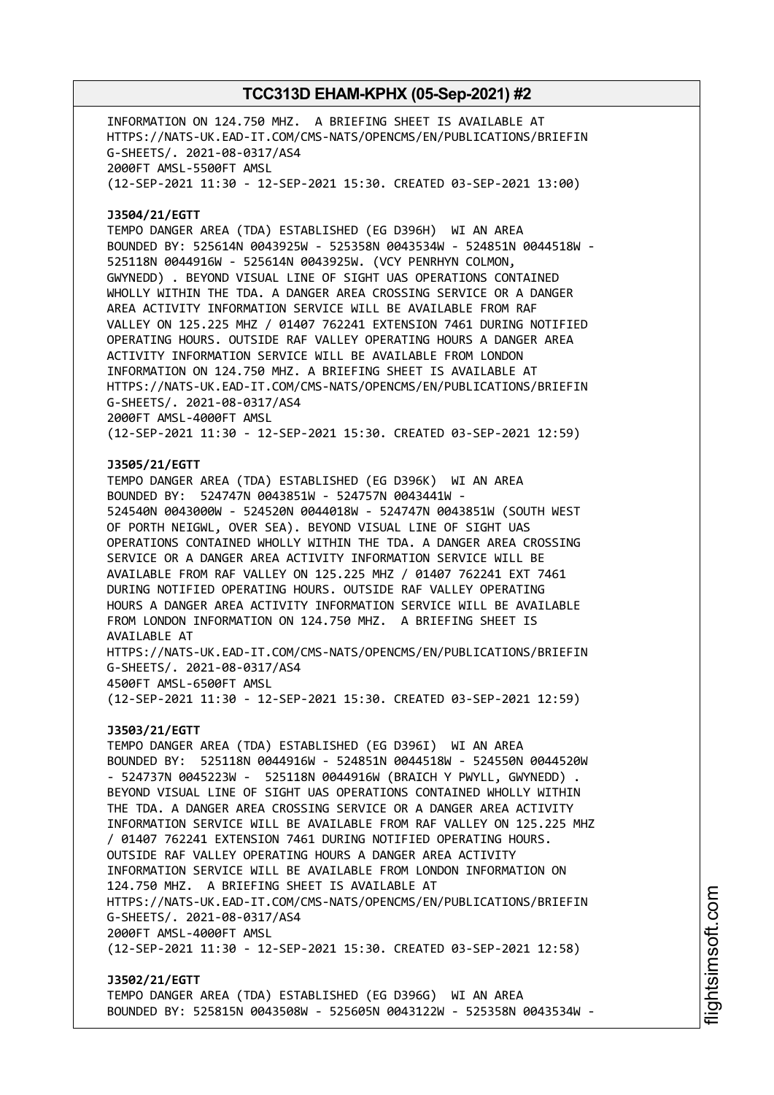INFORMATION ON 124.750 MHZ. A BRIEFING SHEET IS AVAILABLE AT HTTPS://NATS-UK.EAD-IT.COM/CMS-NATS/OPENCMS/EN/PUBLICATIONS/BRIEFIN G-SHEETS/. 2021-08-0317/AS4 2000FT AMSL-5500FT AMSL (12-SEP-2021 11:30 - 12-SEP-2021 15:30. CREATED 03-SEP-2021 13:00) **J3504/21/EGTT** TEMPO DANGER AREA (TDA) ESTABLISHED (EG D396H) WI AN AREA BOUNDED BY: 525614N 0043925W - 525358N 0043534W - 524851N 0044518W - 525118N 0044916W - 525614N 0043925W. (VCY PENRHYN COLMON, GWYNEDD) . BEYOND VISUAL LINE OF SIGHT UAS OPERATIONS CONTAINED WHOLLY WITHIN THE TDA. A DANGER AREA CROSSING SERVICE OR A DANGER AREA ACTIVITY INFORMATION SERVICE WILL BE AVAILABLE FROM RAF VALLEY ON 125.225 MHZ / 01407 762241 EXTENSION 7461 DURING NOTIFIED OPERATING HOURS. OUTSIDE RAF VALLEY OPERATING HOURS A DANGER AREA ACTIVITY INFORMATION SERVICE WILL BE AVAILABLE FROM LONDON INFORMATION ON 124.750 MHZ. A BRIEFING SHEET IS AVAILABLE AT HTTPS://NATS-UK.EAD-IT.COM/CMS-NATS/OPENCMS/EN/PUBLICATIONS/BRIEFIN G-SHEETS/. 2021-08-0317/AS4 2000FT AMSL-4000FT AMSL (12-SEP-2021 11:30 - 12-SEP-2021 15:30. CREATED 03-SEP-2021 12:59) **J3505/21/EGTT** TEMPO DANGER AREA (TDA) ESTABLISHED (EG D396K) WI AN AREA BOUNDED BY: 524747N 0043851W - 524757N 0043441W - 524540N 0043000W - 524520N 0044018W - 524747N 0043851W (SOUTH WEST OF PORTH NEIGWL, OVER SEA). BEYOND VISUAL LINE OF SIGHT UAS OPERATIONS CONTAINED WHOLLY WITHIN THE TDA. A DANGER AREA CROSSING SERVICE OR A DANGER AREA ACTIVITY INFORMATION SERVICE WILL BE AVAILABLE FROM RAF VALLEY ON 125.225 MHZ / 01407 762241 EXT 7461 DURING NOTIFIED OPERATING HOURS. OUTSIDE RAF VALLEY OPERATING HOURS A DANGER AREA ACTIVITY INFORMATION SERVICE WILL BE AVAILABLE FROM LONDON INFORMATION ON 124.750 MHZ. A BRIEFING SHEET IS AVAILABLE AT HTTPS://NATS-UK.EAD-IT.COM/CMS-NATS/OPENCMS/EN/PUBLICATIONS/BRIEFIN G-SHEETS/. 2021-08-0317/AS4 4500FT AMSL-6500FT AMSL (12-SEP-2021 11:30 - 12-SEP-2021 15:30. CREATED 03-SEP-2021 12:59) **J3503/21/EGTT** TEMPO DANGER AREA (TDA) ESTABLISHED (EG D396I) WI AN AREA BOUNDED BY: 525118N 0044916W - 524851N 0044518W - 524550N 0044520W - 524737N 0045223W - 525118N 0044916W (BRAICH Y PWYLL, GWYNEDD) . BEYOND VISUAL LINE OF SIGHT UAS OPERATIONS CONTAINED WHOLLY WITHIN THE TDA. A DANGER AREA CROSSING SERVICE OR A DANGER AREA ACTIVITY INFORMATION SERVICE WILL BE AVAILABLE FROM RAF VALLEY ON 125.225 MHZ / 01407 762241 EXTENSION 7461 DURING NOTIFIED OPERATING HOURS. OUTSIDE RAF VALLEY OPERATING HOURS A DANGER AREA ACTIVITY INFORMATION SERVICE WILL BE AVAILABLE FROM LONDON INFORMATION ON 124.750 MHZ. A BRIEFING SHEET IS AVAILABLE AT HTTPS://NATS-UK.EAD-IT.COM/CMS-NATS/OPENCMS/EN/PUBLICATIONS/BRIEFIN G-SHEETS/. 2021-08-0317/AS4 2000FT AMSL-4000FT AMSL (12-SEP-2021 11:30 - 12-SEP-2021 15:30. CREATED 03-SEP-2021 12:58) **J3502/21/EGTT**

TEMPO DANGER AREA (TDA) ESTABLISHED (EG D396G) WI AN AREA BOUNDED BY: 525815N 0043508W - 525605N 0043122W - 525358N 0043534W -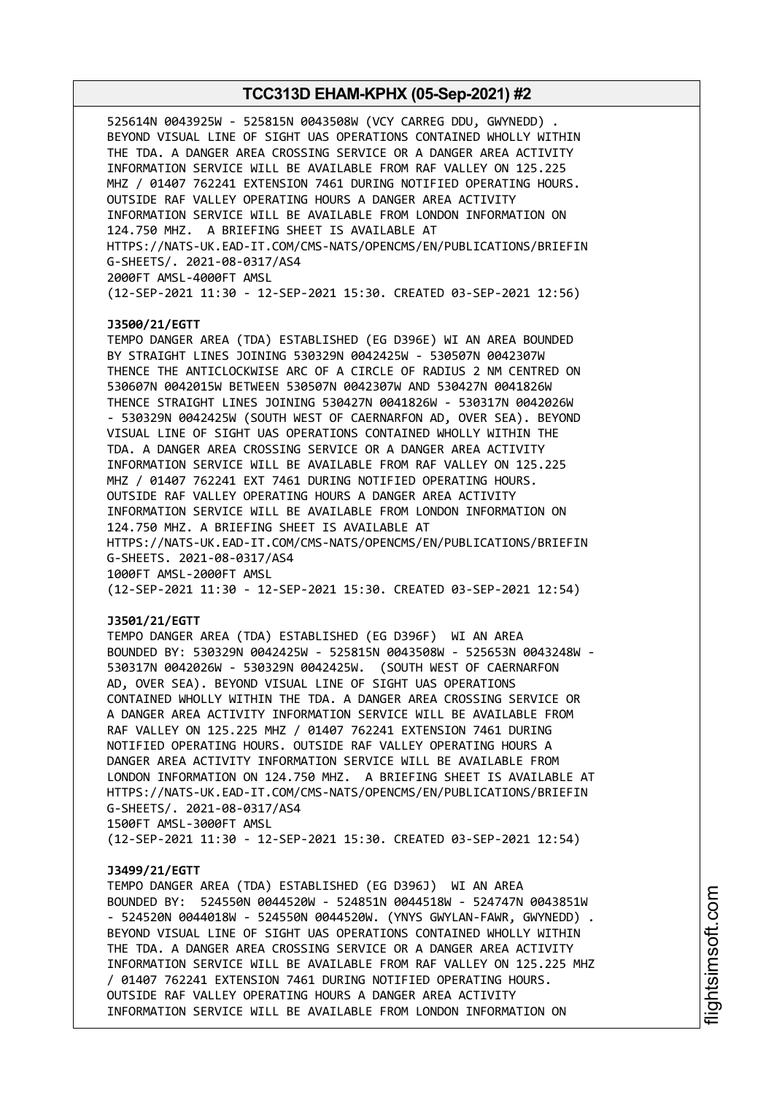525614N 0043925W - 525815N 0043508W (VCY CARREG DDU, GWYNEDD) . BEYOND VISUAL LINE OF SIGHT UAS OPERATIONS CONTAINED WHOLLY WITHIN THE TDA. A DANGER AREA CROSSING SERVICE OR A DANGER AREA ACTIVITY INFORMATION SERVICE WILL BE AVAILABLE FROM RAF VALLEY ON 125.225 MHZ / 01407 762241 EXTENSION 7461 DURING NOTIFIED OPERATING HOURS. OUTSIDE RAF VALLEY OPERATING HOURS A DANGER AREA ACTIVITY INFORMATION SERVICE WILL BE AVAILABLE FROM LONDON INFORMATION ON 124.750 MHZ. A BRIEFING SHEET IS AVAILABLE AT HTTPS://NATS-UK.EAD-IT.COM/CMS-NATS/OPENCMS/EN/PUBLICATIONS/BRIEFIN G-SHEETS/. 2021-08-0317/AS4 2000FT AMSL-4000FT AMSL (12-SEP-2021 11:30 - 12-SEP-2021 15:30. CREATED 03-SEP-2021 12:56)

#### **J3500/21/EGTT**

TEMPO DANGER AREA (TDA) ESTABLISHED (EG D396E) WI AN AREA BOUNDED BY STRAIGHT LINES JOINING 530329N 0042425W - 530507N 0042307W THENCE THE ANTICLOCKWISE ARC OF A CIRCLE OF RADIUS 2 NM CENTRED ON 530607N 0042015W BETWEEN 530507N 0042307W AND 530427N 0041826W THENCE STRAIGHT LINES JOINING 530427N 0041826W - 530317N 0042026W - 530329N 0042425W (SOUTH WEST OF CAERNARFON AD, OVER SEA). BEYOND VISUAL LINE OF SIGHT UAS OPERATIONS CONTAINED WHOLLY WITHIN THE TDA. A DANGER AREA CROSSING SERVICE OR A DANGER AREA ACTIVITY INFORMATION SERVICE WILL BE AVAILABLE FROM RAF VALLEY ON 125.225 MHZ / 01407 762241 EXT 7461 DURING NOTIFIED OPERATING HOURS. OUTSIDE RAF VALLEY OPERATING HOURS A DANGER AREA ACTIVITY INFORMATION SERVICE WILL BE AVAILABLE FROM LONDON INFORMATION ON 124.750 MHZ. A BRIEFING SHEET IS AVAILABLE AT HTTPS://NATS-UK.EAD-IT.COM/CMS-NATS/OPENCMS/EN/PUBLICATIONS/BRIEFIN G-SHEETS. 2021-08-0317/AS4 1000FT AMSL-2000FT AMSL (12-SEP-2021 11:30 - 12-SEP-2021 15:30. CREATED 03-SEP-2021 12:54)

#### **J3501/21/EGTT**

TEMPO DANGER AREA (TDA) ESTABLISHED (EG D396F) WI AN AREA BOUNDED BY: 530329N 0042425W - 525815N 0043508W - 525653N 0043248W - 530317N 0042026W - 530329N 0042425W. (SOUTH WEST OF CAERNARFON AD, OVER SEA). BEYOND VISUAL LINE OF SIGHT UAS OPERATIONS CONTAINED WHOLLY WITHIN THE TDA. A DANGER AREA CROSSING SERVICE OR A DANGER AREA ACTIVITY INFORMATION SERVICE WILL BE AVAILABLE FROM RAF VALLEY ON 125.225 MHZ / 01407 762241 EXTENSION 7461 DURING NOTIFIED OPERATING HOURS. OUTSIDE RAF VALLEY OPERATING HOURS A DANGER AREA ACTIVITY INFORMATION SERVICE WILL BE AVAILABLE FROM LONDON INFORMATION ON 124.750 MHZ. A BRIEFING SHEET IS AVAILABLE AT HTTPS://NATS-UK.EAD-IT.COM/CMS-NATS/OPENCMS/EN/PUBLICATIONS/BRIEFIN G-SHEETS/. 2021-08-0317/AS4 1500FT AMSL-3000FT AMSL

(12-SEP-2021 11:30 - 12-SEP-2021 15:30. CREATED 03-SEP-2021 12:54)

#### **J3499/21/EGTT**

TEMPO DANGER AREA (TDA) ESTABLISHED (EG D396J) WI AN AREA BOUNDED BY: 524550N 0044520W - 524851N 0044518W - 524747N 0043851W - 524520N 0044018W - 524550N 0044520W. (YNYS GWYLAN-FAWR, GWYNEDD) . BEYOND VISUAL LINE OF SIGHT UAS OPERATIONS CONTAINED WHOLLY WITHIN THE TDA. A DANGER AREA CROSSING SERVICE OR A DANGER AREA ACTIVITY INFORMATION SERVICE WILL BE AVAILABLE FROM RAF VALLEY ON 125.225 MHZ / 01407 762241 EXTENSION 7461 DURING NOTIFIED OPERATING HOURS. OUTSIDE RAF VALLEY OPERATING HOURS A DANGER AREA ACTIVITY INFORMATION SERVICE WILL BE AVAILABLE FROM LONDON INFORMATION ON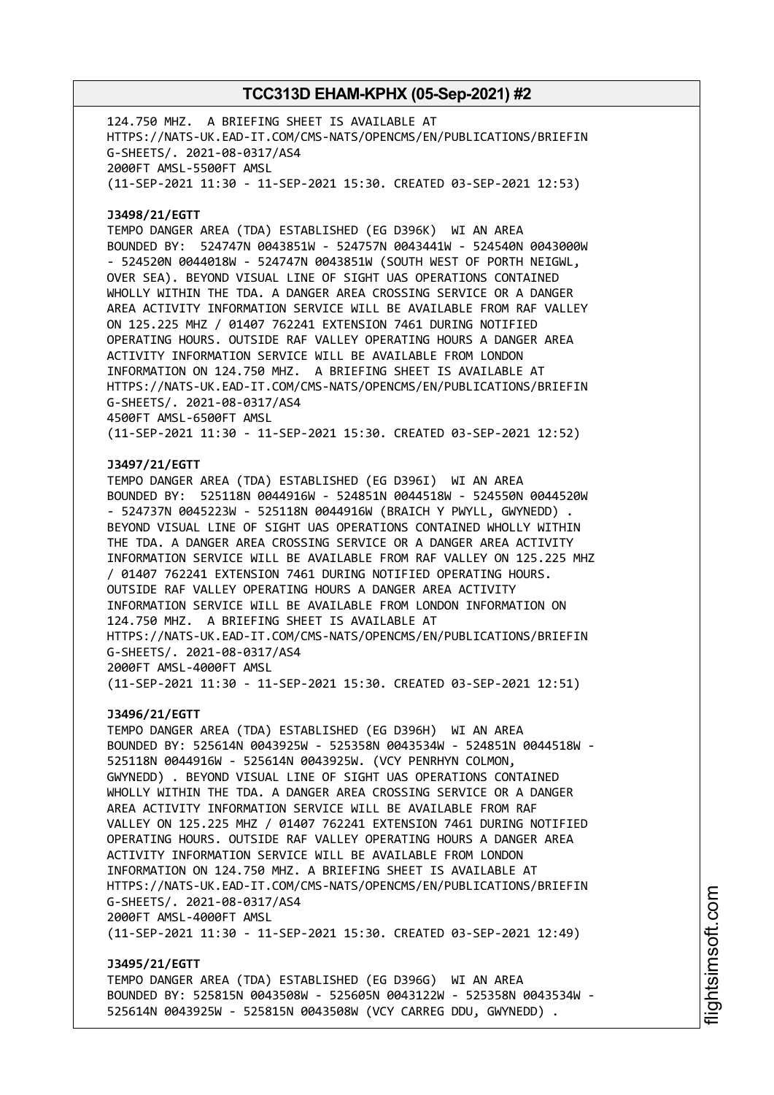124.750 MHZ. A BRIEFING SHEET IS AVAILABLE AT HTTPS://NATS-UK.EAD-IT.COM/CMS-NATS/OPENCMS/EN/PUBLICATIONS/BRIEFIN G-SHEETS/. 2021-08-0317/AS4 2000FT AMSL-5500FT AMSL (11-SEP-2021 11:30 - 11-SEP-2021 15:30. CREATED 03-SEP-2021 12:53) **J3498/21/EGTT** TEMPO DANGER AREA (TDA) ESTABLISHED (EG D396K) WI AN AREA BOUNDED BY: 524747N 0043851W - 524757N 0043441W - 524540N 0043000W - 524520N 0044018W - 524747N 0043851W (SOUTH WEST OF PORTH NEIGWL, OVER SEA). BEYOND VISUAL LINE OF SIGHT UAS OPERATIONS CONTAINED WHOLLY WITHIN THE TDA. A DANGER AREA CROSSING SERVICE OR A DANGER AREA ACTIVITY INFORMATION SERVICE WILL BE AVAILABLE FROM RAF VALLEY ON 125.225 MHZ / 01407 762241 EXTENSION 7461 DURING NOTIFIED OPERATING HOURS. OUTSIDE RAF VALLEY OPERATING HOURS A DANGER AREA ACTIVITY INFORMATION SERVICE WILL BE AVAILABLE FROM LONDON INFORMATION ON 124.750 MHZ. A BRIEFING SHEET IS AVAILABLE AT HTTPS://NATS-UK.EAD-IT.COM/CMS-NATS/OPENCMS/EN/PUBLICATIONS/BRIEFIN G-SHEETS/. 2021-08-0317/AS4 4500FT AMSL-6500FT AMSL (11-SEP-2021 11:30 - 11-SEP-2021 15:30. CREATED 03-SEP-2021 12:52) **J3497/21/EGTT** TEMPO DANGER AREA (TDA) ESTABLISHED (EG D396I) WI AN AREA BOUNDED BY: 525118N 0044916W - 524851N 0044518W - 524550N 0044520W - 524737N 0045223W - 525118N 0044916W (BRAICH Y PWYLL, GWYNEDD) . BEYOND VISUAL LINE OF SIGHT UAS OPERATIONS CONTAINED WHOLLY WITHIN THE TDA. A DANGER AREA CROSSING SERVICE OR A DANGER AREA ACTIVITY INFORMATION SERVICE WILL BE AVAILABLE FROM RAF VALLEY ON 125.225 MHZ / 01407 762241 EXTENSION 7461 DURING NOTIFIED OPERATING HOURS. OUTSIDE RAF VALLEY OPERATING HOURS A DANGER AREA ACTIVITY INFORMATION SERVICE WILL BE AVAILABLE FROM LONDON INFORMATION ON 124.750 MHZ. A BRIEFING SHEET IS AVAILABLE AT HTTPS://NATS-UK.EAD-IT.COM/CMS-NATS/OPENCMS/EN/PUBLICATIONS/BRIEFIN G-SHEETS/. 2021-08-0317/AS4 2000FT AMSL-4000FT AMSL (11-SEP-2021 11:30 - 11-SEP-2021 15:30. CREATED 03-SEP-2021 12:51) **J3496/21/EGTT** TEMPO DANGER AREA (TDA) ESTABLISHED (EG D396H) WI AN AREA BOUNDED BY: 525614N 0043925W - 525358N 0043534W - 524851N 0044518W - 525118N 0044916W - 525614N 0043925W. (VCY PENRHYN COLMON, GWYNEDD) . BEYOND VISUAL LINE OF SIGHT UAS OPERATIONS CONTAINED WHOLLY WITHIN THE TDA. A DANGER AREA CROSSING SERVICE OR A DANGER AREA ACTIVITY INFORMATION SERVICE WILL BE AVAILABLE FROM RAF VALLEY ON 125.225 MHZ / 01407 762241 EXTENSION 7461 DURING NOTIFIED OPERATING HOURS. OUTSIDE RAF VALLEY OPERATING HOURS A DANGER AREA ACTIVITY INFORMATION SERVICE WILL BE AVAILABLE FROM LONDON INFORMATION ON 124.750 MHZ. A BRIEFING SHEET IS AVAILABLE AT HTTPS://NATS-UK.EAD-IT.COM/CMS-NATS/OPENCMS/EN/PUBLICATIONS/BRIEFIN G-SHEETS/. 2021-08-0317/AS4 2000FT AMSL-4000FT AMSL (11-SEP-2021 11:30 - 11-SEP-2021 15:30. CREATED 03-SEP-2021 12:49) **J3495/21/EGTT**

TEMPO DANGER AREA (TDA) ESTABLISHED (EG D396G) WI AN AREA BOUNDED BY: 525815N 0043508W - 525605N 0043122W - 525358N 0043534W - 525614N 0043925W - 525815N 0043508W (VCY CARREG DDU, GWYNEDD) .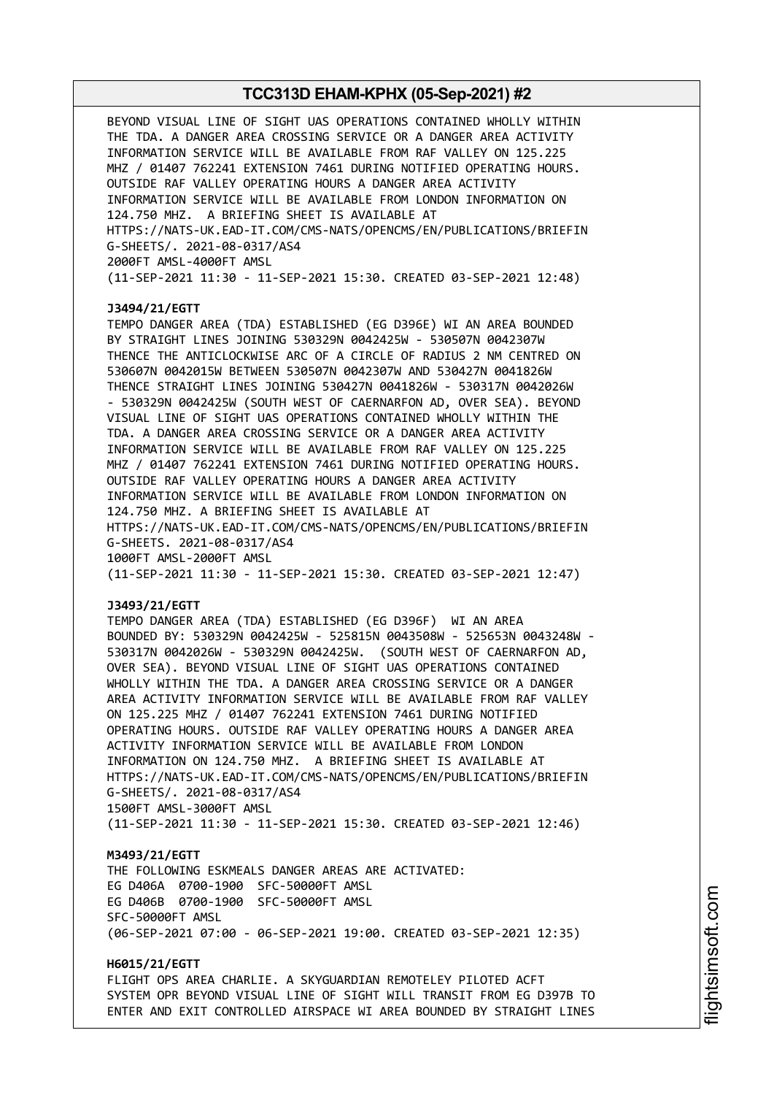BEYOND VISUAL LINE OF SIGHT UAS OPERATIONS CONTAINED WHOLLY WITHIN THE TDA. A DANGER AREA CROSSING SERVICE OR A DANGER AREA ACTIVITY INFORMATION SERVICE WILL BE AVAILABLE FROM RAF VALLEY ON 125.225 MHZ / 01407 762241 EXTENSION 7461 DURING NOTIFIED OPERATING HOURS. OUTSIDE RAF VALLEY OPERATING HOURS A DANGER AREA ACTIVITY INFORMATION SERVICE WILL BE AVAILABLE FROM LONDON INFORMATION ON 124.750 MHZ. A BRIEFING SHEET IS AVAILABLE AT HTTPS://NATS-UK.EAD-IT.COM/CMS-NATS/OPENCMS/EN/PUBLICATIONS/BRIEFIN G-SHEETS/. 2021-08-0317/AS4 2000FT AMSL-4000FT AMSL (11-SEP-2021 11:30 - 11-SEP-2021 15:30. CREATED 03-SEP-2021 12:48) **J3494/21/EGTT** TEMPO DANGER AREA (TDA) ESTABLISHED (EG D396E) WI AN AREA BOUNDED BY STRAIGHT LINES JOINING 530329N 0042425W - 530507N 0042307W THENCE THE ANTICLOCKWISE ARC OF A CIRCLE OF RADIUS 2 NM CENTRED ON 530607N 0042015W BETWEEN 530507N 0042307W AND 530427N 0041826W THENCE STRAIGHT LINES JOINING 530427N 0041826W - 530317N 0042026W - 530329N 0042425W (SOUTH WEST OF CAERNARFON AD, OVER SEA). BEYOND VISUAL LINE OF SIGHT UAS OPERATIONS CONTAINED WHOLLY WITHIN THE TDA. A DANGER AREA CROSSING SERVICE OR A DANGER AREA ACTIVITY INFORMATION SERVICE WILL BE AVAILABLE FROM RAF VALLEY ON 125.225 MHZ / 01407 762241 EXTENSION 7461 DURING NOTIFIED OPERATING HOURS. OUTSIDE RAF VALLEY OPERATING HOURS A DANGER AREA ACTIVITY INFORMATION SERVICE WILL BE AVAILABLE FROM LONDON INFORMATION ON 124.750 MHZ. A BRIEFING SHEET IS AVAILABLE AT HTTPS://NATS-UK.EAD-IT.COM/CMS-NATS/OPENCMS/EN/PUBLICATIONS/BRIEFIN G-SHEETS. 2021-08-0317/AS4 1000FT AMSL-2000FT AMSL (11-SEP-2021 11:30 - 11-SEP-2021 15:30. CREATED 03-SEP-2021 12:47)

#### **J3493/21/EGTT**

TEMPO DANGER AREA (TDA) ESTABLISHED (EG D396F) WI AN AREA BOUNDED BY: 530329N 0042425W - 525815N 0043508W - 525653N 0043248W - 530317N 0042026W - 530329N 0042425W. (SOUTH WEST OF CAERNARFON AD, OVER SEA). BEYOND VISUAL LINE OF SIGHT UAS OPERATIONS CONTAINED WHOLLY WITHIN THE TDA. A DANGER AREA CROSSING SERVICE OR A DANGER AREA ACTIVITY INFORMATION SERVICE WILL BE AVAILABLE FROM RAF VALLEY ON 125.225 MHZ / 01407 762241 EXTENSION 7461 DURING NOTIFIED OPERATING HOURS. OUTSIDE RAF VALLEY OPERATING HOURS A DANGER AREA ACTIVITY INFORMATION SERVICE WILL BE AVAILABLE FROM LONDON INFORMATION ON 124.750 MHZ. A BRIEFING SHEET IS AVAILABLE AT HTTPS://NATS-UK.EAD-IT.COM/CMS-NATS/OPENCMS/EN/PUBLICATIONS/BRIEFIN G-SHEETS/. 2021-08-0317/AS4 1500FT AMSL-3000FT AMSL (11-SEP-2021 11:30 - 11-SEP-2021 15:30. CREATED 03-SEP-2021 12:46)

**M3493/21/EGTT** THE FOLLOWING ESKMEALS DANGER AREAS ARE ACTIVATED: EG D406A 0700-1900 SFC-50000FT AMSL EG D406B 0700-1900 SFC-50000FT AMSL SFC-50000FT AMSL (06-SEP-2021 07:00 - 06-SEP-2021 19:00. CREATED 03-SEP-2021 12:35)

**H6015/21/EGTT** FLIGHT OPS AREA CHARLIE. A SKYGUARDIAN REMOTELEY PILOTED ACFT SYSTEM OPR BEYOND VISUAL LINE OF SIGHT WILL TRANSIT FROM EG D397B TO ENTER AND EXIT CONTROLLED AIRSPACE WI AREA BOUNDED BY STRAIGHT LINES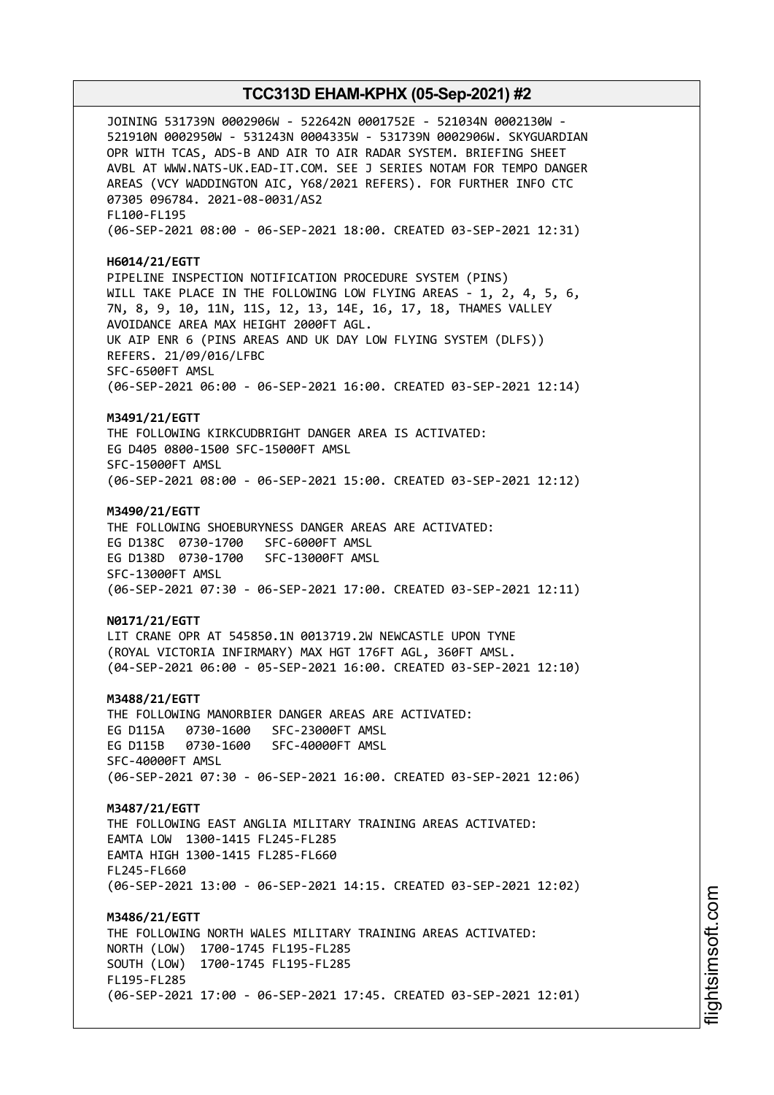JOINING 531739N 0002906W - 522642N 0001752E - 521034N 0002130W - 521910N 0002950W - 531243N 0004335W - 531739N 0002906W. SKYGUARDIAN OPR WITH TCAS, ADS-B AND AIR TO AIR RADAR SYSTEM. BRIEFING SHEET AVBL AT WWW.NATS-UK.EAD-IT.COM. SEE J SERIES NOTAM FOR TEMPO DANGER AREAS (VCY WADDINGTON AIC, Y68/2021 REFERS). FOR FURTHER INFO CTC 07305 096784. 2021-08-0031/AS2 FL100-FL195 (06-SEP-2021 08:00 - 06-SEP-2021 18:00. CREATED 03-SEP-2021 12:31) **H6014/21/EGTT** PIPELINE INSPECTION NOTIFICATION PROCEDURE SYSTEM (PINS) WILL TAKE PLACE IN THE FOLLOWING LOW FLYING AREAS - 1, 2, 4, 5, 6, 7N, 8, 9, 10, 11N, 11S, 12, 13, 14E, 16, 17, 18, THAMES VALLEY AVOIDANCE AREA MAX HEIGHT 2000FT AGL. UK AIP ENR 6 (PINS AREAS AND UK DAY LOW FLYING SYSTEM (DLFS)) REFERS. 21/09/016/LFBC SFC-6500FT AMSL (06-SEP-2021 06:00 - 06-SEP-2021 16:00. CREATED 03-SEP-2021 12:14) **M3491/21/EGTT** THE FOLLOWING KIRKCUDBRIGHT DANGER AREA IS ACTIVATED: EG D405 0800-1500 SFC-15000FT AMSL SFC-15000FT AMSL (06-SEP-2021 08:00 - 06-SEP-2021 15:00. CREATED 03-SEP-2021 12:12) **M3490/21/EGTT** THE FOLLOWING SHOEBURYNESS DANGER AREAS ARE ACTIVATED: EG D138C 0730-1700 SFC-6000FT AMSL EG D138D 0730-1700 SFC-13000FT AMSL SFC-13000FT AMSL (06-SEP-2021 07:30 - 06-SEP-2021 17:00. CREATED 03-SEP-2021 12:11) **N0171/21/EGTT** LIT CRANE OPR AT 545850.1N 0013719.2W NEWCASTLE UPON TYNE (ROYAL VICTORIA INFIRMARY) MAX HGT 176FT AGL, 360FT AMSL. (04-SEP-2021 06:00 - 05-SEP-2021 16:00. CREATED 03-SEP-2021 12:10) **M3488/21/EGTT** THE FOLLOWING MANORBIER DANGER AREAS ARE ACTIVATED: EG D115A 0730-1600 SFC-23000FT AMSL EG D115B 0730-1600 SFC-40000FT AMSL SFC-40000FT AMSL (06-SEP-2021 07:30 - 06-SEP-2021 16:00. CREATED 03-SEP-2021 12:06) **M3487/21/EGTT** THE FOLLOWING EAST ANGLIA MILITARY TRAINING AREAS ACTIVATED: EAMTA LOW 1300-1415 FL245-FL285 EAMTA HIGH 1300-1415 FL285-FL660 FL245-FL660 (06-SEP-2021 13:00 - 06-SEP-2021 14:15. CREATED 03-SEP-2021 12:02) **M3486/21/EGTT** THE FOLLOWING NORTH WALES MILITARY TRAINING AREAS ACTIVATED: NORTH (LOW) 1700-1745 FL195-FL285 SOUTH (LOW) 1700-1745 FL195-FL285 FL195-FL285 (06-SEP-2021 17:00 - 06-SEP-2021 17:45. CREATED 03-SEP-2021 12:01)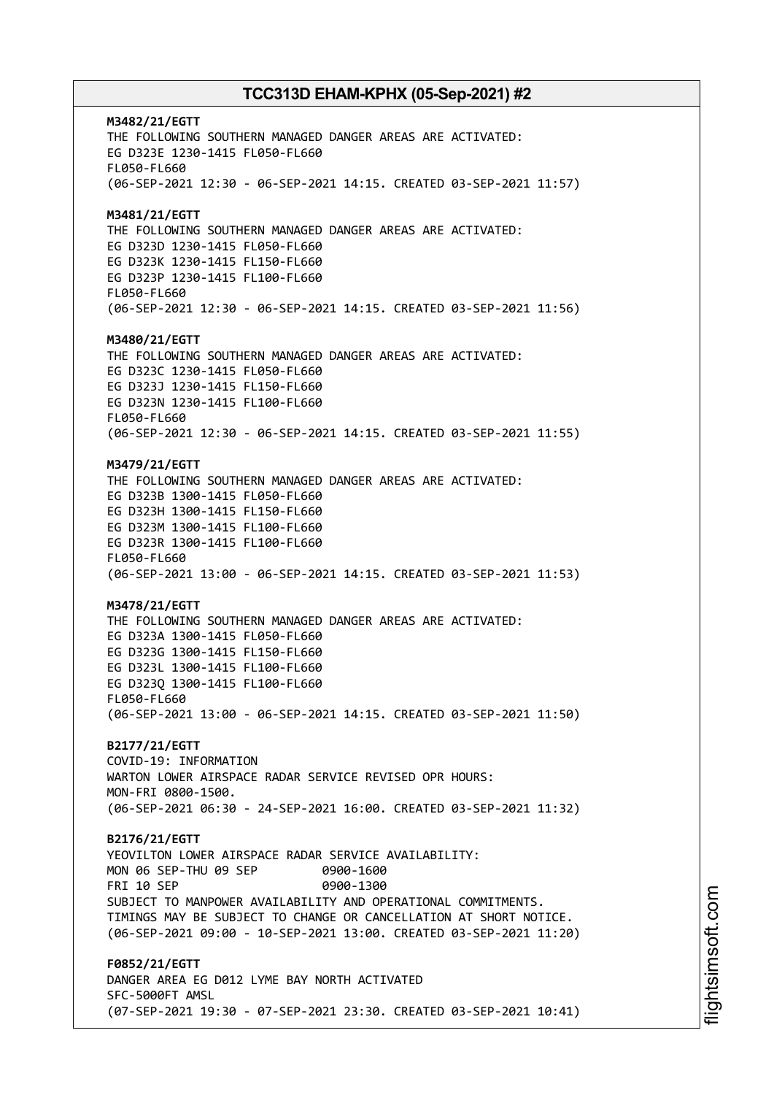**M3482/21/EGTT** THE FOLLOWING SOUTHERN MANAGED DANGER AREAS ARE ACTIVATED: EG D323E 1230-1415 FL050-FL660 FL050-FL660 (06-SEP-2021 12:30 - 06-SEP-2021 14:15. CREATED 03-SEP-2021 11:57) **M3481/21/EGTT** THE FOLLOWING SOUTHERN MANAGED DANGER AREAS ARE ACTIVATED: EG D323D 1230-1415 FL050-FL660 EG D323K 1230-1415 FL150-FL660 EG D323P 1230-1415 FL100-FL660 FL050-FL660 (06-SEP-2021 12:30 - 06-SEP-2021 14:15. CREATED 03-SEP-2021 11:56) **M3480/21/EGTT** THE FOLLOWING SOUTHERN MANAGED DANGER AREAS ARE ACTIVATED: EG D323C 1230-1415 FL050-FL660 EG D323J 1230-1415 FL150-FL660 EG D323N 1230-1415 FL100-FL660 FL050-FL660 (06-SEP-2021 12:30 - 06-SEP-2021 14:15. CREATED 03-SEP-2021 11:55) **M3479/21/EGTT** THE FOLLOWING SOUTHERN MANAGED DANGER AREAS ARE ACTIVATED: EG D323B 1300-1415 FL050-FL660 EG D323H 1300-1415 FL150-FL660 EG D323M 1300-1415 FL100-FL660 EG D323R 1300-1415 FL100-FL660 FL050-FL660 (06-SEP-2021 13:00 - 06-SEP-2021 14:15. CREATED 03-SEP-2021 11:53) **M3478/21/EGTT** THE FOLLOWING SOUTHERN MANAGED DANGER AREAS ARE ACTIVATED: EG D323A 1300-1415 FL050-FL660 EG D323G 1300-1415 FL150-FL660 EG D323L 1300-1415 FL100-FL660 EG D323Q 1300-1415 FL100-FL660 FL050-FL660 (06-SEP-2021 13:00 - 06-SEP-2021 14:15. CREATED 03-SEP-2021 11:50) **B2177/21/EGTT** COVID-19: INFORMATION WARTON LOWER AIRSPACE RADAR SERVICE REVISED OPR HOURS: MON-FRI 0800-1500. (06-SEP-2021 06:30 - 24-SEP-2021 16:00. CREATED 03-SEP-2021 11:32) **B2176/21/EGTT** YEOVILTON LOWER AIRSPACE RADAR SERVICE AVAILABILITY: MON 06 SEP-THU 09 SEP 0900-1600 FRI 10 SEP 0900-1300 SUBJECT TO MANPOWER AVAILABILITY AND OPERATIONAL COMMITMENTS. TIMINGS MAY BE SUBJECT TO CHANGE OR CANCELLATION AT SHORT NOTICE. (06-SEP-2021 09:00 - 10-SEP-2021 13:00. CREATED 03-SEP-2021 11:20) **F0852/21/EGTT** DANGER AREA EG D012 LYME BAY NORTH ACTIVATED SFC-5000FT AMSL (07-SEP-2021 19:30 - 07-SEP-2021 23:30. CREATED 03-SEP-2021 10:41)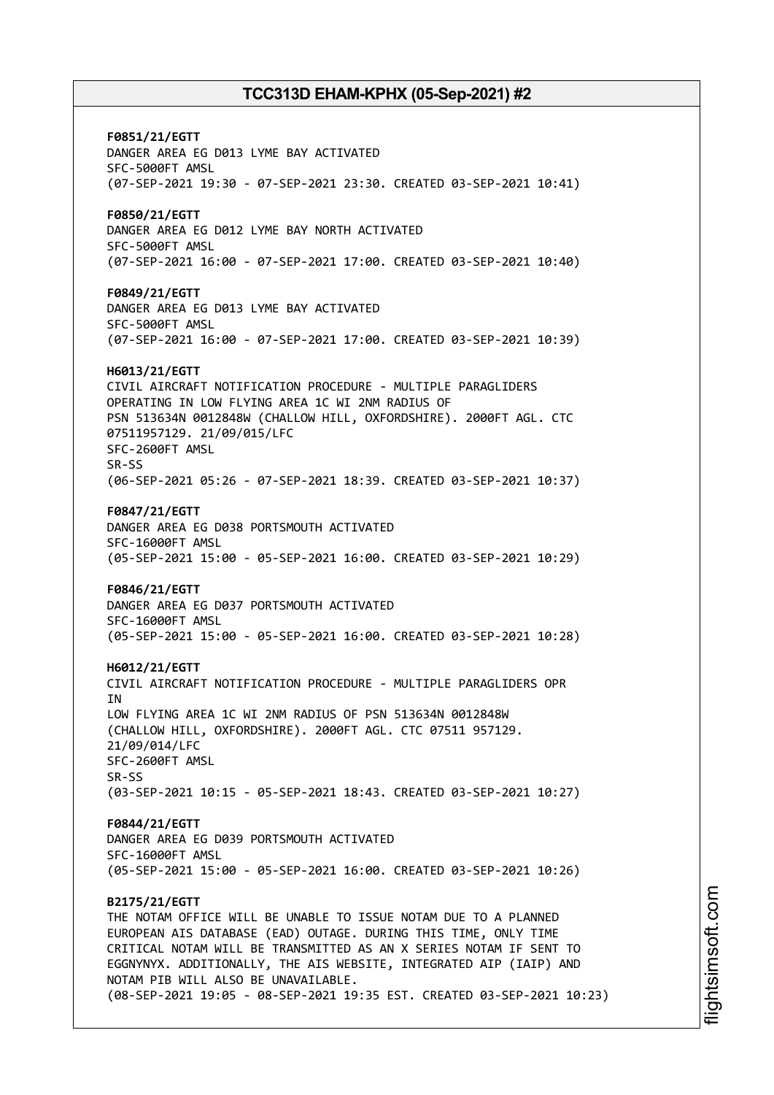**F0851/21/EGTT** DANGER AREA EG D013 LYME BAY ACTIVATED SFC-5000FT AMSL (07-SEP-2021 19:30 - 07-SEP-2021 23:30. CREATED 03-SEP-2021 10:41) **F0850/21/EGTT** DANGER AREA EG D012 LYME BAY NORTH ACTIVATED SFC-5000FT AMSL (07-SEP-2021 16:00 - 07-SEP-2021 17:00. CREATED 03-SEP-2021 10:40) **F0849/21/EGTT** DANGER AREA EG D013 LYME BAY ACTIVATED SFC-5000FT AMSL (07-SEP-2021 16:00 - 07-SEP-2021 17:00. CREATED 03-SEP-2021 10:39) **H6013/21/EGTT** CIVIL AIRCRAFT NOTIFICATION PROCEDURE - MULTIPLE PARAGLIDERS OPERATING IN LOW FLYING AREA 1C WI 2NM RADIUS OF PSN 513634N 0012848W (CHALLOW HILL, OXFORDSHIRE). 2000FT AGL. CTC 07511957129. 21/09/015/LFC SFC-2600FT AMSL SR-SS (06-SEP-2021 05:26 - 07-SEP-2021 18:39. CREATED 03-SEP-2021 10:37) **F0847/21/EGTT** DANGER AREA EG D038 PORTSMOUTH ACTIVATED SFC-16000FT AMSL (05-SEP-2021 15:00 - 05-SEP-2021 16:00. CREATED 03-SEP-2021 10:29) **F0846/21/EGTT** DANGER AREA EG D037 PORTSMOUTH ACTIVATED SFC-16000FT AMSL (05-SEP-2021 15:00 - 05-SEP-2021 16:00. CREATED 03-SEP-2021 10:28) **H6012/21/EGTT** CIVIL AIRCRAFT NOTIFICATION PROCEDURE - MULTIPLE PARAGLIDERS OPR **TN** LOW FLYING AREA 1C WI 2NM RADIUS OF PSN 513634N 0012848W (CHALLOW HILL, OXFORDSHIRE). 2000FT AGL. CTC 07511 957129. 21/09/014/LFC SFC-2600FT AMSL SR-SS (03-SEP-2021 10:15 - 05-SEP-2021 18:43. CREATED 03-SEP-2021 10:27) **F0844/21/EGTT** DANGER AREA EG D039 PORTSMOUTH ACTIVATED SFC-16000FT AMSL (05-SEP-2021 15:00 - 05-SEP-2021 16:00. CREATED 03-SEP-2021 10:26) **B2175/21/EGTT** THE NOTAM OFFICE WILL BE UNABLE TO ISSUE NOTAM DUE TO A PLANNED EUROPEAN AIS DATABASE (EAD) OUTAGE. DURING THIS TIME, ONLY TIME CRITICAL NOTAM WILL BE TRANSMITTED AS AN X SERIES NOTAM IF SENT TO EGGNYNYX. ADDITIONALLY, THE AIS WEBSITE, INTEGRATED AIP (IAIP) AND NOTAM PIB WILL ALSO BE UNAVAILABLE. (08-SEP-2021 19:05 - 08-SEP-2021 19:35 EST. CREATED 03-SEP-2021 10:23)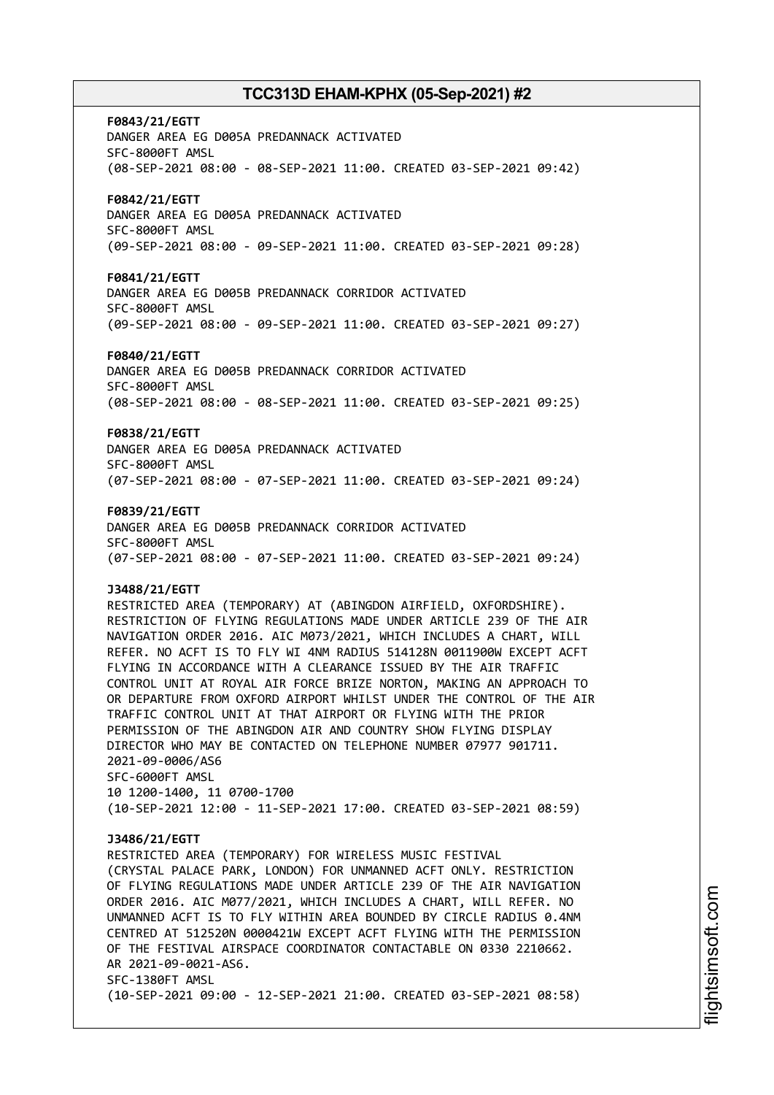**F0843/21/EGTT** DANGER AREA EG D005A PREDANNACK ACTIVATED SFC-8000FT AMSL (08-SEP-2021 08:00 - 08-SEP-2021 11:00. CREATED 03-SEP-2021 09:42) **F0842/21/EGTT** DANGER AREA EG D005A PREDANNACK ACTIVATED SFC-8000FT AMSL (09-SEP-2021 08:00 - 09-SEP-2021 11:00. CREATED 03-SEP-2021 09:28) **F0841/21/EGTT** DANGER AREA EG D005B PREDANNACK CORRIDOR ACTIVATED SFC-8000FT AMSL (09-SEP-2021 08:00 - 09-SEP-2021 11:00. CREATED 03-SEP-2021 09:27) **F0840/21/EGTT** DANGER AREA EG D005B PREDANNACK CORRIDOR ACTIVATED SFC-8000FT AMSL (08-SEP-2021 08:00 - 08-SEP-2021 11:00. CREATED 03-SEP-2021 09:25) **F0838/21/EGTT** DANGER AREA EG D005A PREDANNACK ACTIVATED SFC-8000FT AMSL (07-SEP-2021 08:00 - 07-SEP-2021 11:00. CREATED 03-SEP-2021 09:24) **F0839/21/EGTT** DANGER AREA EG D005B PREDANNACK CORRIDOR ACTIVATED SFC-8000FT AMSL (07-SEP-2021 08:00 - 07-SEP-2021 11:00. CREATED 03-SEP-2021 09:24) **J3488/21/EGTT** RESTRICTED AREA (TEMPORARY) AT (ABINGDON AIRFIELD, OXFORDSHIRE). RESTRICTION OF FLYING REGULATIONS MADE UNDER ARTICLE 239 OF THE AIR NAVIGATION ORDER 2016. AIC M073/2021, WHICH INCLUDES A CHART, WILL REFER. NO ACFT IS TO FLY WI 4NM RADIUS 514128N 0011900W EXCEPT ACFT FLYING IN ACCORDANCE WITH A CLEARANCE ISSUED BY THE AIR TRAFFIC CONTROL UNIT AT ROYAL AIR FORCE BRIZE NORTON, MAKING AN APPROACH TO OR DEPARTURE FROM OXFORD AIRPORT WHILST UNDER THE CONTROL OF THE AIR TRAFFIC CONTROL UNIT AT THAT AIRPORT OR FLYING WITH THE PRIOR PERMISSION OF THE ABINGDON AIR AND COUNTRY SHOW FLYING DISPLAY DIRECTOR WHO MAY BE CONTACTED ON TELEPHONE NUMBER 07977 901711. 2021-09-0006/AS6 SFC-6000FT AMSL 10 1200-1400, 11 0700-1700 (10-SEP-2021 12:00 - 11-SEP-2021 17:00. CREATED 03-SEP-2021 08:59) **J3486/21/EGTT** RESTRICTED AREA (TEMPORARY) FOR WIRELESS MUSIC FESTIVAL (CRYSTAL PALACE PARK, LONDON) FOR UNMANNED ACFT ONLY. RESTRICTION OF FLYING REGULATIONS MADE UNDER ARTICLE 239 OF THE AIR NAVIGATION ORDER 2016. AIC M077/2021, WHICH INCLUDES A CHART, WILL REFER. NO UNMANNED ACFT IS TO FLY WITHIN AREA BOUNDED BY CIRCLE RADIUS 0.4NM CENTRED AT 512520N 0000421W EXCEPT ACFT FLYING WITH THE PERMISSION OF THE FESTIVAL AIRSPACE COORDINATOR CONTACTABLE ON 0330 2210662. AR 2021-09-0021-AS6. SFC-1380FT AMSL (10-SEP-2021 09:00 - 12-SEP-2021 21:00. CREATED 03-SEP-2021 08:58)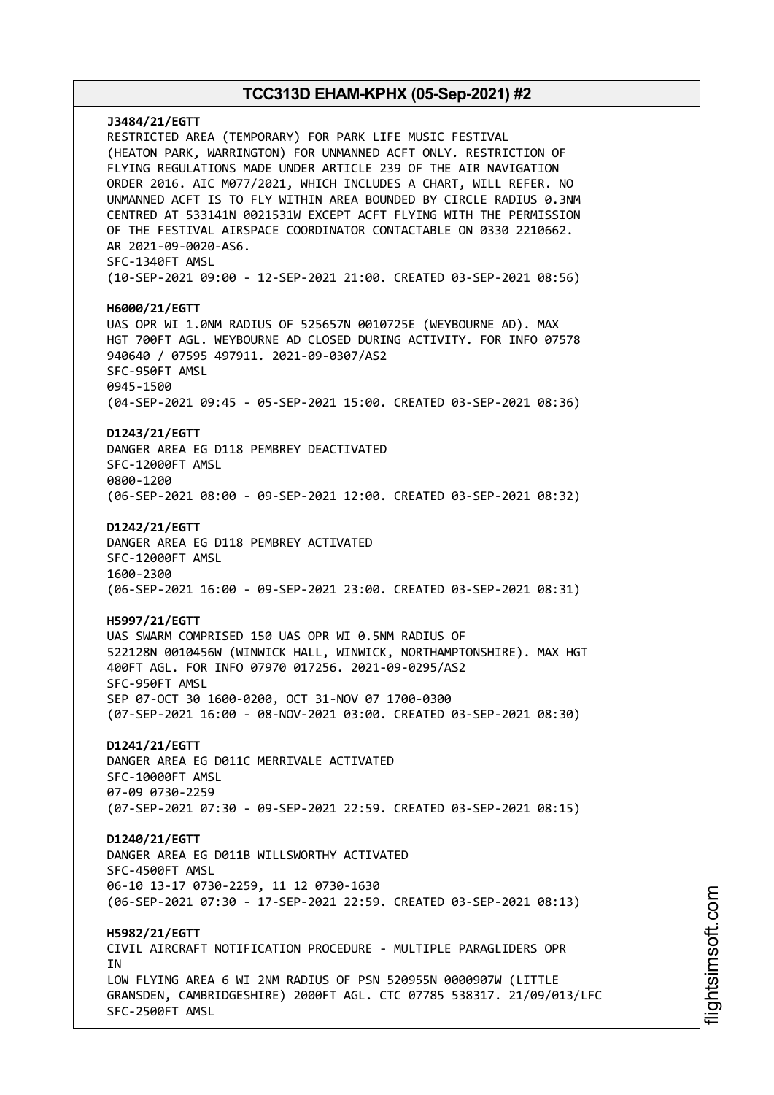# **J3484/21/EGTT** RESTRICTED AREA (TEMPORARY) FOR PARK LIFE MUSIC FESTIVAL (HEATON PARK, WARRINGTON) FOR UNMANNED ACFT ONLY. RESTRICTION OF FLYING REGULATIONS MADE UNDER ARTICLE 239 OF THE AIR NAVIGATION ORDER 2016. AIC M077/2021, WHICH INCLUDES A CHART, WILL REFER. NO UNMANNED ACFT IS TO FLY WITHIN AREA BOUNDED BY CIRCLE RADIUS 0.3NM CENTRED AT 533141N 0021531W EXCEPT ACFT FLYING WITH THE PERMISSION OF THE FESTIVAL AIRSPACE COORDINATOR CONTACTABLE ON 0330 2210662. AR 2021-09-0020-AS6. SFC-1340FT AMSL (10-SEP-2021 09:00 - 12-SEP-2021 21:00. CREATED 03-SEP-2021 08:56) **H6000/21/EGTT** UAS OPR WI 1.0NM RADIUS OF 525657N 0010725E (WEYBOURNE AD). MAX HGT 700FT AGL. WEYBOURNE AD CLOSED DURING ACTIVITY. FOR INFO 07578 940640 / 07595 497911. 2021-09-0307/AS2 SFC-950FT AMSL 0945-1500 (04-SEP-2021 09:45 - 05-SEP-2021 15:00. CREATED 03-SEP-2021 08:36) **D1243/21/EGTT** DANGER AREA EG D118 PEMBREY DEACTIVATED SFC-12000FT AMSL 0800-1200 (06-SEP-2021 08:00 - 09-SEP-2021 12:00. CREATED 03-SEP-2021 08:32) **D1242/21/EGTT** DANGER AREA EG D118 PEMBREY ACTIVATED SFC-12000FT AMSL 1600-2300 (06-SEP-2021 16:00 - 09-SEP-2021 23:00. CREATED 03-SEP-2021 08:31) **H5997/21/EGTT** UAS SWARM COMPRISED 150 UAS OPR WI 0.5NM RADIUS OF 522128N 0010456W (WINWICK HALL, WINWICK, NORTHAMPTONSHIRE). MAX HGT 400FT AGL. FOR INFO 07970 017256. 2021-09-0295/AS2 SFC-950FT AMSL SEP 07-OCT 30 1600-0200, OCT 31-NOV 07 1700-0300 (07-SEP-2021 16:00 - 08-NOV-2021 03:00. CREATED 03-SEP-2021 08:30) **D1241/21/EGTT** DANGER AREA EG D011C MERRIVALE ACTIVATED SFC-10000FT AMSL 07-09 0730-2259 (07-SEP-2021 07:30 - 09-SEP-2021 22:59. CREATED 03-SEP-2021 08:15) **D1240/21/EGTT** DANGER AREA EG D011B WILLSWORTHY ACTIVATED SFC-4500FT AMSL 06-10 13-17 0730-2259, 11 12 0730-1630 (06-SEP-2021 07:30 - 17-SEP-2021 22:59. CREATED 03-SEP-2021 08:13) **H5982/21/EGTT** CIVIL AIRCRAFT NOTIFICATION PROCEDURE - MULTIPLE PARAGLIDERS OPR **TN** LOW FLYING AREA 6 WI 2NM RADIUS OF PSN 520955N 0000907W (LITTLE GRANSDEN, CAMBRIDGESHIRE) 2000FT AGL. CTC 07785 538317. 21/09/013/LFC SFC-2500FT AMSL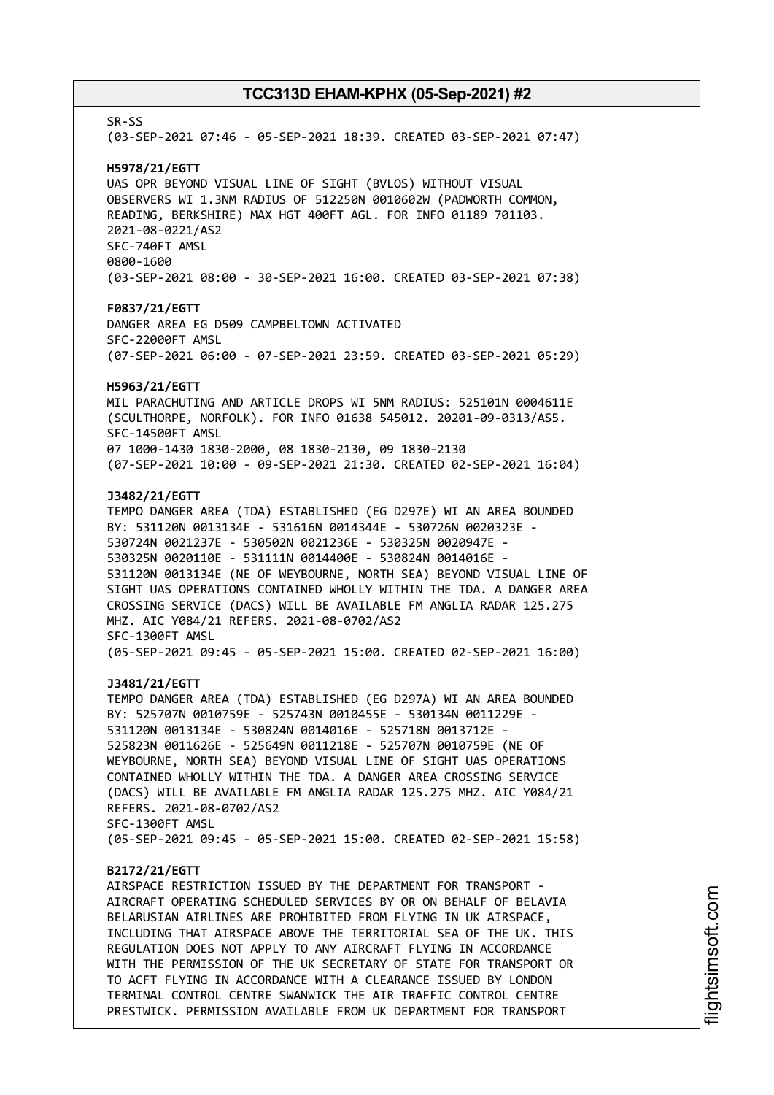SR-SS (03-SEP-2021 07:46 - 05-SEP-2021 18:39. CREATED 03-SEP-2021 07:47) **H5978/21/EGTT** UAS OPR BEYOND VISUAL LINE OF SIGHT (BVLOS) WITHOUT VISUAL OBSERVERS WI 1.3NM RADIUS OF 512250N 0010602W (PADWORTH COMMON, READING, BERKSHIRE) MAX HGT 400FT AGL. FOR INFO 01189 701103. 2021-08-0221/AS2 SFC-740FT AMSL 0800-1600 (03-SEP-2021 08:00 - 30-SEP-2021 16:00. CREATED 03-SEP-2021 07:38) **F0837/21/EGTT** DANGER AREA EG D509 CAMPBELTOWN ACTIVATED SFC-22000FT AMSL (07-SEP-2021 06:00 - 07-SEP-2021 23:59. CREATED 03-SEP-2021 05:29) **H5963/21/EGTT** MIL PARACHUTING AND ARTICLE DROPS WI 5NM RADIUS: 525101N 0004611E (SCULTHORPE, NORFOLK). FOR INFO 01638 545012. 20201-09-0313/AS5. SFC-14500FT AMSL 07 1000-1430 1830-2000, 08 1830-2130, 09 1830-2130 (07-SEP-2021 10:00 - 09-SEP-2021 21:30. CREATED 02-SEP-2021 16:04) **J3482/21/EGTT** TEMPO DANGER AREA (TDA) ESTABLISHED (EG D297E) WI AN AREA BOUNDED BY: 531120N 0013134E - 531616N 0014344E - 530726N 0020323E - 530724N 0021237E - 530502N 0021236E - 530325N 0020947E - 530325N 0020110E - 531111N 0014400E - 530824N 0014016E - 531120N 0013134E (NE OF WEYBOURNE, NORTH SEA) BEYOND VISUAL LINE OF SIGHT UAS OPERATIONS CONTAINED WHOLLY WITHIN THE TDA. A DANGER AREA CROSSING SERVICE (DACS) WILL BE AVAILABLE FM ANGLIA RADAR 125.275 MHZ. AIC Y084/21 REFERS. 2021-08-0702/AS2 SFC-1300FT AMSL (05-SEP-2021 09:45 - 05-SEP-2021 15:00. CREATED 02-SEP-2021 16:00) **J3481/21/EGTT** TEMPO DANGER AREA (TDA) ESTABLISHED (EG D297A) WI AN AREA BOUNDED BY: 525707N 0010759E - 525743N 0010455E - 530134N 0011229E - 531120N 0013134E - 530824N 0014016E - 525718N 0013712E - 525823N 0011626E - 525649N 0011218E - 525707N 0010759E (NE OF WEYBOURNE, NORTH SEA) BEYOND VISUAL LINE OF SIGHT UAS OPERATIONS CONTAINED WHOLLY WITHIN THE TDA. A DANGER AREA CROSSING SERVICE (DACS) WILL BE AVAILABLE FM ANGLIA RADAR 125.275 MHZ. AIC Y084/21 REFERS. 2021-08-0702/AS2 SFC-1300FT AMSL (05-SEP-2021 09:45 - 05-SEP-2021 15:00. CREATED 02-SEP-2021 15:58) **B2172/21/EGTT** AIRSPACE RESTRICTION ISSUED BY THE DEPARTMENT FOR TRANSPORT - AIRCRAFT OPERATING SCHEDULED SERVICES BY OR ON BEHALF OF BELAVIA BELARUSIAN AIRLINES ARE PROHIBITED FROM FLYING IN UK AIRSPACE, INCLUDING THAT AIRSPACE ABOVE THE TERRITORIAL SEA OF THE UK. THIS REGULATION DOES NOT APPLY TO ANY AIRCRAFT FLYING IN ACCORDANCE WITH THE PERMISSION OF THE UK SECRETARY OF STATE FOR TRANSPORT OR TO ACFT FLYING IN ACCORDANCE WITH A CLEARANCE ISSUED BY LONDON TERMINAL CONTROL CENTRE SWANWICK THE AIR TRAFFIC CONTROL CENTRE PRESTWICK. PERMISSION AVAILABLE FROM UK DEPARTMENT FOR TRANSPORT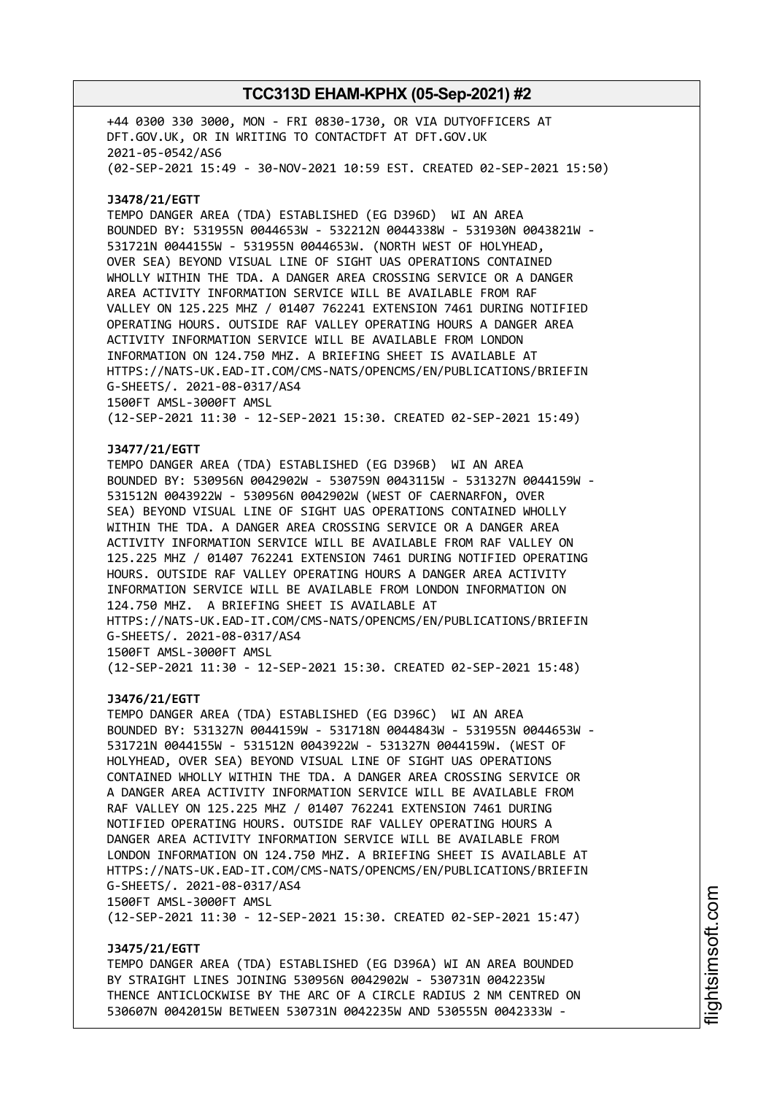+44 0300 330 3000, MON - FRI 0830-1730, OR VIA DUTYOFFICERS AT DFT.GOV.UK, OR IN WRITING TO CONTACTDFT AT DFT.GOV.UK 2021-05-0542/AS6 (02-SEP-2021 15:49 - 30-NOV-2021 10:59 EST. CREATED 02-SEP-2021 15:50)

#### **J3478/21/EGTT**

TEMPO DANGER AREA (TDA) ESTABLISHED (EG D396D) WI AN AREA BOUNDED BY: 531955N 0044653W - 532212N 0044338W - 531930N 0043821W - 531721N 0044155W - 531955N 0044653W. (NORTH WEST OF HOLYHEAD, OVER SEA) BEYOND VISUAL LINE OF SIGHT UAS OPERATIONS CONTAINED WHOLLY WITHIN THE TDA. A DANGER AREA CROSSING SERVICE OR A DANGER AREA ACTIVITY INFORMATION SERVICE WILL BE AVAILABLE FROM RAF VALLEY ON 125.225 MHZ / 01407 762241 EXTENSION 7461 DURING NOTIFIED OPERATING HOURS. OUTSIDE RAF VALLEY OPERATING HOURS A DANGER AREA ACTIVITY INFORMATION SERVICE WILL BE AVAILABLE FROM LONDON INFORMATION ON 124.750 MHZ. A BRIEFING SHEET IS AVAILABLE AT HTTPS://NATS-UK.EAD-IT.COM/CMS-NATS/OPENCMS/EN/PUBLICATIONS/BRIEFIN G-SHEETS/. 2021-08-0317/AS4 1500FT AMSL-3000FT AMSL (12-SEP-2021 11:30 - 12-SEP-2021 15:30. CREATED 02-SEP-2021 15:49)

### **J3477/21/EGTT**

TEMPO DANGER AREA (TDA) ESTABLISHED (EG D396B) WI AN AREA BOUNDED BY: 530956N 0042902W - 530759N 0043115W - 531327N 0044159W - 531512N 0043922W - 530956N 0042902W (WEST OF CAERNARFON, OVER SEA) BEYOND VISUAL LINE OF SIGHT UAS OPERATIONS CONTAINED WHOLLY WITHIN THE TDA. A DANGER AREA CROSSING SERVICE OR A DANGER AREA ACTIVITY INFORMATION SERVICE WILL BE AVAILABLE FROM RAF VALLEY ON 125.225 MHZ / 01407 762241 EXTENSION 7461 DURING NOTIFIED OPERATING HOURS. OUTSIDE RAF VALLEY OPERATING HOURS A DANGER AREA ACTIVITY INFORMATION SERVICE WILL BE AVAILABLE FROM LONDON INFORMATION ON 124.750 MHZ. A BRIEFING SHEET IS AVAILABLE AT HTTPS://NATS-UK.EAD-IT.COM/CMS-NATS/OPENCMS/EN/PUBLICATIONS/BRIEFIN G-SHEETS/. 2021-08-0317/AS4 1500FT AMSL-3000FT AMSL (12-SEP-2021 11:30 - 12-SEP-2021 15:30. CREATED 02-SEP-2021 15:48)

# **J3476/21/EGTT**

TEMPO DANGER AREA (TDA) ESTABLISHED (EG D396C) WI AN AREA BOUNDED BY: 531327N 0044159W - 531718N 0044843W - 531955N 0044653W - 531721N 0044155W - 531512N 0043922W - 531327N 0044159W. (WEST OF HOLYHEAD, OVER SEA) BEYOND VISUAL LINE OF SIGHT UAS OPERATIONS CONTAINED WHOLLY WITHIN THE TDA. A DANGER AREA CROSSING SERVICE OR A DANGER AREA ACTIVITY INFORMATION SERVICE WILL BE AVAILABLE FROM RAF VALLEY ON 125.225 MHZ / 01407 762241 EXTENSION 7461 DURING NOTIFIED OPERATING HOURS. OUTSIDE RAF VALLEY OPERATING HOURS A DANGER AREA ACTIVITY INFORMATION SERVICE WILL BE AVAILABLE FROM LONDON INFORMATION ON 124.750 MHZ. A BRIEFING SHEET IS AVAILABLE AT HTTPS://NATS-UK.EAD-IT.COM/CMS-NATS/OPENCMS/EN/PUBLICATIONS/BRIEFIN G-SHEETS/. 2021-08-0317/AS4 1500FT AMSL-3000FT AMSL

(12-SEP-2021 11:30 - 12-SEP-2021 15:30. CREATED 02-SEP-2021 15:47)

#### **J3475/21/EGTT**

TEMPO DANGER AREA (TDA) ESTABLISHED (EG D396A) WI AN AREA BOUNDED BY STRAIGHT LINES JOINING 530956N 0042902W - 530731N 0042235W THENCE ANTICLOCKWISE BY THE ARC OF A CIRCLE RADIUS 2 NM CENTRED ON 530607N 0042015W BETWEEN 530731N 0042235W AND 530555N 0042333W -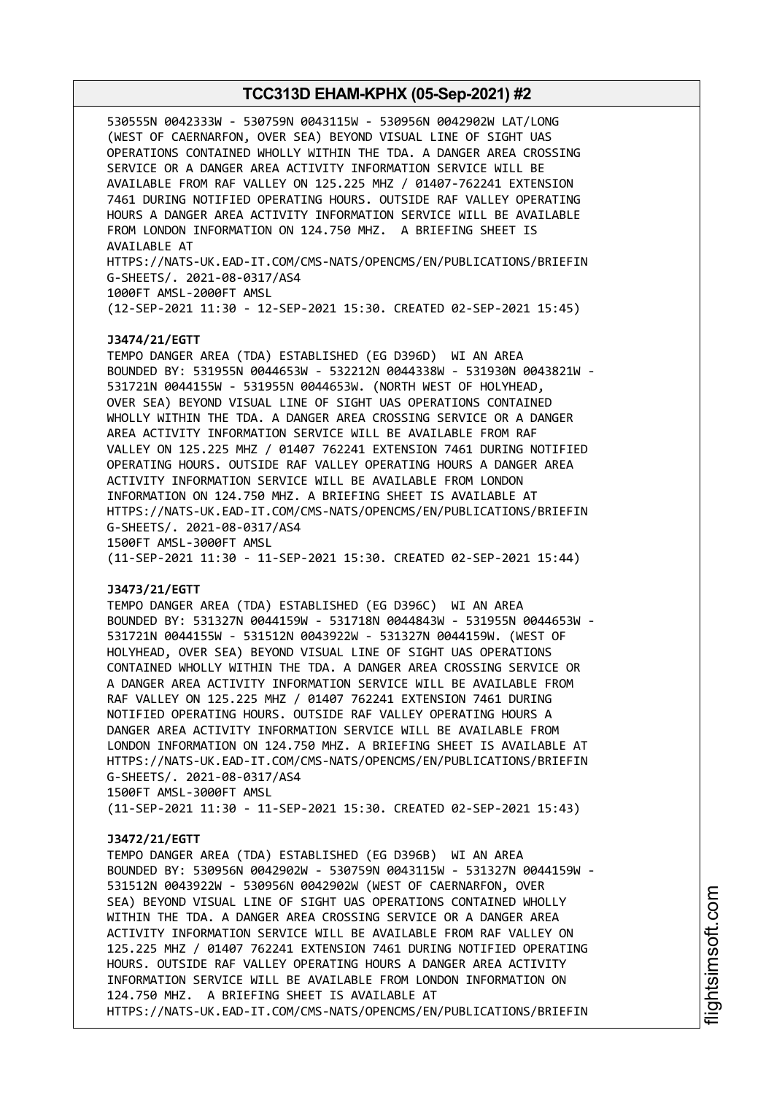530555N 0042333W - 530759N 0043115W - 530956N 0042902W LAT/LONG (WEST OF CAERNARFON, OVER SEA) BEYOND VISUAL LINE OF SIGHT UAS OPERATIONS CONTAINED WHOLLY WITHIN THE TDA. A DANGER AREA CROSSING SERVICE OR A DANGER AREA ACTIVITY INFORMATION SERVICE WILL BE AVAILABLE FROM RAF VALLEY ON 125.225 MHZ / 01407-762241 EXTENSION 7461 DURING NOTIFIED OPERATING HOURS. OUTSIDE RAF VALLEY OPERATING HOURS A DANGER AREA ACTIVITY INFORMATION SERVICE WILL BE AVAILABLE FROM LONDON INFORMATION ON 124.750 MHZ. A BRIEFING SHEET IS AVAILABLE AT HTTPS://NATS-UK.EAD-IT.COM/CMS-NATS/OPENCMS/EN/PUBLICATIONS/BRIEFIN G-SHEETS/. 2021-08-0317/AS4 1000FT AMSL-2000FT AMSL (12-SEP-2021 11:30 - 12-SEP-2021 15:30. CREATED 02-SEP-2021 15:45) **J3474/21/EGTT** TEMPO DANGER AREA (TDA) ESTABLISHED (EG D396D) WI AN AREA BOUNDED BY: 531955N 0044653W - 532212N 0044338W - 531930N 0043821W - 531721N 0044155W - 531955N 0044653W. (NORTH WEST OF HOLYHEAD, OVER SEA) BEYOND VISUAL LINE OF SIGHT UAS OPERATIONS CONTAINED WHOLLY WITHIN THE TDA. A DANGER AREA CROSSING SERVICE OR A DANGER AREA ACTIVITY INFORMATION SERVICE WILL BE AVAILABLE FROM RAF VALLEY ON 125.225 MHZ / 01407 762241 EXTENSION 7461 DURING NOTIFIED OPERATING HOURS. OUTSIDE RAF VALLEY OPERATING HOURS A DANGER AREA ACTIVITY INFORMATION SERVICE WILL BE AVAILABLE FROM LONDON INFORMATION ON 124.750 MHZ. A BRIEFING SHEET IS AVAILABLE AT HTTPS://NATS-UK.EAD-IT.COM/CMS-NATS/OPENCMS/EN/PUBLICATIONS/BRIEFIN G-SHEETS/. 2021-08-0317/AS4 1500FT AMSL-3000FT AMSL (11-SEP-2021 11:30 - 11-SEP-2021 15:30. CREATED 02-SEP-2021 15:44) **J3473/21/EGTT** TEMPO DANGER AREA (TDA) ESTABLISHED (EG D396C) WI AN AREA BOUNDED BY: 531327N 0044159W - 531718N 0044843W - 531955N 0044653W - 531721N 0044155W - 531512N 0043922W - 531327N 0044159W. (WEST OF HOLYHEAD, OVER SEA) BEYOND VISUAL LINE OF SIGHT UAS OPERATIONS CONTAINED WHOLLY WITHIN THE TDA. A DANGER AREA CROSSING SERVICE OR A DANGER AREA ACTIVITY INFORMATION SERVICE WILL BE AVAILABLE FROM RAF VALLEY ON 125.225 MHZ / 01407 762241 EXTENSION 7461 DURING NOTIFIED OPERATING HOURS. OUTSIDE RAF VALLEY OPERATING HOURS A DANGER AREA ACTIVITY INFORMATION SERVICE WILL BE AVAILABLE FROM LONDON INFORMATION ON 124.750 MHZ. A BRIEFING SHEET IS AVAILABLE AT HTTPS://NATS-UK.EAD-IT.COM/CMS-NATS/OPENCMS/EN/PUBLICATIONS/BRIEFIN G-SHEETS/. 2021-08-0317/AS4 1500FT AMSL-3000FT AMSL (11-SEP-2021 11:30 - 11-SEP-2021 15:30. CREATED 02-SEP-2021 15:43) **J3472/21/EGTT** TEMPO DANGER AREA (TDA) ESTABLISHED (EG D396B) WI AN AREA BOUNDED BY: 530956N 0042902W - 530759N 0043115W - 531327N 0044159W - 531512N 0043922W - 530956N 0042902W (WEST OF CAERNARFON, OVER SEA) BEYOND VISUAL LINE OF SIGHT UAS OPERATIONS CONTAINED WHOLLY WITHIN THE TDA. A DANGER AREA CROSSING SERVICE OR A DANGER AREA ACTIVITY INFORMATION SERVICE WILL BE AVAILABLE FROM RAF VALLEY ON 125.225 MHZ / 01407 762241 EXTENSION 7461 DURING NOTIFIED OPERATING HOURS. OUTSIDE RAF VALLEY OPERATING HOURS A DANGER AREA ACTIVITY INFORMATION SERVICE WILL BE AVAILABLE FROM LONDON INFORMATION ON 124.750 MHZ. A BRIEFING SHEET IS AVAILABLE AT HTTPS://NATS-UK.EAD-IT.COM/CMS-NATS/OPENCMS/EN/PUBLICATIONS/BRIEFIN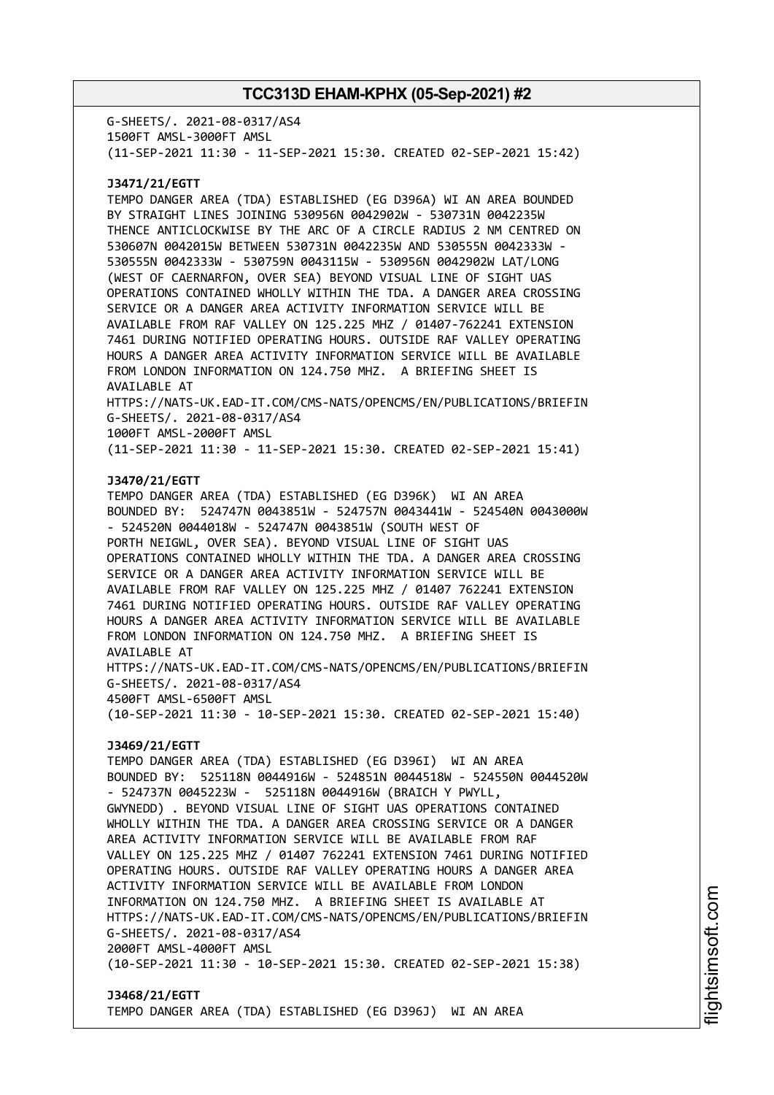G-SHEETS/. 2021-08-0317/AS4 1500FT AMSL-3000FT AMSL (11-SEP-2021 11:30 - 11-SEP-2021 15:30. CREATED 02-SEP-2021 15:42)

### **J3471/21/EGTT**

TEMPO DANGER AREA (TDA) ESTABLISHED (EG D396A) WI AN AREA BOUNDED BY STRAIGHT LINES JOINING 530956N 0042902W - 530731N 0042235W THENCE ANTICLOCKWISE BY THE ARC OF A CIRCLE RADIUS 2 NM CENTRED ON 530607N 0042015W BETWEEN 530731N 0042235W AND 530555N 0042333W - 530555N 0042333W - 530759N 0043115W - 530956N 0042902W LAT/LONG (WEST OF CAERNARFON, OVER SEA) BEYOND VISUAL LINE OF SIGHT UAS OPERATIONS CONTAINED WHOLLY WITHIN THE TDA. A DANGER AREA CROSSING SERVICE OR A DANGER AREA ACTIVITY INFORMATION SERVICE WILL BE AVAILABLE FROM RAF VALLEY ON 125.225 MHZ / 01407-762241 EXTENSION 7461 DURING NOTIFIED OPERATING HOURS. OUTSIDE RAF VALLEY OPERATING HOURS A DANGER AREA ACTIVITY INFORMATION SERVICE WILL BE AVAILABLE FROM LONDON INFORMATION ON 124.750 MHZ. A BRIEFING SHEET IS AVAILABLE AT

HTTPS://NATS-UK.EAD-IT.COM/CMS-NATS/OPENCMS/EN/PUBLICATIONS/BRIEFIN G-SHEETS/. 2021-08-0317/AS4

1000FT AMSL-2000FT AMSL

(11-SEP-2021 11:30 - 11-SEP-2021 15:30. CREATED 02-SEP-2021 15:41)

#### **J3470/21/EGTT**

TEMPO DANGER AREA (TDA) ESTABLISHED (EG D396K) WI AN AREA BOUNDED BY: 524747N 0043851W - 524757N 0043441W - 524540N 0043000W - 524520N 0044018W - 524747N 0043851W (SOUTH WEST OF PORTH NEIGWL, OVER SEA). BEYOND VISUAL LINE OF SIGHT UAS OPERATIONS CONTAINED WHOLLY WITHIN THE TDA. A DANGER AREA CROSSING SERVICE OR A DANGER AREA ACTIVITY INFORMATION SERVICE WILL BE AVAILABLE FROM RAF VALLEY ON 125.225 MHZ / 01407 762241 EXTENSION 7461 DURING NOTIFIED OPERATING HOURS. OUTSIDE RAF VALLEY OPERATING HOURS A DANGER AREA ACTIVITY INFORMATION SERVICE WILL BE AVAILABLE FROM LONDON INFORMATION ON 124.750 MHZ. A BRIEFING SHEET IS AVAILABLE AT HTTPS://NATS-UK.EAD-IT.COM/CMS-NATS/OPENCMS/EN/PUBLICATIONS/BRIEFIN G-SHEETS/. 2021-08-0317/AS4 4500FT AMSL-6500FT AMSL

(10-SEP-2021 11:30 - 10-SEP-2021 15:30. CREATED 02-SEP-2021 15:40)

### **J3469/21/EGTT**

TEMPO DANGER AREA (TDA) ESTABLISHED (EG D396I) WI AN AREA BOUNDED BY: 525118N 0044916W - 524851N 0044518W - 524550N 0044520W - 524737N 0045223W - 525118N 0044916W (BRAICH Y PWYLL, GWYNEDD) . BEYOND VISUAL LINE OF SIGHT UAS OPERATIONS CONTAINED WHOLLY WITHIN THE TDA. A DANGER AREA CROSSING SERVICE OR A DANGER AREA ACTIVITY INFORMATION SERVICE WILL BE AVAILABLE FROM RAF VALLEY ON 125.225 MHZ / 01407 762241 EXTENSION 7461 DURING NOTIFIED OPERATING HOURS. OUTSIDE RAF VALLEY OPERATING HOURS A DANGER AREA ACTIVITY INFORMATION SERVICE WILL BE AVAILABLE FROM LONDON INFORMATION ON 124.750 MHZ. A BRIEFING SHEET IS AVAILABLE AT HTTPS://NATS-UK.EAD-IT.COM/CMS-NATS/OPENCMS/EN/PUBLICATIONS/BRIEFIN G-SHEETS/. 2021-08-0317/AS4 2000FT AMSL-4000FT AMSL (10-SEP-2021 11:30 - 10-SEP-2021 15:30. CREATED 02-SEP-2021 15:38)

#### **J3468/21/EGTT** TEMPO DANGER AREA (TDA) ESTABLISHED (EG D396J) WI AN AREA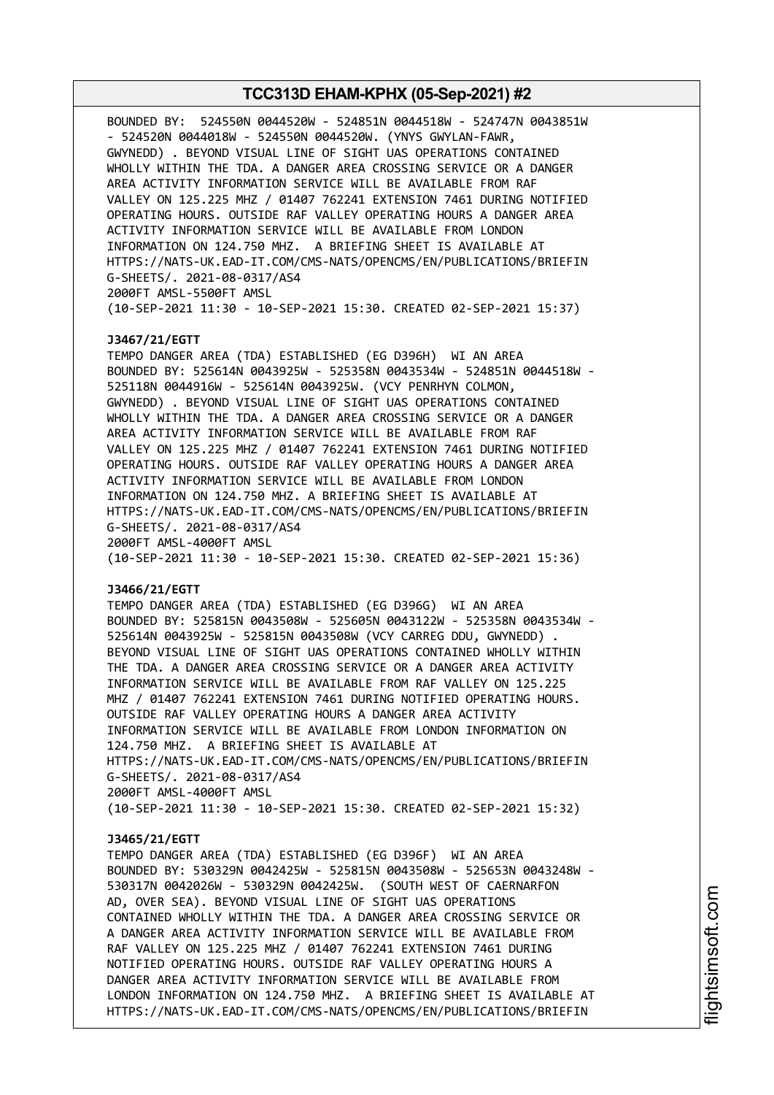BOUNDED BY: 524550N 0044520W - 524851N 0044518W - 524747N 0043851W - 524520N 0044018W - 524550N 0044520W. (YNYS GWYLAN-FAWR, GWYNEDD) . BEYOND VISUAL LINE OF SIGHT UAS OPERATIONS CONTAINED WHOLLY WITHIN THE TDA. A DANGER AREA CROSSING SERVICE OR A DANGER AREA ACTIVITY INFORMATION SERVICE WILL BE AVAILABLE FROM RAF VALLEY ON 125.225 MHZ / 01407 762241 EXTENSION 7461 DURING NOTIFIED OPERATING HOURS. OUTSIDE RAF VALLEY OPERATING HOURS A DANGER AREA ACTIVITY INFORMATION SERVICE WILL BE AVAILABLE FROM LONDON INFORMATION ON 124.750 MHZ. A BRIEFING SHEET IS AVAILABLE AT HTTPS://NATS-UK.EAD-IT.COM/CMS-NATS/OPENCMS/EN/PUBLICATIONS/BRIEFIN G-SHEETS/. 2021-08-0317/AS4 2000FT AMSL-5500FT AMSL (10-SEP-2021 11:30 - 10-SEP-2021 15:30. CREATED 02-SEP-2021 15:37) **J3467/21/EGTT** TEMPO DANGER AREA (TDA) ESTABLISHED (EG D396H) WI AN AREA BOUNDED BY: 525614N 0043925W - 525358N 0043534W - 524851N 0044518W - 525118N 0044916W - 525614N 0043925W. (VCY PENRHYN COLMON, GWYNEDD) . BEYOND VISUAL LINE OF SIGHT UAS OPERATIONS CONTAINED WHOLLY WITHIN THE TDA. A DANGER AREA CROSSING SERVICE OR A DANGER AREA ACTIVITY INFORMATION SERVICE WILL BE AVAILABLE FROM RAF VALLEY ON 125.225 MHZ / 01407 762241 EXTENSION 7461 DURING NOTIFIED OPERATING HOURS. OUTSIDE RAF VALLEY OPERATING HOURS A DANGER AREA ACTIVITY INFORMATION SERVICE WILL BE AVAILABLE FROM LONDON INFORMATION ON 124.750 MHZ. A BRIEFING SHEET IS AVAILABLE AT HTTPS://NATS-UK.EAD-IT.COM/CMS-NATS/OPENCMS/EN/PUBLICATIONS/BRIEFIN G-SHEETS/. 2021-08-0317/AS4 2000FT AMSL-4000FT AMSL (10-SEP-2021 11:30 - 10-SEP-2021 15:30. CREATED 02-SEP-2021 15:36) **J3466/21/EGTT** TEMPO DANGER AREA (TDA) ESTABLISHED (EG D396G) WI AN AREA BOUNDED BY: 525815N 0043508W - 525605N 0043122W - 525358N 0043534W - 525614N 0043925W - 525815N 0043508W (VCY CARREG DDU, GWYNEDD) . BEYOND VISUAL LINE OF SIGHT UAS OPERATIONS CONTAINED WHOLLY WITHIN THE TDA. A DANGER AREA CROSSING SERVICE OR A DANGER AREA ACTIVITY INFORMATION SERVICE WILL BE AVAILABLE FROM RAF VALLEY ON 125.225 MHZ / 01407 762241 EXTENSION 7461 DURING NOTIFIED OPERATING HOURS. OUTSIDE RAF VALLEY OPERATING HOURS A DANGER AREA ACTIVITY INFORMATION SERVICE WILL BE AVAILABLE FROM LONDON INFORMATION ON 124.750 MHZ. A BRIEFING SHEET IS AVAILABLE AT HTTPS://NATS-UK.EAD-IT.COM/CMS-NATS/OPENCMS/EN/PUBLICATIONS/BRIEFIN G-SHEETS/. 2021-08-0317/AS4 2000FT AMSL-4000FT AMSL (10-SEP-2021 11:30 - 10-SEP-2021 15:30. CREATED 02-SEP-2021 15:32) **J3465/21/EGTT** TEMPO DANGER AREA (TDA) ESTABLISHED (EG D396F) WI AN AREA BOUNDED BY: 530329N 0042425W - 525815N 0043508W - 525653N 0043248W - 530317N 0042026W - 530329N 0042425W. (SOUTH WEST OF CAERNARFON AD, OVER SEA). BEYOND VISUAL LINE OF SIGHT UAS OPERATIONS CONTAINED WHOLLY WITHIN THE TDA. A DANGER AREA CROSSING SERVICE OR A DANGER AREA ACTIVITY INFORMATION SERVICE WILL BE AVAILABLE FROM RAF VALLEY ON 125.225 MHZ / 01407 762241 EXTENSION 7461 DURING NOTIFIED OPERATING HOURS. OUTSIDE RAF VALLEY OPERATING HOURS A DANGER AREA ACTIVITY INFORMATION SERVICE WILL BE AVAILABLE FROM LONDON INFORMATION ON 124.750 MHZ. A BRIEFING SHEET IS AVAILABLE AT HTTPS://NATS-UK.EAD-IT.COM/CMS-NATS/OPENCMS/EN/PUBLICATIONS/BRIEFIN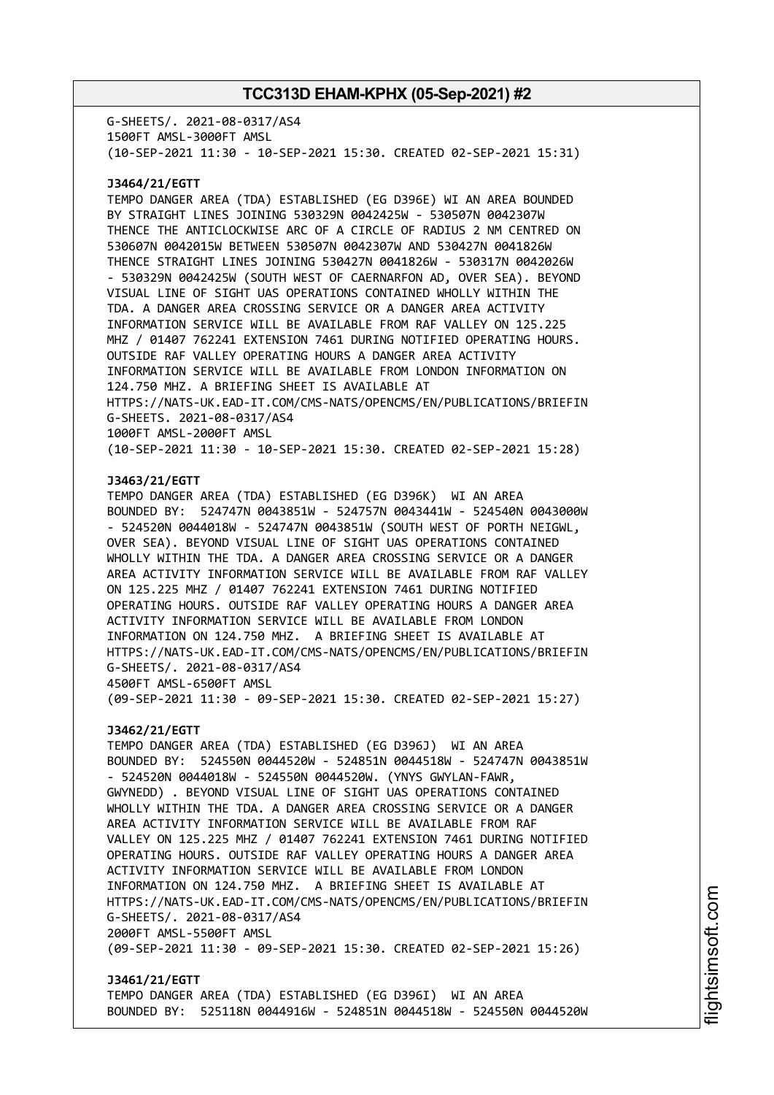G-SHEETS/. 2021-08-0317/AS4 1500FT AMSL-3000FT AMSL (10-SEP-2021 11:30 - 10-SEP-2021 15:30. CREATED 02-SEP-2021 15:31)

### **J3464/21/EGTT**

TEMPO DANGER AREA (TDA) ESTABLISHED (EG D396E) WI AN AREA BOUNDED BY STRAIGHT LINES JOINING 530329N 0042425W - 530507N 0042307W THENCE THE ANTICLOCKWISE ARC OF A CIRCLE OF RADIUS 2 NM CENTRED ON 530607N 0042015W BETWEEN 530507N 0042307W AND 530427N 0041826W THENCE STRAIGHT LINES JOINING 530427N 0041826W - 530317N 0042026W - 530329N 0042425W (SOUTH WEST OF CAERNARFON AD, OVER SEA). BEYOND VISUAL LINE OF SIGHT UAS OPERATIONS CONTAINED WHOLLY WITHIN THE TDA. A DANGER AREA CROSSING SERVICE OR A DANGER AREA ACTIVITY INFORMATION SERVICE WILL BE AVAILABLE FROM RAF VALLEY ON 125.225 MHZ / 01407 762241 EXTENSION 7461 DURING NOTIFIED OPERATING HOURS. OUTSIDE RAF VALLEY OPERATING HOURS A DANGER AREA ACTIVITY INFORMATION SERVICE WILL BE AVAILABLE FROM LONDON INFORMATION ON 124.750 MHZ. A BRIEFING SHEET IS AVAILABLE AT HTTPS://NATS-UK.EAD-IT.COM/CMS-NATS/OPENCMS/EN/PUBLICATIONS/BRIEFIN G-SHEETS. 2021-08-0317/AS4 1000FT AMSL-2000FT AMSL (10-SEP-2021 11:30 - 10-SEP-2021 15:30. CREATED 02-SEP-2021 15:28)

#### **J3463/21/EGTT**

TEMPO DANGER AREA (TDA) ESTABLISHED (EG D396K) WI AN AREA BOUNDED BY: 524747N 0043851W - 524757N 0043441W - 524540N 0043000W - 524520N 0044018W - 524747N 0043851W (SOUTH WEST OF PORTH NEIGWL, OVER SEA). BEYOND VISUAL LINE OF SIGHT UAS OPERATIONS CONTAINED WHOLLY WITHIN THE TDA. A DANGER AREA CROSSING SERVICE OR A DANGER AREA ACTIVITY INFORMATION SERVICE WILL BE AVAILABLE FROM RAF VALLEY ON 125.225 MHZ / 01407 762241 EXTENSION 7461 DURING NOTIFIED OPERATING HOURS. OUTSIDE RAF VALLEY OPERATING HOURS A DANGER AREA ACTIVITY INFORMATION SERVICE WILL BE AVAILABLE FROM LONDON INFORMATION ON 124.750 MHZ. A BRIEFING SHEET IS AVAILABLE AT HTTPS://NATS-UK.EAD-IT.COM/CMS-NATS/OPENCMS/EN/PUBLICATIONS/BRIEFIN G-SHEETS/. 2021-08-0317/AS4 4500FT AMSL-6500FT AMSL

(09-SEP-2021 11:30 - 09-SEP-2021 15:30. CREATED 02-SEP-2021 15:27)

#### **J3462/21/EGTT**

TEMPO DANGER AREA (TDA) ESTABLISHED (EG D396J) WI AN AREA BOUNDED BY: 524550N 0044520W - 524851N 0044518W - 524747N 0043851W - 524520N 0044018W - 524550N 0044520W. (YNYS GWYLAN-FAWR, GWYNEDD) . BEYOND VISUAL LINE OF SIGHT UAS OPERATIONS CONTAINED WHOLLY WITHIN THE TDA. A DANGER AREA CROSSING SERVICE OR A DANGER AREA ACTIVITY INFORMATION SERVICE WILL BE AVAILABLE FROM RAF VALLEY ON 125.225 MHZ / 01407 762241 EXTENSION 7461 DURING NOTIFIED OPERATING HOURS. OUTSIDE RAF VALLEY OPERATING HOURS A DANGER AREA ACTIVITY INFORMATION SERVICE WILL BE AVAILABLE FROM LONDON INFORMATION ON 124.750 MHZ. A BRIEFING SHEET IS AVAILABLE AT HTTPS://NATS-UK.EAD-IT.COM/CMS-NATS/OPENCMS/EN/PUBLICATIONS/BRIEFIN G-SHEETS/. 2021-08-0317/AS4 2000FT AMSL-5500FT AMSL (09-SEP-2021 11:30 - 09-SEP-2021 15:30. CREATED 02-SEP-2021 15:26)

**J3461/21/EGTT** TEMPO DANGER AREA (TDA) ESTABLISHED (EG D396I) WI AN AREA BOUNDED BY: 525118N 0044916W - 524851N 0044518W - 524550N 0044520W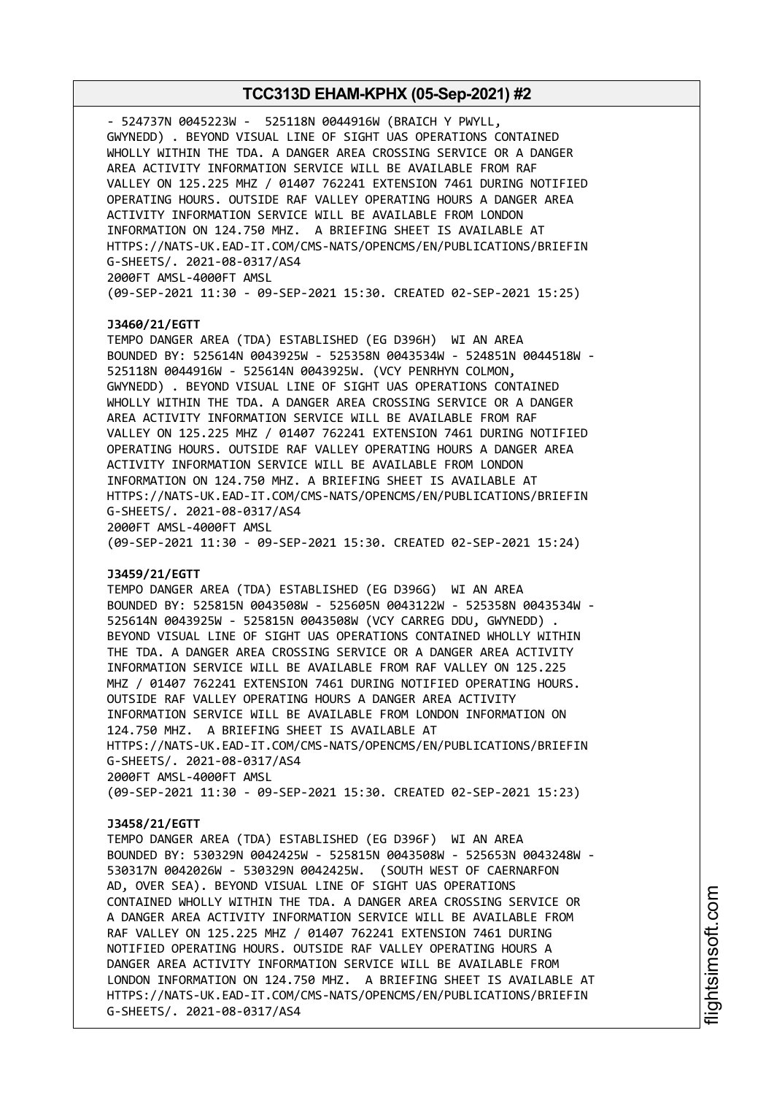- 524737N 0045223W - 525118N 0044916W (BRAICH Y PWYLL, GWYNEDD) . BEYOND VISUAL LINE OF SIGHT UAS OPERATIONS CONTAINED WHOLLY WITHIN THE TDA. A DANGER AREA CROSSING SERVICE OR A DANGER AREA ACTIVITY INFORMATION SERVICE WILL BE AVAILABLE FROM RAF VALLEY ON 125.225 MHZ / 01407 762241 EXTENSION 7461 DURING NOTIFIED OPERATING HOURS. OUTSIDE RAF VALLEY OPERATING HOURS A DANGER AREA ACTIVITY INFORMATION SERVICE WILL BE AVAILABLE FROM LONDON INFORMATION ON 124.750 MHZ. A BRIEFING SHEET IS AVAILABLE AT HTTPS://NATS-UK.EAD-IT.COM/CMS-NATS/OPENCMS/EN/PUBLICATIONS/BRIEFIN G-SHEETS/. 2021-08-0317/AS4 2000FT AMSL-4000FT AMSL (09-SEP-2021 11:30 - 09-SEP-2021 15:30. CREATED 02-SEP-2021 15:25) **J3460/21/EGTT** TEMPO DANGER AREA (TDA) ESTABLISHED (EG D396H) WI AN AREA BOUNDED BY: 525614N 0043925W - 525358N 0043534W - 524851N 0044518W - 525118N 0044916W - 525614N 0043925W. (VCY PENRHYN COLMON, GWYNEDD) . BEYOND VISUAL LINE OF SIGHT UAS OPERATIONS CONTAINED WHOLLY WITHIN THE TDA. A DANGER AREA CROSSING SERVICE OR A DANGER AREA ACTIVITY INFORMATION SERVICE WILL BE AVAILABLE FROM RAF VALLEY ON 125.225 MHZ / 01407 762241 EXTENSION 7461 DURING NOTIFIED OPERATING HOURS. OUTSIDE RAF VALLEY OPERATING HOURS A DANGER AREA ACTIVITY INFORMATION SERVICE WILL BE AVAILABLE FROM LONDON INFORMATION ON 124.750 MHZ. A BRIEFING SHEET IS AVAILABLE AT HTTPS://NATS-UK.EAD-IT.COM/CMS-NATS/OPENCMS/EN/PUBLICATIONS/BRIEFIN G-SHEETS/. 2021-08-0317/AS4 2000FT AMSL-4000FT AMSL (09-SEP-2021 11:30 - 09-SEP-2021 15:30. CREATED 02-SEP-2021 15:24) **J3459/21/EGTT** TEMPO DANGER AREA (TDA) ESTABLISHED (EG D396G) WI AN AREA BOUNDED BY: 525815N 0043508W - 525605N 0043122W - 525358N 0043534W - 525614N 0043925W - 525815N 0043508W (VCY CARREG DDU, GWYNEDD) . BEYOND VISUAL LINE OF SIGHT UAS OPERATIONS CONTAINED WHOLLY WITHIN THE TDA. A DANGER AREA CROSSING SERVICE OR A DANGER AREA ACTIVITY INFORMATION SERVICE WILL BE AVAILABLE FROM RAF VALLEY ON 125.225 MHZ / 01407 762241 EXTENSION 7461 DURING NOTIFIED OPERATING HOURS. OUTSIDE RAF VALLEY OPERATING HOURS A DANGER AREA ACTIVITY INFORMATION SERVICE WILL BE AVAILABLE FROM LONDON INFORMATION ON 124.750 MHZ. A BRIEFING SHEET IS AVAILABLE AT HTTPS://NATS-UK.EAD-IT.COM/CMS-NATS/OPENCMS/EN/PUBLICATIONS/BRIEFIN G-SHEETS/. 2021-08-0317/AS4 2000FT AMSL-4000FT AMSL (09-SEP-2021 11:30 - 09-SEP-2021 15:30. CREATED 02-SEP-2021 15:23) **J3458/21/EGTT** TEMPO DANGER AREA (TDA) ESTABLISHED (EG D396F) WI AN AREA BOUNDED BY: 530329N 0042425W - 525815N 0043508W - 525653N 0043248W - 530317N 0042026W - 530329N 0042425W. (SOUTH WEST OF CAERNARFON AD, OVER SEA). BEYOND VISUAL LINE OF SIGHT UAS OPERATIONS CONTAINED WHOLLY WITHIN THE TDA. A DANGER AREA CROSSING SERVICE OR A DANGER AREA ACTIVITY INFORMATION SERVICE WILL BE AVAILABLE FROM RAF VALLEY ON 125.225 MHZ / 01407 762241 EXTENSION 7461 DURING NOTIFIED OPERATING HOURS. OUTSIDE RAF VALLEY OPERATING HOURS A DANGER AREA ACTIVITY INFORMATION SERVICE WILL BE AVAILABLE FROM LONDON INFORMATION ON 124.750 MHZ. A BRIEFING SHEET IS AVAILABLE AT HTTPS://NATS-UK.EAD-IT.COM/CMS-NATS/OPENCMS/EN/PUBLICATIONS/BRIEFIN G-SHEETS/. 2021-08-0317/AS4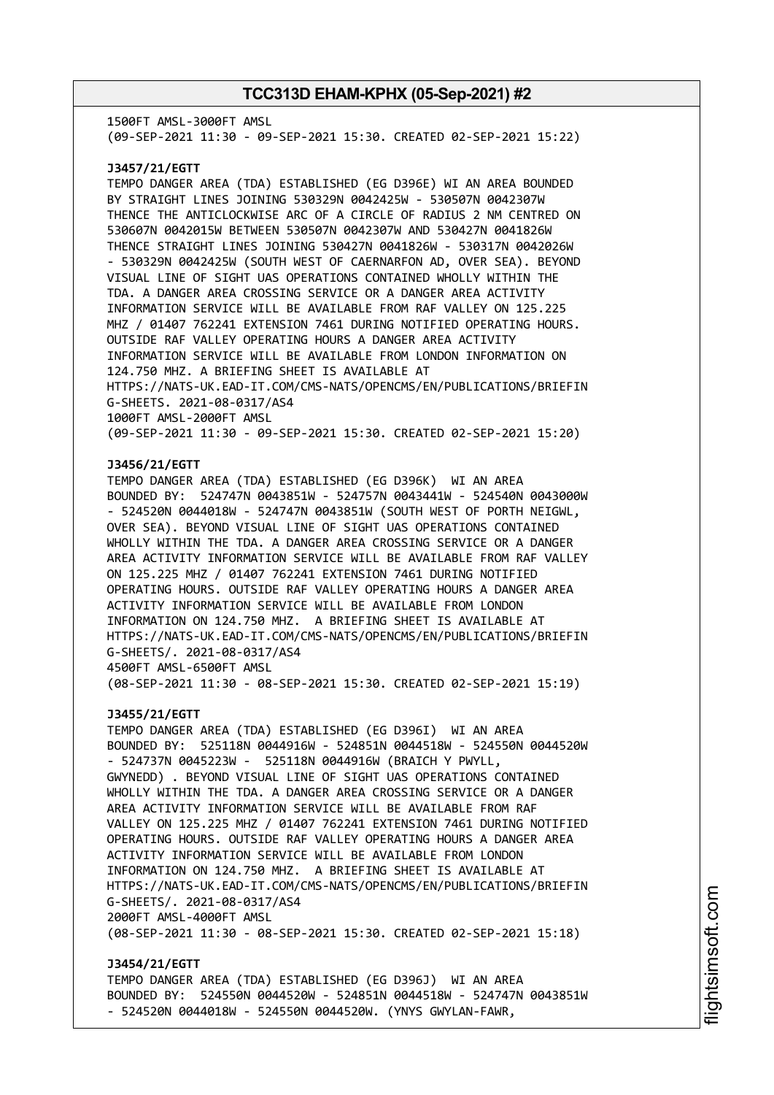1500FT AMSL-3000FT AMSL (09-SEP-2021 11:30 - 09-SEP-2021 15:30. CREATED 02-SEP-2021 15:22) **J3457/21/EGTT** TEMPO DANGER AREA (TDA) ESTABLISHED (EG D396E) WI AN AREA BOUNDED BY STRAIGHT LINES JOINING 530329N 0042425W - 530507N 0042307W THENCE THE ANTICLOCKWISE ARC OF A CIRCLE OF RADIUS 2 NM CENTRED ON 530607N 0042015W BETWEEN 530507N 0042307W AND 530427N 0041826W THENCE STRAIGHT LINES JOINING 530427N 0041826W - 530317N 0042026W - 530329N 0042425W (SOUTH WEST OF CAERNARFON AD, OVER SEA). BEYOND VISUAL LINE OF SIGHT UAS OPERATIONS CONTAINED WHOLLY WITHIN THE TDA. A DANGER AREA CROSSING SERVICE OR A DANGER AREA ACTIVITY INFORMATION SERVICE WILL BE AVAILABLE FROM RAF VALLEY ON 125.225 MHZ / 01407 762241 EXTENSION 7461 DURING NOTIFIED OPERATING HOURS. OUTSIDE RAF VALLEY OPERATING HOURS A DANGER AREA ACTIVITY INFORMATION SERVICE WILL BE AVAILABLE FROM LONDON INFORMATION ON 124.750 MHZ. A BRIEFING SHEET IS AVAILABLE AT HTTPS://NATS-UK.EAD-IT.COM/CMS-NATS/OPENCMS/EN/PUBLICATIONS/BRIEFIN G-SHEETS. 2021-08-0317/AS4 1000FT AMSL-2000FT AMSL (09-SEP-2021 11:30 - 09-SEP-2021 15:30. CREATED 02-SEP-2021 15:20) **J3456/21/EGTT** TEMPO DANGER AREA (TDA) ESTABLISHED (EG D396K) WI AN AREA BOUNDED BY: 524747N 0043851W - 524757N 0043441W - 524540N 0043000W - 524520N 0044018W - 524747N 0043851W (SOUTH WEST OF PORTH NEIGWL, OVER SEA). BEYOND VISUAL LINE OF SIGHT UAS OPERATIONS CONTAINED WHOLLY WITHIN THE TDA. A DANGER AREA CROSSING SERVICE OR A DANGER AREA ACTIVITY INFORMATION SERVICE WILL BE AVAILABLE FROM RAF VALLEY ON 125.225 MHZ / 01407 762241 EXTENSION 7461 DURING NOTIFIED OPERATING HOURS. OUTSIDE RAF VALLEY OPERATING HOURS A DANGER AREA ACTIVITY INFORMATION SERVICE WILL BE AVAILABLE FROM LONDON INFORMATION ON 124.750 MHZ. A BRIEFING SHEET IS AVAILABLE AT HTTPS://NATS-UK.EAD-IT.COM/CMS-NATS/OPENCMS/EN/PUBLICATIONS/BRIEFIN G-SHEETS/. 2021-08-0317/AS4 4500FT AMSL-6500FT AMSL (08-SEP-2021 11:30 - 08-SEP-2021 15:30. CREATED 02-SEP-2021 15:19) **J3455/21/EGTT** TEMPO DANGER AREA (TDA) ESTABLISHED (EG D396I) WI AN AREA BOUNDED BY: 525118N 0044916W - 524851N 0044518W - 524550N 0044520W - 524737N 0045223W - 525118N 0044916W (BRAICH Y PWYLL, GWYNEDD) . BEYOND VISUAL LINE OF SIGHT UAS OPERATIONS CONTAINED WHOLLY WITHIN THE TDA. A DANGER AREA CROSSING SERVICE OR A DANGER AREA ACTIVITY INFORMATION SERVICE WILL BE AVAILABLE FROM RAF VALLEY ON 125.225 MHZ / 01407 762241 EXTENSION 7461 DURING NOTIFIED OPERATING HOURS. OUTSIDE RAF VALLEY OPERATING HOURS A DANGER AREA ACTIVITY INFORMATION SERVICE WILL BE AVAILABLE FROM LONDON INFORMATION ON 124.750 MHZ. A BRIEFING SHEET IS AVAILABLE AT HTTPS://NATS-UK.EAD-IT.COM/CMS-NATS/OPENCMS/EN/PUBLICATIONS/BRIEFIN G-SHEETS/. 2021-08-0317/AS4 2000FT AMSL-4000FT AMSL (08-SEP-2021 11:30 - 08-SEP-2021 15:30. CREATED 02-SEP-2021 15:18) **J3454/21/EGTT** TEMPO DANGER AREA (TDA) ESTABLISHED (EG D396J) WI AN AREA

BOUNDED BY: 524550N 0044520W - 524851N 0044518W - 524747N 0043851W - 524520N 0044018W - 524550N 0044520W. (YNYS GWYLAN-FAWR,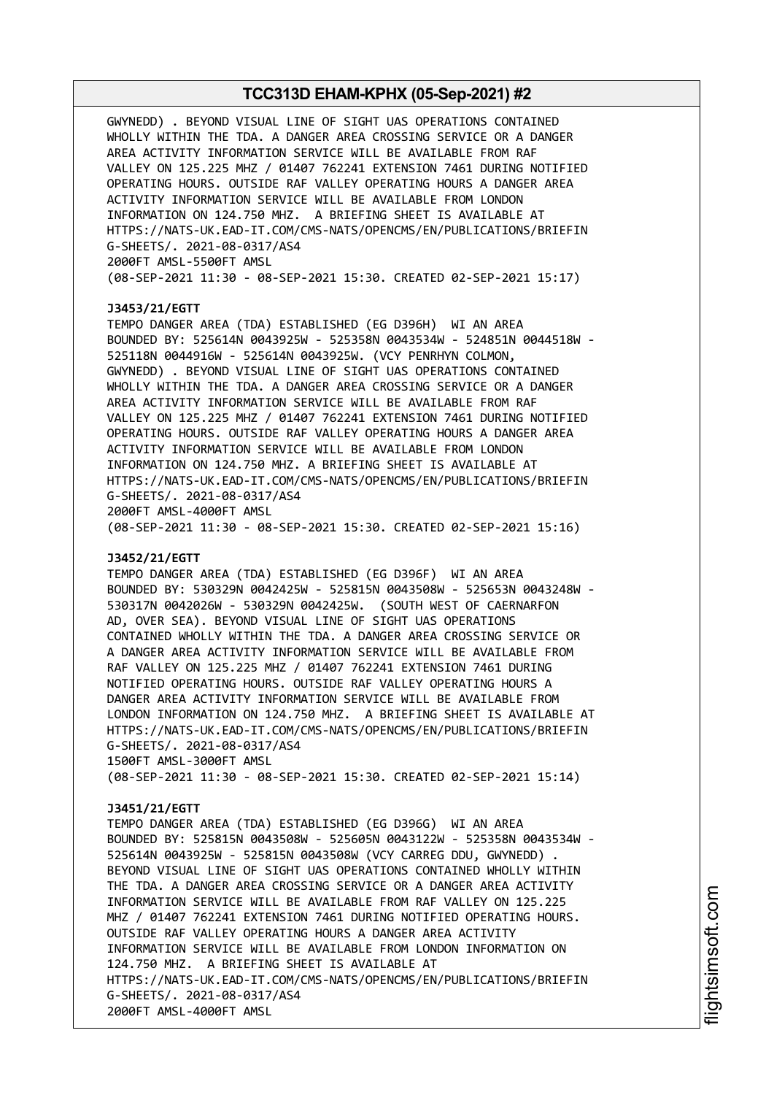GWYNEDD) . BEYOND VISUAL LINE OF SIGHT UAS OPERATIONS CONTAINED WHOLLY WITHIN THE TDA. A DANGER AREA CROSSING SERVICE OR A DANGER AREA ACTIVITY INFORMATION SERVICE WILL BE AVAILABLE FROM RAF VALLEY ON 125.225 MHZ / 01407 762241 EXTENSION 7461 DURING NOTIFIED OPERATING HOURS. OUTSIDE RAF VALLEY OPERATING HOURS A DANGER AREA ACTIVITY INFORMATION SERVICE WILL BE AVAILABLE FROM LONDON INFORMATION ON 124.750 MHZ. A BRIEFING SHEET IS AVAILABLE AT HTTPS://NATS-UK.EAD-IT.COM/CMS-NATS/OPENCMS/EN/PUBLICATIONS/BRIEFIN G-SHEETS/. 2021-08-0317/AS4 2000FT AMSL-5500FT AMSL (08-SEP-2021 11:30 - 08-SEP-2021 15:30. CREATED 02-SEP-2021 15:17) **J3453/21/EGTT** TEMPO DANGER AREA (TDA) ESTABLISHED (EG D396H) WI AN AREA BOUNDED BY: 525614N 0043925W - 525358N 0043534W - 524851N 0044518W - 525118N 0044916W - 525614N 0043925W. (VCY PENRHYN COLMON, GWYNEDD) . BEYOND VISUAL LINE OF SIGHT UAS OPERATIONS CONTAINED WHOLLY WITHIN THE TDA. A DANGER AREA CROSSING SERVICE OR A DANGER AREA ACTIVITY INFORMATION SERVICE WILL BE AVAILABLE FROM RAF VALLEY ON 125.225 MHZ / 01407 762241 EXTENSION 7461 DURING NOTIFIED OPERATING HOURS. OUTSIDE RAF VALLEY OPERATING HOURS A DANGER AREA ACTIVITY INFORMATION SERVICE WILL BE AVAILABLE FROM LONDON INFORMATION ON 124.750 MHZ. A BRIEFING SHEET IS AVAILABLE AT HTTPS://NATS-UK.EAD-IT.COM/CMS-NATS/OPENCMS/EN/PUBLICATIONS/BRIEFIN G-SHEETS/. 2021-08-0317/AS4 2000FT AMSL-4000FT AMSL (08-SEP-2021 11:30 - 08-SEP-2021 15:30. CREATED 02-SEP-2021 15:16) **J3452/21/EGTT** TEMPO DANGER AREA (TDA) ESTABLISHED (EG D396F) WI AN AREA BOUNDED BY: 530329N 0042425W - 525815N 0043508W - 525653N 0043248W - 530317N 0042026W - 530329N 0042425W. (SOUTH WEST OF CAERNARFON AD, OVER SEA). BEYOND VISUAL LINE OF SIGHT UAS OPERATIONS CONTAINED WHOLLY WITHIN THE TDA. A DANGER AREA CROSSING SERVICE OR A DANGER AREA ACTIVITY INFORMATION SERVICE WILL BE AVAILABLE FROM RAF VALLEY ON 125.225 MHZ / 01407 762241 EXTENSION 7461 DURING NOTIFIED OPERATING HOURS. OUTSIDE RAF VALLEY OPERATING HOURS A DANGER AREA ACTIVITY INFORMATION SERVICE WILL BE AVAILABLE FROM LONDON INFORMATION ON 124.750 MHZ. A BRIEFING SHEET IS AVAILABLE AT HTTPS://NATS-UK.EAD-IT.COM/CMS-NATS/OPENCMS/EN/PUBLICATIONS/BRIEFIN G-SHEETS/. 2021-08-0317/AS4 1500FT AMSL-3000FT AMSL (08-SEP-2021 11:30 - 08-SEP-2021 15:30. CREATED 02-SEP-2021 15:14) **J3451/21/EGTT** TEMPO DANGER AREA (TDA) ESTABLISHED (EG D396G) WI AN AREA BOUNDED BY: 525815N 0043508W - 525605N 0043122W - 525358N 0043534W - 525614N 0043925W - 525815N 0043508W (VCY CARREG DDU, GWYNEDD) . BEYOND VISUAL LINE OF SIGHT UAS OPERATIONS CONTAINED WHOLLY WITHIN THE TDA. A DANGER AREA CROSSING SERVICE OR A DANGER AREA ACTIVITY INFORMATION SERVICE WILL BE AVAILABLE FROM RAF VALLEY ON 125.225 MHZ / 01407 762241 EXTENSION 7461 DURING NOTIFIED OPERATING HOURS. OUTSIDE RAF VALLEY OPERATING HOURS A DANGER AREA ACTIVITY INFORMATION SERVICE WILL BE AVAILABLE FROM LONDON INFORMATION ON 124.750 MHZ. A BRIEFING SHEET IS AVAILABLE AT HTTPS://NATS-UK.EAD-IT.COM/CMS-NATS/OPENCMS/EN/PUBLICATIONS/BRIEFIN G-SHEETS/. 2021-08-0317/AS4 2000FT AMSL-4000FT AMSL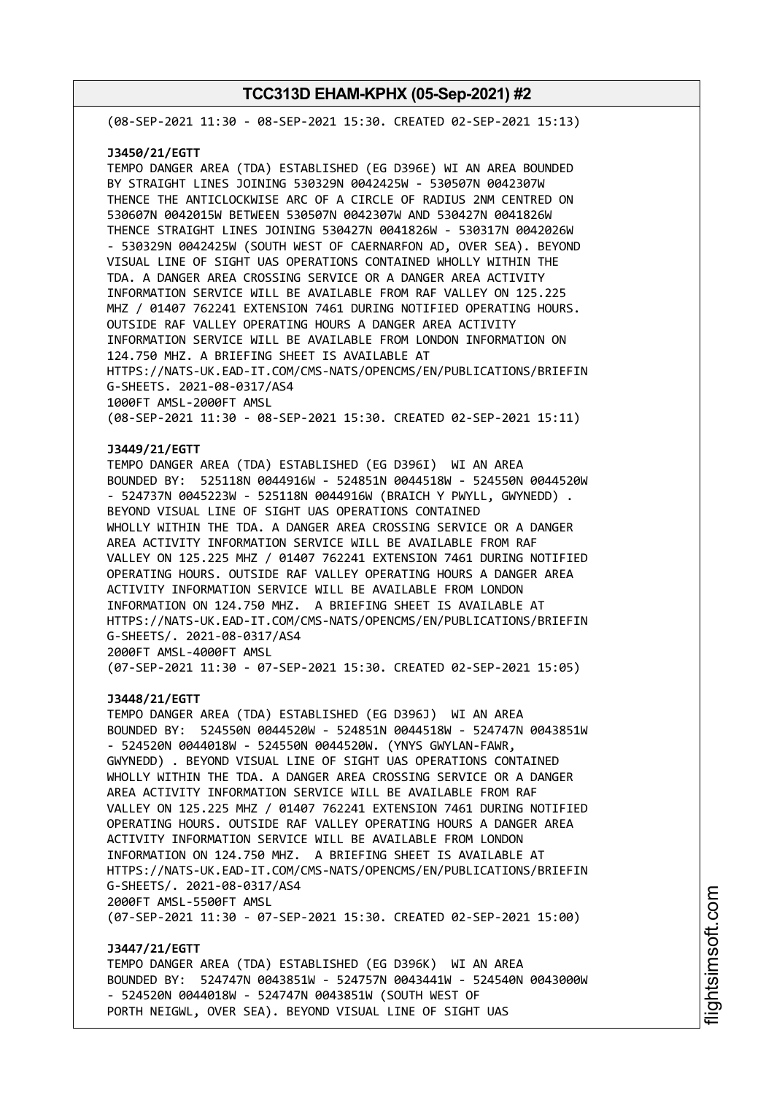(08-SEP-2021 11:30 - 08-SEP-2021 15:30. CREATED 02-SEP-2021 15:13)

#### **J3450/21/EGTT**

TEMPO DANGER AREA (TDA) ESTABLISHED (EG D396E) WI AN AREA BOUNDED BY STRAIGHT LINES JOINING 530329N 0042425W - 530507N 0042307W THENCE THE ANTICLOCKWISE ARC OF A CIRCLE OF RADIUS 2NM CENTRED ON 530607N 0042015W BETWEEN 530507N 0042307W AND 530427N 0041826W THENCE STRAIGHT LINES JOINING 530427N 0041826W - 530317N 0042026W - 530329N 0042425W (SOUTH WEST OF CAERNARFON AD, OVER SEA). BEYOND VISUAL LINE OF SIGHT UAS OPERATIONS CONTAINED WHOLLY WITHIN THE TDA. A DANGER AREA CROSSING SERVICE OR A DANGER AREA ACTIVITY INFORMATION SERVICE WILL BE AVAILABLE FROM RAF VALLEY ON 125.225 MHZ / 01407 762241 EXTENSION 7461 DURING NOTIFIED OPERATING HOURS. OUTSIDE RAF VALLEY OPERATING HOURS A DANGER AREA ACTIVITY INFORMATION SERVICE WILL BE AVAILABLE FROM LONDON INFORMATION ON 124.750 MHZ. A BRIEFING SHEET IS AVAILABLE AT HTTPS://NATS-UK.EAD-IT.COM/CMS-NATS/OPENCMS/EN/PUBLICATIONS/BRIEFIN G-SHEETS. 2021-08-0317/AS4 1000FT AMSL-2000FT AMSL (08-SEP-2021 11:30 - 08-SEP-2021 15:30. CREATED 02-SEP-2021 15:11)

### **J3449/21/EGTT**

TEMPO DANGER AREA (TDA) ESTABLISHED (EG D396I) WI AN AREA BOUNDED BY: 525118N 0044916W - 524851N 0044518W - 524550N 0044520W - 524737N 0045223W - 525118N 0044916W (BRAICH Y PWYLL, GWYNEDD) . BEYOND VISUAL LINE OF SIGHT UAS OPERATIONS CONTAINED WHOLLY WITHIN THE TDA. A DANGER AREA CROSSING SERVICE OR A DANGER AREA ACTIVITY INFORMATION SERVICE WILL BE AVAILABLE FROM RAF VALLEY ON 125.225 MHZ / 01407 762241 EXTENSION 7461 DURING NOTIFIED OPERATING HOURS. OUTSIDE RAF VALLEY OPERATING HOURS A DANGER AREA ACTIVITY INFORMATION SERVICE WILL BE AVAILABLE FROM LONDON INFORMATION ON 124.750 MHZ. A BRIEFING SHEET IS AVAILABLE AT HTTPS://NATS-UK.EAD-IT.COM/CMS-NATS/OPENCMS/EN/PUBLICATIONS/BRIEFIN G-SHEETS/. 2021-08-0317/AS4 2000FT AMSL-4000FT AMSL

(07-SEP-2021 11:30 - 07-SEP-2021 15:30. CREATED 02-SEP-2021 15:05)

### **J3448/21/EGTT**

TEMPO DANGER AREA (TDA) ESTABLISHED (EG D396J) WI AN AREA BOUNDED BY: 524550N 0044520W - 524851N 0044518W - 524747N 0043851W - 524520N 0044018W - 524550N 0044520W. (YNYS GWYLAN-FAWR, GWYNEDD) . BEYOND VISUAL LINE OF SIGHT UAS OPERATIONS CONTAINED WHOLLY WITHIN THE TDA. A DANGER AREA CROSSING SERVICE OR A DANGER AREA ACTIVITY INFORMATION SERVICE WILL BE AVAILABLE FROM RAF VALLEY ON 125.225 MHZ / 01407 762241 EXTENSION 7461 DURING NOTIFIED OPERATING HOURS. OUTSIDE RAF VALLEY OPERATING HOURS A DANGER AREA ACTIVITY INFORMATION SERVICE WILL BE AVAILABLE FROM LONDON INFORMATION ON 124.750 MHZ. A BRIEFING SHEET IS AVAILABLE AT HTTPS://NATS-UK.EAD-IT.COM/CMS-NATS/OPENCMS/EN/PUBLICATIONS/BRIEFIN G-SHEETS/. 2021-08-0317/AS4 2000FT AMSL-5500FT AMSL

(07-SEP-2021 11:30 - 07-SEP-2021 15:30. CREATED 02-SEP-2021 15:00)

#### **J3447/21/EGTT**

TEMPO DANGER AREA (TDA) ESTABLISHED (EG D396K) WI AN AREA BOUNDED BY: 524747N 0043851W - 524757N 0043441W - 524540N 0043000W - 524520N 0044018W - 524747N 0043851W (SOUTH WEST OF PORTH NEIGWL, OVER SEA). BEYOND VISUAL LINE OF SIGHT UAS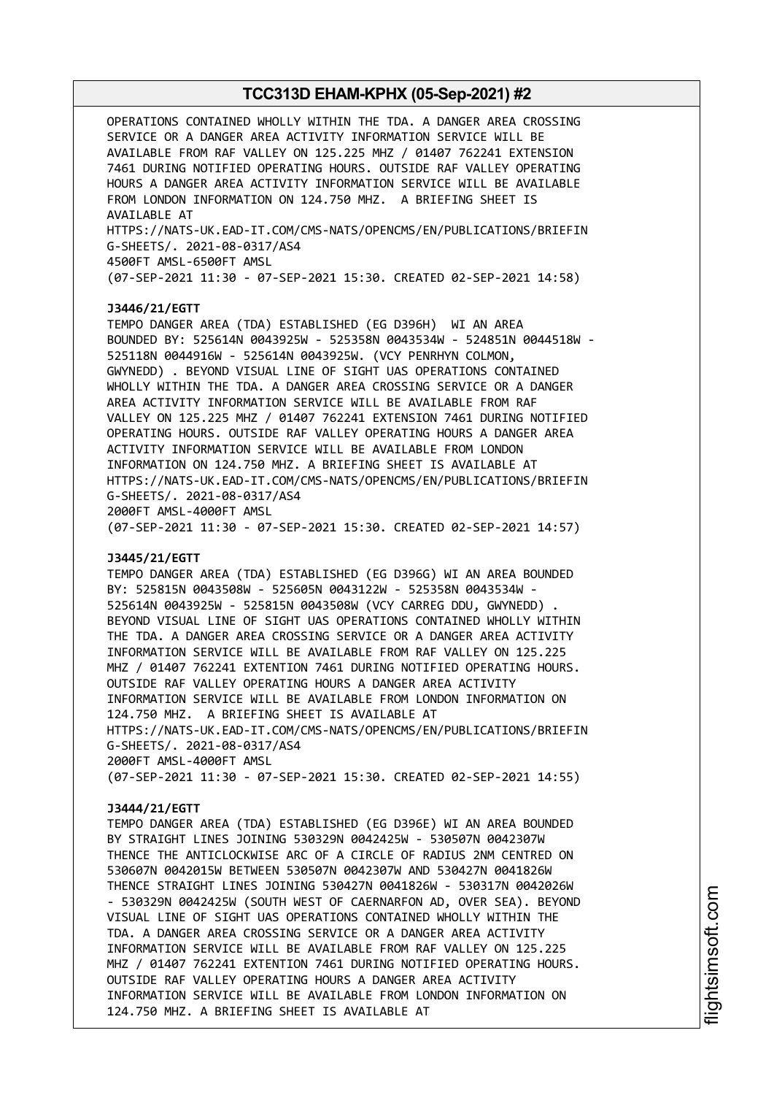OPERATIONS CONTAINED WHOLLY WITHIN THE TDA. A DANGER AREA CROSSING SERVICE OR A DANGER AREA ACTIVITY INFORMATION SERVICE WILL BE AVAILABLE FROM RAF VALLEY ON 125.225 MHZ / 01407 762241 EXTENSION 7461 DURING NOTIFIED OPERATING HOURS. OUTSIDE RAF VALLEY OPERATING HOURS A DANGER AREA ACTIVITY INFORMATION SERVICE WILL BE AVAILABLE FROM LONDON INFORMATION ON 124.750 MHZ. A BRIEFING SHEET IS AVAILABLE AT HTTPS://NATS-UK.EAD-IT.COM/CMS-NATS/OPENCMS/EN/PUBLICATIONS/BRIEFIN G-SHEETS/. 2021-08-0317/AS4 4500FT AMSL-6500FT AMSL (07-SEP-2021 11:30 - 07-SEP-2021 15:30. CREATED 02-SEP-2021 14:58) **J3446/21/EGTT** TEMPO DANGER AREA (TDA) ESTABLISHED (EG D396H) WI AN AREA BOUNDED BY: 525614N 0043925W - 525358N 0043534W - 524851N 0044518W - 525118N 0044916W - 525614N 0043925W. (VCY PENRHYN COLMON, GWYNEDD) . BEYOND VISUAL LINE OF SIGHT UAS OPERATIONS CONTAINED WHOLLY WITHIN THE TDA. A DANGER AREA CROSSING SERVICE OR A DANGER AREA ACTIVITY INFORMATION SERVICE WILL BE AVAILABLE FROM RAF VALLEY ON 125.225 MHZ / 01407 762241 EXTENSION 7461 DURING NOTIFIED OPERATING HOURS. OUTSIDE RAF VALLEY OPERATING HOURS A DANGER AREA ACTIVITY INFORMATION SERVICE WILL BE AVAILABLE FROM LONDON INFORMATION ON 124.750 MHZ. A BRIEFING SHEET IS AVAILABLE AT HTTPS://NATS-UK.EAD-IT.COM/CMS-NATS/OPENCMS/EN/PUBLICATIONS/BRIEFIN G-SHEETS/. 2021-08-0317/AS4 2000FT AMSL-4000FT AMSL (07-SEP-2021 11:30 - 07-SEP-2021 15:30. CREATED 02-SEP-2021 14:57)

# **J3445/21/EGTT**

TEMPO DANGER AREA (TDA) ESTABLISHED (EG D396G) WI AN AREA BOUNDED BY: 525815N 0043508W - 525605N 0043122W - 525358N 0043534W - 525614N 0043925W - 525815N 0043508W (VCY CARREG DDU, GWYNEDD) . BEYOND VISUAL LINE OF SIGHT UAS OPERATIONS CONTAINED WHOLLY WITHIN THE TDA. A DANGER AREA CROSSING SERVICE OR A DANGER AREA ACTIVITY INFORMATION SERVICE WILL BE AVAILABLE FROM RAF VALLEY ON 125.225 MHZ / 01407 762241 EXTENTION 7461 DURING NOTIFIED OPERATING HOURS. OUTSIDE RAF VALLEY OPERATING HOURS A DANGER AREA ACTIVITY INFORMATION SERVICE WILL BE AVAILABLE FROM LONDON INFORMATION ON 124.750 MHZ. A BRIEFING SHEET IS AVAILABLE AT HTTPS://NATS-UK.EAD-IT.COM/CMS-NATS/OPENCMS/EN/PUBLICATIONS/BRIEFIN G-SHEETS/. 2021-08-0317/AS4 2000FT AMSL-4000FT AMSL (07-SEP-2021 11:30 - 07-SEP-2021 15:30. CREATED 02-SEP-2021 14:55)

#### **J3444/21/EGTT**

TEMPO DANGER AREA (TDA) ESTABLISHED (EG D396E) WI AN AREA BOUNDED BY STRAIGHT LINES JOINING 530329N 0042425W - 530507N 0042307W THENCE THE ANTICLOCKWISE ARC OF A CIRCLE OF RADIUS 2NM CENTRED ON 530607N 0042015W BETWEEN 530507N 0042307W AND 530427N 0041826W THENCE STRAIGHT LINES JOINING 530427N 0041826W - 530317N 0042026W - 530329N 0042425W (SOUTH WEST OF CAERNARFON AD, OVER SEA). BEYOND VISUAL LINE OF SIGHT UAS OPERATIONS CONTAINED WHOLLY WITHIN THE TDA. A DANGER AREA CROSSING SERVICE OR A DANGER AREA ACTIVITY INFORMATION SERVICE WILL BE AVAILABLE FROM RAF VALLEY ON 125.225 MHZ / 01407 762241 EXTENTION 7461 DURING NOTIFIED OPERATING HOURS. OUTSIDE RAF VALLEY OPERATING HOURS A DANGER AREA ACTIVITY INFORMATION SERVICE WILL BE AVAILABLE FROM LONDON INFORMATION ON 124.750 MHZ. A BRIEFING SHEET IS AVAILABLE AT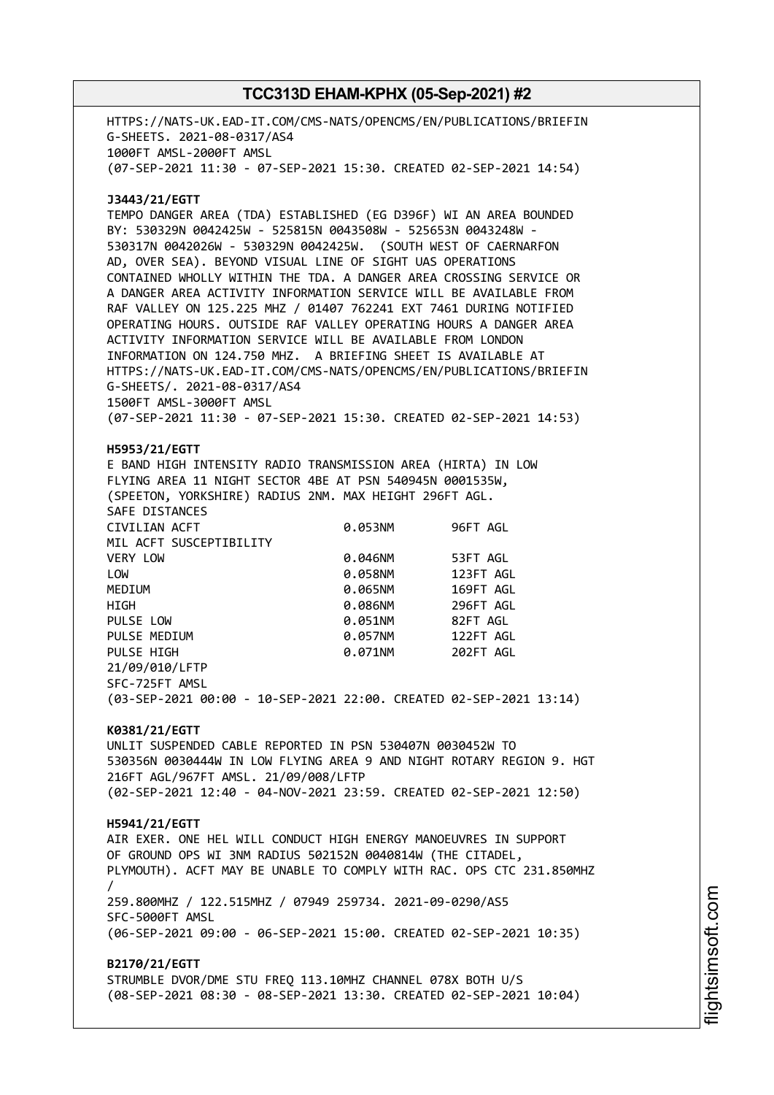HTTPS://NATS-UK.EAD-IT.COM/CMS-NATS/OPENCMS/EN/PUBLICATIONS/BRIEFIN G-SHEETS. 2021-08-0317/AS4 1000FT AMSL-2000FT AMSL (07-SEP-2021 11:30 - 07-SEP-2021 15:30. CREATED 02-SEP-2021 14:54) **J3443/21/EGTT** TEMPO DANGER AREA (TDA) ESTABLISHED (EG D396F) WI AN AREA BOUNDED BY: 530329N 0042425W - 525815N 0043508W - 525653N 0043248W - 530317N 0042026W - 530329N 0042425W. (SOUTH WEST OF CAERNARFON AD, OVER SEA). BEYOND VISUAL LINE OF SIGHT UAS OPERATIONS CONTAINED WHOLLY WITHIN THE TDA. A DANGER AREA CROSSING SERVICE OR A DANGER AREA ACTIVITY INFORMATION SERVICE WILL BE AVAILABLE FROM RAF VALLEY ON 125.225 MHZ / 01407 762241 EXT 7461 DURING NOTIFIED OPERATING HOURS. OUTSIDE RAF VALLEY OPERATING HOURS A DANGER AREA ACTIVITY INFORMATION SERVICE WILL BE AVAILABLE FROM LONDON INFORMATION ON 124.750 MHZ. A BRIEFING SHEET IS AVAILABLE AT HTTPS://NATS-UK.EAD-IT.COM/CMS-NATS/OPENCMS/EN/PUBLICATIONS/BRIEFIN G-SHEETS/. 2021-08-0317/AS4 1500FT AMSL-3000FT AMSL (07-SEP-2021 11:30 - 07-SEP-2021 15:30. CREATED 02-SEP-2021 14:53) **H5953/21/EGTT** E BAND HIGH INTENSITY RADIO TRANSMISSION AREA (HIRTA) IN LOW FLYING AREA 11 NIGHT SECTOR 4BE AT PSN 540945N 0001535W, (SPEETON, YORKSHIRE) RADIUS 2NM. MAX HEIGHT 296FT AGL. SAFE DISTANCES CIVILIAN ACFT 0.053NM 96FT AGL MIL ACFT SUSCEPTIBILITY VERY LOW 0.046NM 53FT AGL LOW 0.058NM 123FT AGL MEDIUM 0.065NM 169FT AGL HIGH 0.086NM 296FT AGL PULSE LOW 0.051NM 82FT AGL PULSE MEDIUM 0.057NM 122FT AGL PULSE HIGH 0.071NM 202FT AGL 21/09/010/LFTP SFC-725FT AMSL (03-SEP-2021 00:00 - 10-SEP-2021 22:00. CREATED 02-SEP-2021 13:14) **K0381/21/EGTT** UNLIT SUSPENDED CABLE REPORTED IN PSN 530407N 0030452W TO 530356N 0030444W IN LOW FLYING AREA 9 AND NIGHT ROTARY REGION 9. HGT 216FT AGL/967FT AMSL. 21/09/008/LFTP (02-SEP-2021 12:40 - 04-NOV-2021 23:59. CREATED 02-SEP-2021 12:50) **H5941/21/EGTT** AIR EXER. ONE HEL WILL CONDUCT HIGH ENERGY MANOEUVRES IN SUPPORT OF GROUND OPS WI 3NM RADIUS 502152N 0040814W (THE CITADEL, PLYMOUTH). ACFT MAY BE UNABLE TO COMPLY WITH RAC. OPS CTC 231.850MHZ / 259.800MHZ / 122.515MHZ / 07949 259734. 2021-09-0290/AS5 SFC-5000FT AMSL (06-SEP-2021 09:00 - 06-SEP-2021 15:00. CREATED 02-SEP-2021 10:35) **B2170/21/EGTT** STRUMBLE DVOR/DME STU FREQ 113.10MHZ CHANNEL 078X BOTH U/S (08-SEP-2021 08:30 - 08-SEP-2021 13:30. CREATED 02-SEP-2021 10:04)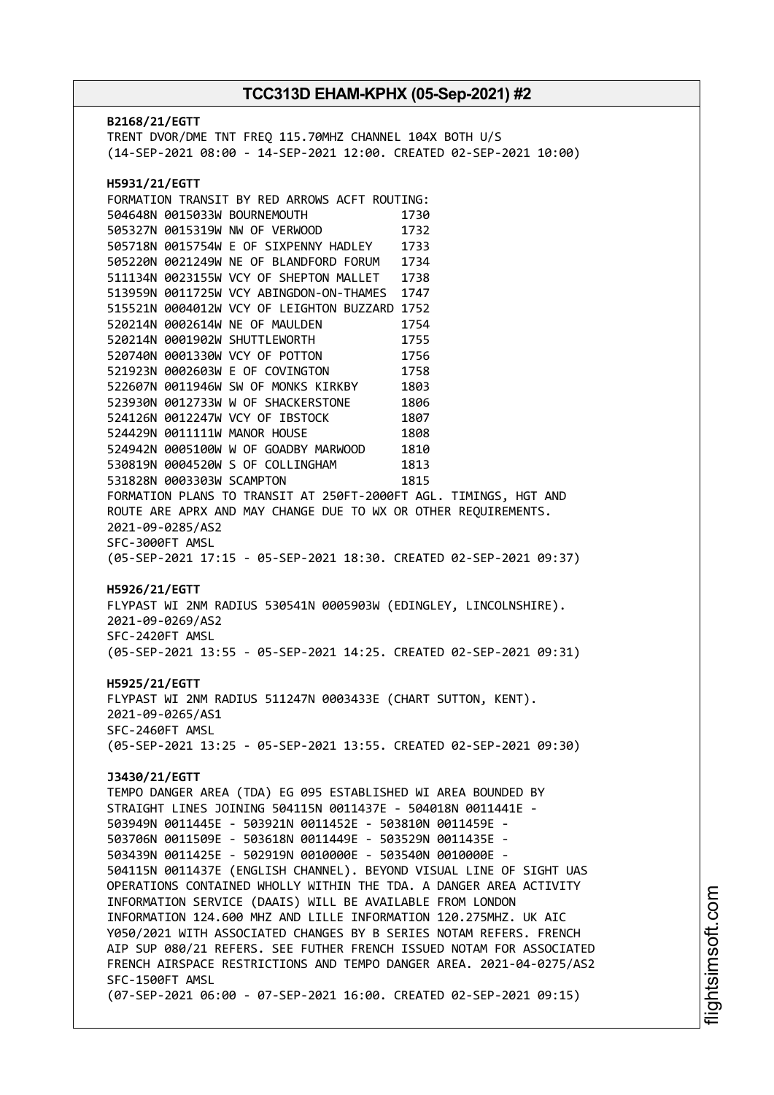**B2168/21/EGTT** TRENT DVOR/DME TNT FREQ 115.70MHZ CHANNEL 104X BOTH U/S (14-SEP-2021 08:00 - 14-SEP-2021 12:00. CREATED 02-SEP-2021 10:00) **H5931/21/EGTT** FORMATION TRANSIT BY RED ARROWS ACFT ROUTING: 504648N 0015033W BOURNEMOUTH 1730 505327N 0015319W NW OF VERWOOD 1732 505718N 0015754W E OF SIXPENNY HADLEY 1733 505220N 0021249W NE OF BLANDFORD FORUM 1734 511134N 0023155W VCY OF SHEPTON MALLET 1738 513959N 0011725W VCY ABINGDON-ON-THAMES 1747 515521N 0004012W VCY OF LEIGHTON BUZZARD 1752 520214N 0002614W NE OF MAULDEN 1754 520214N 0001902W SHUTTLEWORTH 1755 520740N 0001330W VCY OF POTTON 1756 521923N 0002603W E OF COVINGTON 1758 522607N 0011946W SW OF MONKS KIRKBY 1803 523930N 0012733W W OF SHACKERSTONE 1806 524126N 0012247W VCY OF IBSTOCK 1807 524429N 0011111W MANOR HOUSE 1808 524942N 0005100W W OF GOADBY MARWOOD 1810 530819N 0004520W S OF COLLINGHAM 1813 531828N 0003303W SCAMPTON 1815 FORMATION PLANS TO TRANSIT AT 250FT-2000FT AGL. TIMINGS, HGT AND ROUTE ARE APRX AND MAY CHANGE DUE TO WX OR OTHER REQUIREMENTS. 2021-09-0285/AS2 SFC-3000FT AMSL (05-SEP-2021 17:15 - 05-SEP-2021 18:30. CREATED 02-SEP-2021 09:37) **H5926/21/EGTT** FLYPAST WI 2NM RADIUS 530541N 0005903W (EDINGLEY, LINCOLNSHIRE). 2021-09-0269/AS2 SFC-2420FT AMSL (05-SEP-2021 13:55 - 05-SEP-2021 14:25. CREATED 02-SEP-2021 09:31) **H5925/21/EGTT** FLYPAST WI 2NM RADIUS 511247N 0003433E (CHART SUTTON, KENT). 2021-09-0265/AS1 SFC-2460FT AMSL (05-SEP-2021 13:25 - 05-SEP-2021 13:55. CREATED 02-SEP-2021 09:30) **J3430/21/EGTT** TEMPO DANGER AREA (TDA) EG 095 ESTABLISHED WI AREA BOUNDED BY STRAIGHT LINES JOINING 504115N 0011437E - 504018N 0011441E - 503949N 0011445E - 503921N 0011452E - 503810N 0011459E - 503706N 0011509E - 503618N 0011449E - 503529N 0011435E - 503439N 0011425E - 502919N 0010000E - 503540N 0010000E - 504115N 0011437E (ENGLISH CHANNEL). BEYOND VISUAL LINE OF SIGHT UAS OPERATIONS CONTAINED WHOLLY WITHIN THE TDA. A DANGER AREA ACTIVITY INFORMATION SERVICE (DAAIS) WILL BE AVAILABLE FROM LONDON INFORMATION 124.600 MHZ AND LILLE INFORMATION 120.275MHZ. UK AIC Y050/2021 WITH ASSOCIATED CHANGES BY B SERIES NOTAM REFERS. FRENCH AIP SUP 080/21 REFERS. SEE FUTHER FRENCH ISSUED NOTAM FOR ASSOCIATED FRENCH AIRSPACE RESTRICTIONS AND TEMPO DANGER AREA. 2021-04-0275/AS2 SFC-1500FT AMSL (07-SEP-2021 06:00 - 07-SEP-2021 16:00. CREATED 02-SEP-2021 09:15)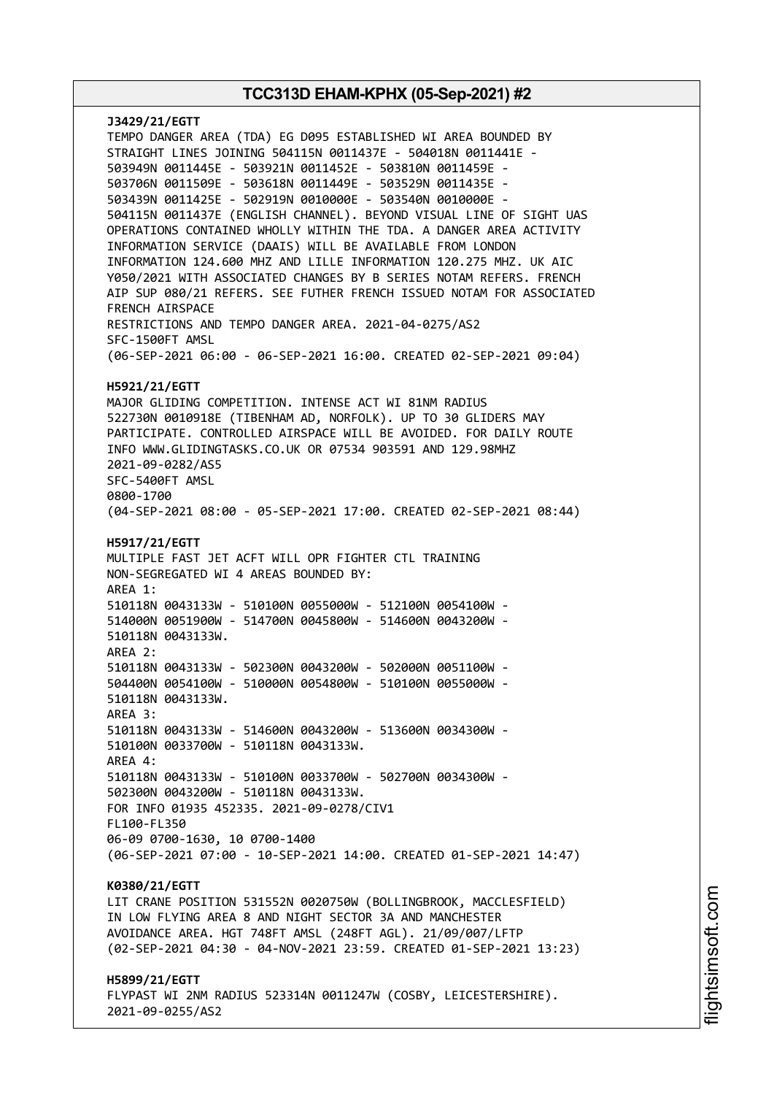**J3429/21/EGTT** TEMPO DANGER AREA (TDA) EG D095 ESTABLISHED WI AREA BOUNDED BY STRAIGHT LINES JOINING 504115N 0011437E - 504018N 0011441E - 503949N 0011445E - 503921N 0011452E - 503810N 0011459E - 503706N 0011509E - 503618N 0011449E - 503529N 0011435E - 503439N 0011425E - 502919N 0010000E - 503540N 0010000E - 504115N 0011437E (ENGLISH CHANNEL). BEYOND VISUAL LINE OF SIGHT UAS OPERATIONS CONTAINED WHOLLY WITHIN THE TDA. A DANGER AREA ACTIVITY INFORMATION SERVICE (DAAIS) WILL BE AVAILABLE FROM LONDON INFORMATION 124.600 MHZ AND LILLE INFORMATION 120.275 MHZ. UK AIC Y050/2021 WITH ASSOCIATED CHANGES BY B SERIES NOTAM REFERS. FRENCH AIP SUP 080/21 REFERS. SEE FUTHER FRENCH ISSUED NOTAM FOR ASSOCIATED FRENCH AIRSPACE RESTRICTIONS AND TEMPO DANGER AREA. 2021-04-0275/AS2 SFC-1500FT AMSL (06-SEP-2021 06:00 - 06-SEP-2021 16:00. CREATED 02-SEP-2021 09:04) **H5921/21/EGTT** MAJOR GLIDING COMPETITION. INTENSE ACT WI 81NM RADIUS 522730N 0010918E (TIBENHAM AD, NORFOLK). UP TO 30 GLIDERS MAY PARTICIPATE. CONTROLLED AIRSPACE WILL BE AVOIDED. FOR DAILY ROUTE INFO WWW.GLIDINGTASKS.CO.UK OR 07534 903591 AND 129.98MHZ 2021-09-0282/AS5 SFC-5400FT AMSL 0800-1700 (04-SEP-2021 08:00 - 05-SEP-2021 17:00. CREATED 02-SEP-2021 08:44) **H5917/21/EGTT** MULTIPLE FAST JET ACFT WILL OPR FIGHTER CTL TRAINING NON-SEGREGATED WI 4 AREAS BOUNDED BY: AREA 1: 510118N 0043133W - 510100N 0055000W - 512100N 0054100W - 514000N 0051900W - 514700N 0045800W - 514600N 0043200W - 510118N 0043133W. AREA 2: 510118N 0043133W - 502300N 0043200W - 502000N 0051100W - 504400N 0054100W - 510000N 0054800W - 510100N 0055000W - 510118N 0043133W. AREA 3: 510118N 0043133W - 514600N 0043200W - 513600N 0034300W - 510100N 0033700W - 510118N 0043133W. AREA 4: 510118N 0043133W - 510100N 0033700W - 502700N 0034300W - 502300N 0043200W - 510118N 0043133W. FOR INFO 01935 452335. 2021-09-0278/CIV1 FL100-FL350 06-09 0700-1630, 10 0700-1400 (06-SEP-2021 07:00 - 10-SEP-2021 14:00. CREATED 01-SEP-2021 14:47) **K0380/21/EGTT** LIT CRANE POSITION 531552N 0020750W (BOLLINGBROOK, MACCLESFIELD) IN LOW FLYING AREA 8 AND NIGHT SECTOR 3A AND MANCHESTER AVOIDANCE AREA. HGT 748FT AMSL (248FT AGL). 21/09/007/LFTP (02-SEP-2021 04:30 - 04-NOV-2021 23:59. CREATED 01-SEP-2021 13:23) **H5899/21/EGTT** FLYPAST WI 2NM RADIUS 523314N 0011247W (COSBY, LEICESTERSHIRE).

2021-09-0255/AS2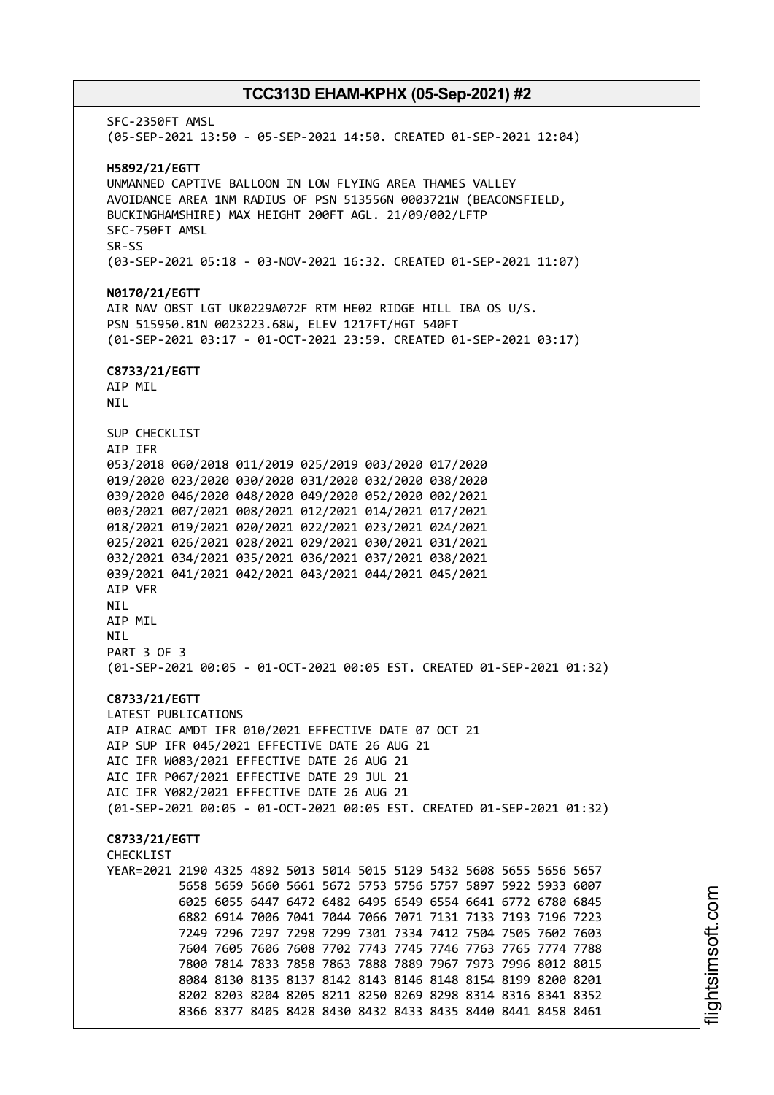SFC-2350FT AMSL (05-SEP-2021 13:50 - 05-SEP-2021 14:50. CREATED 01-SEP-2021 12:04) **H5892/21/EGTT** UNMANNED CAPTIVE BALLOON IN LOW FLYING AREA THAMES VALLEY AVOIDANCE AREA 1NM RADIUS OF PSN 513556N 0003721W (BEACONSFIELD, BUCKINGHAMSHIRE) MAX HEIGHT 200FT AGL. 21/09/002/LFTP SFC-750FT AMSL SR-SS (03-SEP-2021 05:18 - 03-NOV-2021 16:32. CREATED 01-SEP-2021 11:07) **N0170/21/EGTT** AIR NAV OBST LGT UK0229A072F RTM HE02 RIDGE HILL IBA OS U/S. PSN 515950.81N 0023223.68W, ELEV 1217FT/HGT 540FT (01-SEP-2021 03:17 - 01-OCT-2021 23:59. CREATED 01-SEP-2021 03:17) **C8733/21/EGTT** AIP MIL NIL SUP CHECKLIST AIP IFR 053/2018 060/2018 011/2019 025/2019 003/2020 017/2020 019/2020 023/2020 030/2020 031/2020 032/2020 038/2020 039/2020 046/2020 048/2020 049/2020 052/2020 002/2021 003/2021 007/2021 008/2021 012/2021 014/2021 017/2021 018/2021 019/2021 020/2021 022/2021 023/2021 024/2021 025/2021 026/2021 028/2021 029/2021 030/2021 031/2021 032/2021 034/2021 035/2021 036/2021 037/2021 038/2021 039/2021 041/2021 042/2021 043/2021 044/2021 045/2021 AIP VFR NIL AIP MIL NIL PART 3 OF 3 (01-SEP-2021 00:05 - 01-OCT-2021 00:05 EST. CREATED 01-SEP-2021 01:32) **C8733/21/EGTT** LATEST PUBLICATIONS AIP AIRAC AMDT IFR 010/2021 EFFECTIVE DATE 07 OCT 21 AIP SUP IFR 045/2021 EFFECTIVE DATE 26 AUG 21 AIC IFR W083/2021 EFFECTIVE DATE 26 AUG 21 AIC IFR P067/2021 EFFECTIVE DATE 29 JUL 21 AIC IFR Y082/2021 EFFECTIVE DATE 26 AUG 21 (01-SEP-2021 00:05 - 01-OCT-2021 00:05 EST. CREATED 01-SEP-2021 01:32) **C8733/21/EGTT CHECKLIST** YEAR=2021 2190 4325 4892 5013 5014 5015 5129 5432 5608 5655 5656 5657 5658 5659 5660 5661 5672 5753 5756 5757 5897 5922 5933 6007 6025 6055 6447 6472 6482 6495 6549 6554 6641 6772 6780 6845 6882 6914 7006 7041 7044 7066 7071 7131 7133 7193 7196 7223 7249 7296 7297 7298 7299 7301 7334 7412 7504 7505 7602 7603 7604 7605 7606 7608 7702 7743 7745 7746 7763 7765 7774 7788 7800 7814 7833 7858 7863 7888 7889 7967 7973 7996 8012 8015 8084 8130 8135 8137 8142 8143 8146 8148 8154 8199 8200 8201 8202 8203 8204 8205 8211 8250 8269 8298 8314 8316 8341 8352 8366 8377 8405 8428 8430 8432 8433 8435 8440 8441 8458 8461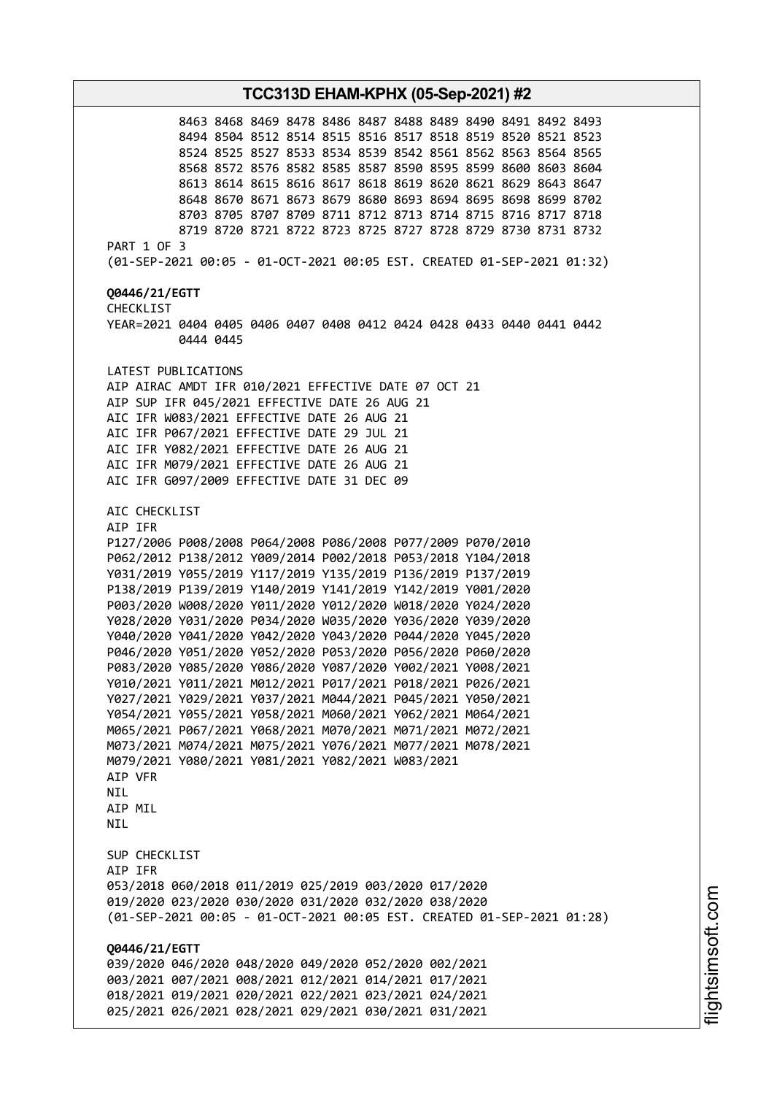**TCC313D EHAM-KPHX (05-Sep-2021) #2** 8463 8468 8469 8478 8486 8487 8488 8489 8490 8491 8492 8493 8494 8504 8512 8514 8515 8516 8517 8518 8519 8520 8521 8523 8524 8525 8527 8533 8534 8539 8542 8561 8562 8563 8564 8565 8568 8572 8576 8582 8585 8587 8590 8595 8599 8600 8603 8604 8613 8614 8615 8616 8617 8618 8619 8620 8621 8629 8643 8647 8648 8670 8671 8673 8679 8680 8693 8694 8695 8698 8699 8702 8703 8705 8707 8709 8711 8712 8713 8714 8715 8716 8717 8718 8719 8720 8721 8722 8723 8725 8727 8728 8729 8730 8731 8732 PART 1 OF 3 (01-SEP-2021 00:05 - 01-OCT-2021 00:05 EST. CREATED 01-SEP-2021 01:32) **Q0446/21/EGTT** CHECKLIST YEAR=2021 0404 0405 0406 0407 0408 0412 0424 0428 0433 0440 0441 0442 0444 0445 LATEST PUBLICATIONS AIP AIRAC AMDT IFR 010/2021 EFFECTIVE DATE 07 OCT 21 AIP SUP IFR 045/2021 EFFECTIVE DATE 26 AUG 21 AIC IFR W083/2021 EFFECTIVE DATE 26 AUG 21 AIC IFR P067/2021 EFFECTIVE DATE 29 JUL 21 AIC IFR Y082/2021 EFFECTIVE DATE 26 AUG 21 AIC IFR M079/2021 EFFECTIVE DATE 26 AUG 21 AIC IFR G097/2009 EFFECTIVE DATE 31 DEC 09 AIC CHECKLIST AIP IFR P127/2006 P008/2008 P064/2008 P086/2008 P077/2009 P070/2010 P062/2012 P138/2012 Y009/2014 P002/2018 P053/2018 Y104/2018 Y031/2019 Y055/2019 Y117/2019 Y135/2019 P136/2019 P137/2019 P138/2019 P139/2019 Y140/2019 Y141/2019 Y142/2019 Y001/2020 P003/2020 W008/2020 Y011/2020 Y012/2020 W018/2020 Y024/2020 Y028/2020 Y031/2020 P034/2020 W035/2020 Y036/2020 Y039/2020 Y040/2020 Y041/2020 Y042/2020 Y043/2020 P044/2020 Y045/2020 P046/2020 Y051/2020 Y052/2020 P053/2020 P056/2020 P060/2020 P083/2020 Y085/2020 Y086/2020 Y087/2020 Y002/2021 Y008/2021 Y010/2021 Y011/2021 M012/2021 P017/2021 P018/2021 P026/2021 Y027/2021 Y029/2021 Y037/2021 M044/2021 P045/2021 Y050/2021 Y054/2021 Y055/2021 Y058/2021 M060/2021 Y062/2021 M064/2021 M065/2021 P067/2021 Y068/2021 M070/2021 M071/2021 M072/2021 M073/2021 M074/2021 M075/2021 Y076/2021 M077/2021 M078/2021 M079/2021 Y080/2021 Y081/2021 Y082/2021 W083/2021 AIP VFR NIL AIP MIL **NTL** SUP CHECKLIST AIP IFR 053/2018 060/2018 011/2019 025/2019 003/2020 017/2020 019/2020 023/2020 030/2020 031/2020 032/2020 038/2020 (01-SEP-2021 00:05 - 01-OCT-2021 00:05 EST. CREATED 01-SEP-2021 01:28) **Q0446/21/EGTT** 039/2020 046/2020 048/2020 049/2020 052/2020 002/2021 003/2021 007/2021 008/2021 012/2021 014/2021 017/2021 018/2021 019/2021 020/2021 022/2021 023/2021 024/2021 025/2021 026/2021 028/2021 029/2021 030/2021 031/2021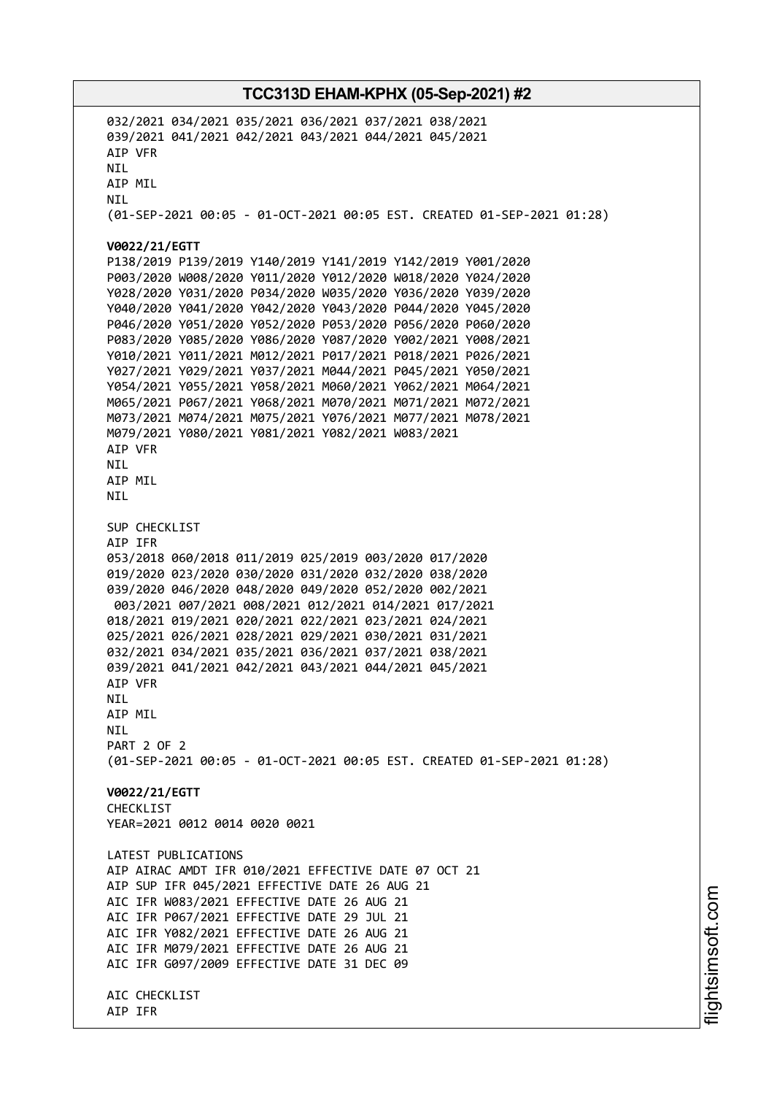032/2021 034/2021 035/2021 036/2021 037/2021 038/2021 039/2021 041/2021 042/2021 043/2021 044/2021 045/2021 AIP VFR NIL AIP MIL NIL (01-SEP-2021 00:05 - 01-OCT-2021 00:05 EST. CREATED 01-SEP-2021 01:28) **V0022/21/EGTT** P138/2019 P139/2019 Y140/2019 Y141/2019 Y142/2019 Y001/2020 P003/2020 W008/2020 Y011/2020 Y012/2020 W018/2020 Y024/2020 Y028/2020 Y031/2020 P034/2020 W035/2020 Y036/2020 Y039/2020 Y040/2020 Y041/2020 Y042/2020 Y043/2020 P044/2020 Y045/2020 P046/2020 Y051/2020 Y052/2020 P053/2020 P056/2020 P060/2020 P083/2020 Y085/2020 Y086/2020 Y087/2020 Y002/2021 Y008/2021 Y010/2021 Y011/2021 M012/2021 P017/2021 P018/2021 P026/2021 Y027/2021 Y029/2021 Y037/2021 M044/2021 P045/2021 Y050/2021 Y054/2021 Y055/2021 Y058/2021 M060/2021 Y062/2021 M064/2021 M065/2021 P067/2021 Y068/2021 M070/2021 M071/2021 M072/2021 M073/2021 M074/2021 M075/2021 Y076/2021 M077/2021 M078/2021 M079/2021 Y080/2021 Y081/2021 Y082/2021 W083/2021 AIP VFR NIL AIP MIL NIL SUP CHECKLIST AIP IFR 053/2018 060/2018 011/2019 025/2019 003/2020 017/2020 019/2020 023/2020 030/2020 031/2020 032/2020 038/2020 039/2020 046/2020 048/2020 049/2020 052/2020 002/2021 003/2021 007/2021 008/2021 012/2021 014/2021 017/2021 018/2021 019/2021 020/2021 022/2021 023/2021 024/2021 025/2021 026/2021 028/2021 029/2021 030/2021 031/2021 032/2021 034/2021 035/2021 036/2021 037/2021 038/2021 039/2021 041/2021 042/2021 043/2021 044/2021 045/2021 AIP VFR NIL AIP MIL NIL PART 2 OF 2 (01-SEP-2021 00:05 - 01-OCT-2021 00:05 EST. CREATED 01-SEP-2021 01:28) **V0022/21/EGTT CHECKLIST** YEAR=2021 0012 0014 0020 0021 LATEST PUBLICATIONS AIP AIRAC AMDT IFR 010/2021 EFFECTIVE DATE 07 OCT 21 AIP SUP IFR 045/2021 EFFECTIVE DATE 26 AUG 21 AIC IFR W083/2021 EFFECTIVE DATE 26 AUG 21 AIC IFR P067/2021 EFFECTIVE DATE 29 JUL 21 AIC IFR Y082/2021 EFFECTIVE DATE 26 AUG 21 AIC IFR M079/2021 EFFECTIVE DATE 26 AUG 21 AIC IFR G097/2009 EFFECTIVE DATE 31 DEC 09 AIC CHECKLIST AIP IFR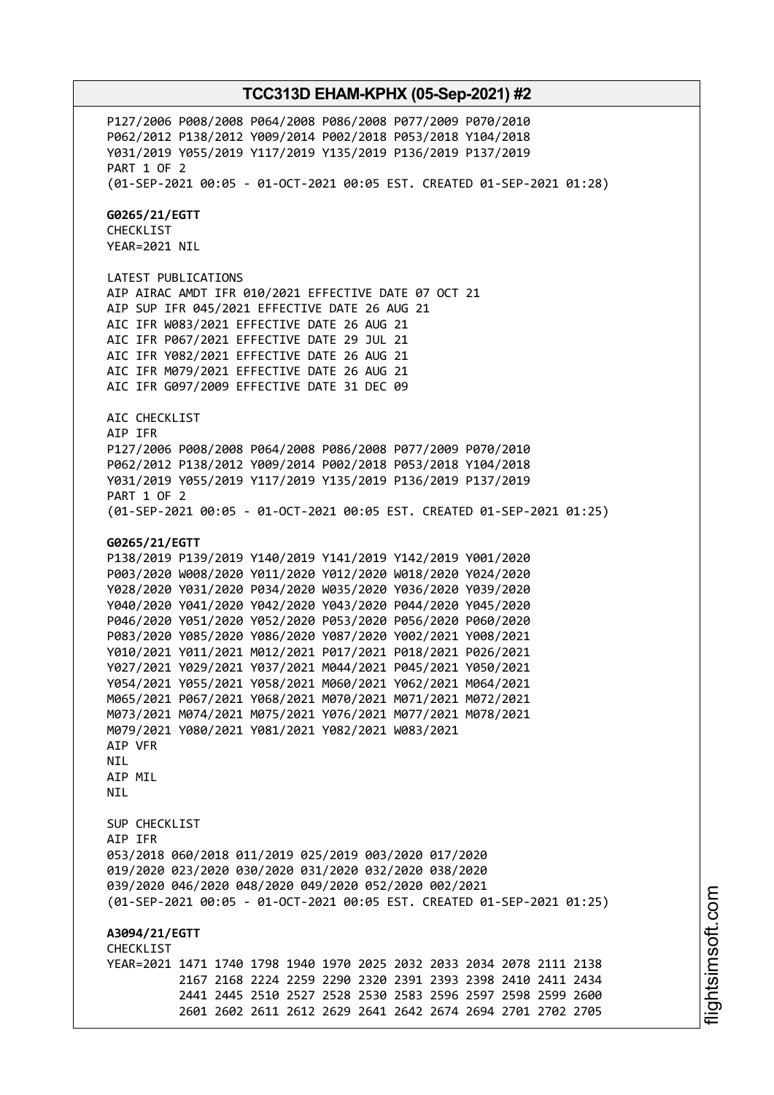P127/2006 P008/2008 P064/2008 P086/2008 P077/2009 P070/2010 P062/2012 P138/2012 Y009/2014 P002/2018 P053/2018 Y104/2018 Y031/2019 Y055/2019 Y117/2019 Y135/2019 P136/2019 P137/2019 PART 1 OF 2 (01-SEP-2021 00:05 - 01-OCT-2021 00:05 EST. CREATED 01-SEP-2021 01:28) **G0265/21/EGTT** CHECKLIST YEAR=2021 NIL LATEST PUBLICATIONS AIP AIRAC AMDT IFR 010/2021 EFFECTIVE DATE 07 OCT 21 AIP SUP IFR 045/2021 EFFECTIVE DATE 26 AUG 21 AIC IFR W083/2021 EFFECTIVE DATE 26 AUG 21 AIC IFR P067/2021 EFFECTIVE DATE 29 JUL 21 AIC IFR Y082/2021 EFFECTIVE DATE 26 AUG 21 AIC IFR M079/2021 EFFECTIVE DATE 26 AUG 21 AIC IFR G097/2009 EFFECTIVE DATE 31 DEC 09 AIC CHECKLIST AIP IFR P127/2006 P008/2008 P064/2008 P086/2008 P077/2009 P070/2010 P062/2012 P138/2012 Y009/2014 P002/2018 P053/2018 Y104/2018 Y031/2019 Y055/2019 Y117/2019 Y135/2019 P136/2019 P137/2019 PART 1 OF 2 (01-SEP-2021 00:05 - 01-OCT-2021 00:05 EST. CREATED 01-SEP-2021 01:25) **G0265/21/EGTT** P138/2019 P139/2019 Y140/2019 Y141/2019 Y142/2019 Y001/2020 P003/2020 W008/2020 Y011/2020 Y012/2020 W018/2020 Y024/2020 Y028/2020 Y031/2020 P034/2020 W035/2020 Y036/2020 Y039/2020 Y040/2020 Y041/2020 Y042/2020 Y043/2020 P044/2020 Y045/2020 P046/2020 Y051/2020 Y052/2020 P053/2020 P056/2020 P060/2020 P083/2020 Y085/2020 Y086/2020 Y087/2020 Y002/2021 Y008/2021 Y010/2021 Y011/2021 M012/2021 P017/2021 P018/2021 P026/2021 Y027/2021 Y029/2021 Y037/2021 M044/2021 P045/2021 Y050/2021 Y054/2021 Y055/2021 Y058/2021 M060/2021 Y062/2021 M064/2021 M065/2021 P067/2021 Y068/2021 M070/2021 M071/2021 M072/2021 M073/2021 M074/2021 M075/2021 Y076/2021 M077/2021 M078/2021 M079/2021 Y080/2021 Y081/2021 Y082/2021 W083/2021 AIP VFR NIL AIP MIL **NTI** SUP CHECKLIST AIP IFR 053/2018 060/2018 011/2019 025/2019 003/2020 017/2020 019/2020 023/2020 030/2020 031/2020 032/2020 038/2020 039/2020 046/2020 048/2020 049/2020 052/2020 002/2021 (01-SEP-2021 00:05 - 01-OCT-2021 00:05 EST. CREATED 01-SEP-2021 01:25) **A3094/21/EGTT CHECKLIST** YEAR=2021 1471 1740 1798 1940 1970 2025 2032 2033 2034 2078 2111 2138 2167 2168 2224 2259 2290 2320 2391 2393 2398 2410 2411 2434 2441 2445 2510 2527 2528 2530 2583 2596 2597 2598 2599 2600 2601 2602 2611 2612 2629 2641 2642 2674 2694 2701 2702 2705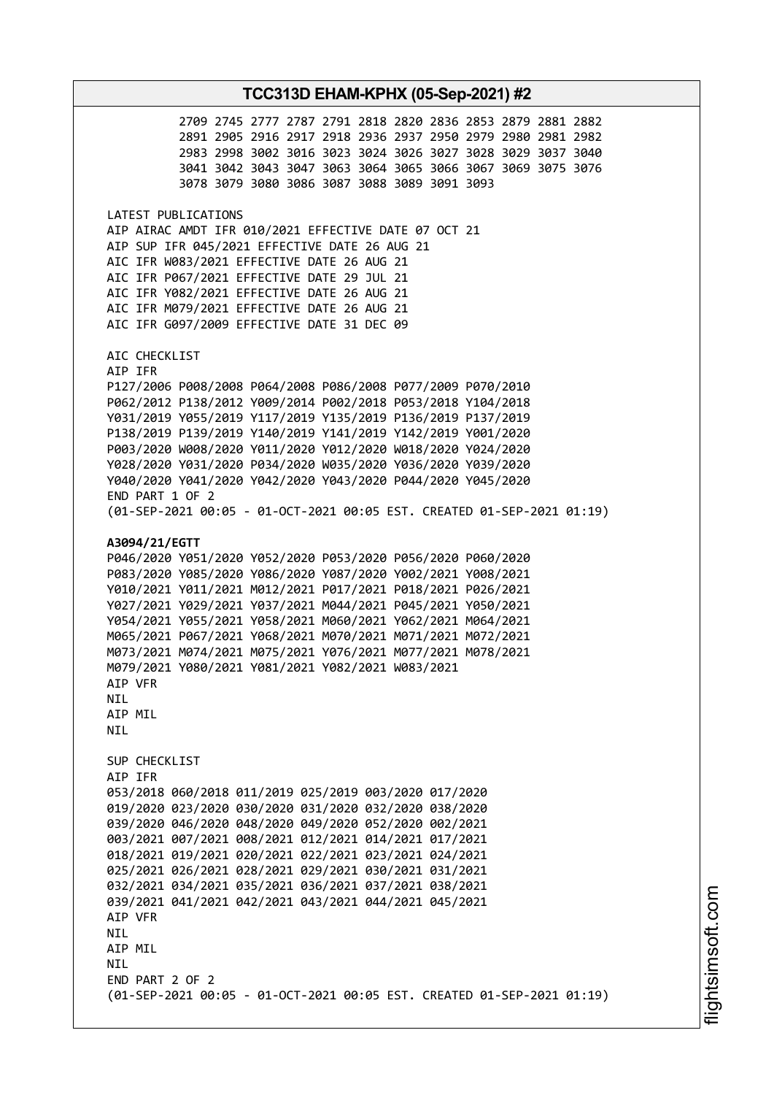2709 2745 2777 2787 2791 2818 2820 2836 2853 2879 2881 2882 2891 2905 2916 2917 2918 2936 2937 2950 2979 2980 2981 2982 2983 2998 3002 3016 3023 3024 3026 3027 3028 3029 3037 3040 3041 3042 3043 3047 3063 3064 3065 3066 3067 3069 3075 3076 3078 3079 3080 3086 3087 3088 3089 3091 3093 LATEST PUBLICATIONS AIP AIRAC AMDT IFR 010/2021 EFFECTIVE DATE 07 OCT 21 AIP SUP IFR 045/2021 EFFECTIVE DATE 26 AUG 21 AIC IFR W083/2021 EFFECTIVE DATE 26 AUG 21 AIC IFR P067/2021 EFFECTIVE DATE 29 JUL 21 AIC IFR Y082/2021 EFFECTIVE DATE 26 AUG 21 AIC IFR M079/2021 EFFECTIVE DATE 26 AUG 21 AIC IFR G097/2009 EFFECTIVE DATE 31 DEC 09 AIC CHECKLIST AIP IFR P127/2006 P008/2008 P064/2008 P086/2008 P077/2009 P070/2010 P062/2012 P138/2012 Y009/2014 P002/2018 P053/2018 Y104/2018 Y031/2019 Y055/2019 Y117/2019 Y135/2019 P136/2019 P137/2019 P138/2019 P139/2019 Y140/2019 Y141/2019 Y142/2019 Y001/2020 P003/2020 W008/2020 Y011/2020 Y012/2020 W018/2020 Y024/2020 Y028/2020 Y031/2020 P034/2020 W035/2020 Y036/2020 Y039/2020 Y040/2020 Y041/2020 Y042/2020 Y043/2020 P044/2020 Y045/2020 END PART 1 OF 2 (01-SEP-2021 00:05 - 01-OCT-2021 00:05 EST. CREATED 01-SEP-2021 01:19) **A3094/21/EGTT** P046/2020 Y051/2020 Y052/2020 P053/2020 P056/2020 P060/2020 P083/2020 Y085/2020 Y086/2020 Y087/2020 Y002/2021 Y008/2021 Y010/2021 Y011/2021 M012/2021 P017/2021 P018/2021 P026/2021 Y027/2021 Y029/2021 Y037/2021 M044/2021 P045/2021 Y050/2021 Y054/2021 Y055/2021 Y058/2021 M060/2021 Y062/2021 M064/2021 M065/2021 P067/2021 Y068/2021 M070/2021 M071/2021 M072/2021 M073/2021 M074/2021 M075/2021 Y076/2021 M077/2021 M078/2021 M079/2021 Y080/2021 Y081/2021 Y082/2021 W083/2021 AIP VFR NIL AIP MIL NIL SUP CHECKLIST AIP IFR 053/2018 060/2018 011/2019 025/2019 003/2020 017/2020 019/2020 023/2020 030/2020 031/2020 032/2020 038/2020 039/2020 046/2020 048/2020 049/2020 052/2020 002/2021 003/2021 007/2021 008/2021 012/2021 014/2021 017/2021 018/2021 019/2021 020/2021 022/2021 023/2021 024/2021 025/2021 026/2021 028/2021 029/2021 030/2021 031/2021 032/2021 034/2021 035/2021 036/2021 037/2021 038/2021 039/2021 041/2021 042/2021 043/2021 044/2021 045/2021 AIP VFR NIL AIP MIL NIL END PART 2 OF 2 (01-SEP-2021 00:05 - 01-OCT-2021 00:05 EST. CREATED 01-SEP-2021 01:19)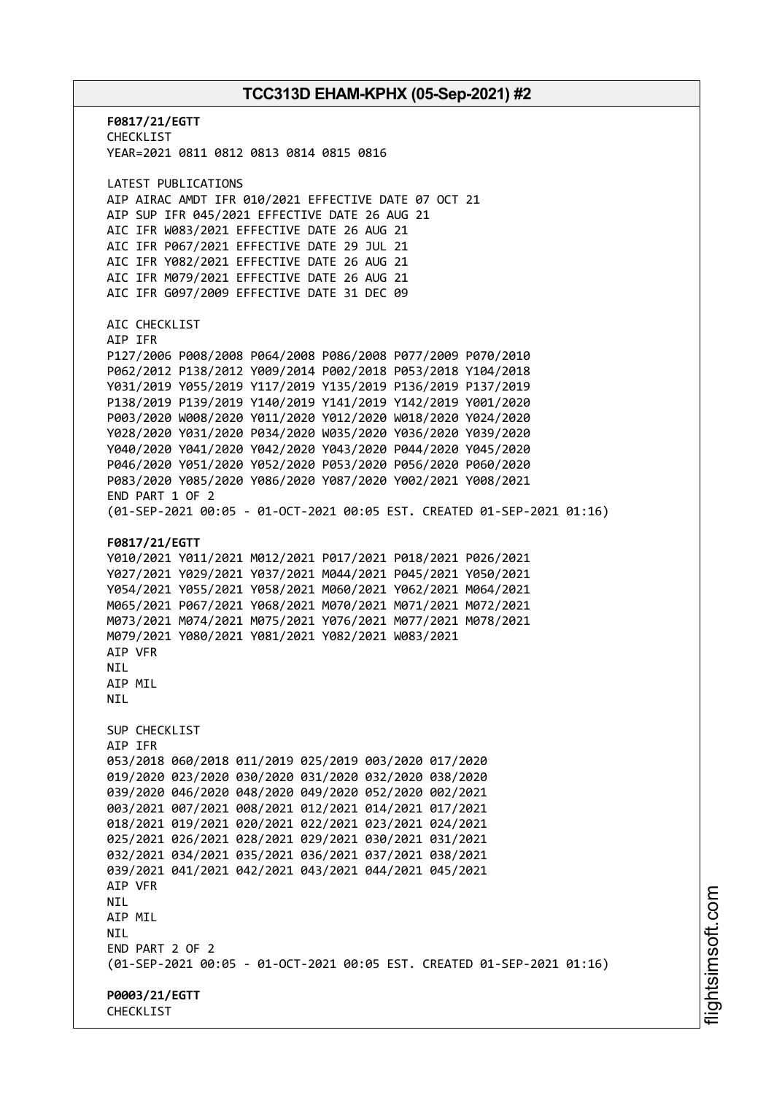**F0817/21/EGTT** CHECKLIST YEAR=2021 0811 0812 0813 0814 0815 0816 LATEST PUBLICATIONS AIP AIRAC AMDT IFR 010/2021 EFFECTIVE DATE 07 OCT 21 AIP SUP IFR 045/2021 EFFECTIVE DATE 26 AUG 21 AIC IFR W083/2021 EFFECTIVE DATE 26 AUG 21 AIC IFR P067/2021 EFFECTIVE DATE 29 JUL 21 AIC IFR Y082/2021 EFFECTIVE DATE 26 AUG 21 AIC IFR M079/2021 EFFECTIVE DATE 26 AUG 21 AIC IFR G097/2009 EFFECTIVE DATE 31 DEC 09 AIC CHECKLIST AIP IFR P127/2006 P008/2008 P064/2008 P086/2008 P077/2009 P070/2010 P062/2012 P138/2012 Y009/2014 P002/2018 P053/2018 Y104/2018 Y031/2019 Y055/2019 Y117/2019 Y135/2019 P136/2019 P137/2019 P138/2019 P139/2019 Y140/2019 Y141/2019 Y142/2019 Y001/2020 P003/2020 W008/2020 Y011/2020 Y012/2020 W018/2020 Y024/2020 Y028/2020 Y031/2020 P034/2020 W035/2020 Y036/2020 Y039/2020 Y040/2020 Y041/2020 Y042/2020 Y043/2020 P044/2020 Y045/2020 P046/2020 Y051/2020 Y052/2020 P053/2020 P056/2020 P060/2020 P083/2020 Y085/2020 Y086/2020 Y087/2020 Y002/2021 Y008/2021 END PART 1 OF 2 (01-SEP-2021 00:05 - 01-OCT-2021 00:05 EST. CREATED 01-SEP-2021 01:16) **F0817/21/EGTT** Y010/2021 Y011/2021 M012/2021 P017/2021 P018/2021 P026/2021 Y027/2021 Y029/2021 Y037/2021 M044/2021 P045/2021 Y050/2021 Y054/2021 Y055/2021 Y058/2021 M060/2021 Y062/2021 M064/2021 M065/2021 P067/2021 Y068/2021 M070/2021 M071/2021 M072/2021 M073/2021 M074/2021 M075/2021 Y076/2021 M077/2021 M078/2021 M079/2021 Y080/2021 Y081/2021 Y082/2021 W083/2021 AIP VFR **NTI** AIP MIL NIL SUP CHECKLIST AIP IFR 053/2018 060/2018 011/2019 025/2019 003/2020 017/2020 019/2020 023/2020 030/2020 031/2020 032/2020 038/2020 039/2020 046/2020 048/2020 049/2020 052/2020 002/2021 003/2021 007/2021 008/2021 012/2021 014/2021 017/2021 018/2021 019/2021 020/2021 022/2021 023/2021 024/2021 025/2021 026/2021 028/2021 029/2021 030/2021 031/2021 032/2021 034/2021 035/2021 036/2021 037/2021 038/2021 039/2021 041/2021 042/2021 043/2021 044/2021 045/2021 AIP VFR NIL AIP MIL NIL END PART 2 OF 2 (01-SEP-2021 00:05 - 01-OCT-2021 00:05 EST. CREATED 01-SEP-2021 01:16) **P0003/21/EGTT CHECKLIST**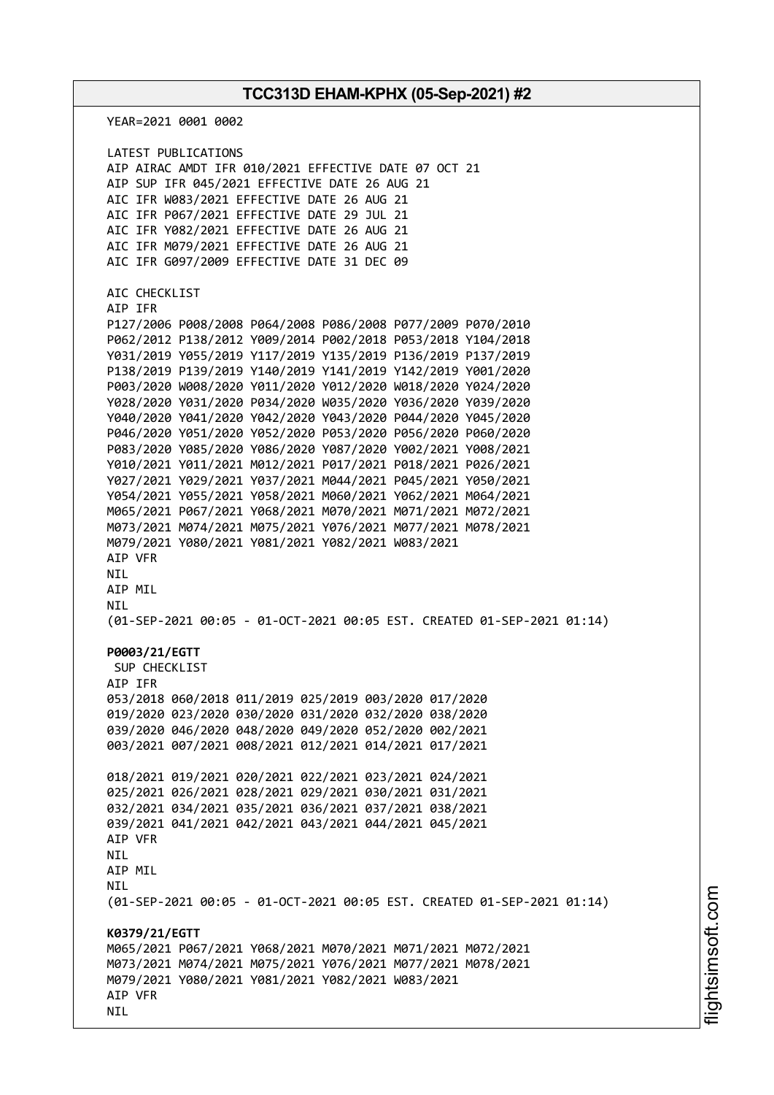YEAR=2021 0001 0002 LATEST PUBLICATIONS AIP AIRAC AMDT IFR 010/2021 EFFECTIVE DATE 07 OCT 21 AIP SUP IFR 045/2021 EFFECTIVE DATE 26 AUG 21 AIC IFR W083/2021 EFFECTIVE DATE 26 AUG 21 AIC IFR P067/2021 EFFECTIVE DATE 29 JUL 21 AIC IFR Y082/2021 EFFECTIVE DATE 26 AUG 21 AIC IFR M079/2021 EFFECTIVE DATE 26 AUG 21 AIC IFR G097/2009 EFFECTIVE DATE 31 DEC 09 AIC CHECKLIST AIP IFR P127/2006 P008/2008 P064/2008 P086/2008 P077/2009 P070/2010 P062/2012 P138/2012 Y009/2014 P002/2018 P053/2018 Y104/2018 Y031/2019 Y055/2019 Y117/2019 Y135/2019 P136/2019 P137/2019 P138/2019 P139/2019 Y140/2019 Y141/2019 Y142/2019 Y001/2020 P003/2020 W008/2020 Y011/2020 Y012/2020 W018/2020 Y024/2020 Y028/2020 Y031/2020 P034/2020 W035/2020 Y036/2020 Y039/2020 Y040/2020 Y041/2020 Y042/2020 Y043/2020 P044/2020 Y045/2020 P046/2020 Y051/2020 Y052/2020 P053/2020 P056/2020 P060/2020 P083/2020 Y085/2020 Y086/2020 Y087/2020 Y002/2021 Y008/2021 Y010/2021 Y011/2021 M012/2021 P017/2021 P018/2021 P026/2021 Y027/2021 Y029/2021 Y037/2021 M044/2021 P045/2021 Y050/2021 Y054/2021 Y055/2021 Y058/2021 M060/2021 Y062/2021 M064/2021 M065/2021 P067/2021 Y068/2021 M070/2021 M071/2021 M072/2021 M073/2021 M074/2021 M075/2021 Y076/2021 M077/2021 M078/2021 M079/2021 Y080/2021 Y081/2021 Y082/2021 W083/2021 AIP VFR **NTI** AIP MIL NIL (01-SEP-2021 00:05 - 01-OCT-2021 00:05 EST. CREATED 01-SEP-2021 01:14) **P0003/21/EGTT** SUP CHECKLIST AIP IFR 053/2018 060/2018 011/2019 025/2019 003/2020 017/2020 019/2020 023/2020 030/2020 031/2020 032/2020 038/2020 039/2020 046/2020 048/2020 049/2020 052/2020 002/2021 003/2021 007/2021 008/2021 012/2021 014/2021 017/2021 018/2021 019/2021 020/2021 022/2021 023/2021 024/2021 025/2021 026/2021 028/2021 029/2021 030/2021 031/2021 032/2021 034/2021 035/2021 036/2021 037/2021 038/2021 039/2021 041/2021 042/2021 043/2021 044/2021 045/2021 AIP VFR **NTI** AIP MIL NIL (01-SEP-2021 00:05 - 01-OCT-2021 00:05 EST. CREATED 01-SEP-2021 01:14) **K0379/21/EGTT** M065/2021 P067/2021 Y068/2021 M070/2021 M071/2021 M072/2021 M073/2021 M074/2021 M075/2021 Y076/2021 M077/2021 M078/2021 M079/2021 Y080/2021 Y081/2021 Y082/2021 W083/2021 AIP VFR NIL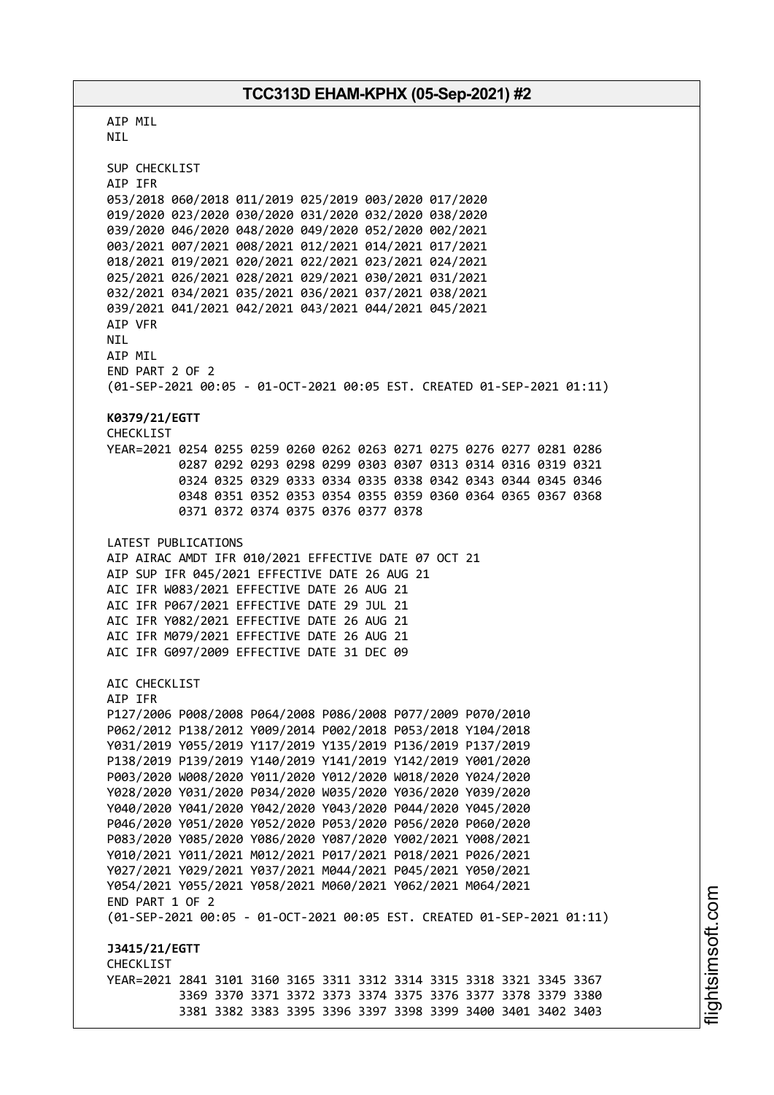AIP MIL NIL SUP CHECKLIST AIP IFR 053/2018 060/2018 011/2019 025/2019 003/2020 017/2020 019/2020 023/2020 030/2020 031/2020 032/2020 038/2020 039/2020 046/2020 048/2020 049/2020 052/2020 002/2021 003/2021 007/2021 008/2021 012/2021 014/2021 017/2021 018/2021 019/2021 020/2021 022/2021 023/2021 024/2021 025/2021 026/2021 028/2021 029/2021 030/2021 031/2021 032/2021 034/2021 035/2021 036/2021 037/2021 038/2021 039/2021 041/2021 042/2021 043/2021 044/2021 045/2021 AIP VFR NIL AIP MIL END PART 2 OF 2 (01-SEP-2021 00:05 - 01-OCT-2021 00:05 EST. CREATED 01-SEP-2021 01:11) **K0379/21/EGTT** CHECKLIST YEAR=2021 0254 0255 0259 0260 0262 0263 0271 0275 0276 0277 0281 0286 0287 0292 0293 0298 0299 0303 0307 0313 0314 0316 0319 0321 0324 0325 0329 0333 0334 0335 0338 0342 0343 0344 0345 0346 0348 0351 0352 0353 0354 0355 0359 0360 0364 0365 0367 0368 0371 0372 0374 0375 0376 0377 0378 LATEST PUBLICATIONS AIP AIRAC AMDT IFR 010/2021 EFFECTIVE DATE 07 OCT 21 AIP SUP IFR 045/2021 EFFECTIVE DATE 26 AUG 21 AIC IFR W083/2021 EFFECTIVE DATE 26 AUG 21 AIC IFR P067/2021 EFFECTIVE DATE 29 JUL 21 AIC IFR Y082/2021 EFFECTIVE DATE 26 AUG 21 AIC IFR M079/2021 EFFECTIVE DATE 26 AUG 21 AIC IFR G097/2009 EFFECTIVE DATE 31 DEC 09 AIC CHECKLIST AIP IFR P127/2006 P008/2008 P064/2008 P086/2008 P077/2009 P070/2010 P062/2012 P138/2012 Y009/2014 P002/2018 P053/2018 Y104/2018 Y031/2019 Y055/2019 Y117/2019 Y135/2019 P136/2019 P137/2019 P138/2019 P139/2019 Y140/2019 Y141/2019 Y142/2019 Y001/2020 P003/2020 W008/2020 Y011/2020 Y012/2020 W018/2020 Y024/2020 Y028/2020 Y031/2020 P034/2020 W035/2020 Y036/2020 Y039/2020 Y040/2020 Y041/2020 Y042/2020 Y043/2020 P044/2020 Y045/2020 P046/2020 Y051/2020 Y052/2020 P053/2020 P056/2020 P060/2020 P083/2020 Y085/2020 Y086/2020 Y087/2020 Y002/2021 Y008/2021 Y010/2021 Y011/2021 M012/2021 P017/2021 P018/2021 P026/2021 Y027/2021 Y029/2021 Y037/2021 M044/2021 P045/2021 Y050/2021 Y054/2021 Y055/2021 Y058/2021 M060/2021 Y062/2021 M064/2021 END PART 1 OF 2 (01-SEP-2021 00:05 - 01-OCT-2021 00:05 EST. CREATED 01-SEP-2021 01:11) **J3415/21/EGTT CHECKLIST** YEAR=2021 2841 3101 3160 3165 3311 3312 3314 3315 3318 3321 3345 3367 3369 3370 3371 3372 3373 3374 3375 3376 3377 3378 3379 3380 3381 3382 3383 3395 3396 3397 3398 3399 3400 3401 3402 3403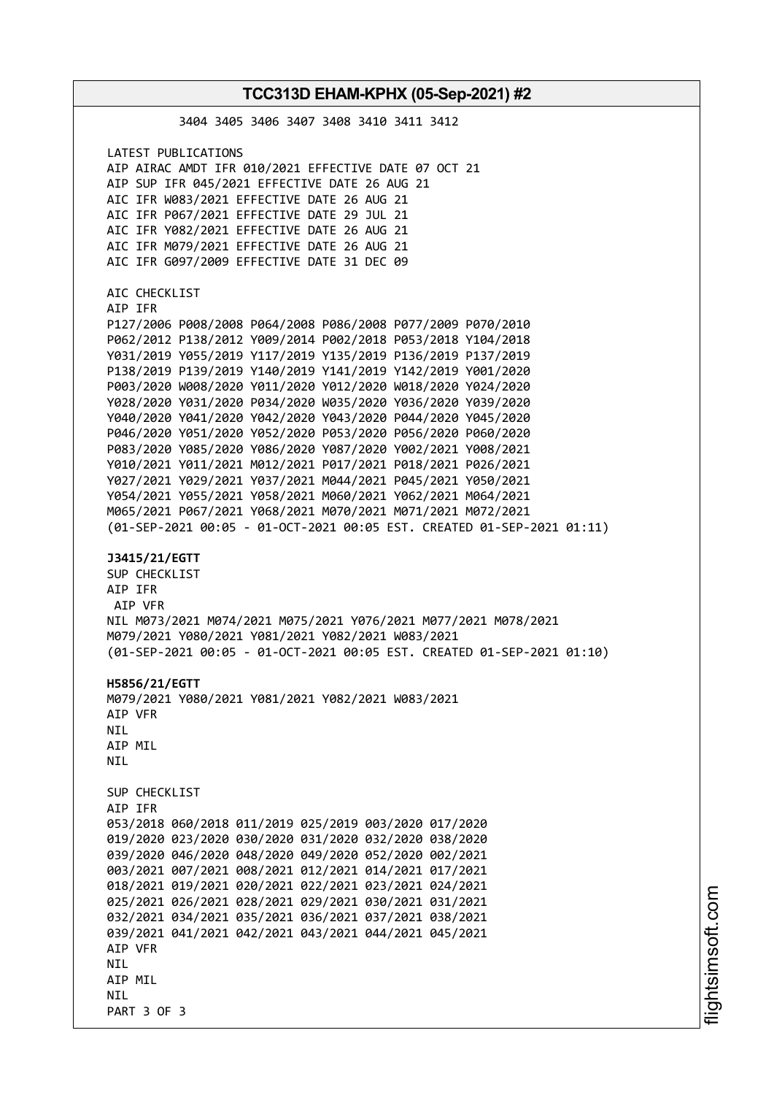| TCC313D EHAM-KPHX (05-Sep-2021) #2                                                                                                                                                                                                                                                                                                                                                                                                                                                                                                                                                                                                                                                                                                                                                                                                                                                                                                                    |  |
|-------------------------------------------------------------------------------------------------------------------------------------------------------------------------------------------------------------------------------------------------------------------------------------------------------------------------------------------------------------------------------------------------------------------------------------------------------------------------------------------------------------------------------------------------------------------------------------------------------------------------------------------------------------------------------------------------------------------------------------------------------------------------------------------------------------------------------------------------------------------------------------------------------------------------------------------------------|--|
| 3404 3405 3406 3407 3408 3410 3411 3412                                                                                                                                                                                                                                                                                                                                                                                                                                                                                                                                                                                                                                                                                                                                                                                                                                                                                                               |  |
| LATEST PUBLICATIONS<br>AIP AIRAC AMDT IFR 010/2021 EFFECTIVE DATE 07 OCT 21<br>AIP SUP IFR 045/2021 EFFECTIVE DATE 26 AUG 21<br>AIC IFR W083/2021 EFFECTIVE DATE 26 AUG 21<br>AIC IFR P067/2021 EFFECTIVE DATE 29 JUL 21<br>AIC IFR Y082/2021 EFFECTIVE DATE 26 AUG 21<br>AIC IFR M079/2021 EFFECTIVE DATE 26 AUG 21<br>AIC IFR G097/2009 EFFECTIVE DATE 31 DEC 09                                                                                                                                                                                                                                                                                                                                                                                                                                                                                                                                                                                    |  |
| AIC CHECKLIST<br>AIP IFR<br>P127/2006 P008/2008 P064/2008 P086/2008 P077/2009 P070/2010<br>P062/2012 P138/2012 Y009/2014 P002/2018 P053/2018 Y104/2018<br>Y031/2019 Y055/2019 Y117/2019 Y135/2019 P136/2019 P137/2019<br>P138/2019 P139/2019 Y140/2019 Y141/2019 Y142/2019 Y001/2020<br>P003/2020 W008/2020 Y011/2020 Y012/2020 W018/2020 Y024/2020<br>Y028/2020 Y031/2020 P034/2020 W035/2020 Y036/2020 Y039/2020<br>Y040/2020 Y041/2020 Y042/2020 Y043/2020 P044/2020 Y045/2020<br>P046/2020 Y051/2020 Y052/2020 P053/2020 P056/2020 P060/2020<br>P083/2020 Y085/2020 Y086/2020 Y087/2020 Y002/2021 Y008/2021<br>Y010/2021 Y011/2021 M012/2021 P017/2021 P018/2021 P026/2021<br>Y027/2021 Y029/2021 Y037/2021 M044/2021 P045/2021 Y050/2021<br>Y054/2021 Y055/2021 Y058/2021 M060/2021 Y062/2021 M064/2021<br>M065/2021 P067/2021 Y068/2021 M070/2021 M071/2021 M072/2021<br>(01-SEP-2021 00:05 - 01-OCT-2021 00:05 EST. CREATED 01-SEP-2021 01:11) |  |
| J3415/21/EGTT<br>SUP CHECKLIST<br>AIP IFR<br>AIP VFR<br>NIL M073/2021 M074/2021 M075/2021 Y076/2021 M077/2021 M078/2021<br>M079/2021 Y080/2021 Y081/2021 Y082/2021 W083/2021<br>(01-SEP-2021 00:05 - 01-OCT-2021 00:05 EST. CREATED 01-SEP-2021 01:10)<br>H5856/21/EGTT<br>M079/2021 Y080/2021 Y081/2021 Y082/2021 W083/2021<br>AIP VFR<br>NIL.<br>AIP MIL<br>NIL.                                                                                                                                                                                                                                                                                                                                                                                                                                                                                                                                                                                    |  |
| SUP CHECKLIST<br>AIP IFR<br>053/2018 060/2018 011/2019 025/2019 003/2020 017/2020<br>019/2020 023/2020 030/2020 031/2020 032/2020 038/2020<br>039/2020 046/2020 048/2020 049/2020 052/2020 002/2021<br>003/2021 007/2021 008/2021 012/2021 014/2021 017/2021<br>018/2021 019/2021 020/2021 022/2021 023/2021 024/2021<br>025/2021 026/2021 028/2021 029/2021 030/2021 031/2021<br>032/2021 034/2021 035/2021 036/2021 037/2021 038/2021<br>039/2021 041/2021 042/2021 043/2021 044/2021 045/2021<br>AIP VFR<br>NIL.<br>AIP MIL<br>NIL.                                                                                                                                                                                                                                                                                                                                                                                                                |  |

i⊒<br>⊫ htsim soft.c o

m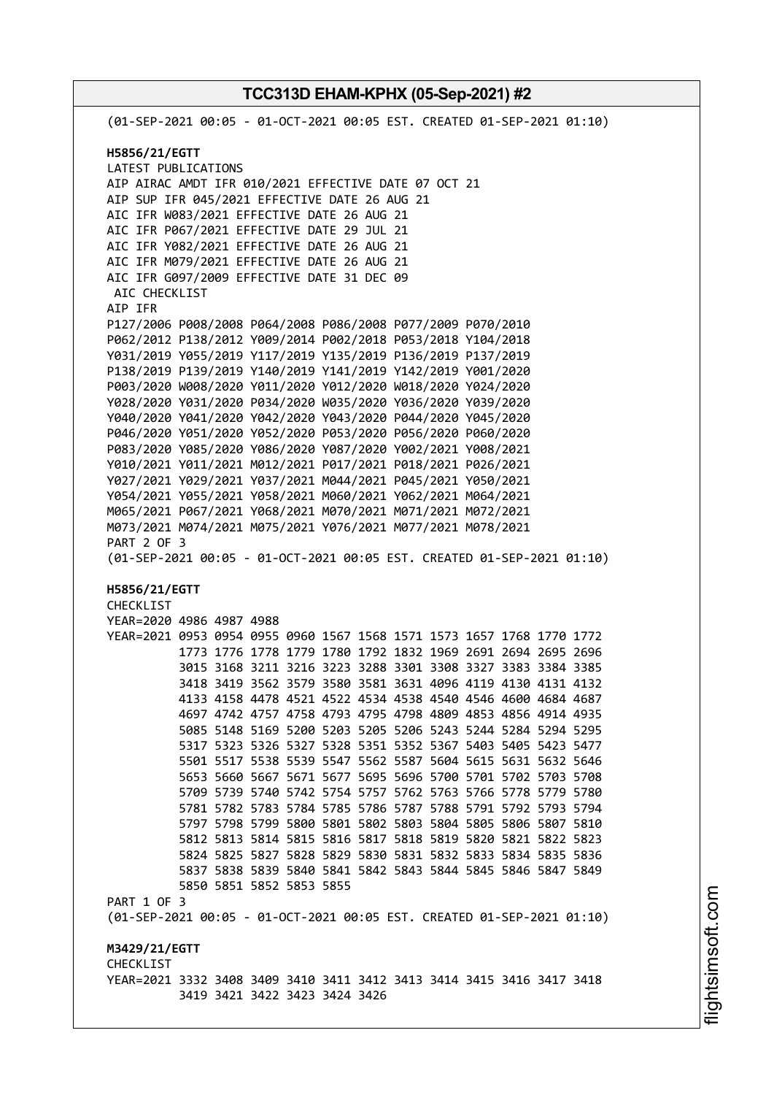(01-SEP-2021 00:05 - 01-OCT-2021 00:05 EST. CREATED 01-SEP-2021 01:10) **H5856/21/EGTT** LATEST PUBLICATIONS AIP AIRAC AMDT IFR 010/2021 EFFECTIVE DATE 07 OCT 21 AIP SUP IFR 045/2021 EFFECTIVE DATE 26 AUG 21 AIC IFR W083/2021 EFFECTIVE DATE 26 AUG 21 AIC IFR P067/2021 EFFECTIVE DATE 29 JUL 21 AIC IFR Y082/2021 EFFECTIVE DATE 26 AUG 21 AIC IFR M079/2021 EFFECTIVE DATE 26 AUG 21 AIC IFR G097/2009 EFFECTIVE DATE 31 DEC 09 AIC CHECKLIST AIP IFR P127/2006 P008/2008 P064/2008 P086/2008 P077/2009 P070/2010 P062/2012 P138/2012 Y009/2014 P002/2018 P053/2018 Y104/2018 Y031/2019 Y055/2019 Y117/2019 Y135/2019 P136/2019 P137/2019 P138/2019 P139/2019 Y140/2019 Y141/2019 Y142/2019 Y001/2020 P003/2020 W008/2020 Y011/2020 Y012/2020 W018/2020 Y024/2020 Y028/2020 Y031/2020 P034/2020 W035/2020 Y036/2020 Y039/2020 Y040/2020 Y041/2020 Y042/2020 Y043/2020 P044/2020 Y045/2020 P046/2020 Y051/2020 Y052/2020 P053/2020 P056/2020 P060/2020 P083/2020 Y085/2020 Y086/2020 Y087/2020 Y002/2021 Y008/2021 Y010/2021 Y011/2021 M012/2021 P017/2021 P018/2021 P026/2021 Y027/2021 Y029/2021 Y037/2021 M044/2021 P045/2021 Y050/2021 Y054/2021 Y055/2021 Y058/2021 M060/2021 Y062/2021 M064/2021 M065/2021 P067/2021 Y068/2021 M070/2021 M071/2021 M072/2021 M073/2021 M074/2021 M075/2021 Y076/2021 M077/2021 M078/2021 PART 2 OF 3 (01-SEP-2021 00:05 - 01-OCT-2021 00:05 EST. CREATED 01-SEP-2021 01:10) **H5856/21/EGTT** CHECKLIST YEAR=2020 4986 4987 4988 YEAR=2021 0953 0954 0955 0960 1567 1568 1571 1573 1657 1768 1770 1772 1773 1776 1778 1779 1780 1792 1832 1969 2691 2694 2695 2696 3015 3168 3211 3216 3223 3288 3301 3308 3327 3383 3384 3385 3418 3419 3562 3579 3580 3581 3631 4096 4119 4130 4131 4132 4133 4158 4478 4521 4522 4534 4538 4540 4546 4600 4684 4687 4697 4742 4757 4758 4793 4795 4798 4809 4853 4856 4914 4935 5085 5148 5169 5200 5203 5205 5206 5243 5244 5284 5294 5295 5317 5323 5326 5327 5328 5351 5352 5367 5403 5405 5423 5477 5501 5517 5538 5539 5547 5562 5587 5604 5615 5631 5632 5646 5653 5660 5667 5671 5677 5695 5696 5700 5701 5702 5703 5708 5709 5739 5740 5742 5754 5757 5762 5763 5766 5778 5779 5780 5781 5782 5783 5784 5785 5786 5787 5788 5791 5792 5793 5794 5797 5798 5799 5800 5801 5802 5803 5804 5805 5806 5807 5810 5812 5813 5814 5815 5816 5817 5818 5819 5820 5821 5822 5823 5824 5825 5827 5828 5829 5830 5831 5832 5833 5834 5835 5836 5837 5838 5839 5840 5841 5842 5843 5844 5845 5846 5847 5849 5850 5851 5852 5853 5855 PART 1 OF 3 (01-SEP-2021 00:05 - 01-OCT-2021 00:05 EST. CREATED 01-SEP-2021 01:10) **M3429/21/EGTT CHECKLIST** YEAR=2021 3332 3408 3409 3410 3411 3412 3413 3414 3415 3416 3417 3418 3419 3421 3422 3423 3424 3426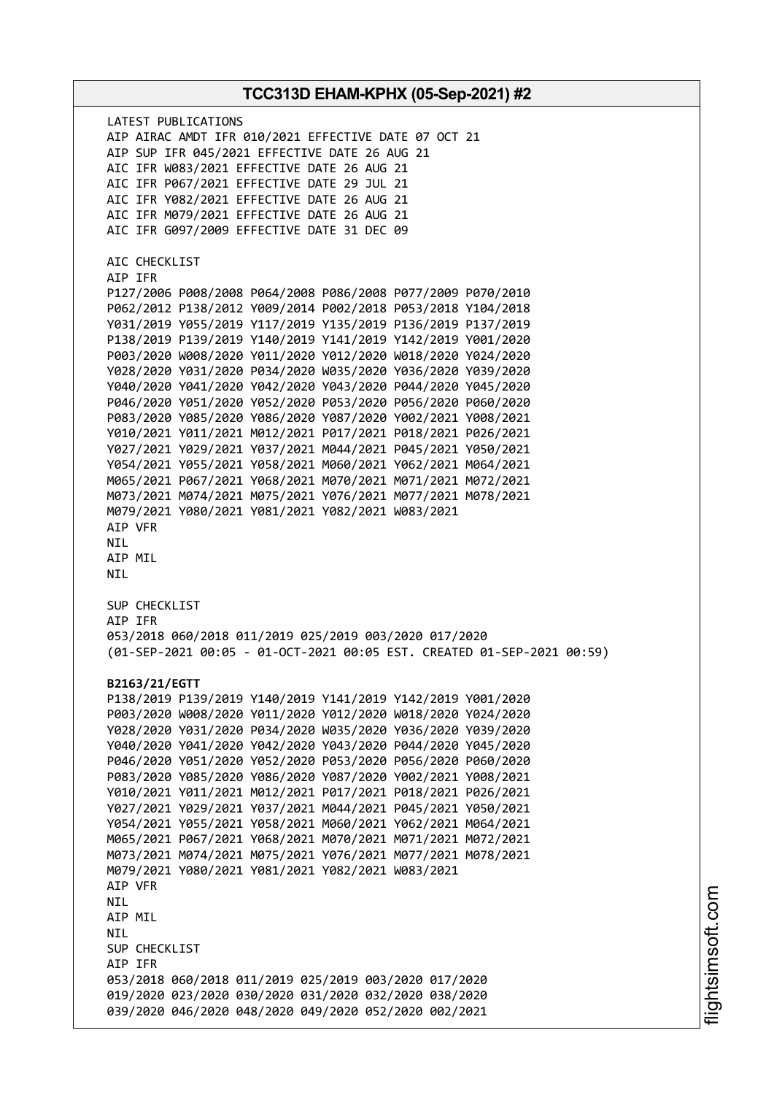LATEST PUBLICATIONS AIP AIRAC AMDT IFR 010/2021 EFFECTIVE DATE 07 OCT 21 AIP SUP IFR 045/2021 EFFECTIVE DATE 26 AUG 21 AIC IFR W083/2021 EFFECTIVE DATE 26 AUG 21 AIC IFR P067/2021 EFFECTIVE DATE 29 JUL 21 AIC IFR Y082/2021 EFFECTIVE DATE 26 AUG 21 AIC IFR M079/2021 EFFECTIVE DATE 26 AUG 21 AIC IFR G097/2009 EFFECTIVE DATE 31 DEC 09 AIC CHECKLIST AIP IFR P127/2006 P008/2008 P064/2008 P086/2008 P077/2009 P070/2010 P062/2012 P138/2012 Y009/2014 P002/2018 P053/2018 Y104/2018 Y031/2019 Y055/2019 Y117/2019 Y135/2019 P136/2019 P137/2019 P138/2019 P139/2019 Y140/2019 Y141/2019 Y142/2019 Y001/2020 P003/2020 W008/2020 Y011/2020 Y012/2020 W018/2020 Y024/2020 Y028/2020 Y031/2020 P034/2020 W035/2020 Y036/2020 Y039/2020 Y040/2020 Y041/2020 Y042/2020 Y043/2020 P044/2020 Y045/2020 P046/2020 Y051/2020 Y052/2020 P053/2020 P056/2020 P060/2020 P083/2020 Y085/2020 Y086/2020 Y087/2020 Y002/2021 Y008/2021 Y010/2021 Y011/2021 M012/2021 P017/2021 P018/2021 P026/2021 Y027/2021 Y029/2021 Y037/2021 M044/2021 P045/2021 Y050/2021 Y054/2021 Y055/2021 Y058/2021 M060/2021 Y062/2021 M064/2021 M065/2021 P067/2021 Y068/2021 M070/2021 M071/2021 M072/2021 M073/2021 M074/2021 M075/2021 Y076/2021 M077/2021 M078/2021 M079/2021 Y080/2021 Y081/2021 Y082/2021 W083/2021 AIP VFR NIL AIP MIL NIL SUP CHECKLIST AIP IFR 053/2018 060/2018 011/2019 025/2019 003/2020 017/2020 (01-SEP-2021 00:05 - 01-OCT-2021 00:05 EST. CREATED 01-SEP-2021 00:59) **B2163/21/EGTT** P138/2019 P139/2019 Y140/2019 Y141/2019 Y142/2019 Y001/2020 P003/2020 W008/2020 Y011/2020 Y012/2020 W018/2020 Y024/2020 Y028/2020 Y031/2020 P034/2020 W035/2020 Y036/2020 Y039/2020 Y040/2020 Y041/2020 Y042/2020 Y043/2020 P044/2020 Y045/2020 P046/2020 Y051/2020 Y052/2020 P053/2020 P056/2020 P060/2020 P083/2020 Y085/2020 Y086/2020 Y087/2020 Y002/2021 Y008/2021 Y010/2021 Y011/2021 M012/2021 P017/2021 P018/2021 P026/2021 Y027/2021 Y029/2021 Y037/2021 M044/2021 P045/2021 Y050/2021 Y054/2021 Y055/2021 Y058/2021 M060/2021 Y062/2021 M064/2021 M065/2021 P067/2021 Y068/2021 M070/2021 M071/2021 M072/2021 M073/2021 M074/2021 M075/2021 Y076/2021 M077/2021 M078/2021 M079/2021 Y080/2021 Y081/2021 Y082/2021 W083/2021 AIP VFR NIL AIP MIL NIL SUP CHECKLIST AIP IFR 053/2018 060/2018 011/2019 025/2019 003/2020 017/2020 019/2020 023/2020 030/2020 031/2020 032/2020 038/2020 039/2020 046/2020 048/2020 049/2020 052/2020 002/2021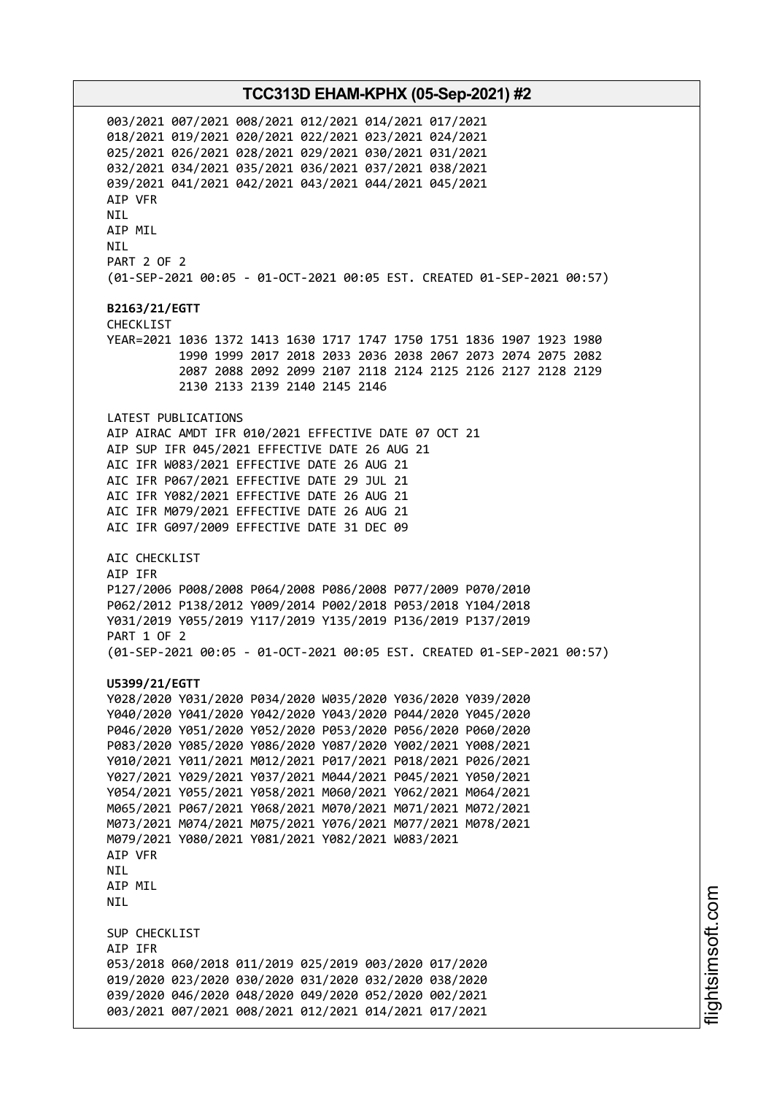003/2021 007/2021 008/2021 012/2021 014/2021 017/2021 018/2021 019/2021 020/2021 022/2021 023/2021 024/2021 025/2021 026/2021 028/2021 029/2021 030/2021 031/2021 032/2021 034/2021 035/2021 036/2021 037/2021 038/2021 039/2021 041/2021 042/2021 043/2021 044/2021 045/2021 AIP VFR NIL AIP MIL NIL PART 2 OF 2 (01-SEP-2021 00:05 - 01-OCT-2021 00:05 EST. CREATED 01-SEP-2021 00:57) **B2163/21/EGTT** CHECKLIST YEAR=2021 1036 1372 1413 1630 1717 1747 1750 1751 1836 1907 1923 1980 1990 1999 2017 2018 2033 2036 2038 2067 2073 2074 2075 2082 2087 2088 2092 2099 2107 2118 2124 2125 2126 2127 2128 2129 2130 2133 2139 2140 2145 2146 LATEST PUBLICATIONS AIP AIRAC AMDT IFR 010/2021 EFFECTIVE DATE 07 OCT 21 AIP SUP IFR 045/2021 EFFECTIVE DATE 26 AUG 21 AIC IFR W083/2021 EFFECTIVE DATE 26 AUG 21 AIC IFR P067/2021 EFFECTIVE DATE 29 JUL 21 AIC IFR Y082/2021 EFFECTIVE DATE 26 AUG 21 AIC IFR M079/2021 EFFECTIVE DATE 26 AUG 21 AIC IFR G097/2009 EFFECTIVE DATE 31 DEC 09 AIC CHECKLIST AIP IFR P127/2006 P008/2008 P064/2008 P086/2008 P077/2009 P070/2010 P062/2012 P138/2012 Y009/2014 P002/2018 P053/2018 Y104/2018 Y031/2019 Y055/2019 Y117/2019 Y135/2019 P136/2019 P137/2019 PART 1 OF 2 (01-SEP-2021 00:05 - 01-OCT-2021 00:05 EST. CREATED 01-SEP-2021 00:57) **U5399/21/EGTT** Y028/2020 Y031/2020 P034/2020 W035/2020 Y036/2020 Y039/2020 Y040/2020 Y041/2020 Y042/2020 Y043/2020 P044/2020 Y045/2020 P046/2020 Y051/2020 Y052/2020 P053/2020 P056/2020 P060/2020 P083/2020 Y085/2020 Y086/2020 Y087/2020 Y002/2021 Y008/2021 Y010/2021 Y011/2021 M012/2021 P017/2021 P018/2021 P026/2021 Y027/2021 Y029/2021 Y037/2021 M044/2021 P045/2021 Y050/2021 Y054/2021 Y055/2021 Y058/2021 M060/2021 Y062/2021 M064/2021 M065/2021 P067/2021 Y068/2021 M070/2021 M071/2021 M072/2021 M073/2021 M074/2021 M075/2021 Y076/2021 M077/2021 M078/2021 M079/2021 Y080/2021 Y081/2021 Y082/2021 W083/2021 AIP VFR **NTI** AIP MIL NIL SUP CHECKLIST AIP IFR 053/2018 060/2018 011/2019 025/2019 003/2020 017/2020 019/2020 023/2020 030/2020 031/2020 032/2020 038/2020 039/2020 046/2020 048/2020 049/2020 052/2020 002/2021 003/2021 007/2021 008/2021 012/2021 014/2021 017/2021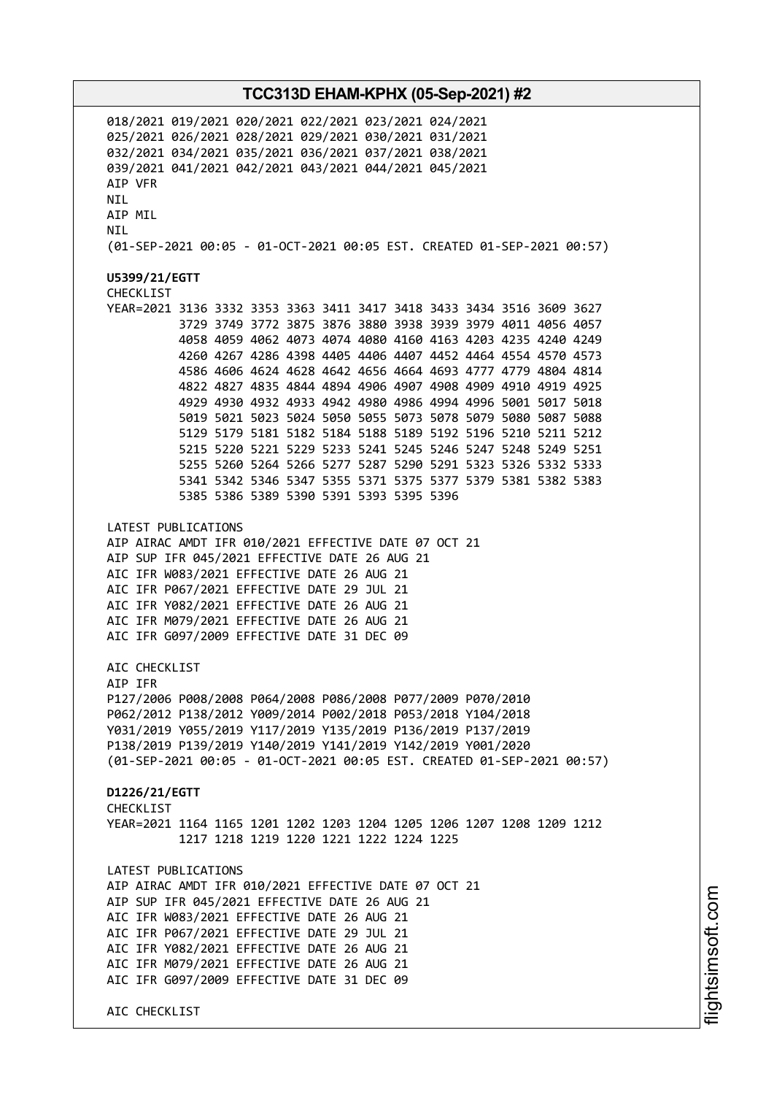018/2021 019/2021 020/2021 022/2021 023/2021 024/2021 025/2021 026/2021 028/2021 029/2021 030/2021 031/2021 032/2021 034/2021 035/2021 036/2021 037/2021 038/2021 039/2021 041/2021 042/2021 043/2021 044/2021 045/2021 AIP VFR NIL AIP MIL NIL (01-SEP-2021 00:05 - 01-OCT-2021 00:05 EST. CREATED 01-SEP-2021 00:57) **U5399/21/EGTT** CHECKLIST YEAR=2021 3136 3332 3353 3363 3411 3417 3418 3433 3434 3516 3609 3627 3729 3749 3772 3875 3876 3880 3938 3939 3979 4011 4056 4057 4058 4059 4062 4073 4074 4080 4160 4163 4203 4235 4240 4249 4260 4267 4286 4398 4405 4406 4407 4452 4464 4554 4570 4573 4586 4606 4624 4628 4642 4656 4664 4693 4777 4779 4804 4814 4822 4827 4835 4844 4894 4906 4907 4908 4909 4910 4919 4925 4929 4930 4932 4933 4942 4980 4986 4994 4996 5001 5017 5018 5019 5021 5023 5024 5050 5055 5073 5078 5079 5080 5087 5088 5129 5179 5181 5182 5184 5188 5189 5192 5196 5210 5211 5212 5215 5220 5221 5229 5233 5241 5245 5246 5247 5248 5249 5251 5255 5260 5264 5266 5277 5287 5290 5291 5323 5326 5332 5333 5341 5342 5346 5347 5355 5371 5375 5377 5379 5381 5382 5383 5385 5386 5389 5390 5391 5393 5395 5396 LATEST PUBLICATIONS AIP AIRAC AMDT IFR 010/2021 EFFECTIVE DATE 07 OCT 21 AIP SUP IFR 045/2021 EFFECTIVE DATE 26 AUG 21 AIC IFR W083/2021 EFFECTIVE DATE 26 AUG 21 AIC IFR P067/2021 EFFECTIVE DATE 29 JUL 21 AIC IFR Y082/2021 EFFECTIVE DATE 26 AUG 21 AIC IFR M079/2021 EFFECTIVE DATE 26 AUG 21 AIC IFR G097/2009 EFFECTIVE DATE 31 DEC 09 ATC CHECKLIST AIP IFR P127/2006 P008/2008 P064/2008 P086/2008 P077/2009 P070/2010 P062/2012 P138/2012 Y009/2014 P002/2018 P053/2018 Y104/2018 Y031/2019 Y055/2019 Y117/2019 Y135/2019 P136/2019 P137/2019 P138/2019 P139/2019 Y140/2019 Y141/2019 Y142/2019 Y001/2020 (01-SEP-2021 00:05 - 01-OCT-2021 00:05 EST. CREATED 01-SEP-2021 00:57) **D1226/21/EGTT** CHECKL<sub>TST</sub> YEAR=2021 1164 1165 1201 1202 1203 1204 1205 1206 1207 1208 1209 1212 1217 1218 1219 1220 1221 1222 1224 1225 LATEST PUBLICATIONS AIP AIRAC AMDT IFR 010/2021 EFFECTIVE DATE 07 OCT 21 AIP SUP IFR 045/2021 EFFECTIVE DATE 26 AUG 21 AIC IFR W083/2021 EFFECTIVE DATE 26 AUG 21 AIC IFR P067/2021 EFFECTIVE DATE 29 JUL 21 AIC IFR Y082/2021 EFFECTIVE DATE 26 AUG 21 AIC IFR M079/2021 EFFECTIVE DATE 26 AUG 21 AIC IFR G097/2009 EFFECTIVE DATE 31 DEC 09 AIC CHECKLIST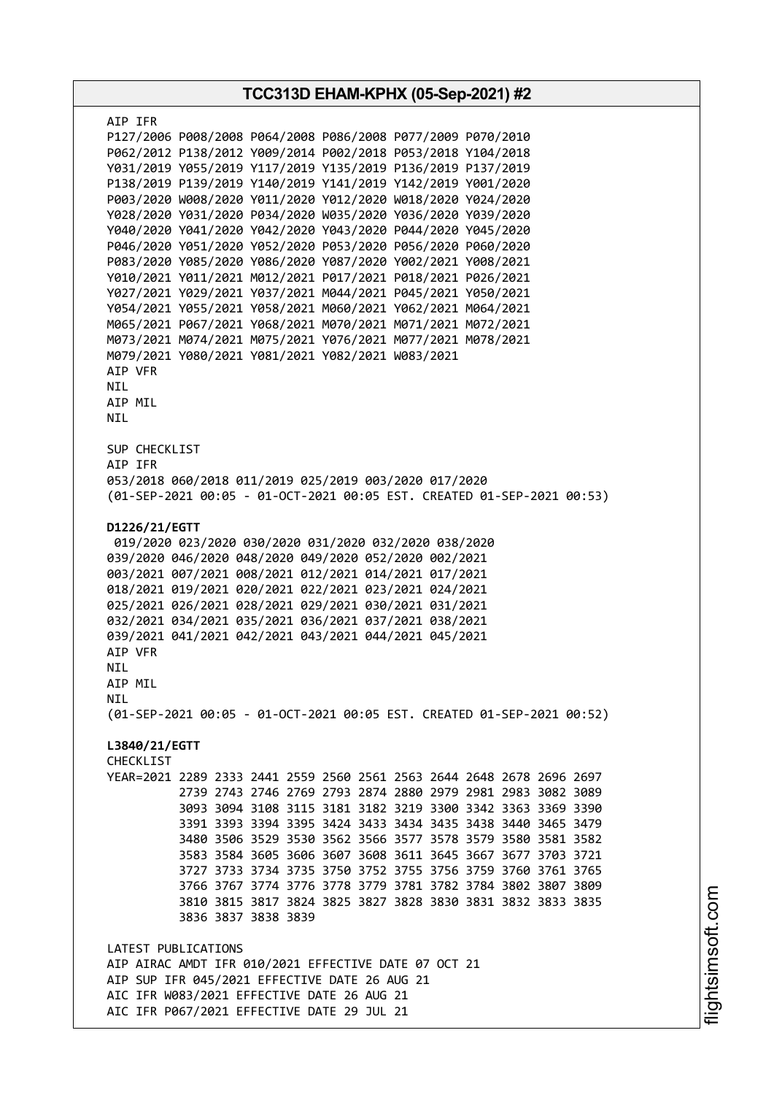| TCC313D EHAM-KPHX (05-Sep-2021) #2 |                                                                                                                                                                                                                                                                                                            |  |
|------------------------------------|------------------------------------------------------------------------------------------------------------------------------------------------------------------------------------------------------------------------------------------------------------------------------------------------------------|--|
| AIP IFR                            |                                                                                                                                                                                                                                                                                                            |  |
|                                    | P127/2006 P008/2008 P064/2008 P086/2008 P077/2009 P070/2010                                                                                                                                                                                                                                                |  |
|                                    | P062/2012 P138/2012 Y009/2014 P002/2018 P053/2018 Y104/2018                                                                                                                                                                                                                                                |  |
|                                    | Y031/2019 Y055/2019 Y117/2019 Y135/2019 P136/2019 P137/2019                                                                                                                                                                                                                                                |  |
|                                    | P138/2019 P139/2019 Y140/2019 Y141/2019 Y142/2019 Y001/2020                                                                                                                                                                                                                                                |  |
|                                    | P003/2020 W008/2020 Y011/2020 Y012/2020 W018/2020 Y024/2020                                                                                                                                                                                                                                                |  |
|                                    | Y028/2020 Y031/2020 P034/2020 W035/2020 Y036/2020 Y039/2020                                                                                                                                                                                                                                                |  |
|                                    | Y040/2020 Y041/2020 Y042/2020 Y043/2020 P044/2020 Y045/2020                                                                                                                                                                                                                                                |  |
|                                    | P046/2020 Y051/2020 Y052/2020 P053/2020 P056/2020 P060/2020                                                                                                                                                                                                                                                |  |
|                                    | P083/2020 Y085/2020 Y086/2020 Y087/2020 Y002/2021 Y008/2021<br>Y010/2021 Y011/2021 M012/2021 P017/2021 P018/2021 P026/2021                                                                                                                                                                                 |  |
|                                    | Y027/2021 Y029/2021 Y037/2021 M044/2021 P045/2021 Y050/2021                                                                                                                                                                                                                                                |  |
|                                    | Y054/2021 Y055/2021 Y058/2021 M060/2021 Y062/2021 M064/2021                                                                                                                                                                                                                                                |  |
|                                    | M065/2021 P067/2021 Y068/2021 M070/2021 M071/2021 M072/2021                                                                                                                                                                                                                                                |  |
|                                    | M073/2021 M074/2021 M075/2021 Y076/2021 M077/2021 M078/2021                                                                                                                                                                                                                                                |  |
|                                    | M079/2021 Y080/2021 Y081/2021 Y082/2021 W083/2021                                                                                                                                                                                                                                                          |  |
| AIP VFR                            |                                                                                                                                                                                                                                                                                                            |  |
| NIL                                |                                                                                                                                                                                                                                                                                                            |  |
| AIP MIL                            |                                                                                                                                                                                                                                                                                                            |  |
| NIL                                |                                                                                                                                                                                                                                                                                                            |  |
|                                    |                                                                                                                                                                                                                                                                                                            |  |
| SUP CHECKLIST                      |                                                                                                                                                                                                                                                                                                            |  |
| AIP IFR                            |                                                                                                                                                                                                                                                                                                            |  |
|                                    | 053/2018 060/2018 011/2019 025/2019 003/2020 017/2020<br>(01-SEP-2021 00:05 - 01-OCT-2021 00:05 EST. CREATED 01-SEP-2021 00:53)                                                                                                                                                                            |  |
| AIP VFR<br>NIL<br>AIP MIL<br>NIL   | 018/2021 019/2021 020/2021 022/2021 023/2021 024/2021<br>025/2021 026/2021 028/2021 029/2021 030/2021 031/2021<br>032/2021 034/2021 035/2021 036/2021 037/2021 038/2021<br>039/2021 041/2021 042/2021 043/2021 044/2021 045/2021<br>(01-SEP-2021 00:05 - 01-OCT-2021 00:05 EST. CREATED 01-SEP-2021 00:52) |  |
|                                    |                                                                                                                                                                                                                                                                                                            |  |
| L3840/21/EGTT                      |                                                                                                                                                                                                                                                                                                            |  |
| CHECKLIST                          |                                                                                                                                                                                                                                                                                                            |  |
|                                    | YEAR=2021 2289 2333 2441 2559 2560 2561 2563 2644 2648 2678 2696 2697<br>2739 2743 2746 2769 2793 2874 2880 2979 2981 2983 3082 3089                                                                                                                                                                       |  |
|                                    | 3093 3094 3108 3115 3181 3182 3219 3300 3342 3363 3369 3390                                                                                                                                                                                                                                                |  |
|                                    | 3391 3393 3394 3395 3424 3433 3434 3435 3438 3440 3465 3479                                                                                                                                                                                                                                                |  |
|                                    | 3480 3506 3529 3530 3562 3566 3577 3578 3579 3580 3581 3582                                                                                                                                                                                                                                                |  |
|                                    | 3583 3584 3605 3606 3607 3608 3611 3645 3667 3677 3703 3721                                                                                                                                                                                                                                                |  |
|                                    | 3727 3733 3734 3735 3750 3752 3755 3756 3759 3760 3761 3765                                                                                                                                                                                                                                                |  |
|                                    | 3766 3767 3774 3776 3778 3779 3781 3782 3784 3802 3807 3809                                                                                                                                                                                                                                                |  |
|                                    | 3810 3815 3817 3824 3825 3827 3828 3830 3831 3832 3833 3835                                                                                                                                                                                                                                                |  |
|                                    | 3836 3837 3838 3839                                                                                                                                                                                                                                                                                        |  |
|                                    |                                                                                                                                                                                                                                                                                                            |  |
| LATEST PUBLICATIONS                |                                                                                                                                                                                                                                                                                                            |  |
|                                    | AIP AIRAC AMDT IFR 010/2021 EFFECTIVE DATE 07 OCT 21                                                                                                                                                                                                                                                       |  |
|                                    | AIP SUP IFR 045/2021 EFFECTIVE DATE 26 AUG 21                                                                                                                                                                                                                                                              |  |
|                                    | AIC IFR W083/2021 EFFECTIVE DATE 26 AUG 21                                                                                                                                                                                                                                                                 |  |
|                                    | AIC IFR P067/2021 EFFECTIVE DATE 29 JUL 21                                                                                                                                                                                                                                                                 |  |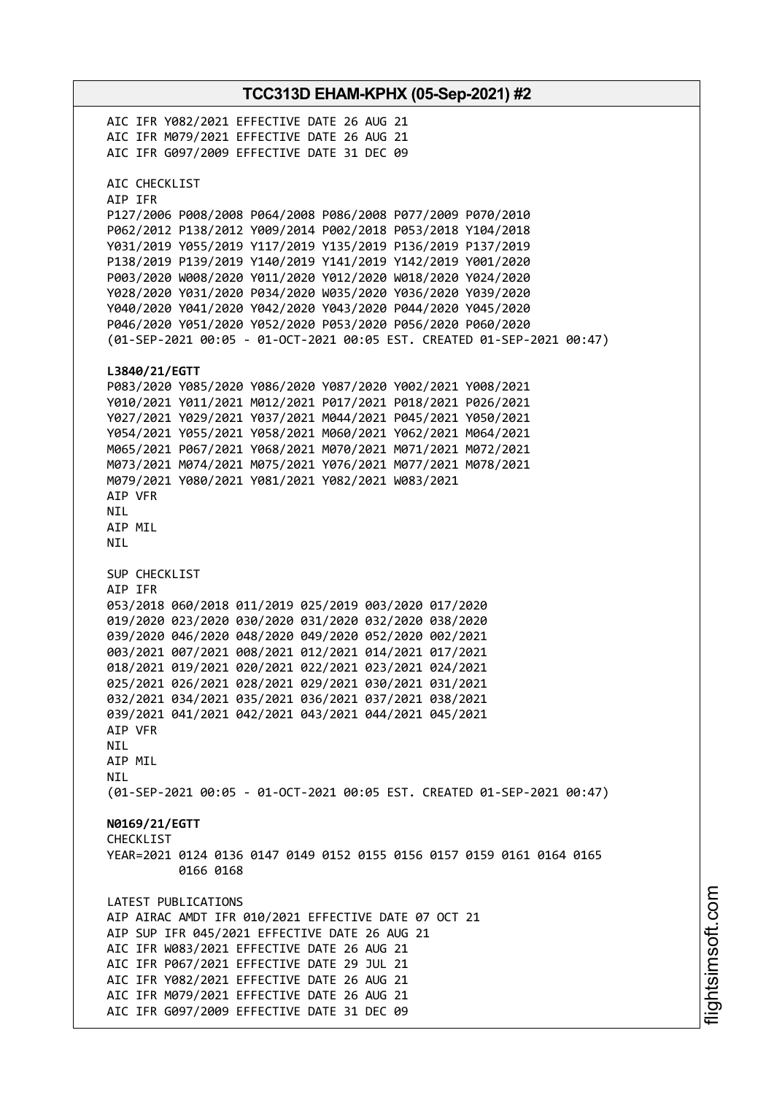**TCC313D EHAM-KPHX (05-Sep-2021) #2** AIC IFR Y082/2021 EFFECTIVE DATE 26 AUG 21 AIC IFR M079/2021 EFFECTIVE DATE 26 AUG 21 AIC IFR G097/2009 EFFECTIVE DATE 31 DEC 09 AIC CHECKLIST AIP IFR P127/2006 P008/2008 P064/2008 P086/2008 P077/2009 P070/2010 P062/2012 P138/2012 Y009/2014 P002/2018 P053/2018 Y104/2018 Y031/2019 Y055/2019 Y117/2019 Y135/2019 P136/2019 P137/2019 P138/2019 P139/2019 Y140/2019 Y141/2019 Y142/2019 Y001/2020 P003/2020 W008/2020 Y011/2020 Y012/2020 W018/2020 Y024/2020 Y028/2020 Y031/2020 P034/2020 W035/2020 Y036/2020 Y039/2020 Y040/2020 Y041/2020 Y042/2020 Y043/2020 P044/2020 Y045/2020 P046/2020 Y051/2020 Y052/2020 P053/2020 P056/2020 P060/2020 (01-SEP-2021 00:05 - 01-OCT-2021 00:05 EST. CREATED 01-SEP-2021 00:47) **L3840/21/EGTT** P083/2020 Y085/2020 Y086/2020 Y087/2020 Y002/2021 Y008/2021 Y010/2021 Y011/2021 M012/2021 P017/2021 P018/2021 P026/2021 Y027/2021 Y029/2021 Y037/2021 M044/2021 P045/2021 Y050/2021 Y054/2021 Y055/2021 Y058/2021 M060/2021 Y062/2021 M064/2021 M065/2021 P067/2021 Y068/2021 M070/2021 M071/2021 M072/2021 M073/2021 M074/2021 M075/2021 Y076/2021 M077/2021 M078/2021 M079/2021 Y080/2021 Y081/2021 Y082/2021 W083/2021 AIP VFR NIL AIP MIL NIL SUP CHECKLIST AIP IFR 053/2018 060/2018 011/2019 025/2019 003/2020 017/2020 019/2020 023/2020 030/2020 031/2020 032/2020 038/2020 039/2020 046/2020 048/2020 049/2020 052/2020 002/2021 003/2021 007/2021 008/2021 012/2021 014/2021 017/2021 018/2021 019/2021 020/2021 022/2021 023/2021 024/2021 025/2021 026/2021 028/2021 029/2021 030/2021 031/2021 032/2021 034/2021 035/2021 036/2021 037/2021 038/2021 039/2021 041/2021 042/2021 043/2021 044/2021 045/2021 AIP VFR **NTL** AIP MIL NIL (01-SEP-2021 00:05 - 01-OCT-2021 00:05 EST. CREATED 01-SEP-2021 00:47) **N0169/21/EGTT** CHECKL<sub>IST</sub> YEAR=2021 0124 0136 0147 0149 0152 0155 0156 0157 0159 0161 0164 0165 0166 0168 LATEST PUBLICATIONS AIP AIRAC AMDT IFR 010/2021 EFFECTIVE DATE 07 OCT 21 AIP SUP IFR 045/2021 EFFECTIVE DATE 26 AUG 21 AIC IFR W083/2021 EFFECTIVE DATE 26 AUG 21 AIC IFR P067/2021 EFFECTIVE DATE 29 JUL 21 AIC IFR Y082/2021 EFFECTIVE DATE 26 AUG 21 AIC IFR M079/2021 EFFECTIVE DATE 26 AUG 21 AIC IFR G097/2009 EFFECTIVE DATE 31 DEC 09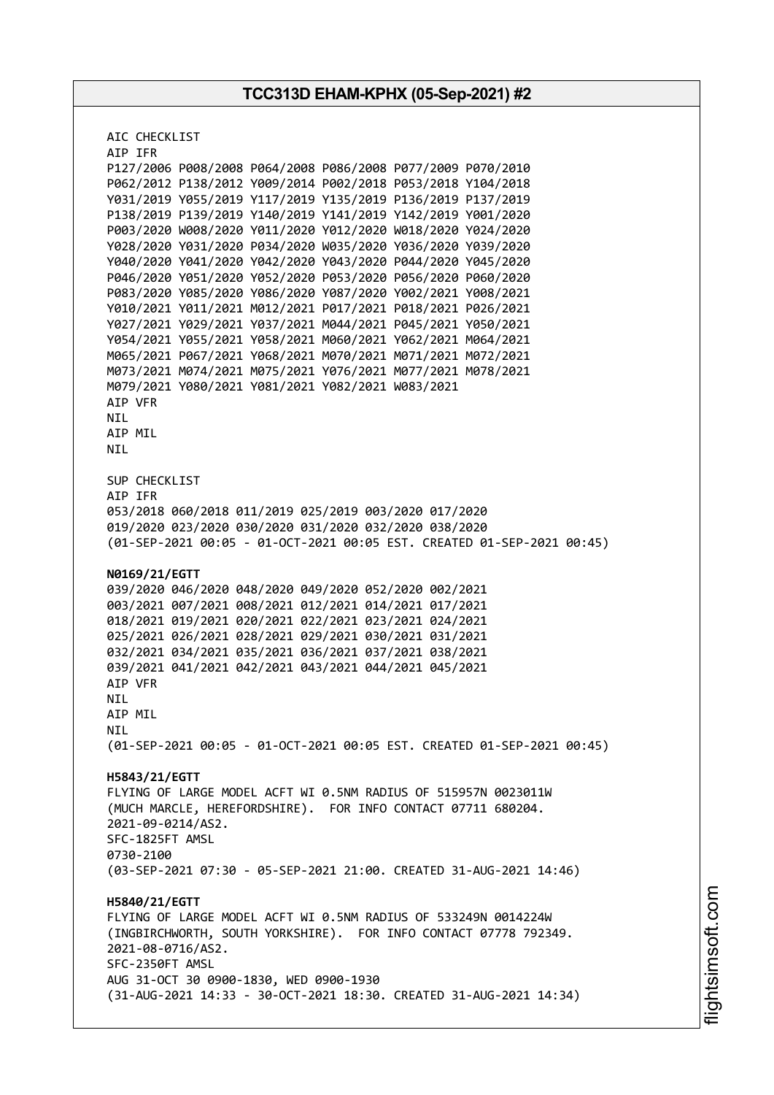| AIC CHECKLIST                                                                                                              |  |  |  |  |
|----------------------------------------------------------------------------------------------------------------------------|--|--|--|--|
| AIP IFR                                                                                                                    |  |  |  |  |
| P127/2006 P008/2008 P064/2008 P086/2008 P077/2009 P070/2010                                                                |  |  |  |  |
| P062/2012 P138/2012 Y009/2014 P002/2018 P053/2018 Y104/2018                                                                |  |  |  |  |
| Y031/2019 Y055/2019 Y117/2019 Y135/2019 P136/2019 P137/2019                                                                |  |  |  |  |
| P138/2019 P139/2019 Y140/2019 Y141/2019 Y142/2019 Y001/2020                                                                |  |  |  |  |
| P003/2020 W008/2020 Y011/2020 Y012/2020 W018/2020 Y024/2020                                                                |  |  |  |  |
| Y028/2020 Y031/2020 P034/2020 W035/2020 Y036/2020 Y039/2020                                                                |  |  |  |  |
| Y040/2020 Y041/2020 Y042/2020 Y043/2020 P044/2020 Y045/2020                                                                |  |  |  |  |
| P046/2020 Y051/2020 Y052/2020 P053/2020 P056/2020 P060/2020                                                                |  |  |  |  |
| P083/2020 Y085/2020 Y086/2020 Y087/2020 Y002/2021 Y008/2021                                                                |  |  |  |  |
| Y010/2021 Y011/2021 M012/2021 P017/2021 P018/2021 P026/2021<br>Y027/2021 Y029/2021 Y037/2021 M044/2021 P045/2021 Y050/2021 |  |  |  |  |
| Y054/2021 Y055/2021 Y058/2021 M060/2021 Y062/2021 M064/2021                                                                |  |  |  |  |
| M065/2021 P067/2021 Y068/2021 M070/2021 M071/2021 M072/2021                                                                |  |  |  |  |
| M073/2021 M074/2021 M075/2021 Y076/2021 M077/2021 M078/2021                                                                |  |  |  |  |
| M079/2021 Y080/2021 Y081/2021 Y082/2021 W083/2021                                                                          |  |  |  |  |
| AIP VFR                                                                                                                    |  |  |  |  |
| NIL.                                                                                                                       |  |  |  |  |
| AIP MIL                                                                                                                    |  |  |  |  |
| <b>NIL</b>                                                                                                                 |  |  |  |  |
|                                                                                                                            |  |  |  |  |
| SUP CHECKLIST                                                                                                              |  |  |  |  |
| AIP IFR                                                                                                                    |  |  |  |  |
| 053/2018 060/2018 011/2019 025/2019 003/2020 017/2020                                                                      |  |  |  |  |
| 019/2020 023/2020 030/2020 031/2020 032/2020 038/2020                                                                      |  |  |  |  |
| (01-SEP-2021 00:05 - 01-OCT-2021 00:05 EST. CREATED 01-SEP-2021 00:45)                                                     |  |  |  |  |
|                                                                                                                            |  |  |  |  |
| N0169/21/EGTT                                                                                                              |  |  |  |  |
| 039/2020 046/2020 048/2020 049/2020 052/2020 002/2021                                                                      |  |  |  |  |
| 003/2021 007/2021 008/2021 012/2021 014/2021 017/2021                                                                      |  |  |  |  |
| 018/2021 019/2021 020/2021 022/2021 023/2021 024/2021<br>025/2021 026/2021 028/2021 029/2021 030/2021 031/2021             |  |  |  |  |
| 032/2021 034/2021 035/2021 036/2021 037/2021 038/2021                                                                      |  |  |  |  |
| 039/2021 041/2021 042/2021 043/2021 044/2021 045/2021                                                                      |  |  |  |  |
| AIP VFR                                                                                                                    |  |  |  |  |
| NIL                                                                                                                        |  |  |  |  |
| AIP MIL                                                                                                                    |  |  |  |  |
| <b>NIL</b>                                                                                                                 |  |  |  |  |
| (01-SEP-2021 00:05 - 01-OCT-2021 00:05 EST. CREATED 01-SEP-2021 00:45)                                                     |  |  |  |  |
|                                                                                                                            |  |  |  |  |
| H5843/21/EGTT                                                                                                              |  |  |  |  |
| FLYING OF LARGE MODEL ACFT WI 0.5NM RADIUS OF 515957N 0023011W                                                             |  |  |  |  |
| (MUCH MARCLE, HEREFORDSHIRE). FOR INFO CONTACT 07711 680204.                                                               |  |  |  |  |
| 2021-09-0214/AS2.                                                                                                          |  |  |  |  |
| SFC-1825FT AMSL                                                                                                            |  |  |  |  |
| 0730-2100                                                                                                                  |  |  |  |  |
| (03-SEP-2021 07:30 - 05-SEP-2021 21:00. CREATED 31-AUG-2021 14:46)                                                         |  |  |  |  |
|                                                                                                                            |  |  |  |  |
| H5840/21/EGTT                                                                                                              |  |  |  |  |
| FLYING OF LARGE MODEL ACFT WI 0.5NM RADIUS OF 533249N 0014224W                                                             |  |  |  |  |
| (INGBIRCHWORTH, SOUTH YORKSHIRE). FOR INFO CONTACT 07778 792349.                                                           |  |  |  |  |
| 2021-08-0716/AS2.                                                                                                          |  |  |  |  |
| SFC-2350FT AMSL                                                                                                            |  |  |  |  |
| AUG 31-OCT 30 0900-1830, WED 0900-1930<br>(31-AUG-2021 14:33 - 30-OCT-2021 18:30. CREATED 31-AUG-2021 14:34)               |  |  |  |  |
|                                                                                                                            |  |  |  |  |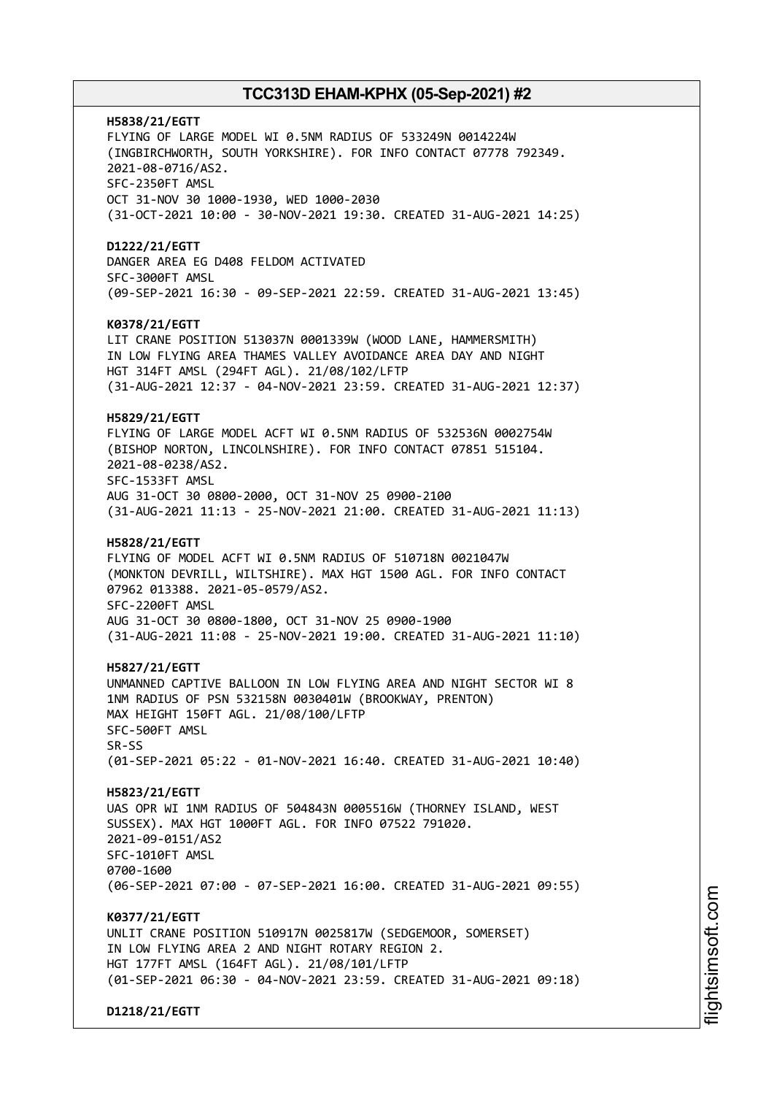**H5838/21/EGTT** FLYING OF LARGE MODEL WI 0.5NM RADIUS OF 533249N 0014224W (INGBIRCHWORTH, SOUTH YORKSHIRE). FOR INFO CONTACT 07778 792349. 2021-08-0716/AS2. SFC-2350FT AMSL OCT 31-NOV 30 1000-1930, WED 1000-2030 (31-OCT-2021 10:00 - 30-NOV-2021 19:30. CREATED 31-AUG-2021 14:25) **D1222/21/EGTT** DANGER AREA EG D408 FELDOM ACTIVATED SFC-3000FT AMSL (09-SEP-2021 16:30 - 09-SEP-2021 22:59. CREATED 31-AUG-2021 13:45) **K0378/21/EGTT** LIT CRANE POSITION 513037N 0001339W (WOOD LANE, HAMMERSMITH) IN LOW FLYING AREA THAMES VALLEY AVOIDANCE AREA DAY AND NIGHT HGT 314FT AMSL (294FT AGL). 21/08/102/LFTP (31-AUG-2021 12:37 - 04-NOV-2021 23:59. CREATED 31-AUG-2021 12:37) **H5829/21/EGTT** FLYING OF LARGE MODEL ACFT WI 0.5NM RADIUS OF 532536N 0002754W (BISHOP NORTON, LINCOLNSHIRE). FOR INFO CONTACT 07851 515104. 2021-08-0238/AS2. SFC-1533FT AMSL AUG 31-OCT 30 0800-2000, OCT 31-NOV 25 0900-2100 (31-AUG-2021 11:13 - 25-NOV-2021 21:00. CREATED 31-AUG-2021 11:13) **H5828/21/EGTT** FLYING OF MODEL ACFT WI 0.5NM RADIUS OF 510718N 0021047W (MONKTON DEVRILL, WILTSHIRE). MAX HGT 1500 AGL. FOR INFO CONTACT 07962 013388. 2021-05-0579/AS2. SFC-2200FT AMSL AUG 31-OCT 30 0800-1800, OCT 31-NOV 25 0900-1900 (31-AUG-2021 11:08 - 25-NOV-2021 19:00. CREATED 31-AUG-2021 11:10) **H5827/21/EGTT** UNMANNED CAPTIVE BALLOON IN LOW FLYING AREA AND NIGHT SECTOR WI 8 1NM RADIUS OF PSN 532158N 0030401W (BROOKWAY, PRENTON) MAX HEIGHT 150FT AGL. 21/08/100/LFTP SFC-500FT AMSL SR-SS (01-SEP-2021 05:22 - 01-NOV-2021 16:40. CREATED 31-AUG-2021 10:40) **H5823/21/EGTT** UAS OPR WI 1NM RADIUS OF 504843N 0005516W (THORNEY ISLAND, WEST SUSSEX). MAX HGT 1000FT AGL. FOR INFO 07522 791020. 2021-09-0151/AS2 SFC-1010FT AMSL 0700-1600 (06-SEP-2021 07:00 - 07-SEP-2021 16:00. CREATED 31-AUG-2021 09:55) **K0377/21/EGTT** UNLIT CRANE POSITION 510917N 0025817W (SEDGEMOOR, SOMERSET) IN LOW FLYING AREA 2 AND NIGHT ROTARY REGION 2. HGT 177FT AMSL (164FT AGL). 21/08/101/LFTP (01-SEP-2021 06:30 - 04-NOV-2021 23:59. CREATED 31-AUG-2021 09:18) **D1218/21/EGTT**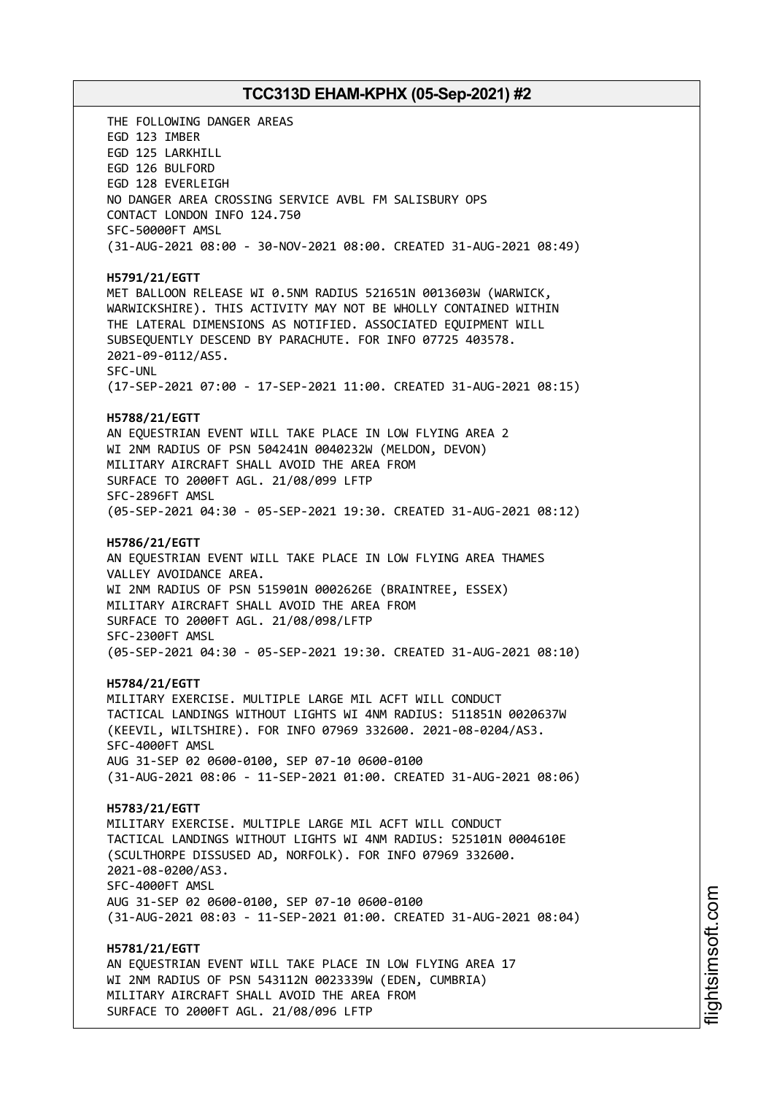THE FOLLOWING DANGER AREAS EGD 123 IMBER EGD 125 LARKHILL EGD 126 BULFORD EGD 128 EVERLEIGH NO DANGER AREA CROSSING SERVICE AVBL FM SALISBURY OPS CONTACT LONDON INFO 124.750 SFC-50000FT AMSL (31-AUG-2021 08:00 - 30-NOV-2021 08:00. CREATED 31-AUG-2021 08:49) **H5791/21/EGTT** MET BALLOON RELEASE WI 0.5NM RADIUS 521651N 0013603W (WARWICK, WARWICKSHIRE). THIS ACTIVITY MAY NOT BE WHOLLY CONTAINED WITHIN THE LATERAL DIMENSIONS AS NOTIFIED. ASSOCIATED EQUIPMENT WILL SUBSEQUENTLY DESCEND BY PARACHUTE. FOR INFO 07725 403578. 2021-09-0112/AS5. SFC-UNL (17-SEP-2021 07:00 - 17-SEP-2021 11:00. CREATED 31-AUG-2021 08:15) **H5788/21/EGTT** AN EQUESTRIAN EVENT WILL TAKE PLACE IN LOW FLYING AREA 2 WI 2NM RADIUS OF PSN 504241N 0040232W (MELDON, DEVON) MILITARY AIRCRAFT SHALL AVOID THE AREA FROM SURFACE TO 2000FT AGL. 21/08/099 LFTP SFC-2896FT AMSL (05-SEP-2021 04:30 - 05-SEP-2021 19:30. CREATED 31-AUG-2021 08:12) **H5786/21/EGTT** AN EQUESTRIAN EVENT WILL TAKE PLACE IN LOW FLYING AREA THAMES VALLEY AVOIDANCE AREA. WI 2NM RADIUS OF PSN 515901N 0002626E (BRAINTREE, ESSEX) MILITARY AIRCRAFT SHALL AVOID THE AREA FROM SURFACE TO 2000FT AGL. 21/08/098/LFTP SFC-2300FT AMSL (05-SEP-2021 04:30 - 05-SEP-2021 19:30. CREATED 31-AUG-2021 08:10) **H5784/21/EGTT** MILITARY EXERCISE. MULTIPLE LARGE MIL ACFT WILL CONDUCT TACTICAL LANDINGS WITHOUT LIGHTS WI 4NM RADIUS: 511851N 0020637W (KEEVIL, WILTSHIRE). FOR INFO 07969 332600. 2021-08-0204/AS3. SFC-4000FT AMSL AUG 31-SEP 02 0600-0100, SEP 07-10 0600-0100 (31-AUG-2021 08:06 - 11-SEP-2021 01:00. CREATED 31-AUG-2021 08:06) **H5783/21/EGTT** MILITARY EXERCISE. MULTIPLE LARGE MIL ACFT WILL CONDUCT TACTICAL LANDINGS WITHOUT LIGHTS WI 4NM RADIUS: 525101N 0004610E (SCULTHORPE DISSUSED AD, NORFOLK). FOR INFO 07969 332600. 2021-08-0200/AS3. SFC-4000FT AMSL AUG 31-SEP 02 0600-0100, SEP 07-10 0600-0100 (31-AUG-2021 08:03 - 11-SEP-2021 01:00. CREATED 31-AUG-2021 08:04) **H5781/21/EGTT** AN EQUESTRIAN EVENT WILL TAKE PLACE IN LOW FLYING AREA 17 WI 2NM RADIUS OF PSN 543112N 0023339W (EDEN, CUMBRIA) MILITARY AIRCRAFT SHALL AVOID THE AREA FROM SURFACE TO 2000FT AGL. 21/08/096 LFTP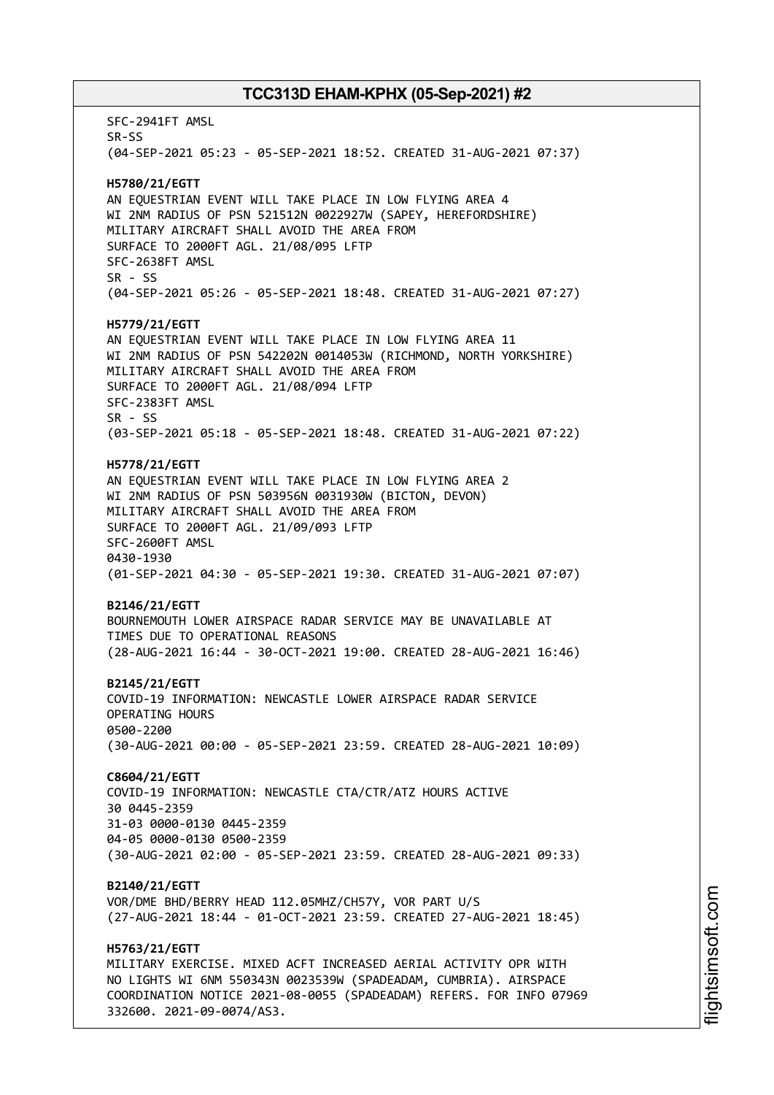SFC-2941FT AMSL SR-SS (04-SEP-2021 05:23 - 05-SEP-2021 18:52. CREATED 31-AUG-2021 07:37) **H5780/21/EGTT** AN EQUESTRIAN EVENT WILL TAKE PLACE IN LOW FLYING AREA 4 WI 2NM RADIUS OF PSN 521512N 0022927W (SAPEY, HEREFORDSHIRE) MILITARY AIRCRAFT SHALL AVOID THE AREA FROM SURFACE TO 2000FT AGL. 21/08/095 LFTP SFC-2638FT AMSL SR - SS (04-SEP-2021 05:26 - 05-SEP-2021 18:48. CREATED 31-AUG-2021 07:27) **H5779/21/EGTT** AN EQUESTRIAN EVENT WILL TAKE PLACE IN LOW FLYING AREA 11 WI 2NM RADIUS OF PSN 542202N 0014053W (RICHMOND, NORTH YORKSHIRE) MILITARY AIRCRAFT SHALL AVOID THE AREA FROM SURFACE TO 2000FT AGL. 21/08/094 LFTP SFC-2383FT AMSL SR - SS (03-SEP-2021 05:18 - 05-SEP-2021 18:48. CREATED 31-AUG-2021 07:22) **H5778/21/EGTT** AN EQUESTRIAN EVENT WILL TAKE PLACE IN LOW FLYING AREA 2 WI 2NM RADIUS OF PSN 503956N 0031930W (BICTON, DEVON) MILITARY AIRCRAFT SHALL AVOID THE AREA FROM SURFACE TO 2000FT AGL. 21/09/093 LFTP SFC-2600FT AMSL 0430-1930 (01-SEP-2021 04:30 - 05-SEP-2021 19:30. CREATED 31-AUG-2021 07:07) **B2146/21/EGTT** BOURNEMOUTH LOWER AIRSPACE RADAR SERVICE MAY BE UNAVAILABLE AT TIMES DUE TO OPERATIONAL REASONS (28-AUG-2021 16:44 - 30-OCT-2021 19:00. CREATED 28-AUG-2021 16:46) **B2145/21/EGTT** COVID-19 INFORMATION: NEWCASTLE LOWER AIRSPACE RADAR SERVICE OPERATING HOURS 0500-2200 (30-AUG-2021 00:00 - 05-SEP-2021 23:59. CREATED 28-AUG-2021 10:09) **C8604/21/EGTT** COVID-19 INFORMATION: NEWCASTLE CTA/CTR/ATZ HOURS ACTIVE 30 0445-2359 31-03 0000-0130 0445-2359 04-05 0000-0130 0500-2359 (30-AUG-2021 02:00 - 05-SEP-2021 23:59. CREATED 28-AUG-2021 09:33) **B2140/21/EGTT** VOR/DME BHD/BERRY HEAD 112.05MHZ/CH57Y, VOR PART U/S (27-AUG-2021 18:44 - 01-OCT-2021 23:59. CREATED 27-AUG-2021 18:45) **H5763/21/EGTT** MILITARY EXERCISE. MIXED ACFT INCREASED AERIAL ACTIVITY OPR WITH NO LIGHTS WI 6NM 550343N 0023539W (SPADEADAM, CUMBRIA). AIRSPACE COORDINATION NOTICE 2021-08-0055 (SPADEADAM) REFERS. FOR INFO 07969 332600. 2021-09-0074/AS3.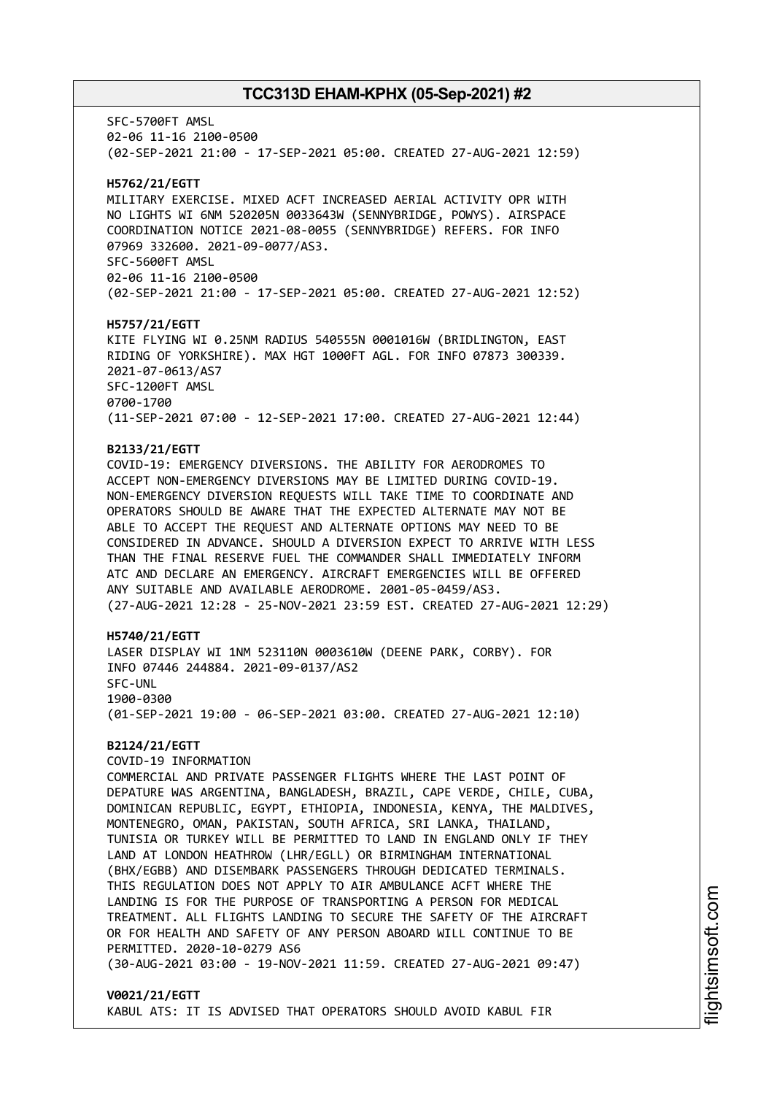SFC-5700FT AMSL 02-06 11-16 2100-0500 (02-SEP-2021 21:00 - 17-SEP-2021 05:00. CREATED 27-AUG-2021 12:59) **H5762/21/EGTT** MILITARY EXERCISE. MIXED ACFT INCREASED AERIAL ACTIVITY OPR WITH NO LIGHTS WI 6NM 520205N 0033643W (SENNYBRIDGE, POWYS). AIRSPACE COORDINATION NOTICE 2021-08-0055 (SENNYBRIDGE) REFERS. FOR INFO 07969 332600. 2021-09-0077/AS3. SFC-5600FT AMSL 02-06 11-16 2100-0500 (02-SEP-2021 21:00 - 17-SEP-2021 05:00. CREATED 27-AUG-2021 12:52) **H5757/21/EGTT** KITE FLYING WI 0.25NM RADIUS 540555N 0001016W (BRIDLINGTON, EAST RIDING OF YORKSHIRE). MAX HGT 1000FT AGL. FOR INFO 07873 300339. 2021-07-0613/AS7 SFC-1200FT AMSL 0700-1700 (11-SEP-2021 07:00 - 12-SEP-2021 17:00. CREATED 27-AUG-2021 12:44) **B2133/21/EGTT** COVID-19: EMERGENCY DIVERSIONS. THE ABILITY FOR AERODROMES TO ACCEPT NON-EMERGENCY DIVERSIONS MAY BE LIMITED DURING COVID-19. NON-EMERGENCY DIVERSION REQUESTS WILL TAKE TIME TO COORDINATE AND OPERATORS SHOULD BE AWARE THAT THE EXPECTED ALTERNATE MAY NOT BE ABLE TO ACCEPT THE REQUEST AND ALTERNATE OPTIONS MAY NEED TO BE CONSIDERED IN ADVANCE. SHOULD A DIVERSION EXPECT TO ARRIVE WITH LESS THAN THE FINAL RESERVE FUEL THE COMMANDER SHALL IMMEDIATELY INFORM ATC AND DECLARE AN EMERGENCY. AIRCRAFT EMERGENCIES WILL BE OFFERED ANY SUITABLE AND AVAILABLE AERODROME. 2001-05-0459/AS3. (27-AUG-2021 12:28 - 25-NOV-2021 23:59 EST. CREATED 27-AUG-2021 12:29) **H5740/21/EGTT** LASER DISPLAY WI 1NM 523110N 0003610W (DEENE PARK, CORBY). FOR INFO 07446 244884. 2021-09-0137/AS2 SFC-UNL 1900-0300 (01-SEP-2021 19:00 - 06-SEP-2021 03:00. CREATED 27-AUG-2021 12:10) **B2124/21/EGTT** COVID-19 INFORMATION COMMERCIAL AND PRIVATE PASSENGER FLIGHTS WHERE THE LAST POINT OF DEPATURE WAS ARGENTINA, BANGLADESH, BRAZIL, CAPE VERDE, CHILE, CUBA, DOMINICAN REPUBLIC, EGYPT, ETHIOPIA, INDONESIA, KENYA, THE MALDIVES, MONTENEGRO, OMAN, PAKISTAN, SOUTH AFRICA, SRI LANKA, THAILAND, TUNISIA OR TURKEY WILL BE PERMITTED TO LAND IN ENGLAND ONLY IF THEY LAND AT LONDON HEATHROW (LHR/EGLL) OR BIRMINGHAM INTERNATIONAL (BHX/EGBB) AND DISEMBARK PASSENGERS THROUGH DEDICATED TERMINALS. THIS REGULATION DOES NOT APPLY TO AIR AMBULANCE ACFT WHERE THE LANDING IS FOR THE PURPOSE OF TRANSPORTING A PERSON FOR MEDICAL TREATMENT. ALL FLIGHTS LANDING TO SECURE THE SAFETY OF THE AIRCRAFT OR FOR HEALTH AND SAFETY OF ANY PERSON ABOARD WILL CONTINUE TO BE PERMITTED. 2020-10-0279 AS6 (30-AUG-2021 03:00 - 19-NOV-2021 11:59. CREATED 27-AUG-2021 09:47)

### **V0021/21/EGTT** KABUL ATS: IT IS ADVISED THAT OPERATORS SHOULD AVOID KABUL FIR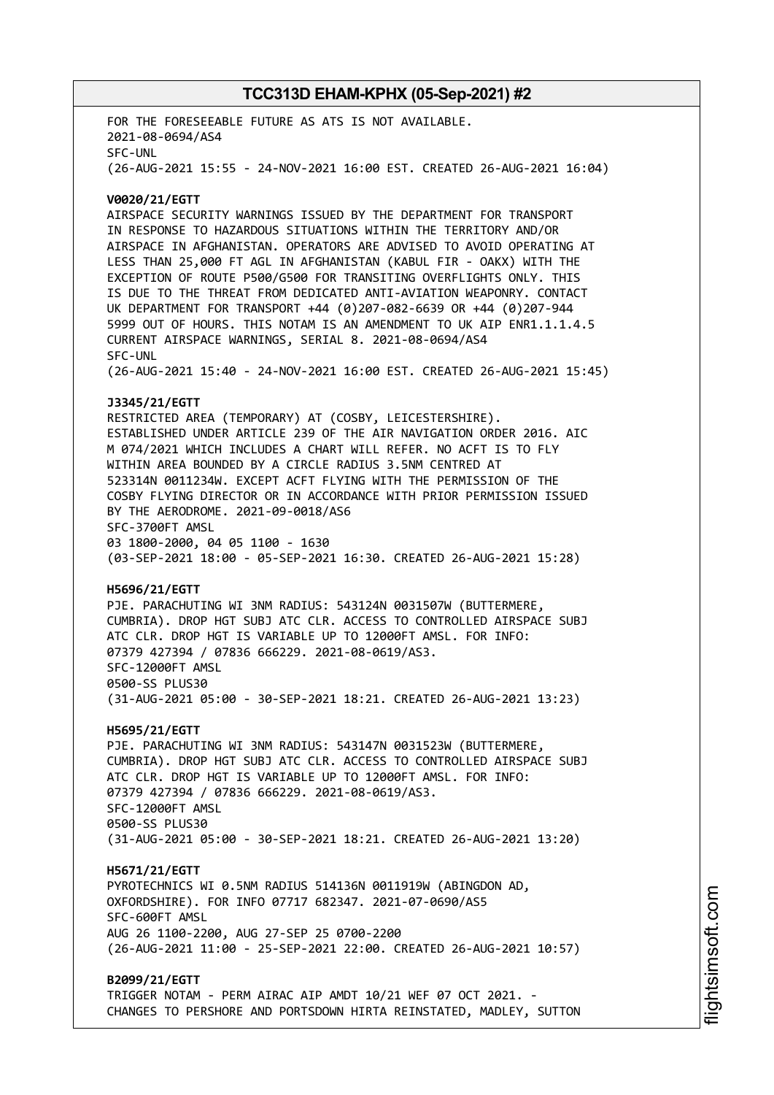FOR THE FORESEEABLE FUTURE AS ATS IS NOT AVAILABLE. 2021-08-0694/AS4 SFC-UNL (26-AUG-2021 15:55 - 24-NOV-2021 16:00 EST. CREATED 26-AUG-2021 16:04) **V0020/21/EGTT** AIRSPACE SECURITY WARNINGS ISSUED BY THE DEPARTMENT FOR TRANSPORT IN RESPONSE TO HAZARDOUS SITUATIONS WITHIN THE TERRITORY AND/OR AIRSPACE IN AFGHANISTAN. OPERATORS ARE ADVISED TO AVOID OPERATING AT LESS THAN 25,000 FT AGL IN AFGHANISTAN (KABUL FIR - OAKX) WITH THE EXCEPTION OF ROUTE P500/G500 FOR TRANSITING OVERFLIGHTS ONLY. THIS IS DUE TO THE THREAT FROM DEDICATED ANTI-AVIATION WEAPONRY. CONTACT UK DEPARTMENT FOR TRANSPORT +44 (0)207-082-6639 OR +44 (0)207-944 5999 OUT OF HOURS. THIS NOTAM IS AN AMENDMENT TO UK AIP ENR1.1.1.4.5 CURRENT AIRSPACE WARNINGS, SERIAL 8. 2021-08-0694/AS4 SFC-UNL (26-AUG-2021 15:40 - 24-NOV-2021 16:00 EST. CREATED 26-AUG-2021 15:45) **J3345/21/EGTT** RESTRICTED AREA (TEMPORARY) AT (COSBY, LEICESTERSHIRE). ESTABLISHED UNDER ARTICLE 239 OF THE AIR NAVIGATION ORDER 2016. AIC M 074/2021 WHICH INCLUDES A CHART WILL REFER. NO ACFT IS TO FLY WITHIN AREA BOUNDED BY A CIRCLE RADIUS 3.5NM CENTRED AT 523314N 0011234W. EXCEPT ACFT FLYING WITH THE PERMISSION OF THE COSBY FLYING DIRECTOR OR IN ACCORDANCE WITH PRIOR PERMISSION ISSUED BY THE AERODROME. 2021-09-0018/AS6 SFC-3700FT AMSL 03 1800-2000, 04 05 1100 - 1630 (03-SEP-2021 18:00 - 05-SEP-2021 16:30. CREATED 26-AUG-2021 15:28) **H5696/21/EGTT** PJE. PARACHUTING WI 3NM RADIUS: 543124N 0031507W (BUTTERMERE, CUMBRIA). DROP HGT SUBJ ATC CLR. ACCESS TO CONTROLLED AIRSPACE SUBJ ATC CLR. DROP HGT IS VARIABLE UP TO 12000FT AMSL. FOR INFO: 07379 427394 / 07836 666229. 2021-08-0619/AS3. SFC-12000FT AMSL 0500-SS PLUS30 (31-AUG-2021 05:00 - 30-SEP-2021 18:21. CREATED 26-AUG-2021 13:23) **H5695/21/EGTT** PJE. PARACHUTING WI 3NM RADIUS: 543147N 0031523W (BUTTERMERE, CUMBRIA). DROP HGT SUBJ ATC CLR. ACCESS TO CONTROLLED AIRSPACE SUBJ ATC CLR. DROP HGT IS VARIABLE UP TO 12000FT AMSL. FOR INFO: 07379 427394 / 07836 666229. 2021-08-0619/AS3. SFC-12000FT AMSL 0500-SS PLUS30 (31-AUG-2021 05:00 - 30-SEP-2021 18:21. CREATED 26-AUG-2021 13:20) **H5671/21/EGTT** PYROTECHNICS WI 0.5NM RADIUS 514136N 0011919W (ABINGDON AD, OXFORDSHIRE). FOR INFO 07717 682347. 2021-07-0690/AS5 SFC-600FT AMSL AUG 26 1100-2200, AUG 27-SEP 25 0700-2200 (26-AUG-2021 11:00 - 25-SEP-2021 22:00. CREATED 26-AUG-2021 10:57) **B2099/21/EGTT** TRIGGER NOTAM - PERM AIRAC AIP AMDT 10/21 WEF 07 OCT 2021. - CHANGES TO PERSHORE AND PORTSDOWN HIRTA REINSTATED, MADLEY, SUTTON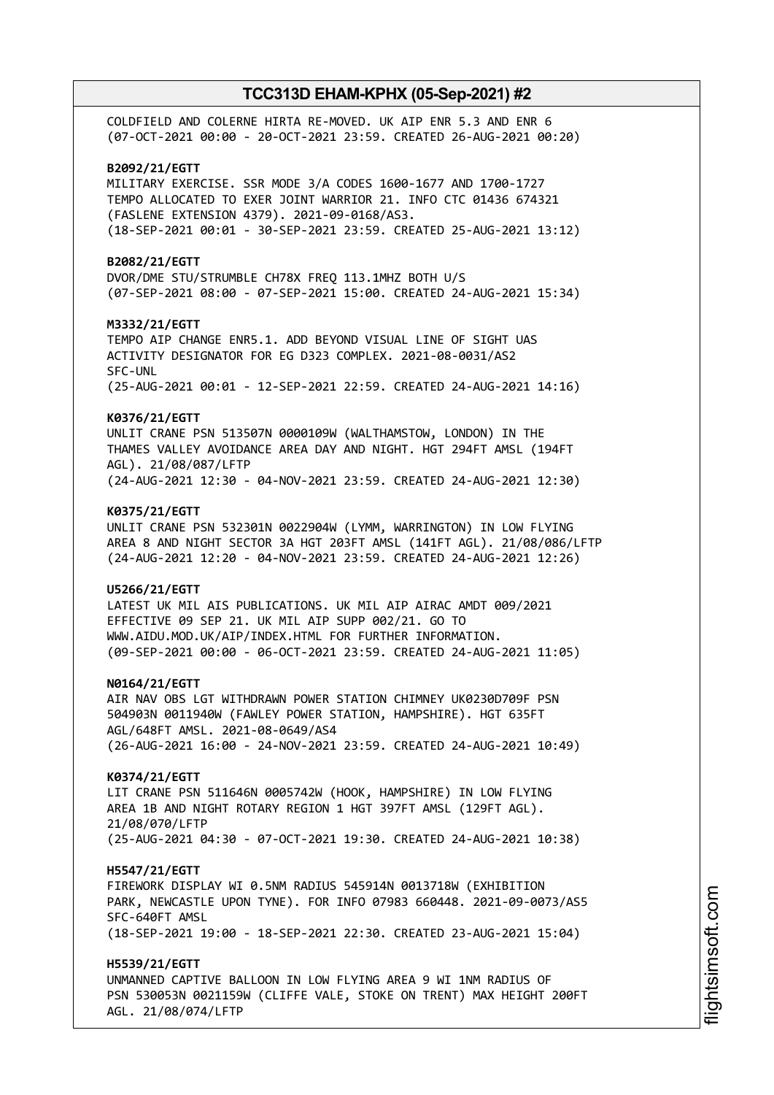COLDFIELD AND COLERNE HIRTA RE-MOVED. UK AIP ENR 5.3 AND ENR 6 (07-OCT-2021 00:00 - 20-OCT-2021 23:59. CREATED 26-AUG-2021 00:20) **B2092/21/EGTT** MILITARY EXERCISE. SSR MODE 3/A CODES 1600-1677 AND 1700-1727 TEMPO ALLOCATED TO EXER JOINT WARRIOR 21. INFO CTC 01436 674321 (FASLENE EXTENSION 4379). 2021-09-0168/AS3. (18-SEP-2021 00:01 - 30-SEP-2021 23:59. CREATED 25-AUG-2021 13:12) **B2082/21/EGTT** DVOR/DME STU/STRUMBLE CH78X FREQ 113.1MHZ BOTH U/S (07-SEP-2021 08:00 - 07-SEP-2021 15:00. CREATED 24-AUG-2021 15:34) **M3332/21/EGTT** TEMPO AIP CHANGE ENR5.1. ADD BEYOND VISUAL LINE OF SIGHT UAS ACTIVITY DESIGNATOR FOR EG D323 COMPLEX. 2021-08-0031/AS2 SFC-UNL (25-AUG-2021 00:01 - 12-SEP-2021 22:59. CREATED 24-AUG-2021 14:16) **K0376/21/EGTT** UNLIT CRANE PSN 513507N 0000109W (WALTHAMSTOW, LONDON) IN THE THAMES VALLEY AVOIDANCE AREA DAY AND NIGHT. HGT 294FT AMSL (194FT AGL). 21/08/087/LFTP (24-AUG-2021 12:30 - 04-NOV-2021 23:59. CREATED 24-AUG-2021 12:30) **K0375/21/EGTT** UNLIT CRANE PSN 532301N 0022904W (LYMM, WARRINGTON) IN LOW FLYING AREA 8 AND NIGHT SECTOR 3A HGT 203FT AMSL (141FT AGL). 21/08/086/LFTP (24-AUG-2021 12:20 - 04-NOV-2021 23:59. CREATED 24-AUG-2021 12:26) **U5266/21/EGTT** LATEST UK MIL AIS PUBLICATIONS. UK MIL AIP AIRAC AMDT 009/2021 EFFECTIVE 09 SEP 21. UK MIL AIP SUPP 002/21. GO TO WWW.AIDU.MOD.UK/AIP/INDEX.HTML FOR FURTHER INFORMATION. (09-SEP-2021 00:00 - 06-OCT-2021 23:59. CREATED 24-AUG-2021 11:05) **N0164/21/EGTT** AIR NAV OBS LGT WITHDRAWN POWER STATION CHIMNEY UK0230D709F PSN 504903N 0011940W (FAWLEY POWER STATION, HAMPSHIRE). HGT 635FT AGL/648FT AMSL. 2021-08-0649/AS4 (26-AUG-2021 16:00 - 24-NOV-2021 23:59. CREATED 24-AUG-2021 10:49) **K0374/21/EGTT** LIT CRANE PSN 511646N 0005742W (HOOK, HAMPSHIRE) IN LOW FLYING AREA 1B AND NIGHT ROTARY REGION 1 HGT 397FT AMSL (129FT AGL). 21/08/070/LFTP (25-AUG-2021 04:30 - 07-OCT-2021 19:30. CREATED 24-AUG-2021 10:38) **H5547/21/EGTT** FIREWORK DISPLAY WI 0.5NM RADIUS 545914N 0013718W (EXHIBITION PARK, NEWCASTLE UPON TYNE). FOR INFO 07983 660448. 2021-09-0073/AS5 SFC-640FT AMSL (18-SEP-2021 19:00 - 18-SEP-2021 22:30. CREATED 23-AUG-2021 15:04) **H5539/21/EGTT** UNMANNED CAPTIVE BALLOON IN LOW FLYING AREA 9 WI 1NM RADIUS OF PSN 530053N 0021159W (CLIFFE VALE, STOKE ON TRENT) MAX HEIGHT 200FT AGL. 21/08/074/LFTP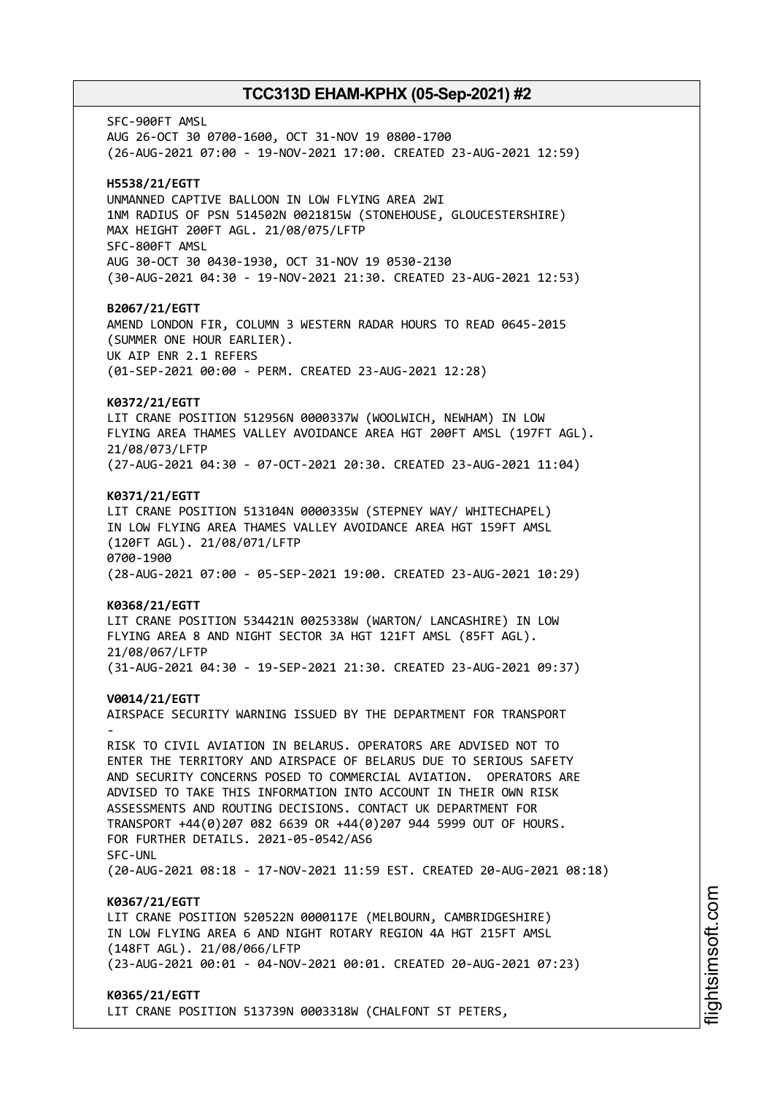SFC-900FT AMSL AUG 26-OCT 30 0700-1600, OCT 31-NOV 19 0800-1700 (26-AUG-2021 07:00 - 19-NOV-2021 17:00. CREATED 23-AUG-2021 12:59) **H5538/21/EGTT** UNMANNED CAPTIVE BALLOON IN LOW FLYING AREA 2WI 1NM RADIUS OF PSN 514502N 0021815W (STONEHOUSE, GLOUCESTERSHIRE) MAX HEIGHT 200FT AGL. 21/08/075/LFTP SFC-800FT AMSL AUG 30-OCT 30 0430-1930, OCT 31-NOV 19 0530-2130 (30-AUG-2021 04:30 - 19-NOV-2021 21:30. CREATED 23-AUG-2021 12:53) **B2067/21/EGTT** AMEND LONDON FIR, COLUMN 3 WESTERN RADAR HOURS TO READ 0645-2015 (SUMMER ONE HOUR EARLIER). UK AIP ENR 2.1 REFERS (01-SEP-2021 00:00 - PERM. CREATED 23-AUG-2021 12:28) **K0372/21/EGTT** LIT CRANE POSITION 512956N 0000337W (WOOLWICH, NEWHAM) IN LOW FLYING AREA THAMES VALLEY AVOIDANCE AREA HGT 200FT AMSL (197FT AGL). 21/08/073/LFTP (27-AUG-2021 04:30 - 07-OCT-2021 20:30. CREATED 23-AUG-2021 11:04) **K0371/21/EGTT** LIT CRANE POSITION 513104N 0000335W (STEPNEY WAY/ WHITECHAPEL) IN LOW FLYING AREA THAMES VALLEY AVOIDANCE AREA HGT 159FT AMSL (120FT AGL). 21/08/071/LFTP 0700-1900 (28-AUG-2021 07:00 - 05-SEP-2021 19:00. CREATED 23-AUG-2021 10:29) **K0368/21/EGTT** LIT CRANE POSITION 534421N 0025338W (WARTON/ LANCASHIRE) IN LOW FLYING AREA 8 AND NIGHT SECTOR 3A HGT 121FT AMSL (85FT AGL). 21/08/067/LFTP (31-AUG-2021 04:30 - 19-SEP-2021 21:30. CREATED 23-AUG-2021 09:37) **V0014/21/EGTT** AIRSPACE SECURITY WARNING ISSUED BY THE DEPARTMENT FOR TRANSPORT - RISK TO CIVIL AVIATION IN BELARUS. OPERATORS ARE ADVISED NOT TO ENTER THE TERRITORY AND AIRSPACE OF BELARUS DUE TO SERIOUS SAFETY AND SECURITY CONCERNS POSED TO COMMERCIAL AVIATION. OPERATORS ARE ADVISED TO TAKE THIS INFORMATION INTO ACCOUNT IN THEIR OWN RISK ASSESSMENTS AND ROUTING DECISIONS. CONTACT UK DEPARTMENT FOR TRANSPORT +44(0)207 082 6639 OR +44(0)207 944 5999 OUT OF HOURS. FOR FURTHER DETAILS. 2021-05-0542/AS6 SFC-UNL (20-AUG-2021 08:18 - 17-NOV-2021 11:59 EST. CREATED 20-AUG-2021 08:18) **K0367/21/EGTT** LIT CRANE POSITION 520522N 0000117E (MELBOURN, CAMBRIDGESHIRE) IN LOW FLYING AREA 6 AND NIGHT ROTARY REGION 4A HGT 215FT AMSL (148FT AGL). 21/08/066/LFTP (23-AUG-2021 00:01 - 04-NOV-2021 00:01. CREATED 20-AUG-2021 07:23) **K0365/21/EGTT** LIT CRANE POSITION 513739N 0003318W (CHALFONT ST PETERS,

i⊒<br>⊫ htsim soft.c o

m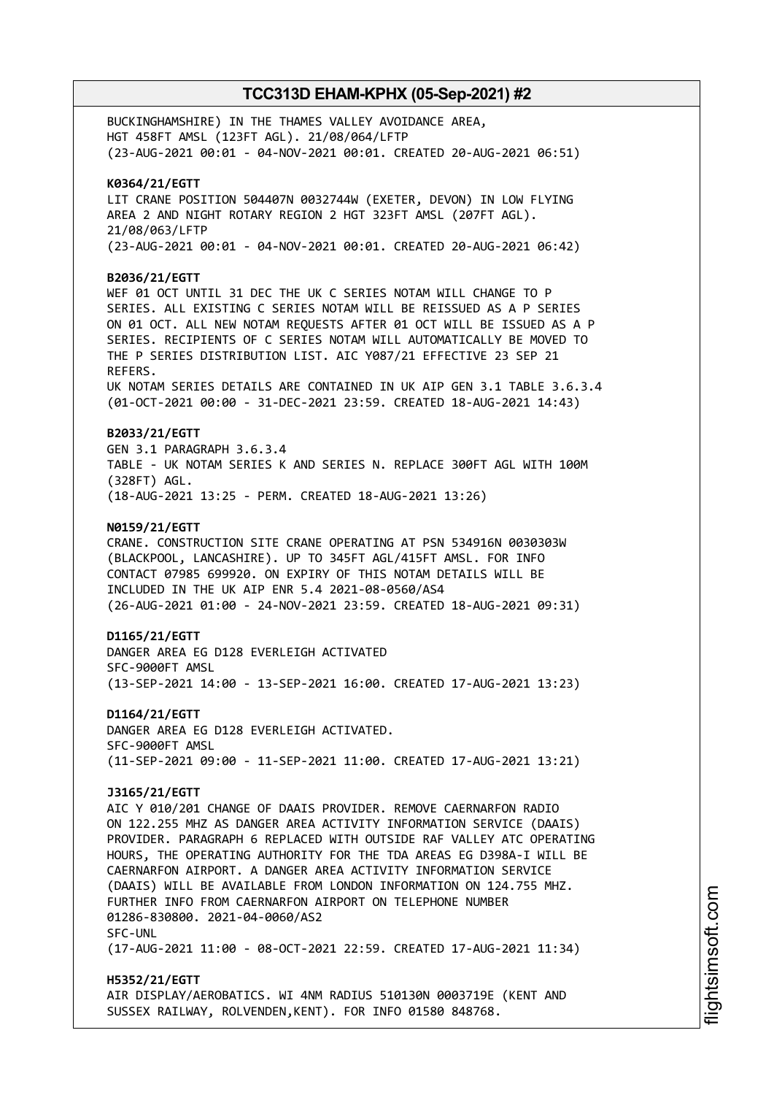BUCKINGHAMSHIRE) IN THE THAMES VALLEY AVOIDANCE AREA, HGT 458FT AMSL (123FT AGL). 21/08/064/LFTP (23-AUG-2021 00:01 - 04-NOV-2021 00:01. CREATED 20-AUG-2021 06:51) **K0364/21/EGTT** LIT CRANE POSITION 504407N 0032744W (EXETER, DEVON) IN LOW FLYING AREA 2 AND NIGHT ROTARY REGION 2 HGT 323FT AMSL (207FT AGL). 21/08/063/LFTP (23-AUG-2021 00:01 - 04-NOV-2021 00:01. CREATED 20-AUG-2021 06:42) **B2036/21/EGTT** WEF 01 OCT UNTIL 31 DEC THE UK C SERIES NOTAM WILL CHANGE TO P SERIES. ALL EXISTING C SERIES NOTAM WILL BE REISSUED AS A P SERIES ON 01 OCT. ALL NEW NOTAM REQUESTS AFTER 01 OCT WILL BE ISSUED AS A P SERIES. RECIPIENTS OF C SERIES NOTAM WILL AUTOMATICALLY BE MOVED TO THE P SERIES DISTRIBUTION LIST. AIC Y087/21 EFFECTIVE 23 SEP 21 REFERS. UK NOTAM SERIES DETAILS ARE CONTAINED IN UK AIP GEN 3.1 TABLE 3.6.3.4 (01-OCT-2021 00:00 - 31-DEC-2021 23:59. CREATED 18-AUG-2021 14:43) **B2033/21/EGTT** GEN 3.1 PARAGRAPH 3.6.3.4 TABLE - UK NOTAM SERIES K AND SERIES N. REPLACE 300FT AGL WITH 100M (328FT) AGL. (18-AUG-2021 13:25 - PERM. CREATED 18-AUG-2021 13:26) **N0159/21/EGTT** CRANE. CONSTRUCTION SITE CRANE OPERATING AT PSN 534916N 0030303W (BLACKPOOL, LANCASHIRE). UP TO 345FT AGL/415FT AMSL. FOR INFO CONTACT 07985 699920. ON EXPIRY OF THIS NOTAM DETAILS WILL BE INCLUDED IN THE UK AIP ENR 5.4 2021-08-0560/AS4 (26-AUG-2021 01:00 - 24-NOV-2021 23:59. CREATED 18-AUG-2021 09:31) **D1165/21/EGTT** DANGER AREA EG D128 EVERLEIGH ACTIVATED SFC-9000FT AMSL (13-SEP-2021 14:00 - 13-SEP-2021 16:00. CREATED 17-AUG-2021 13:23) **D1164/21/EGTT** DANGER AREA EG D128 EVERLEIGH ACTIVATED. SFC-9000FT AMSL (11-SEP-2021 09:00 - 11-SEP-2021 11:00. CREATED 17-AUG-2021 13:21) **J3165/21/EGTT** AIC Y 010/201 CHANGE OF DAAIS PROVIDER. REMOVE CAERNARFON RADIO ON 122.255 MHZ AS DANGER AREA ACTIVITY INFORMATION SERVICE (DAAIS) PROVIDER. PARAGRAPH 6 REPLACED WITH OUTSIDE RAF VALLEY ATC OPERATING HOURS, THE OPERATING AUTHORITY FOR THE TDA AREAS EG D398A-I WILL BE CAERNARFON AIRPORT. A DANGER AREA ACTIVITY INFORMATION SERVICE (DAAIS) WILL BE AVAILABLE FROM LONDON INFORMATION ON 124.755 MHZ. FURTHER INFO FROM CAERNARFON AIRPORT ON TELEPHONE NUMBER 01286-830800. 2021-04-0060/AS2 SFC-UNL (17-AUG-2021 11:00 - 08-OCT-2021 22:59. CREATED 17-AUG-2021 11:34) **H5352/21/EGTT** AIR DISPLAY/AEROBATICS. WI 4NM RADIUS 510130N 0003719E (KENT AND

SUSSEX RAILWAY, ROLVENDEN,KENT). FOR INFO 01580 848768.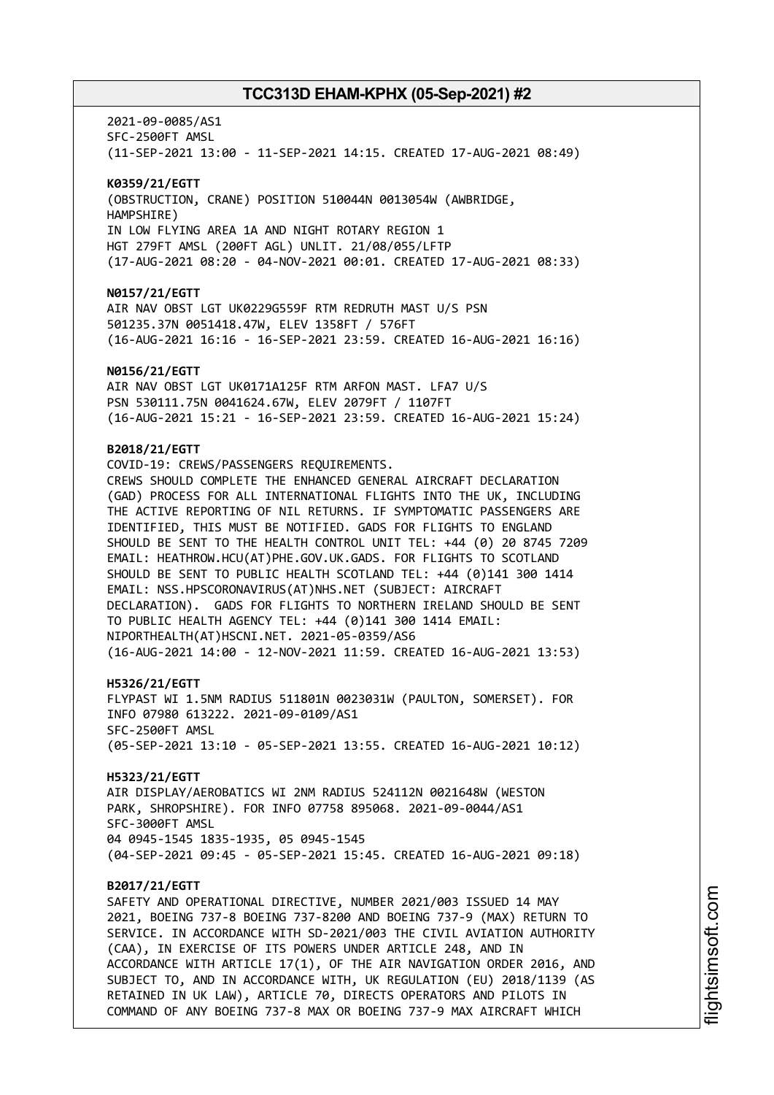2021-09-0085/AS1 SFC-2500FT AMSL (11-SEP-2021 13:00 - 11-SEP-2021 14:15. CREATED 17-AUG-2021 08:49) **K0359/21/EGTT** (OBSTRUCTION, CRANE) POSITION 510044N 0013054W (AWBRIDGE, HAMPSHIRE) IN LOW FLYING AREA 1A AND NIGHT ROTARY REGION 1 HGT 279FT AMSL (200FT AGL) UNLIT. 21/08/055/LFTP (17-AUG-2021 08:20 - 04-NOV-2021 00:01. CREATED 17-AUG-2021 08:33) **N0157/21/EGTT** AIR NAV OBST LGT UK0229G559F RTM REDRUTH MAST U/S PSN 501235.37N 0051418.47W, ELEV 1358FT / 576FT (16-AUG-2021 16:16 - 16-SEP-2021 23:59. CREATED 16-AUG-2021 16:16) **N0156/21/EGTT** AIR NAV OBST LGT UK0171A125F RTM ARFON MAST. LFA7 U/S PSN 530111.75N 0041624.67W, ELEV 2079FT / 1107FT (16-AUG-2021 15:21 - 16-SEP-2021 23:59. CREATED 16-AUG-2021 15:24) **B2018/21/EGTT** COVID-19: CREWS/PASSENGERS REQUIREMENTS. CREWS SHOULD COMPLETE THE ENHANCED GENERAL AIRCRAFT DECLARATION (GAD) PROCESS FOR ALL INTERNATIONAL FLIGHTS INTO THE UK, INCLUDING THE ACTIVE REPORTING OF NIL RETURNS. IF SYMPTOMATIC PASSENGERS ARE IDENTIFIED, THIS MUST BE NOTIFIED. GADS FOR FLIGHTS TO ENGLAND SHOULD BE SENT TO THE HEALTH CONTROL UNIT TEL: +44 (0) 20 8745 7209 EMAIL: HEATHROW.HCU(AT)PHE.GOV.UK.GADS. FOR FLIGHTS TO SCOTLAND SHOULD BE SENT TO PUBLIC HEALTH SCOTLAND TEL: +44 (0)141 300 1414 EMAIL: NSS.HPSCORONAVIRUS(AT)NHS.NET (SUBJECT: AIRCRAFT DECLARATION). GADS FOR FLIGHTS TO NORTHERN IRELAND SHOULD BE SENT TO PUBLIC HEALTH AGENCY TEL: +44 (0)141 300 1414 EMAIL: NIPORTHEALTH(AT)HSCNI.NET. 2021-05-0359/AS6 (16-AUG-2021 14:00 - 12-NOV-2021 11:59. CREATED 16-AUG-2021 13:53) **H5326/21/EGTT** FLYPAST WI 1.5NM RADIUS 511801N 0023031W (PAULTON, SOMERSET). FOR INFO 07980 613222. 2021-09-0109/AS1 SFC-2500FT AMSL (05-SEP-2021 13:10 - 05-SEP-2021 13:55. CREATED 16-AUG-2021 10:12) **H5323/21/EGTT** AIR DISPLAY/AEROBATICS WI 2NM RADIUS 524112N 0021648W (WESTON PARK, SHROPSHIRE). FOR INFO 07758 895068. 2021-09-0044/AS1 SFC-3000FT AMSL 04 0945-1545 1835-1935, 05 0945-1545 (04-SEP-2021 09:45 - 05-SEP-2021 15:45. CREATED 16-AUG-2021 09:18) **B2017/21/EGTT** SAFETY AND OPERATIONAL DIRECTIVE, NUMBER 2021/003 ISSUED 14 MAY 2021, BOEING 737-8 BOEING 737-8200 AND BOEING 737-9 (MAX) RETURN TO SERVICE. IN ACCORDANCE WITH SD-2021/003 THE CIVIL AVIATION AUTHORITY (CAA), IN EXERCISE OF ITS POWERS UNDER ARTICLE 248, AND IN ACCORDANCE WITH ARTICLE 17(1), OF THE AIR NAVIGATION ORDER 2016, AND SUBJECT TO, AND IN ACCORDANCE WITH, UK REGULATION (EU) 2018/1139 (AS RETAINED IN UK LAW), ARTICLE 70, DIRECTS OPERATORS AND PILOTS IN COMMAND OF ANY BOEING 737-8 MAX OR BOEING 737-9 MAX AIRCRAFT WHICH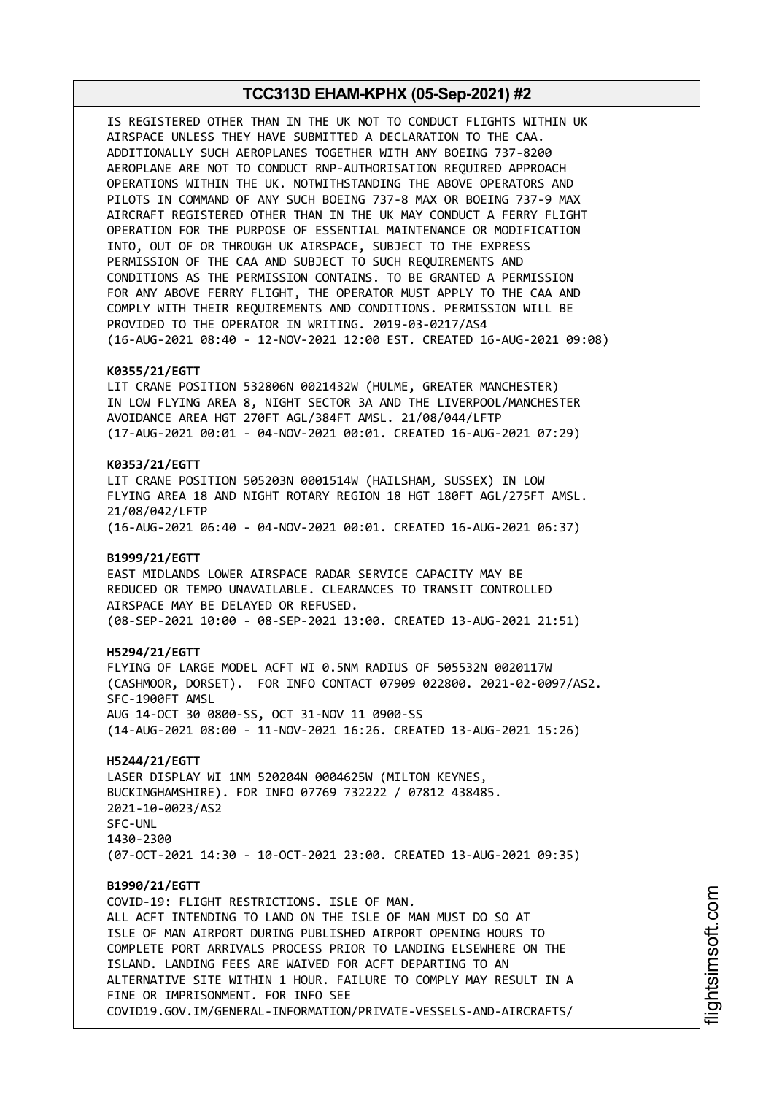IS REGISTERED OTHER THAN IN THE UK NOT TO CONDUCT FLIGHTS WITHIN UK AIRSPACE UNLESS THEY HAVE SUBMITTED A DECLARATION TO THE CAA. ADDITIONALLY SUCH AEROPLANES TOGETHER WITH ANY BOEING 737-8200 AEROPLANE ARE NOT TO CONDUCT RNP-AUTHORISATION REQUIRED APPROACH OPERATIONS WITHIN THE UK. NOTWITHSTANDING THE ABOVE OPERATORS AND PILOTS IN COMMAND OF ANY SUCH BOEING 737-8 MAX OR BOEING 737-9 MAX AIRCRAFT REGISTERED OTHER THAN IN THE UK MAY CONDUCT A FERRY FLIGHT OPERATION FOR THE PURPOSE OF ESSENTIAL MAINTENANCE OR MODIFICATION INTO, OUT OF OR THROUGH UK AIRSPACE, SUBJECT TO THE EXPRESS PERMISSION OF THE CAA AND SUBJECT TO SUCH REQUIREMENTS AND CONDITIONS AS THE PERMISSION CONTAINS. TO BE GRANTED A PERMISSION FOR ANY ABOVE FERRY FLIGHT, THE OPERATOR MUST APPLY TO THE CAA AND COMPLY WITH THEIR REQUIREMENTS AND CONDITIONS. PERMISSION WILL BE PROVIDED TO THE OPERATOR IN WRITING. 2019-03-0217/AS4 (16-AUG-2021 08:40 - 12-NOV-2021 12:00 EST. CREATED 16-AUG-2021 09:08)

#### **K0355/21/EGTT**

LIT CRANE POSITION 532806N 0021432W (HULME, GREATER MANCHESTER) IN LOW FLYING AREA 8, NIGHT SECTOR 3A AND THE LIVERPOOL/MANCHESTER AVOIDANCE AREA HGT 270FT AGL/384FT AMSL. 21/08/044/LFTP (17-AUG-2021 00:01 - 04-NOV-2021 00:01. CREATED 16-AUG-2021 07:29)

#### **K0353/21/EGTT**

LIT CRANE POSITION 505203N 0001514W (HAILSHAM, SUSSEX) IN LOW FLYING AREA 18 AND NIGHT ROTARY REGION 18 HGT 180FT AGL/275FT AMSL. 21/08/042/LFTP (16-AUG-2021 06:40 - 04-NOV-2021 00:01. CREATED 16-AUG-2021 06:37)

#### **B1999/21/EGTT**

EAST MIDLANDS LOWER AIRSPACE RADAR SERVICE CAPACITY MAY BE REDUCED OR TEMPO UNAVAILABLE. CLEARANCES TO TRANSIT CONTROLLED AIRSPACE MAY BE DELAYED OR REFUSED. (08-SEP-2021 10:00 - 08-SEP-2021 13:00. CREATED 13-AUG-2021 21:51)

#### **H5294/21/EGTT**

FLYING OF LARGE MODEL ACFT WI 0.5NM RADIUS OF 505532N 0020117W (CASHMOOR, DORSET). FOR INFO CONTACT 07909 022800. 2021-02-0097/AS2. SFC-1900FT AMSL AUG 14-OCT 30 0800-SS, OCT 31-NOV 11 0900-SS (14-AUG-2021 08:00 - 11-NOV-2021 16:26. CREATED 13-AUG-2021 15:26)

#### **H5244/21/EGTT**

LASER DISPLAY WI 1NM 520204N 0004625W (MILTON KEYNES, BUCKINGHAMSHIRE). FOR INFO 07769 732222 / 07812 438485. 2021-10-0023/AS2 SFC-UNL 1430-2300 (07-OCT-2021 14:30 - 10-OCT-2021 23:00. CREATED 13-AUG-2021 09:35)

#### **B1990/21/EGTT**

COVID-19: FLIGHT RESTRICTIONS. ISLE OF MAN. ALL ACFT INTENDING TO LAND ON THE ISLE OF MAN MUST DO SO AT ISLE OF MAN AIRPORT DURING PUBLISHED AIRPORT OPENING HOURS TO COMPLETE PORT ARRIVALS PROCESS PRIOR TO LANDING ELSEWHERE ON THE ISLAND. LANDING FEES ARE WAIVED FOR ACFT DEPARTING TO AN ALTERNATIVE SITE WITHIN 1 HOUR. FAILURE TO COMPLY MAY RESULT IN A FINE OR IMPRISONMENT. FOR INFO SEE COVID19.GOV.IM/GENERAL-INFORMATION/PRIVATE-VESSELS-AND-AIRCRAFTS/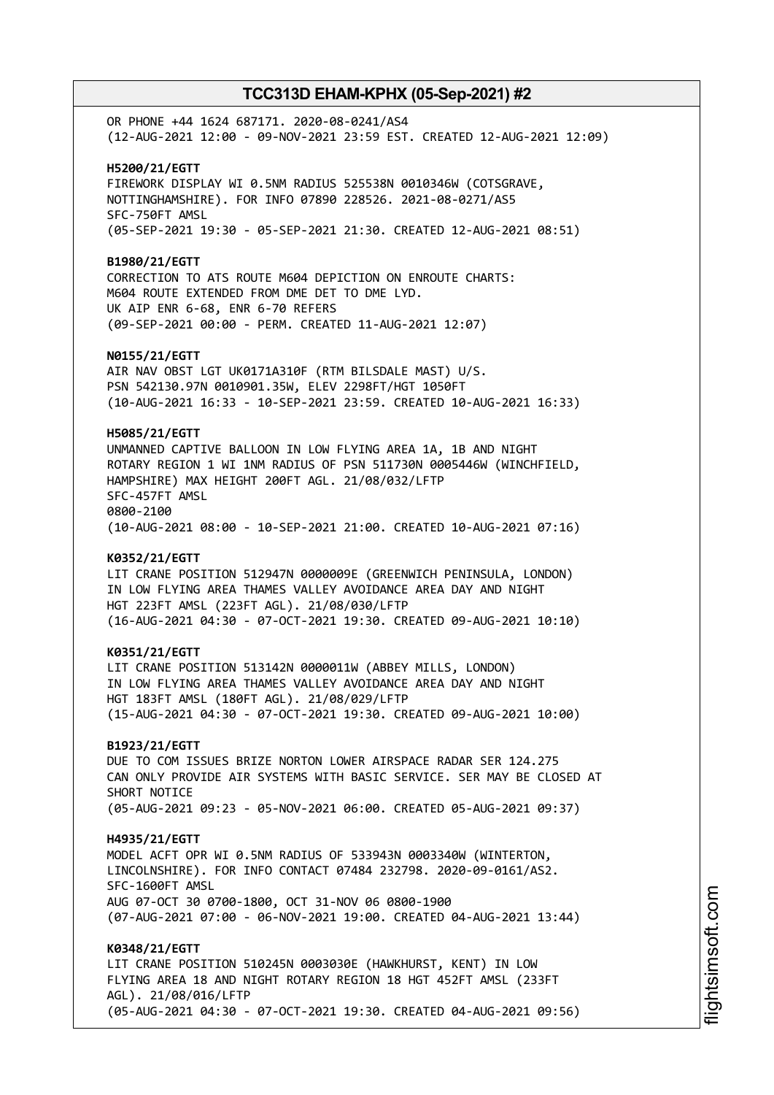OR PHONE +44 1624 687171. 2020-08-0241/AS4 (12-AUG-2021 12:00 - 09-NOV-2021 23:59 EST. CREATED 12-AUG-2021 12:09) **H5200/21/EGTT** FIREWORK DISPLAY WI 0.5NM RADIUS 525538N 0010346W (COTSGRAVE, NOTTINGHAMSHIRE). FOR INFO 07890 228526. 2021-08-0271/AS5 SFC-750FT AMSL (05-SEP-2021 19:30 - 05-SEP-2021 21:30. CREATED 12-AUG-2021 08:51) **B1980/21/EGTT** CORRECTION TO ATS ROUTE M604 DEPICTION ON ENROUTE CHARTS: M604 ROUTE EXTENDED FROM DME DET TO DME LYD. UK AIP ENR 6-68, ENR 6-70 REFERS (09-SEP-2021 00:00 - PERM. CREATED 11-AUG-2021 12:07) **N0155/21/EGTT** AIR NAV OBST LGT UK0171A310F (RTM BILSDALE MAST) U/S. PSN 542130.97N 0010901.35W, ELEV 2298FT/HGT 1050FT (10-AUG-2021 16:33 - 10-SEP-2021 23:59. CREATED 10-AUG-2021 16:33) **H5085/21/EGTT** UNMANNED CAPTIVE BALLOON IN LOW FLYING AREA 1A, 1B AND NIGHT ROTARY REGION 1 WI 1NM RADIUS OF PSN 511730N 0005446W (WINCHFIELD, HAMPSHIRE) MAX HEIGHT 200FT AGL. 21/08/032/LFTP SFC-457FT AMSL 0800-2100 (10-AUG-2021 08:00 - 10-SEP-2021 21:00. CREATED 10-AUG-2021 07:16) **K0352/21/EGTT** LIT CRANE POSITION 512947N 0000009E (GREENWICH PENINSULA, LONDON) IN LOW FLYING AREA THAMES VALLEY AVOIDANCE AREA DAY AND NIGHT HGT 223FT AMSL (223FT AGL). 21/08/030/LFTP (16-AUG-2021 04:30 - 07-OCT-2021 19:30. CREATED 09-AUG-2021 10:10) **K0351/21/EGTT** LIT CRANE POSITION 513142N 0000011W (ABBEY MILLS, LONDON) IN LOW FLYING AREA THAMES VALLEY AVOIDANCE AREA DAY AND NIGHT HGT 183FT AMSL (180FT AGL). 21/08/029/LFTP (15-AUG-2021 04:30 - 07-OCT-2021 19:30. CREATED 09-AUG-2021 10:00) **B1923/21/EGTT** DUE TO COM ISSUES BRIZE NORTON LOWER AIRSPACE RADAR SER 124.275 CAN ONLY PROVIDE AIR SYSTEMS WITH BASIC SERVICE. SER MAY BE CLOSED AT SHORT NOTICE (05-AUG-2021 09:23 - 05-NOV-2021 06:00. CREATED 05-AUG-2021 09:37) **H4935/21/EGTT** MODEL ACFT OPR WI 0.5NM RADIUS OF 533943N 0003340W (WINTERTON, LINCOLNSHIRE). FOR INFO CONTACT 07484 232798. 2020-09-0161/AS2. SFC-1600FT AMSL AUG 07-OCT 30 0700-1800, OCT 31-NOV 06 0800-1900 (07-AUG-2021 07:00 - 06-NOV-2021 19:00. CREATED 04-AUG-2021 13:44) **K0348/21/EGTT** LIT CRANE POSITION 510245N 0003030E (HAWKHURST, KENT) IN LOW FLYING AREA 18 AND NIGHT ROTARY REGION 18 HGT 452FT AMSL (233FT AGL). 21/08/016/LFTP (05-AUG-2021 04:30 - 07-OCT-2021 19:30. CREATED 04-AUG-2021 09:56)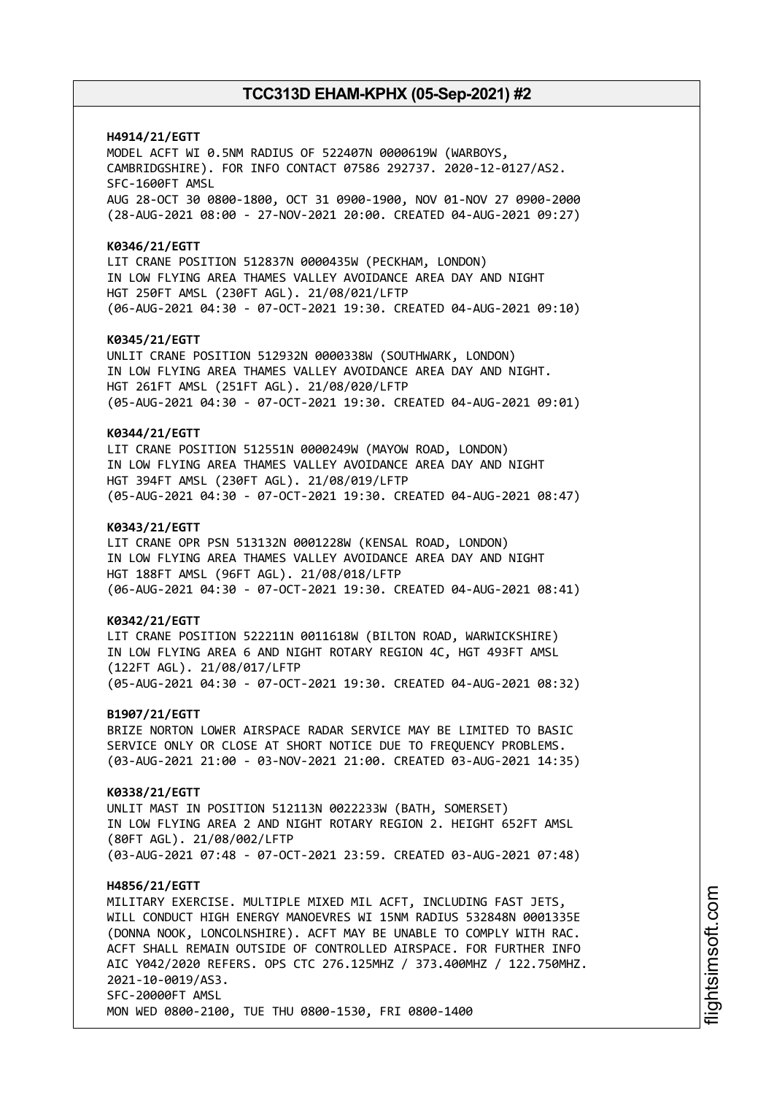**H4914/21/EGTT** MODEL ACFT WI 0.5NM RADIUS OF 522407N 0000619W (WARBOYS, CAMBRIDGSHIRE). FOR INFO CONTACT 07586 292737. 2020-12-0127/AS2. SFC-1600FT AMSL AUG 28-OCT 30 0800-1800, OCT 31 0900-1900, NOV 01-NOV 27 0900-2000 (28-AUG-2021 08:00 - 27-NOV-2021 20:00. CREATED 04-AUG-2021 09:27) **K0346/21/EGTT** LIT CRANE POSITION 512837N 0000435W (PECKHAM, LONDON) IN LOW FLYING AREA THAMES VALLEY AVOIDANCE AREA DAY AND NIGHT HGT 250FT AMSL (230FT AGL). 21/08/021/LFTP (06-AUG-2021 04:30 - 07-OCT-2021 19:30. CREATED 04-AUG-2021 09:10) **K0345/21/EGTT** UNLIT CRANE POSITION 512932N 0000338W (SOUTHWARK, LONDON) IN LOW FLYING AREA THAMES VALLEY AVOIDANCE AREA DAY AND NIGHT. HGT 261FT AMSL (251FT AGL). 21/08/020/LFTP (05-AUG-2021 04:30 - 07-OCT-2021 19:30. CREATED 04-AUG-2021 09:01) **K0344/21/EGTT** LIT CRANE POSITION 512551N 0000249W (MAYOW ROAD, LONDON) IN LOW FLYING AREA THAMES VALLEY AVOIDANCE AREA DAY AND NIGHT HGT 394FT AMSL (230FT AGL). 21/08/019/LFTP (05-AUG-2021 04:30 - 07-OCT-2021 19:30. CREATED 04-AUG-2021 08:47) **K0343/21/EGTT** LIT CRANE OPR PSN 513132N 0001228W (KENSAL ROAD, LONDON) IN LOW FLYING AREA THAMES VALLEY AVOIDANCE AREA DAY AND NIGHT HGT 188FT AMSL (96FT AGL). 21/08/018/LFTP

(06-AUG-2021 04:30 - 07-OCT-2021 19:30. CREATED 04-AUG-2021 08:41)

## **K0342/21/EGTT**

LIT CRANE POSITION 522211N 0011618W (BILTON ROAD, WARWICKSHIRE) IN LOW FLYING AREA 6 AND NIGHT ROTARY REGION 4C, HGT 493FT AMSL (122FT AGL). 21/08/017/LFTP (05-AUG-2021 04:30 - 07-OCT-2021 19:30. CREATED 04-AUG-2021 08:32)

#### **B1907/21/EGTT**

BRIZE NORTON LOWER AIRSPACE RADAR SERVICE MAY BE LIMITED TO BASIC SERVICE ONLY OR CLOSE AT SHORT NOTICE DUE TO FREQUENCY PROBLEMS. (03-AUG-2021 21:00 - 03-NOV-2021 21:00. CREATED 03-AUG-2021 14:35)

#### **K0338/21/EGTT**

UNLIT MAST IN POSITION 512113N 0022233W (BATH, SOMERSET) IN LOW FLYING AREA 2 AND NIGHT ROTARY REGION 2. HEIGHT 652FT AMSL (80FT AGL). 21/08/002/LFTP (03-AUG-2021 07:48 - 07-OCT-2021 23:59. CREATED 03-AUG-2021 07:48)

#### **H4856/21/EGTT**

MILITARY EXERCISE. MULTIPLE MIXED MIL ACFT, INCLUDING FAST JETS, WILL CONDUCT HIGH ENERGY MANOEVRES WI 15NM RADIUS 532848N 0001335E (DONNA NOOK, LONCOLNSHIRE). ACFT MAY BE UNABLE TO COMPLY WITH RAC. ACFT SHALL REMAIN OUTSIDE OF CONTROLLED AIRSPACE. FOR FURTHER INFO AIC Y042/2020 REFERS. OPS CTC 276.125MHZ / 373.400MHZ / 122.750MHZ. 2021-10-0019/AS3. SFC-20000FT AMSL MON WED 0800-2100, TUE THU 0800-1530, FRI 0800-1400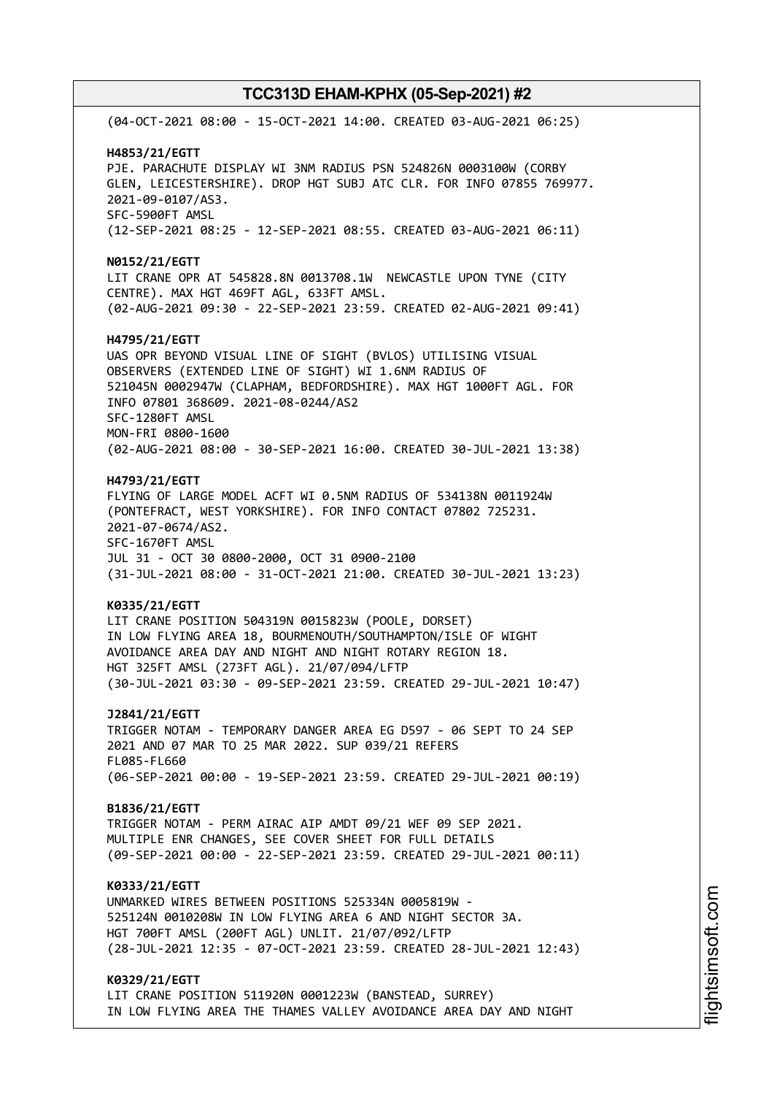(04-OCT-2021 08:00 - 15-OCT-2021 14:00. CREATED 03-AUG-2021 06:25) **H4853/21/EGTT** PJE. PARACHUTE DISPLAY WI 3NM RADIUS PSN 524826N 0003100W (CORBY GLEN, LEICESTERSHIRE). DROP HGT SUBJ ATC CLR. FOR INFO 07855 769977. 2021-09-0107/AS3. SFC-5900FT AMSL (12-SEP-2021 08:25 - 12-SEP-2021 08:55. CREATED 03-AUG-2021 06:11) **N0152/21/EGTT** LIT CRANE OPR AT 545828.8N 0013708.1W NEWCASTLE UPON TYNE (CITY CENTRE). MAX HGT 469FT AGL, 633FT AMSL. (02-AUG-2021 09:30 - 22-SEP-2021 23:59. CREATED 02-AUG-2021 09:41) **H4795/21/EGTT** UAS OPR BEYOND VISUAL LINE OF SIGHT (BVLOS) UTILISING VISUAL OBSERVERS (EXTENDED LINE OF SIGHT) WI 1.6NM RADIUS OF 521045N 0002947W (CLAPHAM, BEDFORDSHIRE). MAX HGT 1000FT AGL. FOR INFO 07801 368609. 2021-08-0244/AS2 SFC-1280FT AMSL MON-FRI 0800-1600 (02-AUG-2021 08:00 - 30-SEP-2021 16:00. CREATED 30-JUL-2021 13:38) **H4793/21/EGTT** FLYING OF LARGE MODEL ACFT WI 0.5NM RADIUS OF 534138N 0011924W (PONTEFRACT, WEST YORKSHIRE). FOR INFO CONTACT 07802 725231. 2021-07-0674/AS2. SFC-1670FT AMSL JUL 31 - OCT 30 0800-2000, OCT 31 0900-2100 (31-JUL-2021 08:00 - 31-OCT-2021 21:00. CREATED 30-JUL-2021 13:23) **K0335/21/EGTT** LIT CRANE POSITION 504319N 0015823W (POOLE, DORSET) IN LOW FLYING AREA 18, BOURMENOUTH/SOUTHAMPTON/ISLE OF WIGHT AVOIDANCE AREA DAY AND NIGHT AND NIGHT ROTARY REGION 18. HGT 325FT AMSL (273FT AGL). 21/07/094/LFTP (30-JUL-2021 03:30 - 09-SEP-2021 23:59. CREATED 29-JUL-2021 10:47) **J2841/21/EGTT** TRIGGER NOTAM - TEMPORARY DANGER AREA EG D597 - 06 SEPT TO 24 SEP 2021 AND 07 MAR TO 25 MAR 2022. SUP 039/21 REFERS FL085-FL660 (06-SEP-2021 00:00 - 19-SEP-2021 23:59. CREATED 29-JUL-2021 00:19) **B1836/21/EGTT** TRIGGER NOTAM - PERM AIRAC AIP AMDT 09/21 WEF 09 SEP 2021. MULTIPLE ENR CHANGES, SEE COVER SHEET FOR FULL DETAILS (09-SEP-2021 00:00 - 22-SEP-2021 23:59. CREATED 29-JUL-2021 00:11) **K0333/21/EGTT** UNMARKED WIRES BETWEEN POSITIONS 525334N 0005819W - 525124N 0010208W IN LOW FLYING AREA 6 AND NIGHT SECTOR 3A. HGT 700FT AMSL (200FT AGL) UNLIT. 21/07/092/LFTP (28-JUL-2021 12:35 - 07-OCT-2021 23:59. CREATED 28-JUL-2021 12:43) **K0329/21/EGTT** LIT CRANE POSITION 511920N 0001223W (BANSTEAD, SURREY) IN LOW FLYING AREA THE THAMES VALLEY AVOIDANCE AREA DAY AND NIGHT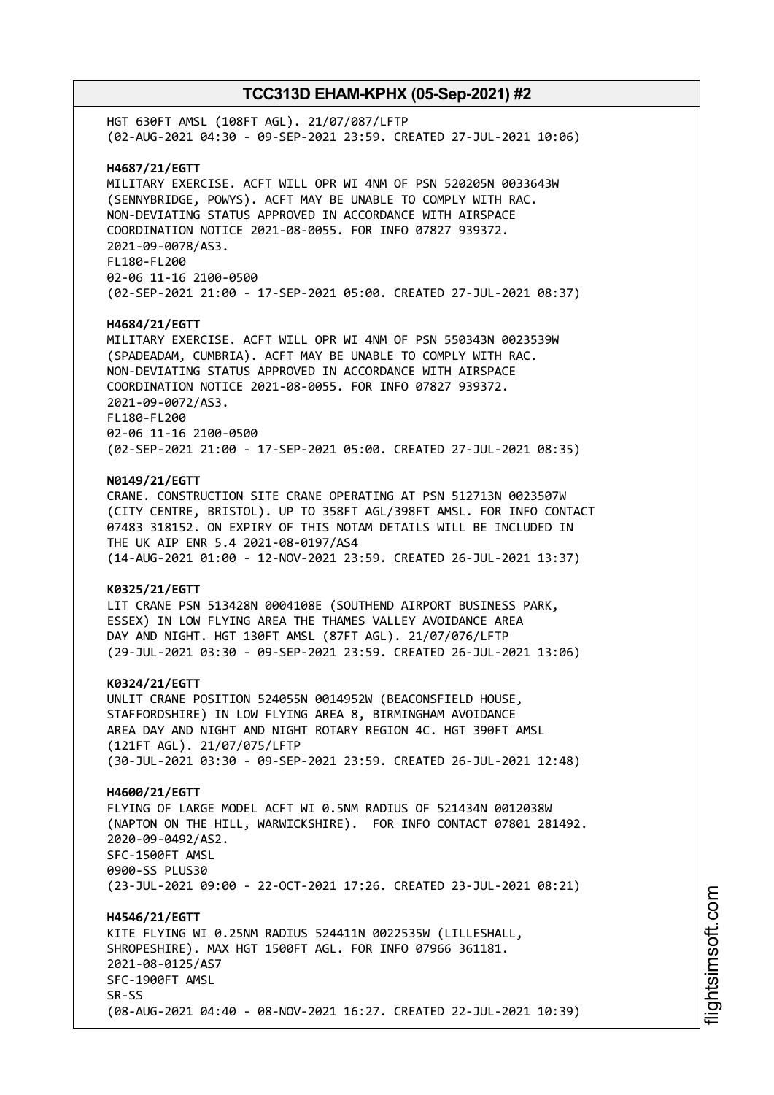HGT 630FT AMSL (108FT AGL). 21/07/087/LFTP (02-AUG-2021 04:30 - 09-SEP-2021 23:59. CREATED 27-JUL-2021 10:06) **H4687/21/EGTT** MILITARY EXERCISE. ACFT WILL OPR WI 4NM OF PSN 520205N 0033643W (SENNYBRIDGE, POWYS). ACFT MAY BE UNABLE TO COMPLY WITH RAC. NON-DEVIATING STATUS APPROVED IN ACCORDANCE WITH AIRSPACE COORDINATION NOTICE 2021-08-0055. FOR INFO 07827 939372. 2021-09-0078/AS3. FL180-FL200 02-06 11-16 2100-0500 (02-SEP-2021 21:00 - 17-SEP-2021 05:00. CREATED 27-JUL-2021 08:37) **H4684/21/EGTT** MILITARY EXERCISE. ACFT WILL OPR WI 4NM OF PSN 550343N 0023539W (SPADEADAM, CUMBRIA). ACFT MAY BE UNABLE TO COMPLY WITH RAC. NON-DEVIATING STATUS APPROVED IN ACCORDANCE WITH AIRSPACE COORDINATION NOTICE 2021-08-0055. FOR INFO 07827 939372. 2021-09-0072/AS3. FL180-FL200 02-06 11-16 2100-0500 (02-SEP-2021 21:00 - 17-SEP-2021 05:00. CREATED 27-JUL-2021 08:35) **N0149/21/EGTT** CRANE. CONSTRUCTION SITE CRANE OPERATING AT PSN 512713N 0023507W (CITY CENTRE, BRISTOL). UP TO 358FT AGL/398FT AMSL. FOR INFO CONTACT 07483 318152. ON EXPIRY OF THIS NOTAM DETAILS WILL BE INCLUDED IN THE UK AIP ENR 5.4 2021-08-0197/AS4 (14-AUG-2021 01:00 - 12-NOV-2021 23:59. CREATED 26-JUL-2021 13:37) **K0325/21/EGTT** LIT CRANE PSN 513428N 0004108E (SOUTHEND AIRPORT BUSINESS PARK, ESSEX) IN LOW FLYING AREA THE THAMES VALLEY AVOIDANCE AREA DAY AND NIGHT. HGT 130FT AMSL (87FT AGL). 21/07/076/LFTP (29-JUL-2021 03:30 - 09-SEP-2021 23:59. CREATED 26-JUL-2021 13:06) **K0324/21/EGTT** UNLIT CRANE POSITION 524055N 0014952W (BEACONSFIELD HOUSE, STAFFORDSHIRE) IN LOW FLYING AREA 8, BIRMINGHAM AVOIDANCE AREA DAY AND NIGHT AND NIGHT ROTARY REGION 4C. HGT 390FT AMSL (121FT AGL). 21/07/075/LFTP (30-JUL-2021 03:30 - 09-SEP-2021 23:59. CREATED 26-JUL-2021 12:48) **H4600/21/EGTT** FLYING OF LARGE MODEL ACFT WI 0.5NM RADIUS OF 521434N 0012038W (NAPTON ON THE HILL, WARWICKSHIRE). FOR INFO CONTACT 07801 281492. 2020-09-0492/AS2. SFC-1500FT AMSL 0900-SS PLUS30 (23-JUL-2021 09:00 - 22-OCT-2021 17:26. CREATED 23-JUL-2021 08:21) **H4546/21/EGTT** KITE FLYING WI 0.25NM RADIUS 524411N 0022535W (LILLESHALL, SHROPESHIRE). MAX HGT 1500FT AGL. FOR INFO 07966 361181. 2021-08-0125/AS7 SFC-1900FT AMSL SR-SS (08-AUG-2021 04:40 - 08-NOV-2021 16:27. CREATED 22-JUL-2021 10:39)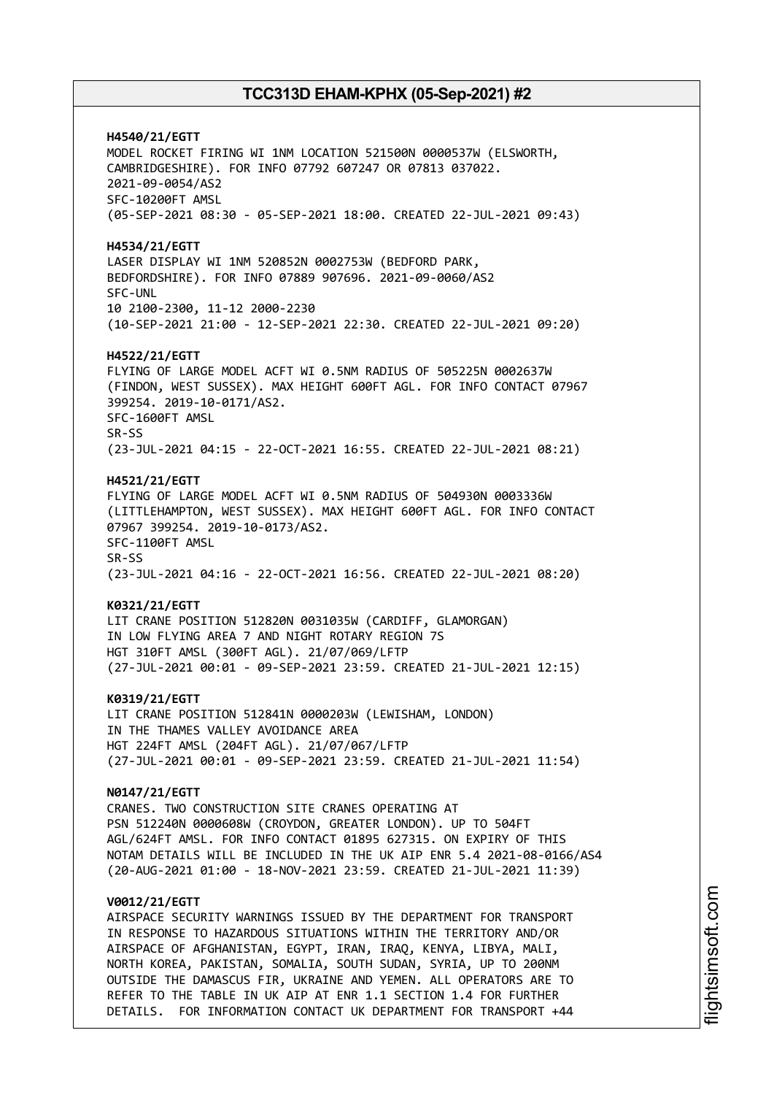**H4540/21/EGTT** MODEL ROCKET FIRING WI 1NM LOCATION 521500N 0000537W (ELSWORTH, CAMBRIDGESHIRE). FOR INFO 07792 607247 OR 07813 037022. 2021-09-0054/AS2 SFC-10200FT AMSL (05-SEP-2021 08:30 - 05-SEP-2021 18:00. CREATED 22-JUL-2021 09:43) **H4534/21/EGTT** LASER DISPLAY WI 1NM 520852N 0002753W (BEDFORD PARK, BEDFORDSHIRE). FOR INFO 07889 907696. 2021-09-0060/AS2 SFC-UNL 10 2100-2300, 11-12 2000-2230 (10-SEP-2021 21:00 - 12-SEP-2021 22:30. CREATED 22-JUL-2021 09:20) **H4522/21/EGTT** FLYING OF LARGE MODEL ACFT WI 0.5NM RADIUS OF 505225N 0002637W (FINDON, WEST SUSSEX). MAX HEIGHT 600FT AGL. FOR INFO CONTACT 07967 399254. 2019-10-0171/AS2. SFC-1600FT AMSL SR-SS (23-JUL-2021 04:15 - 22-OCT-2021 16:55. CREATED 22-JUL-2021 08:21) **H4521/21/EGTT** FLYING OF LARGE MODEL ACFT WI 0.5NM RADIUS OF 504930N 0003336W (LITTLEHAMPTON, WEST SUSSEX). MAX HEIGHT 600FT AGL. FOR INFO CONTACT 07967 399254. 2019-10-0173/AS2. SFC-1100FT AMSL SR-SS (23-JUL-2021 04:16 - 22-OCT-2021 16:56. CREATED 22-JUL-2021 08:20) **K0321/21/EGTT** LIT CRANE POSITION 512820N 0031035W (CARDIFF, GLAMORGAN) IN LOW FLYING AREA 7 AND NIGHT ROTARY REGION 7S HGT 310FT AMSL (300FT AGL). 21/07/069/LFTP (27-JUL-2021 00:01 - 09-SEP-2021 23:59. CREATED 21-JUL-2021 12:15) **K0319/21/EGTT** LIT CRANE POSITION 512841N 0000203W (LEWISHAM, LONDON) IN THE THAMES VALLEY AVOIDANCE AREA HGT 224FT AMSL (204FT AGL). 21/07/067/LFTP (27-JUL-2021 00:01 - 09-SEP-2021 23:59. CREATED 21-JUL-2021 11:54) **N0147/21/EGTT** CRANES. TWO CONSTRUCTION SITE CRANES OPERATING AT PSN 512240N 0000608W (CROYDON, GREATER LONDON). UP TO 504FT AGL/624FT AMSL. FOR INFO CONTACT 01895 627315. ON EXPIRY OF THIS NOTAM DETAILS WILL BE INCLUDED IN THE UK AIP ENR 5.4 2021-08-0166/AS4 (20-AUG-2021 01:00 - 18-NOV-2021 23:59. CREATED 21-JUL-2021 11:39) **V0012/21/EGTT** AIRSPACE SECURITY WARNINGS ISSUED BY THE DEPARTMENT FOR TRANSPORT IN RESPONSE TO HAZARDOUS SITUATIONS WITHIN THE TERRITORY AND/OR AIRSPACE OF AFGHANISTAN, EGYPT, IRAN, IRAQ, KENYA, LIBYA, MALI, NORTH KOREA, PAKISTAN, SOMALIA, SOUTH SUDAN, SYRIA, UP TO 200NM

OUTSIDE THE DAMASCUS FIR, UKRAINE AND YEMEN. ALL OPERATORS ARE TO REFER TO THE TABLE IN UK AIP AT ENR 1.1 SECTION 1.4 FOR FURTHER DETAILS. FOR INFORMATION CONTACT UK DEPARTMENT FOR TRANSPORT +44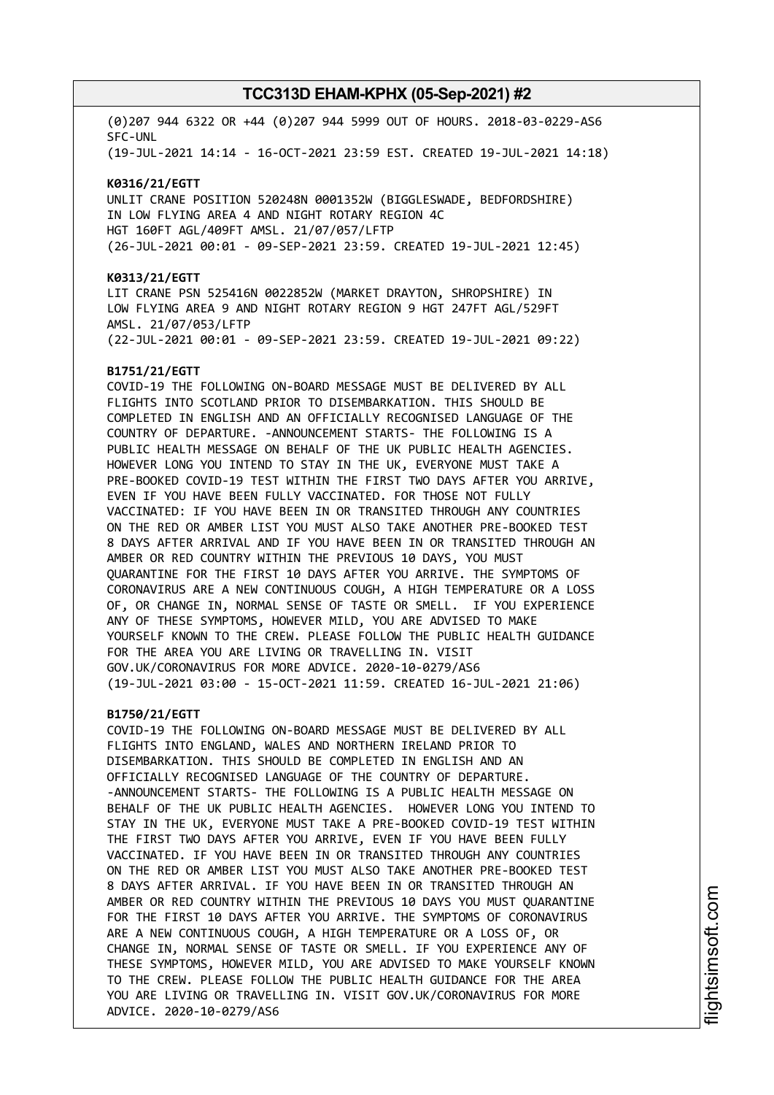(0)207 944 6322 OR +44 (0)207 944 5999 OUT OF HOURS. 2018-03-0229-AS6 SFC-UNL

(19-JUL-2021 14:14 - 16-OCT-2021 23:59 EST. CREATED 19-JUL-2021 14:18)

#### **K0316/21/EGTT**

UNLIT CRANE POSITION 520248N 0001352W (BIGGLESWADE, BEDFORDSHIRE) IN LOW FLYING AREA 4 AND NIGHT ROTARY REGION 4C HGT 160FT AGL/409FT AMSL. 21/07/057/LFTP (26-JUL-2021 00:01 - 09-SEP-2021 23:59. CREATED 19-JUL-2021 12:45)

#### **K0313/21/EGTT**

LIT CRANE PSN 525416N 0022852W (MARKET DRAYTON, SHROPSHIRE) IN LOW FLYING AREA 9 AND NIGHT ROTARY REGION 9 HGT 247FT AGL/529FT AMSL. 21/07/053/LFTP (22-JUL-2021 00:01 - 09-SEP-2021 23:59. CREATED 19-JUL-2021 09:22)

#### **B1751/21/EGTT**

COVID-19 THE FOLLOWING ON-BOARD MESSAGE MUST BE DELIVERED BY ALL FLIGHTS INTO SCOTLAND PRIOR TO DISEMBARKATION. THIS SHOULD BE COMPLETED IN ENGLISH AND AN OFFICIALLY RECOGNISED LANGUAGE OF THE COUNTRY OF DEPARTURE. -ANNOUNCEMENT STARTS- THE FOLLOWING IS A PUBLIC HEALTH MESSAGE ON BEHALF OF THE UK PUBLIC HEALTH AGENCIES. HOWEVER LONG YOU INTEND TO STAY IN THE UK, EVERYONE MUST TAKE A PRE-BOOKED COVID-19 TEST WITHIN THE FIRST TWO DAYS AFTER YOU ARRIVE, EVEN IF YOU HAVE BEEN FULLY VACCINATED. FOR THOSE NOT FULLY VACCINATED: IF YOU HAVE BEEN IN OR TRANSITED THROUGH ANY COUNTRIES ON THE RED OR AMBER LIST YOU MUST ALSO TAKE ANOTHER PRE-BOOKED TEST 8 DAYS AFTER ARRIVAL AND IF YOU HAVE BEEN IN OR TRANSITED THROUGH AN AMBER OR RED COUNTRY WITHIN THE PREVIOUS 10 DAYS, YOU MUST QUARANTINE FOR THE FIRST 10 DAYS AFTER YOU ARRIVE. THE SYMPTOMS OF CORONAVIRUS ARE A NEW CONTINUOUS COUGH, A HIGH TEMPERATURE OR A LOSS OF, OR CHANGE IN, NORMAL SENSE OF TASTE OR SMELL. IF YOU EXPERIENCE ANY OF THESE SYMPTOMS, HOWEVER MILD, YOU ARE ADVISED TO MAKE YOURSELF KNOWN TO THE CREW. PLEASE FOLLOW THE PUBLIC HEALTH GUIDANCE FOR THE AREA YOU ARE LIVING OR TRAVELLING IN. VISIT GOV.UK/CORONAVIRUS FOR MORE ADVICE. 2020-10-0279/AS6 (19-JUL-2021 03:00 - 15-OCT-2021 11:59. CREATED 16-JUL-2021 21:06)

#### **B1750/21/EGTT**

COVID-19 THE FOLLOWING ON-BOARD MESSAGE MUST BE DELIVERED BY ALL FLIGHTS INTO ENGLAND, WALES AND NORTHERN IRELAND PRIOR TO DISEMBARKATION. THIS SHOULD BE COMPLETED IN ENGLISH AND AN OFFICIALLY RECOGNISED LANGUAGE OF THE COUNTRY OF DEPARTURE. -ANNOUNCEMENT STARTS- THE FOLLOWING IS A PUBLIC HEALTH MESSAGE ON BEHALF OF THE UK PUBLIC HEALTH AGENCIES. HOWEVER LONG YOU INTEND TO STAY IN THE UK, EVERYONE MUST TAKE A PRE-BOOKED COVID-19 TEST WITHIN THE FIRST TWO DAYS AFTER YOU ARRIVE, EVEN IF YOU HAVE BEEN FULLY VACCINATED. IF YOU HAVE BEEN IN OR TRANSITED THROUGH ANY COUNTRIES ON THE RED OR AMBER LIST YOU MUST ALSO TAKE ANOTHER PRE-BOOKED TEST 8 DAYS AFTER ARRIVAL. IF YOU HAVE BEEN IN OR TRANSITED THROUGH AN AMBER OR RED COUNTRY WITHIN THE PREVIOUS 10 DAYS YOU MUST QUARANTINE FOR THE FIRST 10 DAYS AFTER YOU ARRIVE. THE SYMPTOMS OF CORONAVIRUS ARE A NEW CONTINUOUS COUGH, A HIGH TEMPERATURE OR A LOSS OF, OR CHANGE IN, NORMAL SENSE OF TASTE OR SMELL. IF YOU EXPERIENCE ANY OF THESE SYMPTOMS, HOWEVER MILD, YOU ARE ADVISED TO MAKE YOURSELF KNOWN TO THE CREW. PLEASE FOLLOW THE PUBLIC HEALTH GUIDANCE FOR THE AREA YOU ARE LIVING OR TRAVELLING IN. VISIT GOV.UK/CORONAVIRUS FOR MORE ADVICE. 2020-10-0279/AS6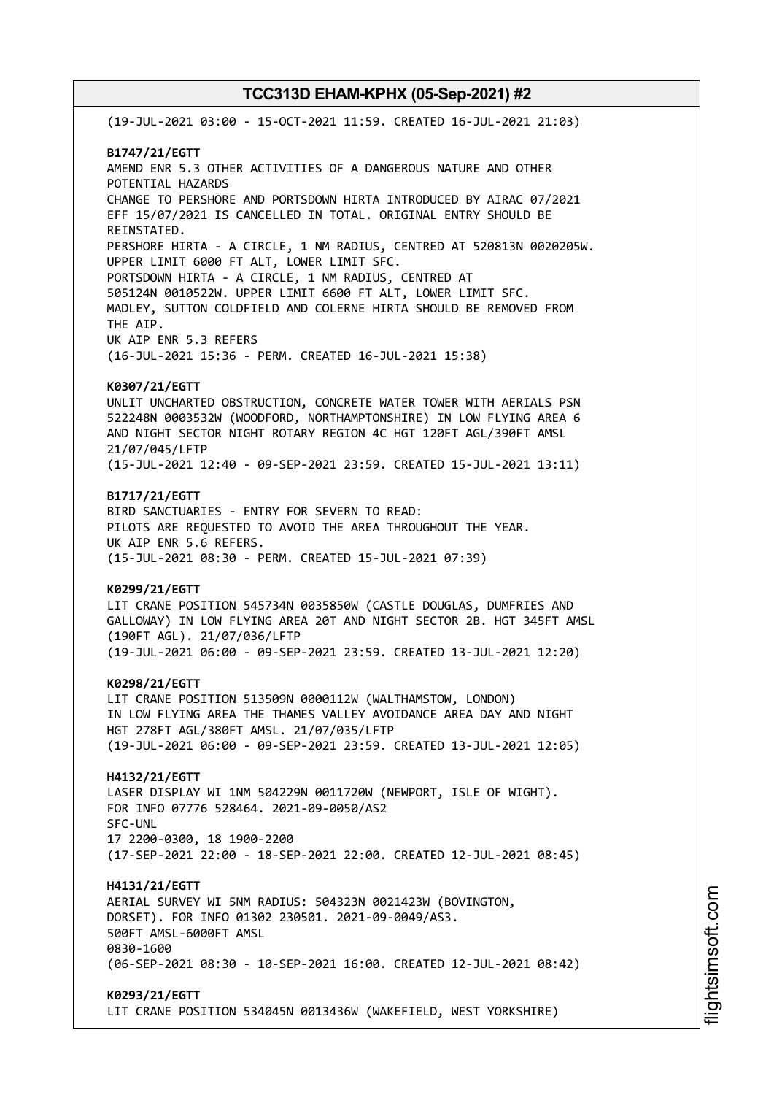(19-JUL-2021 03:00 - 15-OCT-2021 11:59. CREATED 16-JUL-2021 21:03) **B1747/21/EGTT** AMEND ENR 5.3 OTHER ACTIVITIES OF A DANGEROUS NATURE AND OTHER POTENTIAL HAZARDS CHANGE TO PERSHORE AND PORTSDOWN HIRTA INTRODUCED BY AIRAC 07/2021 EFF 15/07/2021 IS CANCELLED IN TOTAL. ORIGINAL ENTRY SHOULD BE REINSTATED. PERSHORE HIRTA - A CIRCLE, 1 NM RADIUS, CENTRED AT 520813N 0020205W. UPPER LIMIT 6000 FT ALT, LOWER LIMIT SFC. PORTSDOWN HIRTA - A CIRCLE, 1 NM RADIUS, CENTRED AT 505124N 0010522W. UPPER LIMIT 6600 FT ALT, LOWER LIMIT SFC. MADLEY, SUTTON COLDFIELD AND COLERNE HIRTA SHOULD BE REMOVED FROM THE AIP. UK AIP ENR 5.3 REFERS (16-JUL-2021 15:36 - PERM. CREATED 16-JUL-2021 15:38) **K0307/21/EGTT** UNLIT UNCHARTED OBSTRUCTION, CONCRETE WATER TOWER WITH AERIALS PSN 522248N 0003532W (WOODFORD, NORTHAMPTONSHIRE) IN LOW FLYING AREA 6 AND NIGHT SECTOR NIGHT ROTARY REGION 4C HGT 120FT AGL/390FT AMSL 21/07/045/LFTP (15-JUL-2021 12:40 - 09-SEP-2021 23:59. CREATED 15-JUL-2021 13:11) **B1717/21/EGTT** BIRD SANCTUARIES - ENTRY FOR SEVERN TO READ: PILOTS ARE REQUESTED TO AVOID THE AREA THROUGHOUT THE YEAR. UK AIP ENR 5.6 REFERS. (15-JUL-2021 08:30 - PERM. CREATED 15-JUL-2021 07:39) **K0299/21/EGTT** LIT CRANE POSITION 545734N 0035850W (CASTLE DOUGLAS, DUMFRIES AND GALLOWAY) IN LOW FLYING AREA 20T AND NIGHT SECTOR 2B. HGT 345FT AMSL (190FT AGL). 21/07/036/LFTP (19-JUL-2021 06:00 - 09-SEP-2021 23:59. CREATED 13-JUL-2021 12:20) **K0298/21/EGTT** LIT CRANE POSITION 513509N 0000112W (WALTHAMSTOW, LONDON) IN LOW FLYING AREA THE THAMES VALLEY AVOIDANCE AREA DAY AND NIGHT HGT 278FT AGL/380FT AMSL. 21/07/035/LFTP (19-JUL-2021 06:00 - 09-SEP-2021 23:59. CREATED 13-JUL-2021 12:05) **H4132/21/EGTT** LASER DISPLAY WI 1NM 504229N 0011720W (NEWPORT, ISLE OF WIGHT). FOR INFO 07776 528464. 2021-09-0050/AS2 SFC-UNL 17 2200-0300, 18 1900-2200 (17-SEP-2021 22:00 - 18-SEP-2021 22:00. CREATED 12-JUL-2021 08:45) **H4131/21/EGTT** AERIAL SURVEY WI 5NM RADIUS: 504323N 0021423W (BOVINGTON, DORSET). FOR INFO 01302 230501. 2021-09-0049/AS3. 500FT AMSL-6000FT AMSL 0830-1600 (06-SEP-2021 08:30 - 10-SEP-2021 16:00. CREATED 12-JUL-2021 08:42) **K0293/21/EGTT** LIT CRANE POSITION 534045N 0013436W (WAKEFIELD, WEST YORKSHIRE)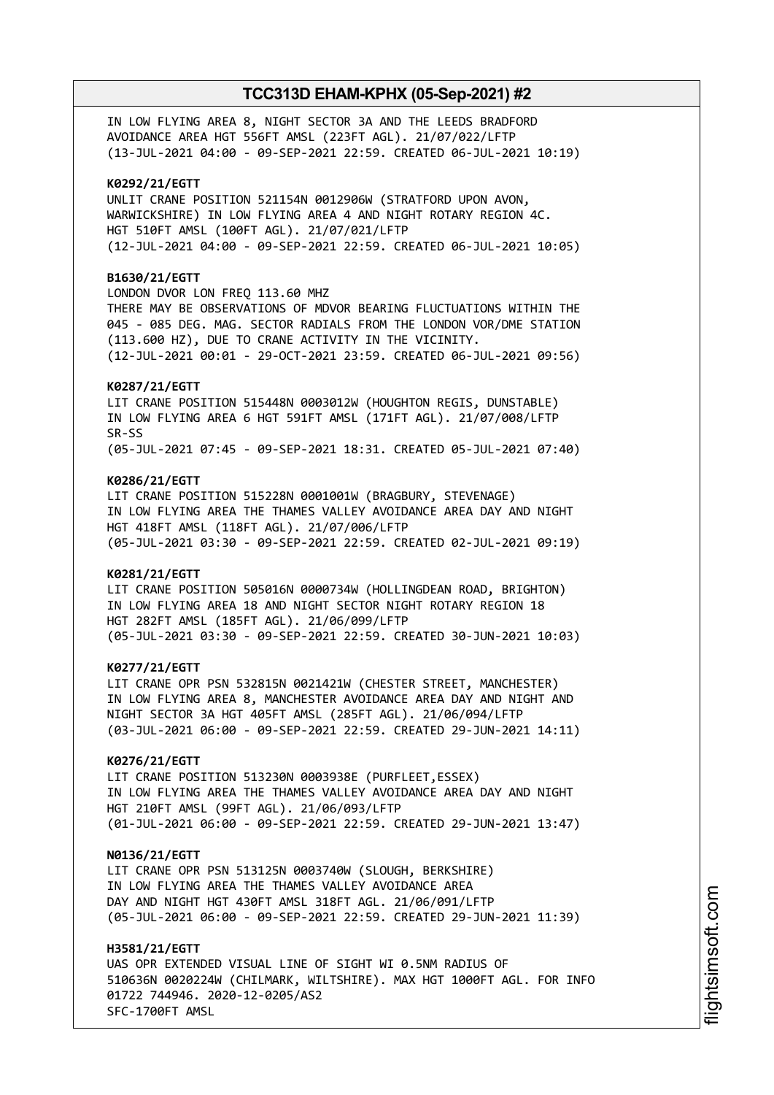IN LOW FLYING AREA 8, NIGHT SECTOR 3A AND THE LEEDS BRADFORD AVOIDANCE AREA HGT 556FT AMSL (223FT AGL). 21/07/022/LFTP (13-JUL-2021 04:00 - 09-SEP-2021 22:59. CREATED 06-JUL-2021 10:19)

#### **K0292/21/EGTT**

UNLIT CRANE POSITION 521154N 0012906W (STRATFORD UPON AVON, WARWICKSHIRE) IN LOW FLYING AREA 4 AND NIGHT ROTARY REGION 4C. HGT 510FT AMSL (100FT AGL). 21/07/021/LFTP (12-JUL-2021 04:00 - 09-SEP-2021 22:59. CREATED 06-JUL-2021 10:05)

## **B1630/21/EGTT**

LONDON DVOR LON FREQ 113.60 MHZ THERE MAY BE OBSERVATIONS OF MDVOR BEARING FLUCTUATIONS WITHIN THE 045 - 085 DEG. MAG. SECTOR RADIALS FROM THE LONDON VOR/DME STATION (113.600 HZ), DUE TO CRANE ACTIVITY IN THE VICINITY. (12-JUL-2021 00:01 - 29-OCT-2021 23:59. CREATED 06-JUL-2021 09:56)

#### **K0287/21/EGTT**

LIT CRANE POSITION 515448N 0003012W (HOUGHTON REGIS, DUNSTABLE) IN LOW FLYING AREA 6 HGT 591FT AMSL (171FT AGL). 21/07/008/LFTP SR-SS (05-JUL-2021 07:45 - 09-SEP-2021 18:31. CREATED 05-JUL-2021 07:40)

#### **K0286/21/EGTT**

LIT CRANE POSITION 515228N 0001001W (BRAGBURY, STEVENAGE) IN LOW FLYING AREA THE THAMES VALLEY AVOIDANCE AREA DAY AND NIGHT HGT 418FT AMSL (118FT AGL). 21/07/006/LFTP (05-JUL-2021 03:30 - 09-SEP-2021 22:59. CREATED 02-JUL-2021 09:19)

#### **K0281/21/EGTT**

LIT CRANE POSITION 505016N 0000734W (HOLLINGDEAN ROAD, BRIGHTON) IN LOW FLYING AREA 18 AND NIGHT SECTOR NIGHT ROTARY REGION 18 HGT 282FT AMSL (185FT AGL). 21/06/099/LFTP (05-JUL-2021 03:30 - 09-SEP-2021 22:59. CREATED 30-JUN-2021 10:03)

#### **K0277/21/EGTT**

LIT CRANE OPR PSN 532815N 0021421W (CHESTER STREET, MANCHESTER) IN LOW FLYING AREA 8, MANCHESTER AVOIDANCE AREA DAY AND NIGHT AND NIGHT SECTOR 3A HGT 405FT AMSL (285FT AGL). 21/06/094/LFTP (03-JUL-2021 06:00 - 09-SEP-2021 22:59. CREATED 29-JUN-2021 14:11)

### **K0276/21/EGTT**

LIT CRANE POSITION 513230N 0003938E (PURFLEET,ESSEX) IN LOW FLYING AREA THE THAMES VALLEY AVOIDANCE AREA DAY AND NIGHT HGT 210FT AMSL (99FT AGL). 21/06/093/LFTP (01-JUL-2021 06:00 - 09-SEP-2021 22:59. CREATED 29-JUN-2021 13:47)

#### **N0136/21/EGTT**

LIT CRANE OPR PSN 513125N 0003740W (SLOUGH, BERKSHIRE) IN LOW FLYING AREA THE THAMES VALLEY AVOIDANCE AREA DAY AND NIGHT HGT 430FT AMSL 318FT AGL. 21/06/091/LFTP (05-JUL-2021 06:00 - 09-SEP-2021 22:59. CREATED 29-JUN-2021 11:39)

#### **H3581/21/EGTT**

UAS OPR EXTENDED VISUAL LINE OF SIGHT WI 0.5NM RADIUS OF 510636N 0020224W (CHILMARK, WILTSHIRE). MAX HGT 1000FT AGL. FOR INFO 01722 744946. 2020-12-0205/AS2 SFC-1700FT AMSL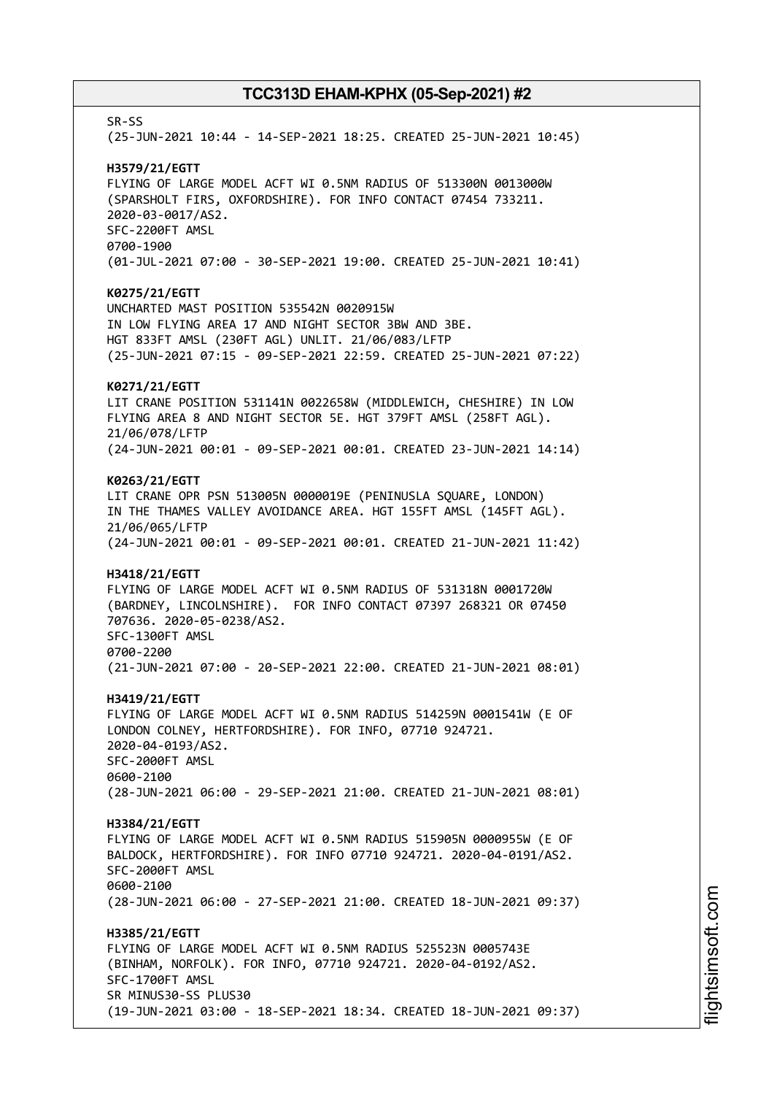SR-SS (25-JUN-2021 10:44 - 14-SEP-2021 18:25. CREATED 25-JUN-2021 10:45) **H3579/21/EGTT** FLYING OF LARGE MODEL ACFT WI 0.5NM RADIUS OF 513300N 0013000W (SPARSHOLT FIRS, OXFORDSHIRE). FOR INFO CONTACT 07454 733211. 2020-03-0017/AS2. SFC-2200FT AMSL 0700-1900 (01-JUL-2021 07:00 - 30-SEP-2021 19:00. CREATED 25-JUN-2021 10:41) **K0275/21/EGTT** UNCHARTED MAST POSITION 535542N 0020915W IN LOW FLYING AREA 17 AND NIGHT SECTOR 3BW AND 3BE. HGT 833FT AMSL (230FT AGL) UNLIT. 21/06/083/LFTP (25-JUN-2021 07:15 - 09-SEP-2021 22:59. CREATED 25-JUN-2021 07:22) **K0271/21/EGTT** LIT CRANE POSITION 531141N 0022658W (MIDDLEWICH, CHESHIRE) IN LOW FLYING AREA 8 AND NIGHT SECTOR 5E. HGT 379FT AMSL (258FT AGL). 21/06/078/LFTP (24-JUN-2021 00:01 - 09-SEP-2021 00:01. CREATED 23-JUN-2021 14:14) **K0263/21/EGTT** LIT CRANE OPR PSN 513005N 0000019E (PENINUSLA SQUARE, LONDON) IN THE THAMES VALLEY AVOIDANCE AREA. HGT 155FT AMSL (145FT AGL). 21/06/065/LFTP (24-JUN-2021 00:01 - 09-SEP-2021 00:01. CREATED 21-JUN-2021 11:42) **H3418/21/EGTT** FLYING OF LARGE MODEL ACFT WI 0.5NM RADIUS OF 531318N 0001720W (BARDNEY, LINCOLNSHIRE). FOR INFO CONTACT 07397 268321 OR 07450 707636. 2020-05-0238/AS2. SFC-1300FT AMSL 0700-2200 (21-JUN-2021 07:00 - 20-SEP-2021 22:00. CREATED 21-JUN-2021 08:01) **H3419/21/EGTT** FLYING OF LARGE MODEL ACFT WI 0.5NM RADIUS 514259N 0001541W (E OF LONDON COLNEY, HERTFORDSHIRE). FOR INFO, 07710 924721. 2020-04-0193/AS2. SFC-2000FT AMSL 0600-2100 (28-JUN-2021 06:00 - 29-SEP-2021 21:00. CREATED 21-JUN-2021 08:01) **H3384/21/EGTT** FLYING OF LARGE MODEL ACFT WI 0.5NM RADIUS 515905N 0000955W (E OF BALDOCK, HERTFORDSHIRE). FOR INFO 07710 924721. 2020-04-0191/AS2. SFC-2000FT AMSL 0600-2100 (28-JUN-2021 06:00 - 27-SEP-2021 21:00. CREATED 18-JUN-2021 09:37) **H3385/21/EGTT** FLYING OF LARGE MODEL ACFT WI 0.5NM RADIUS 525523N 0005743E (BINHAM, NORFOLK). FOR INFO, 07710 924721. 2020-04-0192/AS2. SFC-1700FT AMSL SR MINUS30-SS PLUS30 (19-JUN-2021 03:00 - 18-SEP-2021 18:34. CREATED 18-JUN-2021 09:37)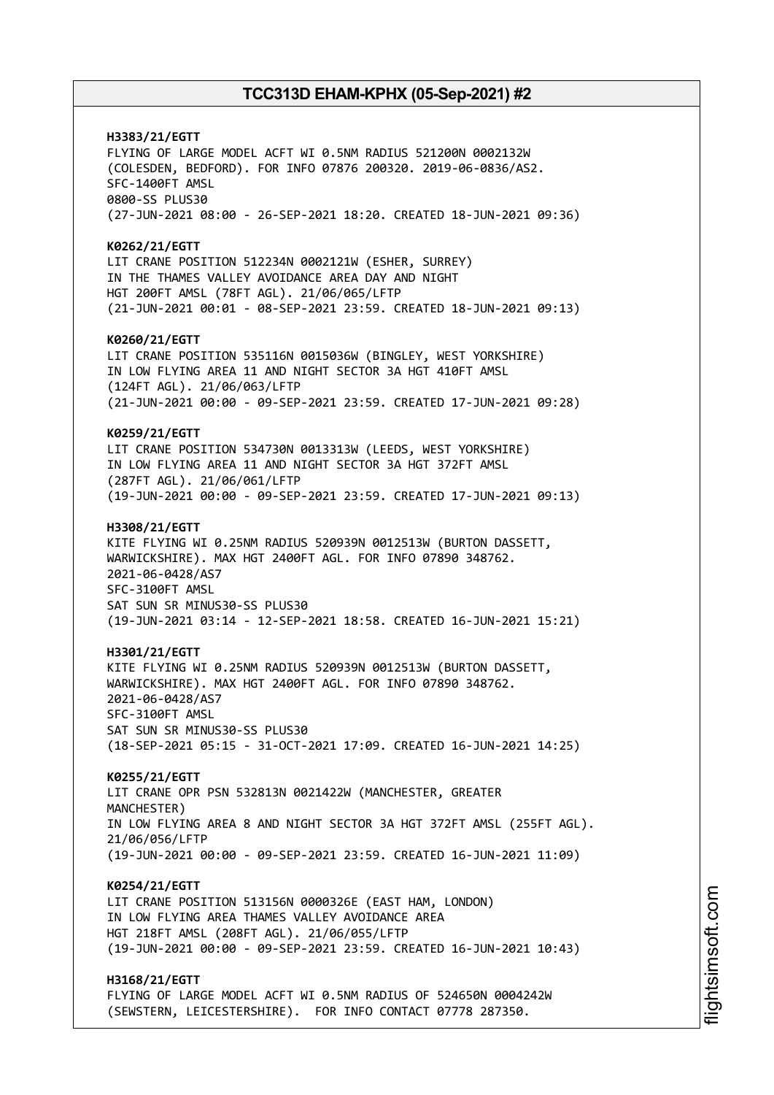**H3383/21/EGTT** FLYING OF LARGE MODEL ACFT WI 0.5NM RADIUS 521200N 0002132W (COLESDEN, BEDFORD). FOR INFO 07876 200320. 2019-06-0836/AS2. SFC-1400FT AMSL 0800-SS PLUS30 (27-JUN-2021 08:00 - 26-SEP-2021 18:20. CREATED 18-JUN-2021 09:36) **K0262/21/EGTT** LIT CRANE POSITION 512234N 0002121W (ESHER, SURREY) IN THE THAMES VALLEY AVOIDANCE AREA DAY AND NIGHT HGT 200FT AMSL (78FT AGL). 21/06/065/LFTP (21-JUN-2021 00:01 - 08-SEP-2021 23:59. CREATED 18-JUN-2021 09:13) **K0260/21/EGTT** LIT CRANE POSITION 535116N 0015036W (BINGLEY, WEST YORKSHIRE) IN LOW FLYING AREA 11 AND NIGHT SECTOR 3A HGT 410FT AMSL (124FT AGL). 21/06/063/LFTP (21-JUN-2021 00:00 - 09-SEP-2021 23:59. CREATED 17-JUN-2021 09:28) **K0259/21/EGTT** LIT CRANE POSITION 534730N 0013313W (LEEDS, WEST YORKSHIRE) IN LOW FLYING AREA 11 AND NIGHT SECTOR 3A HGT 372FT AMSL (287FT AGL). 21/06/061/LFTP (19-JUN-2021 00:00 - 09-SEP-2021 23:59. CREATED 17-JUN-2021 09:13) **H3308/21/EGTT** KITE FLYING WI 0.25NM RADIUS 520939N 0012513W (BURTON DASSETT, WARWICKSHIRE). MAX HGT 2400FT AGL. FOR INFO 07890 348762. 2021-06-0428/AS7 SFC-3100FT AMSL SAT SUN SR MINUS30-SS PLUS30 (19-JUN-2021 03:14 - 12-SEP-2021 18:58. CREATED 16-JUN-2021 15:21) **H3301/21/EGTT** KITE FLYING WI 0.25NM RADIUS 520939N 0012513W (BURTON DASSETT, WARWICKSHIRE). MAX HGT 2400FT AGL. FOR INFO 07890 348762. 2021-06-0428/AS7 SFC-3100FT AMSL SAT SUN SR MINUS30-SS PLUS30 (18-SEP-2021 05:15 - 31-OCT-2021 17:09. CREATED 16-JUN-2021 14:25) **K0255/21/EGTT** LIT CRANE OPR PSN 532813N 0021422W (MANCHESTER, GREATER MANCHESTER) IN LOW FLYING AREA 8 AND NIGHT SECTOR 3A HGT 372FT AMSL (255FT AGL). 21/06/056/LFTP (19-JUN-2021 00:00 - 09-SEP-2021 23:59. CREATED 16-JUN-2021 11:09) **K0254/21/EGTT** LIT CRANE POSITION 513156N 0000326E (EAST HAM, LONDON) IN LOW FLYING AREA THAMES VALLEY AVOIDANCE AREA HGT 218FT AMSL (208FT AGL). 21/06/055/LFTP (19-JUN-2021 00:00 - 09-SEP-2021 23:59. CREATED 16-JUN-2021 10:43) **H3168/21/EGTT** FLYING OF LARGE MODEL ACFT WI 0.5NM RADIUS OF 524650N 0004242W (SEWSTERN, LEICESTERSHIRE). FOR INFO CONTACT 07778 287350.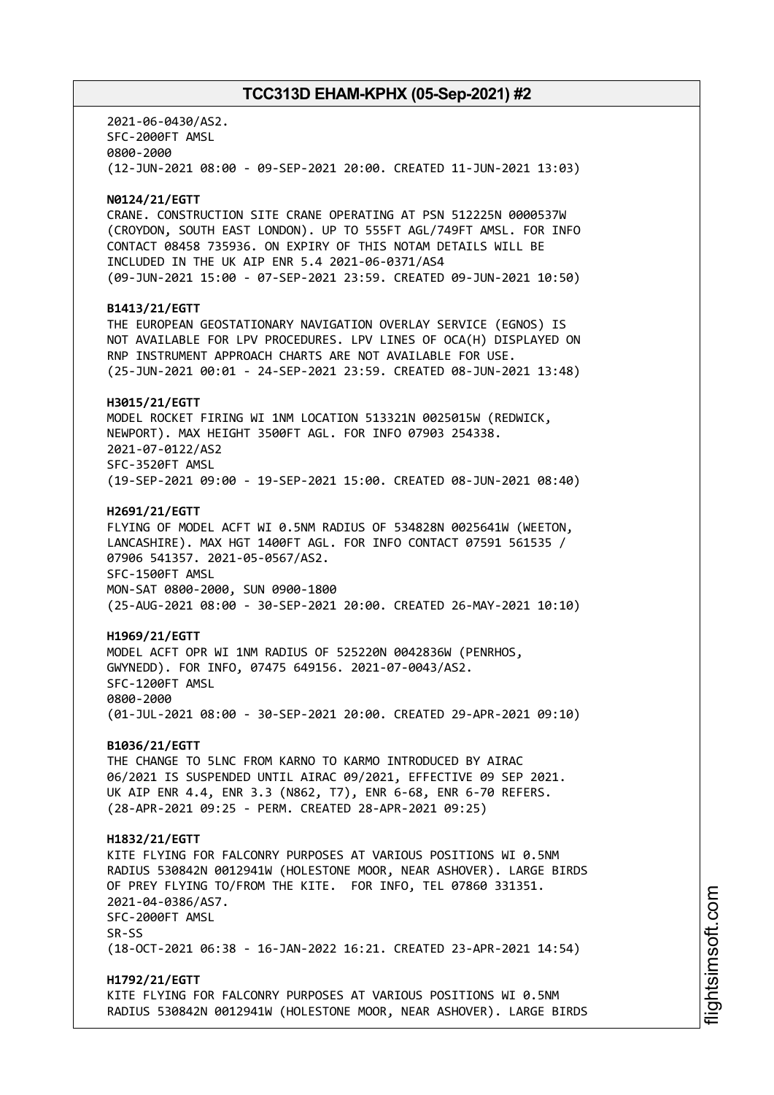2021-06-0430/AS2. SFC-2000FT AMSL 0800-2000 (12-JUN-2021 08:00 - 09-SEP-2021 20:00. CREATED 11-JUN-2021 13:03) **N0124/21/EGTT** CRANE. CONSTRUCTION SITE CRANE OPERATING AT PSN 512225N 0000537W (CROYDON, SOUTH EAST LONDON). UP TO 555FT AGL/749FT AMSL. FOR INFO CONTACT 08458 735936. ON EXPIRY OF THIS NOTAM DETAILS WILL BE INCLUDED IN THE UK AIP ENR 5.4 2021-06-0371/AS4 (09-JUN-2021 15:00 - 07-SEP-2021 23:59. CREATED 09-JUN-2021 10:50) **B1413/21/EGTT** THE EUROPEAN GEOSTATIONARY NAVIGATION OVERLAY SERVICE (EGNOS) IS NOT AVAILABLE FOR LPV PROCEDURES. LPV LINES OF OCA(H) DISPLAYED ON RNP INSTRUMENT APPROACH CHARTS ARE NOT AVAILABLE FOR USE. (25-JUN-2021 00:01 - 24-SEP-2021 23:59. CREATED 08-JUN-2021 13:48) **H3015/21/EGTT** MODEL ROCKET FIRING WI 1NM LOCATION 513321N 0025015W (REDWICK, NEWPORT). MAX HEIGHT 3500FT AGL. FOR INFO 07903 254338. 2021-07-0122/AS2 SFC-3520FT AMSL (19-SEP-2021 09:00 - 19-SEP-2021 15:00. CREATED 08-JUN-2021 08:40) **H2691/21/EGTT** FLYING OF MODEL ACFT WI 0.5NM RADIUS OF 534828N 0025641W (WEETON, LANCASHIRE). MAX HGT 1400FT AGL. FOR INFO CONTACT 07591 561535 / 07906 541357. 2021-05-0567/AS2. SFC-1500FT AMSL MON-SAT 0800-2000, SUN 0900-1800 (25-AUG-2021 08:00 - 30-SEP-2021 20:00. CREATED 26-MAY-2021 10:10) **H1969/21/EGTT** MODEL ACFT OPR WI 1NM RADIUS OF 525220N 0042836W (PENRHOS, GWYNEDD). FOR INFO, 07475 649156. 2021-07-0043/AS2. SFC-1200FT AMSL 0800-2000 (01-JUL-2021 08:00 - 30-SEP-2021 20:00. CREATED 29-APR-2021 09:10) **B1036/21/EGTT** THE CHANGE TO 5LNC FROM KARNO TO KARMO INTRODUCED BY AIRAC 06/2021 IS SUSPENDED UNTIL AIRAC 09/2021, EFFECTIVE 09 SEP 2021. UK AIP ENR 4.4, ENR 3.3 (N862, T7), ENR 6-68, ENR 6-70 REFERS. (28-APR-2021 09:25 - PERM. CREATED 28-APR-2021 09:25) **H1832/21/EGTT** KITE FLYING FOR FALCONRY PURPOSES AT VARIOUS POSITIONS WI 0.5NM RADIUS 530842N 0012941W (HOLESTONE MOOR, NEAR ASHOVER). LARGE BIRDS OF PREY FLYING TO/FROM THE KITE. FOR INFO, TEL 07860 331351. 2021-04-0386/AS7. SFC-2000FT AMSL SR-SS (18-OCT-2021 06:38 - 16-JAN-2022 16:21. CREATED 23-APR-2021 14:54) **H1792/21/EGTT** KITE FLYING FOR FALCONRY PURPOSES AT VARIOUS POSITIONS WI 0.5NM RADIUS 530842N 0012941W (HOLESTONE MOOR, NEAR ASHOVER). LARGE BIRDS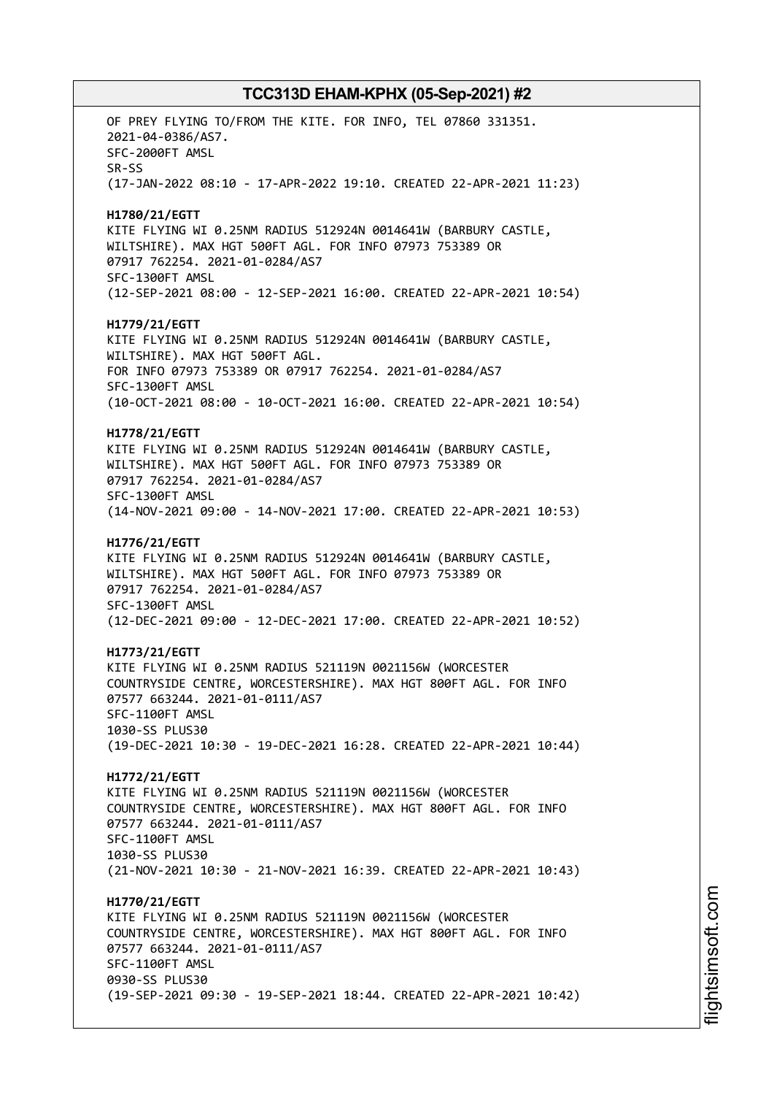OF PREY FLYING TO/FROM THE KITE. FOR INFO, TEL 07860 331351. 2021-04-0386/AS7. SFC-2000FT AMSL SR-SS (17-JAN-2022 08:10 - 17-APR-2022 19:10. CREATED 22-APR-2021 11:23) **H1780/21/EGTT** KITE FLYING WI 0.25NM RADIUS 512924N 0014641W (BARBURY CASTLE, WILTSHIRE). MAX HGT 500FT AGL. FOR INFO 07973 753389 OR 07917 762254. 2021-01-0284/AS7 SFC-1300FT AMSL (12-SEP-2021 08:00 - 12-SEP-2021 16:00. CREATED 22-APR-2021 10:54) **H1779/21/EGTT** KITE FLYING WI 0.25NM RADIUS 512924N 0014641W (BARBURY CASTLE, WILTSHIRE). MAX HGT 500FT AGL. FOR INFO 07973 753389 OR 07917 762254. 2021-01-0284/AS7 SFC-1300FT AMSL (10-OCT-2021 08:00 - 10-OCT-2021 16:00. CREATED 22-APR-2021 10:54) **H1778/21/EGTT** KITE FLYING WI 0.25NM RADIUS 512924N 0014641W (BARBURY CASTLE, WILTSHIRE). MAX HGT 500FT AGL. FOR INFO 07973 753389 OR 07917 762254. 2021-01-0284/AS7 SFC-1300FT AMSL (14-NOV-2021 09:00 - 14-NOV-2021 17:00. CREATED 22-APR-2021 10:53) **H1776/21/EGTT** KITE FLYING WI 0.25NM RADIUS 512924N 0014641W (BARBURY CASTLE, WILTSHIRE). MAX HGT 500FT AGL. FOR INFO 07973 753389 OR 07917 762254. 2021-01-0284/AS7 SFC-1300FT AMSL (12-DEC-2021 09:00 - 12-DEC-2021 17:00. CREATED 22-APR-2021 10:52) **H1773/21/EGTT** KITE FLYING WI 0.25NM RADIUS 521119N 0021156W (WORCESTER COUNTRYSIDE CENTRE, WORCESTERSHIRE). MAX HGT 800FT AGL. FOR INFO 07577 663244. 2021-01-0111/AS7 SFC-1100FT AMSL 1030-SS PLUS30 (19-DEC-2021 10:30 - 19-DEC-2021 16:28. CREATED 22-APR-2021 10:44) **H1772/21/EGTT** KITE FLYING WI 0.25NM RADIUS 521119N 0021156W (WORCESTER COUNTRYSIDE CENTRE, WORCESTERSHIRE). MAX HGT 800FT AGL. FOR INFO 07577 663244. 2021-01-0111/AS7 SFC-1100FT AMSL 1030-SS PLUS30 (21-NOV-2021 10:30 - 21-NOV-2021 16:39. CREATED 22-APR-2021 10:43) **H1770/21/EGTT** KITE FLYING WI 0.25NM RADIUS 521119N 0021156W (WORCESTER COUNTRYSIDE CENTRE, WORCESTERSHIRE). MAX HGT 800FT AGL. FOR INFO 07577 663244. 2021-01-0111/AS7 SFC-1100FT AMSL 0930-SS PLUS30 (19-SEP-2021 09:30 - 19-SEP-2021 18:44. CREATED 22-APR-2021 10:42)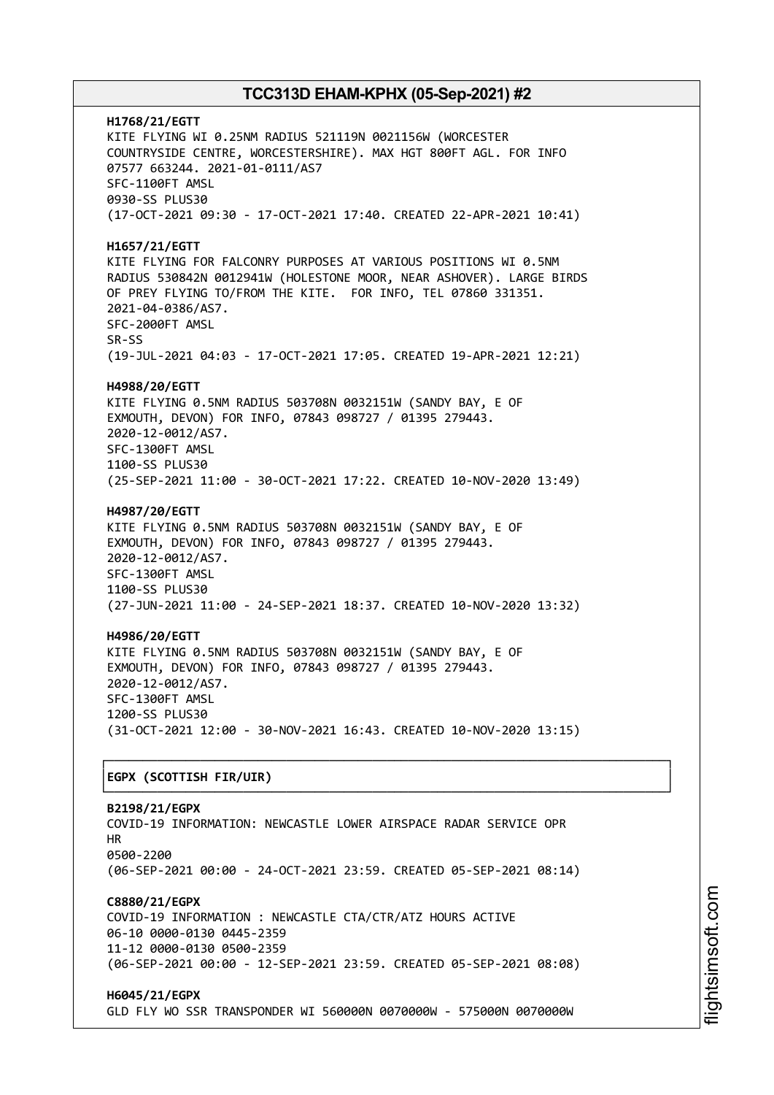**H1768/21/EGTT** KITE FLYING WI 0.25NM RADIUS 521119N 0021156W (WORCESTER COUNTRYSIDE CENTRE, WORCESTERSHIRE). MAX HGT 800FT AGL. FOR INFO 07577 663244. 2021-01-0111/AS7 SFC-1100FT AMSL 0930-SS PLUS30 (17-OCT-2021 09:30 - 17-OCT-2021 17:40. CREATED 22-APR-2021 10:41) **H1657/21/EGTT** KITE FLYING FOR FALCONRY PURPOSES AT VARIOUS POSITIONS WI 0.5NM RADIUS 530842N 0012941W (HOLESTONE MOOR, NEAR ASHOVER). LARGE BIRDS OF PREY FLYING TO/FROM THE KITE. FOR INFO, TEL 07860 331351. 2021-04-0386/AS7. SFC-2000FT AMSL SR-SS (19-JUL-2021 04:03 - 17-OCT-2021 17:05. CREATED 19-APR-2021 12:21) **H4988/20/EGTT** KITE FLYING 0.5NM RADIUS 503708N 0032151W (SANDY BAY, E OF EXMOUTH, DEVON) FOR INFO, 07843 098727 / 01395 279443. 2020-12-0012/AS7. SFC-1300FT AMSL 1100-SS PLUS30 (25-SEP-2021 11:00 - 30-OCT-2021 17:22. CREATED 10-NOV-2020 13:49) **H4987/20/EGTT** KITE FLYING 0.5NM RADIUS 503708N 0032151W (SANDY BAY, E OF EXMOUTH, DEVON) FOR INFO, 07843 098727 / 01395 279443. 2020-12-0012/AS7. SFC-1300FT AMSL 1100-SS PLUS30 (27-JUN-2021 11:00 - 24-SEP-2021 18:37. CREATED 10-NOV-2020 13:32) **H4986/20/EGTT** KITE FLYING 0.5NM RADIUS 503708N 0032151W (SANDY BAY, E OF EXMOUTH, DEVON) FOR INFO, 07843 098727 / 01395 279443. 2020-12-0012/AS7. SFC-1300FT AMSL 1200-SS PLUS30 (31-OCT-2021 12:00 - 30-NOV-2021 16:43. CREATED 10-NOV-2020 13:15) ┌──────────────────────────────────────────────────────────────────────────────┐ │**EGPX (SCOTTISH FIR/UIR)** │ └──────────────────────────────────────────────────────────────────────────────┘ **B2198/21/EGPX** COVID-19 INFORMATION: NEWCASTLE LOWER AIRSPACE RADAR SERVICE OPR HR 0500-2200 (06-SEP-2021 00:00 - 24-OCT-2021 23:59. CREATED 05-SEP-2021 08:14) **C8880/21/EGPX** COVID-19 INFORMATION : NEWCASTLE CTA/CTR/ATZ HOURS ACTIVE 06-10 0000-0130 0445-2359 11-12 0000-0130 0500-2359 (06-SEP-2021 00:00 - 12-SEP-2021 23:59. CREATED 05-SEP-2021 08:08) **H6045/21/EGPX**

GLD FLY WO SSR TRANSPONDER WI 560000N 0070000W - 575000N 0070000W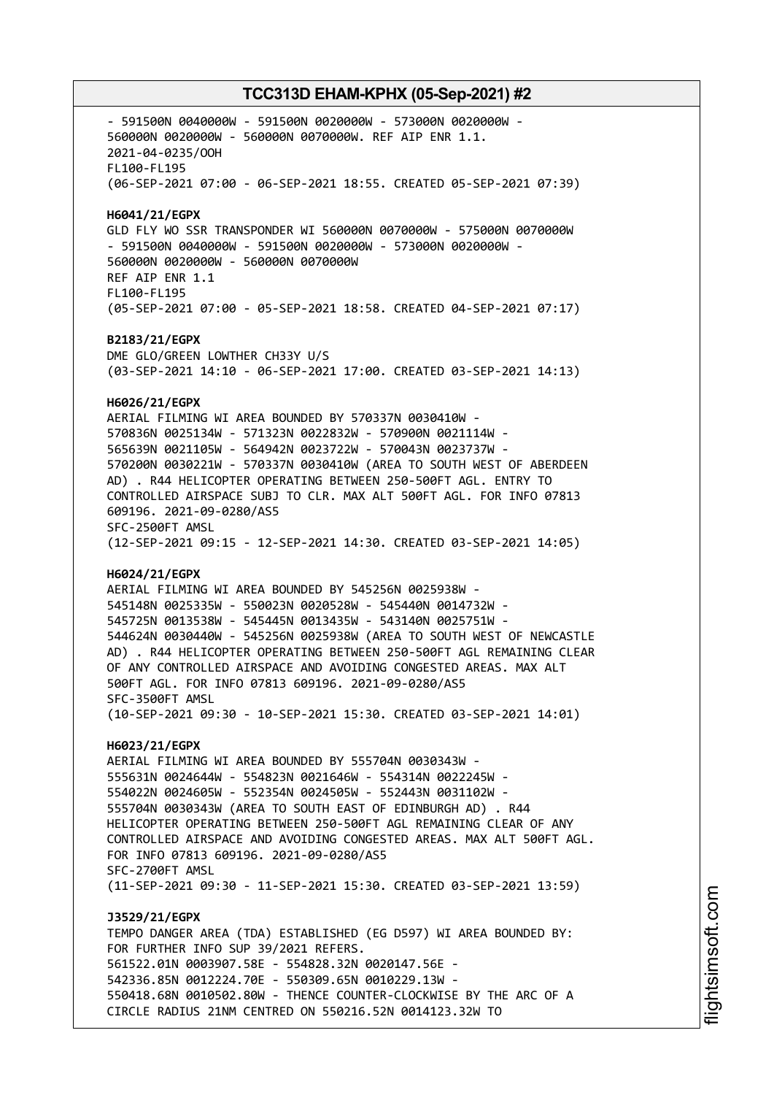- 591500N 0040000W - 591500N 0020000W - 573000N 0020000W - 560000N 0020000W - 560000N 0070000W. REF AIP ENR 1.1. 2021-04-0235/OOH FL100-FL195 (06-SEP-2021 07:00 - 06-SEP-2021 18:55. CREATED 05-SEP-2021 07:39) **H6041/21/EGPX** GLD FLY WO SSR TRANSPONDER WI 560000N 0070000W - 575000N 0070000W - 591500N 0040000W - 591500N 0020000W - 573000N 0020000W - 560000N 0020000W - 560000N 0070000W REF AIP ENR 1.1 FL100-FL195 (05-SEP-2021 07:00 - 05-SEP-2021 18:58. CREATED 04-SEP-2021 07:17) **B2183/21/EGPX** DME GLO/GREEN LOWTHER CH33Y U/S (03-SEP-2021 14:10 - 06-SEP-2021 17:00. CREATED 03-SEP-2021 14:13) **H6026/21/EGPX** AERIAL FILMING WI AREA BOUNDED BY 570337N 0030410W - 570836N 0025134W - 571323N 0022832W - 570900N 0021114W - 565639N 0021105W - 564942N 0023722W - 570043N 0023737W - 570200N 0030221W - 570337N 0030410W (AREA TO SOUTH WEST OF ABERDEEN AD) . R44 HELICOPTER OPERATING BETWEEN 250-500FT AGL. ENTRY TO CONTROLLED AIRSPACE SUBJ TO CLR. MAX ALT 500FT AGL. FOR INFO 07813 609196. 2021-09-0280/AS5 SFC-2500FT AMSL (12-SEP-2021 09:15 - 12-SEP-2021 14:30. CREATED 03-SEP-2021 14:05) **H6024/21/EGPX** AERIAL FILMING WI AREA BOUNDED BY 545256N 0025938W - 545148N 0025335W - 550023N 0020528W - 545440N 0014732W - 545725N 0013538W - 545445N 0013435W - 543140N 0025751W - 544624N 0030440W - 545256N 0025938W (AREA TO SOUTH WEST OF NEWCASTLE AD) . R44 HELICOPTER OPERATING BETWEEN 250-500FT AGL REMAINING CLEAR OF ANY CONTROLLED AIRSPACE AND AVOIDING CONGESTED AREAS. MAX ALT 500FT AGL. FOR INFO 07813 609196. 2021-09-0280/AS5 SFC-3500FT AMSL (10-SEP-2021 09:30 - 10-SEP-2021 15:30. CREATED 03-SEP-2021 14:01) **H6023/21/EGPX** AERIAL FILMING WI AREA BOUNDED BY 555704N 0030343W - 555631N 0024644W - 554823N 0021646W - 554314N 0022245W - 554022N 0024605W - 552354N 0024505W - 552443N 0031102W - 555704N 0030343W (AREA TO SOUTH EAST OF EDINBURGH AD) . R44 HELICOPTER OPERATING BETWEEN 250-500FT AGL REMAINING CLEAR OF ANY CONTROLLED AIRSPACE AND AVOIDING CONGESTED AREAS. MAX ALT 500FT AGL. FOR INFO 07813 609196. 2021-09-0280/AS5 SFC-2700FT AMSL (11-SEP-2021 09:30 - 11-SEP-2021 15:30. CREATED 03-SEP-2021 13:59) **J3529/21/EGPX** TEMPO DANGER AREA (TDA) ESTABLISHED (EG D597) WI AREA BOUNDED BY: FOR FURTHER INFO SUP 39/2021 REFERS. 561522.01N 0003907.58E - 554828.32N 0020147.56E - 542336.85N 0012224.70E - 550309.65N 0010229.13W - 550418.68N 0010502.80W - THENCE COUNTER-CLOCKWISE BY THE ARC OF A CIRCLE RADIUS 21NM CENTRED ON 550216.52N 0014123.32W TO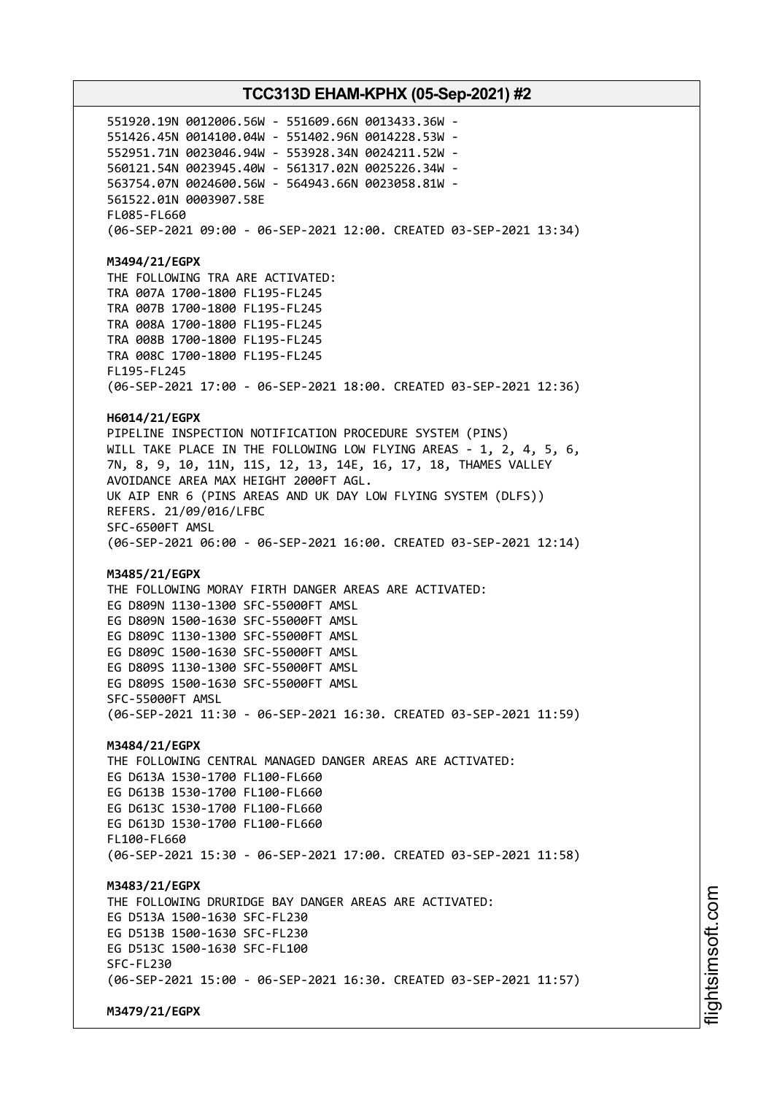551920.19N 0012006.56W - 551609.66N 0013433.36W - 551426.45N 0014100.04W - 551402.96N 0014228.53W - 552951.71N 0023046.94W - 553928.34N 0024211.52W - 560121.54N 0023945.40W - 561317.02N 0025226.34W - 563754.07N 0024600.56W - 564943.66N 0023058.81W - 561522.01N 0003907.58E FL085-FL660 (06-SEP-2021 09:00 - 06-SEP-2021 12:00. CREATED 03-SEP-2021 13:34) **M3494/21/EGPX** THE FOLLOWING TRA ARE ACTIVATED: TRA 007A 1700-1800 FL195-FL245 TRA 007B 1700-1800 FL195-FL245 TRA 008A 1700-1800 FL195-FL245 TRA 008B 1700-1800 FL195-FL245 TRA 008C 1700-1800 FL195-FL245 FL195-FL245 (06-SEP-2021 17:00 - 06-SEP-2021 18:00. CREATED 03-SEP-2021 12:36) **H6014/21/EGPX** PIPELINE INSPECTION NOTIFICATION PROCEDURE SYSTEM (PINS) WILL TAKE PLACE IN THE FOLLOWING LOW FLYING AREAS - 1, 2, 4, 5, 6, 7N, 8, 9, 10, 11N, 11S, 12, 13, 14E, 16, 17, 18, THAMES VALLEY AVOIDANCE AREA MAX HEIGHT 2000FT AGL. UK AIP ENR 6 (PINS AREAS AND UK DAY LOW FLYING SYSTEM (DLFS)) REFERS. 21/09/016/LFBC SFC-6500FT AMSL (06-SEP-2021 06:00 - 06-SEP-2021 16:00. CREATED 03-SEP-2021 12:14) **M3485/21/EGPX** THE FOLLOWING MORAY FIRTH DANGER AREAS ARE ACTIVATED: EG D809N 1130-1300 SFC-55000FT AMSL EG D809N 1500-1630 SFC-55000FT AMSL EG D809C 1130-1300 SFC-55000FT AMSL EG D809C 1500-1630 SFC-55000FT AMSL EG D809S 1130-1300 SFC-55000FT AMSL EG D809S 1500-1630 SFC-55000FT AMSL SFC-55000FT AMSL (06-SEP-2021 11:30 - 06-SEP-2021 16:30. CREATED 03-SEP-2021 11:59) **M3484/21/EGPX** THE FOLLOWING CENTRAL MANAGED DANGER AREAS ARE ACTIVATED: EG D613A 1530-1700 FL100-FL660 EG D613B 1530-1700 FL100-FL660 EG D613C 1530-1700 FL100-FL660 EG D613D 1530-1700 FL100-FL660 FL100-FL660 (06-SEP-2021 15:30 - 06-SEP-2021 17:00. CREATED 03-SEP-2021 11:58) **M3483/21/EGPX** THE FOLLOWING DRURIDGE BAY DANGER AREAS ARE ACTIVATED: EG D513A 1500-1630 SFC-FL230 EG D513B 1500-1630 SFC-FL230 EG D513C 1500-1630 SFC-FL100 SFC-FL230 (06-SEP-2021 15:00 - 06-SEP-2021 16:30. CREATED 03-SEP-2021 11:57)

**M3479/21/EGPX**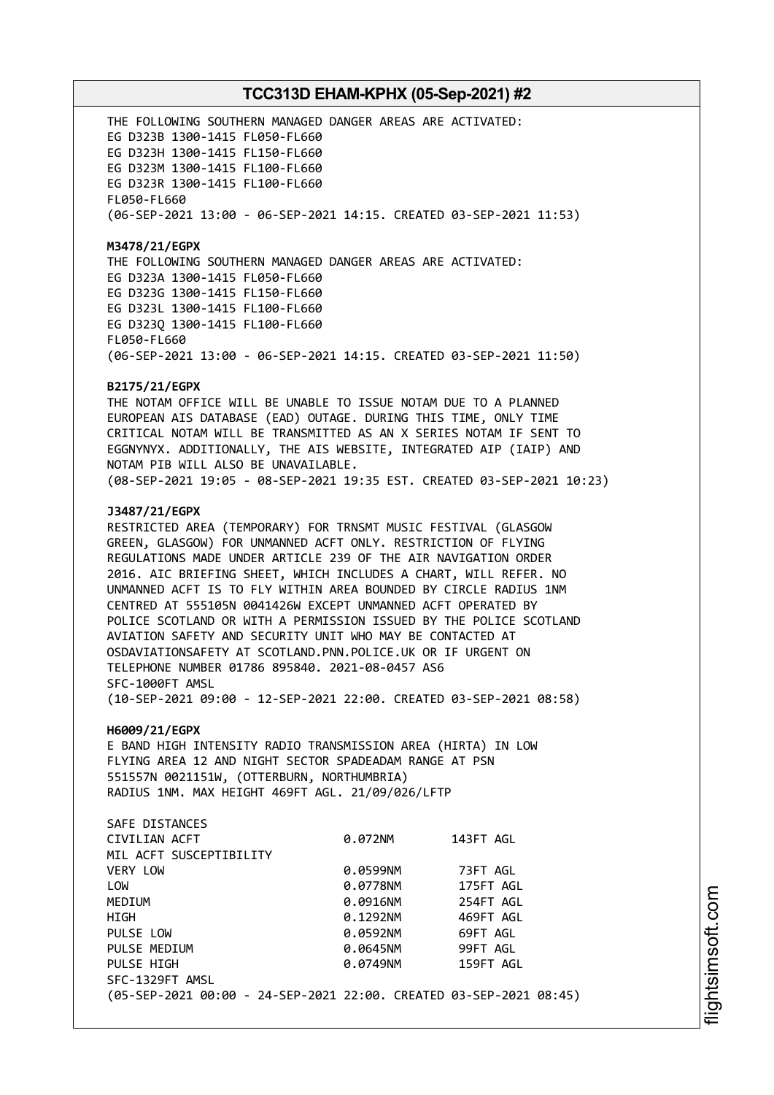THE FOLLOWING SOUTHERN MANAGED DANGER AREAS ARE ACTIVATED: EG D323B 1300-1415 FL050-FL660 EG D323H 1300-1415 FL150-FL660 EG D323M 1300-1415 FL100-FL660 EG D323R 1300-1415 FL100-FL660 FL050-FL660 (06-SEP-2021 13:00 - 06-SEP-2021 14:15. CREATED 03-SEP-2021 11:53)

**M3478/21/EGPX** THE FOLLOWING SOUTHERN MANAGED DANGER AREAS ARE ACTIVATED: EG D323A 1300-1415 FL050-FL660 EG D323G 1300-1415 FL150-FL660 EG D323L 1300-1415 FL100-FL660 EG D323Q 1300-1415 FL100-FL660 FL050-FL660 (06-SEP-2021 13:00 - 06-SEP-2021 14:15. CREATED 03-SEP-2021 11:50)

#### **B2175/21/EGPX**

THE NOTAM OFFICE WILL BE UNABLE TO ISSUE NOTAM DUE TO A PLANNED EUROPEAN AIS DATABASE (EAD) OUTAGE. DURING THIS TIME, ONLY TIME CRITICAL NOTAM WILL BE TRANSMITTED AS AN X SERIES NOTAM IF SENT TO EGGNYNYX. ADDITIONALLY, THE AIS WEBSITE, INTEGRATED AIP (IAIP) AND NOTAM PIB WILL ALSO BE UNAVAILABLE. (08-SEP-2021 19:05 - 08-SEP-2021 19:35 EST. CREATED 03-SEP-2021 10:23)

#### **J3487/21/EGPX**

RESTRICTED AREA (TEMPORARY) FOR TRNSMT MUSIC FESTIVAL (GLASGOW GREEN, GLASGOW) FOR UNMANNED ACFT ONLY. RESTRICTION OF FLYING REGULATIONS MADE UNDER ARTICLE 239 OF THE AIR NAVIGATION ORDER 2016. AIC BRIEFING SHEET, WHICH INCLUDES A CHART, WILL REFER. NO UNMANNED ACFT IS TO FLY WITHIN AREA BOUNDED BY CIRCLE RADIUS 1NM CENTRED AT 555105N 0041426W EXCEPT UNMANNED ACFT OPERATED BY POLICE SCOTLAND OR WITH A PERMISSION ISSUED BY THE POLICE SCOTLAND AVIATION SAFETY AND SECURITY UNIT WHO MAY BE CONTACTED AT OSDAVIATIONSAFETY AT SCOTLAND.PNN.POLICE.UK OR IF URGENT ON TELEPHONE NUMBER 01786 895840. 2021-08-0457 AS6 SFC-1000FT AMSL (10-SEP-2021 09:00 - 12-SEP-2021 22:00. CREATED 03-SEP-2021 08:58)

#### **H6009/21/EGPX**

E BAND HIGH INTENSITY RADIO TRANSMISSION AREA (HIRTA) IN LOW FLYING AREA 12 AND NIGHT SECTOR SPADEADAM RANGE AT PSN 551557N 0021151W, (OTTERBURN, NORTHUMBRIA) RADIUS 1NM. MAX HEIGHT 469FT AGL. 21/09/026/LFTP

| SAFE DISTANCES                                                     |          |           |
|--------------------------------------------------------------------|----------|-----------|
| CIVILIAN ACFT                                                      | 0.072NM  | 143FT AGL |
| MIL ACFT SUSCEPTIBILITY                                            |          |           |
| VERY LOW                                                           | 0.0599NM | 73FT AGL  |
| LOW                                                                | 0.0778NM | 175FT AGL |
| MEDIUM                                                             | 0.0916NM | 254FT AGL |
| HIGH                                                               | 0.1292NM | 469FT AGL |
| PULSE LOW                                                          | 0.0592NM | 69FT AGL  |
| PULSE MEDIUM                                                       | 0.0645NM | 99FT AGL  |
| PULSE HIGH                                                         | 0.0749NM | 159FT AGL |
| SFC-1329FT AMSL                                                    |          |           |
| (05-SEP-2021 00:00 - 24-SEP-2021 22:00. CREATED 03-SEP-2021 08:45) |          |           |
|                                                                    |          |           |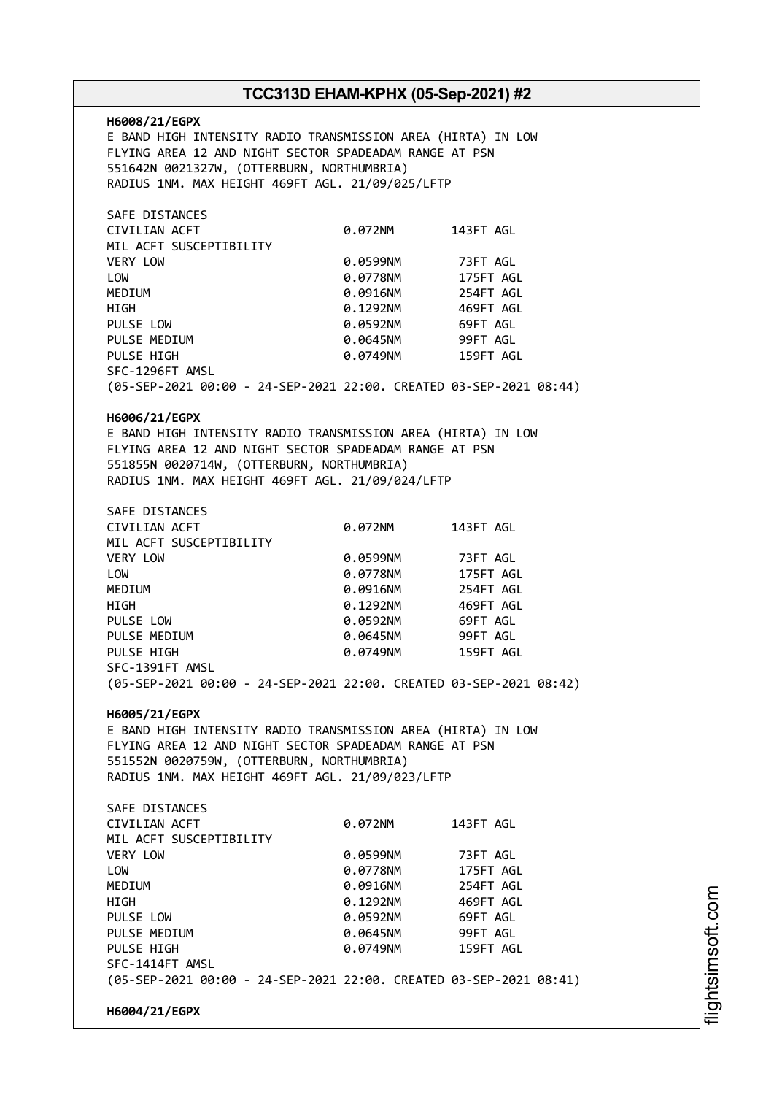**H6008/21/EGPX** E BAND HIGH INTENSITY RADIO TRANSMISSION AREA (HIRTA) IN LOW FLYING AREA 12 AND NIGHT SECTOR SPADEADAM RANGE AT PSN 551642N 0021327W, (OTTERBURN, NORTHUMBRIA) RADIUS 1NM. MAX HEIGHT 469FT AGL. 21/09/025/LFTP SAFE DISTANCES CIVILIAN ACFT 0.072NM 143FT AGL MIL ACFT SUSCEPTIBILITY VERY LOW 0.0599NM 73FT AGL LOW 0.0778NM 175FT AGL MEDIUM 0.0916NM HIGH 0.1292NM 469FT AGL PULSE LOW 0.0592NM 69FT AGL PULSE MEDIUM  $0.0645$ NM 99FT AGL PULSE HIGH 0.0749NM 159FT AGL SFC-1296FT AMSL (05-SEP-2021 00:00 - 24-SEP-2021 22:00. CREATED 03-SEP-2021 08:44) **H6006/21/EGPX** E BAND HIGH INTENSITY RADIO TRANSMISSION AREA (HIRTA) IN LOW FLYING AREA 12 AND NIGHT SECTOR SPADEADAM RANGE AT PSN 551855N 0020714W, (OTTERBURN, NORTHUMBRIA) RADIUS 1NM. MAX HEIGHT 469FT AGL. 21/09/024/LFTP SAFE DISTANCES CIVILIAN ACFT 0.072NM 143FT AGL MIL ACFT SUSCEPTIBILITY VERY LOW 0.0599NM 73FT AGL LOW 0.0778NM 175FT AGL MEDIUM 0.0916NM HIGH 0.1292NM 469FT AGL PULSE LOW 0.0592NM 69FT AGL PULSE MEDIUM 0.0645NM 99FT AGL PULSE HIGH 0.0749NM 159FT AGL SFC-1391FT AMSL (05-SEP-2021 00:00 - 24-SEP-2021 22:00. CREATED 03-SEP-2021 08:42) **H6005/21/EGPX** E BAND HIGH INTENSITY RADIO TRANSMISSION AREA (HIRTA) IN LOW FLYING AREA 12 AND NIGHT SECTOR SPADEADAM RANGE AT PSN 551552N 0020759W, (OTTERBURN, NORTHUMBRIA) RADIUS 1NM. MAX HEIGHT 469FT AGL. 21/09/023/LFTP SAFE DISTANCES CIVILIAN ACFT 0.072NM 143FT AGL MIL ACFT SUSCEPTIBILITY VERY LOW 0.0599NM 73FT AGL LOW 0.0778NM 175FT AGL MEDIUM 0.0916NM 254FT AGL HIGH 0.1292NM 469FT AGL PULSE LOW 0.0592NM 69FT AGL PULSE MEDIUM 0.0645NM 99FT AGL PULSE HIGH **DELACT CONTROLLY AGENCY OR AGENCY OF AGENCY OF AGENCY CONTROLLY AGENCY OF AGENCY OF AGENCY** SFC-1414FT AMSL (05-SEP-2021 00:00 - 24-SEP-2021 22:00. CREATED 03-SEP-2021 08:41) **H6004/21/EGPX**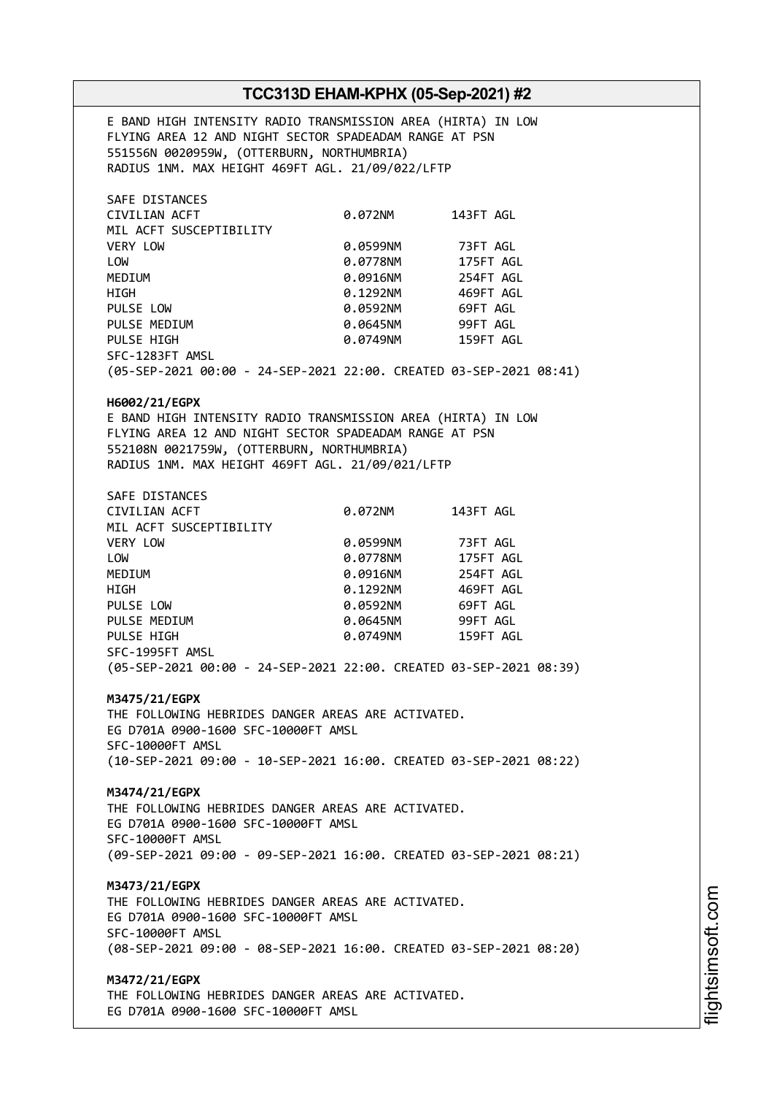E BAND HIGH INTENSITY RADIO TRANSMISSION AREA (HIRTA) IN LOW FLYING AREA 12 AND NIGHT SECTOR SPADEADAM RANGE AT PSN 551556N 0020959W, (OTTERBURN, NORTHUMBRIA) RADIUS 1NM. MAX HEIGHT 469FT AGL. 21/09/022/LFTP SAFE DISTANCES CIVILIAN ACFT 0.072NM 143FT AGL MIL ACFT SUSCEPTIBILITY VERY LOW 0.0599NM 73FT AGL LOW 0.0778NM 175FT AGL MEDIUM 0.0916NM 254FT AGL HIGH 0.1292NM 469FT AGL PULSE LOW 0.0592NM 69FT AGL PULSE MEDIUM  $0.0645$ NM 99FT AGL PULSE HIGH **0.0749NM** 159FT AGL SFC-1283FT AMSL (05-SEP-2021 00:00 - 24-SEP-2021 22:00. CREATED 03-SEP-2021 08:41) **H6002/21/EGPX** E BAND HIGH INTENSITY RADIO TRANSMISSION AREA (HIRTA) IN LOW FLYING AREA 12 AND NIGHT SECTOR SPADEADAM RANGE AT PSN 552108N 0021759W, (OTTERBURN, NORTHUMBRIA) RADIUS 1NM. MAX HEIGHT 469FT AGL. 21/09/021/LFTP SAFE DISTANCES CIVILIAN ACFT 0.072NM 143FT AGL MIL ACFT SUSCEPTIBILITY VERY LOW 0.0599NM 73FT AGL LOW 0.0778NM 175FT AGL MEDIUM 0.0916NM 254FT AGL HIGH 0.1292NM 469FT AGL PULSE LOW 0.0592NM 69FT AGL PULSE MEDIUM 0.0645NM 99FT AGL PULSE HIGH **DELAND CONTROLLER METALLY CONTROLLER AGE OF A PULSE HIGH AGE OF A PULSE AGE OF A PULSE AGE OF A PU** SFC-1995FT AMSL (05-SEP-2021 00:00 - 24-SEP-2021 22:00. CREATED 03-SEP-2021 08:39) **M3475/21/EGPX** THE FOLLOWING HEBRIDES DANGER AREAS ARE ACTIVATED. EG D701A 0900-1600 SFC-10000FT AMSL SFC-10000FT AMSL (10-SEP-2021 09:00 - 10-SEP-2021 16:00. CREATED 03-SEP-2021 08:22) **M3474/21/EGPX** THE FOLLOWING HEBRIDES DANGER AREAS ARE ACTIVATED. EG D701A 0900-1600 SFC-10000FT AMSL SFC-10000FT AMSL (09-SEP-2021 09:00 - 09-SEP-2021 16:00. CREATED 03-SEP-2021 08:21) **M3473/21/EGPX** THE FOLLOWING HEBRIDES DANGER AREAS ARE ACTIVATED. EG D701A 0900-1600 SFC-10000FT AMSL SFC-10000FT AMSL (08-SEP-2021 09:00 - 08-SEP-2021 16:00. CREATED 03-SEP-2021 08:20) **M3472/21/EGPX** THE FOLLOWING HEBRIDES DANGER AREAS ARE ACTIVATED. EG D701A 0900-1600 SFC-10000FT AMSL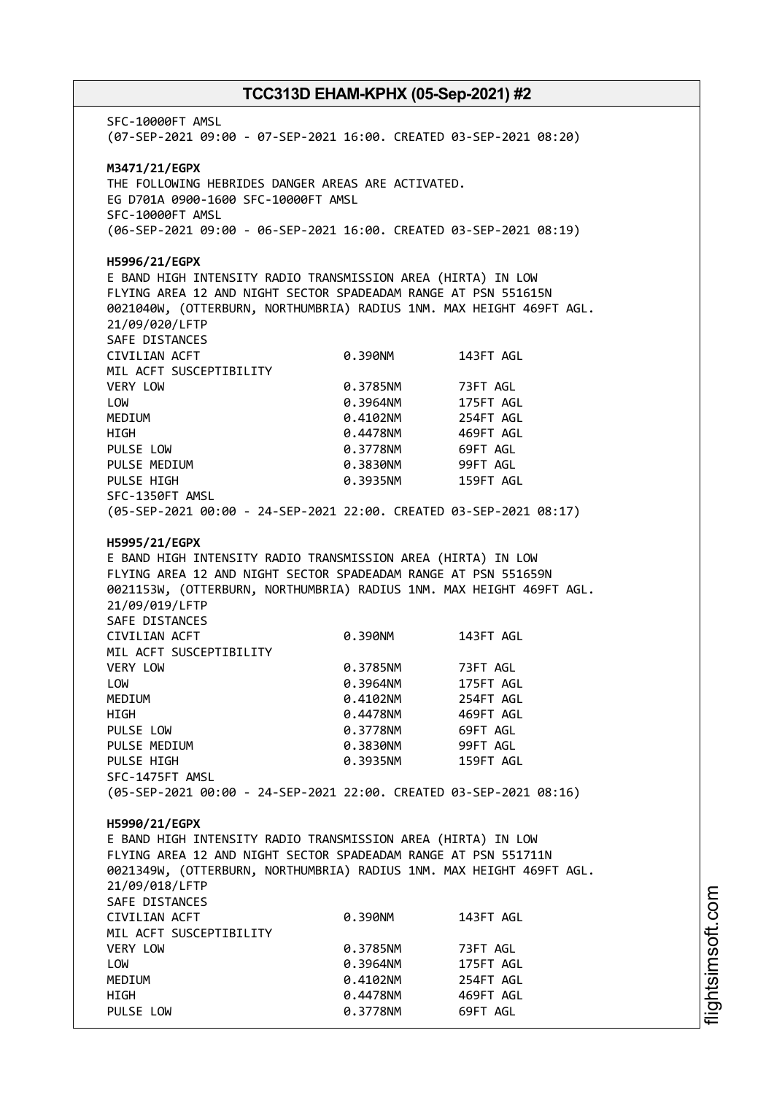SFC-10000FT AMSL (07-SEP-2021 09:00 - 07-SEP-2021 16:00. CREATED 03-SEP-2021 08:20) **M3471/21/EGPX** THE FOLLOWING HEBRIDES DANGER AREAS ARE ACTIVATED. EG D701A 0900-1600 SFC-10000FT AMSL SFC-10000FT AMSL (06-SEP-2021 09:00 - 06-SEP-2021 16:00. CREATED 03-SEP-2021 08:19) **H5996/21/EGPX** E BAND HIGH INTENSITY RADIO TRANSMISSION AREA (HIRTA) IN LOW FLYING AREA 12 AND NIGHT SECTOR SPADEADAM RANGE AT PSN 551615N 0021040W, (OTTERBURN, NORTHUMBRIA) RADIUS 1NM. MAX HEIGHT 469FT AGL. 21/09/020/LFTP SAFE DISTANCES CIVILIAN ACFT 0.390NM 143FT AGL MIL ACFT SUSCEPTIBILITY VERY LOW 0.3785NM 73FT AGL LOW 0.3964NM 175FT AGL MEDIUM 0.4102NM 254FT AGL HIGH 0.4478NM 469FT AGL PULSE LOW 0.3778NM 69FT AGL PULSE MEDIUM 0.3830NM 99FT AGL PULSE HIGH 0.3935NM 159FT AGL SFC-1350FT AMSL (05-SEP-2021 00:00 - 24-SEP-2021 22:00. CREATED 03-SEP-2021 08:17) **H5995/21/EGPX** E BAND HIGH INTENSITY RADIO TRANSMISSION AREA (HIRTA) IN LOW FLYING AREA 12 AND NIGHT SECTOR SPADEADAM RANGE AT PSN 551659N 0021153W, (OTTERBURN, NORTHUMBRIA) RADIUS 1NM. MAX HEIGHT 469FT AGL. 21/09/019/LFTP SAFE DISTANCES CIVILIAN ACFT 0.390NM 143FT AGL MIL ACFT SUSCEPTIBILITY VERY LOW 0.3785NM 73FT AGL LOW 0.3964NM 175FT AGL MEDIUM 0.4102NM 254FT AGL HIGH 0.4478NM 469FT AGL PULSE LOW **0.3778NM** 69FT AGL PULSE MEDIUM 0.3830NM 99FT AGL PULSE HIGH 0.3935NM 159FT AGL SFC-1475FT AMSL (05-SEP-2021 00:00 - 24-SEP-2021 22:00. CREATED 03-SEP-2021 08:16) **H5990/21/EGPX** E BAND HIGH INTENSITY RADIO TRANSMISSION AREA (HIRTA) IN LOW FLYING AREA 12 AND NIGHT SECTOR SPADEADAM RANGE AT PSN 551711N 0021349W, (OTTERBURN, NORTHUMBRIA) RADIUS 1NM. MAX HEIGHT 469FT AGL. 21/09/018/LFTP SAFE DISTANCES CIVILIAN ACFT 0.390NM 143FT AGL MIL ACFT SUSCEPTIBILITY VERY LOW 0.3785NM 73FT AGL LOW 0.3964NM 175FT AGL MEDIUM 0.4102NM 254FT AGL HIGH 0.4478NM 469FT AGL PULSE LOW 0.3778NM 69FT AGL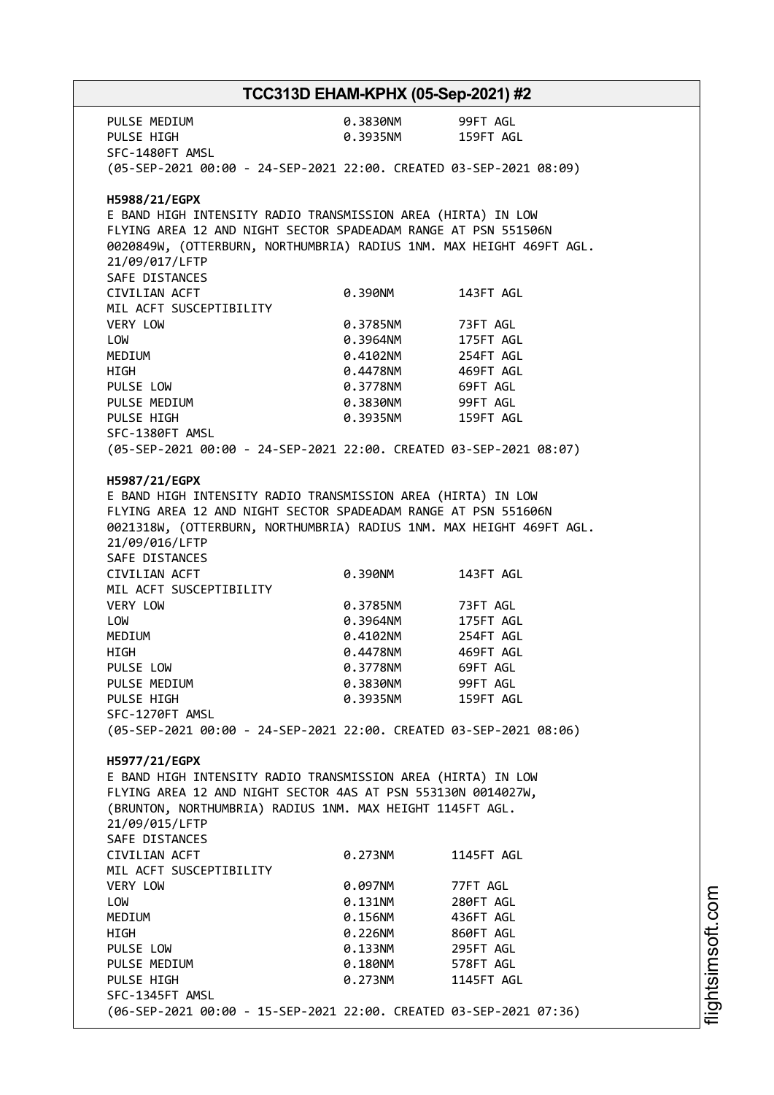PULSE MEDIUM 0.3830NM 99FT AGL PULSE HIGH 0.3935NM 159FT AGL SFC-1480FT AMSL (05-SEP-2021 00:00 - 24-SEP-2021 22:00. CREATED 03-SEP-2021 08:09) **H5988/21/EGPX** E BAND HIGH INTENSITY RADIO TRANSMISSION AREA (HIRTA) IN LOW FLYING AREA 12 AND NIGHT SECTOR SPADEADAM RANGE AT PSN 551506N 0020849W, (OTTERBURN, NORTHUMBRIA) RADIUS 1NM. MAX HEIGHT 469FT AGL. 21/09/017/LFTP SAFE DISTANCES CIVILIAN ACFT 0.390NM 143FT AGL MIL ACFT SUSCEPTIBILITY VERY LOW 0.3785NM 73FT AGL LOW 0.3964NM 175FT AGL MEDIUM 0.4102NM 254FT AGL HIGH 0.4478NM 469FT AGL PULSE LOW 0.3778NM 69FT AGL PULSE MEDIUM  $0.3830$ NM 99FT AGL PULSE HIGH 0.3935NM 159FT AGL SFC-1380FT AMSL (05-SEP-2021 00:00 - 24-SEP-2021 22:00. CREATED 03-SEP-2021 08:07) **H5987/21/EGPX** E BAND HIGH INTENSITY RADIO TRANSMISSION AREA (HIRTA) IN LOW FLYING AREA 12 AND NIGHT SECTOR SPADEADAM RANGE AT PSN 551606N 0021318W, (OTTERBURN, NORTHUMBRIA) RADIUS 1NM. MAX HEIGHT 469FT AGL. 21/09/016/LFTP SAFE DISTANCES CIVILIAN ACFT 0.390NM 143FT AGL MIL ACFT SUSCEPTIBILITY VERY LOW 0.3785NM 73FT AGL LOW 0.3964NM 175FT AGL MEDIUM 0.4102NM 254FT AGL HIGH 0.4478NM 469FT AGL PULSE LOW 0.3778NM 69FT AGL PULSE MEDIUM  $0.3830N$  99FT AGL PULSE HIGH 0.3935NM 159FT AGL SFC-1270FT AMSL (05-SEP-2021 00:00 - 24-SEP-2021 22:00. CREATED 03-SEP-2021 08:06) **H5977/21/EGPX** E BAND HIGH INTENSITY RADIO TRANSMISSION AREA (HIRTA) IN LOW FLYING AREA 12 AND NIGHT SECTOR 4AS AT PSN 553130N 0014027W, (BRUNTON, NORTHUMBRIA) RADIUS 1NM. MAX HEIGHT 1145FT AGL. 21/09/015/LFTP SAFE DISTANCES CIVILIAN ACFT 0.273NM 1145FT AGL MIL ACFT SUSCEPTIBILITY VERY LOW 0.097NM 77FT AGL LOW 0.131NM 280FT AGL MEDIUM 0.156NM 436FT AGL HIGH 0.226NM 860FT AGL PULSE LOW 0.133NM 295FT AGL PULSE MEDIUM  $0.180N$  578FT AGL PULSE HIGH 0.273NM 1145FT AGL SFC-1345FT AMSL (06-SEP-2021 00:00 - 15-SEP-2021 22:00. CREATED 03-SEP-2021 07:36)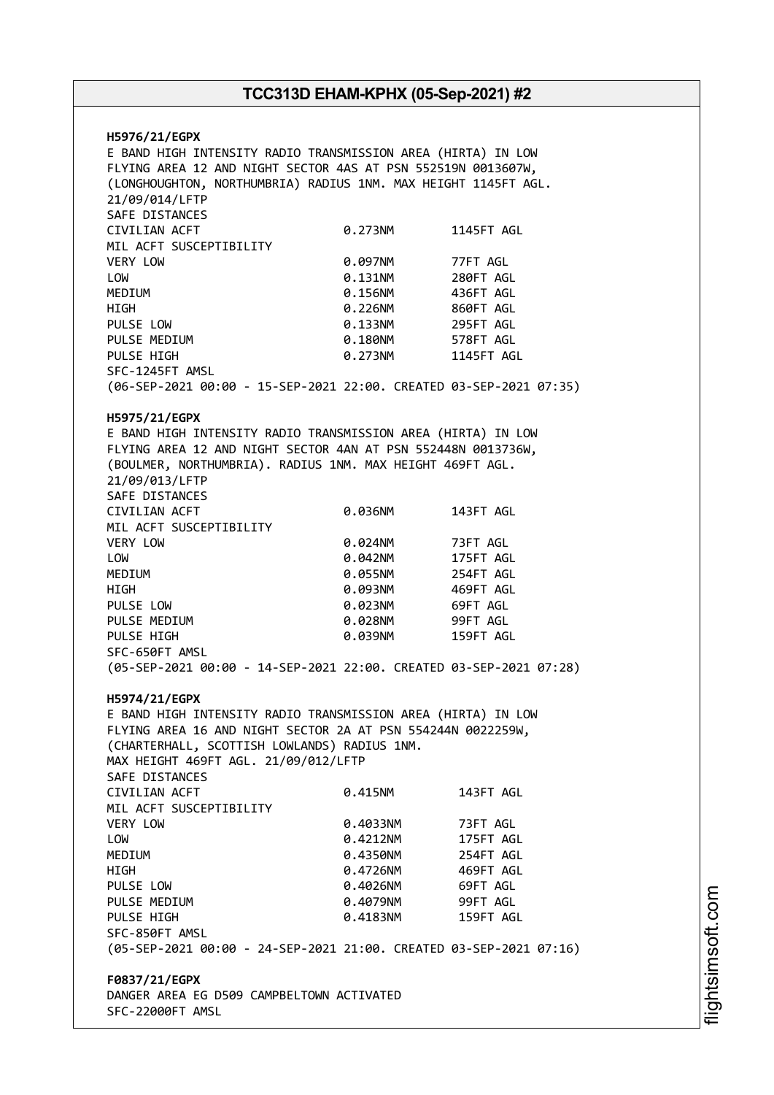**H5976/21/EGPX** E BAND HIGH INTENSITY RADIO TRANSMISSION AREA (HIRTA) IN LOW FLYING AREA 12 AND NIGHT SECTOR 4AS AT PSN 552519N 0013607W, (LONGHOUGHTON, NORTHUMBRIA) RADIUS 1NM. MAX HEIGHT 1145FT AGL. 21/09/014/LFTP SAFE DISTANCES CIVILIAN ACFT 0.273NM 1145FT AGL MIL ACFT SUSCEPTIBILITY VERY LOW 0.097NM 77FT AGL LOW 0.131NM 280FT AGL MEDIUM 0.156NM 436FT AGL HIGH 0.226NM 860FT AGL PULSE LOW **0.133NM** 295FT AGL PULSE MEDIUM  $0.180N$ M 578FT AGL PULSE HIGH 0.273NM 1145FT AGL SFC-1245FT AMSL (06-SEP-2021 00:00 - 15-SEP-2021 22:00. CREATED 03-SEP-2021 07:35) **H5975/21/EGPX** E BAND HIGH INTENSITY RADIO TRANSMISSION AREA (HIRTA) IN LOW FLYING AREA 12 AND NIGHT SECTOR 4AN AT PSN 552448N 0013736W, (BOULMER, NORTHUMBRIA). RADIUS 1NM. MAX HEIGHT 469FT AGL. 21/09/013/LFTP SAFE DISTANCES CIVILIAN ACFT 0.036NM 143FT AGL MIL ACFT SUSCEPTIBILITY VERY LOW 0.024NM 73FT AGL LOW 0.042NM 175FT AGL MEDIUM 0.055NM 254FT AGL HIGH 0.093NM 469FT AGL PULSE LOW 0.023NM 69FT AGL PULSE MEDIUM  $0.028$ NM 99FT AGL PULSE HIGH 0.039NM 159FT AGL SFC-650FT AMSL (05-SEP-2021 00:00 - 14-SEP-2021 22:00. CREATED 03-SEP-2021 07:28) **H5974/21/EGPX** E BAND HIGH INTENSITY RADIO TRANSMISSION AREA (HIRTA) IN LOW FLYING AREA 16 AND NIGHT SECTOR 2A AT PSN 554244N 0022259W, (CHARTERHALL, SCOTTISH LOWLANDS) RADIUS 1NM. MAX HEIGHT 469FT AGL. 21/09/012/LFTP SAFE DISTANCES CIVILIAN ACFT 0.415NM 143FT AGL MIL ACFT SUSCEPTIBILITY VERY LOW 0.4033NM 73FT AGL LOW 0.4212NM 175FT AGL MEDIUM 0.4350NM 254FT AGL HIGH 0.4726NM 469FT AGL PULSE LOW **0.4026NM** 69FT AGL PULSE MEDIUM  $0.4079N$ M 99FT AGL PULSE HIGH 0.4183NM 159FT AGL SFC-850FT AMSL (05-SEP-2021 00:00 - 24-SEP-2021 21:00. CREATED 03-SEP-2021 07:16) **F0837/21/EGPX** DANGER AREA EG D509 CAMPBELTOWN ACTIVATED SFC-22000FT AMSL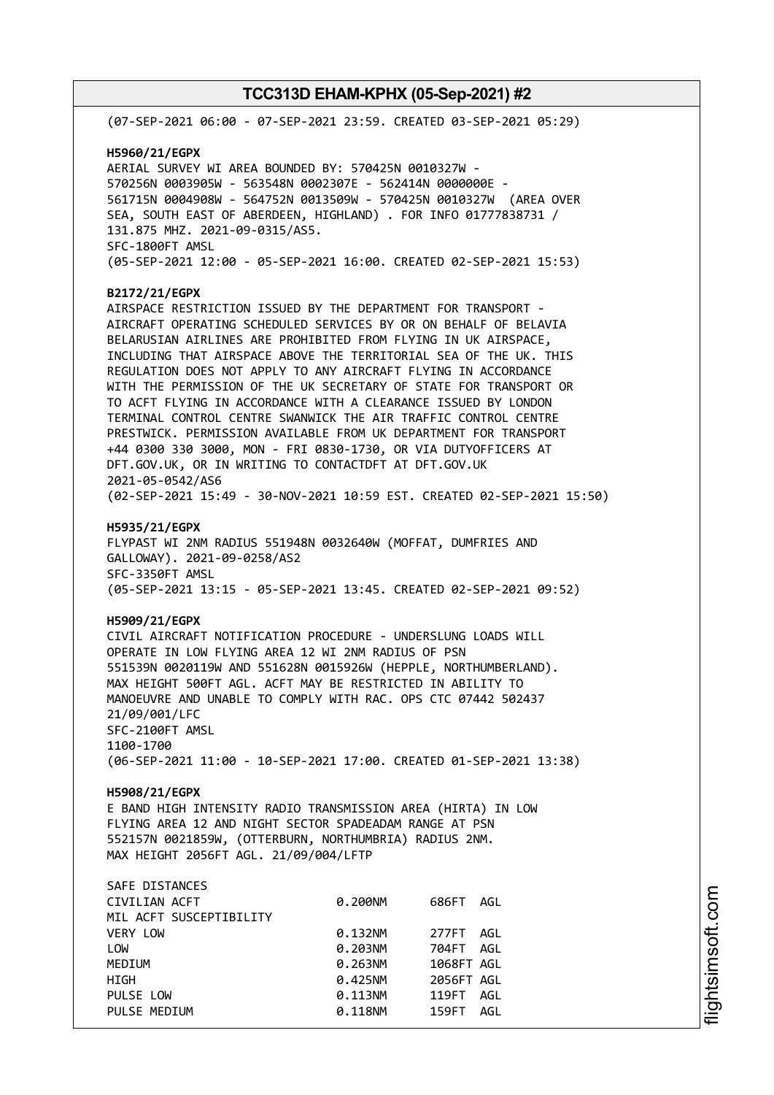| (07-SEP-2021 06:00 - 07-SEP-2021 23:59. CREATED 03-SEP-2021 05:29)                                                                                                                                                                                                                                                                                                                                                                                                                                                                                                                                                                                                                                                                                                                                                                                                 |                                                                           |                                                                                           |  |  |
|--------------------------------------------------------------------------------------------------------------------------------------------------------------------------------------------------------------------------------------------------------------------------------------------------------------------------------------------------------------------------------------------------------------------------------------------------------------------------------------------------------------------------------------------------------------------------------------------------------------------------------------------------------------------------------------------------------------------------------------------------------------------------------------------------------------------------------------------------------------------|---------------------------------------------------------------------------|-------------------------------------------------------------------------------------------|--|--|
| H5960/21/EGPX<br>AERIAL SURVEY WI AREA BOUNDED BY: 570425N 0010327W -<br>570256N 0003905W - 563548N 0002307E - 562414N 0000000E -<br>561715N 0004908W - 564752N 0013509W - 570425N 0010327W (AREA OVER<br>SEA, SOUTH EAST OF ABERDEEN, HIGHLAND) . FOR INFO 01777838731 /<br>131.875 MHZ. 2021-09-0315/AS5.<br>SFC-1800FT AMSL<br>(05-SEP-2021 12:00 - 05-SEP-2021 16:00. CREATED 02-SEP-2021 15:53)                                                                                                                                                                                                                                                                                                                                                                                                                                                               |                                                                           |                                                                                           |  |  |
| B2172/21/EGPX<br>AIRSPACE RESTRICTION ISSUED BY THE DEPARTMENT FOR TRANSPORT -<br>AIRCRAFT OPERATING SCHEDULED SERVICES BY OR ON BEHALF OF BELAVIA<br>BELARUSIAN AIRLINES ARE PROHIBITED FROM FLYING IN UK AIRSPACE,<br>INCLUDING THAT AIRSPACE ABOVE THE TERRITORIAL SEA OF THE UK. THIS<br>REGULATION DOES NOT APPLY TO ANY AIRCRAFT FLYING IN ACCORDANCE<br>WITH THE PERMISSION OF THE UK SECRETARY OF STATE FOR TRANSPORT OR<br>TO ACFT FLYING IN ACCORDANCE WITH A CLEARANCE ISSUED BY LONDON<br>TERMINAL CONTROL CENTRE SWANWICK THE AIR TRAFFIC CONTROL CENTRE<br>PRESTWICK. PERMISSION AVAILABLE FROM UK DEPARTMENT FOR TRANSPORT<br>+44 0300 330 3000, MON - FRI 0830-1730, OR VIA DUTYOFFICERS AT<br>DFT.GOV.UK, OR IN WRITING TO CONTACTDFT AT DFT.GOV.UK<br>2021-05-0542/AS6<br>(02-SEP-2021 15:49 - 30-NOV-2021 10:59 EST. CREATED 02-SEP-2021 15:50) |                                                                           |                                                                                           |  |  |
| H5935/21/EGPX<br>FLYPAST WI 2NM RADIUS 551948N 0032640W (MOFFAT, DUMFRIES AND<br>GALLOWAY). 2021-09-0258/AS2<br>SFC-3350FT AMSL<br>(05-SEP-2021 13:15 - 05-SEP-2021 13:45. CREATED 02-SEP-2021 09:52)                                                                                                                                                                                                                                                                                                                                                                                                                                                                                                                                                                                                                                                              |                                                                           |                                                                                           |  |  |
| H5909/21/EGPX<br>CIVIL AIRCRAFT NOTIFICATION PROCEDURE - UNDERSLUNG LOADS WILL<br>OPERATE IN LOW FLYING AREA 12 WI 2NM RADIUS OF PSN<br>551539N 0020119W AND 551628N 0015926W (HEPPLE, NORTHUMBERLAND).<br>MAX HEIGHT 500FT AGL. ACFT MAY BE RESTRICTED IN ABILITY TO<br>MANOEUVRE AND UNABLE TO COMPLY WITH RAC. OPS CTC 07442 502437<br>21/09/001/LFC<br>SFC-2100FT AMSL<br>1100-1700<br>(06-SEP-2021 11:00 - 10-SEP-2021 17:00. CREATED 01-SEP-2021 13:38)                                                                                                                                                                                                                                                                                                                                                                                                      |                                                                           |                                                                                           |  |  |
| H5908/21/EGPX<br>E BAND HIGH INTENSITY RADIO TRANSMISSION AREA (HIRTA) IN LOW<br>FLYING AREA 12 AND NIGHT SECTOR SPADEADAM RANGE AT PSN<br>552157N 0021859W, (OTTERBURN, NORTHUMBRIA) RADIUS 2NM.<br>MAX HEIGHT 2056FT AGL. 21/09/004/LFTP                                                                                                                                                                                                                                                                                                                                                                                                                                                                                                                                                                                                                         |                                                                           |                                                                                           |  |  |
| SAFE DISTANCES<br>CIVILIAN ACFT<br>MIL ACFT SUSCEPTIBILITY<br><b>VERY LOW</b><br>LOW<br>MEDIUM<br>HIGH<br>PULSE LOW<br>PULSE MEDIUM                                                                                                                                                                                                                                                                                                                                                                                                                                                                                                                                                                                                                                                                                                                                | 0.200NM<br>0.132NM<br>0.203NM<br>0.263NM<br>0.425NM<br>0.113NM<br>0.118NM | 686FT AGL<br>277FT AGL<br>704FT AGL<br>1068FT AGL<br>2056FT AGL<br>119FT AGL<br>159FT AGL |  |  |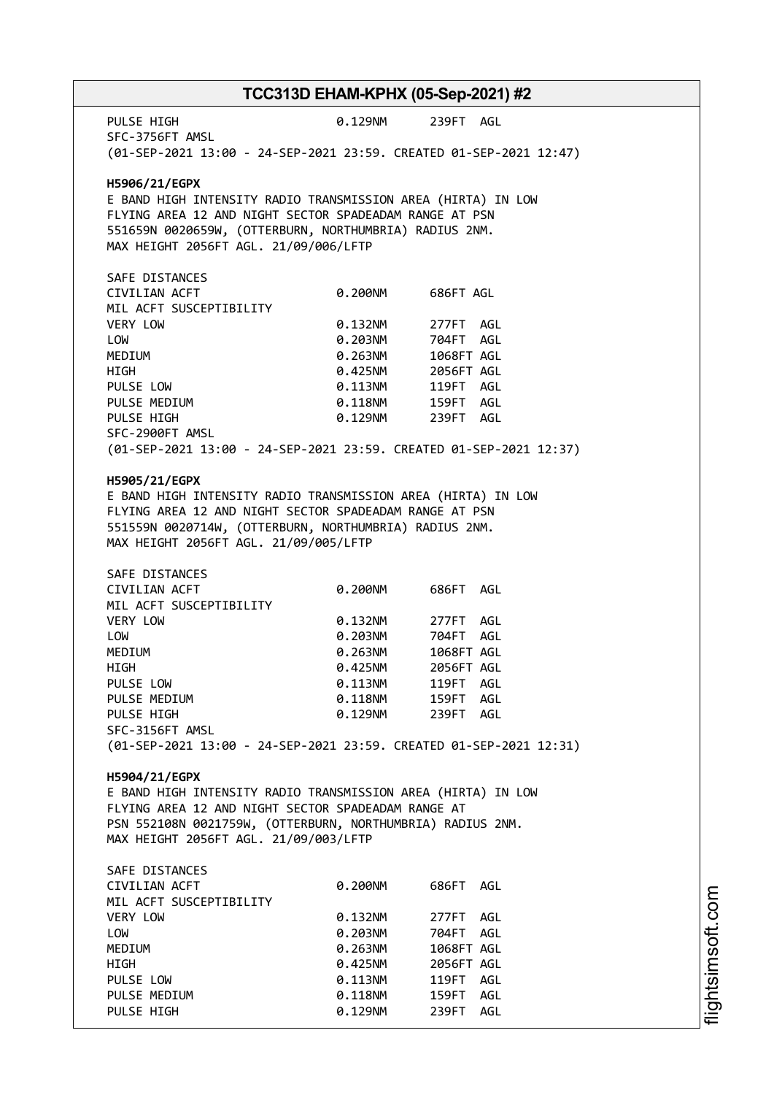PULSE HIGH  $0.129$ NM 239FT AGL SFC-3756FT AMSL (01-SEP-2021 13:00 - 24-SEP-2021 23:59. CREATED 01-SEP-2021 12:47) **H5906/21/EGPX** E BAND HIGH INTENSITY RADIO TRANSMISSION AREA (HIRTA) IN LOW FLYING AREA 12 AND NIGHT SECTOR SPADEADAM RANGE AT PSN 551659N 0020659W, (OTTERBURN, NORTHUMBRIA) RADIUS 2NM. MAX HEIGHT 2056FT AGL. 21/09/006/LFTP SAFE DISTANCES CIVILIAN ACFT 0.200NM 686FT AGL MIL ACFT SUSCEPTIBILITY VERY LOW 0.132NM 277FT AGL LOW 0.203NM 704FT AGL MEDIUM 0.263NM 1068FT AGL HIGH 0.425NM 2056FT AGL PULSE LOW 0.113NM 119FT AGL PULSE MEDIUM  $0.118$ NM 159FT AGL PULSE HIGH 0.129NM 239FT AGL SFC-2900FT AMSL (01-SEP-2021 13:00 - 24-SEP-2021 23:59. CREATED 01-SEP-2021 12:37) **H5905/21/EGPX** E BAND HIGH INTENSITY RADIO TRANSMISSION AREA (HIRTA) IN LOW FLYING AREA 12 AND NIGHT SECTOR SPADEADAM RANGE AT PSN 551559N 0020714W, (OTTERBURN, NORTHUMBRIA) RADIUS 2NM. MAX HEIGHT 2056FT AGL. 21/09/005/LFTP SAFE DISTANCES CIVILIAN ACFT 0.200NM 686FT AGL MIL ACFT SUSCEPTIBILITY VERY LOW **0.132NM** 277FT AGL LOW 0.203NM 704FT AGL MEDIUM 0.263NM 1068FT AGL HIGH 0.425NM 2056FT AGL PULSE LOW 0.113NM 119FT AGL PULSE MEDIUM 0.118NM PULSE HIGH 0.129NM 239FT AGL SFC-3156FT AMSL (01-SEP-2021 13:00 - 24-SEP-2021 23:59. CREATED 01-SEP-2021 12:31) **H5904/21/EGPX** E BAND HIGH INTENSITY RADIO TRANSMISSION AREA (HIRTA) IN LOW FLYING AREA 12 AND NIGHT SECTOR SPADEADAM RANGE AT PSN 552108N 0021759W, (OTTERBURN, NORTHUMBRIA) RADIUS 2NM. MAX HEIGHT 2056FT AGL. 21/09/003/LFTP SAFE DISTANCES CIVILIAN ACFT 0.200NM 686FT AGL MIL ACFT SUSCEPTIBILITY VERY LOW 0.132NM 277FT AGL LOW 0.203NM 704FT AGL MEDIUM 0.263NM 1068FT AGL HIGH 0.425NM 2056FT AGL PULSE LOW 0.113NM 119FT AGL PULSE MEDIUM  $0.118$ NM  $159$ FT AGL PULSE HIGH  $0.129$ NM 239FT AGL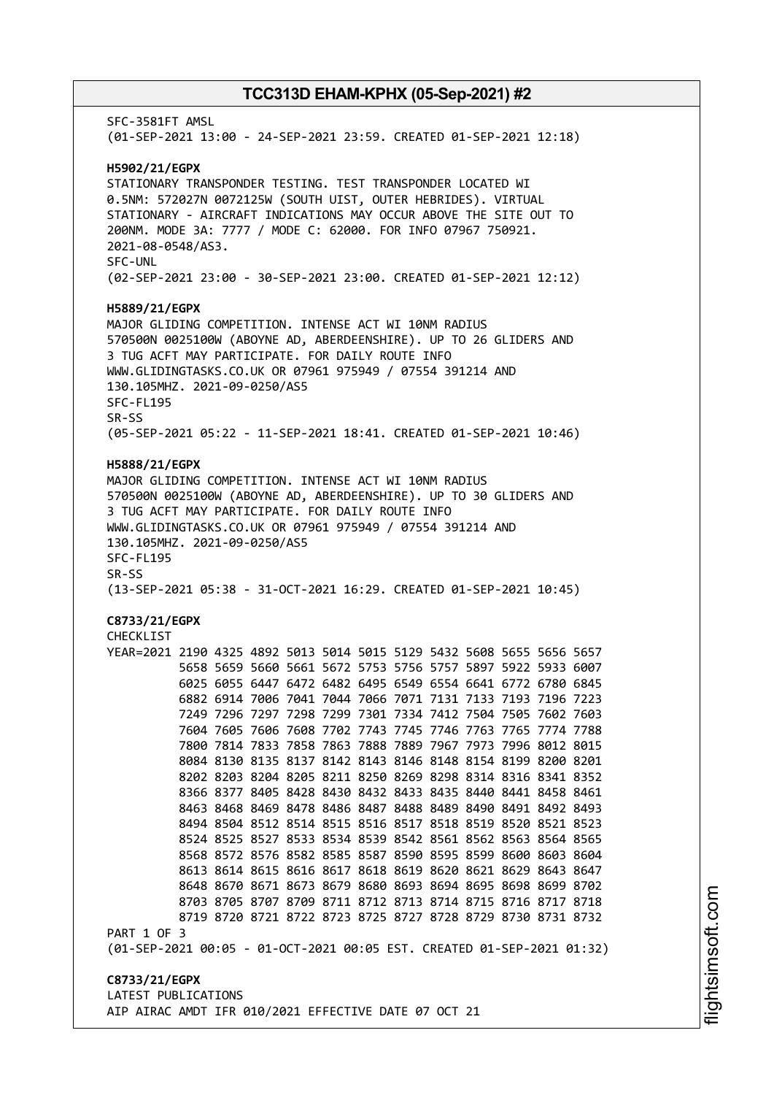SFC-3581FT AMSL (01-SEP-2021 13:00 - 24-SEP-2021 23:59. CREATED 01-SEP-2021 12:18) **H5902/21/EGPX** STATIONARY TRANSPONDER TESTING. TEST TRANSPONDER LOCATED WI 0.5NM: 572027N 0072125W (SOUTH UIST, OUTER HEBRIDES). VIRTUAL STATIONARY - AIRCRAFT INDICATIONS MAY OCCUR ABOVE THE SITE OUT TO 200NM. MODE 3A: 7777 / MODE C: 62000. FOR INFO 07967 750921. 2021-08-0548/AS3. SFC-UNL (02-SEP-2021 23:00 - 30-SEP-2021 23:00. CREATED 01-SEP-2021 12:12) **H5889/21/EGPX** MAJOR GLIDING COMPETITION. INTENSE ACT WI 10NM RADIUS 570500N 0025100W (ABOYNE AD, ABERDEENSHIRE). UP TO 26 GLIDERS AND 3 TUG ACFT MAY PARTICIPATE. FOR DAILY ROUTE INFO WWW.GLIDINGTASKS.CO.UK OR 07961 975949 / 07554 391214 AND 130.105MHZ. 2021-09-0250/AS5 SFC-FL195 SR-SS (05-SEP-2021 05:22 - 11-SEP-2021 18:41. CREATED 01-SEP-2021 10:46) **H5888/21/EGPX** MAJOR GLIDING COMPETITION. INTENSE ACT WI 10NM RADIUS 570500N 0025100W (ABOYNE AD, ABERDEENSHIRE). UP TO 30 GLIDERS AND 3 TUG ACFT MAY PARTICIPATE. FOR DAILY ROUTE INFO WWW.GLIDINGTASKS.CO.UK OR 07961 975949 / 07554 391214 AND 130.105MHZ. 2021-09-0250/AS5 SFC-FL195 SR-SS (13-SEP-2021 05:38 - 31-OCT-2021 16:29. CREATED 01-SEP-2021 10:45) **C8733/21/EGPX** CHECKL<sub>IST</sub> YEAR=2021 2190 4325 4892 5013 5014 5015 5129 5432 5608 5655 5656 5657 5658 5659 5660 5661 5672 5753 5756 5757 5897 5922 5933 6007 6025 6055 6447 6472 6482 6495 6549 6554 6641 6772 6780 6845 6882 6914 7006 7041 7044 7066 7071 7131 7133 7193 7196 7223 7249 7296 7297 7298 7299 7301 7334 7412 7504 7505 7602 7603 7604 7605 7606 7608 7702 7743 7745 7746 7763 7765 7774 7788 7800 7814 7833 7858 7863 7888 7889 7967 7973 7996 8012 8015 8084 8130 8135 8137 8142 8143 8146 8148 8154 8199 8200 8201 8202 8203 8204 8205 8211 8250 8269 8298 8314 8316 8341 8352 8366 8377 8405 8428 8430 8432 8433 8435 8440 8441 8458 8461 8463 8468 8469 8478 8486 8487 8488 8489 8490 8491 8492 8493 8494 8504 8512 8514 8515 8516 8517 8518 8519 8520 8521 8523 8524 8525 8527 8533 8534 8539 8542 8561 8562 8563 8564 8565 8568 8572 8576 8582 8585 8587 8590 8595 8599 8600 8603 8604 8613 8614 8615 8616 8617 8618 8619 8620 8621 8629 8643 8647 8648 8670 8671 8673 8679 8680 8693 8694 8695 8698 8699 8702 8703 8705 8707 8709 8711 8712 8713 8714 8715 8716 8717 8718 8719 8720 8721 8722 8723 8725 8727 8728 8729 8730 8731 8732 PART 1 OF 3 (01-SEP-2021 00:05 - 01-OCT-2021 00:05 EST. CREATED 01-SEP-2021 01:32) **C8733/21/EGPX** LATEST PUBLICATIONS AIP AIRAC AMDT IFR 010/2021 EFFECTIVE DATE 07 OCT 21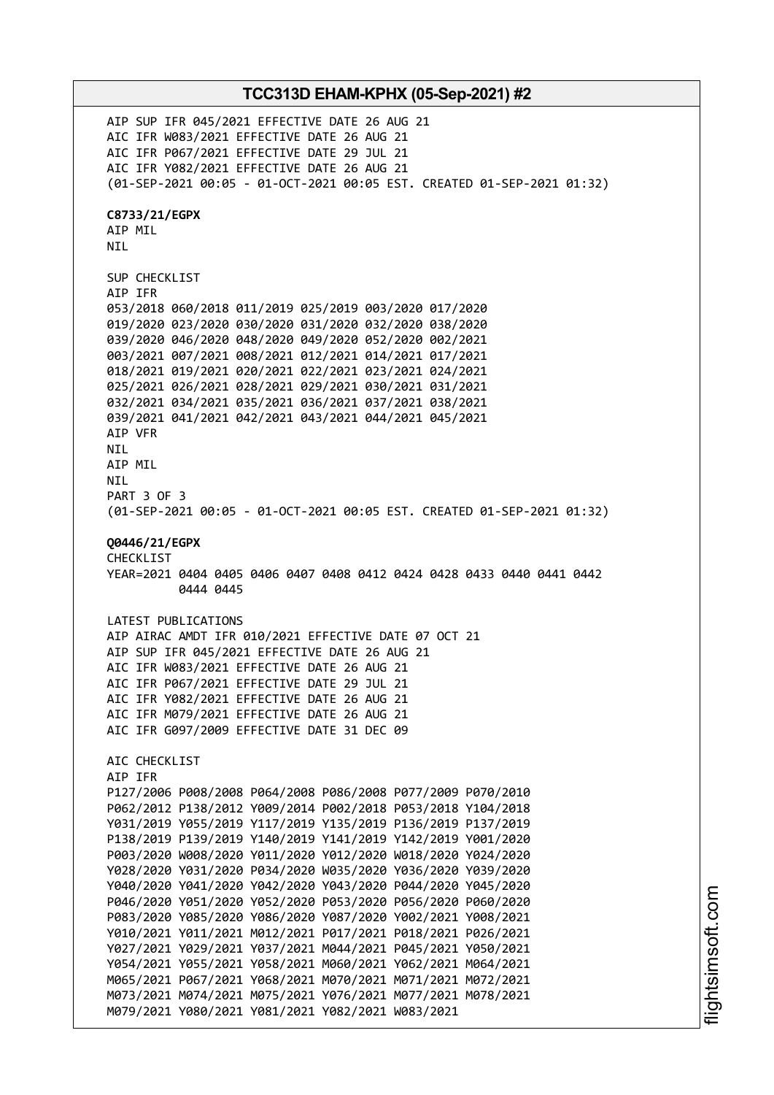AIP SUP IFR 045/2021 EFFECTIVE DATE 26 AUG 21 AIC IFR W083/2021 EFFECTIVE DATE 26 AUG 21 AIC IFR P067/2021 EFFECTIVE DATE 29 JUL 21 AIC IFR Y082/2021 EFFECTIVE DATE 26 AUG 21 (01-SEP-2021 00:05 - 01-OCT-2021 00:05 EST. CREATED 01-SEP-2021 01:32) **C8733/21/EGPX** AIP MIL NIL SUP CHECKLIST AIP IFR 053/2018 060/2018 011/2019 025/2019 003/2020 017/2020 019/2020 023/2020 030/2020 031/2020 032/2020 038/2020 039/2020 046/2020 048/2020 049/2020 052/2020 002/2021 003/2021 007/2021 008/2021 012/2021 014/2021 017/2021 018/2021 019/2021 020/2021 022/2021 023/2021 024/2021 025/2021 026/2021 028/2021 029/2021 030/2021 031/2021 032/2021 034/2021 035/2021 036/2021 037/2021 038/2021 039/2021 041/2021 042/2021 043/2021 044/2021 045/2021 AIP VFR NIL AIP MIL NIL PART 3 OF 3 (01-SEP-2021 00:05 - 01-OCT-2021 00:05 EST. CREATED 01-SEP-2021 01:32) **Q0446/21/EGPX** CHECKLIST YEAR=2021 0404 0405 0406 0407 0408 0412 0424 0428 0433 0440 0441 0442 0444 0445 LATEST PUBLICATIONS AIP AIRAC AMDT IFR 010/2021 EFFECTIVE DATE 07 OCT 21 AIP SUP IFR 045/2021 EFFECTIVE DATE 26 AUG 21 AIC IFR W083/2021 EFFECTIVE DATE 26 AUG 21 AIC IFR P067/2021 EFFECTIVE DATE 29 JUL 21 AIC IFR Y082/2021 EFFECTIVE DATE 26 AUG 21 AIC IFR M079/2021 EFFECTIVE DATE 26 AUG 21 AIC IFR G097/2009 EFFECTIVE DATE 31 DEC 09 AIC CHECKLIST AIP IFR P127/2006 P008/2008 P064/2008 P086/2008 P077/2009 P070/2010 P062/2012 P138/2012 Y009/2014 P002/2018 P053/2018 Y104/2018 Y031/2019 Y055/2019 Y117/2019 Y135/2019 P136/2019 P137/2019 P138/2019 P139/2019 Y140/2019 Y141/2019 Y142/2019 Y001/2020 P003/2020 W008/2020 Y011/2020 Y012/2020 W018/2020 Y024/2020 Y028/2020 Y031/2020 P034/2020 W035/2020 Y036/2020 Y039/2020 Y040/2020 Y041/2020 Y042/2020 Y043/2020 P044/2020 Y045/2020 P046/2020 Y051/2020 Y052/2020 P053/2020 P056/2020 P060/2020 P083/2020 Y085/2020 Y086/2020 Y087/2020 Y002/2021 Y008/2021 Y010/2021 Y011/2021 M012/2021 P017/2021 P018/2021 P026/2021 Y027/2021 Y029/2021 Y037/2021 M044/2021 P045/2021 Y050/2021 Y054/2021 Y055/2021 Y058/2021 M060/2021 Y062/2021 M064/2021 M065/2021 P067/2021 Y068/2021 M070/2021 M071/2021 M072/2021 M073/2021 M074/2021 M075/2021 Y076/2021 M077/2021 M078/2021 M079/2021 Y080/2021 Y081/2021 Y082/2021 W083/2021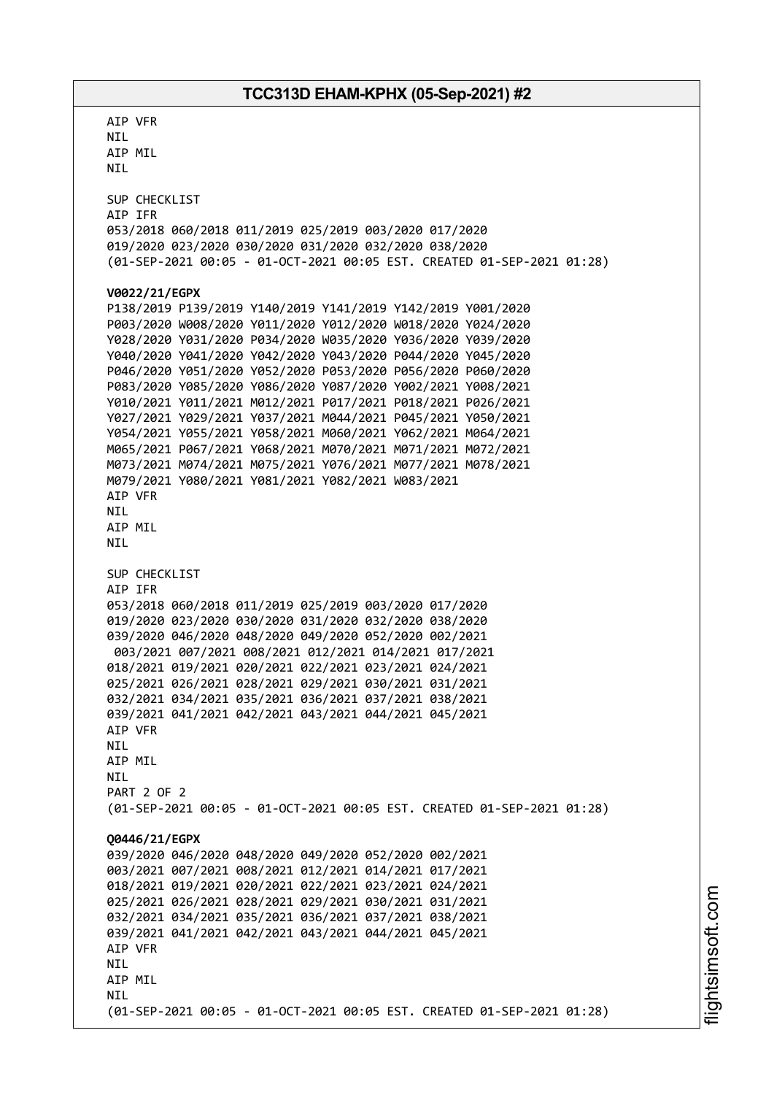AIP VFR NIL AIP MIL NIL SUP CHECKLIST AIP IFR 053/2018 060/2018 011/2019 025/2019 003/2020 017/2020 019/2020 023/2020 030/2020 031/2020 032/2020 038/2020 (01-SEP-2021 00:05 - 01-OCT-2021 00:05 EST. CREATED 01-SEP-2021 01:28) **V0022/21/EGPX** P138/2019 P139/2019 Y140/2019 Y141/2019 Y142/2019 Y001/2020 P003/2020 W008/2020 Y011/2020 Y012/2020 W018/2020 Y024/2020 Y028/2020 Y031/2020 P034/2020 W035/2020 Y036/2020 Y039/2020 Y040/2020 Y041/2020 Y042/2020 Y043/2020 P044/2020 Y045/2020 P046/2020 Y051/2020 Y052/2020 P053/2020 P056/2020 P060/2020 P083/2020 Y085/2020 Y086/2020 Y087/2020 Y002/2021 Y008/2021 Y010/2021 Y011/2021 M012/2021 P017/2021 P018/2021 P026/2021 Y027/2021 Y029/2021 Y037/2021 M044/2021 P045/2021 Y050/2021 Y054/2021 Y055/2021 Y058/2021 M060/2021 Y062/2021 M064/2021 M065/2021 P067/2021 Y068/2021 M070/2021 M071/2021 M072/2021 M073/2021 M074/2021 M075/2021 Y076/2021 M077/2021 M078/2021 M079/2021 Y080/2021 Y081/2021 Y082/2021 W083/2021 AIP VFR NIL AIP MIL NIL SUP CHECKLIST AIP IFR 053/2018 060/2018 011/2019 025/2019 003/2020 017/2020 019/2020 023/2020 030/2020 031/2020 032/2020 038/2020 039/2020 046/2020 048/2020 049/2020 052/2020 002/2021 003/2021 007/2021 008/2021 012/2021 014/2021 017/2021 018/2021 019/2021 020/2021 022/2021 023/2021 024/2021 025/2021 026/2021 028/2021 029/2021 030/2021 031/2021 032/2021 034/2021 035/2021 036/2021 037/2021 038/2021 039/2021 041/2021 042/2021 043/2021 044/2021 045/2021 AIP VFR **NTL** AIP MIL NIL PART 2 OF 2 (01-SEP-2021 00:05 - 01-OCT-2021 00:05 EST. CREATED 01-SEP-2021 01:28) **Q0446/21/EGPX** 039/2020 046/2020 048/2020 049/2020 052/2020 002/2021 003/2021 007/2021 008/2021 012/2021 014/2021 017/2021 018/2021 019/2021 020/2021 022/2021 023/2021 024/2021 025/2021 026/2021 028/2021 029/2021 030/2021 031/2021 032/2021 034/2021 035/2021 036/2021 037/2021 038/2021 039/2021 041/2021 042/2021 043/2021 044/2021 045/2021 AIP VFR **NTI** AIP MIL **NTI** (01-SEP-2021 00:05 - 01-OCT-2021 00:05 EST. CREATED 01-SEP-2021 01:28)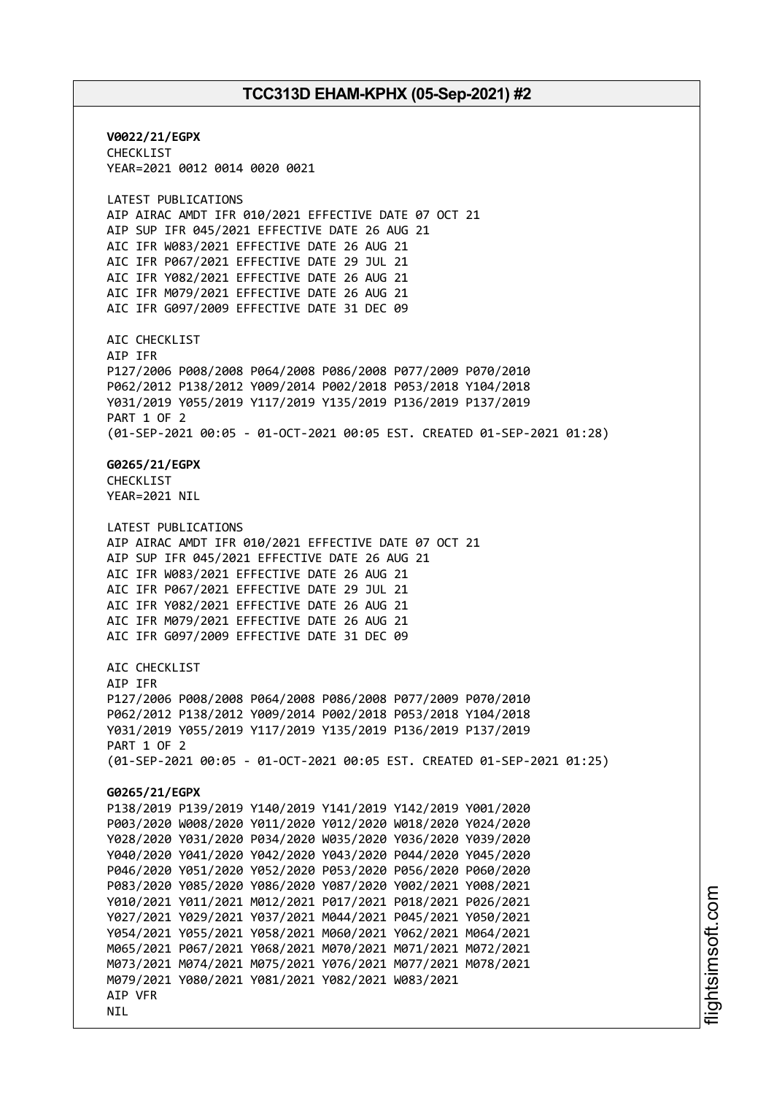**V0022/21/EGPX** CHECKLIST YEAR=2021 0012 0014 0020 0021 LATEST PUBLICATIONS AIP AIRAC AMDT IFR 010/2021 EFFECTIVE DATE 07 OCT 21 AIP SUP IFR 045/2021 EFFECTIVE DATE 26 AUG 21 AIC IFR W083/2021 EFFECTIVE DATE 26 AUG 21 AIC IFR P067/2021 EFFECTIVE DATE 29 JUL 21 AIC IFR Y082/2021 EFFECTIVE DATE 26 AUG 21 AIC IFR M079/2021 EFFECTIVE DATE 26 AUG 21 AIC IFR G097/2009 EFFECTIVE DATE 31 DEC 09 AIC CHECKLIST AIP IFR P127/2006 P008/2008 P064/2008 P086/2008 P077/2009 P070/2010 P062/2012 P138/2012 Y009/2014 P002/2018 P053/2018 Y104/2018 Y031/2019 Y055/2019 Y117/2019 Y135/2019 P136/2019 P137/2019 PART 1 OF 2 (01-SEP-2021 00:05 - 01-OCT-2021 00:05 EST. CREATED 01-SEP-2021 01:28) **G0265/21/EGPX** CHECKLIST YEAR=2021 NIL LATEST PUBLICATIONS AIP AIRAC AMDT IFR 010/2021 EFFECTIVE DATE 07 OCT 21 AIP SUP IFR 045/2021 EFFECTIVE DATE 26 AUG 21 AIC IFR W083/2021 EFFECTIVE DATE 26 AUG 21 AIC IFR P067/2021 EFFECTIVE DATE 29 JUL 21 AIC IFR Y082/2021 EFFECTIVE DATE 26 AUG 21 AIC IFR M079/2021 EFFECTIVE DATE 26 AUG 21 AIC IFR G097/2009 EFFECTIVE DATE 31 DEC 09 ATC CHECKLIST AIP IFR P127/2006 P008/2008 P064/2008 P086/2008 P077/2009 P070/2010 P062/2012 P138/2012 Y009/2014 P002/2018 P053/2018 Y104/2018 Y031/2019 Y055/2019 Y117/2019 Y135/2019 P136/2019 P137/2019 PART 1 OF 2 (01-SEP-2021 00:05 - 01-OCT-2021 00:05 EST. CREATED 01-SEP-2021 01:25) **G0265/21/EGPX** P138/2019 P139/2019 Y140/2019 Y141/2019 Y142/2019 Y001/2020 P003/2020 W008/2020 Y011/2020 Y012/2020 W018/2020 Y024/2020 Y028/2020 Y031/2020 P034/2020 W035/2020 Y036/2020 Y039/2020 Y040/2020 Y041/2020 Y042/2020 Y043/2020 P044/2020 Y045/2020 P046/2020 Y051/2020 Y052/2020 P053/2020 P056/2020 P060/2020 P083/2020 Y085/2020 Y086/2020 Y087/2020 Y002/2021 Y008/2021 Y010/2021 Y011/2021 M012/2021 P017/2021 P018/2021 P026/2021 Y027/2021 Y029/2021 Y037/2021 M044/2021 P045/2021 Y050/2021 Y054/2021 Y055/2021 Y058/2021 M060/2021 Y062/2021 M064/2021 M065/2021 P067/2021 Y068/2021 M070/2021 M071/2021 M072/2021 M073/2021 M074/2021 M075/2021 Y076/2021 M077/2021 M078/2021 M079/2021 Y080/2021 Y081/2021 Y082/2021 W083/2021 AIP VFR **NTL**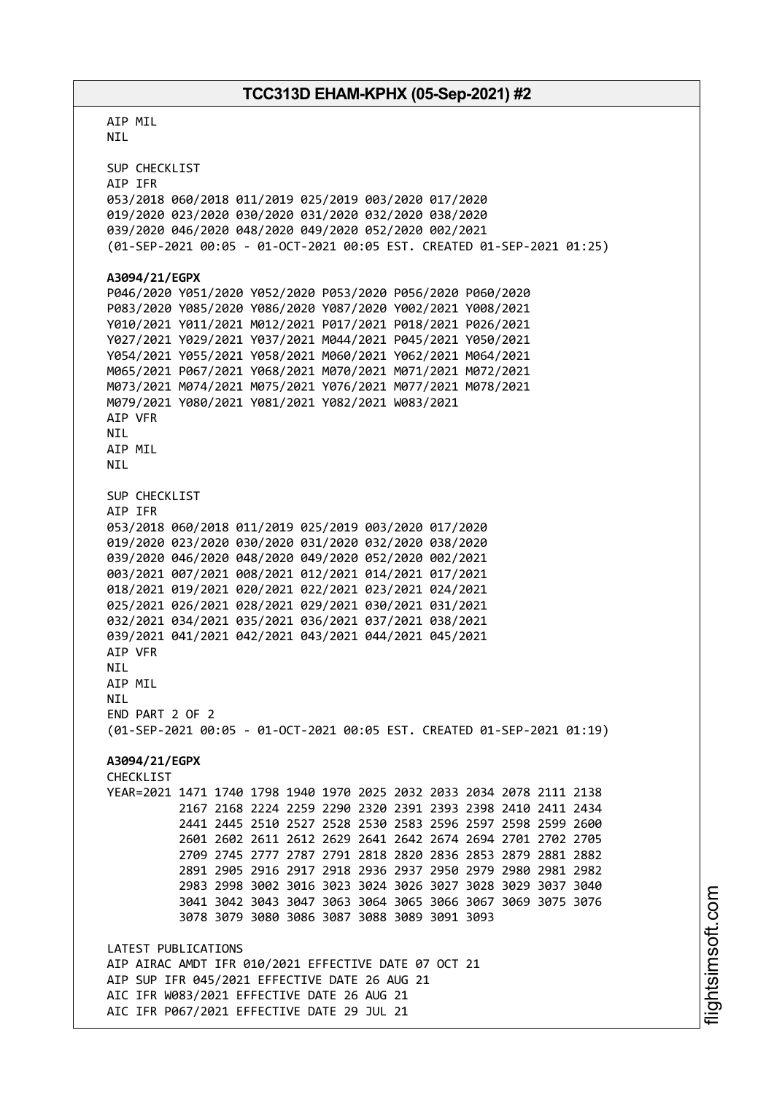AIP MIL NIL SUP CHECKLIST AIP IFR 053/2018 060/2018 011/2019 025/2019 003/2020 017/2020 019/2020 023/2020 030/2020 031/2020 032/2020 038/2020 039/2020 046/2020 048/2020 049/2020 052/2020 002/2021 (01-SEP-2021 00:05 - 01-OCT-2021 00:05 EST. CREATED 01-SEP-2021 01:25) **A3094/21/EGPX** P046/2020 Y051/2020 Y052/2020 P053/2020 P056/2020 P060/2020 P083/2020 Y085/2020 Y086/2020 Y087/2020 Y002/2021 Y008/2021 Y010/2021 Y011/2021 M012/2021 P017/2021 P018/2021 P026/2021 Y027/2021 Y029/2021 Y037/2021 M044/2021 P045/2021 Y050/2021 Y054/2021 Y055/2021 Y058/2021 M060/2021 Y062/2021 M064/2021 M065/2021 P067/2021 Y068/2021 M070/2021 M071/2021 M072/2021 M073/2021 M074/2021 M075/2021 Y076/2021 M077/2021 M078/2021 M079/2021 Y080/2021 Y081/2021 Y082/2021 W083/2021 AIP VFR NIL AIP MIL NIL SUP CHECKLIST AIP IFR 053/2018 060/2018 011/2019 025/2019 003/2020 017/2020 019/2020 023/2020 030/2020 031/2020 032/2020 038/2020 039/2020 046/2020 048/2020 049/2020 052/2020 002/2021 003/2021 007/2021 008/2021 012/2021 014/2021 017/2021 018/2021 019/2021 020/2021 022/2021 023/2021 024/2021 025/2021 026/2021 028/2021 029/2021 030/2021 031/2021 032/2021 034/2021 035/2021 036/2021 037/2021 038/2021 039/2021 041/2021 042/2021 043/2021 044/2021 045/2021 AIP VFR **NTI** AIP MIL **NTI** END PART 2 OF 2 (01-SEP-2021 00:05 - 01-OCT-2021 00:05 EST. CREATED 01-SEP-2021 01:19) **A3094/21/EGPX** CHECKLIST YEAR=2021 1471 1740 1798 1940 1970 2025 2032 2033 2034 2078 2111 2138 2167 2168 2224 2259 2290 2320 2391 2393 2398 2410 2411 2434 2441 2445 2510 2527 2528 2530 2583 2596 2597 2598 2599 2600 2601 2602 2611 2612 2629 2641 2642 2674 2694 2701 2702 2705 2709 2745 2777 2787 2791 2818 2820 2836 2853 2879 2881 2882 2891 2905 2916 2917 2918 2936 2937 2950 2979 2980 2981 2982 2983 2998 3002 3016 3023 3024 3026 3027 3028 3029 3037 3040 3041 3042 3043 3047 3063 3064 3065 3066 3067 3069 3075 3076 3078 3079 3080 3086 3087 3088 3089 3091 3093 LATEST PUBLICATIONS AIP AIRAC AMDT IFR 010/2021 EFFECTIVE DATE 07 OCT 21 AIP SUP IFR 045/2021 EFFECTIVE DATE 26 AUG 21 AIC IFR W083/2021 EFFECTIVE DATE 26 AUG 21 AIC IFR P067/2021 EFFECTIVE DATE 29 JUL 21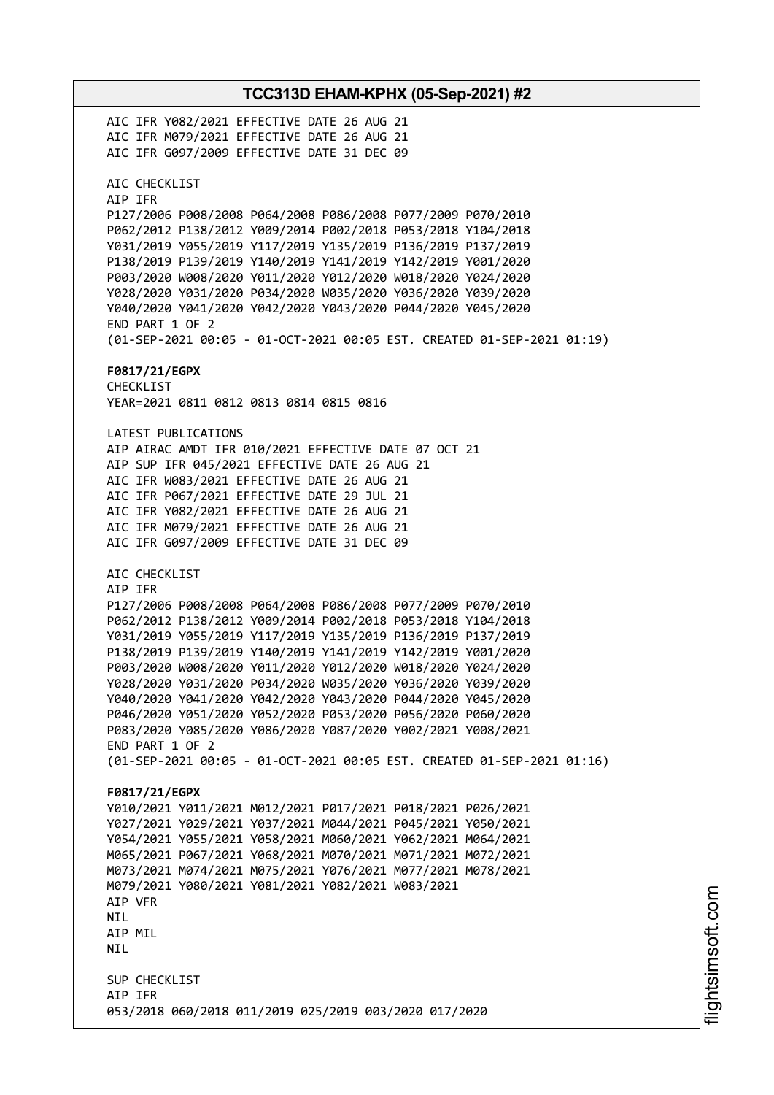**TCC313D EHAM-KPHX (05-Sep-2021) #2** AIC IFR Y082/2021 EFFECTIVE DATE 26 AUG 21 AIC IFR M079/2021 EFFECTIVE DATE 26 AUG 21 AIC IFR G097/2009 EFFECTIVE DATE 31 DEC 09 AIC CHECKLIST AIP IFR P127/2006 P008/2008 P064/2008 P086/2008 P077/2009 P070/2010 P062/2012 P138/2012 Y009/2014 P002/2018 P053/2018 Y104/2018 Y031/2019 Y055/2019 Y117/2019 Y135/2019 P136/2019 P137/2019 P138/2019 P139/2019 Y140/2019 Y141/2019 Y142/2019 Y001/2020 P003/2020 W008/2020 Y011/2020 Y012/2020 W018/2020 Y024/2020 Y028/2020 Y031/2020 P034/2020 W035/2020 Y036/2020 Y039/2020 Y040/2020 Y041/2020 Y042/2020 Y043/2020 P044/2020 Y045/2020 END PART 1 OF 2 (01-SEP-2021 00:05 - 01-OCT-2021 00:05 EST. CREATED 01-SEP-2021 01:19) **F0817/21/EGPX** CHECKLIST YEAR=2021 0811 0812 0813 0814 0815 0816 LATEST PUBLICATIONS AIP AIRAC AMDT IFR 010/2021 EFFECTIVE DATE 07 OCT 21 AIP SUP IFR 045/2021 EFFECTIVE DATE 26 AUG 21 AIC IFR W083/2021 EFFECTIVE DATE 26 AUG 21 AIC IFR P067/2021 EFFECTIVE DATE 29 JUL 21 AIC IFR Y082/2021 EFFECTIVE DATE 26 AUG 21 AIC IFR M079/2021 EFFECTIVE DATE 26 AUG 21 AIC IFR G097/2009 EFFECTIVE DATE 31 DEC 09 AIC CHECKLIST AIP IFR P127/2006 P008/2008 P064/2008 P086/2008 P077/2009 P070/2010 P062/2012 P138/2012 Y009/2014 P002/2018 P053/2018 Y104/2018 Y031/2019 Y055/2019 Y117/2019 Y135/2019 P136/2019 P137/2019 P138/2019 P139/2019 Y140/2019 Y141/2019 Y142/2019 Y001/2020 P003/2020 W008/2020 Y011/2020 Y012/2020 W018/2020 Y024/2020 Y028/2020 Y031/2020 P034/2020 W035/2020 Y036/2020 Y039/2020 Y040/2020 Y041/2020 Y042/2020 Y043/2020 P044/2020 Y045/2020 P046/2020 Y051/2020 Y052/2020 P053/2020 P056/2020 P060/2020 P083/2020 Y085/2020 Y086/2020 Y087/2020 Y002/2021 Y008/2021 END PART 1 OF 2 (01-SEP-2021 00:05 - 01-OCT-2021 00:05 EST. CREATED 01-SEP-2021 01:16) **F0817/21/EGPX** Y010/2021 Y011/2021 M012/2021 P017/2021 P018/2021 P026/2021 Y027/2021 Y029/2021 Y037/2021 M044/2021 P045/2021 Y050/2021 Y054/2021 Y055/2021 Y058/2021 M060/2021 Y062/2021 M064/2021 M065/2021 P067/2021 Y068/2021 M070/2021 M071/2021 M072/2021 M073/2021 M074/2021 M075/2021 Y076/2021 M077/2021 M078/2021 M079/2021 Y080/2021 Y081/2021 Y082/2021 W083/2021 AIP VFR NIL AIP MIL **NTI** SUP CHECKLIST AIP IFR 053/2018 060/2018 011/2019 025/2019 003/2020 017/2020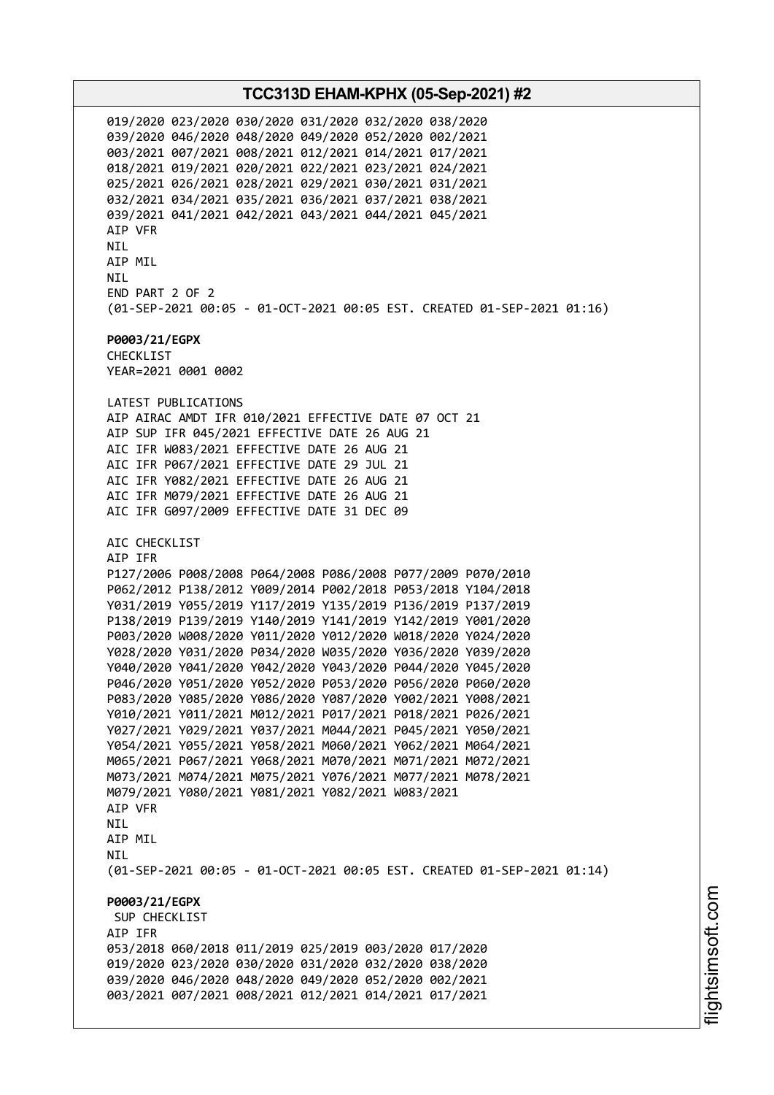019/2020 023/2020 030/2020 031/2020 032/2020 038/2020 039/2020 046/2020 048/2020 049/2020 052/2020 002/2021 003/2021 007/2021 008/2021 012/2021 014/2021 017/2021 018/2021 019/2021 020/2021 022/2021 023/2021 024/2021 025/2021 026/2021 028/2021 029/2021 030/2021 031/2021 032/2021 034/2021 035/2021 036/2021 037/2021 038/2021 039/2021 041/2021 042/2021 043/2021 044/2021 045/2021 AIP VFR NIL AIP MIL NIL END PART 2 OF 2 (01-SEP-2021 00:05 - 01-OCT-2021 00:05 EST. CREATED 01-SEP-2021 01:16) **P0003/21/EGPX** CHECKLIST YEAR=2021 0001 0002 LATEST PUBLICATIONS AIP AIRAC AMDT IFR 010/2021 EFFECTIVE DATE 07 OCT 21 AIP SUP IFR 045/2021 EFFECTIVE DATE 26 AUG 21 AIC IFR W083/2021 EFFECTIVE DATE 26 AUG 21 AIC IFR P067/2021 EFFECTIVE DATE 29 JUL 21 AIC IFR Y082/2021 EFFECTIVE DATE 26 AUG 21 AIC IFR M079/2021 EFFECTIVE DATE 26 AUG 21 AIC IFR G097/2009 EFFECTIVE DATE 31 DEC 09 AIC CHECKLIST AIP IFR P127/2006 P008/2008 P064/2008 P086/2008 P077/2009 P070/2010 P062/2012 P138/2012 Y009/2014 P002/2018 P053/2018 Y104/2018 Y031/2019 Y055/2019 Y117/2019 Y135/2019 P136/2019 P137/2019 P138/2019 P139/2019 Y140/2019 Y141/2019 Y142/2019 Y001/2020 P003/2020 W008/2020 Y011/2020 Y012/2020 W018/2020 Y024/2020 Y028/2020 Y031/2020 P034/2020 W035/2020 Y036/2020 Y039/2020 Y040/2020 Y041/2020 Y042/2020 Y043/2020 P044/2020 Y045/2020 P046/2020 Y051/2020 Y052/2020 P053/2020 P056/2020 P060/2020 P083/2020 Y085/2020 Y086/2020 Y087/2020 Y002/2021 Y008/2021 Y010/2021 Y011/2021 M012/2021 P017/2021 P018/2021 P026/2021 Y027/2021 Y029/2021 Y037/2021 M044/2021 P045/2021 Y050/2021 Y054/2021 Y055/2021 Y058/2021 M060/2021 Y062/2021 M064/2021 M065/2021 P067/2021 Y068/2021 M070/2021 M071/2021 M072/2021 M073/2021 M074/2021 M075/2021 Y076/2021 M077/2021 M078/2021 M079/2021 Y080/2021 Y081/2021 Y082/2021 W083/2021 AIP VFR **NTI** AIP MIL **NTI** (01-SEP-2021 00:05 - 01-OCT-2021 00:05 EST. CREATED 01-SEP-2021 01:14) **P0003/21/EGPX** SUP CHECKLIST AIP IFR 053/2018 060/2018 011/2019 025/2019 003/2020 017/2020 019/2020 023/2020 030/2020 031/2020 032/2020 038/2020 039/2020 046/2020 048/2020 049/2020 052/2020 002/2021 003/2021 007/2021 008/2021 012/2021 014/2021 017/2021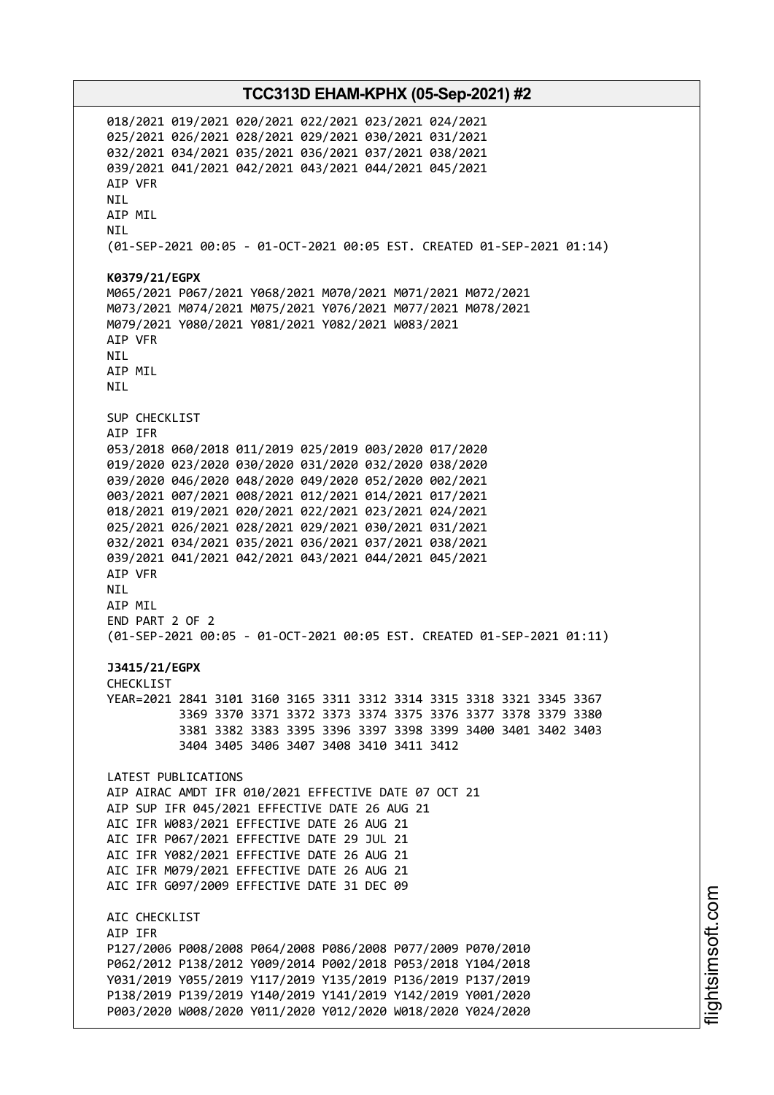018/2021 019/2021 020/2021 022/2021 023/2021 024/2021 025/2021 026/2021 028/2021 029/2021 030/2021 031/2021 032/2021 034/2021 035/2021 036/2021 037/2021 038/2021 039/2021 041/2021 042/2021 043/2021 044/2021 045/2021 AIP VFR NIL AIP MIL NIL (01-SEP-2021 00:05 - 01-OCT-2021 00:05 EST. CREATED 01-SEP-2021 01:14) **K0379/21/EGPX** M065/2021 P067/2021 Y068/2021 M070/2021 M071/2021 M072/2021 M073/2021 M074/2021 M075/2021 Y076/2021 M077/2021 M078/2021 M079/2021 Y080/2021 Y081/2021 Y082/2021 W083/2021 AIP VFR NIL AIP MIL NIL SUP CHECKLIST AIP IFR 053/2018 060/2018 011/2019 025/2019 003/2020 017/2020 019/2020 023/2020 030/2020 031/2020 032/2020 038/2020 039/2020 046/2020 048/2020 049/2020 052/2020 002/2021 003/2021 007/2021 008/2021 012/2021 014/2021 017/2021 018/2021 019/2021 020/2021 022/2021 023/2021 024/2021 025/2021 026/2021 028/2021 029/2021 030/2021 031/2021 032/2021 034/2021 035/2021 036/2021 037/2021 038/2021 039/2021 041/2021 042/2021 043/2021 044/2021 045/2021 AIP VFR NIL AIP MIL END PART 2 OF 2 (01-SEP-2021 00:05 - 01-OCT-2021 00:05 EST. CREATED 01-SEP-2021 01:11) **J3415/21/EGPX** CHECKLIST YEAR=2021 2841 3101 3160 3165 3311 3312 3314 3315 3318 3321 3345 3367 3369 3370 3371 3372 3373 3374 3375 3376 3377 3378 3379 3380 3381 3382 3383 3395 3396 3397 3398 3399 3400 3401 3402 3403 3404 3405 3406 3407 3408 3410 3411 3412 LATEST PUBLICATIONS AIP AIRAC AMDT IFR 010/2021 EFFECTIVE DATE 07 OCT 21 AIP SUP IFR 045/2021 EFFECTIVE DATE 26 AUG 21 AIC IFR W083/2021 EFFECTIVE DATE 26 AUG 21 AIC IFR P067/2021 EFFECTIVE DATE 29 JUL 21 AIC IFR Y082/2021 EFFECTIVE DATE 26 AUG 21 AIC IFR M079/2021 EFFECTIVE DATE 26 AUG 21 AIC IFR G097/2009 EFFECTIVE DATE 31 DEC 09 AIC CHECKLIST AIP IFR P127/2006 P008/2008 P064/2008 P086/2008 P077/2009 P070/2010 P062/2012 P138/2012 Y009/2014 P002/2018 P053/2018 Y104/2018 Y031/2019 Y055/2019 Y117/2019 Y135/2019 P136/2019 P137/2019 P138/2019 P139/2019 Y140/2019 Y141/2019 Y142/2019 Y001/2020 P003/2020 W008/2020 Y011/2020 Y012/2020 W018/2020 Y024/2020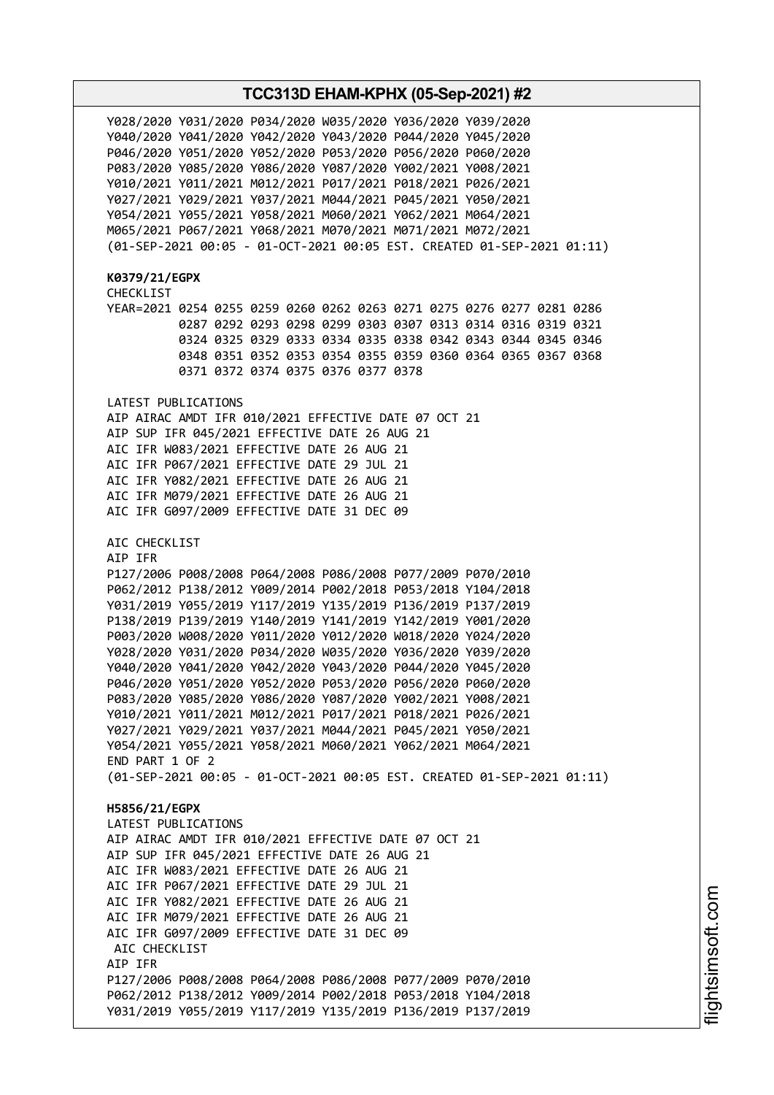Y028/2020 Y031/2020 P034/2020 W035/2020 Y036/2020 Y039/2020 Y040/2020 Y041/2020 Y042/2020 Y043/2020 P044/2020 Y045/2020 P046/2020 Y051/2020 Y052/2020 P053/2020 P056/2020 P060/2020 P083/2020 Y085/2020 Y086/2020 Y087/2020 Y002/2021 Y008/2021 Y010/2021 Y011/2021 M012/2021 P017/2021 P018/2021 P026/2021 Y027/2021 Y029/2021 Y037/2021 M044/2021 P045/2021 Y050/2021 Y054/2021 Y055/2021 Y058/2021 M060/2021 Y062/2021 M064/2021 M065/2021 P067/2021 Y068/2021 M070/2021 M071/2021 M072/2021 (01-SEP-2021 00:05 - 01-OCT-2021 00:05 EST. CREATED 01-SEP-2021 01:11) **K0379/21/EGPX** CHECKLIST YEAR=2021 0254 0255 0259 0260 0262 0263 0271 0275 0276 0277 0281 0286 0287 0292 0293 0298 0299 0303 0307 0313 0314 0316 0319 0321 0324 0325 0329 0333 0334 0335 0338 0342 0343 0344 0345 0346 0348 0351 0352 0353 0354 0355 0359 0360 0364 0365 0367 0368 0371 0372 0374 0375 0376 0377 0378 LATEST PUBLICATIONS AIP AIRAC AMDT IFR 010/2021 EFFECTIVE DATE 07 OCT 21 AIP SUP IFR 045/2021 EFFECTIVE DATE 26 AUG 21 AIC IFR W083/2021 EFFECTIVE DATE 26 AUG 21 AIC IFR P067/2021 EFFECTIVE DATE 29 JUL 21 AIC IFR Y082/2021 EFFECTIVE DATE 26 AUG 21 AIC IFR M079/2021 EFFECTIVE DATE 26 AUG 21 AIC IFR G097/2009 EFFECTIVE DATE 31 DEC 09 AIC CHECKLIST AIP IFR P127/2006 P008/2008 P064/2008 P086/2008 P077/2009 P070/2010 P062/2012 P138/2012 Y009/2014 P002/2018 P053/2018 Y104/2018 Y031/2019 Y055/2019 Y117/2019 Y135/2019 P136/2019 P137/2019 P138/2019 P139/2019 Y140/2019 Y141/2019 Y142/2019 Y001/2020 P003/2020 W008/2020 Y011/2020 Y012/2020 W018/2020 Y024/2020 Y028/2020 Y031/2020 P034/2020 W035/2020 Y036/2020 Y039/2020 Y040/2020 Y041/2020 Y042/2020 Y043/2020 P044/2020 Y045/2020 P046/2020 Y051/2020 Y052/2020 P053/2020 P056/2020 P060/2020 P083/2020 Y085/2020 Y086/2020 Y087/2020 Y002/2021 Y008/2021 Y010/2021 Y011/2021 M012/2021 P017/2021 P018/2021 P026/2021 Y027/2021 Y029/2021 Y037/2021 M044/2021 P045/2021 Y050/2021 Y054/2021 Y055/2021 Y058/2021 M060/2021 Y062/2021 M064/2021 END PART 1 OF 2 (01-SEP-2021 00:05 - 01-OCT-2021 00:05 EST. CREATED 01-SEP-2021 01:11) **H5856/21/EGPX** LATEST PUBLICATIONS AIP AIRAC AMDT IFR 010/2021 EFFECTIVE DATE 07 OCT 21 AIP SUP IFR 045/2021 EFFECTIVE DATE 26 AUG 21 AIC IFR W083/2021 EFFECTIVE DATE 26 AUG 21 AIC IFR P067/2021 EFFECTIVE DATE 29 JUL 21 AIC IFR Y082/2021 EFFECTIVE DATE 26 AUG 21 AIC IFR M079/2021 EFFECTIVE DATE 26 AUG 21 AIC IFR G097/2009 EFFECTIVE DATE 31 DEC 09 ATC CHECKLIST AIP IFR P127/2006 P008/2008 P064/2008 P086/2008 P077/2009 P070/2010 P062/2012 P138/2012 Y009/2014 P002/2018 P053/2018 Y104/2018 Y031/2019 Y055/2019 Y117/2019 Y135/2019 P136/2019 P137/2019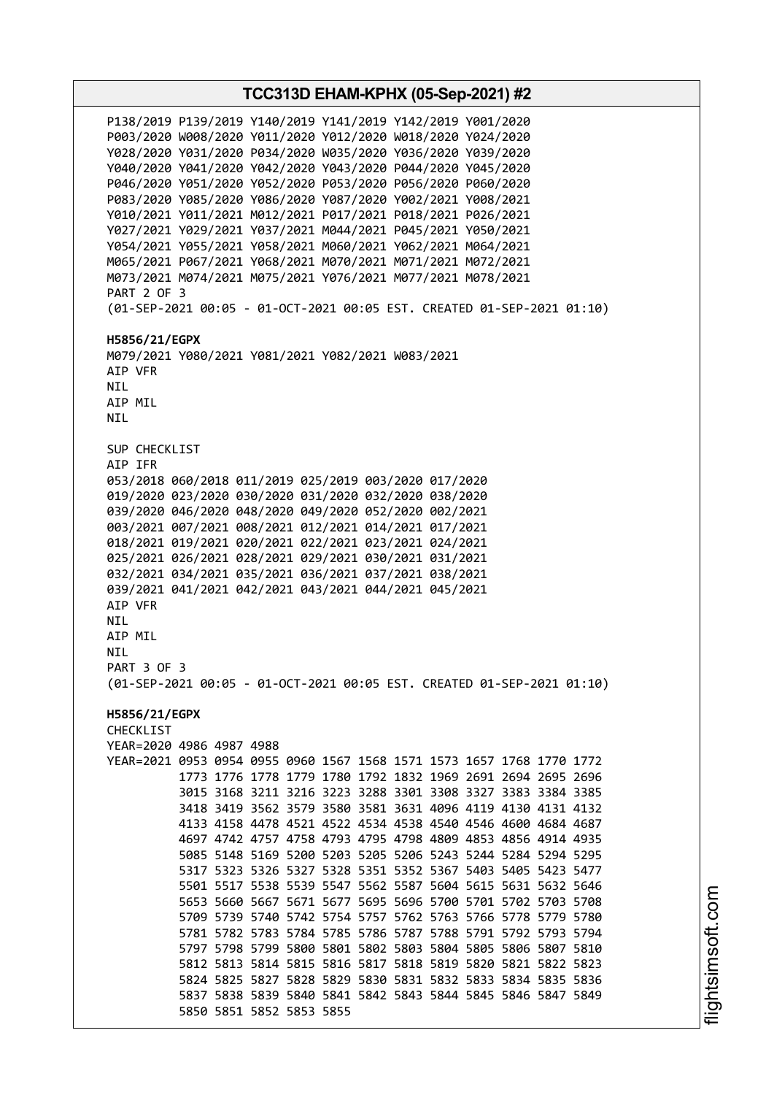**TCC313D EHAM-KPHX (05-Sep-2021) #2** P138/2019 P139/2019 Y140/2019 Y141/2019 Y142/2019 Y001/2020 P003/2020 W008/2020 Y011/2020 Y012/2020 W018/2020 Y024/2020 Y028/2020 Y031/2020 P034/2020 W035/2020 Y036/2020 Y039/2020 Y040/2020 Y041/2020 Y042/2020 Y043/2020 P044/2020 Y045/2020 P046/2020 Y051/2020 Y052/2020 P053/2020 P056/2020 P060/2020 P083/2020 Y085/2020 Y086/2020 Y087/2020 Y002/2021 Y008/2021 Y010/2021 Y011/2021 M012/2021 P017/2021 P018/2021 P026/2021 Y027/2021 Y029/2021 Y037/2021 M044/2021 P045/2021 Y050/2021 Y054/2021 Y055/2021 Y058/2021 M060/2021 Y062/2021 M064/2021 M065/2021 P067/2021 Y068/2021 M070/2021 M071/2021 M072/2021 M073/2021 M074/2021 M075/2021 Y076/2021 M077/2021 M078/2021 PART 2 OF 3 (01-SEP-2021 00:05 - 01-OCT-2021 00:05 EST. CREATED 01-SEP-2021 01:10) **H5856/21/EGPX** M079/2021 Y080/2021 Y081/2021 Y082/2021 W083/2021 AIP VFR NIL AIP MIL **NTI** SUP CHECKLIST AIP IFR 053/2018 060/2018 011/2019 025/2019 003/2020 017/2020 019/2020 023/2020 030/2020 031/2020 032/2020 038/2020 039/2020 046/2020 048/2020 049/2020 052/2020 002/2021 003/2021 007/2021 008/2021 012/2021 014/2021 017/2021 018/2021 019/2021 020/2021 022/2021 023/2021 024/2021 025/2021 026/2021 028/2021 029/2021 030/2021 031/2021 032/2021 034/2021 035/2021 036/2021 037/2021 038/2021 039/2021 041/2021 042/2021 043/2021 044/2021 045/2021 AIP VFR NIL AIP MIL NIL PART 3 OF 3 (01-SEP-2021 00:05 - 01-OCT-2021 00:05 EST. CREATED 01-SEP-2021 01:10) **H5856/21/EGPX** CHECKLIST YEAR=2020 4986 4987 4988 YEAR=2021 0953 0954 0955 0960 1567 1568 1571 1573 1657 1768 1770 1772 1773 1776 1778 1779 1780 1792 1832 1969 2691 2694 2695 2696 3015 3168 3211 3216 3223 3288 3301 3308 3327 3383 3384 3385 3418 3419 3562 3579 3580 3581 3631 4096 4119 4130 4131 4132 4133 4158 4478 4521 4522 4534 4538 4540 4546 4600 4684 4687 4697 4742 4757 4758 4793 4795 4798 4809 4853 4856 4914 4935 5085 5148 5169 5200 5203 5205 5206 5243 5244 5284 5294 5295 5317 5323 5326 5327 5328 5351 5352 5367 5403 5405 5423 5477 5501 5517 5538 5539 5547 5562 5587 5604 5615 5631 5632 5646 5653 5660 5667 5671 5677 5695 5696 5700 5701 5702 5703 5708 5709 5739 5740 5742 5754 5757 5762 5763 5766 5778 5779 5780 5781 5782 5783 5784 5785 5786 5787 5788 5791 5792 5793 5794 5797 5798 5799 5800 5801 5802 5803 5804 5805 5806 5807 5810 5812 5813 5814 5815 5816 5817 5818 5819 5820 5821 5822 5823 5824 5825 5827 5828 5829 5830 5831 5832 5833 5834 5835 5836 5837 5838 5839 5840 5841 5842 5843 5844 5845 5846 5847 5849 5850 5851 5852 5853 5855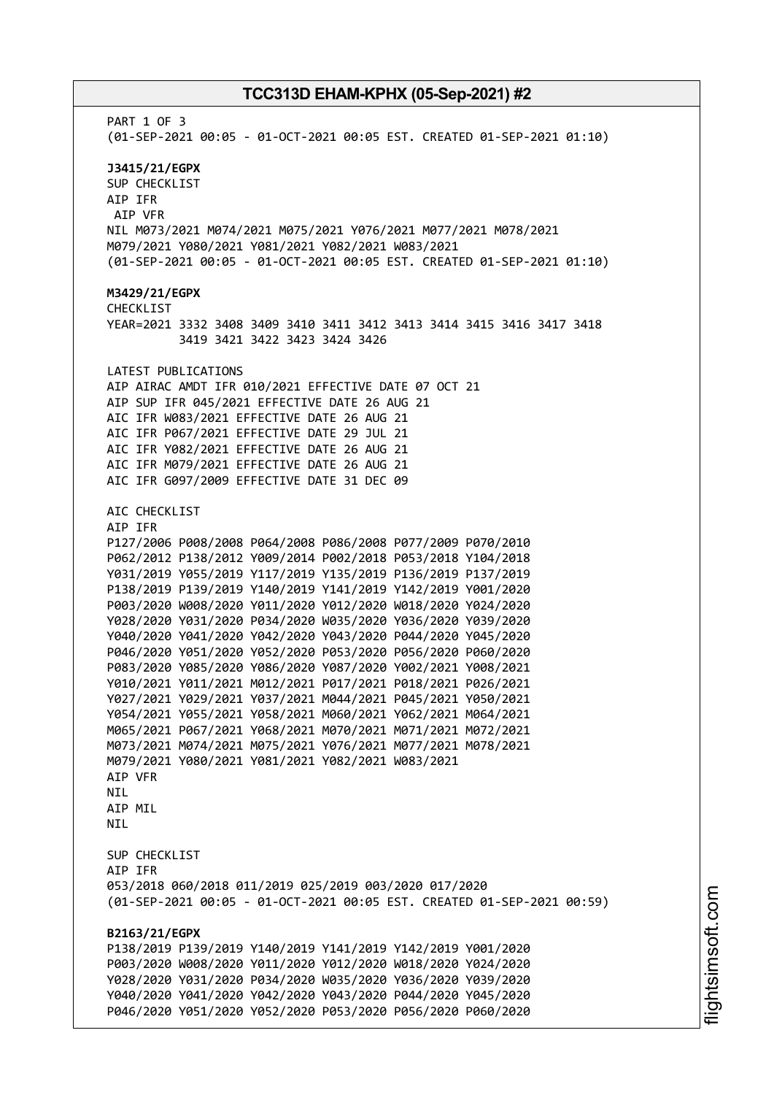PART 1 OF 3 (01-SEP-2021 00:05 - 01-OCT-2021 00:05 EST. CREATED 01-SEP-2021 01:10) **J3415/21/EGPX** SUP CHECKLIST AIP IFR AIP VFR NIL M073/2021 M074/2021 M075/2021 Y076/2021 M077/2021 M078/2021 M079/2021 Y080/2021 Y081/2021 Y082/2021 W083/2021 (01-SEP-2021 00:05 - 01-OCT-2021 00:05 EST. CREATED 01-SEP-2021 01:10) **M3429/21/EGPX** CHECKLIST YEAR=2021 3332 3408 3409 3410 3411 3412 3413 3414 3415 3416 3417 3418 3419 3421 3422 3423 3424 3426 LATEST PUBLICATIONS AIP AIRAC AMDT IFR 010/2021 EFFECTIVE DATE 07 OCT 21 AIP SUP IFR 045/2021 EFFECTIVE DATE 26 AUG 21 AIC IFR W083/2021 EFFECTIVE DATE 26 AUG 21 AIC IFR P067/2021 EFFECTIVE DATE 29 JUL 21 AIC IFR Y082/2021 EFFECTIVE DATE 26 AUG 21 AIC IFR M079/2021 EFFECTIVE DATE 26 AUG 21 AIC IFR G097/2009 EFFECTIVE DATE 31 DEC 09 AIC CHECKLIST AIP IFR P127/2006 P008/2008 P064/2008 P086/2008 P077/2009 P070/2010 P062/2012 P138/2012 Y009/2014 P002/2018 P053/2018 Y104/2018 Y031/2019 Y055/2019 Y117/2019 Y135/2019 P136/2019 P137/2019 P138/2019 P139/2019 Y140/2019 Y141/2019 Y142/2019 Y001/2020 P003/2020 W008/2020 Y011/2020 Y012/2020 W018/2020 Y024/2020 Y028/2020 Y031/2020 P034/2020 W035/2020 Y036/2020 Y039/2020 Y040/2020 Y041/2020 Y042/2020 Y043/2020 P044/2020 Y045/2020 P046/2020 Y051/2020 Y052/2020 P053/2020 P056/2020 P060/2020 P083/2020 Y085/2020 Y086/2020 Y087/2020 Y002/2021 Y008/2021 Y010/2021 Y011/2021 M012/2021 P017/2021 P018/2021 P026/2021 Y027/2021 Y029/2021 Y037/2021 M044/2021 P045/2021 Y050/2021 Y054/2021 Y055/2021 Y058/2021 M060/2021 Y062/2021 M064/2021 M065/2021 P067/2021 Y068/2021 M070/2021 M071/2021 M072/2021 M073/2021 M074/2021 M075/2021 Y076/2021 M077/2021 M078/2021 M079/2021 Y080/2021 Y081/2021 Y082/2021 W083/2021 AIP VFR NIL AIP MIL **NTL** SUP CHECKLIST AIP IFR 053/2018 060/2018 011/2019 025/2019 003/2020 017/2020 (01-SEP-2021 00:05 - 01-OCT-2021 00:05 EST. CREATED 01-SEP-2021 00:59) **B2163/21/EGPX** P138/2019 P139/2019 Y140/2019 Y141/2019 Y142/2019 Y001/2020 P003/2020 W008/2020 Y011/2020 Y012/2020 W018/2020 Y024/2020 Y028/2020 Y031/2020 P034/2020 W035/2020 Y036/2020 Y039/2020 Y040/2020 Y041/2020 Y042/2020 Y043/2020 P044/2020 Y045/2020 P046/2020 Y051/2020 Y052/2020 P053/2020 P056/2020 P060/2020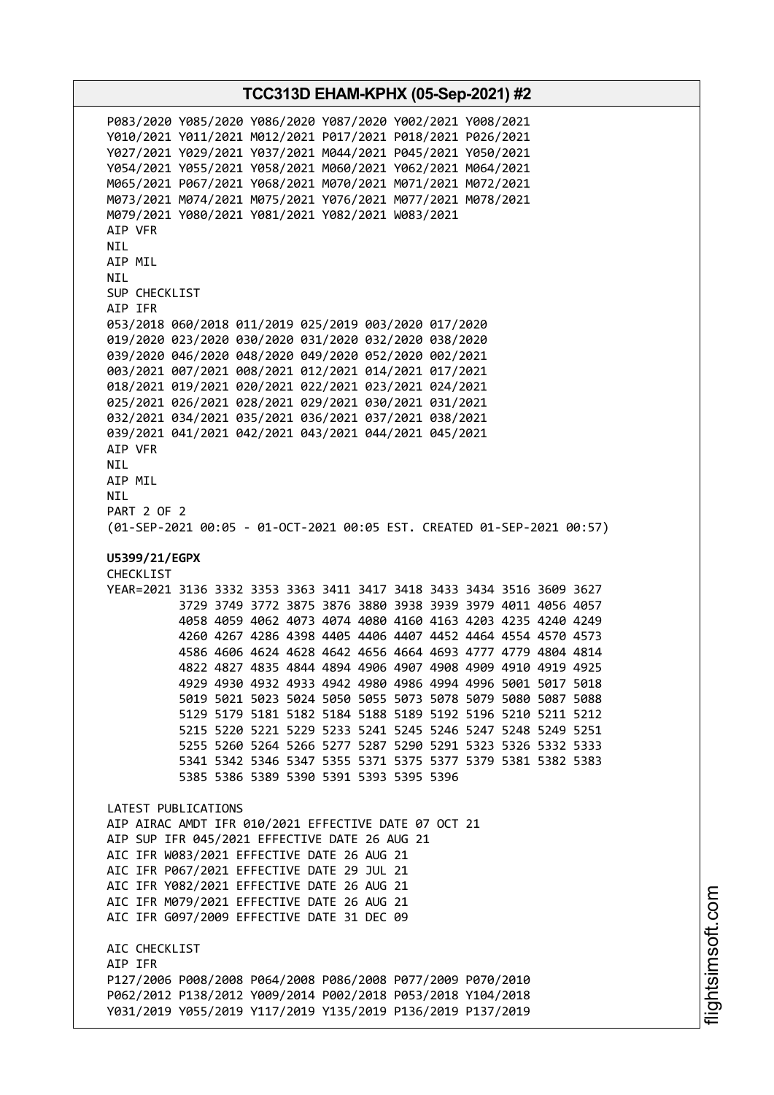P083/2020 Y085/2020 Y086/2020 Y087/2020 Y002/2021 Y008/2021 Y010/2021 Y011/2021 M012/2021 P017/2021 P018/2021 P026/2021 Y027/2021 Y029/2021 Y037/2021 M044/2021 P045/2021 Y050/2021 Y054/2021 Y055/2021 Y058/2021 M060/2021 Y062/2021 M064/2021 M065/2021 P067/2021 Y068/2021 M070/2021 M071/2021 M072/2021 M073/2021 M074/2021 M075/2021 Y076/2021 M077/2021 M078/2021 M079/2021 Y080/2021 Y081/2021 Y082/2021 W083/2021 AIP VFR NIL AIP MIL NIL SUP CHECKLIST AIP IFR 053/2018 060/2018 011/2019 025/2019 003/2020 017/2020 019/2020 023/2020 030/2020 031/2020 032/2020 038/2020 039/2020 046/2020 048/2020 049/2020 052/2020 002/2021 003/2021 007/2021 008/2021 012/2021 014/2021 017/2021 018/2021 019/2021 020/2021 022/2021 023/2021 024/2021 025/2021 026/2021 028/2021 029/2021 030/2021 031/2021 032/2021 034/2021 035/2021 036/2021 037/2021 038/2021 039/2021 041/2021 042/2021 043/2021 044/2021 045/2021 AIP VFR NIL AIP MIL NIL PART 2 OF 2 (01-SEP-2021 00:05 - 01-OCT-2021 00:05 EST. CREATED 01-SEP-2021 00:57) **U5399/21/EGPX** CHECKLIST YEAR=2021 3136 3332 3353 3363 3411 3417 3418 3433 3434 3516 3609 3627 3729 3749 3772 3875 3876 3880 3938 3939 3979 4011 4056 4057 4058 4059 4062 4073 4074 4080 4160 4163 4203 4235 4240 4249 4260 4267 4286 4398 4405 4406 4407 4452 4464 4554 4570 4573 4586 4606 4624 4628 4642 4656 4664 4693 4777 4779 4804 4814 4822 4827 4835 4844 4894 4906 4907 4908 4909 4910 4919 4925 4929 4930 4932 4933 4942 4980 4986 4994 4996 5001 5017 5018 5019 5021 5023 5024 5050 5055 5073 5078 5079 5080 5087 5088 5129 5179 5181 5182 5184 5188 5189 5192 5196 5210 5211 5212 5215 5220 5221 5229 5233 5241 5245 5246 5247 5248 5249 5251 5255 5260 5264 5266 5277 5287 5290 5291 5323 5326 5332 5333 5341 5342 5346 5347 5355 5371 5375 5377 5379 5381 5382 5383 5385 5386 5389 5390 5391 5393 5395 5396 LATEST PUBLICATIONS AIP AIRAC AMDT IFR 010/2021 EFFECTIVE DATE 07 OCT 21 AIP SUP IFR 045/2021 EFFECTIVE DATE 26 AUG 21 AIC IFR W083/2021 EFFECTIVE DATE 26 AUG 21 AIC IFR P067/2021 EFFECTIVE DATE 29 JUL 21 AIC IFR Y082/2021 EFFECTIVE DATE 26 AUG 21 AIC IFR M079/2021 EFFECTIVE DATE 26 AUG 21 AIC IFR G097/2009 EFFECTIVE DATE 31 DEC 09 ATC CHECKLIST AIP IFR P127/2006 P008/2008 P064/2008 P086/2008 P077/2009 P070/2010 P062/2012 P138/2012 Y009/2014 P002/2018 P053/2018 Y104/2018 Y031/2019 Y055/2019 Y117/2019 Y135/2019 P136/2019 P137/2019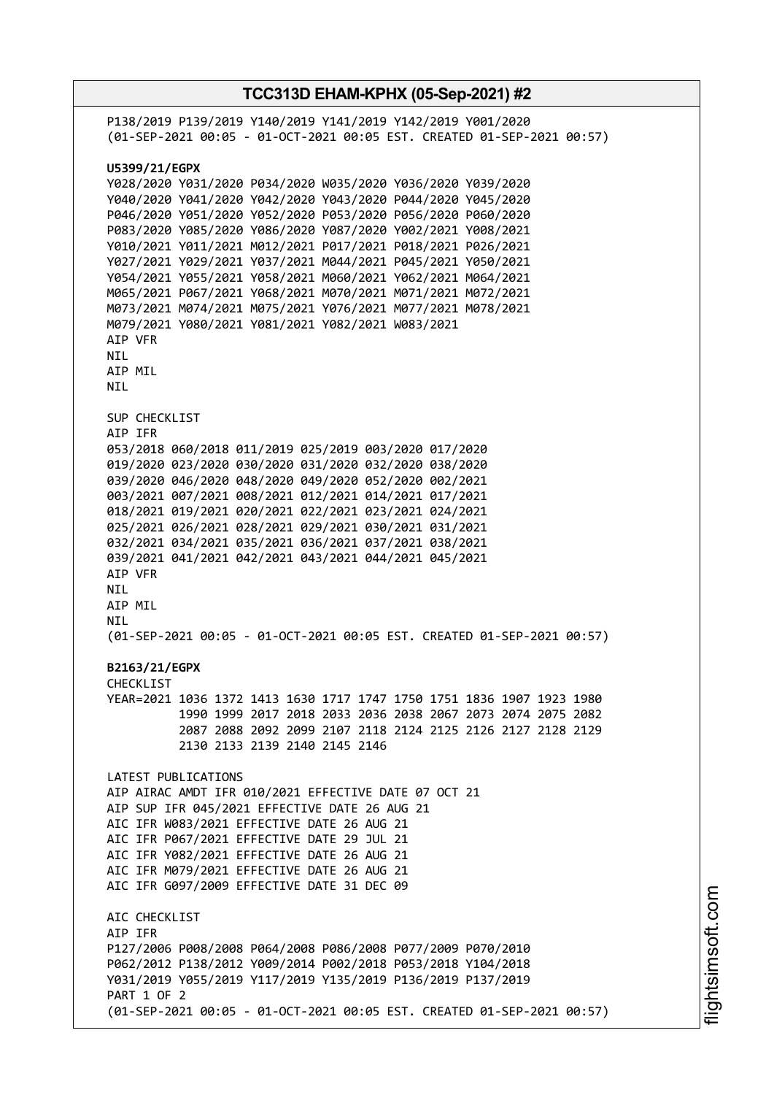| P138/2019 P139/2019 Y140/2019 Y141/2019 Y142/2019 Y001/2020<br>(01-SEP-2021 00:05 - 01-OCT-2021 00:05 EST. CREATED 01-SEP-2021 00:57)                                                                                                                                                                                                                                                                                                                                                                                                                                                                                                                                                                |  |  |  |
|------------------------------------------------------------------------------------------------------------------------------------------------------------------------------------------------------------------------------------------------------------------------------------------------------------------------------------------------------------------------------------------------------------------------------------------------------------------------------------------------------------------------------------------------------------------------------------------------------------------------------------------------------------------------------------------------------|--|--|--|
| U5399/21/EGPX<br>Y028/2020 Y031/2020 P034/2020 W035/2020 Y036/2020 Y039/2020<br>Y040/2020 Y041/2020 Y042/2020 Y043/2020 P044/2020 Y045/2020<br>P046/2020 Y051/2020 Y052/2020 P053/2020 P056/2020 P060/2020<br>P083/2020 Y085/2020 Y086/2020 Y087/2020 Y002/2021 Y008/2021<br>Y010/2021 Y011/2021 M012/2021 P017/2021 P018/2021 P026/2021<br>Y027/2021 Y029/2021 Y037/2021 M044/2021 P045/2021 Y050/2021<br>Y054/2021 Y055/2021 Y058/2021 M060/2021 Y062/2021 M064/2021<br>M065/2021 P067/2021 Y068/2021 M070/2021 M071/2021 M072/2021<br>M073/2021 M074/2021 M075/2021 Y076/2021 M077/2021 M078/2021<br>M079/2021 Y080/2021 Y081/2021 Y082/2021 W083/2021<br>AIP VFR<br>NIL<br>AIP MIL<br><b>NIL</b> |  |  |  |
| SUP CHECKLIST<br>AIP IFR<br>053/2018 060/2018 011/2019 025/2019 003/2020 017/2020<br>019/2020 023/2020 030/2020 031/2020 032/2020 038/2020<br>039/2020 046/2020 048/2020 049/2020 052/2020 002/2021<br>003/2021 007/2021 008/2021 012/2021 014/2021 017/2021<br>018/2021 019/2021 020/2021 022/2021 023/2021 024/2021<br>025/2021 026/2021 028/2021 029/2021 030/2021 031/2021<br>032/2021 034/2021 035/2021 036/2021 037/2021 038/2021<br>039/2021 041/2021 042/2021 043/2021 044/2021 045/2021<br>AIP VFR<br><b>NIL</b><br>AIP MIL<br>NIL<br>(01-SEP-2021 00:05 - 01-OCT-2021 00:05 EST. CREATED 01-SEP-2021 00:57)                                                                                |  |  |  |
| B2163/21/EGPX<br><b>CHECKLIST</b><br>YEAR=2021 1036 1372 1413 1630 1717 1747 1750 1751 1836 1907 1923 1980<br>1990 1999 2017 2018 2033 2036 2038 2067 2073 2074 2075 2082<br>2087 2088 2092 2099 2107 2118 2124 2125 2126 2127 2128 2129                                                                                                                                                                                                                                                                                                                                                                                                                                                             |  |  |  |
| 2130 2133 2139 2140 2145 2146<br>LATEST PUBLICATIONS<br>AIP AIRAC AMDT IFR 010/2021 EFFECTIVE DATE 07 OCT 21<br>AIP SUP IFR 045/2021 EFFECTIVE DATE 26 AUG 21<br>AIC IFR W083/2021 EFFECTIVE DATE 26 AUG 21<br>AIC IFR P067/2021 EFFECTIVE DATE 29 JUL 21<br>AIC IFR Y082/2021 EFFECTIVE DATE 26 AUG 21<br>AIC IFR M079/2021 EFFECTIVE DATE 26 AUG 21<br>AIC IFR G097/2009 EFFECTIVE DATE 31 DEC 09                                                                                                                                                                                                                                                                                                  |  |  |  |
| AIC CHECKLIST<br>AIP IFR<br>P127/2006 P008/2008 P064/2008 P086/2008 P077/2009 P070/2010<br>P062/2012 P138/2012 Y009/2014 P002/2018 P053/2018 Y104/2018<br>Y031/2019 Y055/2019 Y117/2019 Y135/2019 P136/2019 P137/2019<br>PART 1 OF 2<br>(01-SEP-2021 00:05 - 01-OCT-2021 00:05 EST. CREATED 01-SEP-2021 00:57)                                                                                                                                                                                                                                                                                                                                                                                       |  |  |  |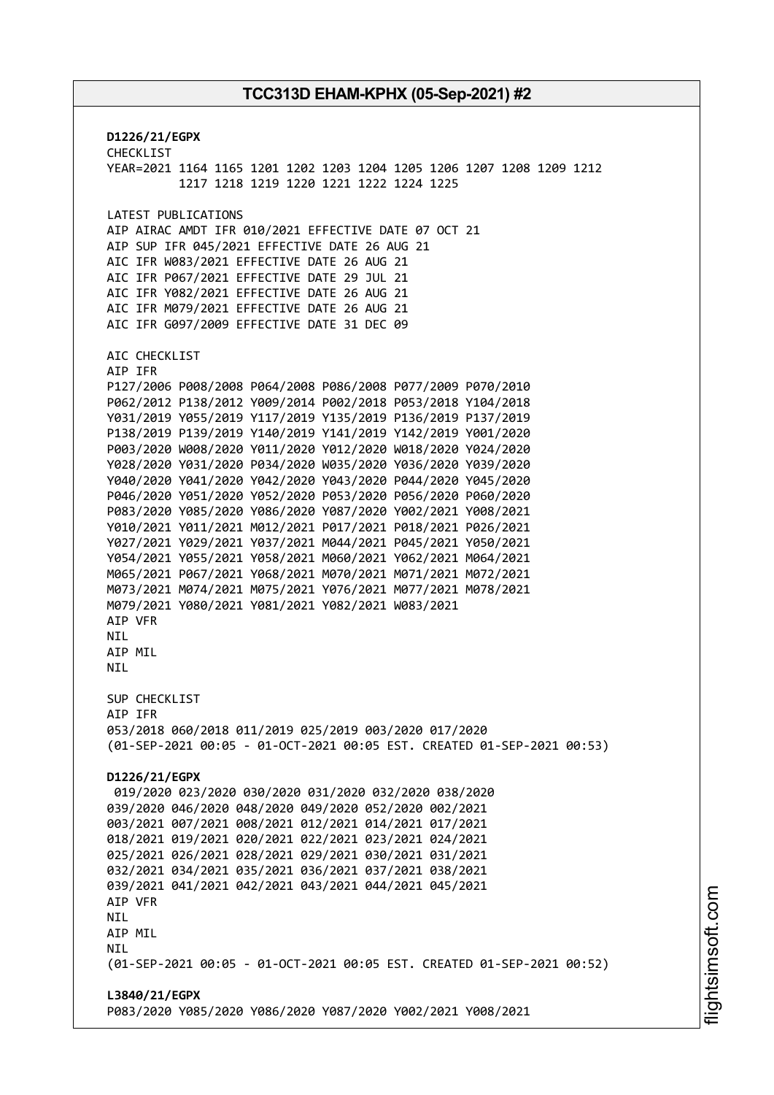**D1226/21/EGPX** CHECKLIST YEAR=2021 1164 1165 1201 1202 1203 1204 1205 1206 1207 1208 1209 1212 1217 1218 1219 1220 1221 1222 1224 1225 LATEST PUBLICATIONS AIP AIRAC AMDT IFR 010/2021 EFFECTIVE DATE 07 OCT 21 AIP SUP IFR 045/2021 EFFECTIVE DATE 26 AUG 21 AIC IFR W083/2021 EFFECTIVE DATE 26 AUG 21 AIC IFR P067/2021 EFFECTIVE DATE 29 JUL 21 AIC IFR Y082/2021 EFFECTIVE DATE 26 AUG 21 AIC IFR M079/2021 EFFECTIVE DATE 26 AUG 21 AIC IFR G097/2009 EFFECTIVE DATE 31 DEC 09 AIC CHECKLIST AIP IFR P127/2006 P008/2008 P064/2008 P086/2008 P077/2009 P070/2010 P062/2012 P138/2012 Y009/2014 P002/2018 P053/2018 Y104/2018 Y031/2019 Y055/2019 Y117/2019 Y135/2019 P136/2019 P137/2019 P138/2019 P139/2019 Y140/2019 Y141/2019 Y142/2019 Y001/2020 P003/2020 W008/2020 Y011/2020 Y012/2020 W018/2020 Y024/2020 Y028/2020 Y031/2020 P034/2020 W035/2020 Y036/2020 Y039/2020 Y040/2020 Y041/2020 Y042/2020 Y043/2020 P044/2020 Y045/2020 P046/2020 Y051/2020 Y052/2020 P053/2020 P056/2020 P060/2020 P083/2020 Y085/2020 Y086/2020 Y087/2020 Y002/2021 Y008/2021 Y010/2021 Y011/2021 M012/2021 P017/2021 P018/2021 P026/2021 Y027/2021 Y029/2021 Y037/2021 M044/2021 P045/2021 Y050/2021 Y054/2021 Y055/2021 Y058/2021 M060/2021 Y062/2021 M064/2021 M065/2021 P067/2021 Y068/2021 M070/2021 M071/2021 M072/2021 M073/2021 M074/2021 M075/2021 Y076/2021 M077/2021 M078/2021 M079/2021 Y080/2021 Y081/2021 Y082/2021 W083/2021 AIP VFR **NTI** AIP MIL **NTI** SUP CHECKLIST AIP IFR 053/2018 060/2018 011/2019 025/2019 003/2020 017/2020 (01-SEP-2021 00:05 - 01-OCT-2021 00:05 EST. CREATED 01-SEP-2021 00:53) **D1226/21/EGPX** 019/2020 023/2020 030/2020 031/2020 032/2020 038/2020 039/2020 046/2020 048/2020 049/2020 052/2020 002/2021 003/2021 007/2021 008/2021 012/2021 014/2021 017/2021 018/2021 019/2021 020/2021 022/2021 023/2021 024/2021 025/2021 026/2021 028/2021 029/2021 030/2021 031/2021 032/2021 034/2021 035/2021 036/2021 037/2021 038/2021 039/2021 041/2021 042/2021 043/2021 044/2021 045/2021 AIP VFR NIL AIP MIL **NTL** (01-SEP-2021 00:05 - 01-OCT-2021 00:05 EST. CREATED 01-SEP-2021 00:52) **L3840/21/EGPX** P083/2020 Y085/2020 Y086/2020 Y087/2020 Y002/2021 Y008/2021

m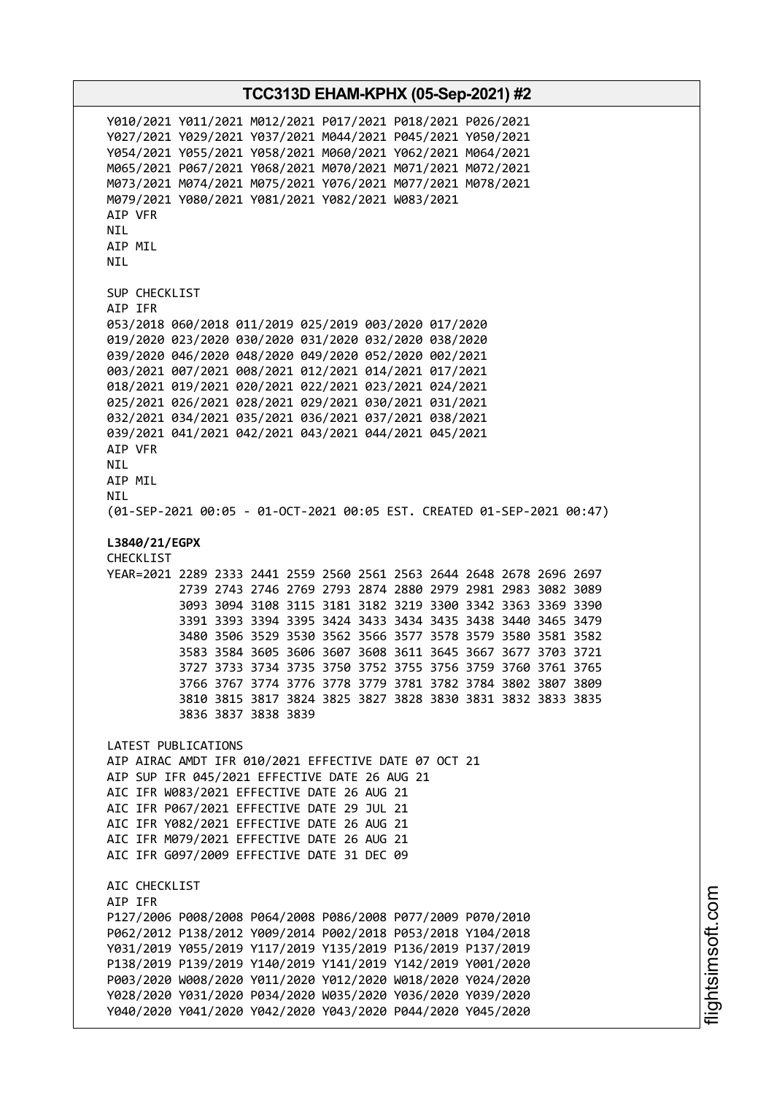Y010/2021 Y011/2021 M012/2021 P017/2021 P018/2021 P026/2021 Y027/2021 Y029/2021 Y037/2021 M044/2021 P045/2021 Y050/2021 Y054/2021 Y055/2021 Y058/2021 M060/2021 Y062/2021 M064/2021 M065/2021 P067/2021 Y068/2021 M070/2021 M071/2021 M072/2021 M073/2021 M074/2021 M075/2021 Y076/2021 M077/2021 M078/2021 M079/2021 Y080/2021 Y081/2021 Y082/2021 W083/2021 AIP VFR NIL AIP MIL NIL SUP CHECKLIST AIP IFR 053/2018 060/2018 011/2019 025/2019 003/2020 017/2020 019/2020 023/2020 030/2020 031/2020 032/2020 038/2020 039/2020 046/2020 048/2020 049/2020 052/2020 002/2021 003/2021 007/2021 008/2021 012/2021 014/2021 017/2021 018/2021 019/2021 020/2021 022/2021 023/2021 024/2021 025/2021 026/2021 028/2021 029/2021 030/2021 031/2021 032/2021 034/2021 035/2021 036/2021 037/2021 038/2021 039/2021 041/2021 042/2021 043/2021 044/2021 045/2021 AIP VFR NIL AIP MIL NIL (01-SEP-2021 00:05 - 01-OCT-2021 00:05 EST. CREATED 01-SEP-2021 00:47) **L3840/21/EGPX** CHECKLIST YEAR=2021 2289 2333 2441 2559 2560 2561 2563 2644 2648 2678 2696 2697 2739 2743 2746 2769 2793 2874 2880 2979 2981 2983 3082 3089 3093 3094 3108 3115 3181 3182 3219 3300 3342 3363 3369 3390 3391 3393 3394 3395 3424 3433 3434 3435 3438 3440 3465 3479 3480 3506 3529 3530 3562 3566 3577 3578 3579 3580 3581 3582 3583 3584 3605 3606 3607 3608 3611 3645 3667 3677 3703 3721 3727 3733 3734 3735 3750 3752 3755 3756 3759 3760 3761 3765 3766 3767 3774 3776 3778 3779 3781 3782 3784 3802 3807 3809 3810 3815 3817 3824 3825 3827 3828 3830 3831 3832 3833 3835 3836 3837 3838 3839 LATEST PUBLICATIONS AIP AIRAC AMDT IFR 010/2021 EFFECTIVE DATE 07 OCT 21 AIP SUP IFR 045/2021 EFFECTIVE DATE 26 AUG 21 AIC IFR W083/2021 EFFECTIVE DATE 26 AUG 21 AIC IFR P067/2021 EFFECTIVE DATE 29 JUL 21 AIC IFR Y082/2021 EFFECTIVE DATE 26 AUG 21 AIC IFR M079/2021 EFFECTIVE DATE 26 AUG 21 AIC IFR G097/2009 EFFECTIVE DATE 31 DEC 09 AIC CHECKLIST AIP IFR P127/2006 P008/2008 P064/2008 P086/2008 P077/2009 P070/2010 P062/2012 P138/2012 Y009/2014 P002/2018 P053/2018 Y104/2018 Y031/2019 Y055/2019 Y117/2019 Y135/2019 P136/2019 P137/2019 P138/2019 P139/2019 Y140/2019 Y141/2019 Y142/2019 Y001/2020 P003/2020 W008/2020 Y011/2020 Y012/2020 W018/2020 Y024/2020 Y028/2020 Y031/2020 P034/2020 W035/2020 Y036/2020 Y039/2020 Y040/2020 Y041/2020 Y042/2020 Y043/2020 P044/2020 Y045/2020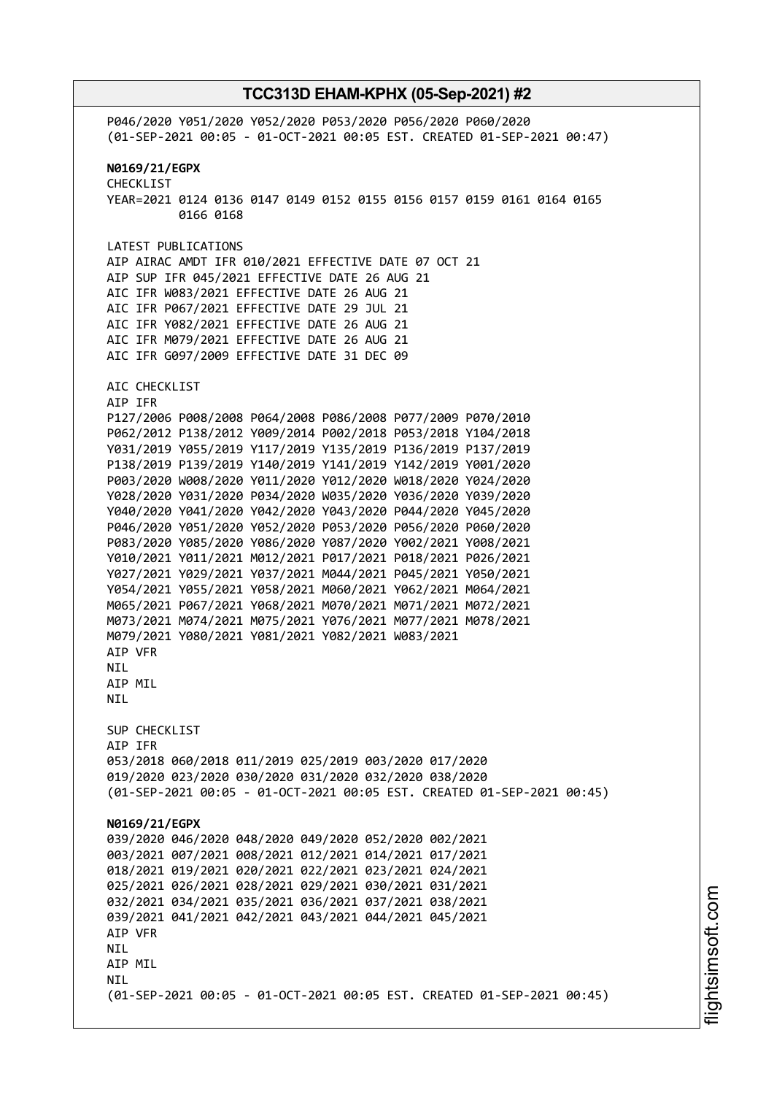P046/2020 Y051/2020 Y052/2020 P053/2020 P056/2020 P060/2020 (01-SEP-2021 00:05 - 01-OCT-2021 00:05 EST. CREATED 01-SEP-2021 00:47) **N0169/21/EGPX** CHECKLIST YEAR=2021 0124 0136 0147 0149 0152 0155 0156 0157 0159 0161 0164 0165 0166 0168 LATEST PUBLICATIONS AIP AIRAC AMDT IFR 010/2021 EFFECTIVE DATE 07 OCT 21 AIP SUP IFR 045/2021 EFFECTIVE DATE 26 AUG 21 AIC IFR W083/2021 EFFECTIVE DATE 26 AUG 21 AIC IFR P067/2021 EFFECTIVE DATE 29 JUL 21 AIC IFR Y082/2021 EFFECTIVE DATE 26 AUG 21 AIC IFR M079/2021 EFFECTIVE DATE 26 AUG 21 AIC IFR G097/2009 EFFECTIVE DATE 31 DEC 09 AIC CHECKLIST AIP IFR P127/2006 P008/2008 P064/2008 P086/2008 P077/2009 P070/2010 P062/2012 P138/2012 Y009/2014 P002/2018 P053/2018 Y104/2018 Y031/2019 Y055/2019 Y117/2019 Y135/2019 P136/2019 P137/2019 P138/2019 P139/2019 Y140/2019 Y141/2019 Y142/2019 Y001/2020 P003/2020 W008/2020 Y011/2020 Y012/2020 W018/2020 Y024/2020 Y028/2020 Y031/2020 P034/2020 W035/2020 Y036/2020 Y039/2020 Y040/2020 Y041/2020 Y042/2020 Y043/2020 P044/2020 Y045/2020 P046/2020 Y051/2020 Y052/2020 P053/2020 P056/2020 P060/2020 P083/2020 Y085/2020 Y086/2020 Y087/2020 Y002/2021 Y008/2021 Y010/2021 Y011/2021 M012/2021 P017/2021 P018/2021 P026/2021 Y027/2021 Y029/2021 Y037/2021 M044/2021 P045/2021 Y050/2021 Y054/2021 Y055/2021 Y058/2021 M060/2021 Y062/2021 M064/2021 M065/2021 P067/2021 Y068/2021 M070/2021 M071/2021 M072/2021 M073/2021 M074/2021 M075/2021 Y076/2021 M077/2021 M078/2021 M079/2021 Y080/2021 Y081/2021 Y082/2021 W083/2021 AIP VFR **NTL** AIP MIL NIL SUP CHECKLIST AIP IFR 053/2018 060/2018 011/2019 025/2019 003/2020 017/2020 019/2020 023/2020 030/2020 031/2020 032/2020 038/2020 (01-SEP-2021 00:05 - 01-OCT-2021 00:05 EST. CREATED 01-SEP-2021 00:45) **N0169/21/EGPX** 039/2020 046/2020 048/2020 049/2020 052/2020 002/2021 003/2021 007/2021 008/2021 012/2021 014/2021 017/2021 018/2021 019/2021 020/2021 022/2021 023/2021 024/2021 025/2021 026/2021 028/2021 029/2021 030/2021 031/2021 032/2021 034/2021 035/2021 036/2021 037/2021 038/2021 039/2021 041/2021 042/2021 043/2021 044/2021 045/2021 AIP VFR **NTL** AIP MIL **NTI** (01-SEP-2021 00:05 - 01-OCT-2021 00:05 EST. CREATED 01-SEP-2021 00:45)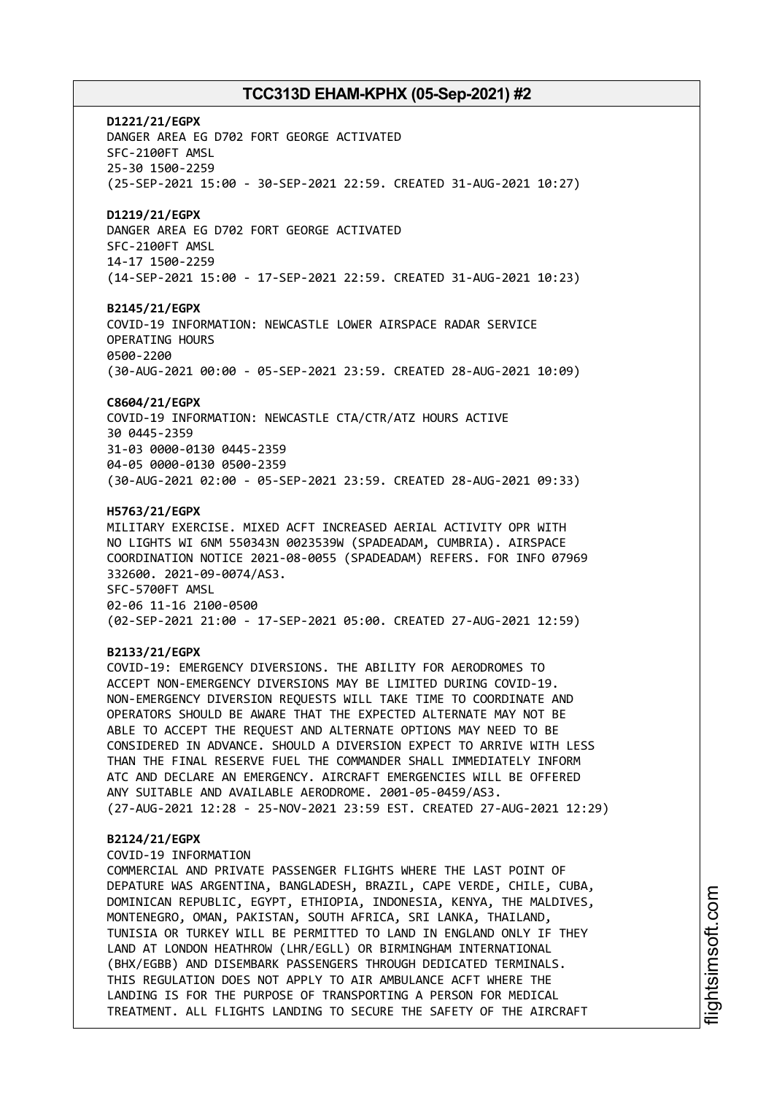**D1221/21/EGPX** DANGER AREA EG D702 FORT GEORGE ACTIVATED SFC-2100FT AMSL 25-30 1500-2259 (25-SEP-2021 15:00 - 30-SEP-2021 22:59. CREATED 31-AUG-2021 10:27) **D1219/21/EGPX** DANGER AREA EG D702 FORT GEORGE ACTIVATED SFC-2100FT AMSL 14-17 1500-2259 (14-SEP-2021 15:00 - 17-SEP-2021 22:59. CREATED 31-AUG-2021 10:23) **B2145/21/EGPX** COVID-19 INFORMATION: NEWCASTLE LOWER AIRSPACE RADAR SERVICE OPERATING HOURS 0500-2200 (30-AUG-2021 00:00 - 05-SEP-2021 23:59. CREATED 28-AUG-2021 10:09) **C8604/21/EGPX** COVID-19 INFORMATION: NEWCASTLE CTA/CTR/ATZ HOURS ACTIVE 30 0445-2359 31-03 0000-0130 0445-2359

04-05 0000-0130 0500-2359

(30-AUG-2021 02:00 - 05-SEP-2021 23:59. CREATED 28-AUG-2021 09:33)

#### **H5763/21/EGPX**

MILITARY EXERCISE. MIXED ACFT INCREASED AERIAL ACTIVITY OPR WITH NO LIGHTS WI 6NM 550343N 0023539W (SPADEADAM, CUMBRIA). AIRSPACE COORDINATION NOTICE 2021-08-0055 (SPADEADAM) REFERS. FOR INFO 07969 332600. 2021-09-0074/AS3. SFC-5700FT AMSL 02-06 11-16 2100-0500 (02-SEP-2021 21:00 - 17-SEP-2021 05:00. CREATED 27-AUG-2021 12:59)

#### **B2133/21/EGPX**

COVID-19: EMERGENCY DIVERSIONS. THE ABILITY FOR AERODROMES TO ACCEPT NON-EMERGENCY DIVERSIONS MAY BE LIMITED DURING COVID-19. NON-EMERGENCY DIVERSION REQUESTS WILL TAKE TIME TO COORDINATE AND OPERATORS SHOULD BE AWARE THAT THE EXPECTED ALTERNATE MAY NOT BE ABLE TO ACCEPT THE REQUEST AND ALTERNATE OPTIONS MAY NEED TO BE CONSIDERED IN ADVANCE. SHOULD A DIVERSION EXPECT TO ARRIVE WITH LESS THAN THE FINAL RESERVE FUEL THE COMMANDER SHALL IMMEDIATELY INFORM ATC AND DECLARE AN EMERGENCY. AIRCRAFT EMERGENCIES WILL BE OFFERED ANY SUITABLE AND AVAILABLE AERODROME. 2001-05-0459/AS3. (27-AUG-2021 12:28 - 25-NOV-2021 23:59 EST. CREATED 27-AUG-2021 12:29)

#### **B2124/21/EGPX**

COVID-19 INFORMATION

COMMERCIAL AND PRIVATE PASSENGER FLIGHTS WHERE THE LAST POINT OF DEPATURE WAS ARGENTINA, BANGLADESH, BRAZIL, CAPE VERDE, CHILE, CUBA, DOMINICAN REPUBLIC, EGYPT, ETHIOPIA, INDONESIA, KENYA, THE MALDIVES, MONTENEGRO, OMAN, PAKISTAN, SOUTH AFRICA, SRI LANKA, THAILAND, TUNISIA OR TURKEY WILL BE PERMITTED TO LAND IN ENGLAND ONLY IF THEY LAND AT LONDON HEATHROW (LHR/EGLL) OR BIRMINGHAM INTERNATIONAL (BHX/EGBB) AND DISEMBARK PASSENGERS THROUGH DEDICATED TERMINALS. THIS REGULATION DOES NOT APPLY TO AIR AMBULANCE ACFT WHERE THE LANDING IS FOR THE PURPOSE OF TRANSPORTING A PERSON FOR MEDICAL TREATMENT. ALL FLIGHTS LANDING TO SECURE THE SAFETY OF THE AIRCRAFT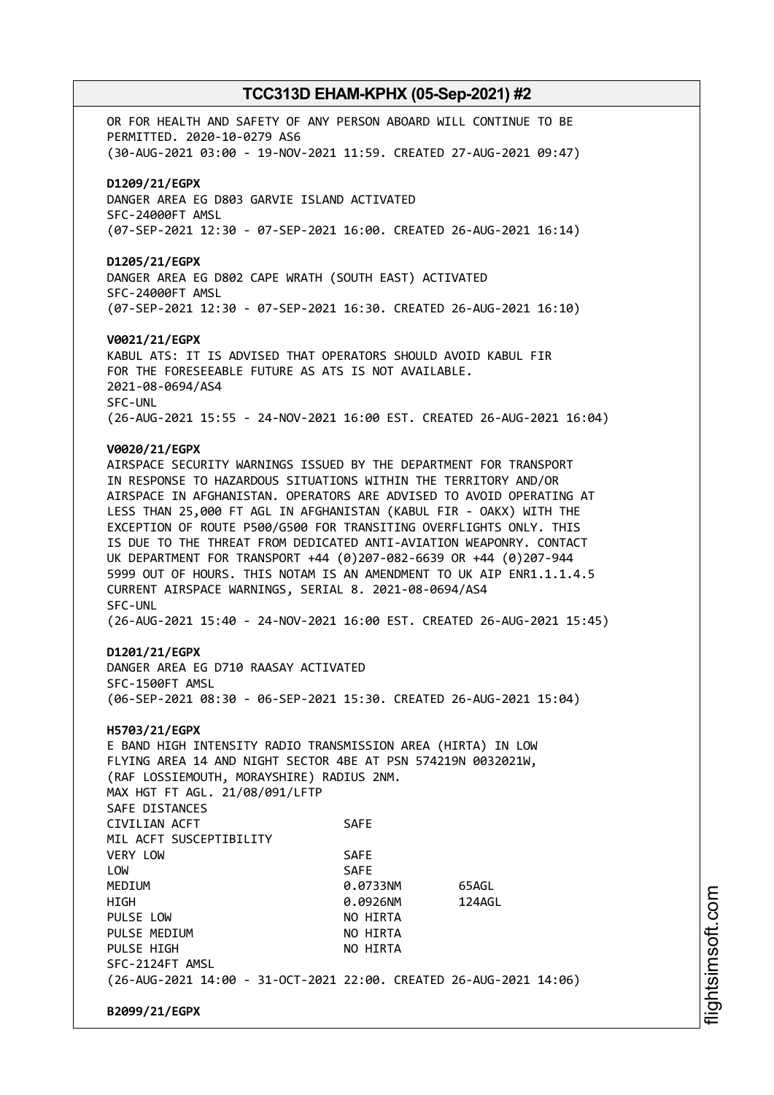OR FOR HEALTH AND SAFETY OF ANY PERSON ABOARD WILL CONTINUE TO BE PERMITTED. 2020-10-0279 AS6 (30-AUG-2021 03:00 - 19-NOV-2021 11:59. CREATED 27-AUG-2021 09:47) **D1209/21/EGPX** DANGER AREA EG D803 GARVIE ISLAND ACTIVATED SFC-24000FT AMSL (07-SEP-2021 12:30 - 07-SEP-2021 16:00. CREATED 26-AUG-2021 16:14) **D1205/21/EGPX** DANGER AREA EG D802 CAPE WRATH (SOUTH EAST) ACTIVATED SFC-24000FT AMSL (07-SEP-2021 12:30 - 07-SEP-2021 16:30. CREATED 26-AUG-2021 16:10) **V0021/21/EGPX** KABUL ATS: IT IS ADVISED THAT OPERATORS SHOULD AVOID KABUL FIR FOR THE FORESEEABLE FUTURE AS ATS IS NOT AVAILABLE. 2021-08-0694/AS4 SFC-UNL (26-AUG-2021 15:55 - 24-NOV-2021 16:00 EST. CREATED 26-AUG-2021 16:04) **V0020/21/EGPX** AIRSPACE SECURITY WARNINGS ISSUED BY THE DEPARTMENT FOR TRANSPORT IN RESPONSE TO HAZARDOUS SITUATIONS WITHIN THE TERRITORY AND/OR AIRSPACE IN AFGHANISTAN. OPERATORS ARE ADVISED TO AVOID OPERATING AT LESS THAN 25,000 FT AGL IN AFGHANISTAN (KABUL FIR - OAKX) WITH THE EXCEPTION OF ROUTE P500/G500 FOR TRANSITING OVERFLIGHTS ONLY. THIS IS DUE TO THE THREAT FROM DEDICATED ANTI-AVIATION WEAPONRY. CONTACT UK DEPARTMENT FOR TRANSPORT +44 (0)207-082-6639 OR +44 (0)207-944 5999 OUT OF HOURS. THIS NOTAM IS AN AMENDMENT TO UK AIP ENR1.1.1.4.5 CURRENT AIRSPACE WARNINGS, SERIAL 8. 2021-08-0694/AS4 SFC-UNL (26-AUG-2021 15:40 - 24-NOV-2021 16:00 EST. CREATED 26-AUG-2021 15:45) **D1201/21/EGPX** DANGER AREA EG D710 RAASAY ACTIVATED SFC-1500FT AMSL (06-SEP-2021 08:30 - 06-SEP-2021 15:30. CREATED 26-AUG-2021 15:04) **H5703/21/EGPX** E BAND HIGH INTENSITY RADIO TRANSMISSION AREA (HIRTA) IN LOW FLYING AREA 14 AND NIGHT SECTOR 4BE AT PSN 574219N 0032021W, (RAF LOSSIEMOUTH, MORAYSHIRE) RADIUS 2NM. MAX HGT FT AGL. 21/08/091/LFTP SAFE DISTANCES CIVILIAN ACFT SAFE MIL ACFT SUSCEPTIBILITY VERY LOW SAFE LOW SAFE MEDIUM 0.0733NM 65AGL HIGH 0.0926NM 124AGL PULSE LOW NO HIRTA PULSE MEDIUM NO HIRTA PULSE HTGH NO HTRTA SFC-2124FT AMSL (26-AUG-2021 14:00 - 31-OCT-2021 22:00. CREATED 26-AUG-2021 14:06) **B2099/21/EGPX**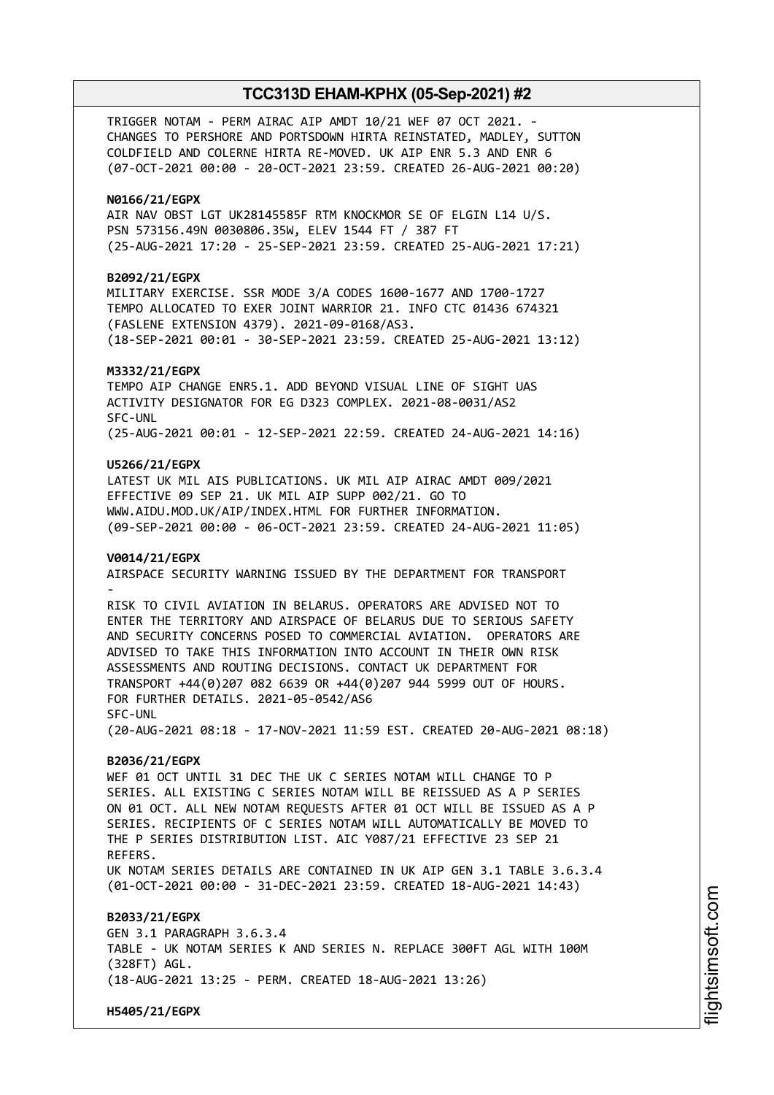TRIGGER NOTAM - PERM AIRAC AIP AMDT 10/21 WEF 07 OCT 2021. - CHANGES TO PERSHORE AND PORTSDOWN HIRTA REINSTATED, MADLEY, SUTTON COLDFIELD AND COLERNE HIRTA RE-MOVED. UK AIP ENR 5.3 AND ENR 6 (07-OCT-2021 00:00 - 20-OCT-2021 23:59. CREATED 26-AUG-2021 00:20)

#### **N0166/21/EGPX**

AIR NAV OBST LGT UK28145585F RTM KNOCKMOR SE OF ELGIN L14 U/S. PSN 573156.49N 0030806.35W, ELEV 1544 FT / 387 FT (25-AUG-2021 17:20 - 25-SEP-2021 23:59. CREATED 25-AUG-2021 17:21)

### **B2092/21/EGPX**

MILITARY EXERCISE. SSR MODE 3/A CODES 1600-1677 AND 1700-1727 TEMPO ALLOCATED TO EXER JOINT WARRIOR 21. INFO CTC 01436 674321 (FASLENE EXTENSION 4379). 2021-09-0168/AS3. (18-SEP-2021 00:01 - 30-SEP-2021 23:59. CREATED 25-AUG-2021 13:12)

#### **M3332/21/EGPX**

TEMPO AIP CHANGE ENR5.1. ADD BEYOND VISUAL LINE OF SIGHT UAS ACTIVITY DESIGNATOR FOR EG D323 COMPLEX. 2021-08-0031/AS2 SFC-UNL (25-AUG-2021 00:01 - 12-SEP-2021 22:59. CREATED 24-AUG-2021 14:16)

#### **U5266/21/EGPX**

LATEST UK MIL AIS PUBLICATIONS. UK MIL AIP AIRAC AMDT 009/2021 EFFECTIVE 09 SEP 21. UK MIL AIP SUPP 002/21. GO TO WWW.AIDU.MOD.UK/AIP/INDEX.HTML FOR FURTHER INFORMATION. (09-SEP-2021 00:00 - 06-OCT-2021 23:59. CREATED 24-AUG-2021 11:05)

#### **V0014/21/EGPX**

AIRSPACE SECURITY WARNING ISSUED BY THE DEPARTMENT FOR TRANSPORT -

RISK TO CIVIL AVIATION IN BELARUS. OPERATORS ARE ADVISED NOT TO ENTER THE TERRITORY AND AIRSPACE OF BELARUS DUE TO SERIOUS SAFETY AND SECURITY CONCERNS POSED TO COMMERCIAL AVIATION. OPERATORS ARE ADVISED TO TAKE THIS INFORMATION INTO ACCOUNT IN THEIR OWN RISK ASSESSMENTS AND ROUTING DECISIONS. CONTACT UK DEPARTMENT FOR TRANSPORT +44(0)207 082 6639 OR +44(0)207 944 5999 OUT OF HOURS. FOR FURTHER DETAILS. 2021-05-0542/AS6 SFC-UNL (20-AUG-2021 08:18 - 17-NOV-2021 11:59 EST. CREATED 20-AUG-2021 08:18)

#### **B2036/21/EGPX**

WEF 01 OCT UNTIL 31 DEC THE UK C SERIES NOTAM WILL CHANGE TO P SERIES. ALL EXISTING C SERIES NOTAM WILL BE REISSUED AS A P SERIES ON 01 OCT. ALL NEW NOTAM REQUESTS AFTER 01 OCT WILL BE ISSUED AS A P SERIES. RECIPIENTS OF C SERIES NOTAM WILL AUTOMATICALLY BE MOVED TO THE P SERIES DISTRIBUTION LIST. AIC Y087/21 EFFECTIVE 23 SEP 21 REFERS. UK NOTAM SERIES DETAILS ARE CONTAINED IN UK AIP GEN 3.1 TABLE 3.6.3.4 (01-OCT-2021 00:00 - 31-DEC-2021 23:59. CREATED 18-AUG-2021 14:43)

**B2033/21/EGPX** GEN 3.1 PARAGRAPH 3.6.3.4 TABLE - UK NOTAM SERIES K AND SERIES N. REPLACE 300FT AGL WITH 100M (328FT) AGL. (18-AUG-2021 13:25 - PERM. CREATED 18-AUG-2021 13:26)

**H5405/21/EGPX**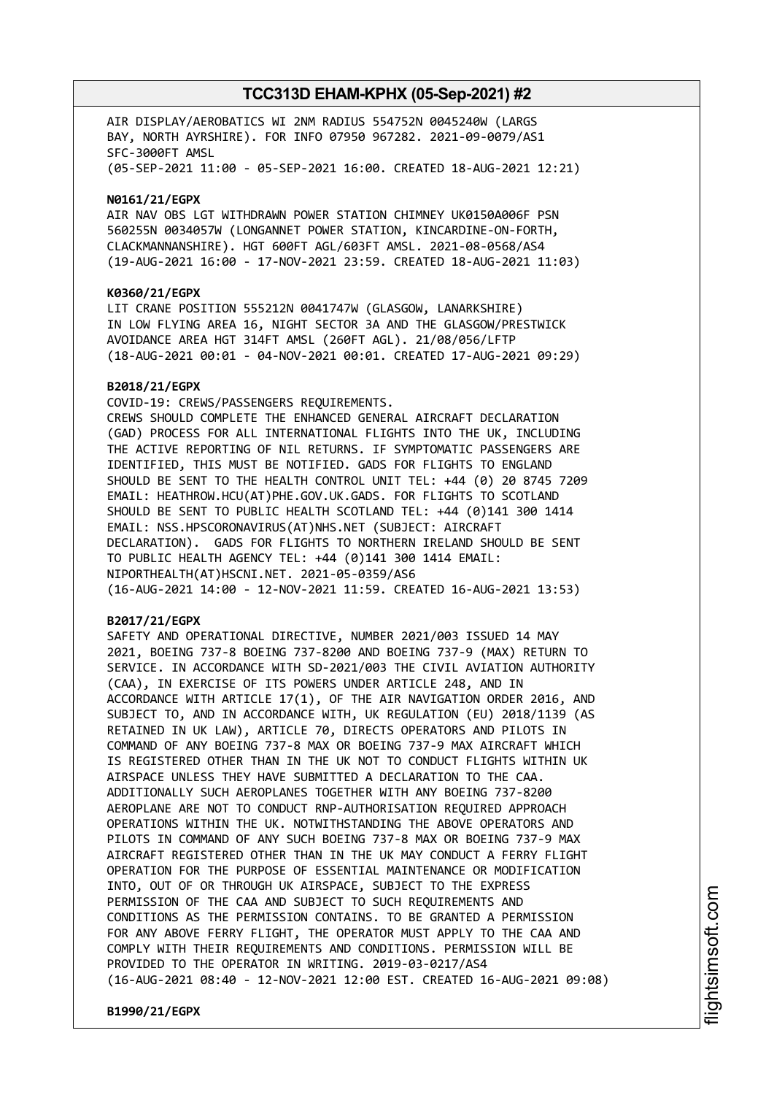AIR DISPLAY/AEROBATICS WI 2NM RADIUS 554752N 0045240W (LARGS BAY, NORTH AYRSHIRE). FOR INFO 07950 967282. 2021-09-0079/AS1 SFC-3000FT AMSL (05-SEP-2021 11:00 - 05-SEP-2021 16:00. CREATED 18-AUG-2021 12:21)

**N0161/21/EGPX**

AIR NAV OBS LGT WITHDRAWN POWER STATION CHIMNEY UK0150A006F PSN 560255N 0034057W (LONGANNET POWER STATION, KINCARDINE-ON-FORTH, CLACKMANNANSHIRE). HGT 600FT AGL/603FT AMSL. 2021-08-0568/AS4 (19-AUG-2021 16:00 - 17-NOV-2021 23:59. CREATED 18-AUG-2021 11:03)

#### **K0360/21/EGPX**

LIT CRANE POSITION 555212N 0041747W (GLASGOW, LANARKSHIRE) IN LOW FLYING AREA 16, NIGHT SECTOR 3A AND THE GLASGOW/PRESTWICK AVOIDANCE AREA HGT 314FT AMSL (260FT AGL). 21/08/056/LFTP (18-AUG-2021 00:01 - 04-NOV-2021 00:01. CREATED 17-AUG-2021 09:29)

#### **B2018/21/EGPX**

COVID-19: CREWS/PASSENGERS REQUIREMENTS. CREWS SHOULD COMPLETE THE ENHANCED GENERAL AIRCRAFT DECLARATION (GAD) PROCESS FOR ALL INTERNATIONAL FLIGHTS INTO THE UK, INCLUDING THE ACTIVE REPORTING OF NIL RETURNS. IF SYMPTOMATIC PASSENGERS ARE IDENTIFIED, THIS MUST BE NOTIFIED. GADS FOR FLIGHTS TO ENGLAND SHOULD BE SENT TO THE HEALTH CONTROL UNIT TEL: +44 (0) 20 8745 7209 EMAIL: HEATHROW.HCU(AT)PHE.GOV.UK.GADS. FOR FLIGHTS TO SCOTLAND SHOULD BE SENT TO PUBLIC HEALTH SCOTLAND TEL: +44 (0)141 300 1414 EMAIL: NSS.HPSCORONAVIRUS(AT)NHS.NET (SUBJECT: AIRCRAFT DECLARATION). GADS FOR FLIGHTS TO NORTHERN IRELAND SHOULD BE SENT TO PUBLIC HEALTH AGENCY TEL: +44 (0)141 300 1414 EMAIL: NIPORTHEALTH(AT)HSCNI.NET. 2021-05-0359/AS6 (16-AUG-2021 14:00 - 12-NOV-2021 11:59. CREATED 16-AUG-2021 13:53)

### **B2017/21/EGPX**

SAFETY AND OPERATIONAL DIRECTIVE, NUMBER 2021/003 ISSUED 14 MAY 2021, BOEING 737-8 BOEING 737-8200 AND BOEING 737-9 (MAX) RETURN TO SERVICE. IN ACCORDANCE WITH SD-2021/003 THE CIVIL AVIATION AUTHORITY (CAA), IN EXERCISE OF ITS POWERS UNDER ARTICLE 248, AND IN ACCORDANCE WITH ARTICLE 17(1), OF THE AIR NAVIGATION ORDER 2016, AND SUBJECT TO, AND IN ACCORDANCE WITH, UK REGULATION (EU) 2018/1139 (AS RETAINED IN UK LAW), ARTICLE 70, DIRECTS OPERATORS AND PILOTS IN COMMAND OF ANY BOEING 737-8 MAX OR BOEING 737-9 MAX AIRCRAFT WHICH IS REGISTERED OTHER THAN IN THE UK NOT TO CONDUCT FLIGHTS WITHIN UK AIRSPACE UNLESS THEY HAVE SUBMITTED A DECLARATION TO THE CAA. ADDITIONALLY SUCH AEROPLANES TOGETHER WITH ANY BOEING 737-8200 AEROPLANE ARE NOT TO CONDUCT RNP-AUTHORISATION REQUIRED APPROACH OPERATIONS WITHIN THE UK. NOTWITHSTANDING THE ABOVE OPERATORS AND PILOTS IN COMMAND OF ANY SUCH BOEING 737-8 MAX OR BOEING 737-9 MAX AIRCRAFT REGISTERED OTHER THAN IN THE UK MAY CONDUCT A FERRY FLIGHT OPERATION FOR THE PURPOSE OF ESSENTIAL MAINTENANCE OR MODIFICATION INTO, OUT OF OR THROUGH UK AIRSPACE, SUBJECT TO THE EXPRESS PERMISSION OF THE CAA AND SUBJECT TO SUCH REQUIREMENTS AND CONDITIONS AS THE PERMISSION CONTAINS. TO BE GRANTED A PERMISSION FOR ANY ABOVE FERRY FLIGHT, THE OPERATOR MUST APPLY TO THE CAA AND COMPLY WITH THEIR REQUIREMENTS AND CONDITIONS. PERMISSION WILL BE PROVIDED TO THE OPERATOR IN WRITING. 2019-03-0217/AS4 (16-AUG-2021 08:40 - 12-NOV-2021 12:00 EST. CREATED 16-AUG-2021 09:08)

**B1990/21/EGPX**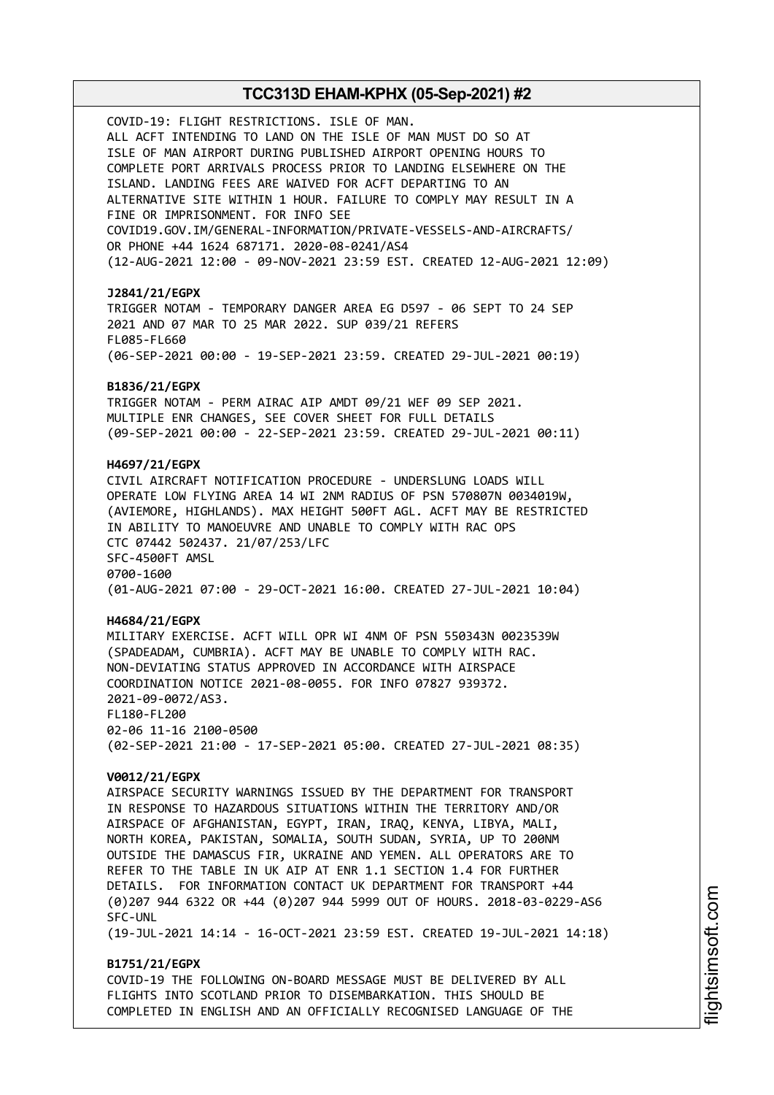COVID-19: FLIGHT RESTRICTIONS. ISLE OF MAN. ALL ACFT INTENDING TO LAND ON THE ISLE OF MAN MUST DO SO AT ISLE OF MAN AIRPORT DURING PUBLISHED AIRPORT OPENING HOURS TO COMPLETE PORT ARRIVALS PROCESS PRIOR TO LANDING ELSEWHERE ON THE ISLAND. LANDING FEES ARE WAIVED FOR ACFT DEPARTING TO AN ALTERNATIVE SITE WITHIN 1 HOUR. FAILURE TO COMPLY MAY RESULT IN A FINE OR IMPRISONMENT. FOR INFO SEE COVID19.GOV.IM/GENERAL-INFORMATION/PRIVATE-VESSELS-AND-AIRCRAFTS/ OR PHONE +44 1624 687171. 2020-08-0241/AS4 (12-AUG-2021 12:00 - 09-NOV-2021 23:59 EST. CREATED 12-AUG-2021 12:09) **J2841/21/EGPX** TRIGGER NOTAM - TEMPORARY DANGER AREA EG D597 - 06 SEPT TO 24 SEP 2021 AND 07 MAR TO 25 MAR 2022. SUP 039/21 REFERS FL085-FL660 (06-SEP-2021 00:00 - 19-SEP-2021 23:59. CREATED 29-JUL-2021 00:19) **B1836/21/EGPX** TRIGGER NOTAM - PERM AIRAC AIP AMDT 09/21 WEF 09 SEP 2021. MULTIPLE ENR CHANGES, SEE COVER SHEET FOR FULL DETAILS (09-SEP-2021 00:00 - 22-SEP-2021 23:59. CREATED 29-JUL-2021 00:11) **H4697/21/EGPX** CIVIL AIRCRAFT NOTIFICATION PROCEDURE - UNDERSLUNG LOADS WILL OPERATE LOW FLYING AREA 14 WI 2NM RADIUS OF PSN 570807N 0034019W, (AVIEMORE, HIGHLANDS). MAX HEIGHT 500FT AGL. ACFT MAY BE RESTRICTED IN ABILITY TO MANOEUVRE AND UNABLE TO COMPLY WITH RAC OPS CTC 07442 502437. 21/07/253/LFC SFC-4500FT AMSL 0700-1600 (01-AUG-2021 07:00 - 29-OCT-2021 16:00. CREATED 27-JUL-2021 10:04) **H4684/21/EGPX** MILITARY EXERCISE. ACFT WILL OPR WI 4NM OF PSN 550343N 0023539W (SPADEADAM, CUMBRIA). ACFT MAY BE UNABLE TO COMPLY WITH RAC. NON-DEVIATING STATUS APPROVED IN ACCORDANCE WITH AIRSPACE COORDINATION NOTICE 2021-08-0055. FOR INFO 07827 939372. 2021-09-0072/AS3. FL180-FL200 02-06 11-16 2100-0500 (02-SEP-2021 21:00 - 17-SEP-2021 05:00. CREATED 27-JUL-2021 08:35) **V0012/21/EGPX** AIRSPACE SECURITY WARNINGS ISSUED BY THE DEPARTMENT FOR TRANSPORT IN RESPONSE TO HAZARDOUS SITUATIONS WITHIN THE TERRITORY AND/OR AIRSPACE OF AFGHANISTAN, EGYPT, IRAN, IRAQ, KENYA, LIBYA, MALI, NORTH KOREA, PAKISTAN, SOMALIA, SOUTH SUDAN, SYRIA, UP TO 200NM OUTSIDE THE DAMASCUS FIR, UKRAINE AND YEMEN. ALL OPERATORS ARE TO REFER TO THE TABLE IN UK AIP AT ENR 1.1 SECTION 1.4 FOR FURTHER DETAILS. FOR INFORMATION CONTACT UK DEPARTMENT FOR TRANSPORT +44 (0)207 944 6322 OR +44 (0)207 944 5999 OUT OF HOURS. 2018-03-0229-AS6 SFC-UNL (19-JUL-2021 14:14 - 16-OCT-2021 23:59 EST. CREATED 19-JUL-2021 14:18) **B1751/21/EGPX** COVID-19 THE FOLLOWING ON-BOARD MESSAGE MUST BE DELIVERED BY ALL FLIGHTS INTO SCOTLAND PRIOR TO DISEMBARKATION. THIS SHOULD BE

COMPLETED IN ENGLISH AND AN OFFICIALLY RECOGNISED LANGUAGE OF THE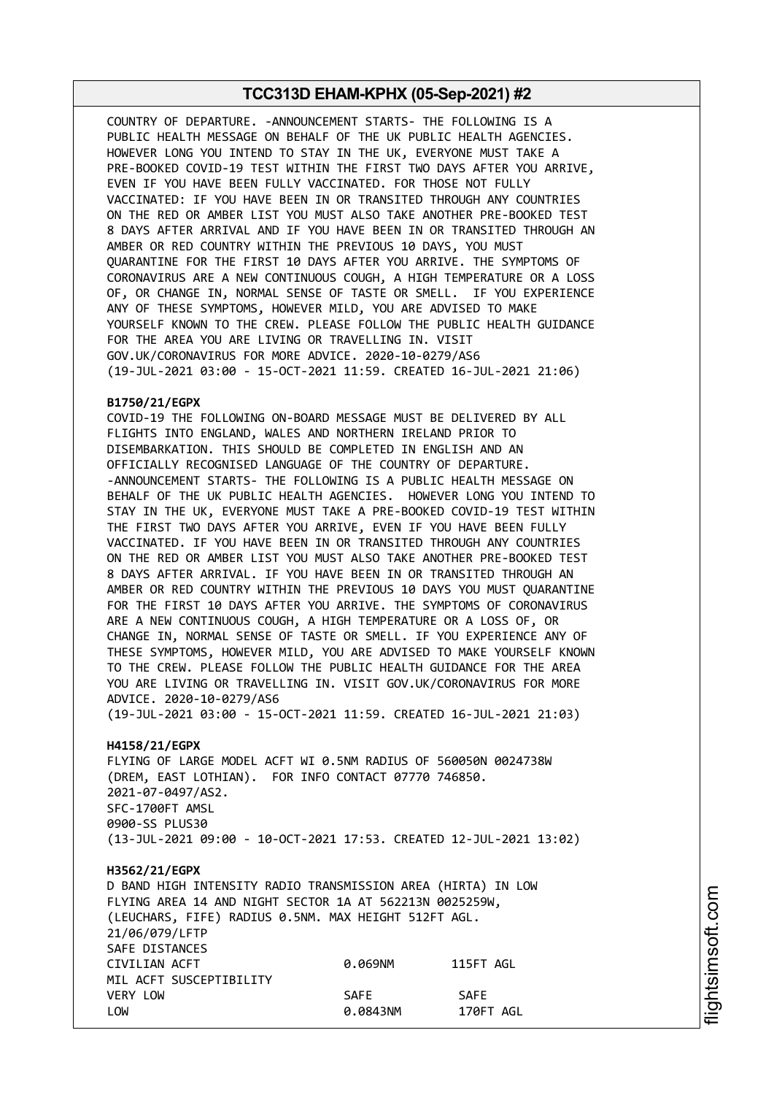COUNTRY OF DEPARTURE. -ANNOUNCEMENT STARTS- THE FOLLOWING IS A PUBLIC HEALTH MESSAGE ON BEHALF OF THE UK PUBLIC HEALTH AGENCIES. HOWEVER LONG YOU INTEND TO STAY IN THE UK, EVERYONE MUST TAKE A PRE-BOOKED COVID-19 TEST WITHIN THE FIRST TWO DAYS AFTER YOU ARRIVE, EVEN IF YOU HAVE BEEN FULLY VACCINATED. FOR THOSE NOT FULLY VACCINATED: IF YOU HAVE BEEN IN OR TRANSITED THROUGH ANY COUNTRIES ON THE RED OR AMBER LIST YOU MUST ALSO TAKE ANOTHER PRE-BOOKED TEST 8 DAYS AFTER ARRIVAL AND IF YOU HAVE BEEN IN OR TRANSITED THROUGH AN AMBER OR RED COUNTRY WITHIN THE PREVIOUS 10 DAYS, YOU MUST QUARANTINE FOR THE FIRST 10 DAYS AFTER YOU ARRIVE. THE SYMPTOMS OF CORONAVIRUS ARE A NEW CONTINUOUS COUGH, A HIGH TEMPERATURE OR A LOSS OF, OR CHANGE IN, NORMAL SENSE OF TASTE OR SMELL. IF YOU EXPERIENCE ANY OF THESE SYMPTOMS, HOWEVER MILD, YOU ARE ADVISED TO MAKE YOURSELF KNOWN TO THE CREW. PLEASE FOLLOW THE PUBLIC HEALTH GUIDANCE FOR THE AREA YOU ARE LIVING OR TRAVELLING IN. VISIT GOV.UK/CORONAVIRUS FOR MORE ADVICE. 2020-10-0279/AS6 (19-JUL-2021 03:00 - 15-OCT-2021 11:59. CREATED 16-JUL-2021 21:06)

#### **B1750/21/EGPX**

COVID-19 THE FOLLOWING ON-BOARD MESSAGE MUST BE DELIVERED BY ALL FLIGHTS INTO ENGLAND, WALES AND NORTHERN IRELAND PRIOR TO DISEMBARKATION. THIS SHOULD BE COMPLETED IN ENGLISH AND AN OFFICIALLY RECOGNISED LANGUAGE OF THE COUNTRY OF DEPARTURE. -ANNOUNCEMENT STARTS- THE FOLLOWING IS A PUBLIC HEALTH MESSAGE ON BEHALF OF THE UK PUBLIC HEALTH AGENCIES. HOWEVER LONG YOU INTEND TO STAY IN THE UK, EVERYONE MUST TAKE A PRE-BOOKED COVID-19 TEST WITHIN THE FIRST TWO DAYS AFTER YOU ARRIVE, EVEN IF YOU HAVE BEEN FULLY VACCINATED. IF YOU HAVE BEEN IN OR TRANSITED THROUGH ANY COUNTRIES ON THE RED OR AMBER LIST YOU MUST ALSO TAKE ANOTHER PRE-BOOKED TEST 8 DAYS AFTER ARRIVAL. IF YOU HAVE BEEN IN OR TRANSITED THROUGH AN AMBER OR RED COUNTRY WITHIN THE PREVIOUS 10 DAYS YOU MUST QUARANTINE FOR THE FIRST 10 DAYS AFTER YOU ARRIVE. THE SYMPTOMS OF CORONAVIRUS ARE A NEW CONTINUOUS COUGH, A HIGH TEMPERATURE OR A LOSS OF, OR CHANGE IN, NORMAL SENSE OF TASTE OR SMELL. IF YOU EXPERIENCE ANY OF THESE SYMPTOMS, HOWEVER MILD, YOU ARE ADVISED TO MAKE YOURSELF KNOWN TO THE CREW. PLEASE FOLLOW THE PUBLIC HEALTH GUIDANCE FOR THE AREA YOU ARE LIVING OR TRAVELLING IN. VISIT GOV.UK/CORONAVIRUS FOR MORE ADVICE. 2020-10-0279/AS6

(19-JUL-2021 03:00 - 15-OCT-2021 11:59. CREATED 16-JUL-2021 21:03)

## **H4158/21/EGPX**

FLYING OF LARGE MODEL ACFT WI 0.5NM RADIUS OF 560050N 0024738W (DREM, EAST LOTHIAN). FOR INFO CONTACT 07770 746850. 2021-07-0497/AS2. SFC-1700FT AMSL 0900-SS PLUS30 (13-JUL-2021 09:00 - 10-OCT-2021 17:53. CREATED 12-JUL-2021 13:02)

#### **H3562/21/EGPX**

D BAND HIGH INTENSITY RADIO TRANSMISSION AREA (HIRTA) IN LOW FLYING AREA 14 AND NIGHT SECTOR 1A AT 562213N 0025259W, (LEUCHARS, FIFE) RADIUS 0.5NM. MAX HEIGHT 512FT AGL. 21/06/079/LFTP SAFE DISTANCES CIVILIAN ACFT 0.069NM 115FT AGL MIL ACFT SUSCEPTIBILITY VERY LOW SAFE SAFE LOW 0.0843NM 170FT AGL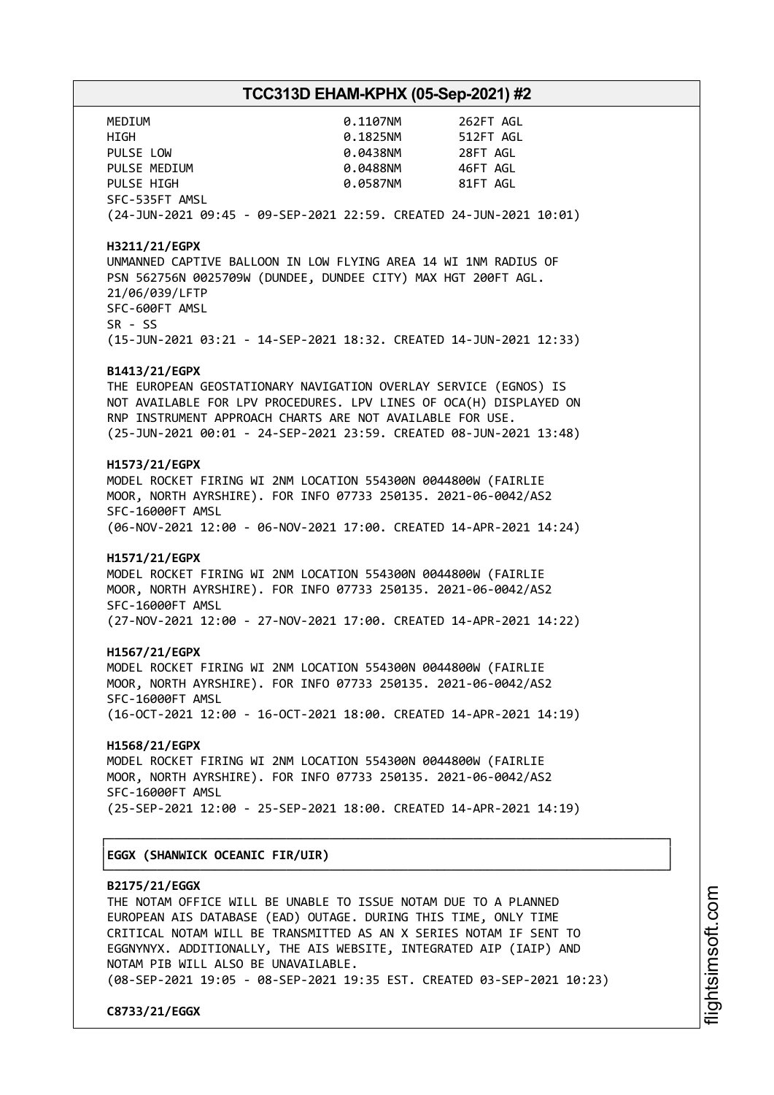| MEDIUM                                                                                                                                                                                                                                                                                          | 0.1107NM 262FT AGL              |  |  |  |                                                                        |  |  |  |
|-------------------------------------------------------------------------------------------------------------------------------------------------------------------------------------------------------------------------------------------------------------------------------------------------|---------------------------------|--|--|--|------------------------------------------------------------------------|--|--|--|
| HIGH                                                                                                                                                                                                                                                                                            | 0.1825NM 512FT AGL              |  |  |  |                                                                        |  |  |  |
| PULSE LOW                                                                                                                                                                                                                                                                                       | 0.0438NM 28FT AGL               |  |  |  |                                                                        |  |  |  |
| PULSE MEDIUM                                                                                                                                                                                                                                                                                    | 0.0488NM 46FT AGL               |  |  |  |                                                                        |  |  |  |
| PULSE HIGH                                                                                                                                                                                                                                                                                      | 0.0587NM 81FT AGL               |  |  |  |                                                                        |  |  |  |
| SFC-535FT AMSL                                                                                                                                                                                                                                                                                  |                                 |  |  |  |                                                                        |  |  |  |
| (24-JUN-2021 09:45 - 09-SEP-2021 22:59. CREATED 24-JUN-2021 10:01)                                                                                                                                                                                                                              |                                 |  |  |  |                                                                        |  |  |  |
| H3211/21/EGPX<br>UNMANNED CAPTIVE BALLOON IN LOW FLYING AREA 14 WI 1NM RADIUS OF<br>PSN 562756N 0025709W (DUNDEE, DUNDEE CITY) MAX HGT 200FT AGL.<br>21/06/039/LFTP<br>SFC-600FT AMSL<br>SR - SS<br>(15-JUN-2021 03:21 - 14-SEP-2021 18:32. CREATED 14-JUN-2021 12:33)                          |                                 |  |  |  |                                                                        |  |  |  |
|                                                                                                                                                                                                                                                                                                 |                                 |  |  |  |                                                                        |  |  |  |
| B1413/21/EGPX<br>THE EUROPEAN GEOSTATIONARY NAVIGATION OVERLAY SERVICE (EGNOS) IS<br>NOT AVAILABLE FOR LPV PROCEDURES. LPV LINES OF OCA(H) DISPLAYED ON<br>RNP INSTRUMENT APPROACH CHARTS ARE NOT AVAILABLE FOR USE.<br>(25-JUN-2021 00:01 - 24-SEP-2021 23:59. CREATED 08-JUN-2021 13:48)      |                                 |  |  |  |                                                                        |  |  |  |
| H1573/21/EGPX                                                                                                                                                                                                                                                                                   |                                 |  |  |  |                                                                        |  |  |  |
| MODEL ROCKET FIRING WI 2NM LOCATION 554300N 0044800W (FAIRLIE                                                                                                                                                                                                                                   |                                 |  |  |  |                                                                        |  |  |  |
| MOOR, NORTH AYRSHIRE). FOR INFO 07733 250135. 2021-06-0042/AS2                                                                                                                                                                                                                                  |                                 |  |  |  |                                                                        |  |  |  |
| SFC-16000FT AMSL                                                                                                                                                                                                                                                                                |                                 |  |  |  |                                                                        |  |  |  |
| (06-NOV-2021 12:00 - 06-NOV-2021 17:00. CREATED 14-APR-2021 14:24)                                                                                                                                                                                                                              |                                 |  |  |  |                                                                        |  |  |  |
|                                                                                                                                                                                                                                                                                                 |                                 |  |  |  |                                                                        |  |  |  |
| H1571/21/EGPX<br>MODEL ROCKET FIRING WI 2NM LOCATION 554300N 0044800W (FAIRLIE                                                                                                                                                                                                                  |                                 |  |  |  |                                                                        |  |  |  |
| MOOR, NORTH AYRSHIRE). FOR INFO 07733 250135. 2021-06-0042/AS2                                                                                                                                                                                                                                  |                                 |  |  |  |                                                                        |  |  |  |
| SFC-16000FT AMSL                                                                                                                                                                                                                                                                                |                                 |  |  |  |                                                                        |  |  |  |
| (27-NOV-2021 12:00 - 27-NOV-2021 17:00. CREATED 14-APR-2021 14:22)                                                                                                                                                                                                                              |                                 |  |  |  |                                                                        |  |  |  |
|                                                                                                                                                                                                                                                                                                 |                                 |  |  |  |                                                                        |  |  |  |
| H1567/21/EGPX                                                                                                                                                                                                                                                                                   |                                 |  |  |  |                                                                        |  |  |  |
| MODEL ROCKET FIRING WI 2NM LOCATION 554300N 0044800W (FAIRLIE                                                                                                                                                                                                                                   |                                 |  |  |  |                                                                        |  |  |  |
| MOOR, NORTH AYRSHIRE). FOR INFO 07733 250135. 2021-06-0042/AS2                                                                                                                                                                                                                                  |                                 |  |  |  |                                                                        |  |  |  |
| SFC-16000FT AMSL                                                                                                                                                                                                                                                                                |                                 |  |  |  |                                                                        |  |  |  |
| (16-OCT-2021 12:00 - 16-OCT-2021 18:00. CREATED 14-APR-2021 14:19)                                                                                                                                                                                                                              |                                 |  |  |  |                                                                        |  |  |  |
| H1568/21/EGPX                                                                                                                                                                                                                                                                                   |                                 |  |  |  |                                                                        |  |  |  |
| MODEL ROCKET FIRING WI 2NM LOCATION 554300N 0044800W (FAIRLIE                                                                                                                                                                                                                                   |                                 |  |  |  |                                                                        |  |  |  |
| MOOR, NORTH AYRSHIRE). FOR INFO 07733 250135. 2021-06-0042/AS2                                                                                                                                                                                                                                  |                                 |  |  |  |                                                                        |  |  |  |
| SFC-16000FT AMSL                                                                                                                                                                                                                                                                                |                                 |  |  |  |                                                                        |  |  |  |
| (25-SEP-2021 12:00 - 25-SEP-2021 18:00. CREATED 14-APR-2021 14:19)                                                                                                                                                                                                                              |                                 |  |  |  |                                                                        |  |  |  |
|                                                                                                                                                                                                                                                                                                 |                                 |  |  |  |                                                                        |  |  |  |
|                                                                                                                                                                                                                                                                                                 | EGGX (SHANWICK OCEANIC FIR/UIR) |  |  |  |                                                                        |  |  |  |
| B2175/21/EGGX<br>THE NOTAM OFFICE WILL BE UNABLE TO ISSUE NOTAM DUE TO A PLANNED<br>EUROPEAN AIS DATABASE (EAD) OUTAGE. DURING THIS TIME, ONLY TIME<br>CRITICAL NOTAM WILL BE TRANSMITTED AS AN X SERIES NOTAM IF SENT TO<br>EGGNYNYX. ADDITIONALLY, THE AIS WEBSITE, INTEGRATED AIP (IAIP) AND |                                 |  |  |  |                                                                        |  |  |  |
|                                                                                                                                                                                                                                                                                                 |                                 |  |  |  | NOTAM PIB WILL ALSO BE UNAVAILABLE.                                    |  |  |  |
|                                                                                                                                                                                                                                                                                                 |                                 |  |  |  | (08-SEP-2021 19:05 - 08-SEP-2021 19:35 EST. CREATED 03-SEP-2021 10:23) |  |  |  |

**C8733/21/EGGX**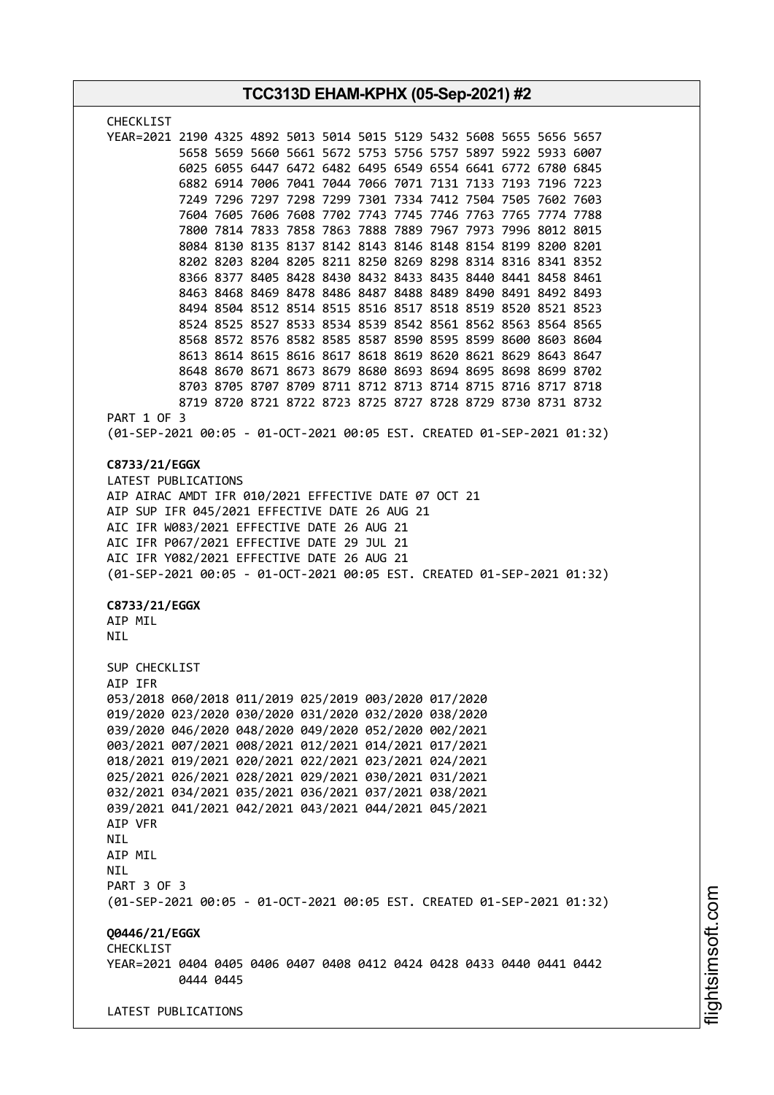| TCC313D EHAM-KPHX (05-Sep-2021) #2                                                                                                                                                                                                                                                                                                                                                                                                                                                                                 |  |  |  |  |
|--------------------------------------------------------------------------------------------------------------------------------------------------------------------------------------------------------------------------------------------------------------------------------------------------------------------------------------------------------------------------------------------------------------------------------------------------------------------------------------------------------------------|--|--|--|--|
| CHECKLIST                                                                                                                                                                                                                                                                                                                                                                                                                                                                                                          |  |  |  |  |
| YEAR=2021 2190 4325 4892 5013 5014 5015 5129 5432 5608 5655 5656 5657<br>5658 5659 5660 5661 5672 5753 5756 5757 5897 5922 5933 6007<br>6025 6055 6447 6472 6482 6495 6549 6554 6641 6772 6780 6845<br>6882 6914 7006 7041 7044 7066 7071 7131 7133 7193 7196 7223<br>7249 7296 7297 7298 7299 7301 7334 7412 7504 7505 7602 7603                                                                                                                                                                                  |  |  |  |  |
| 7604 7605 7606 7608 7702 7743 7745 7746 7763 7765 7774 7788<br>7800 7814 7833 7858 7863 7888 7889 7967 7973 7996 8012 8015<br>8084 8130 8135 8137 8142 8143 8146 8148 8154 8199 8200 8201<br>8202 8203 8204 8205 8211 8250 8269 8298 8314 8316 8341 8352<br>8366 8377 8405 8428 8430 8432 8433 8435 8440 8441 8458 8461                                                                                                                                                                                            |  |  |  |  |
| 8463 8468 8469 8478 8486 8487 8488 8489 8490 8491 8492 8493<br>8494 8504 8512 8514 8515 8516 8517 8518 8519 8520 8521 8523<br>8524 8525 8527 8533 8534 8539 8542 8561 8562 8563 8564 8565<br>8568 8572 8576 8582 8585 8587 8590 8595 8599 8600 8603 8604<br>8613 8614 8615 8616 8617 8618 8619 8620 8621 8629 8643 8647<br>8648 8670 8671 8673 8679 8680 8693 8694 8695 8698 8699 8702<br>8703 8705 8707 8709 8711 8712 8713 8714 8715 8716 8717 8718                                                              |  |  |  |  |
| 8719 8720 8721 8722 8723 8725 8727 8728 8729 8730 8731 8732<br>PART 1 OF 3<br>(01-SEP-2021 00:05 - 01-OCT-2021 00:05 EST. CREATED 01-SEP-2021 01:32)                                                                                                                                                                                                                                                                                                                                                               |  |  |  |  |
| C8733/21/EGGX<br>LATEST PUBLICATIONS<br>AIP AIRAC AMDT IFR 010/2021 EFFECTIVE DATE 07 OCT 21<br>AIP SUP IFR 045/2021 EFFECTIVE DATE 26 AUG 21<br>AIC IFR W083/2021 EFFECTIVE DATE 26 AUG 21<br>AIC IFR P067/2021 EFFECTIVE DATE 29 JUL 21<br>AIC IFR Y082/2021 EFFECTIVE DATE 26 AUG 21<br>(01-SEP-2021 00:05 - 01-OCT-2021 00:05 EST. CREATED 01-SEP-2021 01:32)<br>C8733/21/EGGX<br>AIP MIL<br><b>NIL</b>                                                                                                        |  |  |  |  |
| SUP CHECKLIST<br>AIP IFR<br>053/2018 060/2018 011/2019 025/2019 003/2020 017/2020<br>019/2020 023/2020 030/2020 031/2020 032/2020 038/2020<br>039/2020 046/2020 048/2020 049/2020 052/2020 002/2021<br>003/2021 007/2021 008/2021 012/2021 014/2021 017/2021<br>018/2021 019/2021 020/2021 022/2021 023/2021 024/2021<br>025/2021 026/2021 028/2021 029/2021 030/2021 031/2021<br>032/2021 034/2021 035/2021 036/2021 037/2021 038/2021<br>039/2021 041/2021 042/2021 043/2021 044/2021 045/2021<br>AIP VFR<br>NIL |  |  |  |  |
| AIP MIL<br>NIL<br>PART 3 OF 3<br>(01-SEP-2021 00:05 - 01-OCT-2021 00:05 EST. CREATED 01-SEP-2021 01:32)                                                                                                                                                                                                                                                                                                                                                                                                            |  |  |  |  |
| Q0446/21/EGGX<br>CHECKLIST<br>YEAR=2021 0404 0405 0406 0407 0408 0412 0424 0428 0433 0440 0441 0442<br>0444 0445                                                                                                                                                                                                                                                                                                                                                                                                   |  |  |  |  |
| LATEST PUBLICATIONS                                                                                                                                                                                                                                                                                                                                                                                                                                                                                                |  |  |  |  |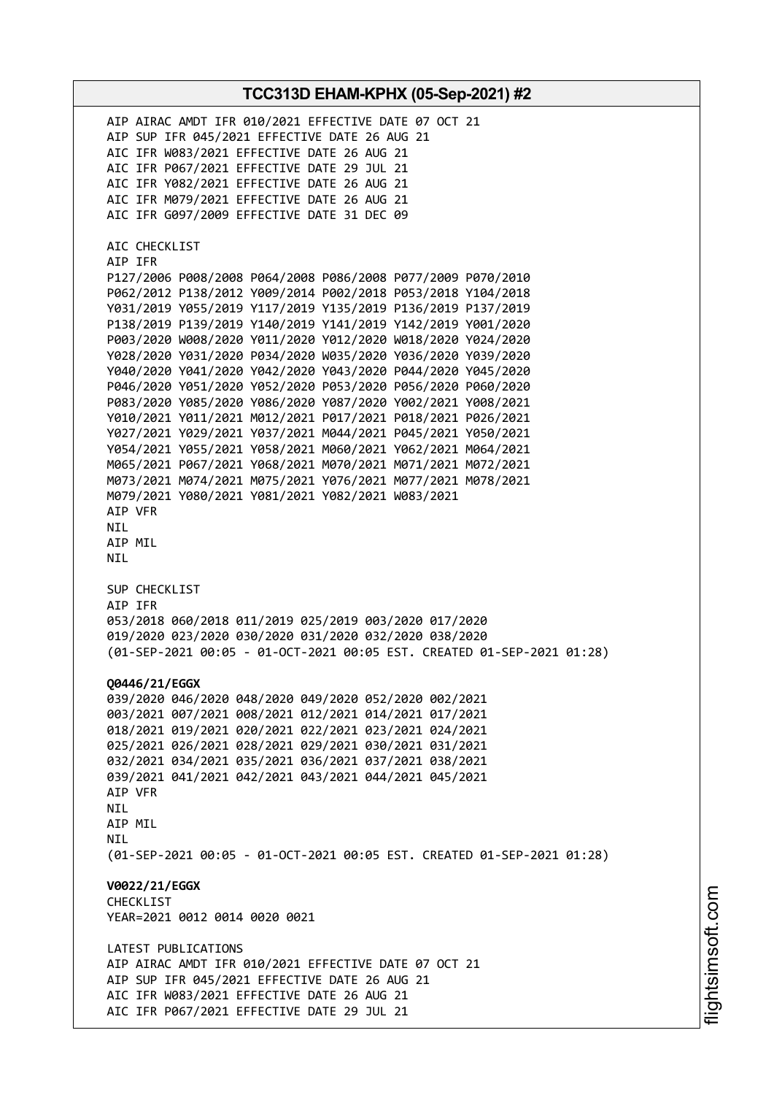AIP AIRAC AMDT IFR 010/2021 EFFECTIVE DATE 07 OCT 21 AIP SUP IFR 045/2021 EFFECTIVE DATE 26 AUG 21 AIC IFR W083/2021 EFFECTIVE DATE 26 AUG 21 AIC IFR P067/2021 EFFECTIVE DATE 29 JUL 21 AIC IFR Y082/2021 EFFECTIVE DATE 26 AUG 21 AIC IFR M079/2021 EFFECTIVE DATE 26 AUG 21 AIC IFR G097/2009 EFFECTIVE DATE 31 DEC 09 AIC CHECKLIST AIP IFR P127/2006 P008/2008 P064/2008 P086/2008 P077/2009 P070/2010 P062/2012 P138/2012 Y009/2014 P002/2018 P053/2018 Y104/2018 Y031/2019 Y055/2019 Y117/2019 Y135/2019 P136/2019 P137/2019 P138/2019 P139/2019 Y140/2019 Y141/2019 Y142/2019 Y001/2020 P003/2020 W008/2020 Y011/2020 Y012/2020 W018/2020 Y024/2020 Y028/2020 Y031/2020 P034/2020 W035/2020 Y036/2020 Y039/2020 Y040/2020 Y041/2020 Y042/2020 Y043/2020 P044/2020 Y045/2020 P046/2020 Y051/2020 Y052/2020 P053/2020 P056/2020 P060/2020 P083/2020 Y085/2020 Y086/2020 Y087/2020 Y002/2021 Y008/2021 Y010/2021 Y011/2021 M012/2021 P017/2021 P018/2021 P026/2021 Y027/2021 Y029/2021 Y037/2021 M044/2021 P045/2021 Y050/2021 Y054/2021 Y055/2021 Y058/2021 M060/2021 Y062/2021 M064/2021 M065/2021 P067/2021 Y068/2021 M070/2021 M071/2021 M072/2021 M073/2021 M074/2021 M075/2021 Y076/2021 M077/2021 M078/2021 M079/2021 Y080/2021 Y081/2021 Y082/2021 W083/2021 AIP VFR NIL AIP MIL NIL SUP CHECKLIST AIP IFR 053/2018 060/2018 011/2019 025/2019 003/2020 017/2020 019/2020 023/2020 030/2020 031/2020 032/2020 038/2020 (01-SEP-2021 00:05 - 01-OCT-2021 00:05 EST. CREATED 01-SEP-2021 01:28) **Q0446/21/EGGX** 039/2020 046/2020 048/2020 049/2020 052/2020 002/2021 003/2021 007/2021 008/2021 012/2021 014/2021 017/2021 018/2021 019/2021 020/2021 022/2021 023/2021 024/2021 025/2021 026/2021 028/2021 029/2021 030/2021 031/2021 032/2021 034/2021 035/2021 036/2021 037/2021 038/2021 039/2021 041/2021 042/2021 043/2021 044/2021 045/2021 AIP VFR NIL AIP MIL **NTI** (01-SEP-2021 00:05 - 01-OCT-2021 00:05 EST. CREATED 01-SEP-2021 01:28) **V0022/21/EGGX** CHECKLIST YEAR=2021 0012 0014 0020 0021 LATEST PUBLICATIONS AIP AIRAC AMDT IFR 010/2021 EFFECTIVE DATE 07 OCT 21 AIP SUP IFR 045/2021 EFFECTIVE DATE 26 AUG 21 AIC IFR W083/2021 EFFECTIVE DATE 26 AUG 21 AIC IFR P067/2021 EFFECTIVE DATE 29 JUL 21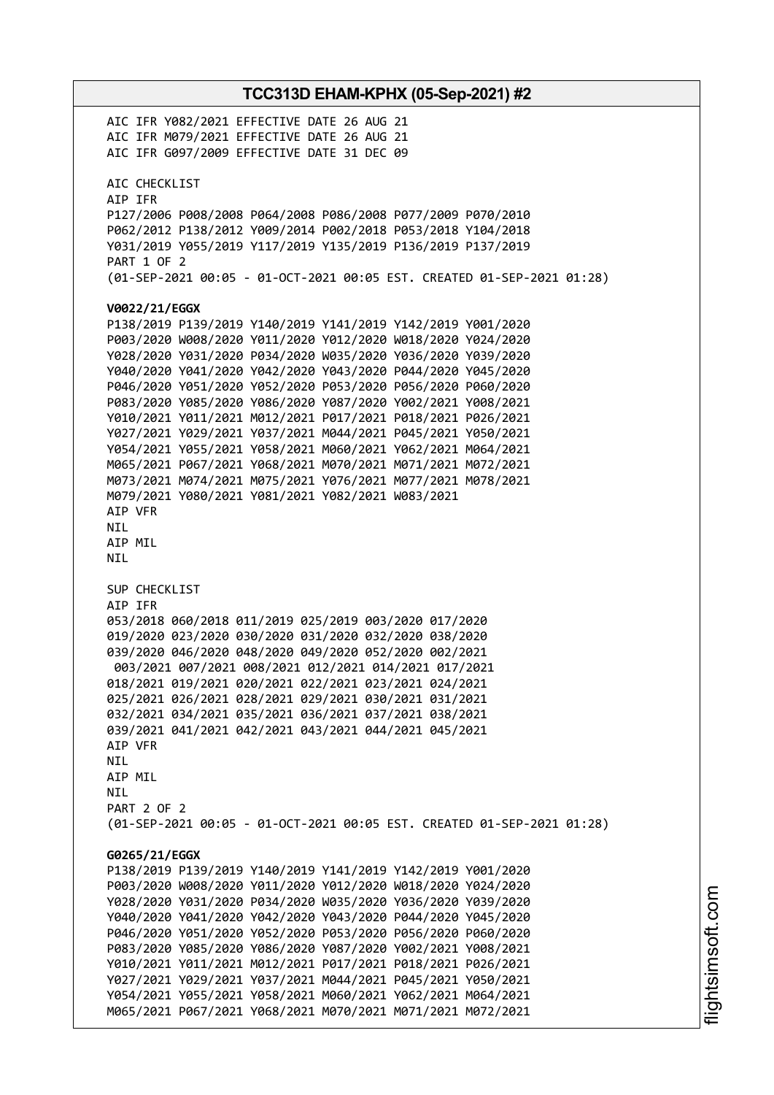**TCC313D EHAM-KPHX (05-Sep-2021) #2** AIC IFR Y082/2021 EFFECTIVE DATE 26 AUG 21 AIC IFR M079/2021 EFFECTIVE DATE 26 AUG 21 AIC IFR G097/2009 EFFECTIVE DATE 31 DEC 09 AIC CHECKLIST AIP IFR P127/2006 P008/2008 P064/2008 P086/2008 P077/2009 P070/2010 P062/2012 P138/2012 Y009/2014 P002/2018 P053/2018 Y104/2018 Y031/2019 Y055/2019 Y117/2019 Y135/2019 P136/2019 P137/2019 PART 1 OF 2 (01-SEP-2021 00:05 - 01-OCT-2021 00:05 EST. CREATED 01-SEP-2021 01:28) **V0022/21/EGGX** P138/2019 P139/2019 Y140/2019 Y141/2019 Y142/2019 Y001/2020 P003/2020 W008/2020 Y011/2020 Y012/2020 W018/2020 Y024/2020 Y028/2020 Y031/2020 P034/2020 W035/2020 Y036/2020 Y039/2020 Y040/2020 Y041/2020 Y042/2020 Y043/2020 P044/2020 Y045/2020 P046/2020 Y051/2020 Y052/2020 P053/2020 P056/2020 P060/2020 P083/2020 Y085/2020 Y086/2020 Y087/2020 Y002/2021 Y008/2021 Y010/2021 Y011/2021 M012/2021 P017/2021 P018/2021 P026/2021 Y027/2021 Y029/2021 Y037/2021 M044/2021 P045/2021 Y050/2021 Y054/2021 Y055/2021 Y058/2021 M060/2021 Y062/2021 M064/2021 M065/2021 P067/2021 Y068/2021 M070/2021 M071/2021 M072/2021 M073/2021 M074/2021 M075/2021 Y076/2021 M077/2021 M078/2021 M079/2021 Y080/2021 Y081/2021 Y082/2021 W083/2021 AIP VFR NIL AIP MIL NIL SUP CHECKLIST AIP IFR 053/2018 060/2018 011/2019 025/2019 003/2020 017/2020 019/2020 023/2020 030/2020 031/2020 032/2020 038/2020 039/2020 046/2020 048/2020 049/2020 052/2020 002/2021 003/2021 007/2021 008/2021 012/2021 014/2021 017/2021 018/2021 019/2021 020/2021 022/2021 023/2021 024/2021 025/2021 026/2021 028/2021 029/2021 030/2021 031/2021 032/2021 034/2021 035/2021 036/2021 037/2021 038/2021 039/2021 041/2021 042/2021 043/2021 044/2021 045/2021 AIP VFR NIL AIP MIL NIL PART 2 OF 2 (01-SEP-2021 00:05 - 01-OCT-2021 00:05 EST. CREATED 01-SEP-2021 01:28) **G0265/21/EGGX** P138/2019 P139/2019 Y140/2019 Y141/2019 Y142/2019 Y001/2020 P003/2020 W008/2020 Y011/2020 Y012/2020 W018/2020 Y024/2020 Y028/2020 Y031/2020 P034/2020 W035/2020 Y036/2020 Y039/2020 Y040/2020 Y041/2020 Y042/2020 Y043/2020 P044/2020 Y045/2020 P046/2020 Y051/2020 Y052/2020 P053/2020 P056/2020 P060/2020 P083/2020 Y085/2020 Y086/2020 Y087/2020 Y002/2021 Y008/2021 Y010/2021 Y011/2021 M012/2021 P017/2021 P018/2021 P026/2021 Y027/2021 Y029/2021 Y037/2021 M044/2021 P045/2021 Y050/2021 Y054/2021 Y055/2021 Y058/2021 M060/2021 Y062/2021 M064/2021 M065/2021 P067/2021 Y068/2021 M070/2021 M071/2021 M072/2021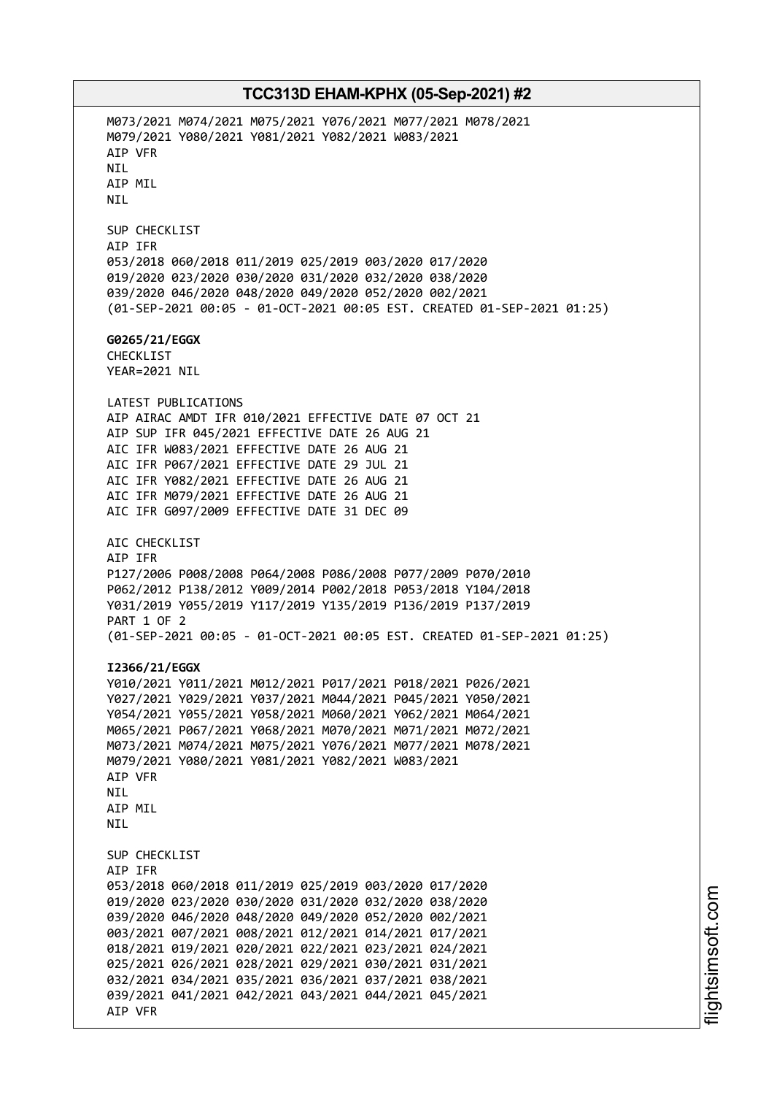M073/2021 M074/2021 M075/2021 Y076/2021 M077/2021 M078/2021 M079/2021 Y080/2021 Y081/2021 Y082/2021 W083/2021 AIP VFR NIL AIP MIL NIL SUP CHECKLIST AIP IFR 053/2018 060/2018 011/2019 025/2019 003/2020 017/2020 019/2020 023/2020 030/2020 031/2020 032/2020 038/2020 039/2020 046/2020 048/2020 049/2020 052/2020 002/2021 (01-SEP-2021 00:05 - 01-OCT-2021 00:05 EST. CREATED 01-SEP-2021 01:25) **G0265/21/EGGX** CHECKLIST YEAR=2021 NIL LATEST PUBLICATIONS AIP AIRAC AMDT IFR 010/2021 EFFECTIVE DATE 07 OCT 21 AIP SUP IFR 045/2021 EFFECTIVE DATE 26 AUG 21 AIC IFR W083/2021 EFFECTIVE DATE 26 AUG 21 AIC IFR P067/2021 EFFECTIVE DATE 29 JUL 21 AIC IFR Y082/2021 EFFECTIVE DATE 26 AUG 21 AIC IFR M079/2021 EFFECTIVE DATE 26 AUG 21 AIC IFR G097/2009 EFFECTIVE DATE 31 DEC 09 AIC CHECKLIST AIP IFR P127/2006 P008/2008 P064/2008 P086/2008 P077/2009 P070/2010 P062/2012 P138/2012 Y009/2014 P002/2018 P053/2018 Y104/2018 Y031/2019 Y055/2019 Y117/2019 Y135/2019 P136/2019 P137/2019 PART 1 OF 2 (01-SEP-2021 00:05 - 01-OCT-2021 00:05 EST. CREATED 01-SEP-2021 01:25) **I2366/21/EGGX** Y010/2021 Y011/2021 M012/2021 P017/2021 P018/2021 P026/2021 Y027/2021 Y029/2021 Y037/2021 M044/2021 P045/2021 Y050/2021 Y054/2021 Y055/2021 Y058/2021 M060/2021 Y062/2021 M064/2021 M065/2021 P067/2021 Y068/2021 M070/2021 M071/2021 M072/2021 M073/2021 M074/2021 M075/2021 Y076/2021 M077/2021 M078/2021 M079/2021 Y080/2021 Y081/2021 Y082/2021 W083/2021 AIP VFR NIL AIP MIL **NTI** SUP CHECKLIST AIP IFR 053/2018 060/2018 011/2019 025/2019 003/2020 017/2020 019/2020 023/2020 030/2020 031/2020 032/2020 038/2020 039/2020 046/2020 048/2020 049/2020 052/2020 002/2021 003/2021 007/2021 008/2021 012/2021 014/2021 017/2021 018/2021 019/2021 020/2021 022/2021 023/2021 024/2021 025/2021 026/2021 028/2021 029/2021 030/2021 031/2021 032/2021 034/2021 035/2021 036/2021 037/2021 038/2021 039/2021 041/2021 042/2021 043/2021 044/2021 045/2021 AIP VFR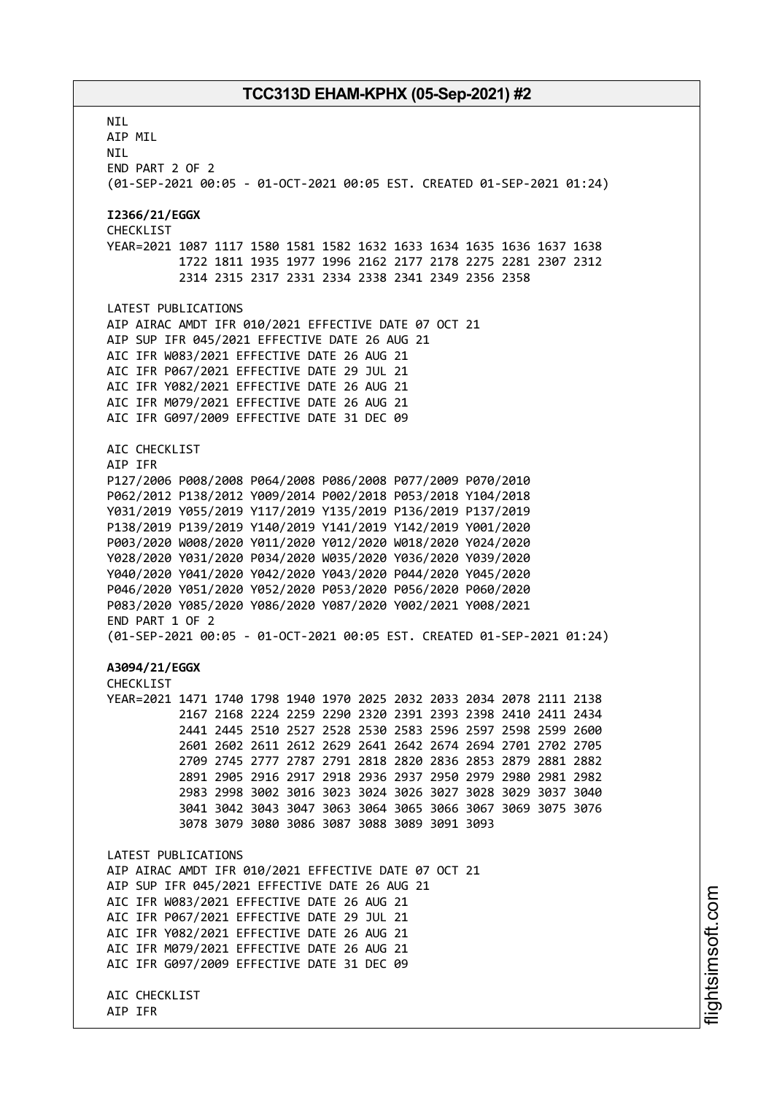**NTI** AIP MIL NIL END PART 2 OF 2 (01-SEP-2021 00:05 - 01-OCT-2021 00:05 EST. CREATED 01-SEP-2021 01:24) **I2366/21/EGGX** CHECKLIST YEAR=2021 1087 1117 1580 1581 1582 1632 1633 1634 1635 1636 1637 1638 1722 1811 1935 1977 1996 2162 2177 2178 2275 2281 2307 2312 2314 2315 2317 2331 2334 2338 2341 2349 2356 2358 LATEST PUBLICATIONS AIP AIRAC AMDT IFR 010/2021 EFFECTIVE DATE 07 OCT 21 AIP SUP IFR 045/2021 EFFECTIVE DATE 26 AUG 21 AIC IFR W083/2021 EFFECTIVE DATE 26 AUG 21 AIC IFR P067/2021 EFFECTIVE DATE 29 JUL 21 AIC IFR Y082/2021 EFFECTIVE DATE 26 AUG 21 AIC IFR M079/2021 EFFECTIVE DATE 26 AUG 21 AIC IFR G097/2009 EFFECTIVE DATE 31 DEC 09 AIC CHECKLIST AIP IFR P127/2006 P008/2008 P064/2008 P086/2008 P077/2009 P070/2010 P062/2012 P138/2012 Y009/2014 P002/2018 P053/2018 Y104/2018 Y031/2019 Y055/2019 Y117/2019 Y135/2019 P136/2019 P137/2019 P138/2019 P139/2019 Y140/2019 Y141/2019 Y142/2019 Y001/2020 P003/2020 W008/2020 Y011/2020 Y012/2020 W018/2020 Y024/2020 Y028/2020 Y031/2020 P034/2020 W035/2020 Y036/2020 Y039/2020 Y040/2020 Y041/2020 Y042/2020 Y043/2020 P044/2020 Y045/2020 P046/2020 Y051/2020 Y052/2020 P053/2020 P056/2020 P060/2020 P083/2020 Y085/2020 Y086/2020 Y087/2020 Y002/2021 Y008/2021 END PART 1 OF 2 (01-SEP-2021 00:05 - 01-OCT-2021 00:05 EST. CREATED 01-SEP-2021 01:24) **A3094/21/EGGX** CHECKLIST YEAR=2021 1471 1740 1798 1940 1970 2025 2032 2033 2034 2078 2111 2138 2167 2168 2224 2259 2290 2320 2391 2393 2398 2410 2411 2434 2441 2445 2510 2527 2528 2530 2583 2596 2597 2598 2599 2600 2601 2602 2611 2612 2629 2641 2642 2674 2694 2701 2702 2705 2709 2745 2777 2787 2791 2818 2820 2836 2853 2879 2881 2882 2891 2905 2916 2917 2918 2936 2937 2950 2979 2980 2981 2982 2983 2998 3002 3016 3023 3024 3026 3027 3028 3029 3037 3040 3041 3042 3043 3047 3063 3064 3065 3066 3067 3069 3075 3076 3078 3079 3080 3086 3087 3088 3089 3091 3093 LATEST PUBLICATIONS AIP AIRAC AMDT IFR 010/2021 EFFECTIVE DATE 07 OCT 21 AIP SUP IFR 045/2021 EFFECTIVE DATE 26 AUG 21 AIC IFR W083/2021 EFFECTIVE DATE 26 AUG 21 AIC IFR P067/2021 EFFECTIVE DATE 29 JUL 21 AIC IFR Y082/2021 EFFECTIVE DATE 26 AUG 21 AIC IFR M079/2021 EFFECTIVE DATE 26 AUG 21 AIC IFR G097/2009 EFFECTIVE DATE 31 DEC 09 AIC CHECKLIST AIP IFR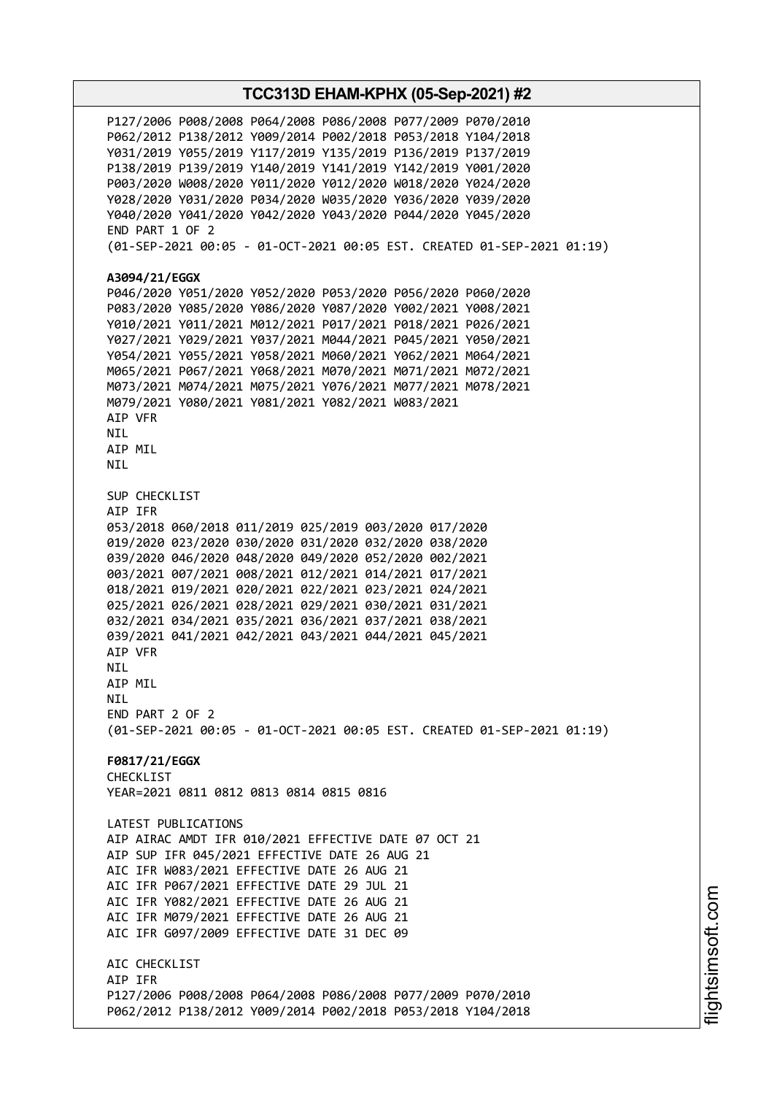P127/2006 P008/2008 P064/2008 P086/2008 P077/2009 P070/2010 P062/2012 P138/2012 Y009/2014 P002/2018 P053/2018 Y104/2018 Y031/2019 Y055/2019 Y117/2019 Y135/2019 P136/2019 P137/2019 P138/2019 P139/2019 Y140/2019 Y141/2019 Y142/2019 Y001/2020 P003/2020 W008/2020 Y011/2020 Y012/2020 W018/2020 Y024/2020 Y028/2020 Y031/2020 P034/2020 W035/2020 Y036/2020 Y039/2020 Y040/2020 Y041/2020 Y042/2020 Y043/2020 P044/2020 Y045/2020 END PART 1 OF 2 (01-SEP-2021 00:05 - 01-OCT-2021 00:05 EST. CREATED 01-SEP-2021 01:19) **A3094/21/EGGX** P046/2020 Y051/2020 Y052/2020 P053/2020 P056/2020 P060/2020 P083/2020 Y085/2020 Y086/2020 Y087/2020 Y002/2021 Y008/2021 Y010/2021 Y011/2021 M012/2021 P017/2021 P018/2021 P026/2021 Y027/2021 Y029/2021 Y037/2021 M044/2021 P045/2021 Y050/2021 Y054/2021 Y055/2021 Y058/2021 M060/2021 Y062/2021 M064/2021 M065/2021 P067/2021 Y068/2021 M070/2021 M071/2021 M072/2021 M073/2021 M074/2021 M075/2021 Y076/2021 M077/2021 M078/2021 M079/2021 Y080/2021 Y081/2021 Y082/2021 W083/2021 AIP VFR NIL AIP MIL NIL SUP CHECKLIST AIP IFR 053/2018 060/2018 011/2019 025/2019 003/2020 017/2020 019/2020 023/2020 030/2020 031/2020 032/2020 038/2020 039/2020 046/2020 048/2020 049/2020 052/2020 002/2021 003/2021 007/2021 008/2021 012/2021 014/2021 017/2021 018/2021 019/2021 020/2021 022/2021 023/2021 024/2021 025/2021 026/2021 028/2021 029/2021 030/2021 031/2021 032/2021 034/2021 035/2021 036/2021 037/2021 038/2021 039/2021 041/2021 042/2021 043/2021 044/2021 045/2021 AIP VFR **NTL** AIP MIL **NTI** END PART 2 OF 2 (01-SEP-2021 00:05 - 01-OCT-2021 00:05 EST. CREATED 01-SEP-2021 01:19) **F0817/21/EGGX** CHECKLIST YEAR=2021 0811 0812 0813 0814 0815 0816 LATEST PUBLICATIONS AIP AIRAC AMDT IFR 010/2021 EFFECTIVE DATE 07 OCT 21 AIP SUP IFR 045/2021 EFFECTIVE DATE 26 AUG 21 AIC IFR W083/2021 EFFECTIVE DATE 26 AUG 21 AIC IFR P067/2021 EFFECTIVE DATE 29 JUL 21 AIC IFR Y082/2021 EFFECTIVE DATE 26 AUG 21 AIC IFR M079/2021 EFFECTIVE DATE 26 AUG 21 AIC IFR G097/2009 EFFECTIVE DATE 31 DEC 09 ATC CHECKLIST AIP IFR P127/2006 P008/2008 P064/2008 P086/2008 P077/2009 P070/2010 P062/2012 P138/2012 Y009/2014 P002/2018 P053/2018 Y104/2018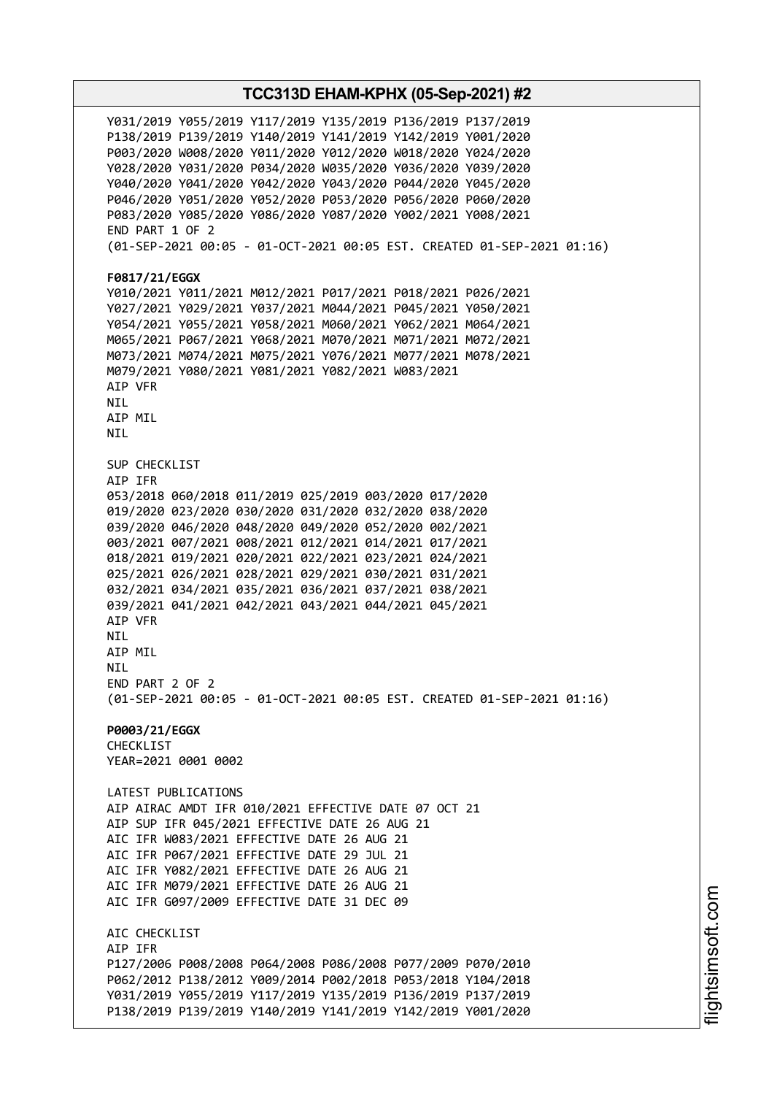Y031/2019 Y055/2019 Y117/2019 Y135/2019 P136/2019 P137/2019 P138/2019 P139/2019 Y140/2019 Y141/2019 Y142/2019 Y001/2020 P003/2020 W008/2020 Y011/2020 Y012/2020 W018/2020 Y024/2020 Y028/2020 Y031/2020 P034/2020 W035/2020 Y036/2020 Y039/2020 Y040/2020 Y041/2020 Y042/2020 Y043/2020 P044/2020 Y045/2020 P046/2020 Y051/2020 Y052/2020 P053/2020 P056/2020 P060/2020 P083/2020 Y085/2020 Y086/2020 Y087/2020 Y002/2021 Y008/2021 END PART 1 OF 2 (01-SEP-2021 00:05 - 01-OCT-2021 00:05 EST. CREATED 01-SEP-2021 01:16) **F0817/21/EGGX** Y010/2021 Y011/2021 M012/2021 P017/2021 P018/2021 P026/2021 Y027/2021 Y029/2021 Y037/2021 M044/2021 P045/2021 Y050/2021 Y054/2021 Y055/2021 Y058/2021 M060/2021 Y062/2021 M064/2021 M065/2021 P067/2021 Y068/2021 M070/2021 M071/2021 M072/2021 M073/2021 M074/2021 M075/2021 Y076/2021 M077/2021 M078/2021 M079/2021 Y080/2021 Y081/2021 Y082/2021 W083/2021 AIP VFR NIL AIP MIL NIL SUP CHECKLIST AIP IFR 053/2018 060/2018 011/2019 025/2019 003/2020 017/2020 019/2020 023/2020 030/2020 031/2020 032/2020 038/2020 039/2020 046/2020 048/2020 049/2020 052/2020 002/2021 003/2021 007/2021 008/2021 012/2021 014/2021 017/2021 018/2021 019/2021 020/2021 022/2021 023/2021 024/2021 025/2021 026/2021 028/2021 029/2021 030/2021 031/2021 032/2021 034/2021 035/2021 036/2021 037/2021 038/2021 039/2021 041/2021 042/2021 043/2021 044/2021 045/2021 AIP VFR NIL AIP MIL **NTL** END PART 2 OF 2 (01-SEP-2021 00:05 - 01-OCT-2021 00:05 EST. CREATED 01-SEP-2021 01:16) **P0003/21/EGGX CHECKLIST** YEAR=2021 0001 0002 LATEST PUBLICATIONS AIP AIRAC AMDT IFR 010/2021 EFFECTIVE DATE 07 OCT 21 AIP SUP IFR 045/2021 EFFECTIVE DATE 26 AUG 21 AIC IFR W083/2021 EFFECTIVE DATE 26 AUG 21 AIC IFR P067/2021 EFFECTIVE DATE 29 JUL 21 AIC IFR Y082/2021 EFFECTIVE DATE 26 AUG 21 AIC IFR M079/2021 EFFECTIVE DATE 26 AUG 21 AIC IFR G097/2009 EFFECTIVE DATE 31 DEC 09 AIC CHECKLIST AIP IFR P127/2006 P008/2008 P064/2008 P086/2008 P077/2009 P070/2010 P062/2012 P138/2012 Y009/2014 P002/2018 P053/2018 Y104/2018 Y031/2019 Y055/2019 Y117/2019 Y135/2019 P136/2019 P137/2019 P138/2019 P139/2019 Y140/2019 Y141/2019 Y142/2019 Y001/2020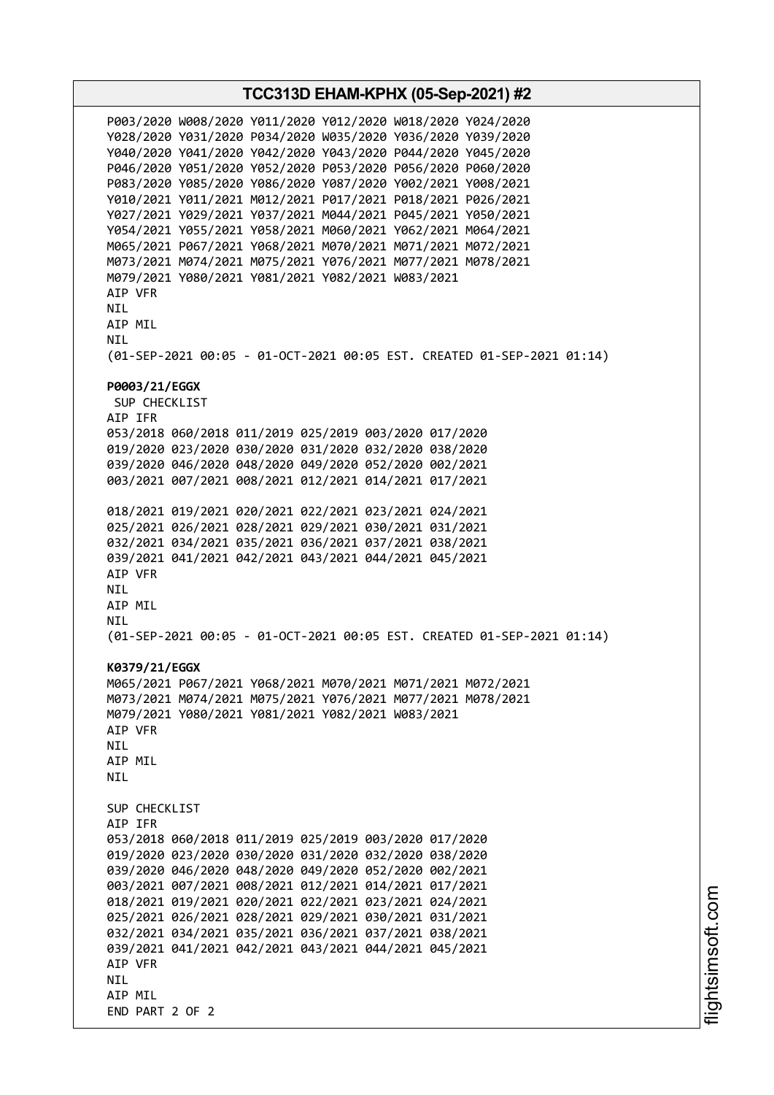**TCC313D EHAM-KPHX (05-Sep-2021) #2** P003/2020 W008/2020 Y011/2020 Y012/2020 W018/2020 Y024/2020 Y028/2020 Y031/2020 P034/2020 W035/2020 Y036/2020 Y039/2020 Y040/2020 Y041/2020 Y042/2020 Y043/2020 P044/2020 Y045/2020 P046/2020 Y051/2020 Y052/2020 P053/2020 P056/2020 P060/2020 P083/2020 Y085/2020 Y086/2020 Y087/2020 Y002/2021 Y008/2021 Y010/2021 Y011/2021 M012/2021 P017/2021 P018/2021 P026/2021 Y027/2021 Y029/2021 Y037/2021 M044/2021 P045/2021 Y050/2021 Y054/2021 Y055/2021 Y058/2021 M060/2021 Y062/2021 M064/2021 M065/2021 P067/2021 Y068/2021 M070/2021 M071/2021 M072/2021 M073/2021 M074/2021 M075/2021 Y076/2021 M077/2021 M078/2021 M079/2021 Y080/2021 Y081/2021 Y082/2021 W083/2021 AIP VFR NIL AIP MIL NIL (01-SEP-2021 00:05 - 01-OCT-2021 00:05 EST. CREATED 01-SEP-2021 01:14) **P0003/21/EGGX** SUP CHECKLIST AIP IFR 053/2018 060/2018 011/2019 025/2019 003/2020 017/2020 019/2020 023/2020 030/2020 031/2020 032/2020 038/2020 039/2020 046/2020 048/2020 049/2020 052/2020 002/2021 003/2021 007/2021 008/2021 012/2021 014/2021 017/2021 018/2021 019/2021 020/2021 022/2021 023/2021 024/2021 025/2021 026/2021 028/2021 029/2021 030/2021 031/2021 032/2021 034/2021 035/2021 036/2021 037/2021 038/2021 039/2021 041/2021 042/2021 043/2021 044/2021 045/2021 AIP VFR NIL AIP MIL NIL (01-SEP-2021 00:05 - 01-OCT-2021 00:05 EST. CREATED 01-SEP-2021 01:14) **K0379/21/EGGX** M065/2021 P067/2021 Y068/2021 M070/2021 M071/2021 M072/2021 M073/2021 M074/2021 M075/2021 Y076/2021 M077/2021 M078/2021 M079/2021 Y080/2021 Y081/2021 Y082/2021 W083/2021 AIP VFR **NTI** AIP MIL NIL SUP CHECKLIST AIP IFR 053/2018 060/2018 011/2019 025/2019 003/2020 017/2020 019/2020 023/2020 030/2020 031/2020 032/2020 038/2020 039/2020 046/2020 048/2020 049/2020 052/2020 002/2021 003/2021 007/2021 008/2021 012/2021 014/2021 017/2021 018/2021 019/2021 020/2021 022/2021 023/2021 024/2021 025/2021 026/2021 028/2021 029/2021 030/2021 031/2021 032/2021 034/2021 035/2021 036/2021 037/2021 038/2021 039/2021 041/2021 042/2021 043/2021 044/2021 045/2021 AIP VFR NIL AIP MIL END PART 2 OF 2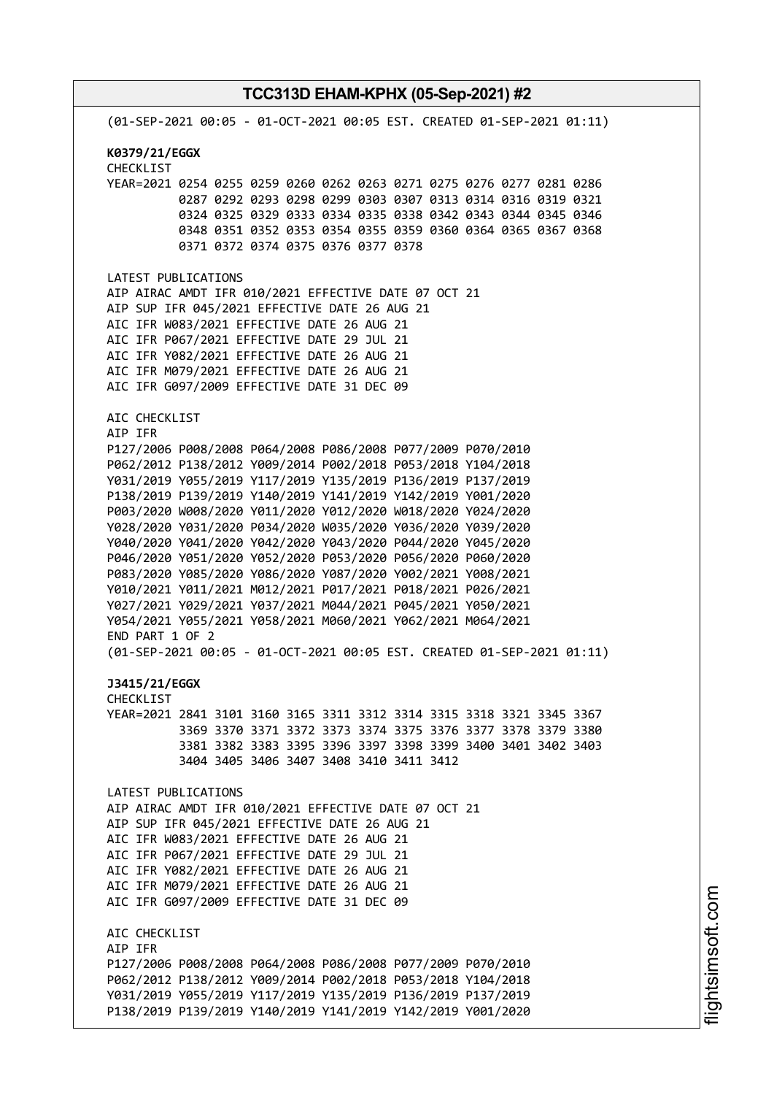(01-SEP-2021 00:05 - 01-OCT-2021 00:05 EST. CREATED 01-SEP-2021 01:11) **K0379/21/EGGX** CHECKLIST YEAR=2021 0254 0255 0259 0260 0262 0263 0271 0275 0276 0277 0281 0286 0287 0292 0293 0298 0299 0303 0307 0313 0314 0316 0319 0321 0324 0325 0329 0333 0334 0335 0338 0342 0343 0344 0345 0346 0348 0351 0352 0353 0354 0355 0359 0360 0364 0365 0367 0368 0371 0372 0374 0375 0376 0377 0378 LATEST PUBLICATIONS AIP AIRAC AMDT IFR 010/2021 EFFECTIVE DATE 07 OCT 21 AIP SUP IFR 045/2021 EFFECTIVE DATE 26 AUG 21 AIC IFR W083/2021 EFFECTIVE DATE 26 AUG 21 AIC IFR P067/2021 EFFECTIVE DATE 29 JUL 21 AIC IFR Y082/2021 EFFECTIVE DATE 26 AUG 21 AIC IFR M079/2021 EFFECTIVE DATE 26 AUG 21 AIC IFR G097/2009 EFFECTIVE DATE 31 DEC 09 AIC CHECKLIST AIP IFR P127/2006 P008/2008 P064/2008 P086/2008 P077/2009 P070/2010 P062/2012 P138/2012 Y009/2014 P002/2018 P053/2018 Y104/2018 Y031/2019 Y055/2019 Y117/2019 Y135/2019 P136/2019 P137/2019 P138/2019 P139/2019 Y140/2019 Y141/2019 Y142/2019 Y001/2020 P003/2020 W008/2020 Y011/2020 Y012/2020 W018/2020 Y024/2020 Y028/2020 Y031/2020 P034/2020 W035/2020 Y036/2020 Y039/2020 Y040/2020 Y041/2020 Y042/2020 Y043/2020 P044/2020 Y045/2020 P046/2020 Y051/2020 Y052/2020 P053/2020 P056/2020 P060/2020 P083/2020 Y085/2020 Y086/2020 Y087/2020 Y002/2021 Y008/2021 Y010/2021 Y011/2021 M012/2021 P017/2021 P018/2021 P026/2021 Y027/2021 Y029/2021 Y037/2021 M044/2021 P045/2021 Y050/2021 Y054/2021 Y055/2021 Y058/2021 M060/2021 Y062/2021 M064/2021 END PART 1 OF 2 (01-SEP-2021 00:05 - 01-OCT-2021 00:05 EST. CREATED 01-SEP-2021 01:11) **J3415/21/EGGX** CHECKLIST YEAR=2021 2841 3101 3160 3165 3311 3312 3314 3315 3318 3321 3345 3367 3369 3370 3371 3372 3373 3374 3375 3376 3377 3378 3379 3380 3381 3382 3383 3395 3396 3397 3398 3399 3400 3401 3402 3403 3404 3405 3406 3407 3408 3410 3411 3412 LATEST PUBLICATIONS AIP AIRAC AMDT IFR 010/2021 EFFECTIVE DATE 07 OCT 21 AIP SUP IFR 045/2021 EFFECTIVE DATE 26 AUG 21 AIC IFR W083/2021 EFFECTIVE DATE 26 AUG 21 AIC IFR P067/2021 EFFECTIVE DATE 29 JUL 21 AIC IFR Y082/2021 EFFECTIVE DATE 26 AUG 21 AIC IFR M079/2021 EFFECTIVE DATE 26 AUG 21 AIC IFR G097/2009 EFFECTIVE DATE 31 DEC 09 AIC CHECKLIST AIP IFR P127/2006 P008/2008 P064/2008 P086/2008 P077/2009 P070/2010 P062/2012 P138/2012 Y009/2014 P002/2018 P053/2018 Y104/2018 Y031/2019 Y055/2019 Y117/2019 Y135/2019 P136/2019 P137/2019 P138/2019 P139/2019 Y140/2019 Y141/2019 Y142/2019 Y001/2020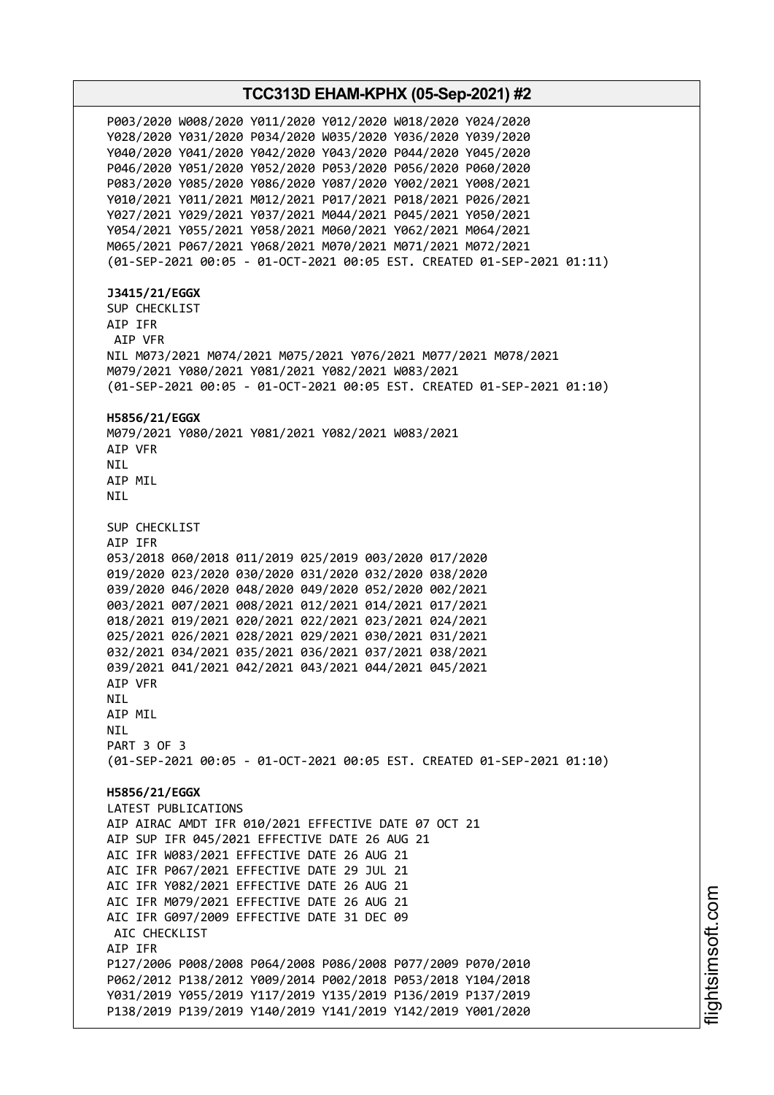## **TCC313D EHAM-KPHX (05-Sep-2021) #2** P003/2020 W008/2020 Y011/2020 Y012/2020 W018/2020 Y024/2020 Y028/2020 Y031/2020 P034/2020 W035/2020 Y036/2020 Y039/2020 Y040/2020 Y041/2020 Y042/2020 Y043/2020 P044/2020 Y045/2020 P046/2020 Y051/2020 Y052/2020 P053/2020 P056/2020 P060/2020 P083/2020 Y085/2020 Y086/2020 Y087/2020 Y002/2021 Y008/2021 Y010/2021 Y011/2021 M012/2021 P017/2021 P018/2021 P026/2021 Y027/2021 Y029/2021 Y037/2021 M044/2021 P045/2021 Y050/2021 Y054/2021 Y055/2021 Y058/2021 M060/2021 Y062/2021 M064/2021 M065/2021 P067/2021 Y068/2021 M070/2021 M071/2021 M072/2021 (01-SEP-2021 00:05 - 01-OCT-2021 00:05 EST. CREATED 01-SEP-2021 01:11) **J3415/21/EGGX** SUP CHECKLIST AIP IFR AIP VFR NIL M073/2021 M074/2021 M075/2021 Y076/2021 M077/2021 M078/2021 M079/2021 Y080/2021 Y081/2021 Y082/2021 W083/2021 (01-SEP-2021 00:05 - 01-OCT-2021 00:05 EST. CREATED 01-SEP-2021 01:10) **H5856/21/EGGX** M079/2021 Y080/2021 Y081/2021 Y082/2021 W083/2021 AIP VFR NIL AIP MIL NIL SUP CHECKLIST AIP IFR 053/2018 060/2018 011/2019 025/2019 003/2020 017/2020 019/2020 023/2020 030/2020 031/2020 032/2020 038/2020 039/2020 046/2020 048/2020 049/2020 052/2020 002/2021 003/2021 007/2021 008/2021 012/2021 014/2021 017/2021 018/2021 019/2021 020/2021 022/2021 023/2021 024/2021 025/2021 026/2021 028/2021 029/2021 030/2021 031/2021 032/2021 034/2021 035/2021 036/2021 037/2021 038/2021 039/2021 041/2021 042/2021 043/2021 044/2021 045/2021 AIP VFR NIL AIP MIL NIL PART 3 OF 3 (01-SEP-2021 00:05 - 01-OCT-2021 00:05 EST. CREATED 01-SEP-2021 01:10) **H5856/21/EGGX** LATEST PUBLICATIONS AIP AIRAC AMDT IFR 010/2021 EFFECTIVE DATE 07 OCT 21 AIP SUP IFR 045/2021 EFFECTIVE DATE 26 AUG 21 AIC IFR W083/2021 EFFECTIVE DATE 26 AUG 21 AIC IFR P067/2021 EFFECTIVE DATE 29 JUL 21 AIC IFR Y082/2021 EFFECTIVE DATE 26 AUG 21 AIC IFR M079/2021 EFFECTIVE DATE 26 AUG 21 AIC IFR G097/2009 EFFECTIVE DATE 31 DEC 09 AIC CHECKLIST AIP IFR P127/2006 P008/2008 P064/2008 P086/2008 P077/2009 P070/2010 P062/2012 P138/2012 Y009/2014 P002/2018 P053/2018 Y104/2018 Y031/2019 Y055/2019 Y117/2019 Y135/2019 P136/2019 P137/2019 P138/2019 P139/2019 Y140/2019 Y141/2019 Y142/2019 Y001/2020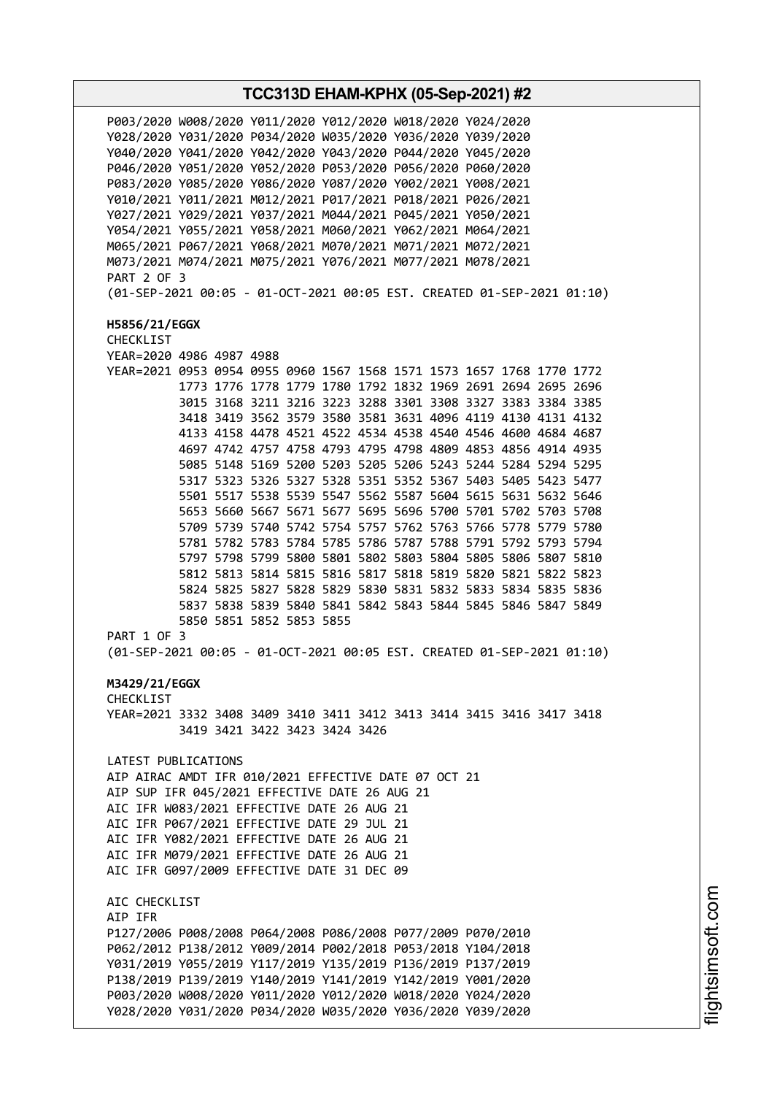**TCC313D EHAM-KPHX (05-Sep-2021) #2** P003/2020 W008/2020 Y011/2020 Y012/2020 W018/2020 Y024/2020 Y028/2020 Y031/2020 P034/2020 W035/2020 Y036/2020 Y039/2020 Y040/2020 Y041/2020 Y042/2020 Y043/2020 P044/2020 Y045/2020 P046/2020 Y051/2020 Y052/2020 P053/2020 P056/2020 P060/2020 P083/2020 Y085/2020 Y086/2020 Y087/2020 Y002/2021 Y008/2021 Y010/2021 Y011/2021 M012/2021 P017/2021 P018/2021 P026/2021 Y027/2021 Y029/2021 Y037/2021 M044/2021 P045/2021 Y050/2021 Y054/2021 Y055/2021 Y058/2021 M060/2021 Y062/2021 M064/2021 M065/2021 P067/2021 Y068/2021 M070/2021 M071/2021 M072/2021 M073/2021 M074/2021 M075/2021 Y076/2021 M077/2021 M078/2021 PART 2 OF 3 (01-SEP-2021 00:05 - 01-OCT-2021 00:05 EST. CREATED 01-SEP-2021 01:10) **H5856/21/EGGX** CHECKLIST YEAR=2020 4986 4987 4988 YEAR=2021 0953 0954 0955 0960 1567 1568 1571 1573 1657 1768 1770 1772 1773 1776 1778 1779 1780 1792 1832 1969 2691 2694 2695 2696 3015 3168 3211 3216 3223 3288 3301 3308 3327 3383 3384 3385 3418 3419 3562 3579 3580 3581 3631 4096 4119 4130 4131 4132 4133 4158 4478 4521 4522 4534 4538 4540 4546 4600 4684 4687 4697 4742 4757 4758 4793 4795 4798 4809 4853 4856 4914 4935 5085 5148 5169 5200 5203 5205 5206 5243 5244 5284 5294 5295 5317 5323 5326 5327 5328 5351 5352 5367 5403 5405 5423 5477 5501 5517 5538 5539 5547 5562 5587 5604 5615 5631 5632 5646 5653 5660 5667 5671 5677 5695 5696 5700 5701 5702 5703 5708 5709 5739 5740 5742 5754 5757 5762 5763 5766 5778 5779 5780 5781 5782 5783 5784 5785 5786 5787 5788 5791 5792 5793 5794 5797 5798 5799 5800 5801 5802 5803 5804 5805 5806 5807 5810 5812 5813 5814 5815 5816 5817 5818 5819 5820 5821 5822 5823 5824 5825 5827 5828 5829 5830 5831 5832 5833 5834 5835 5836 5837 5838 5839 5840 5841 5842 5843 5844 5845 5846 5847 5849 5850 5851 5852 5853 5855 PART 1 OF 3 (01-SEP-2021 00:05 - 01-OCT-2021 00:05 EST. CREATED 01-SEP-2021 01:10) **M3429/21/EGGX** CHECKL<sub>TST</sub> YEAR=2021 3332 3408 3409 3410 3411 3412 3413 3414 3415 3416 3417 3418 3419 3421 3422 3423 3424 3426 LATEST PUBLICATIONS AIP AIRAC AMDT IFR 010/2021 EFFECTIVE DATE 07 OCT 21 AIP SUP IFR 045/2021 EFFECTIVE DATE 26 AUG 21 AIC IFR W083/2021 EFFECTIVE DATE 26 AUG 21 AIC IFR P067/2021 EFFECTIVE DATE 29 JUL 21 AIC IFR Y082/2021 EFFECTIVE DATE 26 AUG 21 AIC IFR M079/2021 EFFECTIVE DATE 26 AUG 21 AIC IFR G097/2009 EFFECTIVE DATE 31 DEC 09 AIC CHECKLIST AIP IFR P127/2006 P008/2008 P064/2008 P086/2008 P077/2009 P070/2010 P062/2012 P138/2012 Y009/2014 P002/2018 P053/2018 Y104/2018 Y031/2019 Y055/2019 Y117/2019 Y135/2019 P136/2019 P137/2019 P138/2019 P139/2019 Y140/2019 Y141/2019 Y142/2019 Y001/2020 P003/2020 W008/2020 Y011/2020 Y012/2020 W018/2020 Y024/2020 Y028/2020 Y031/2020 P034/2020 W035/2020 Y036/2020 Y039/2020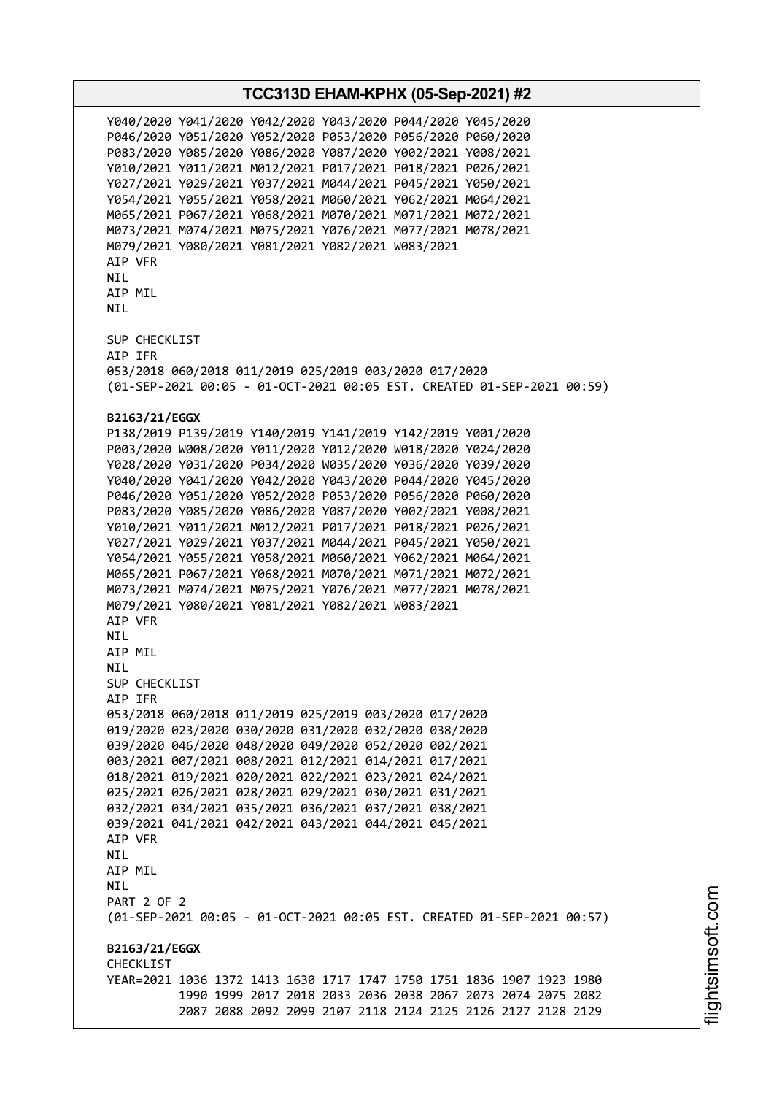Y040/2020 Y041/2020 Y042/2020 Y043/2020 P044/2020 Y045/2020 P046/2020 Y051/2020 Y052/2020 P053/2020 P056/2020 P060/2020 P083/2020 Y085/2020 Y086/2020 Y087/2020 Y002/2021 Y008/2021 Y010/2021 Y011/2021 M012/2021 P017/2021 P018/2021 P026/2021 Y027/2021 Y029/2021 Y037/2021 M044/2021 P045/2021 Y050/2021 Y054/2021 Y055/2021 Y058/2021 M060/2021 Y062/2021 M064/2021 M065/2021 P067/2021 Y068/2021 M070/2021 M071/2021 M072/2021 M073/2021 M074/2021 M075/2021 Y076/2021 M077/2021 M078/2021 M079/2021 Y080/2021 Y081/2021 Y082/2021 W083/2021 AIP VFR NIL AIP MIL NIL SUP CHECKLIST AIP IFR 053/2018 060/2018 011/2019 025/2019 003/2020 017/2020 (01-SEP-2021 00:05 - 01-OCT-2021 00:05 EST. CREATED 01-SEP-2021 00:59) **B2163/21/EGGX** P138/2019 P139/2019 Y140/2019 Y141/2019 Y142/2019 Y001/2020 P003/2020 W008/2020 Y011/2020 Y012/2020 W018/2020 Y024/2020 Y028/2020 Y031/2020 P034/2020 W035/2020 Y036/2020 Y039/2020 Y040/2020 Y041/2020 Y042/2020 Y043/2020 P044/2020 Y045/2020 P046/2020 Y051/2020 Y052/2020 P053/2020 P056/2020 P060/2020 P083/2020 Y085/2020 Y086/2020 Y087/2020 Y002/2021 Y008/2021 Y010/2021 Y011/2021 M012/2021 P017/2021 P018/2021 P026/2021 Y027/2021 Y029/2021 Y037/2021 M044/2021 P045/2021 Y050/2021 Y054/2021 Y055/2021 Y058/2021 M060/2021 Y062/2021 M064/2021 M065/2021 P067/2021 Y068/2021 M070/2021 M071/2021 M072/2021 M073/2021 M074/2021 M075/2021 Y076/2021 M077/2021 M078/2021 M079/2021 Y080/2021 Y081/2021 Y082/2021 W083/2021 AIP VFR **NTI** AIP MIL **NTL** SUP CHECKLIST AIP IFR 053/2018 060/2018 011/2019 025/2019 003/2020 017/2020 019/2020 023/2020 030/2020 031/2020 032/2020 038/2020 039/2020 046/2020 048/2020 049/2020 052/2020 002/2021 003/2021 007/2021 008/2021 012/2021 014/2021 017/2021 018/2021 019/2021 020/2021 022/2021 023/2021 024/2021 025/2021 026/2021 028/2021 029/2021 030/2021 031/2021 032/2021 034/2021 035/2021 036/2021 037/2021 038/2021 039/2021 041/2021 042/2021 043/2021 044/2021 045/2021 AIP VFR **NTI** AIP MIL NIL PART 2 OF 2 (01-SEP-2021 00:05 - 01-OCT-2021 00:05 EST. CREATED 01-SEP-2021 00:57) **B2163/21/EGGX CHECKLIST** YEAR=2021 1036 1372 1413 1630 1717 1747 1750 1751 1836 1907 1923 1980 1990 1999 2017 2018 2033 2036 2038 2067 2073 2074 2075 2082 2087 2088 2092 2099 2107 2118 2124 2125 2126 2127 2128 2129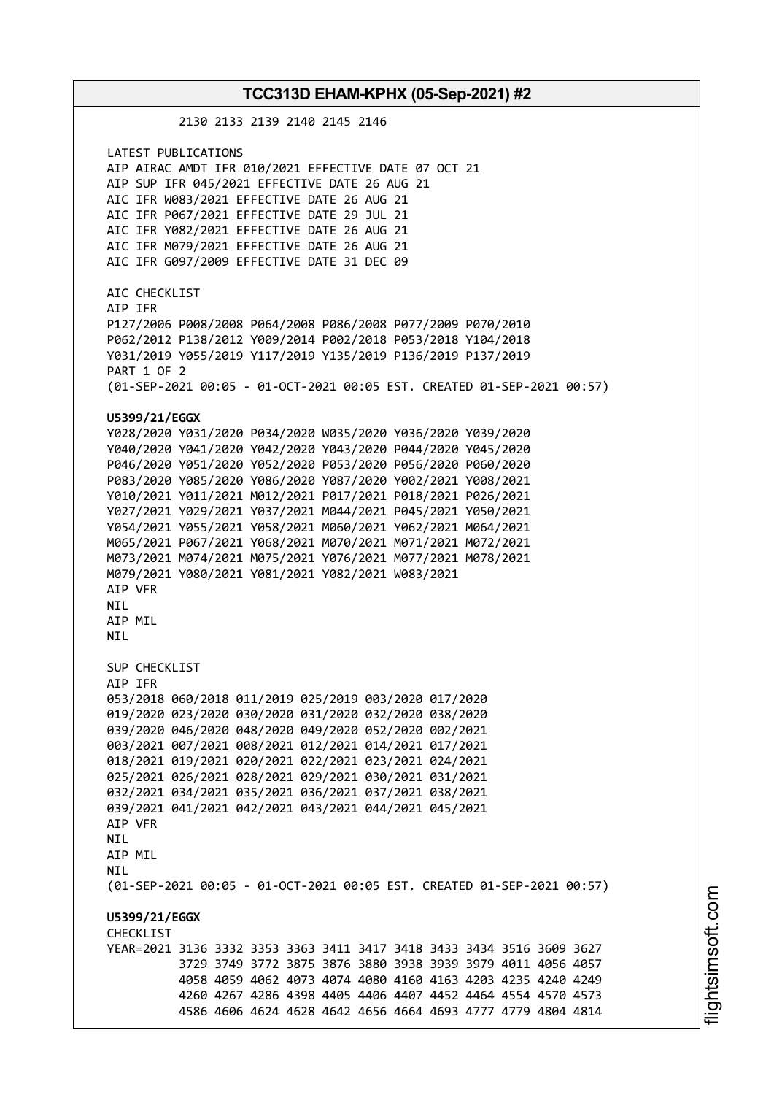2130 2133 2139 2140 2145 2146 LATEST PUBLICATIONS AIP AIRAC AMDT IFR 010/2021 EFFECTIVE DATE 07 OCT 21 AIP SUP IFR 045/2021 EFFECTIVE DATE 26 AUG 21 AIC IFR W083/2021 EFFECTIVE DATE 26 AUG 21 AIC IFR P067/2021 EFFECTIVE DATE 29 JUL 21 AIC IFR Y082/2021 EFFECTIVE DATE 26 AUG 21 AIC IFR M079/2021 EFFECTIVE DATE 26 AUG 21 AIC IFR G097/2009 EFFECTIVE DATE 31 DEC 09 AIC CHECKLIST AIP IFR P127/2006 P008/2008 P064/2008 P086/2008 P077/2009 P070/2010 P062/2012 P138/2012 Y009/2014 P002/2018 P053/2018 Y104/2018 Y031/2019 Y055/2019 Y117/2019 Y135/2019 P136/2019 P137/2019 PART 1 OF 2 (01-SEP-2021 00:05 - 01-OCT-2021 00:05 EST. CREATED 01-SEP-2021 00:57) **U5399/21/EGGX** Y028/2020 Y031/2020 P034/2020 W035/2020 Y036/2020 Y039/2020 Y040/2020 Y041/2020 Y042/2020 Y043/2020 P044/2020 Y045/2020 P046/2020 Y051/2020 Y052/2020 P053/2020 P056/2020 P060/2020 P083/2020 Y085/2020 Y086/2020 Y087/2020 Y002/2021 Y008/2021 Y010/2021 Y011/2021 M012/2021 P017/2021 P018/2021 P026/2021 Y027/2021 Y029/2021 Y037/2021 M044/2021 P045/2021 Y050/2021 Y054/2021 Y055/2021 Y058/2021 M060/2021 Y062/2021 M064/2021 M065/2021 P067/2021 Y068/2021 M070/2021 M071/2021 M072/2021 M073/2021 M074/2021 M075/2021 Y076/2021 M077/2021 M078/2021 M079/2021 Y080/2021 Y081/2021 Y082/2021 W083/2021 AIP VFR NIL AIP MIL **NTI** SUP CHECKLIST AIP IFR 053/2018 060/2018 011/2019 025/2019 003/2020 017/2020 019/2020 023/2020 030/2020 031/2020 032/2020 038/2020 039/2020 046/2020 048/2020 049/2020 052/2020 002/2021 003/2021 007/2021 008/2021 012/2021 014/2021 017/2021 018/2021 019/2021 020/2021 022/2021 023/2021 024/2021 025/2021 026/2021 028/2021 029/2021 030/2021 031/2021 032/2021 034/2021 035/2021 036/2021 037/2021 038/2021 039/2021 041/2021 042/2021 043/2021 044/2021 045/2021 AIP VFR **NTL** AIP MIL **NTI** (01-SEP-2021 00:05 - 01-OCT-2021 00:05 EST. CREATED 01-SEP-2021 00:57) **U5399/21/EGGX** CHECKLIST YEAR=2021 3136 3332 3353 3363 3411 3417 3418 3433 3434 3516 3609 3627 3729 3749 3772 3875 3876 3880 3938 3939 3979 4011 4056 4057 4058 4059 4062 4073 4074 4080 4160 4163 4203 4235 4240 4249 4260 4267 4286 4398 4405 4406 4407 4452 4464 4554 4570 4573 4586 4606 4624 4628 4642 4656 4664 4693 4777 4779 4804 4814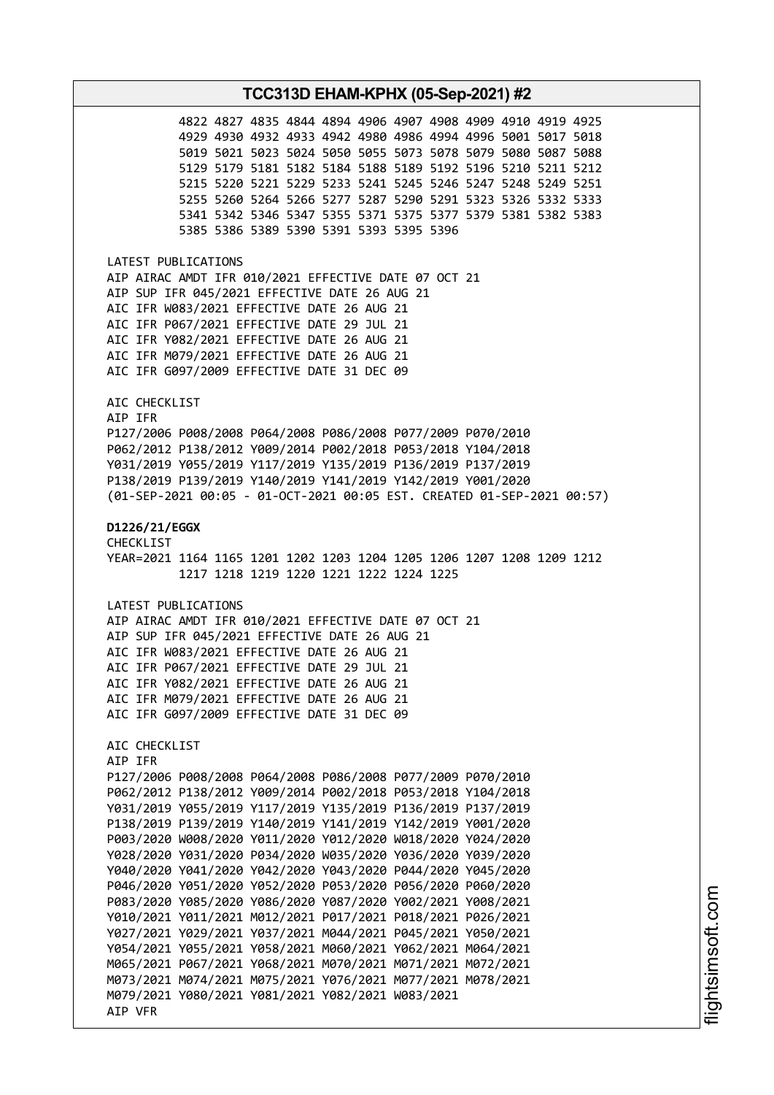## **TCC313D EHAM-KPHX (05-Sep-2021) #2** 4822 4827 4835 4844 4894 4906 4907 4908 4909 4910 4919 4925 4929 4930 4932 4933 4942 4980 4986 4994 4996 5001 5017 5018 5019 5021 5023 5024 5050 5055 5073 5078 5079 5080 5087 5088 5129 5179 5181 5182 5184 5188 5189 5192 5196 5210 5211 5212 5215 5220 5221 5229 5233 5241 5245 5246 5247 5248 5249 5251 5255 5260 5264 5266 5277 5287 5290 5291 5323 5326 5332 5333 5341 5342 5346 5347 5355 5371 5375 5377 5379 5381 5382 5383 5385 5386 5389 5390 5391 5393 5395 5396 LATEST PUBLICATIONS AIP AIRAC AMDT IFR 010/2021 EFFECTIVE DATE 07 OCT 21 AIP SUP IFR 045/2021 EFFECTIVE DATE 26 AUG 21 AIC IFR W083/2021 EFFECTIVE DATE 26 AUG 21 AIC IFR P067/2021 EFFECTIVE DATE 29 JUL 21 AIC IFR Y082/2021 EFFECTIVE DATE 26 AUG 21 AIC IFR M079/2021 EFFECTIVE DATE 26 AUG 21 AIC IFR G097/2009 EFFECTIVE DATE 31 DEC 09 AIC CHECKLIST AIP IFR P127/2006 P008/2008 P064/2008 P086/2008 P077/2009 P070/2010 P062/2012 P138/2012 Y009/2014 P002/2018 P053/2018 Y104/2018 Y031/2019 Y055/2019 Y117/2019 Y135/2019 P136/2019 P137/2019 P138/2019 P139/2019 Y140/2019 Y141/2019 Y142/2019 Y001/2020 (01-SEP-2021 00:05 - 01-OCT-2021 00:05 EST. CREATED 01-SEP-2021 00:57) **D1226/21/EGGX** CHECKLIST YEAR=2021 1164 1165 1201 1202 1203 1204 1205 1206 1207 1208 1209 1212 1217 1218 1219 1220 1221 1222 1224 1225 LATEST PUBLICATIONS AIP AIRAC AMDT IFR 010/2021 EFFECTIVE DATE 07 OCT 21 AIP SUP IFR 045/2021 EFFECTIVE DATE 26 AUG 21 AIC IFR W083/2021 EFFECTIVE DATE 26 AUG 21 AIC IFR P067/2021 EFFECTIVE DATE 29 JUL 21 AIC IFR Y082/2021 EFFECTIVE DATE 26 AUG 21 AIC IFR M079/2021 EFFECTIVE DATE 26 AUG 21 AIC IFR G097/2009 EFFECTIVE DATE 31 DEC 09 AIC CHECKLIST AIP IFR P127/2006 P008/2008 P064/2008 P086/2008 P077/2009 P070/2010 P062/2012 P138/2012 Y009/2014 P002/2018 P053/2018 Y104/2018 Y031/2019 Y055/2019 Y117/2019 Y135/2019 P136/2019 P137/2019 P138/2019 P139/2019 Y140/2019 Y141/2019 Y142/2019 Y001/2020 P003/2020 W008/2020 Y011/2020 Y012/2020 W018/2020 Y024/2020 Y028/2020 Y031/2020 P034/2020 W035/2020 Y036/2020 Y039/2020 Y040/2020 Y041/2020 Y042/2020 Y043/2020 P044/2020 Y045/2020 P046/2020 Y051/2020 Y052/2020 P053/2020 P056/2020 P060/2020 P083/2020 Y085/2020 Y086/2020 Y087/2020 Y002/2021 Y008/2021 Y010/2021 Y011/2021 M012/2021 P017/2021 P018/2021 P026/2021 Y027/2021 Y029/2021 Y037/2021 M044/2021 P045/2021 Y050/2021 Y054/2021 Y055/2021 Y058/2021 M060/2021 Y062/2021 M064/2021 M065/2021 P067/2021 Y068/2021 M070/2021 M071/2021 M072/2021 M073/2021 M074/2021 M075/2021 Y076/2021 M077/2021 M078/2021 M079/2021 Y080/2021 Y081/2021 Y082/2021 W083/2021 AIP VFR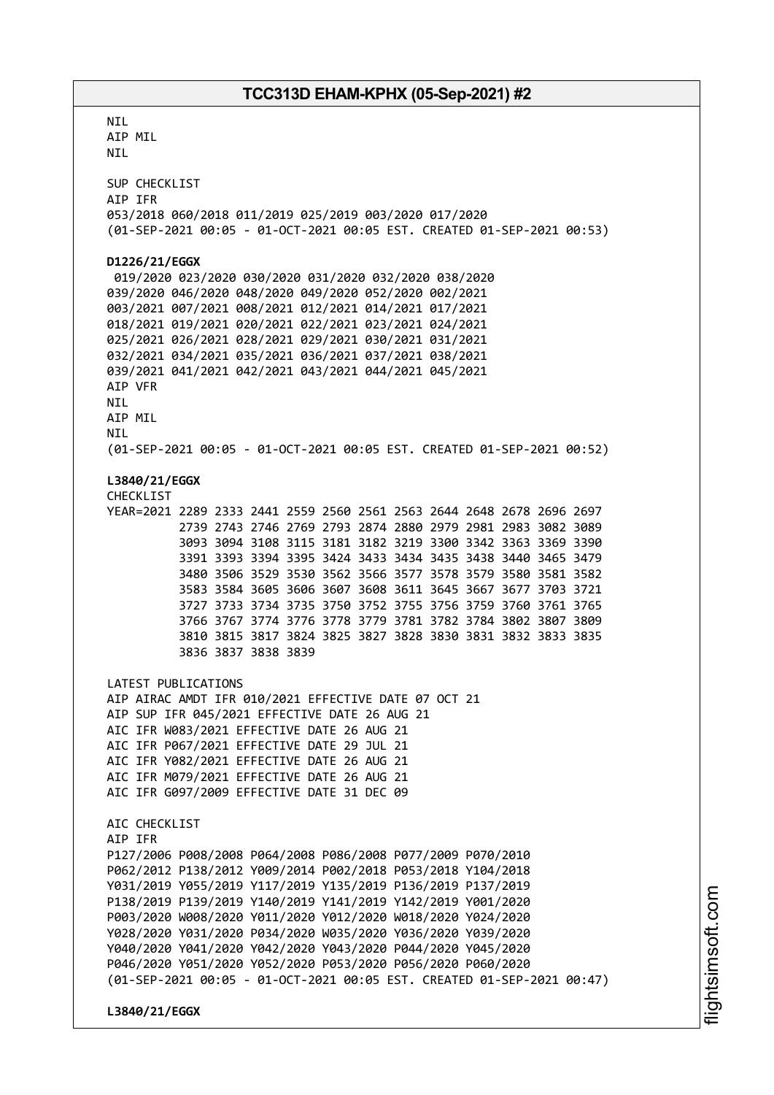**NTI** AIP MIL NIL SUP CHECKLIST AIP IFR 053/2018 060/2018 011/2019 025/2019 003/2020 017/2020 (01-SEP-2021 00:05 - 01-OCT-2021 00:05 EST. CREATED 01-SEP-2021 00:53) **D1226/21/EGGX** 019/2020 023/2020 030/2020 031/2020 032/2020 038/2020 039/2020 046/2020 048/2020 049/2020 052/2020 002/2021 003/2021 007/2021 008/2021 012/2021 014/2021 017/2021 018/2021 019/2021 020/2021 022/2021 023/2021 024/2021 025/2021 026/2021 028/2021 029/2021 030/2021 031/2021 032/2021 034/2021 035/2021 036/2021 037/2021 038/2021 039/2021 041/2021 042/2021 043/2021 044/2021 045/2021 AIP VFR NIL AIP MIL NIL (01-SEP-2021 00:05 - 01-OCT-2021 00:05 EST. CREATED 01-SEP-2021 00:52) **L3840/21/EGGX** CHECKLIST YEAR=2021 2289 2333 2441 2559 2560 2561 2563 2644 2648 2678 2696 2697 2739 2743 2746 2769 2793 2874 2880 2979 2981 2983 3082 3089 3093 3094 3108 3115 3181 3182 3219 3300 3342 3363 3369 3390 3391 3393 3394 3395 3424 3433 3434 3435 3438 3440 3465 3479 3480 3506 3529 3530 3562 3566 3577 3578 3579 3580 3581 3582 3583 3584 3605 3606 3607 3608 3611 3645 3667 3677 3703 3721 3727 3733 3734 3735 3750 3752 3755 3756 3759 3760 3761 3765 3766 3767 3774 3776 3778 3779 3781 3782 3784 3802 3807 3809 3810 3815 3817 3824 3825 3827 3828 3830 3831 3832 3833 3835 3836 3837 3838 3839 LATEST PUBLICATIONS AIP AIRAC AMDT IFR 010/2021 EFFECTIVE DATE 07 OCT 21 AIP SUP IFR 045/2021 EFFECTIVE DATE 26 AUG 21 AIC IFR W083/2021 EFFECTIVE DATE 26 AUG 21 AIC IFR P067/2021 EFFECTIVE DATE 29 JUL 21 AIC IFR Y082/2021 EFFECTIVE DATE 26 AUG 21 AIC IFR M079/2021 EFFECTIVE DATE 26 AUG 21 AIC IFR G097/2009 EFFECTIVE DATE 31 DEC 09 AIC CHECKLIST AIP IFR P127/2006 P008/2008 P064/2008 P086/2008 P077/2009 P070/2010 P062/2012 P138/2012 Y009/2014 P002/2018 P053/2018 Y104/2018 Y031/2019 Y055/2019 Y117/2019 Y135/2019 P136/2019 P137/2019 P138/2019 P139/2019 Y140/2019 Y141/2019 Y142/2019 Y001/2020 P003/2020 W008/2020 Y011/2020 Y012/2020 W018/2020 Y024/2020 Y028/2020 Y031/2020 P034/2020 W035/2020 Y036/2020 Y039/2020 Y040/2020 Y041/2020 Y042/2020 Y043/2020 P044/2020 Y045/2020 P046/2020 Y051/2020 Y052/2020 P053/2020 P056/2020 P060/2020 (01-SEP-2021 00:05 - 01-OCT-2021 00:05 EST. CREATED 01-SEP-2021 00:47) **L3840/21/EGGX**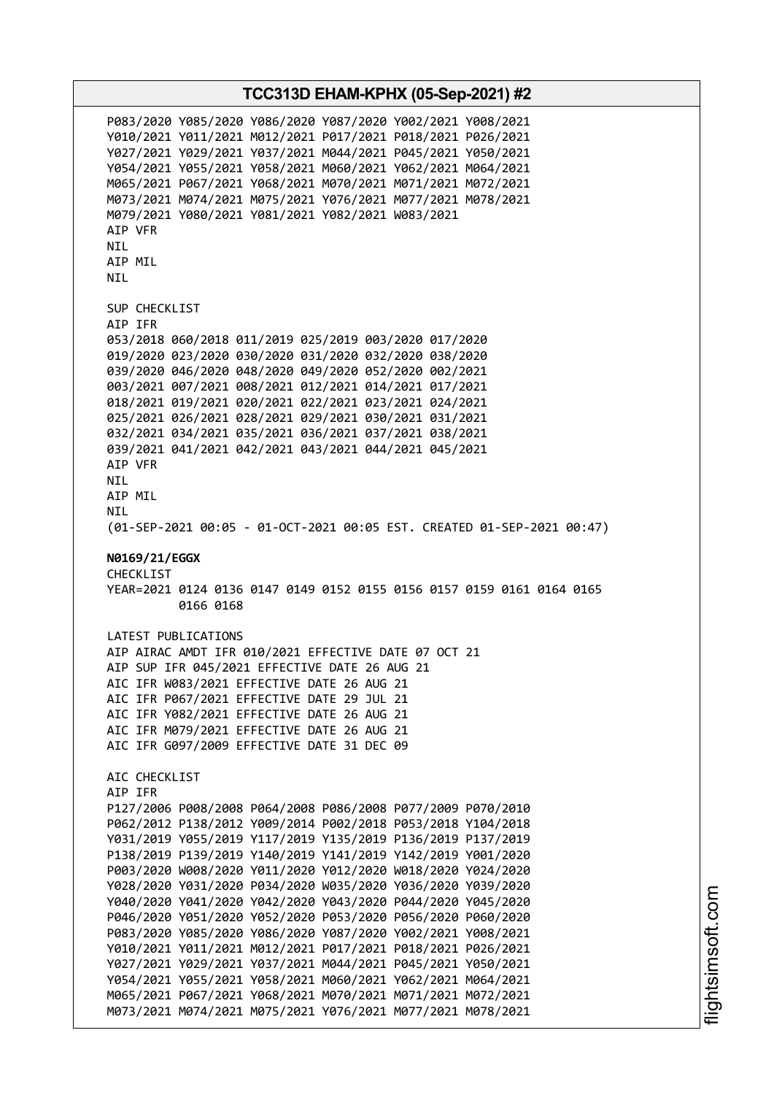P083/2020 Y085/2020 Y086/2020 Y087/2020 Y002/2021 Y008/2021 Y010/2021 Y011/2021 M012/2021 P017/2021 P018/2021 P026/2021 Y027/2021 Y029/2021 Y037/2021 M044/2021 P045/2021 Y050/2021 Y054/2021 Y055/2021 Y058/2021 M060/2021 Y062/2021 M064/2021 M065/2021 P067/2021 Y068/2021 M070/2021 M071/2021 M072/2021 M073/2021 M074/2021 M075/2021 Y076/2021 M077/2021 M078/2021 M079/2021 Y080/2021 Y081/2021 Y082/2021 W083/2021 AIP VFR NIL AIP MIL NIL SUP CHECKLIST AIP IFR 053/2018 060/2018 011/2019 025/2019 003/2020 017/2020 019/2020 023/2020 030/2020 031/2020 032/2020 038/2020 039/2020 046/2020 048/2020 049/2020 052/2020 002/2021 003/2021 007/2021 008/2021 012/2021 014/2021 017/2021 018/2021 019/2021 020/2021 022/2021 023/2021 024/2021 025/2021 026/2021 028/2021 029/2021 030/2021 031/2021 032/2021 034/2021 035/2021 036/2021 037/2021 038/2021 039/2021 041/2021 042/2021 043/2021 044/2021 045/2021 AIP VFR NIL AIP MIL NIL (01-SEP-2021 00:05 - 01-OCT-2021 00:05 EST. CREATED 01-SEP-2021 00:47) **N0169/21/EGGX** CHECKLIST YEAR=2021 0124 0136 0147 0149 0152 0155 0156 0157 0159 0161 0164 0165 0166 0168 LATEST PUBLICATIONS AIP AIRAC AMDT IFR 010/2021 EFFECTIVE DATE 07 OCT 21 AIP SUP IFR 045/2021 EFFECTIVE DATE 26 AUG 21 AIC IFR W083/2021 EFFECTIVE DATE 26 AUG 21 AIC IFR P067/2021 EFFECTIVE DATE 29 JUL 21 AIC IFR Y082/2021 EFFECTIVE DATE 26 AUG 21 AIC IFR M079/2021 EFFECTIVE DATE 26 AUG 21 AIC IFR G097/2009 EFFECTIVE DATE 31 DEC 09 AIC CHECKLIST AIP IFR P127/2006 P008/2008 P064/2008 P086/2008 P077/2009 P070/2010 P062/2012 P138/2012 Y009/2014 P002/2018 P053/2018 Y104/2018 Y031/2019 Y055/2019 Y117/2019 Y135/2019 P136/2019 P137/2019 P138/2019 P139/2019 Y140/2019 Y141/2019 Y142/2019 Y001/2020 P003/2020 W008/2020 Y011/2020 Y012/2020 W018/2020 Y024/2020 Y028/2020 Y031/2020 P034/2020 W035/2020 Y036/2020 Y039/2020 Y040/2020 Y041/2020 Y042/2020 Y043/2020 P044/2020 Y045/2020 P046/2020 Y051/2020 Y052/2020 P053/2020 P056/2020 P060/2020 P083/2020 Y085/2020 Y086/2020 Y087/2020 Y002/2021 Y008/2021 Y010/2021 Y011/2021 M012/2021 P017/2021 P018/2021 P026/2021 Y027/2021 Y029/2021 Y037/2021 M044/2021 P045/2021 Y050/2021 Y054/2021 Y055/2021 Y058/2021 M060/2021 Y062/2021 M064/2021 M065/2021 P067/2021 Y068/2021 M070/2021 M071/2021 M072/2021 M073/2021 M074/2021 M075/2021 Y076/2021 M077/2021 M078/2021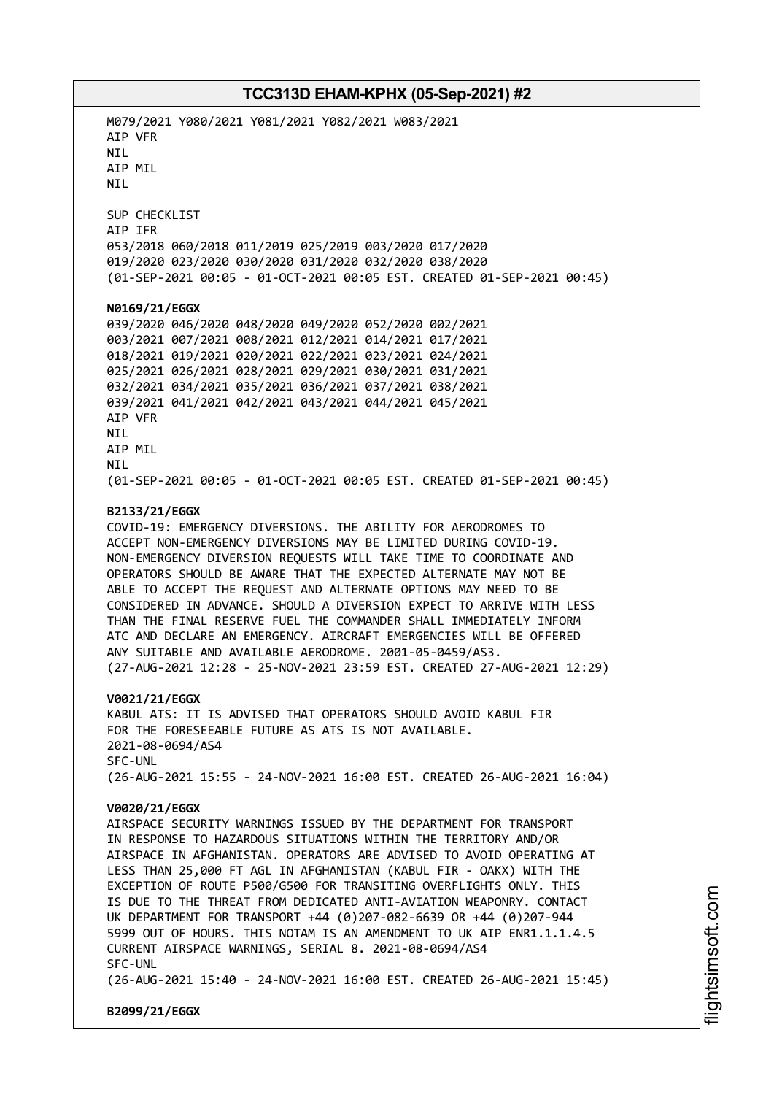M079/2021 Y080/2021 Y081/2021 Y082/2021 W083/2021 AIP VFR NIL AIP MIL **NTI** SUP CHECKLIST AIP IFR 053/2018 060/2018 011/2019 025/2019 003/2020 017/2020 019/2020 023/2020 030/2020 031/2020 032/2020 038/2020 (01-SEP-2021 00:05 - 01-OCT-2021 00:05 EST. CREATED 01-SEP-2021 00:45) **N0169/21/EGGX** 039/2020 046/2020 048/2020 049/2020 052/2020 002/2021 003/2021 007/2021 008/2021 012/2021 014/2021 017/2021 018/2021 019/2021 020/2021 022/2021 023/2021 024/2021 025/2021 026/2021 028/2021 029/2021 030/2021 031/2021 032/2021 034/2021 035/2021 036/2021 037/2021 038/2021 039/2021 041/2021 042/2021 043/2021 044/2021 045/2021 AIP VFR NIL AIP MIL **NTI** (01-SEP-2021 00:05 - 01-OCT-2021 00:05 EST. CREATED 01-SEP-2021 00:45) **B2133/21/EGGX** COVID-19: EMERGENCY DIVERSIONS. THE ABILITY FOR AERODROMES TO ACCEPT NON-EMERGENCY DIVERSIONS MAY BE LIMITED DURING COVID-19. NON-EMERGENCY DIVERSION REQUESTS WILL TAKE TIME TO COORDINATE AND OPERATORS SHOULD BE AWARE THAT THE EXPECTED ALTERNATE MAY NOT BE ABLE TO ACCEPT THE REQUEST AND ALTERNATE OPTIONS MAY NEED TO BE CONSIDERED IN ADVANCE. SHOULD A DIVERSION EXPECT TO ARRIVE WITH LESS THAN THE FINAL RESERVE FUEL THE COMMANDER SHALL IMMEDIATELY INFORM ATC AND DECLARE AN EMERGENCY. AIRCRAFT EMERGENCIES WILL BE OFFERED ANY SUITABLE AND AVAILABLE AERODROME. 2001-05-0459/AS3. (27-AUG-2021 12:28 - 25-NOV-2021 23:59 EST. CREATED 27-AUG-2021 12:29) **V0021/21/EGGX** KABUL ATS: IT IS ADVISED THAT OPERATORS SHOULD AVOID KABUL FIR FOR THE FORESEEABLE FUTURE AS ATS IS NOT AVAILABLE. 2021-08-0694/AS4 SFC-UNL (26-AUG-2021 15:55 - 24-NOV-2021 16:00 EST. CREATED 26-AUG-2021 16:04) **V0020/21/EGGX** AIRSPACE SECURITY WARNINGS ISSUED BY THE DEPARTMENT FOR TRANSPORT IN RESPONSE TO HAZARDOUS SITUATIONS WITHIN THE TERRITORY AND/OR AIRSPACE IN AFGHANISTAN. OPERATORS ARE ADVISED TO AVOID OPERATING AT LESS THAN 25,000 FT AGL IN AFGHANISTAN (KABUL FIR - OAKX) WITH THE EXCEPTION OF ROUTE P500/G500 FOR TRANSITING OVERFLIGHTS ONLY. THIS IS DUE TO THE THREAT FROM DEDICATED ANTI-AVIATION WEAPONRY. CONTACT UK DEPARTMENT FOR TRANSPORT +44 (0)207-082-6639 OR +44 (0)207-944 5999 OUT OF HOURS. THIS NOTAM IS AN AMENDMENT TO UK AIP ENR1.1.1.4.5 CURRENT AIRSPACE WARNINGS, SERIAL 8. 2021-08-0694/AS4 SFC-UNL (26-AUG-2021 15:40 - 24-NOV-2021 16:00 EST. CREATED 26-AUG-2021 15:45) **B2099/21/EGGX**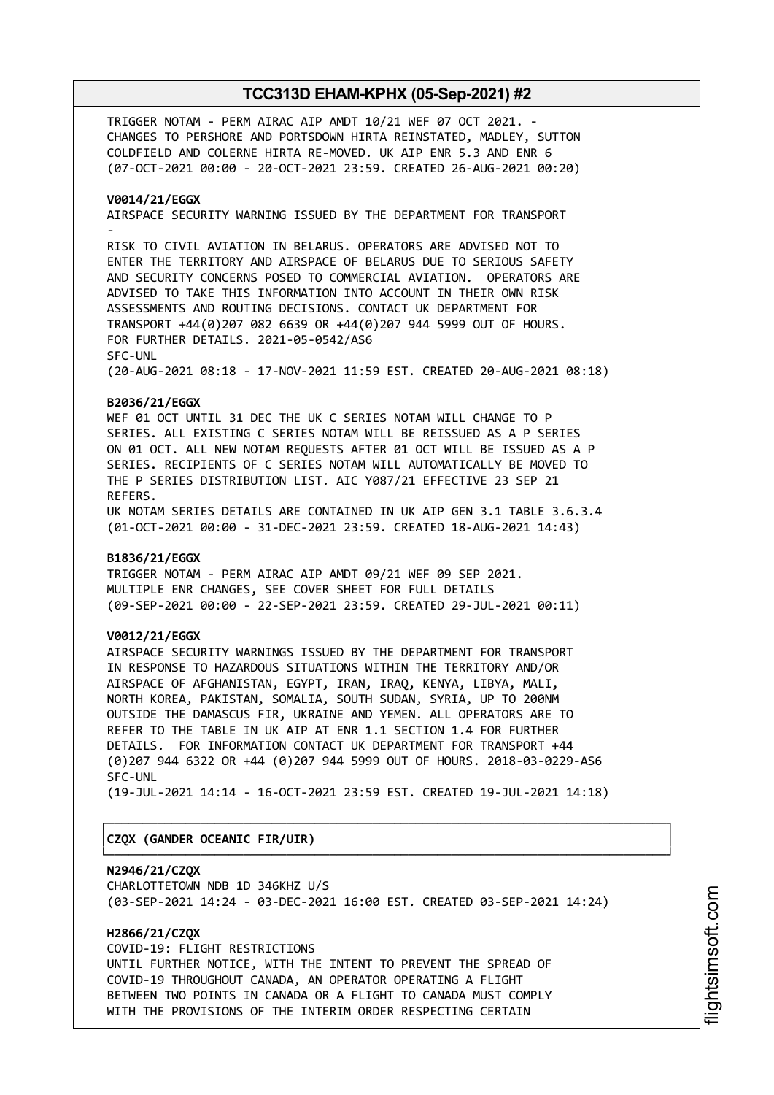TRIGGER NOTAM - PERM AIRAC AIP AMDT 10/21 WEF 07 OCT 2021. - CHANGES TO PERSHORE AND PORTSDOWN HIRTA REINSTATED, MADLEY, SUTTON COLDFIELD AND COLERNE HIRTA RE-MOVED. UK AIP ENR 5.3 AND ENR 6 (07-OCT-2021 00:00 - 20-OCT-2021 23:59. CREATED 26-AUG-2021 00:20)

#### **V0014/21/EGGX**

AIRSPACE SECURITY WARNING ISSUED BY THE DEPARTMENT FOR TRANSPORT -

RISK TO CIVIL AVIATION IN BELARUS. OPERATORS ARE ADVISED NOT TO ENTER THE TERRITORY AND AIRSPACE OF BELARUS DUE TO SERIOUS SAFETY AND SECURITY CONCERNS POSED TO COMMERCIAL AVIATION. OPERATORS ARE ADVISED TO TAKE THIS INFORMATION INTO ACCOUNT IN THEIR OWN RISK ASSESSMENTS AND ROUTING DECISIONS. CONTACT UK DEPARTMENT FOR TRANSPORT +44(0)207 082 6639 OR +44(0)207 944 5999 OUT OF HOURS. FOR FURTHER DETAILS. 2021-05-0542/AS6 SFC-UNL

(20-AUG-2021 08:18 - 17-NOV-2021 11:59 EST. CREATED 20-AUG-2021 08:18)

#### **B2036/21/EGGX**

WEF 01 OCT UNTIL 31 DEC THE UK C SERIES NOTAM WILL CHANGE TO P SERIES. ALL EXISTING C SERIES NOTAM WILL BE REISSUED AS A P SERIES ON 01 OCT. ALL NEW NOTAM REQUESTS AFTER 01 OCT WILL BE ISSUED AS A P SERIES. RECIPIENTS OF C SERIES NOTAM WILL AUTOMATICALLY BE MOVED TO THE P SERIES DISTRIBUTION LIST. AIC Y087/21 EFFECTIVE 23 SEP 21 REFERS.

UK NOTAM SERIES DETAILS ARE CONTAINED IN UK AIP GEN 3.1 TABLE 3.6.3.4 (01-OCT-2021 00:00 - 31-DEC-2021 23:59. CREATED 18-AUG-2021 14:43)

#### **B1836/21/EGGX**

TRIGGER NOTAM - PERM AIRAC AIP AMDT 09/21 WEF 09 SEP 2021. MULTIPLE ENR CHANGES, SEE COVER SHEET FOR FULL DETAILS (09-SEP-2021 00:00 - 22-SEP-2021 23:59. CREATED 29-JUL-2021 00:11)

## **V0012/21/EGGX**

AIRSPACE SECURITY WARNINGS ISSUED BY THE DEPARTMENT FOR TRANSPORT IN RESPONSE TO HAZARDOUS SITUATIONS WITHIN THE TERRITORY AND/OR AIRSPACE OF AFGHANISTAN, EGYPT, IRAN, IRAQ, KENYA, LIBYA, MALI, NORTH KOREA, PAKISTAN, SOMALIA, SOUTH SUDAN, SYRIA, UP TO 200NM OUTSIDE THE DAMASCUS FIR, UKRAINE AND YEMEN. ALL OPERATORS ARE TO REFER TO THE TABLE IN UK AIP AT ENR 1.1 SECTION 1.4 FOR FURTHER DETAILS. FOR INFORMATION CONTACT UK DEPARTMENT FOR TRANSPORT +44 (0)207 944 6322 OR +44 (0)207 944 5999 OUT OF HOURS. 2018-03-0229-AS6 SFC-UNL

(19-JUL-2021 14:14 - 16-OCT-2021 23:59 EST. CREATED 19-JUL-2021 14:18)

┌──────────────────────────────────────────────────────────────────────────────┐

└──────────────────────────────────────────────────────────────────────────────┘

#### │**CZQX (GANDER OCEANIC FIR/UIR)** │

#### **N2946/21/CZQX**

CHARLOTTETOWN NDB 1D 346KHZ U/S (03-SEP-2021 14:24 - 03-DEC-2021 16:00 EST. CREATED 03-SEP-2021 14:24)

## **H2866/21/CZQX**

COVID-19: FLIGHT RESTRICTIONS UNTIL FURTHER NOTICE, WITH THE INTENT TO PREVENT THE SPREAD OF COVID-19 THROUGHOUT CANADA, AN OPERATOR OPERATING A FLIGHT BETWEEN TWO POINTS IN CANADA OR A FLIGHT TO CANADA MUST COMPLY WITH THE PROVISIONS OF THE INTERIM ORDER RESPECTING CERTAIN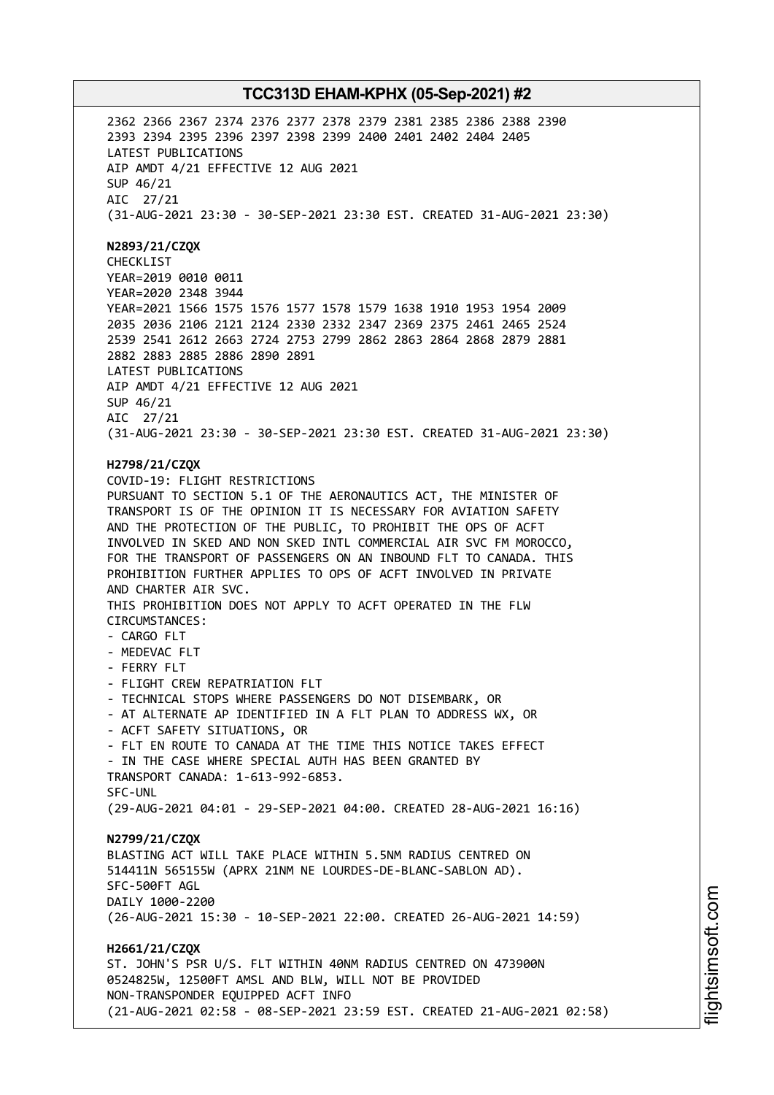2362 2366 2367 2374 2376 2377 2378 2379 2381 2385 2386 2388 2390 2393 2394 2395 2396 2397 2398 2399 2400 2401 2402 2404 2405 LATEST PUBLICATIONS AIP AMDT 4/21 EFFECTIVE 12 AUG 2021 SUP 46/21 AIC 27/21 (31-AUG-2021 23:30 - 30-SEP-2021 23:30 EST. CREATED 31-AUG-2021 23:30) **N2893/21/CZQX** CHECKLIST YEAR=2019 0010 0011 YEAR=2020 2348 3944 YEAR=2021 1566 1575 1576 1577 1578 1579 1638 1910 1953 1954 2009 2035 2036 2106 2121 2124 2330 2332 2347 2369 2375 2461 2465 2524 2539 2541 2612 2663 2724 2753 2799 2862 2863 2864 2868 2879 2881 2882 2883 2885 2886 2890 2891 LATEST PUBLICATIONS AIP AMDT 4/21 EFFECTIVE 12 AUG 2021 SUP 46/21 AIC 27/21 (31-AUG-2021 23:30 - 30-SEP-2021 23:30 EST. CREATED 31-AUG-2021 23:30) **H2798/21/CZQX** COVID-19: FLIGHT RESTRICTIONS PURSUANT TO SECTION 5.1 OF THE AERONAUTICS ACT, THE MINISTER OF TRANSPORT IS OF THE OPINION IT IS NECESSARY FOR AVIATION SAFETY AND THE PROTECTION OF THE PUBLIC, TO PROHIBIT THE OPS OF ACFT INVOLVED IN SKED AND NON SKED INTL COMMERCIAL AIR SVC FM MOROCCO, FOR THE TRANSPORT OF PASSENGERS ON AN INBOUND FLT TO CANADA. THIS PROHIBITION FURTHER APPLIES TO OPS OF ACFT INVOLVED IN PRIVATE AND CHARTER AIR SVC. THIS PROHIBITION DOES NOT APPLY TO ACFT OPERATED IN THE FLW CIRCUMSTANCES: - CARGO FLT - MEDEVAC FLT - FERRY FLT - FLIGHT CREW REPATRIATION FLT - TECHNICAL STOPS WHERE PASSENGERS DO NOT DISEMBARK, OR - AT ALTERNATE AP IDENTIFIED IN A FLT PLAN TO ADDRESS WX, OR - ACFT SAFETY SITUATIONS, OR - FLT EN ROUTE TO CANADA AT THE TIME THIS NOTICE TAKES EFFECT - IN THE CASE WHERE SPECIAL AUTH HAS BEEN GRANTED BY TRANSPORT CANADA: 1-613-992-6853. SFC-UNL (29-AUG-2021 04:01 - 29-SEP-2021 04:00. CREATED 28-AUG-2021 16:16) **N2799/21/CZQX** BLASTING ACT WILL TAKE PLACE WITHIN 5.5NM RADIUS CENTRED ON 514411N 565155W (APRX 21NM NE LOURDES-DE-BLANC-SABLON AD). SFC-500FT AGL DAILY 1000-2200 (26-AUG-2021 15:30 - 10-SEP-2021 22:00. CREATED 26-AUG-2021 14:59) **H2661/21/CZQX** ST. JOHN'S PSR U/S. FLT WITHIN 40NM RADIUS CENTRED ON 473900N 0524825W, 12500FT AMSL AND BLW, WILL NOT BE PROVIDED NON-TRANSPONDER EQUIPPED ACFT INFO (21-AUG-2021 02:58 - 08-SEP-2021 23:59 EST. CREATED 21-AUG-2021 02:58)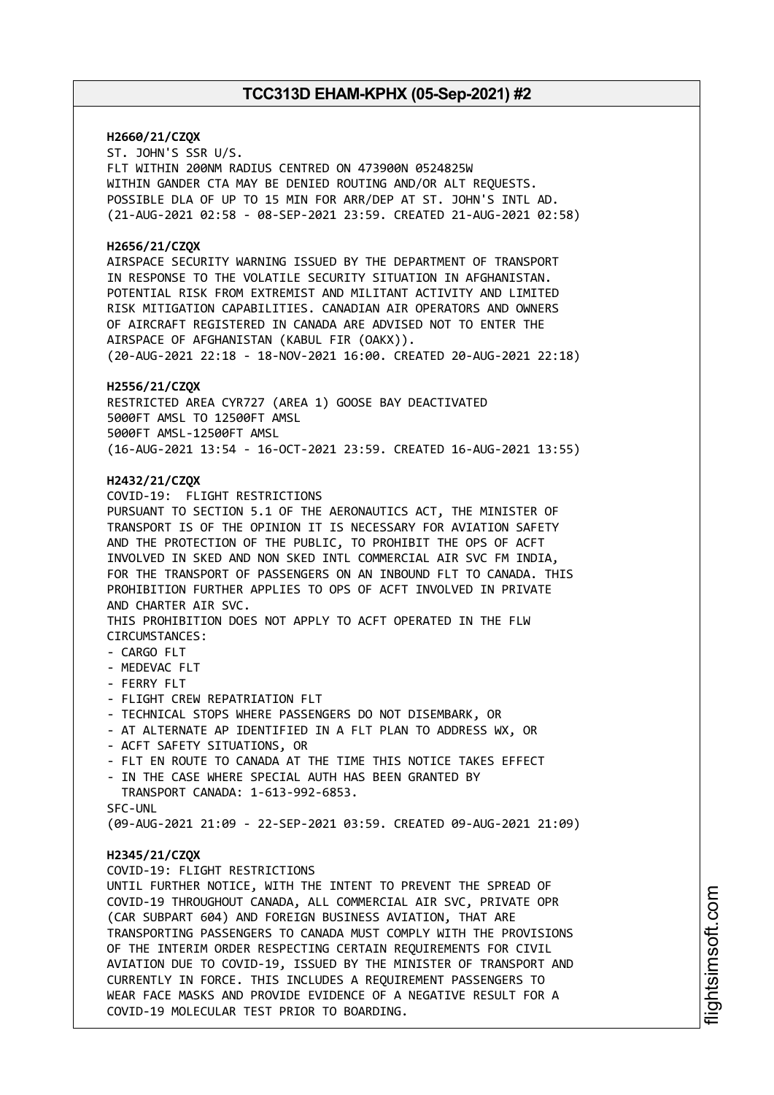#### **H2660/21/CZQX**

ST. JOHN'S SSR U/S. FLT WITHIN 200NM RADIUS CENTRED ON 473900N 0524825W WITHIN GANDER CTA MAY BE DENIED ROUTING AND/OR ALT REQUESTS. POSSIBLE DLA OF UP TO 15 MIN FOR ARR/DEP AT ST. JOHN'S INTL AD. (21-AUG-2021 02:58 - 08-SEP-2021 23:59. CREATED 21-AUG-2021 02:58)

#### **H2656/21/CZQX**

AIRSPACE SECURITY WARNING ISSUED BY THE DEPARTMENT OF TRANSPORT IN RESPONSE TO THE VOLATILE SECURITY SITUATION IN AFGHANISTAN. POTENTIAL RISK FROM EXTREMIST AND MILITANT ACTIVITY AND LIMITED RISK MITIGATION CAPABILITIES. CANADIAN AIR OPERATORS AND OWNERS OF AIRCRAFT REGISTERED IN CANADA ARE ADVISED NOT TO ENTER THE AIRSPACE OF AFGHANISTAN (KABUL FIR (OAKX)). (20-AUG-2021 22:18 - 18-NOV-2021 16:00. CREATED 20-AUG-2021 22:18)

#### **H2556/21/CZQX**

RESTRICTED AREA CYR727 (AREA 1) GOOSE BAY DEACTIVATED 5000FT AMSL TO 12500FT AMSL 5000FT AMSL-12500FT AMSL (16-AUG-2021 13:54 - 16-OCT-2021 23:59. CREATED 16-AUG-2021 13:55)

#### **H2432/21/CZQX**

COVID-19: FLIGHT RESTRICTIONS PURSUANT TO SECTION 5.1 OF THE AERONAUTICS ACT, THE MINISTER OF TRANSPORT IS OF THE OPINION IT IS NECESSARY FOR AVIATION SAFETY AND THE PROTECTION OF THE PUBLIC, TO PROHIBIT THE OPS OF ACFT INVOLVED IN SKED AND NON SKED INTL COMMERCIAL AIR SVC FM INDIA, FOR THE TRANSPORT OF PASSENGERS ON AN INBOUND FLT TO CANADA. THIS PROHIBITION FURTHER APPLIES TO OPS OF ACFT INVOLVED IN PRIVATE AND CHARTER AIR SVC. THIS PROHIBITION DOES NOT APPLY TO ACFT OPERATED IN THE FLW CIRCUMSTANCES: - CARGO FLT

- MEDEVAC FLT
- FERRY FLT
- FLIGHT CREW REPATRIATION FLT
- TECHNICAL STOPS WHERE PASSENGERS DO NOT DISEMBARK, OR
- AT ALTERNATE AP IDENTIFIED IN A FLT PLAN TO ADDRESS WX, OR
- ACFT SAFETY SITUATIONS, OR
- FLT EN ROUTE TO CANADA AT THE TIME THIS NOTICE TAKES EFFECT
- IN THE CASE WHERE SPECIAL AUTH HAS BEEN GRANTED BY TRANSPORT CANADA: 1-613-992-6853. SFC-UNL

(09-AUG-2021 21:09 - 22-SEP-2021 03:59. CREATED 09-AUG-2021 21:09)

#### **H2345/21/CZQX**

COVID-19: FLIGHT RESTRICTIONS

UNTIL FURTHER NOTICE, WITH THE INTENT TO PREVENT THE SPREAD OF COVID-19 THROUGHOUT CANADA, ALL COMMERCIAL AIR SVC, PRIVATE OPR (CAR SUBPART 604) AND FOREIGN BUSINESS AVIATION, THAT ARE TRANSPORTING PASSENGERS TO CANADA MUST COMPLY WITH THE PROVISIONS OF THE INTERIM ORDER RESPECTING CERTAIN REQUIREMENTS FOR CIVIL AVIATION DUE TO COVID-19, ISSUED BY THE MINISTER OF TRANSPORT AND CURRENTLY IN FORCE. THIS INCLUDES A REQUIREMENT PASSENGERS TO WEAR FACE MASKS AND PROVIDE EVIDENCE OF A NEGATIVE RESULT FOR A COVID-19 MOLECULAR TEST PRIOR TO BOARDING.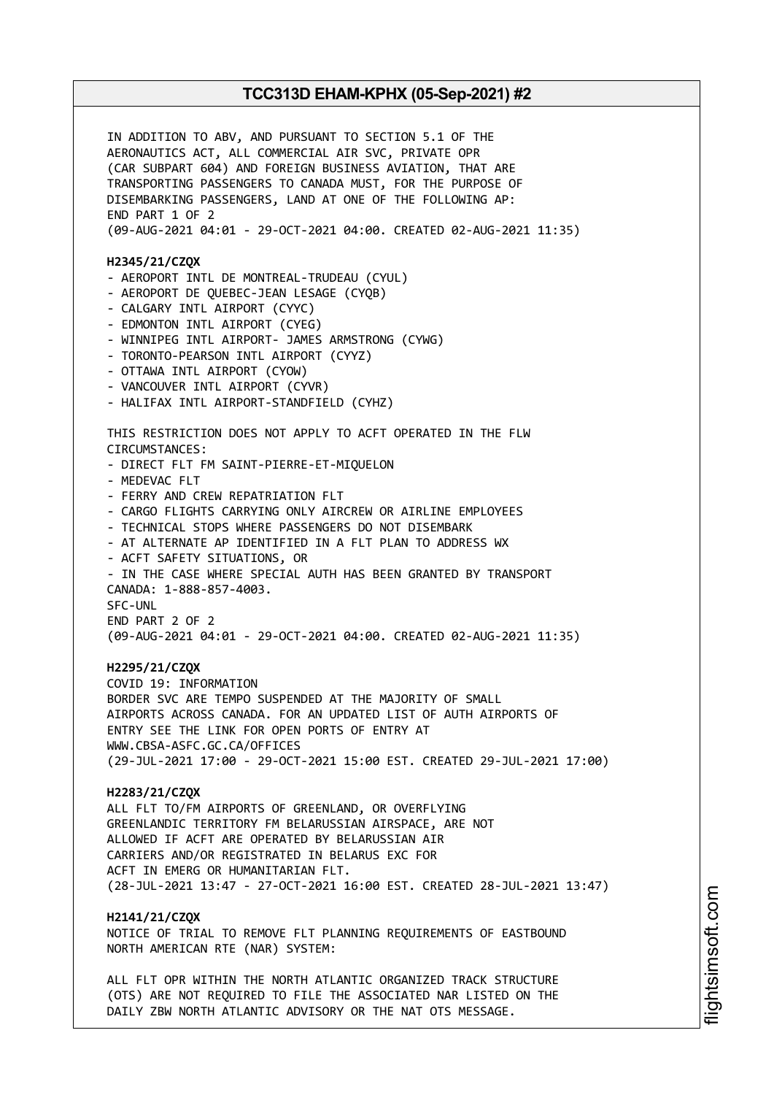IN ADDITION TO ABV, AND PURSUANT TO SECTION 5.1 OF THE AERONAUTICS ACT, ALL COMMERCIAL AIR SVC, PRIVATE OPR (CAR SUBPART 604) AND FOREIGN BUSINESS AVIATION, THAT ARE TRANSPORTING PASSENGERS TO CANADA MUST, FOR THE PURPOSE OF DISEMBARKING PASSENGERS, LAND AT ONE OF THE FOLLOWING AP: END PART 1 OF 2 (09-AUG-2021 04:01 - 29-OCT-2021 04:00. CREATED 02-AUG-2021 11:35) **H2345/21/CZQX** - AEROPORT INTL DE MONTREAL-TRUDEAU (CYUL) - AEROPORT DE QUEBEC-JEAN LESAGE (CYQB) - CALGARY INTL AIRPORT (CYYC) - EDMONTON INTL AIRPORT (CYEG) - WINNIPEG INTL AIRPORT- JAMES ARMSTRONG (CYWG) - TORONTO-PEARSON INTL AIRPORT (CYYZ) - OTTAWA INTL AIRPORT (CYOW) - VANCOUVER INTL AIRPORT (CYVR) - HALIFAX INTL AIRPORT-STANDFIELD (CYHZ) THIS RESTRICTION DOES NOT APPLY TO ACFT OPERATED IN THE FLW CIRCUMSTANCES: - DIRECT FLT FM SAINT-PIERRE-ET-MIQUELON - MEDEVAC FLT - FERRY AND CREW REPATRIATION FLT - CARGO FLIGHTS CARRYING ONLY AIRCREW OR AIRLINE EMPLOYEES - TECHNICAL STOPS WHERE PASSENGERS DO NOT DISEMBARK - AT ALTERNATE AP IDENTIFIED IN A FLT PLAN TO ADDRESS WX - ACFT SAFETY SITUATIONS, OR - IN THE CASE WHERE SPECIAL AUTH HAS BEEN GRANTED BY TRANSPORT CANADA: 1-888-857-4003. SFC-UNL END PART 2 OF 2 (09-AUG-2021 04:01 - 29-OCT-2021 04:00. CREATED 02-AUG-2021 11:35) **H2295/21/CZQX** COVID 19: INFORMATION BORDER SVC ARE TEMPO SUSPENDED AT THE MAJORITY OF SMALL AIRPORTS ACROSS CANADA. FOR AN UPDATED LIST OF AUTH AIRPORTS OF ENTRY SEE THE LINK FOR OPEN PORTS OF ENTRY AT WWW.CBSA-ASFC.GC.CA/OFFICES (29-JUL-2021 17:00 - 29-OCT-2021 15:00 EST. CREATED 29-JUL-2021 17:00) **H2283/21/CZQX** ALL FLT TO/FM AIRPORTS OF GREENLAND, OR OVERFLYING GREENLANDIC TERRITORY FM BELARUSSIAN AIRSPACE, ARE NOT ALLOWED IF ACFT ARE OPERATED BY BELARUSSIAN AIR CARRIERS AND/OR REGISTRATED IN BELARUS EXC FOR ACFT IN EMERG OR HUMANITARIAN FLT. (28-JUL-2021 13:47 - 27-OCT-2021 16:00 EST. CREATED 28-JUL-2021 13:47) **H2141/21/CZQX** NOTICE OF TRIAL TO REMOVE FLT PLANNING REQUIREMENTS OF EASTBOUND NORTH AMERICAN RTE (NAR) SYSTEM: ALL FLT OPR WITHIN THE NORTH ATLANTIC ORGANIZED TRACK STRUCTURE

(OTS) ARE NOT REQUIRED TO FILE THE ASSOCIATED NAR LISTED ON THE DAILY ZBW NORTH ATLANTIC ADVISORY OR THE NAT OTS MESSAGE.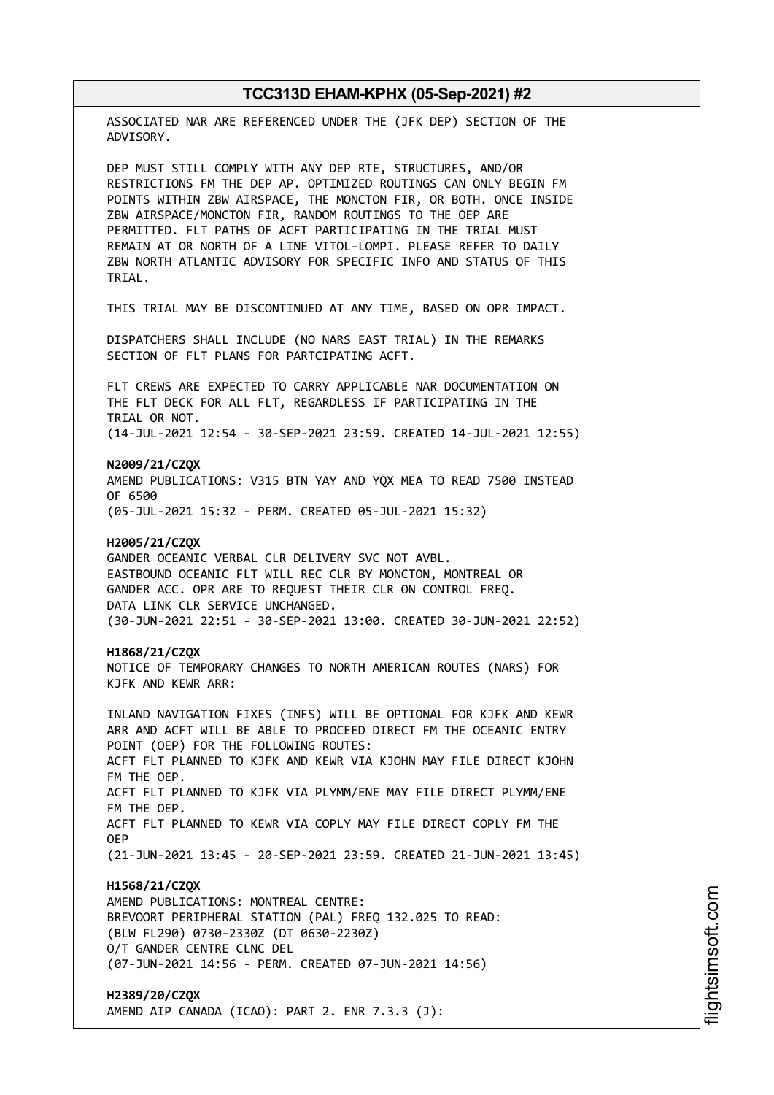| TCC313D EHAM-KPHX (05-Sep-2021) #2                                                                                                                                                                                                                                                                                                                                                                                                                                               |
|----------------------------------------------------------------------------------------------------------------------------------------------------------------------------------------------------------------------------------------------------------------------------------------------------------------------------------------------------------------------------------------------------------------------------------------------------------------------------------|
| ASSOCIATED NAR ARE REFERENCED UNDER THE (JFK DEP) SECTION OF THE<br>ADVISORY.                                                                                                                                                                                                                                                                                                                                                                                                    |
| DEP MUST STILL COMPLY WITH ANY DEP RTE, STRUCTURES, AND/OR<br>RESTRICTIONS FM THE DEP AP. OPTIMIZED ROUTINGS CAN ONLY BEGIN FM<br>POINTS WITHIN ZBW AIRSPACE, THE MONCTON FIR, OR BOTH. ONCE INSIDE<br>ZBW AIRSPACE/MONCTON FIR, RANDOM ROUTINGS TO THE OEP ARE<br>PERMITTED. FLT PATHS OF ACFT PARTICIPATING IN THE TRIAL MUST<br>REMAIN AT OR NORTH OF A LINE VITOL-LOMPI. PLEASE REFER TO DAILY<br>ZBW NORTH ATLANTIC ADVISORY FOR SPECIFIC INFO AND STATUS OF THIS<br>TRIAL. |
| THIS TRIAL MAY BE DISCONTINUED AT ANY TIME, BASED ON OPR IMPACT.                                                                                                                                                                                                                                                                                                                                                                                                                 |
| DISPATCHERS SHALL INCLUDE (NO NARS EAST TRIAL) IN THE REMARKS<br>SECTION OF FLT PLANS FOR PARTCIPATING ACFT.                                                                                                                                                                                                                                                                                                                                                                     |
| FLT CREWS ARE EXPECTED TO CARRY APPLICABLE NAR DOCUMENTATION ON<br>THE FLT DECK FOR ALL FLT, REGARDLESS IF PARTICIPATING IN THE<br>TRIAL OR NOT.<br>(14-JUL-2021 12:54 - 30-SEP-2021 23:59. CREATED 14-JUL-2021 12:55)                                                                                                                                                                                                                                                           |
| N2009/21/CZQX<br>AMEND PUBLICATIONS: V315 BTN YAY AND YQX MEA TO READ 7500 INSTEAD<br>OF 6500<br>(05-JUL-2021 15:32 - PERM. CREATED 05-JUL-2021 15:32)                                                                                                                                                                                                                                                                                                                           |
| H2005/21/CZQX<br>GANDER OCEANIC VERBAL CLR DELIVERY SVC NOT AVBL.<br>EASTBOUND OCEANIC FLT WILL REC CLR BY MONCTON, MONTREAL OR<br>GANDER ACC. OPR ARE TO REQUEST THEIR CLR ON CONTROL FREQ.<br>DATA LINK CLR SERVICE UNCHANGED.<br>(30-JUN-2021 22:51 - 30-SEP-2021 13:00. CREATED 30-JUN-2021 22:52)                                                                                                                                                                           |
| H1868/21/CZQX<br>NOTICE OF TEMPORARY CHANGES TO NORTH AMERICAN ROUTES (NARS) FOR<br>KJFK AND KEWR ARR:                                                                                                                                                                                                                                                                                                                                                                           |
| INLAND NAVIGATION FIXES (INFS) WILL BE OPTIONAL FOR KJFK AND KEWR<br>ARR AND ACFT WILL BE ABLE TO PROCEED DIRECT FM THE OCEANIC ENTRY<br>POINT (OEP) FOR THE FOLLOWING ROUTES:<br>ACFT FLT PLANNED TO KJFK AND KEWR VIA KJOHN MAY FILE DIRECT KJOHN<br>FM THE OEP.                                                                                                                                                                                                               |
| ACFT FLT PLANNED TO KJFK VIA PLYMM/ENE MAY FILE DIRECT PLYMM/ENE<br>FM THE OEP.<br>ACFT FLT PLANNED TO KEWR VIA COPLY MAY FILE DIRECT COPLY FM THE                                                                                                                                                                                                                                                                                                                               |
| <b>OEP</b><br>(21-JUN-2021 13:45 - 20-SEP-2021 23:59. CREATED 21-JUN-2021 13:45)                                                                                                                                                                                                                                                                                                                                                                                                 |
| H1568/21/CZQX<br>AMEND PUBLICATIONS: MONTREAL CENTRE:<br>BREVOORT PERIPHERAL STATION (PAL) FREQ 132.025 TO READ:<br>(BLW FL290) 0730-2330Z (DT 0630-2230Z)<br>O/T GANDER CENTRE CLNC DEL<br>(07-JUN-2021 14:56 - PERM. CREATED 07-JUN-2021 14:56)                                                                                                                                                                                                                                |
| H2389/20/CZQX<br>AMEND AIP CANADA (ICAO): PART 2. ENR 7.3.3 (J):                                                                                                                                                                                                                                                                                                                                                                                                                 |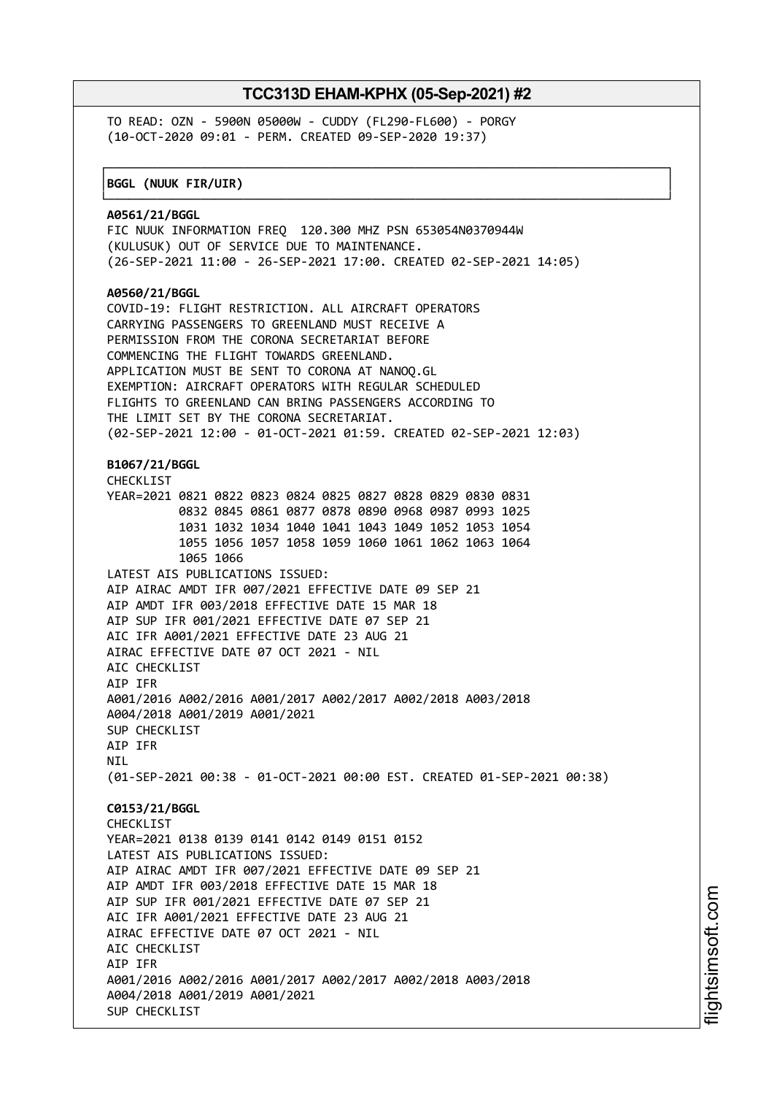┌──────────────────────────────────────────────────────────────────────────────┐

└──────────────────────────────────────────────────────────────────────────────┘

TO READ: OZN - 5900N 05000W - CUDDY (FL290-FL600) - PORGY (10-OCT-2020 09:01 - PERM. CREATED 09-SEP-2020 19:37)

#### │**BGGL (NUUK FIR/UIR)** │

**A0561/21/BGGL** FIC NUUK INFORMATION FREQ 120.300 MHZ PSN 653054N0370944W (KULUSUK) OUT OF SERVICE DUE TO MAINTENANCE. (26-SEP-2021 11:00 - 26-SEP-2021 17:00. CREATED 02-SEP-2021 14:05) **A0560/21/BGGL** COVID-19: FLIGHT RESTRICTION. ALL AIRCRAFT OPERATORS CARRYING PASSENGERS TO GREENLAND MUST RECEIVE A PERMISSION FROM THE CORONA SECRETARIAT BEFORE COMMENCING THE FLIGHT TOWARDS GREENLAND. APPLICATION MUST BE SENT TO CORONA AT NANOQ.GL EXEMPTION: AIRCRAFT OPERATORS WITH REGULAR SCHEDULED FLIGHTS TO GREENLAND CAN BRING PASSENGERS ACCORDING TO THE LIMIT SET BY THE CORONA SECRETARIAT. (02-SEP-2021 12:00 - 01-OCT-2021 01:59. CREATED 02-SEP-2021 12:03) **B1067/21/BGGL** CHECKLIST YEAR=2021 0821 0822 0823 0824 0825 0827 0828 0829 0830 0831 0832 0845 0861 0877 0878 0890 0968 0987 0993 1025 1031 1032 1034 1040 1041 1043 1049 1052 1053 1054 1055 1056 1057 1058 1059 1060 1061 1062 1063 1064 1065 1066 LATEST AIS PUBLICATIONS ISSUED: AIP AIRAC AMDT IFR 007/2021 EFFECTIVE DATE 09 SEP 21 AIP AMDT IFR 003/2018 EFFECTIVE DATE 15 MAR 18 AIP SUP IFR 001/2021 EFFECTIVE DATE 07 SEP 21 AIC IFR A001/2021 EFFECTIVE DATE 23 AUG 21 AIRAC EFFECTIVE DATE 07 OCT 2021 - NIL ATC CHECKLIST AIP IFR A001/2016 A002/2016 A001/2017 A002/2017 A002/2018 A003/2018 A004/2018 A001/2019 A001/2021 SUP CHECKLIST AIP IFR **NTI** (01-SEP-2021 00:38 - 01-OCT-2021 00:00 EST. CREATED 01-SEP-2021 00:38) **C0153/21/BGGL** CHECKLIST YEAR=2021 0138 0139 0141 0142 0149 0151 0152 LATEST AIS PUBLICATIONS ISSUED: AIP AIRAC AMDT IFR 007/2021 EFFECTIVE DATE 09 SEP 21 AIP AMDT IFR 003/2018 EFFECTIVE DATE 15 MAR 18 AIP SUP IFR 001/2021 EFFECTIVE DATE 07 SEP 21 AIC IFR A001/2021 EFFECTIVE DATE 23 AUG 21 AIRAC EFFECTIVE DATE 07 OCT 2021 - NIL ATC CHECKLIST AIP IFR A001/2016 A002/2016 A001/2017 A002/2017 A002/2018 A003/2018 A004/2018 A001/2019 A001/2021 SUP CHECKLIST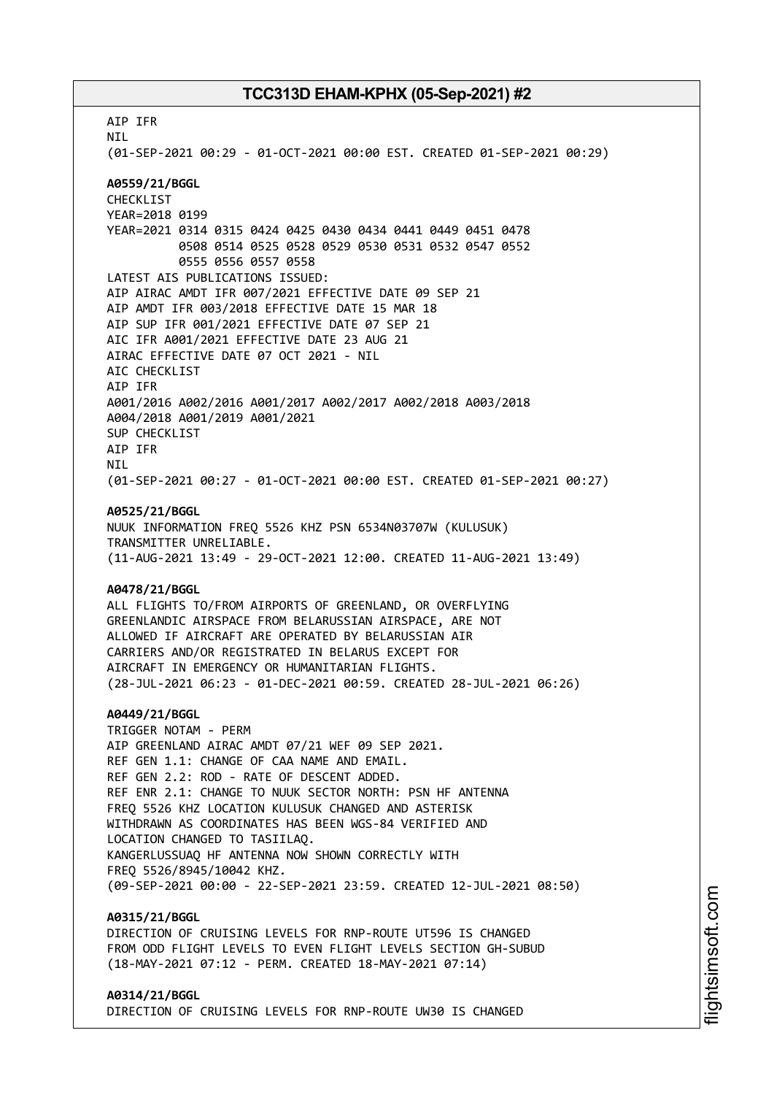AIP IFR NIL (01-SEP-2021 00:29 - 01-OCT-2021 00:00 EST. CREATED 01-SEP-2021 00:29) **A0559/21/BGGL** CHECKLIST YEAR=2018 0199 YEAR=2021 0314 0315 0424 0425 0430 0434 0441 0449 0451 0478 0508 0514 0525 0528 0529 0530 0531 0532 0547 0552 0555 0556 0557 0558 LATEST AIS PUBLICATIONS ISSUED: AIP AIRAC AMDT IFR 007/2021 EFFECTIVE DATE 09 SEP 21 AIP AMDT IFR 003/2018 EFFECTIVE DATE 15 MAR 18 AIP SUP IFR 001/2021 EFFECTIVE DATE 07 SEP 21 AIC IFR A001/2021 EFFECTIVE DATE 23 AUG 21 AIRAC EFFECTIVE DATE 07 OCT 2021 - NIL AIC CHECKLIST AIP IFR A001/2016 A002/2016 A001/2017 A002/2017 A002/2018 A003/2018 A004/2018 A001/2019 A001/2021 SUP CHECKLIST AIP IFR **NTI** (01-SEP-2021 00:27 - 01-OCT-2021 00:00 EST. CREATED 01-SEP-2021 00:27) **A0525/21/BGGL** NUUK INFORMATION FREQ 5526 KHZ PSN 6534N03707W (KULUSUK) TRANSMITTER UNRELIABLE. (11-AUG-2021 13:49 - 29-OCT-2021 12:00. CREATED 11-AUG-2021 13:49) **A0478/21/BGGL** ALL FLIGHTS TO/FROM AIRPORTS OF GREENLAND, OR OVERFLYING GREENLANDIC AIRSPACE FROM BELARUSSIAN AIRSPACE, ARE NOT ALLOWED IF AIRCRAFT ARE OPERATED BY BELARUSSIAN AIR CARRIERS AND/OR REGISTRATED IN BELARUS EXCEPT FOR AIRCRAFT IN EMERGENCY OR HUMANITARIAN FLIGHTS. (28-JUL-2021 06:23 - 01-DEC-2021 00:59. CREATED 28-JUL-2021 06:26) **A0449/21/BGGL** TRIGGER NOTAM - PERM AIP GREENLAND AIRAC AMDT 07/21 WEF 09 SEP 2021. REF GEN 1.1: CHANGE OF CAA NAME AND EMAIL. REF GEN 2.2: ROD - RATE OF DESCENT ADDED. REF ENR 2.1: CHANGE TO NUUK SECTOR NORTH: PSN HF ANTENNA FREQ 5526 KHZ LOCATION KULUSUK CHANGED AND ASTERISK WITHDRAWN AS COORDINATES HAS BEEN WGS-84 VERIFIED AND LOCATION CHANGED TO TASIILAQ. KANGERLUSSUAQ HF ANTENNA NOW SHOWN CORRECTLY WITH FREQ 5526/8945/10042 KHZ. (09-SEP-2021 00:00 - 22-SEP-2021 23:59. CREATED 12-JUL-2021 08:50) **A0315/21/BGGL** DIRECTION OF CRUISING LEVELS FOR RNP-ROUTE UT596 IS CHANGED FROM ODD FLIGHT LEVELS TO EVEN FLIGHT LEVELS SECTION GH-SUBUD (18-MAY-2021 07:12 - PERM. CREATED 18-MAY-2021 07:14)

#### **A0314/21/BGGL** DIRECTION OF CRUISING LEVELS FOR RNP-ROUTE UW30 IS CHANGED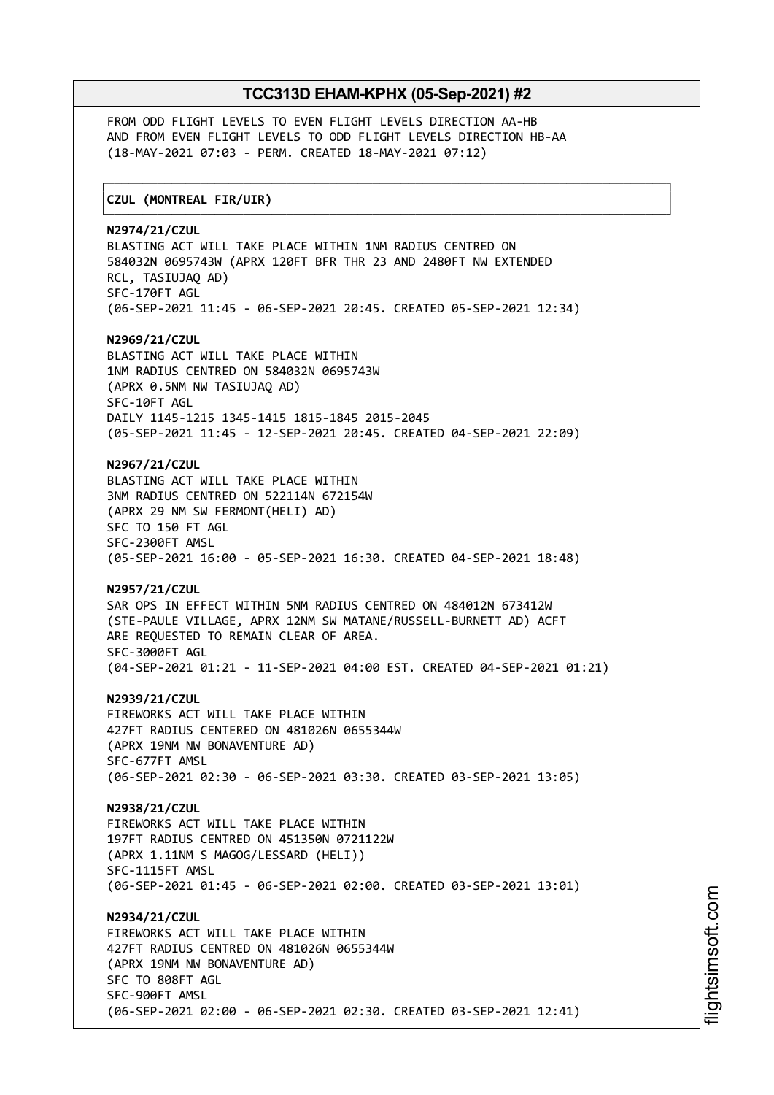┌──────────────────────────────────────────────────────────────────────────────┐

└──────────────────────────────────────────────────────────────────────────────┘

FROM ODD FLIGHT LEVELS TO EVEN FLIGHT LEVELS DIRECTION AA-HB AND FROM EVEN FLIGHT LEVELS TO ODD FLIGHT LEVELS DIRECTION HB-AA (18-MAY-2021 07:03 - PERM. CREATED 18-MAY-2021 07:12)

### │**CZUL (MONTREAL FIR/UIR)** │

#### **N2974/21/CZUL**

BLASTING ACT WILL TAKE PLACE WITHIN 1NM RADIUS CENTRED ON 584032N 0695743W (APRX 120FT BFR THR 23 AND 2480FT NW EXTENDED RCL, TASIUJAQ AD) SFC-170FT AGL (06-SEP-2021 11:45 - 06-SEP-2021 20:45. CREATED 05-SEP-2021 12:34) **N2969/21/CZUL** BLASTING ACT WILL TAKE PLACE WITHIN 1NM RADIUS CENTRED ON 584032N 0695743W (APRX 0.5NM NW TASIUJAQ AD) SFC-10FT AGL DAILY 1145-1215 1345-1415 1815-1845 2015-2045 (05-SEP-2021 11:45 - 12-SEP-2021 20:45. CREATED 04-SEP-2021 22:09)

## **N2967/21/CZUL**

BLASTING ACT WILL TAKE PLACE WITHIN 3NM RADIUS CENTRED ON 522114N 672154W (APRX 29 NM SW FERMONT(HELI) AD) SFC TO 150 FT AGL SFC-2300FT AMSL (05-SEP-2021 16:00 - 05-SEP-2021 16:30. CREATED 04-SEP-2021 18:48)

#### **N2957/21/CZUL**

SAR OPS IN EFFECT WITHIN 5NM RADIUS CENTRED ON 484012N 673412W (STE-PAULE VILLAGE, APRX 12NM SW MATANE/RUSSELL-BURNETT AD) ACFT ARE REQUESTED TO REMAIN CLEAR OF AREA. SFC-3000FT AGL (04-SEP-2021 01:21 - 11-SEP-2021 04:00 EST. CREATED 04-SEP-2021 01:21)

#### **N2939/21/CZUL**

FIREWORKS ACT WILL TAKE PLACE WITHIN 427FT RADIUS CENTERED ON 481026N 0655344W (APRX 19NM NW BONAVENTURE AD) SFC-677FT AMSL (06-SEP-2021 02:30 - 06-SEP-2021 03:30. CREATED 03-SEP-2021 13:05)

**N2938/21/CZUL** FIREWORKS ACT WILL TAKE PLACE WITHIN 197FT RADIUS CENTRED ON 451350N 0721122W (APRX 1.11NM S MAGOG/LESSARD (HELI)) SFC-1115FT AMSL (06-SEP-2021 01:45 - 06-SEP-2021 02:00. CREATED 03-SEP-2021 13:01)

**N2934/21/CZUL** FIREWORKS ACT WILL TAKE PLACE WITHIN 427FT RADIUS CENTRED ON 481026N 0655344W (APRX 19NM NW BONAVENTURE AD) SFC TO 808FT AGL SFC-900FT AMSL (06-SEP-2021 02:00 - 06-SEP-2021 02:30. CREATED 03-SEP-2021 12:41)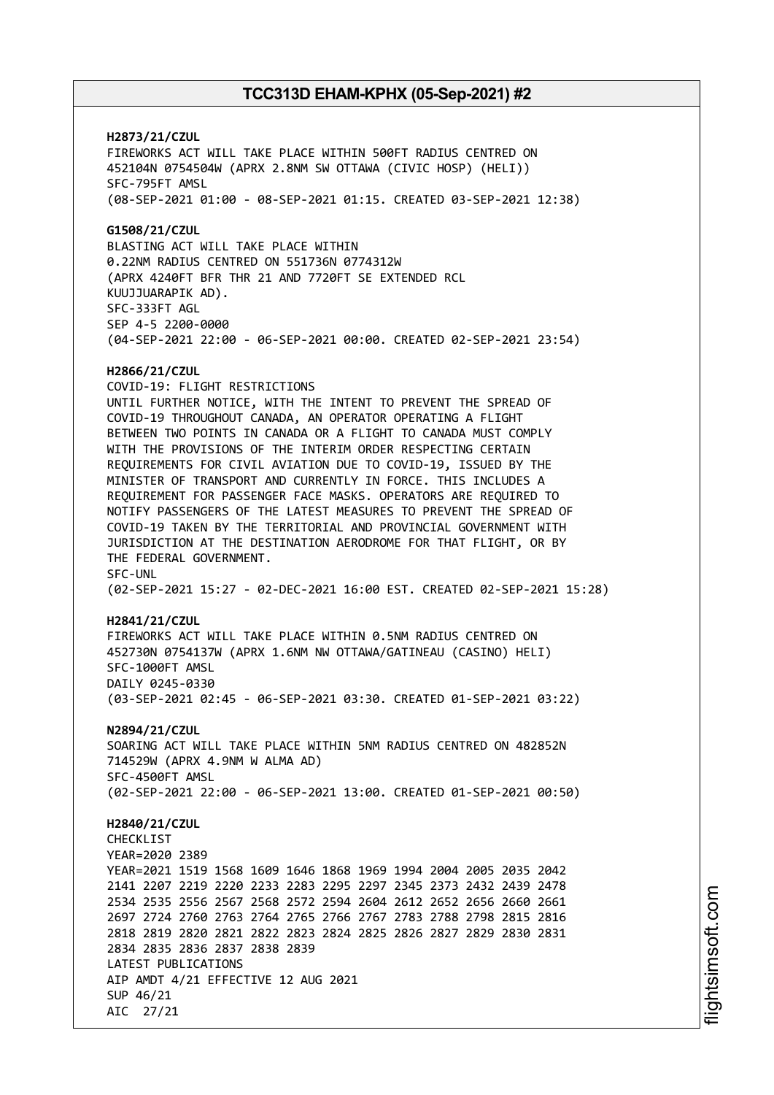**H2873/21/CZUL** FIREWORKS ACT WILL TAKE PLACE WITHIN 500FT RADIUS CENTRED ON 452104N 0754504W (APRX 2.8NM SW OTTAWA (CIVIC HOSP) (HELI)) SFC-795FT AMSL (08-SEP-2021 01:00 - 08-SEP-2021 01:15. CREATED 03-SEP-2021 12:38) **G1508/21/CZUL** BLASTING ACT WILL TAKE PLACE WITHIN 0.22NM RADIUS CENTRED ON 551736N 0774312W (APRX 4240FT BFR THR 21 AND 7720FT SE EXTENDED RCL KUUJJUARAPIK AD). SFC-333FT AGL SEP 4-5 2200-0000 (04-SEP-2021 22:00 - 06-SEP-2021 00:00. CREATED 02-SEP-2021 23:54) **H2866/21/CZUL** COVID-19: FLIGHT RESTRICTIONS UNTIL FURTHER NOTICE, WITH THE INTENT TO PREVENT THE SPREAD OF COVID-19 THROUGHOUT CANADA, AN OPERATOR OPERATING A FLIGHT BETWEEN TWO POINTS IN CANADA OR A FLIGHT TO CANADA MUST COMPLY WITH THE PROVISIONS OF THE INTERIM ORDER RESPECTING CERTAIN REQUIREMENTS FOR CIVIL AVIATION DUE TO COVID-19, ISSUED BY THE MINISTER OF TRANSPORT AND CURRENTLY IN FORCE. THIS INCLUDES A REQUIREMENT FOR PASSENGER FACE MASKS. OPERATORS ARE REQUIRED TO NOTIFY PASSENGERS OF THE LATEST MEASURES TO PREVENT THE SPREAD OF COVID-19 TAKEN BY THE TERRITORIAL AND PROVINCIAL GOVERNMENT WITH JURISDICTION AT THE DESTINATION AERODROME FOR THAT FLIGHT, OR BY THE FEDERAL GOVERNMENT. SFC-UNL (02-SEP-2021 15:27 - 02-DEC-2021 16:00 EST. CREATED 02-SEP-2021 15:28) **H2841/21/CZUL** FIREWORKS ACT WILL TAKE PLACE WITHIN 0.5NM RADIUS CENTRED ON 452730N 0754137W (APRX 1.6NM NW OTTAWA/GATINEAU (CASINO) HELI) SFC-1000FT AMSL DAILY 0245-0330 (03-SEP-2021 02:45 - 06-SEP-2021 03:30. CREATED 01-SEP-2021 03:22) **N2894/21/CZUL** SOARING ACT WILL TAKE PLACE WITHIN 5NM RADIUS CENTRED ON 482852N 714529W (APRX 4.9NM W ALMA AD) SFC-4500FT AMSL (02-SEP-2021 22:00 - 06-SEP-2021 13:00. CREATED 01-SEP-2021 00:50) **H2840/21/CZUL CHECKLIST** YEAR=2020 2389 YEAR=2021 1519 1568 1609 1646 1868 1969 1994 2004 2005 2035 2042 2141 2207 2219 2220 2233 2283 2295 2297 2345 2373 2432 2439 2478 2534 2535 2556 2567 2568 2572 2594 2604 2612 2652 2656 2660 2661 2697 2724 2760 2763 2764 2765 2766 2767 2783 2788 2798 2815 2816 2818 2819 2820 2821 2822 2823 2824 2825 2826 2827 2829 2830 2831 2834 2835 2836 2837 2838 2839 LATEST PUBLICATIONS AIP AMDT 4/21 EFFECTIVE 12 AUG 2021 SUP 46/21 AIC 27/21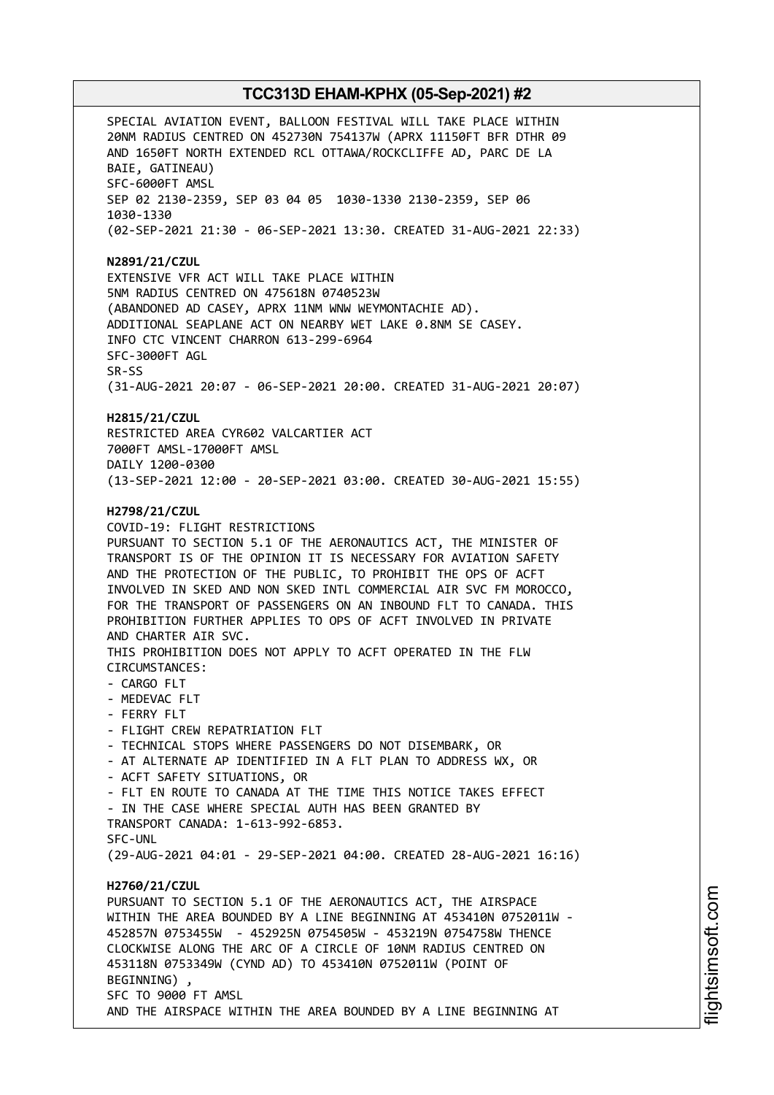SPECIAL AVIATION EVENT, BALLOON FESTIVAL WILL TAKE PLACE WITHIN 20NM RADIUS CENTRED ON 452730N 754137W (APRX 11150FT BFR DTHR 09 AND 1650FT NORTH EXTENDED RCL OTTAWA/ROCKCLIFFE AD, PARC DE LA BAIE, GATINEAU) SFC-6000FT AMSL SEP 02 2130-2359, SEP 03 04 05 1030-1330 2130-2359, SEP 06 1030-1330 (02-SEP-2021 21:30 - 06-SEP-2021 13:30. CREATED 31-AUG-2021 22:33) **N2891/21/CZUL** EXTENSIVE VFR ACT WILL TAKE PLACE WITHIN 5NM RADIUS CENTRED ON 475618N 0740523W (ABANDONED AD CASEY, APRX 11NM WNW WEYMONTACHIE AD). ADDITIONAL SEAPLANE ACT ON NEARBY WET LAKE 0.8NM SE CASEY. INFO CTC VINCENT CHARRON 613-299-6964 SFC-3000FT AGL SR-SS (31-AUG-2021 20:07 - 06-SEP-2021 20:00. CREATED 31-AUG-2021 20:07) **H2815/21/CZUL** RESTRICTED AREA CYR602 VALCARTIER ACT 7000FT AMSL-17000FT AMSL DAILY 1200-0300 (13-SEP-2021 12:00 - 20-SEP-2021 03:00. CREATED 30-AUG-2021 15:55) **H2798/21/CZUL** COVID-19: FLIGHT RESTRICTIONS PURSUANT TO SECTION 5.1 OF THE AERONAUTICS ACT, THE MINISTER OF TRANSPORT IS OF THE OPINION IT IS NECESSARY FOR AVIATION SAFETY AND THE PROTECTION OF THE PUBLIC, TO PROHIBIT THE OPS OF ACFT INVOLVED IN SKED AND NON SKED INTL COMMERCIAL AIR SVC FM MOROCCO, FOR THE TRANSPORT OF PASSENGERS ON AN INBOUND FLT TO CANADA. THIS PROHIBITION FURTHER APPLIES TO OPS OF ACFT INVOLVED IN PRIVATE AND CHARTER AIR SVC. THIS PROHIBITION DOES NOT APPLY TO ACFT OPERATED IN THE FLW CIRCUMSTANCES: - CARGO FLT - MEDEVAC FLT - FERRY FLT - FLIGHT CREW REPATRIATION FLT - TECHNICAL STOPS WHERE PASSENGERS DO NOT DISEMBARK, OR - AT ALTERNATE AP IDENTIFIED IN A FLT PLAN TO ADDRESS WX, OR - ACFT SAFETY SITUATIONS, OR - FLT EN ROUTE TO CANADA AT THE TIME THIS NOTICE TAKES EFFECT - IN THE CASE WHERE SPECIAL AUTH HAS BEEN GRANTED BY TRANSPORT CANADA: 1-613-992-6853. SFC-UNL (29-AUG-2021 04:01 - 29-SEP-2021 04:00. CREATED 28-AUG-2021 16:16) **H2760/21/CZUL** PURSUANT TO SECTION 5.1 OF THE AERONAUTICS ACT, THE AIRSPACE WITHIN THE AREA BOUNDED BY A LINE BEGINNING AT 453410N 0752011W - 452857N 0753455W - 452925N 0754505W - 453219N 0754758W THENCE CLOCKWISE ALONG THE ARC OF A CIRCLE OF 10NM RADIUS CENTRED ON 453118N 0753349W (CYND AD) TO 453410N 0752011W (POINT OF BEGINNING) , SFC TO 9000 FT AMSL AND THE AIRSPACE WITHIN THE AREA BOUNDED BY A LINE BEGINNING AT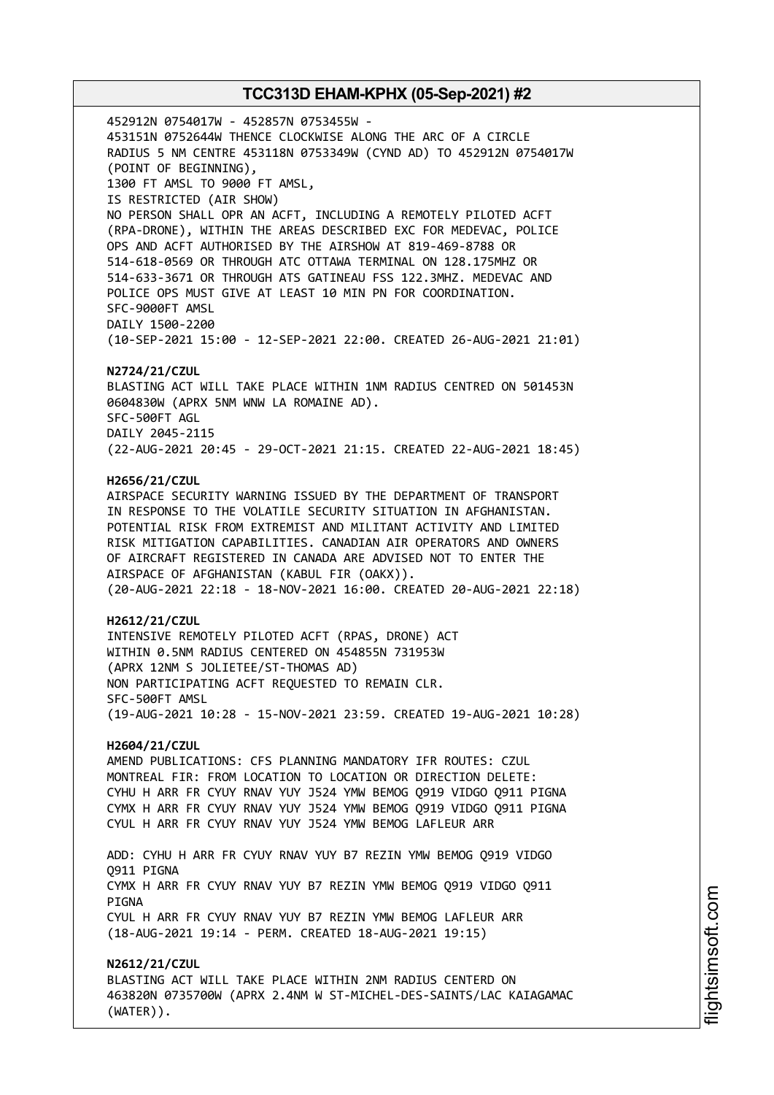452912N 0754017W - 452857N 0753455W - 453151N 0752644W THENCE CLOCKWISE ALONG THE ARC OF A CIRCLE RADIUS 5 NM CENTRE 453118N 0753349W (CYND AD) TO 452912N 0754017W (POINT OF BEGINNING), 1300 FT AMSL TO 9000 FT AMSL, IS RESTRICTED (AIR SHOW) NO PERSON SHALL OPR AN ACFT, INCLUDING A REMOTELY PILOTED ACFT (RPA-DRONE), WITHIN THE AREAS DESCRIBED EXC FOR MEDEVAC, POLICE OPS AND ACFT AUTHORISED BY THE AIRSHOW AT 819-469-8788 OR 514-618-0569 OR THROUGH ATC OTTAWA TERMINAL ON 128.175MHZ OR 514-633-3671 OR THROUGH ATS GATINEAU FSS 122.3MHZ. MEDEVAC AND POLICE OPS MUST GIVE AT LEAST 10 MIN PN FOR COORDINATION. SFC-9000FT AMSL DAILY 1500-2200 (10-SEP-2021 15:00 - 12-SEP-2021 22:00. CREATED 26-AUG-2021 21:01) **N2724/21/CZUL** BLASTING ACT WILL TAKE PLACE WITHIN 1NM RADIUS CENTRED ON 501453N 0604830W (APRX 5NM WNW LA ROMAINE AD). SFC-500FT AGL DAILY 2045-2115 (22-AUG-2021 20:45 - 29-OCT-2021 21:15. CREATED 22-AUG-2021 18:45) **H2656/21/CZUL** AIRSPACE SECURITY WARNING ISSUED BY THE DEPARTMENT OF TRANSPORT IN RESPONSE TO THE VOLATILE SECURITY SITUATION IN AFGHANISTAN. POTENTIAL RISK FROM EXTREMIST AND MILITANT ACTIVITY AND LIMITED RISK MITIGATION CAPABILITIES. CANADIAN AIR OPERATORS AND OWNERS OF AIRCRAFT REGISTERED IN CANADA ARE ADVISED NOT TO ENTER THE AIRSPACE OF AFGHANISTAN (KABUL FIR (OAKX)). (20-AUG-2021 22:18 - 18-NOV-2021 16:00. CREATED 20-AUG-2021 22:18) **H2612/21/CZUL** INTENSIVE REMOTELY PILOTED ACFT (RPAS, DRONE) ACT WITHIN 0.5NM RADIUS CENTERED ON 454855N 731953W (APRX 12NM S JOLIETEE/ST-THOMAS AD) NON PARTICIPATING ACFT REQUESTED TO REMAIN CLR. SFC-500FT AMSL (19-AUG-2021 10:28 - 15-NOV-2021 23:59. CREATED 19-AUG-2021 10:28) **H2604/21/CZUL** AMEND PUBLICATIONS: CFS PLANNING MANDATORY IFR ROUTES: CZUL MONTREAL FIR: FROM LOCATION TO LOCATION OR DIRECTION DELETE: CYHU H ARR FR CYUY RNAV YUY J524 YMW BEMOG Q919 VIDGO Q911 PIGNA CYMX H ARR FR CYUY RNAV YUY J524 YMW BEMOG Q919 VIDGO Q911 PIGNA CYUL H ARR FR CYUY RNAV YUY J524 YMW BEMOG LAFLEUR ARR ADD: CYHU H ARR FR CYUY RNAV YUY B7 REZIN YMW BEMOG Q919 VIDGO Q911 PIGNA CYMX H ARR FR CYUY RNAV YUY B7 REZIN YMW BEMOG Q919 VIDGO Q911 **PTGNA** CYUL H ARR FR CYUY RNAV YUY B7 REZIN YMW BEMOG LAFLEUR ARR (18-AUG-2021 19:14 - PERM. CREATED 18-AUG-2021 19:15) **N2612/21/CZUL** BLASTING ACT WILL TAKE PLACE WITHIN 2NM RADIUS CENTERD ON 463820N 0735700W (APRX 2.4NM W ST-MICHEL-DES-SAINTS/LAC KAIAGAMAC (WATER)).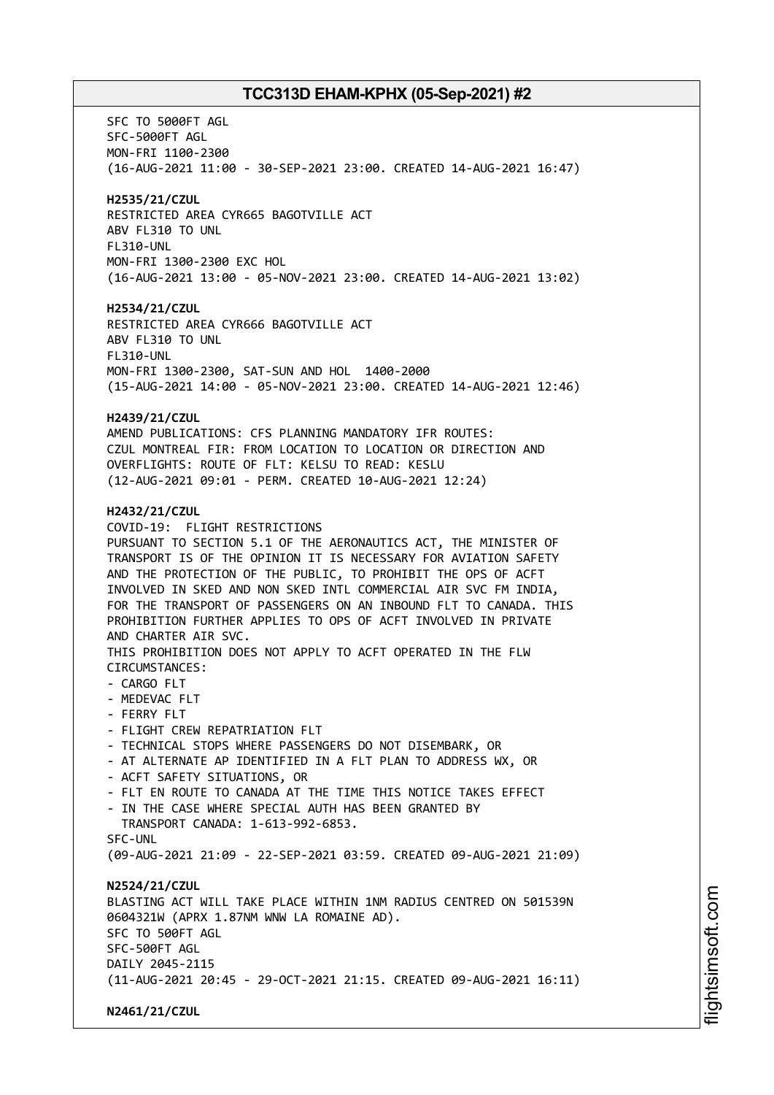SFC TO 5000FT AGL SFC-5000FT AGL MON-FRI 1100-2300 (16-AUG-2021 11:00 - 30-SEP-2021 23:00. CREATED 14-AUG-2021 16:47) **H2535/21/CZUL** RESTRICTED AREA CYR665 BAGOTVILLE ACT ABV FL310 TO UNL FL310-UNL MON-FRI 1300-2300 EXC HOL (16-AUG-2021 13:00 - 05-NOV-2021 23:00. CREATED 14-AUG-2021 13:02) **H2534/21/CZUL** RESTRICTED AREA CYR666 BAGOTVILLE ACT ABV FL310 TO UNL FL310-UNL MON-FRI 1300-2300, SAT-SUN AND HOL 1400-2000 (15-AUG-2021 14:00 - 05-NOV-2021 23:00. CREATED 14-AUG-2021 12:46) **H2439/21/CZUL** AMEND PUBLICATIONS: CFS PLANNING MANDATORY IFR ROUTES: CZUL MONTREAL FIR: FROM LOCATION TO LOCATION OR DIRECTION AND OVERFLIGHTS: ROUTE OF FLT: KELSU TO READ: KESLU (12-AUG-2021 09:01 - PERM. CREATED 10-AUG-2021 12:24) **H2432/21/CZUL** COVID-19: FLIGHT RESTRICTIONS PURSUANT TO SECTION 5.1 OF THE AERONAUTICS ACT, THE MINISTER OF TRANSPORT IS OF THE OPINION IT IS NECESSARY FOR AVIATION SAFETY AND THE PROTECTION OF THE PUBLIC, TO PROHIBIT THE OPS OF ACFT INVOLVED IN SKED AND NON SKED INTL COMMERCIAL AIR SVC FM INDIA, FOR THE TRANSPORT OF PASSENGERS ON AN INBOUND FLT TO CANADA. THIS PROHIBITION FURTHER APPLIES TO OPS OF ACFT INVOLVED IN PRIVATE AND CHARTER AIR SVC. THIS PROHIBITION DOES NOT APPLY TO ACFT OPERATED IN THE FLW CIRCUMSTANCES: - CARGO FLT - MEDEVAC FLT - FERRY FLT - FLIGHT CREW REPATRIATION FLT - TECHNICAL STOPS WHERE PASSENGERS DO NOT DISEMBARK, OR - AT ALTERNATE AP IDENTIFIED IN A FLT PLAN TO ADDRESS WX, OR - ACFT SAFETY SITUATIONS, OR - FLT EN ROUTE TO CANADA AT THE TIME THIS NOTICE TAKES EFFECT - IN THE CASE WHERE SPECIAL AUTH HAS BEEN GRANTED BY TRANSPORT CANADA: 1-613-992-6853. SFC-UNL (09-AUG-2021 21:09 - 22-SEP-2021 03:59. CREATED 09-AUG-2021 21:09) **N2524/21/CZUL** BLASTING ACT WILL TAKE PLACE WITHIN 1NM RADIUS CENTRED ON 501539N 0604321W (APRX 1.87NM WNW LA ROMAINE AD). SFC TO 500FT AGL SFC-500FT AGL DAILY 2045-2115 (11-AUG-2021 20:45 - 29-OCT-2021 21:15. CREATED 09-AUG-2021 16:11) **N2461/21/CZUL**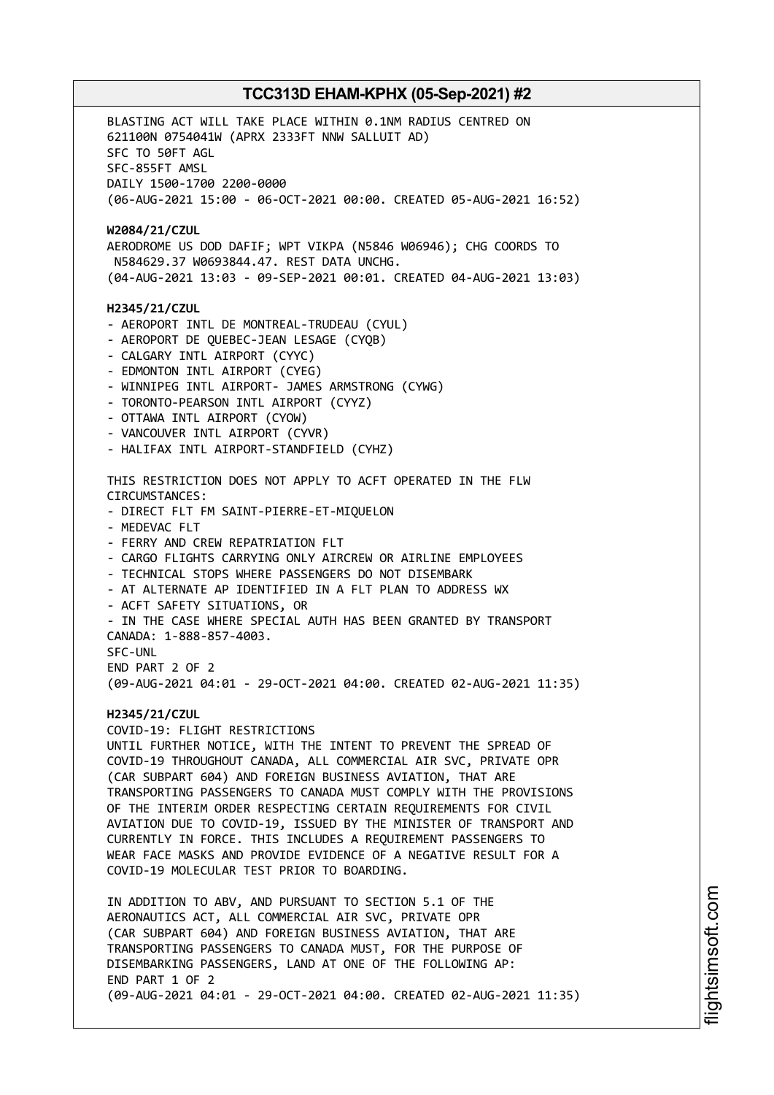BLASTING ACT WILL TAKE PLACE WITHIN 0.1NM RADIUS CENTRED ON 621100N 0754041W (APRX 2333FT NNW SALLUIT AD) SFC TO 50FT AGL SFC-855FT AMSL DAILY 1500-1700 2200-0000 (06-AUG-2021 15:00 - 06-OCT-2021 00:00. CREATED 05-AUG-2021 16:52) **W2084/21/CZUL** AERODROME US DOD DAFIF; WPT VIKPA (N5846 W06946); CHG COORDS TO N584629.37 W0693844.47. REST DATA UNCHG. (04-AUG-2021 13:03 - 09-SEP-2021 00:01. CREATED 04-AUG-2021 13:03) **H2345/21/CZUL** - AEROPORT INTL DE MONTREAL-TRUDEAU (CYUL) - AEROPORT DE QUEBEC-JEAN LESAGE (CYQB) - CALGARY INTL AIRPORT (CYYC) - EDMONTON INTL AIRPORT (CYEG) - WINNIPEG INTL AIRPORT- JAMES ARMSTRONG (CYWG) - TORONTO-PEARSON INTL AIRPORT (CYYZ) - OTTAWA INTL AIRPORT (CYOW) - VANCOUVER INTL AIRPORT (CYVR) - HALIFAX INTL AIRPORT-STANDFIELD (CYHZ) THIS RESTRICTION DOES NOT APPLY TO ACFT OPERATED IN THE FLW CIRCUMSTANCES: - DIRECT FLT FM SAINT-PIERRE-ET-MIQUELON - MEDEVAC FLT - FERRY AND CREW REPATRIATION FLT - CARGO FLIGHTS CARRYING ONLY AIRCREW OR AIRLINE EMPLOYEES - TECHNICAL STOPS WHERE PASSENGERS DO NOT DISEMBARK - AT ALTERNATE AP IDENTIFIED IN A FLT PLAN TO ADDRESS WX - ACFT SAFETY SITUATIONS, OR - IN THE CASE WHERE SPECIAL AUTH HAS BEEN GRANTED BY TRANSPORT CANADA: 1-888-857-4003. SFC-UNL END PART 2 OF 2 (09-AUG-2021 04:01 - 29-OCT-2021 04:00. CREATED 02-AUG-2021 11:35) **H2345/21/CZUL** COVID-19: FLIGHT RESTRICTIONS UNTIL FURTHER NOTICE, WITH THE INTENT TO PREVENT THE SPREAD OF COVID-19 THROUGHOUT CANADA, ALL COMMERCIAL AIR SVC, PRIVATE OPR (CAR SUBPART 604) AND FOREIGN BUSINESS AVIATION, THAT ARE TRANSPORTING PASSENGERS TO CANADA MUST COMPLY WITH THE PROVISIONS OF THE INTERIM ORDER RESPECTING CERTAIN REQUIREMENTS FOR CIVIL AVIATION DUE TO COVID-19, ISSUED BY THE MINISTER OF TRANSPORT AND CURRENTLY IN FORCE. THIS INCLUDES A REQUIREMENT PASSENGERS TO WEAR FACE MASKS AND PROVIDE EVIDENCE OF A NEGATIVE RESULT FOR A COVID-19 MOLECULAR TEST PRIOR TO BOARDING. IN ADDITION TO ABV, AND PURSUANT TO SECTION 5.1 OF THE AERONAUTICS ACT, ALL COMMERCIAL AIR SVC, PRIVATE OPR (CAR SUBPART 604) AND FOREIGN BUSINESS AVIATION, THAT ARE TRANSPORTING PASSENGERS TO CANADA MUST, FOR THE PURPOSE OF DISEMBARKING PASSENGERS, LAND AT ONE OF THE FOLLOWING AP: END PART 1 OF 2 (09-AUG-2021 04:01 - 29-OCT-2021 04:00. CREATED 02-AUG-2021 11:35)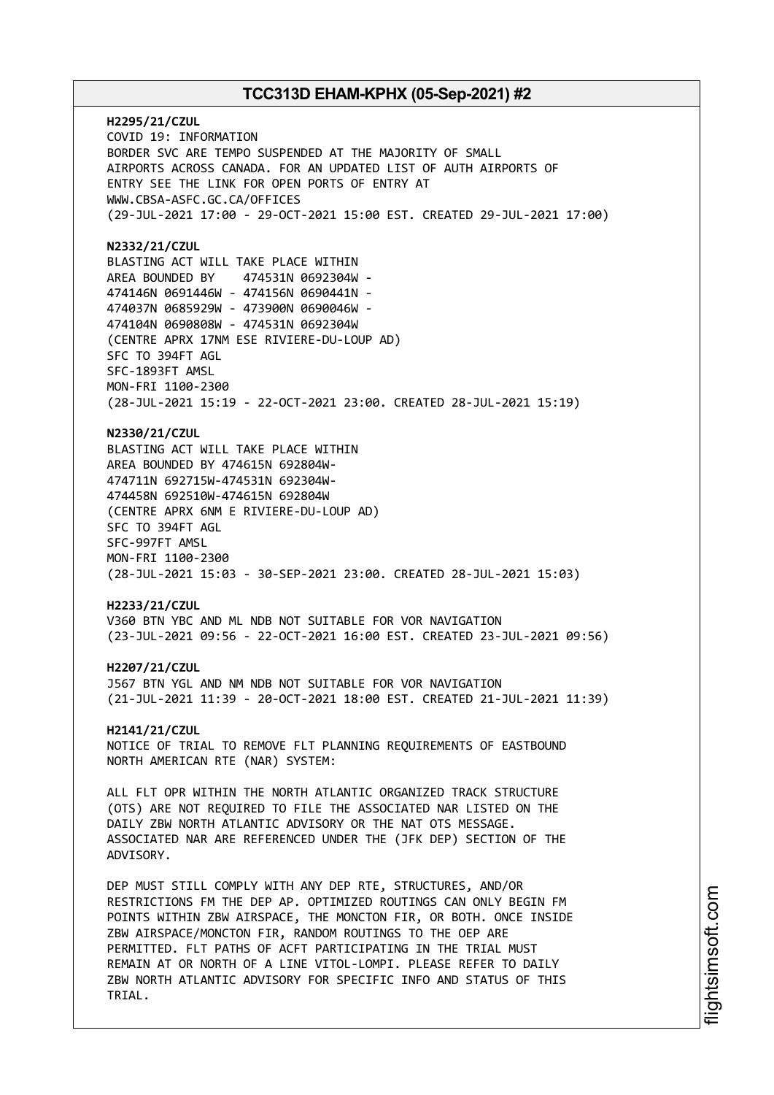**H2295/21/CZUL** COVID 19: INFORMATION BORDER SVC ARE TEMPO SUSPENDED AT THE MAJORITY OF SMALL AIRPORTS ACROSS CANADA. FOR AN UPDATED LIST OF AUTH AIRPORTS OF ENTRY SEE THE LINK FOR OPEN PORTS OF ENTRY AT WWW.CBSA-ASFC.GC.CA/OFFICES (29-JUL-2021 17:00 - 29-OCT-2021 15:00 EST. CREATED 29-JUL-2021 17:00) **N2332/21/CZUL** BLASTING ACT WILL TAKE PLACE WITHIN AREA BOUNDED BY 474531N 0692304W - 474146N 0691446W - 474156N 0690441N - 474037N 0685929W - 473900N 0690046W - 474104N 0690808W - 474531N 0692304W (CENTRE APRX 17NM ESE RIVIERE-DU-LOUP AD) SFC TO 394FT AGL SFC-1893FT AMSL MON-FRI 1100-2300 (28-JUL-2021 15:19 - 22-OCT-2021 23:00. CREATED 28-JUL-2021 15:19) **N2330/21/CZUL** BLASTING ACT WILL TAKE PLACE WITHIN AREA BOUNDED BY 474615N 692804W-474711N 692715W-474531N 692304W-474458N 692510W-474615N 692804W (CENTRE APRX 6NM E RIVIERE-DU-LOUP AD) SFC TO 394FT AGL SFC-997FT AMSL MON-FRI 1100-2300 (28-JUL-2021 15:03 - 30-SEP-2021 23:00. CREATED 28-JUL-2021 15:03) **H2233/21/CZUL** V360 BTN YBC AND ML NDB NOT SUITABLE FOR VOR NAVIGATION (23-JUL-2021 09:56 - 22-OCT-2021 16:00 EST. CREATED 23-JUL-2021 09:56) **H2207/21/CZUL** J567 BTN YGL AND NM NDB NOT SUITABLE FOR VOR NAVIGATION (21-JUL-2021 11:39 - 20-OCT-2021 18:00 EST. CREATED 21-JUL-2021 11:39) **H2141/21/CZUL** NOTICE OF TRIAL TO REMOVE FLT PLANNING REQUIREMENTS OF EASTBOUND NORTH AMERICAN RTE (NAR) SYSTEM: ALL FLT OPR WITHIN THE NORTH ATLANTIC ORGANIZED TRACK STRUCTURE (OTS) ARE NOT REQUIRED TO FILE THE ASSOCIATED NAR LISTED ON THE DAILY ZBW NORTH ATLANTIC ADVISORY OR THE NAT OTS MESSAGE. ASSOCIATED NAR ARE REFERENCED UNDER THE (JFK DEP) SECTION OF THE ADVISORY. DEP MUST STILL COMPLY WITH ANY DEP RTE, STRUCTURES, AND/OR RESTRICTIONS FM THE DEP AP. OPTIMIZED ROUTINGS CAN ONLY BEGIN FM POINTS WITHIN ZBW AIRSPACE, THE MONCTON FIR, OR BOTH. ONCE INSIDE ZBW AIRSPACE/MONCTON FIR, RANDOM ROUTINGS TO THE OEP ARE PERMITTED. FLT PATHS OF ACFT PARTICIPATING IN THE TRIAL MUST REMAIN AT OR NORTH OF A LINE VITOL-LOMPI. PLEASE REFER TO DAILY ZBW NORTH ATLANTIC ADVISORY FOR SPECIFIC INFO AND STATUS OF THIS TRIAL.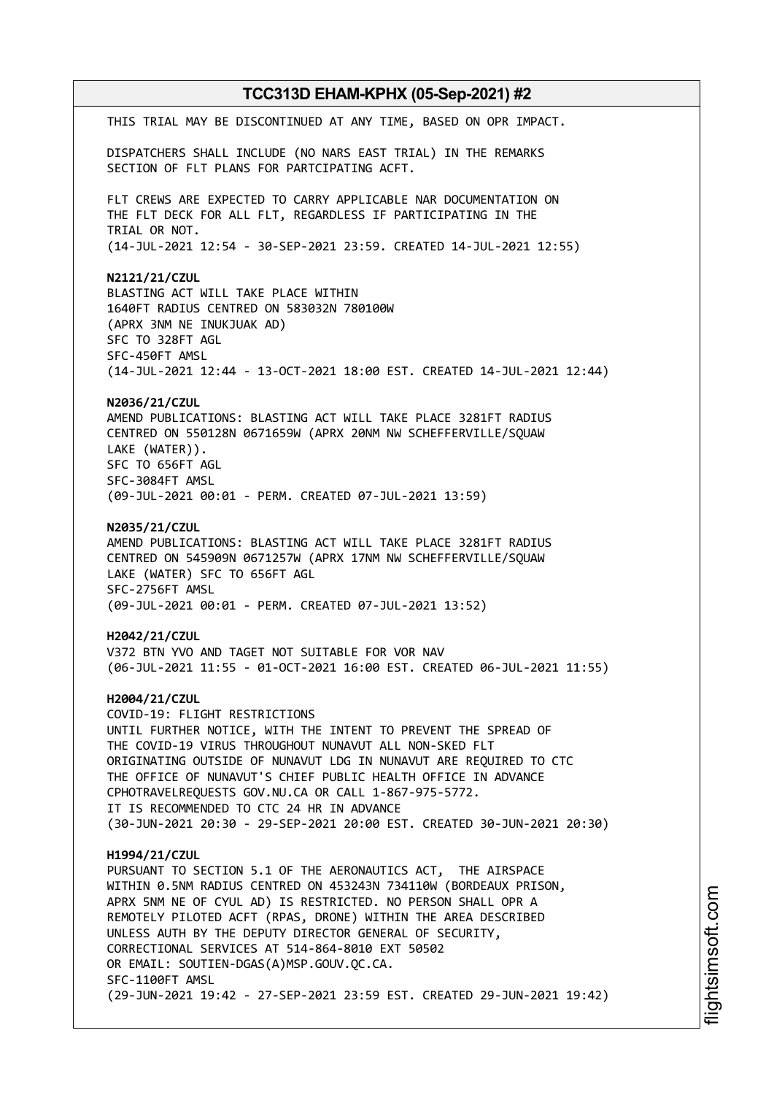**TCC313D EHAM-KPHX (05-Sep-2021) #2** THIS TRIAL MAY BE DISCONTINUED AT ANY TIME, BASED ON OPR IMPACT. DISPATCHERS SHALL INCLUDE (NO NARS EAST TRIAL) IN THE REMARKS SECTION OF FLT PLANS FOR PARTCIPATING ACFT. FLT CREWS ARE EXPECTED TO CARRY APPLICABLE NAR DOCUMENTATION ON THE FLT DECK FOR ALL FLT, REGARDLESS IF PARTICIPATING IN THE TRIAL OR NOT. (14-JUL-2021 12:54 - 30-SEP-2021 23:59. CREATED 14-JUL-2021 12:55) **N2121/21/CZUL** BLASTING ACT WILL TAKE PLACE WITHIN 1640FT RADIUS CENTRED ON 583032N 780100W (APRX 3NM NE INUKJUAK AD) SFC TO 328FT AGL SFC-450FT AMSL (14-JUL-2021 12:44 - 13-OCT-2021 18:00 EST. CREATED 14-JUL-2021 12:44) **N2036/21/CZUL** AMEND PUBLICATIONS: BLASTING ACT WILL TAKE PLACE 3281FT RADIUS CENTRED ON 550128N 0671659W (APRX 20NM NW SCHEFFERVILLE/SQUAW LAKE (WATER)). SFC TO 656FT AGL SFC-3084FT AMSL (09-JUL-2021 00:01 - PERM. CREATED 07-JUL-2021 13:59) **N2035/21/CZUL** AMEND PUBLICATIONS: BLASTING ACT WILL TAKE PLACE 3281FT RADIUS CENTRED ON 545909N 0671257W (APRX 17NM NW SCHEFFERVILLE/SQUAW LAKE (WATER) SFC TO 656FT AGL SFC-2756FT AMSL (09-JUL-2021 00:01 - PERM. CREATED 07-JUL-2021 13:52) **H2042/21/CZUL** V372 BTN YVO AND TAGET NOT SUITABLE FOR VOR NAV (06-JUL-2021 11:55 - 01-OCT-2021 16:00 EST. CREATED 06-JUL-2021 11:55) **H2004/21/CZUL** COVID-19: FLIGHT RESTRICTIONS UNTIL FURTHER NOTICE, WITH THE INTENT TO PREVENT THE SPREAD OF THE COVID-19 VIRUS THROUGHOUT NUNAVUT ALL NON-SKED FLT ORIGINATING OUTSIDE OF NUNAVUT LDG IN NUNAVUT ARE REQUIRED TO CTC THE OFFICE OF NUNAVUT'S CHIEF PUBLIC HEALTH OFFICE IN ADVANCE CPHOTRAVELREQUESTS GOV.NU.CA OR CALL 1-867-975-5772. IT IS RECOMMENDED TO CTC 24 HR IN ADVANCE (30-JUN-2021 20:30 - 29-SEP-2021 20:00 EST. CREATED 30-JUN-2021 20:30) **H1994/21/CZUL** PURSUANT TO SECTION 5.1 OF THE AERONAUTICS ACT, THE AIRSPACE WITHIN 0.5NM RADIUS CENTRED ON 453243N 734110W (BORDEAUX PRISON, APRX 5NM NE OF CYUL AD) IS RESTRICTED. NO PERSON SHALL OPR A REMOTELY PILOTED ACFT (RPAS, DRONE) WITHIN THE AREA DESCRIBED UNLESS AUTH BY THE DEPUTY DIRECTOR GENERAL OF SECURITY, CORRECTIONAL SERVICES AT 514-864-8010 EXT 50502 OR EMAIL: SOUTIEN-DGAS(A)MSP.GOUV.QC.CA. SFC-1100FT AMSL (29-JUN-2021 19:42 - 27-SEP-2021 23:59 EST. CREATED 29-JUN-2021 19:42)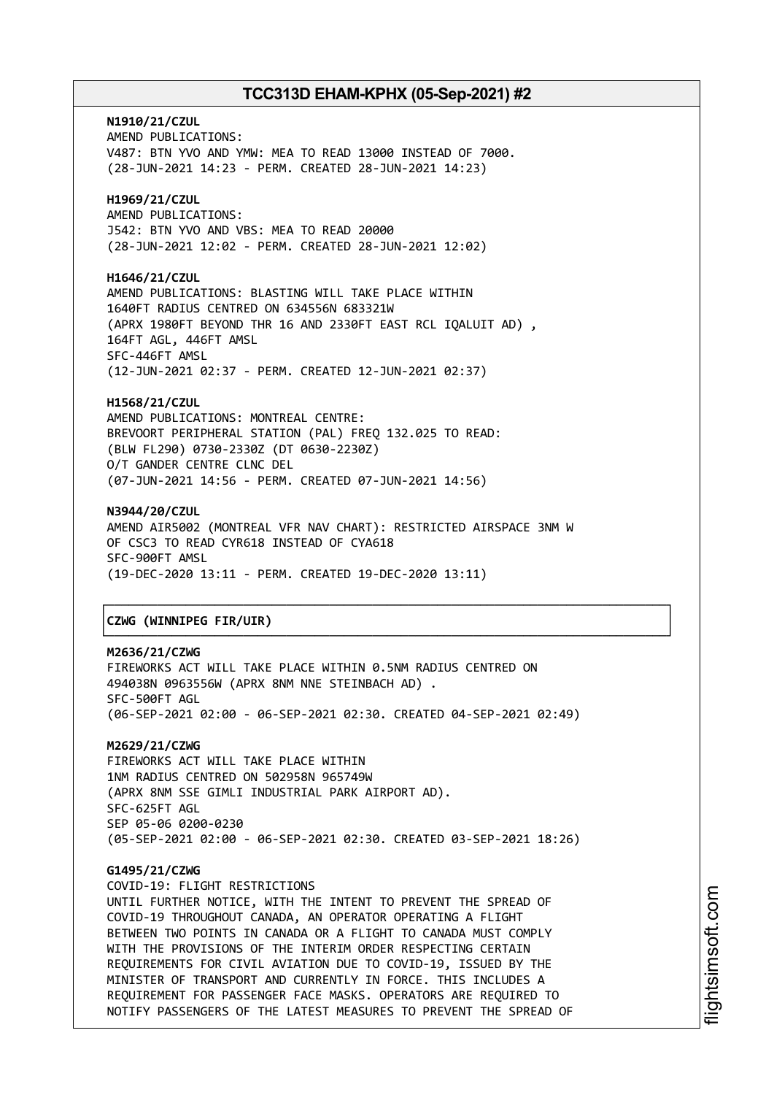**N1910/21/CZUL** AMEND PUBLICATIONS: V487: BTN YVO AND YMW: MEA TO READ 13000 INSTEAD OF 7000. (28-JUN-2021 14:23 - PERM. CREATED 28-JUN-2021 14:23) **H1969/21/CZUL**

AMEND PUBLICATIONS: J542: BTN YVO AND VBS: MEA TO READ 20000 (28-JUN-2021 12:02 - PERM. CREATED 28-JUN-2021 12:02)

**H1646/21/CZUL** AMEND PUBLICATIONS: BLASTING WILL TAKE PLACE WITHIN 1640FT RADIUS CENTRED ON 634556N 683321W (APRX 1980FT BEYOND THR 16 AND 2330FT EAST RCL IQALUIT AD) , 164FT AGL, 446FT AMSL SFC-446FT AMSL (12-JUN-2021 02:37 - PERM. CREATED 12-JUN-2021 02:37)

**H1568/21/CZUL** AMEND PUBLICATIONS: MONTREAL CENTRE: BREVOORT PERIPHERAL STATION (PAL) FREQ 132.025 TO READ: (BLW FL290) 0730-2330Z (DT 0630-2230Z) O/T GANDER CENTRE CLNC DEL (07-JUN-2021 14:56 - PERM. CREATED 07-JUN-2021 14:56)

**N3944/20/CZUL** AMEND AIR5002 (MONTREAL VFR NAV CHART): RESTRICTED AIRSPACE 3NM W OF CSC3 TO READ CYR618 INSTEAD OF CYA618 SFC-900FT AMSL (19-DEC-2020 13:11 - PERM. CREATED 19-DEC-2020 13:11)

## │**CZWG (WINNIPEG FIR/UIR)** │

**M2636/21/CZWG** FIREWORKS ACT WILL TAKE PLACE WITHIN 0.5NM RADIUS CENTRED ON 494038N 0963556W (APRX 8NM NNE STEINBACH AD) . SFC-500FT AGL (06-SEP-2021 02:00 - 06-SEP-2021 02:30. CREATED 04-SEP-2021 02:49)

┌──────────────────────────────────────────────────────────────────────────────┐

└──────────────────────────────────────────────────────────────────────────────┘

**M2629/21/CZWG** FIREWORKS ACT WILL TAKE PLACE WITHIN 1NM RADIUS CENTRED ON 502958N 965749W (APRX 8NM SSE GIMLI INDUSTRIAL PARK AIRPORT AD). SFC-625FT AGL SEP 05-06 0200-0230 (05-SEP-2021 02:00 - 06-SEP-2021 02:30. CREATED 03-SEP-2021 18:26)

**G1495/21/CZWG** COVID-19: FLIGHT RESTRICTIONS UNTIL FURTHER NOTICE, WITH THE INTENT TO PREVENT THE SPREAD OF COVID-19 THROUGHOUT CANADA, AN OPERATOR OPERATING A FLIGHT BETWEEN TWO POINTS IN CANADA OR A FLIGHT TO CANADA MUST COMPLY WITH THE PROVISIONS OF THE INTERIM ORDER RESPECTING CERTAIN REQUIREMENTS FOR CIVIL AVIATION DUE TO COVID-19, ISSUED BY THE MINISTER OF TRANSPORT AND CURRENTLY IN FORCE. THIS INCLUDES A REQUIREMENT FOR PASSENGER FACE MASKS. OPERATORS ARE REQUIRED TO NOTIFY PASSENGERS OF THE LATEST MEASURES TO PREVENT THE SPREAD OF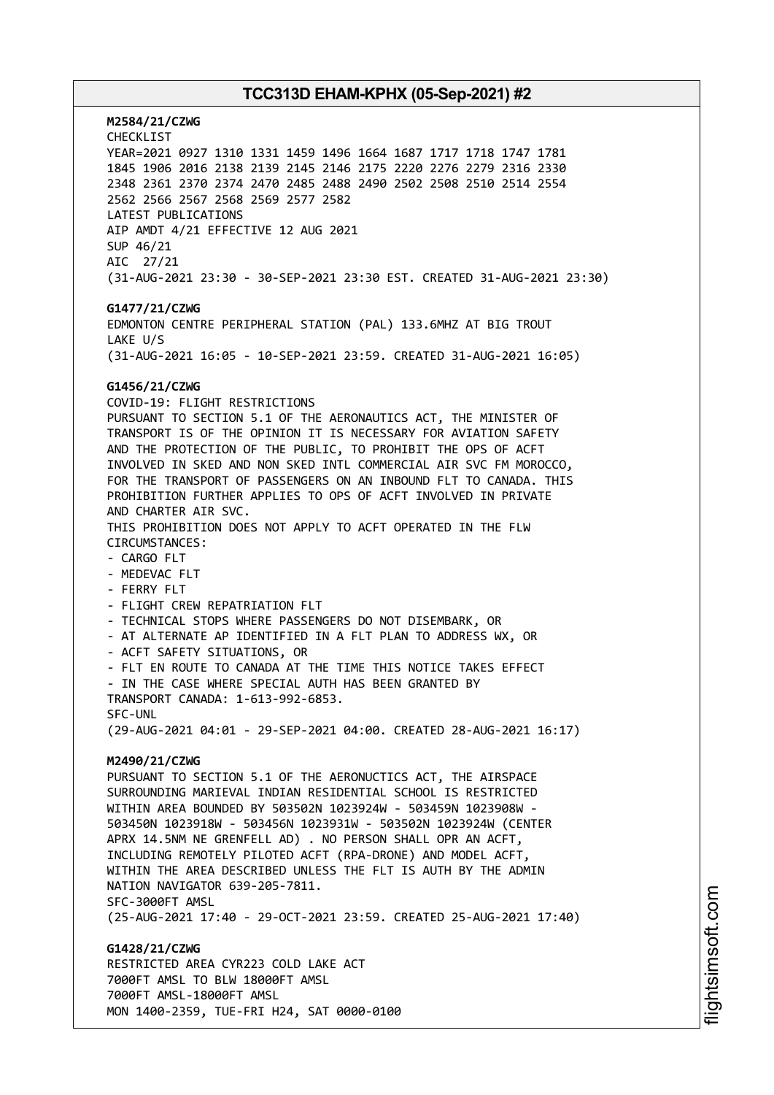**M2584/21/CZWG** CHECKLIST YEAR=2021 0927 1310 1331 1459 1496 1664 1687 1717 1718 1747 1781 1845 1906 2016 2138 2139 2145 2146 2175 2220 2276 2279 2316 2330 2348 2361 2370 2374 2470 2485 2488 2490 2502 2508 2510 2514 2554 2562 2566 2567 2568 2569 2577 2582 LATEST PUBLICATIONS AIP AMDT 4/21 EFFECTIVE 12 AUG 2021 SUP 46/21 AIC 27/21 (31-AUG-2021 23:30 - 30-SEP-2021 23:30 EST. CREATED 31-AUG-2021 23:30) **G1477/21/CZWG** EDMONTON CENTRE PERIPHERAL STATION (PAL) 133.6MHZ AT BIG TROUT LAKE U/S (31-AUG-2021 16:05 - 10-SEP-2021 23:59. CREATED 31-AUG-2021 16:05) **G1456/21/CZWG** COVID-19: FLIGHT RESTRICTIONS PURSUANT TO SECTION 5.1 OF THE AERONAUTICS ACT, THE MINISTER OF TRANSPORT IS OF THE OPINION IT IS NECESSARY FOR AVIATION SAFETY AND THE PROTECTION OF THE PUBLIC, TO PROHIBIT THE OPS OF ACFT INVOLVED IN SKED AND NON SKED INTL COMMERCIAL AIR SVC FM MOROCCO, FOR THE TRANSPORT OF PASSENGERS ON AN INBOUND FLT TO CANADA. THIS PROHIBITION FURTHER APPLIES TO OPS OF ACFT INVOLVED IN PRIVATE AND CHARTER AIR SVC. THIS PROHIBITION DOES NOT APPLY TO ACFT OPERATED IN THE FLW CIRCUMSTANCES: - CARGO FLT - MEDEVAC FLT - FERRY FLT - FLIGHT CREW REPATRIATION FLT - TECHNICAL STOPS WHERE PASSENGERS DO NOT DISEMBARK, OR - AT ALTERNATE AP IDENTIFIED IN A FLT PLAN TO ADDRESS WX, OR - ACFT SAFETY SITUATIONS, OR - FLT EN ROUTE TO CANADA AT THE TIME THIS NOTICE TAKES EFFECT - IN THE CASE WHERE SPECIAL AUTH HAS BEEN GRANTED BY TRANSPORT CANADA: 1-613-992-6853. SFC-UNL (29-AUG-2021 04:01 - 29-SEP-2021 04:00. CREATED 28-AUG-2021 16:17) **M2490/21/CZWG** PURSUANT TO SECTION 5.1 OF THE AERONUCTICS ACT, THE AIRSPACE SURROUNDING MARIEVAL INDIAN RESIDENTIAL SCHOOL IS RESTRICTED WITHIN AREA BOUNDED BY 503502N 1023924W - 503459N 1023908W - 503450N 1023918W - 503456N 1023931W - 503502N 1023924W (CENTER APRX 14.5NM NE GRENFELL AD) . NO PERSON SHALL OPR AN ACFT, INCLUDING REMOTELY PILOTED ACFT (RPA-DRONE) AND MODEL ACFT, WITHIN THE AREA DESCRIBED UNLESS THE FLT IS AUTH BY THE ADMIN NATION NAVIGATOR 639-205-7811. SFC-3000FT AMSL (25-AUG-2021 17:40 - 29-OCT-2021 23:59. CREATED 25-AUG-2021 17:40) **G1428/21/CZWG** RESTRICTED AREA CYR223 COLD LAKE ACT 7000FT AMSL TO BLW 18000FT AMSL 7000FT AMSL-18000FT AMSL

MON 1400-2359, TUE-FRI H24, SAT 0000-0100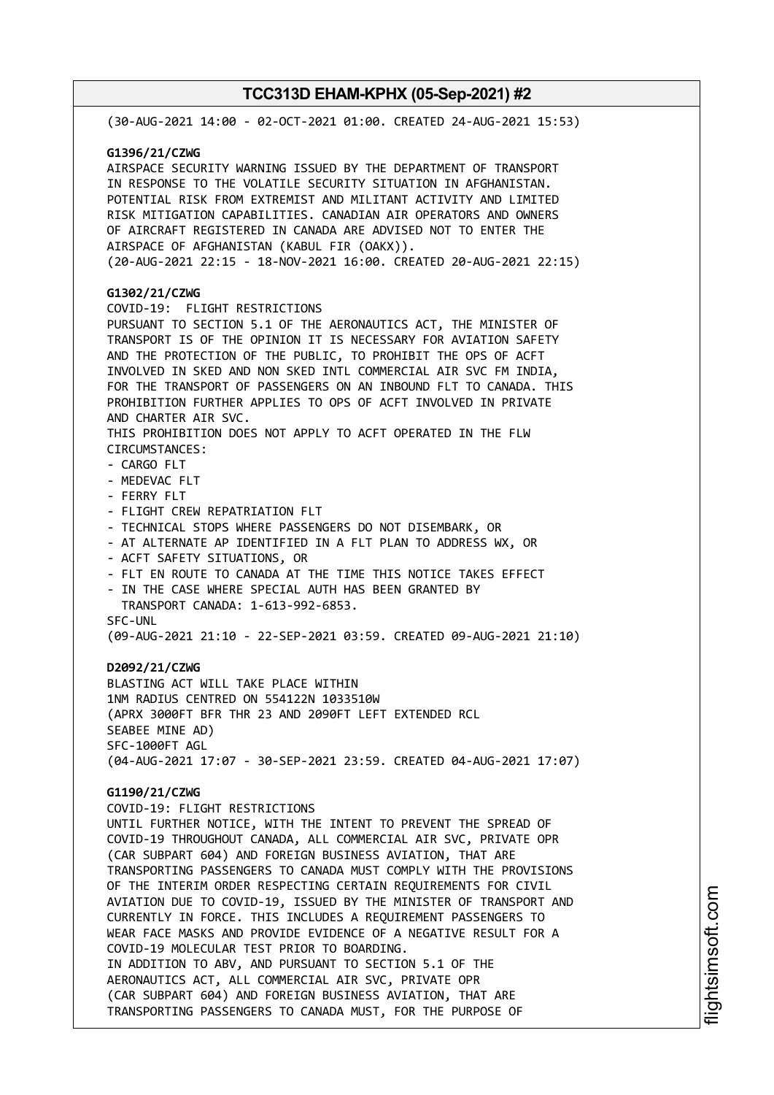| (30-AUG-2021 14:00 - 02-OCT-2021 01:00. CREATED 24-AUG-2021 15:53)                                                                                                                                                                                                                                                                                                                                                                                                                                                                                                                                                                                                                                                                                                                                                                                                                                                                                                                                                                                                  |
|---------------------------------------------------------------------------------------------------------------------------------------------------------------------------------------------------------------------------------------------------------------------------------------------------------------------------------------------------------------------------------------------------------------------------------------------------------------------------------------------------------------------------------------------------------------------------------------------------------------------------------------------------------------------------------------------------------------------------------------------------------------------------------------------------------------------------------------------------------------------------------------------------------------------------------------------------------------------------------------------------------------------------------------------------------------------|
| G1396/21/CZWG<br>AIRSPACE SECURITY WARNING ISSUED BY THE DEPARTMENT OF TRANSPORT<br>IN RESPONSE TO THE VOLATILE SECURITY SITUATION IN AFGHANISTAN.<br>POTENTIAL RISK FROM EXTREMIST AND MILITANT ACTIVITY AND LIMITED<br>RISK MITIGATION CAPABILITIES. CANADIAN AIR OPERATORS AND OWNERS<br>OF AIRCRAFT REGISTERED IN CANADA ARE ADVISED NOT TO ENTER THE<br>AIRSPACE OF AFGHANISTAN (KABUL FIR (OAKX)).<br>(20-AUG-2021 22:15 - 18-NOV-2021 16:00. CREATED 20-AUG-2021 22:15)                                                                                                                                                                                                                                                                                                                                                                                                                                                                                                                                                                                      |
| G1302/21/CZWG<br>COVID-19: FLIGHT RESTRICTIONS<br>PURSUANT TO SECTION 5.1 OF THE AERONAUTICS ACT, THE MINISTER OF<br>TRANSPORT IS OF THE OPINION IT IS NECESSARY FOR AVIATION SAFETY<br>AND THE PROTECTION OF THE PUBLIC, TO PROHIBIT THE OPS OF ACFT<br>INVOLVED IN SKED AND NON SKED INTL COMMERCIAL AIR SVC FM INDIA,<br>FOR THE TRANSPORT OF PASSENGERS ON AN INBOUND FLT TO CANADA. THIS<br>PROHIBITION FURTHER APPLIES TO OPS OF ACFT INVOLVED IN PRIVATE<br>AND CHARTER AIR SVC.<br>THIS PROHIBITION DOES NOT APPLY TO ACFT OPERATED IN THE FLW<br>CIRCUMSTANCES:<br>- CARGO FLT<br>- MEDEVAC FLT<br>- FERRY FLT<br>- FLIGHT CREW REPATRIATION FLT<br>- TECHNICAL STOPS WHERE PASSENGERS DO NOT DISEMBARK, OR<br>- AT ALTERNATE AP IDENTIFIED IN A FLT PLAN TO ADDRESS WX, OR<br>- ACFT SAFETY SITUATIONS, OR<br>- FLT EN ROUTE TO CANADA AT THE TIME THIS NOTICE TAKES EFFECT<br>- IN THE CASE WHERE SPECIAL AUTH HAS BEEN GRANTED BY<br>TRANSPORT CANADA: 1-613-992-6853.<br>SFC-UNL<br>(09-AUG-2021 21:10 - 22-SEP-2021 03:59. CREATED 09-AUG-2021 21:10) |
| D2092/21/CZWG<br>BLASTING ACT WILL TAKE PLACE WITHIN<br>1NM RADIUS CENTRED ON 554122N 1033510W<br>(APRX 3000FT BFR THR 23 AND 2090FT LEFT EXTENDED RCL<br>SEABEE MINE AD)<br>SFC-1000FT AGL<br>(04-AUG-2021 17:07 - 30-SEP-2021 23:59. CREATED 04-AUG-2021 17:07)                                                                                                                                                                                                                                                                                                                                                                                                                                                                                                                                                                                                                                                                                                                                                                                                   |
| G1190/21/CZWG<br>COVID-19: FLIGHT RESTRICTIONS<br>UNTIL FURTHER NOTICE, WITH THE INTENT TO PREVENT THE SPREAD OF<br>COVID-19 THROUGHOUT CANADA, ALL COMMERCIAL AIR SVC, PRIVATE OPR<br>(CAR SUBPART 604) AND FOREIGN BUSINESS AVIATION, THAT ARE<br>TRANSPORTING PASSENGERS TO CANADA MUST COMPLY WITH THE PROVISIONS<br>OF THE INTERIM ORDER RESPECTING CERTAIN REQUIREMENTS FOR CIVIL<br>AVIATION DUE TO COVID-19, ISSUED BY THE MINISTER OF TRANSPORT AND<br>CURRENTLY IN FORCE. THIS INCLUDES A REQUIREMENT PASSENGERS TO<br>WEAR FACE MASKS AND PROVIDE EVIDENCE OF A NEGATIVE RESULT FOR A<br>COVID-19 MOLECULAR TEST PRIOR TO BOARDING.<br>IN ADDITION TO ABV, AND PURSUANT TO SECTION 5.1 OF THE<br>AERONAUTICS ACT, ALL COMMERCIAL AIR SVC, PRIVATE OPR<br>(CAR SUBPART 604) AND FOREIGN BUSINESS AVIATION, THAT ARE<br>TRANSPORTING PASSENGERS TO CANADA MUST, FOR THE PURPOSE OF                                                                                                                                                                         |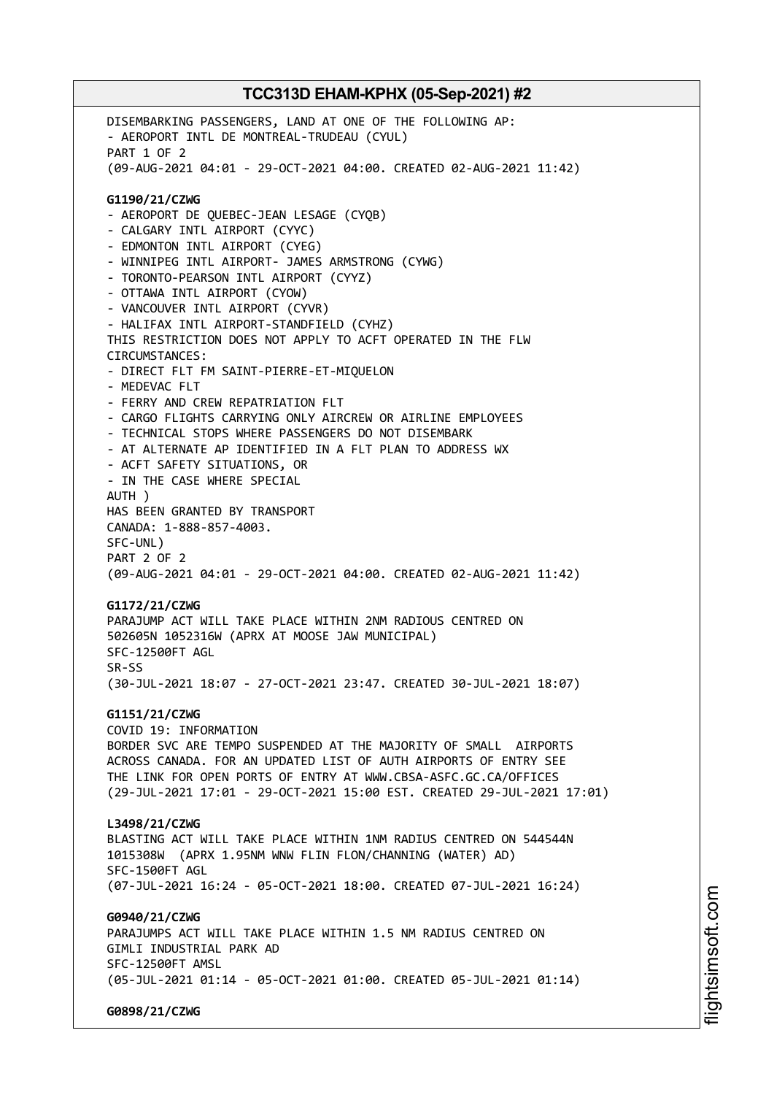DISEMBARKING PASSENGERS, LAND AT ONE OF THE FOLLOWING AP: - AEROPORT INTL DE MONTREAL-TRUDEAU (CYUL) PART 1 OF 2 (09-AUG-2021 04:01 - 29-OCT-2021 04:00. CREATED 02-AUG-2021 11:42) **G1190/21/CZWG** - AEROPORT DE QUEBEC-JEAN LESAGE (CYQB) - CALGARY INTL AIRPORT (CYYC) - EDMONTON INTL AIRPORT (CYEG) - WINNIPEG INTL AIRPORT- JAMES ARMSTRONG (CYWG) - TORONTO-PEARSON INTL AIRPORT (CYYZ) - OTTAWA INTL AIRPORT (CYOW) - VANCOUVER INTL AIRPORT (CYVR) - HALIFAX INTL AIRPORT-STANDFIELD (CYHZ) THIS RESTRICTION DOES NOT APPLY TO ACFT OPERATED IN THE FLW CIRCUMSTANCES: - DIRECT FLT FM SAINT-PIERRE-ET-MIQUELON - MEDEVAC FLT - FERRY AND CREW REPATRIATION FLT - CARGO FLIGHTS CARRYING ONLY AIRCREW OR AIRLINE EMPLOYEES - TECHNICAL STOPS WHERE PASSENGERS DO NOT DISEMBARK - AT ALTERNATE AP IDENTIFIED IN A FLT PLAN TO ADDRESS WX - ACFT SAFETY SITUATIONS, OR - IN THE CASE WHERE SPECIAL AUTH ) HAS BEEN GRANTED BY TRANSPORT CANADA: 1-888-857-4003. SFC-UNL) PART 2 OF 2 (09-AUG-2021 04:01 - 29-OCT-2021 04:00. CREATED 02-AUG-2021 11:42) **G1172/21/CZWG** PARAJUMP ACT WILL TAKE PLACE WITHIN 2NM RADIOUS CENTRED ON 502605N 1052316W (APRX AT MOOSE JAW MUNICIPAL) SFC-12500FT AGL SR-SS (30-JUL-2021 18:07 - 27-OCT-2021 23:47. CREATED 30-JUL-2021 18:07) **G1151/21/CZWG** COVID 19: INFORMATION BORDER SVC ARE TEMPO SUSPENDED AT THE MAJORITY OF SMALL AIRPORTS ACROSS CANADA. FOR AN UPDATED LIST OF AUTH AIRPORTS OF ENTRY SEE THE LINK FOR OPEN PORTS OF ENTRY AT WWW.CBSA-ASFC.GC.CA/OFFICES (29-JUL-2021 17:01 - 29-OCT-2021 15:00 EST. CREATED 29-JUL-2021 17:01) **L3498/21/CZWG** BLASTING ACT WILL TAKE PLACE WITHIN 1NM RADIUS CENTRED ON 544544N 1015308W (APRX 1.95NM WNW FLIN FLON/CHANNING (WATER) AD) SFC-1500FT AGL (07-JUL-2021 16:24 - 05-OCT-2021 18:00. CREATED 07-JUL-2021 16:24) **G0940/21/CZWG** PARAJUMPS ACT WILL TAKE PLACE WITHIN 1.5 NM RADIUS CENTRED ON GIMLI INDUSTRIAL PARK AD SFC-12500FT AMSL (05-JUL-2021 01:14 - 05-OCT-2021 01:00. CREATED 05-JUL-2021 01:14) **G0898/21/CZWG**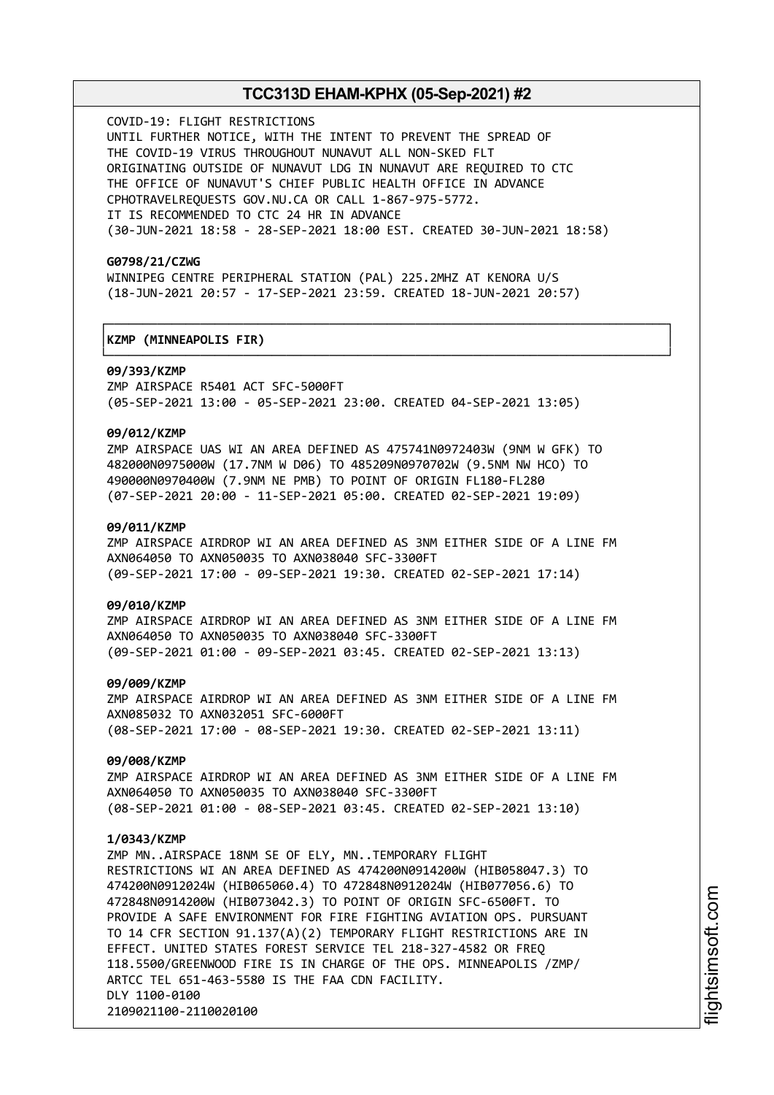┌──────────────────────────────────────────────────────────────────────────────┐

└──────────────────────────────────────────────────────────────────────────────┘

COVID-19: FLIGHT RESTRICTIONS UNTIL FURTHER NOTICE, WITH THE INTENT TO PREVENT THE SPREAD OF THE COVID-19 VIRUS THROUGHOUT NUNAVUT ALL NON-SKED FLT ORIGINATING OUTSIDE OF NUNAVUT LDG IN NUNAVUT ARE REQUIRED TO CTC THE OFFICE OF NUNAVUT'S CHIEF PUBLIC HEALTH OFFICE IN ADVANCE CPHOTRAVELREQUESTS GOV.NU.CA OR CALL 1-867-975-5772. IT IS RECOMMENDED TO CTC 24 HR IN ADVANCE (30-JUN-2021 18:58 - 28-SEP-2021 18:00 EST. CREATED 30-JUN-2021 18:58)

#### **G0798/21/CZWG**

WINNIPEG CENTRE PERIPHERAL STATION (PAL) 225.2MHZ AT KENORA U/S (18-JUN-2021 20:57 - 17-SEP-2021 23:59. CREATED 18-JUN-2021 20:57)

## │**KZMP (MINNEAPOLIS FIR)** │

#### **09/393/KZMP**

ZMP AIRSPACE R5401 ACT SFC-5000FT (05-SEP-2021 13:00 - 05-SEP-2021 23:00. CREATED 04-SEP-2021 13:05)

#### **09/012/KZMP**

ZMP AIRSPACE UAS WI AN AREA DEFINED AS 475741N0972403W (9NM W GFK) TO 482000N0975000W (17.7NM W D06) TO 485209N0970702W (9.5NM NW HCO) TO 490000N0970400W (7.9NM NE PMB) TO POINT OF ORIGIN FL180-FL280 (07-SEP-2021 20:00 - 11-SEP-2021 05:00. CREATED 02-SEP-2021 19:09)

#### **09/011/KZMP**

ZMP AIRSPACE AIRDROP WI AN AREA DEFINED AS 3NM EITHER SIDE OF A LINE FM AXN064050 TO AXN050035 TO AXN038040 SFC-3300FT (09-SEP-2021 17:00 - 09-SEP-2021 19:30. CREATED 02-SEP-2021 17:14)

#### **09/010/KZMP**

ZMP AIRSPACE AIRDROP WI AN AREA DEFINED AS 3NM EITHER SIDE OF A LINE FM AXN064050 TO AXN050035 TO AXN038040 SFC-3300FT (09-SEP-2021 01:00 - 09-SEP-2021 03:45. CREATED 02-SEP-2021 13:13)

#### **09/009/KZMP**

ZMP AIRSPACE AIRDROP WI AN AREA DEFINED AS 3NM EITHER SIDE OF A LINE FM AXN085032 TO AXN032051 SFC-6000FT (08-SEP-2021 17:00 - 08-SEP-2021 19:30. CREATED 02-SEP-2021 13:11)

#### **09/008/KZMP**

ZMP AIRSPACE AIRDROP WI AN AREA DEFINED AS 3NM EITHER SIDE OF A LINE FM AXN064050 TO AXN050035 TO AXN038040 SFC-3300FT (08-SEP-2021 01:00 - 08-SEP-2021 03:45. CREATED 02-SEP-2021 13:10)

#### **1/0343/KZMP**

ZMP MN..AIRSPACE 18NM SE OF ELY, MN..TEMPORARY FLIGHT RESTRICTIONS WI AN AREA DEFINED AS 474200N0914200W (HIB058047.3) TO 474200N0912024W (HIB065060.4) TO 472848N0912024W (HIB077056.6) TO 472848N0914200W (HIB073042.3) TO POINT OF ORIGIN SFC-6500FT. TO PROVIDE A SAFE ENVIRONMENT FOR FIRE FIGHTING AVIATION OPS. PURSUANT TO 14 CFR SECTION 91.137(A)(2) TEMPORARY FLIGHT RESTRICTIONS ARE IN EFFECT. UNITED STATES FOREST SERVICE TEL 218-327-4582 OR FREQ 118.5500/GREENWOOD FIRE IS IN CHARGE OF THE OPS. MINNEAPOLIS /ZMP/ ARTCC TEL 651-463-5580 IS THE FAA CDN FACILITY. DLY 1100-0100 2109021100-2110020100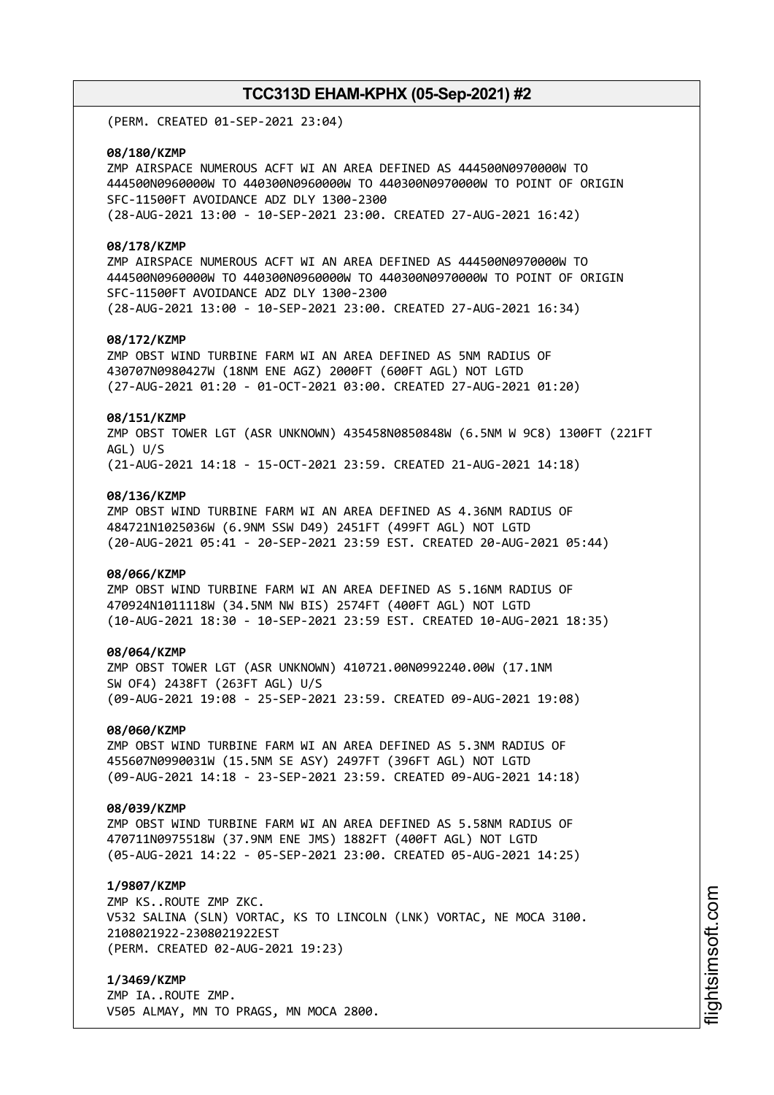(PERM. CREATED 01-SEP-2021 23:04)

#### **08/180/KZMP**

ZMP AIRSPACE NUMEROUS ACFT WI AN AREA DEFINED AS 444500N0970000W TO 444500N0960000W TO 440300N0960000W TO 440300N0970000W TO POINT OF ORIGIN SFC-11500FT AVOIDANCE ADZ DLY 1300-2300 (28-AUG-2021 13:00 - 10-SEP-2021 23:00. CREATED 27-AUG-2021 16:42)

#### **08/178/KZMP**

ZMP AIRSPACE NUMEROUS ACFT WI AN AREA DEFINED AS 444500N0970000W TO 444500N0960000W TO 440300N0960000W TO 440300N0970000W TO POINT OF ORIGIN SFC-11500FT AVOIDANCE ADZ DLY 1300-2300 (28-AUG-2021 13:00 - 10-SEP-2021 23:00. CREATED 27-AUG-2021 16:34)

#### **08/172/KZMP**

ZMP OBST WIND TURBINE FARM WI AN AREA DEFINED AS 5NM RADIUS OF 430707N0980427W (18NM ENE AGZ) 2000FT (600FT AGL) NOT LGTD (27-AUG-2021 01:20 - 01-OCT-2021 03:00. CREATED 27-AUG-2021 01:20)

#### **08/151/KZMP**

ZMP OBST TOWER LGT (ASR UNKNOWN) 435458N0850848W (6.5NM W 9C8) 1300FT (221FT AGL) U/S (21-AUG-2021 14:18 - 15-OCT-2021 23:59. CREATED 21-AUG-2021 14:18)

#### **08/136/KZMP**

ZMP OBST WIND TURBINE FARM WI AN AREA DEFINED AS 4.36NM RADIUS OF 484721N1025036W (6.9NM SSW D49) 2451FT (499FT AGL) NOT LGTD (20-AUG-2021 05:41 - 20-SEP-2021 23:59 EST. CREATED 20-AUG-2021 05:44)

#### **08/066/KZMP**

ZMP OBST WIND TURBINE FARM WI AN AREA DEFINED AS 5.16NM RADIUS OF 470924N1011118W (34.5NM NW BIS) 2574FT (400FT AGL) NOT LGTD (10-AUG-2021 18:30 - 10-SEP-2021 23:59 EST. CREATED 10-AUG-2021 18:35)

#### **08/064/KZMP**

ZMP OBST TOWER LGT (ASR UNKNOWN) 410721.00N0992240.00W (17.1NM SW OF4) 2438FT (263FT AGL) U/S (09-AUG-2021 19:08 - 25-SEP-2021 23:59. CREATED 09-AUG-2021 19:08)

#### **08/060/KZMP**

ZMP OBST WIND TURBINE FARM WI AN AREA DEFINED AS 5.3NM RADIUS OF 455607N0990031W (15.5NM SE ASY) 2497FT (396FT AGL) NOT LGTD (09-AUG-2021 14:18 - 23-SEP-2021 23:59. CREATED 09-AUG-2021 14:18)

#### **08/039/KZMP**

ZMP OBST WIND TURBINE FARM WI AN AREA DEFINED AS 5.58NM RADIUS OF 470711N0975518W (37.9NM ENE JMS) 1882FT (400FT AGL) NOT LGTD (05-AUG-2021 14:22 - 05-SEP-2021 23:00. CREATED 05-AUG-2021 14:25)

#### **1/9807/KZMP**

ZMP KS..ROUTE ZMP ZKC. V532 SALINA (SLN) VORTAC, KS TO LINCOLN (LNK) VORTAC, NE MOCA 3100. 2108021922-2308021922EST (PERM. CREATED 02-AUG-2021 19:23)

**1/3469/KZMP** ZMP IA..ROUTE ZMP. V505 ALMAY, MN TO PRAGS, MN MOCA 2800.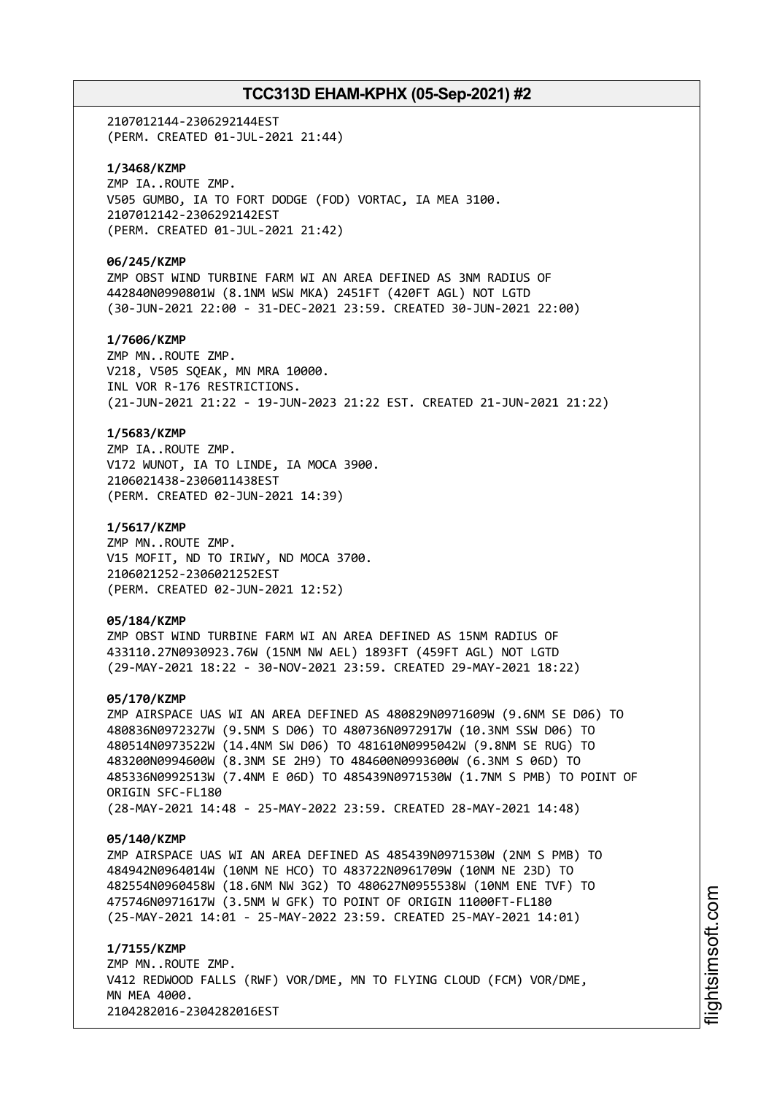2107012144-2306292144EST (PERM. CREATED 01-JUL-2021 21:44)

**1/3468/KZMP** ZMP IA..ROUTE ZMP. V505 GUMBO, IA TO FORT DODGE (FOD) VORTAC, IA MEA 3100. 2107012142-2306292142EST (PERM. CREATED 01-JUL-2021 21:42)

#### **06/245/KZMP**

ZMP OBST WIND TURBINE FARM WI AN AREA DEFINED AS 3NM RADIUS OF 442840N0990801W (8.1NM WSW MKA) 2451FT (420FT AGL) NOT LGTD (30-JUN-2021 22:00 - 31-DEC-2021 23:59. CREATED 30-JUN-2021 22:00)

## **1/7606/KZMP**

ZMP MN..ROUTE ZMP. V218, V505 SQEAK, MN MRA 10000. INL VOR R-176 RESTRICTIONS. (21-JUN-2021 21:22 - 19-JUN-2023 21:22 EST. CREATED 21-JUN-2021 21:22)

#### **1/5683/KZMP**

ZMP IA..ROUTE ZMP. V172 WUNOT, IA TO LINDE, IA MOCA 3900. 2106021438-2306011438EST (PERM. CREATED 02-JUN-2021 14:39)

#### **1/5617/KZMP**

ZMP MN..ROUTE ZMP. V15 MOFIT, ND TO IRIWY, ND MOCA 3700. 2106021252-2306021252EST (PERM. CREATED 02-JUN-2021 12:52)

#### **05/184/KZMP**

ZMP OBST WIND TURBINE FARM WI AN AREA DEFINED AS 15NM RADIUS OF 433110.27N0930923.76W (15NM NW AEL) 1893FT (459FT AGL) NOT LGTD (29-MAY-2021 18:22 - 30-NOV-2021 23:59. CREATED 29-MAY-2021 18:22)

#### **05/170/KZMP**

ZMP AIRSPACE UAS WI AN AREA DEFINED AS 480829N0971609W (9.6NM SE D06) TO 480836N0972327W (9.5NM S D06) TO 480736N0972917W (10.3NM SSW D06) TO 480514N0973522W (14.4NM SW D06) TO 481610N0995042W (9.8NM SE RUG) TO 483200N0994600W (8.3NM SE 2H9) TO 484600N0993600W (6.3NM S 06D) TO 485336N0992513W (7.4NM E 06D) TO 485439N0971530W (1.7NM S PMB) TO POINT OF ORIGIN SFC-FL180 (28-MAY-2021 14:48 - 25-MAY-2022 23:59. CREATED 28-MAY-2021 14:48)

#### **05/140/KZMP**

ZMP AIRSPACE UAS WI AN AREA DEFINED AS 485439N0971530W (2NM S PMB) TO 484942N0964014W (10NM NE HCO) TO 483722N0961709W (10NM NE 23D) TO 482554N0960458W (18.6NM NW 3G2) TO 480627N0955538W (10NM ENE TVF) TO 475746N0971617W (3.5NM W GFK) TO POINT OF ORIGIN 11000FT-FL180 (25-MAY-2021 14:01 - 25-MAY-2022 23:59. CREATED 25-MAY-2021 14:01)

#### **1/7155/KZMP**

ZMP MN..ROUTE ZMP. V412 REDWOOD FALLS (RWF) VOR/DME, MN TO FLYING CLOUD (FCM) VOR/DME, MN MEA 4000. 2104282016-2304282016EST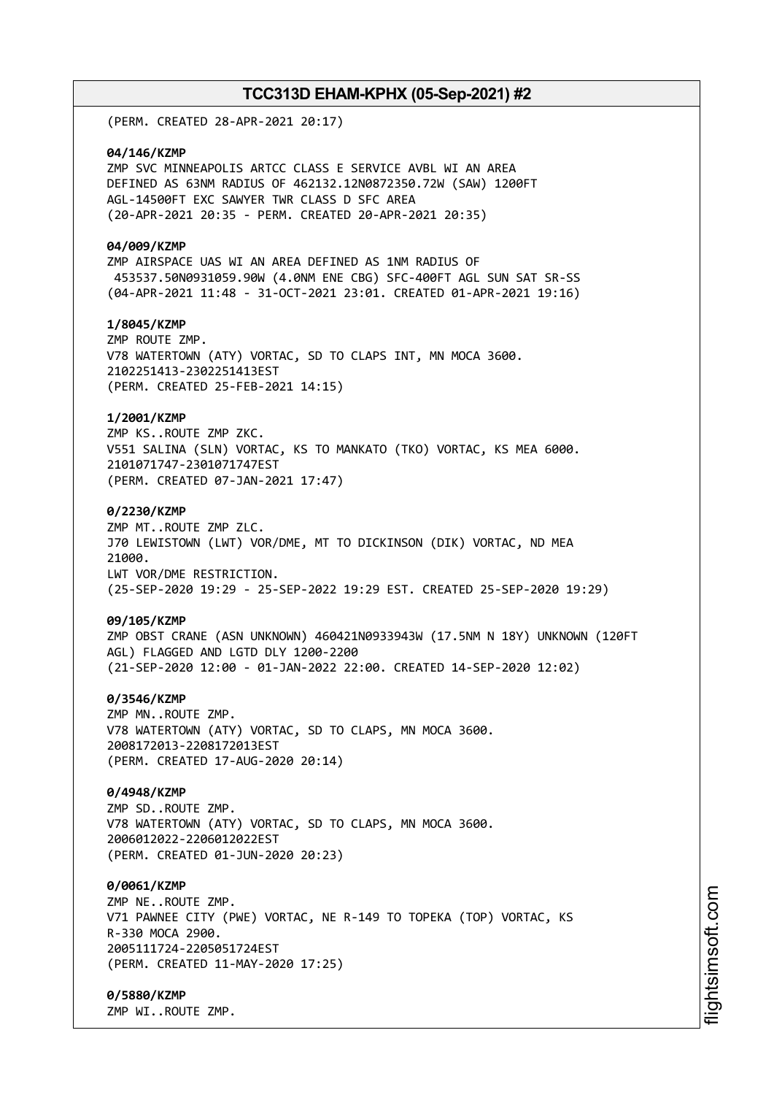(PERM. CREATED 28-APR-2021 20:17)

#### **04/146/KZMP**

ZMP SVC MINNEAPOLIS ARTCC CLASS E SERVICE AVBL WI AN AREA DEFINED AS 63NM RADIUS OF 462132.12N0872350.72W (SAW) 1200FT AGL-14500FT EXC SAWYER TWR CLASS D SFC AREA (20-APR-2021 20:35 - PERM. CREATED 20-APR-2021 20:35)

#### **04/009/KZMP**

ZMP AIRSPACE UAS WI AN AREA DEFINED AS 1NM RADIUS OF 453537.50N0931059.90W (4.0NM ENE CBG) SFC-400FT AGL SUN SAT SR-SS (04-APR-2021 11:48 - 31-OCT-2021 23:01. CREATED 01-APR-2021 19:16)

#### **1/8045/KZMP**

ZMP ROUTE ZMP. V78 WATERTOWN (ATY) VORTAC, SD TO CLAPS INT, MN MOCA 3600. 2102251413-2302251413EST (PERM. CREATED 25-FEB-2021 14:15)

#### **1/2001/KZMP**

ZMP KS..ROUTE ZMP ZKC. V551 SALINA (SLN) VORTAC, KS TO MANKATO (TKO) VORTAC, KS MEA 6000. 2101071747-2301071747EST (PERM. CREATED 07-JAN-2021 17:47)

#### **0/2230/KZMP**

ZMP MT..ROUTE ZMP ZLC. J70 LEWISTOWN (LWT) VOR/DME, MT TO DICKINSON (DIK) VORTAC, ND MEA 21000. LWT VOR/DME RESTRICTION. (25-SEP-2020 19:29 - 25-SEP-2022 19:29 EST. CREATED 25-SEP-2020 19:29)

#### **09/105/KZMP**

ZMP OBST CRANE (ASN UNKNOWN) 460421N0933943W (17.5NM N 18Y) UNKNOWN (120FT AGL) FLAGGED AND LGTD DLY 1200-2200 (21-SEP-2020 12:00 - 01-JAN-2022 22:00. CREATED 14-SEP-2020 12:02)

#### **0/3546/KZMP**

ZMP MN..ROUTE ZMP. V78 WATERTOWN (ATY) VORTAC, SD TO CLAPS, MN MOCA 3600. 2008172013-2208172013EST (PERM. CREATED 17-AUG-2020 20:14)

#### **0/4948/KZMP**

ZMP SD..ROUTE ZMP. V78 WATERTOWN (ATY) VORTAC, SD TO CLAPS, MN MOCA 3600. 2006012022-2206012022EST (PERM. CREATED 01-JUN-2020 20:23)

### **0/0061/KZMP**

ZMP NE..ROUTE ZMP. V71 PAWNEE CITY (PWE) VORTAC, NE R-149 TO TOPEKA (TOP) VORTAC, KS R-330 MOCA 2900. 2005111724-2205051724EST (PERM. CREATED 11-MAY-2020 17:25)

**0/5880/KZMP** ZMP WI..ROUTE ZMP.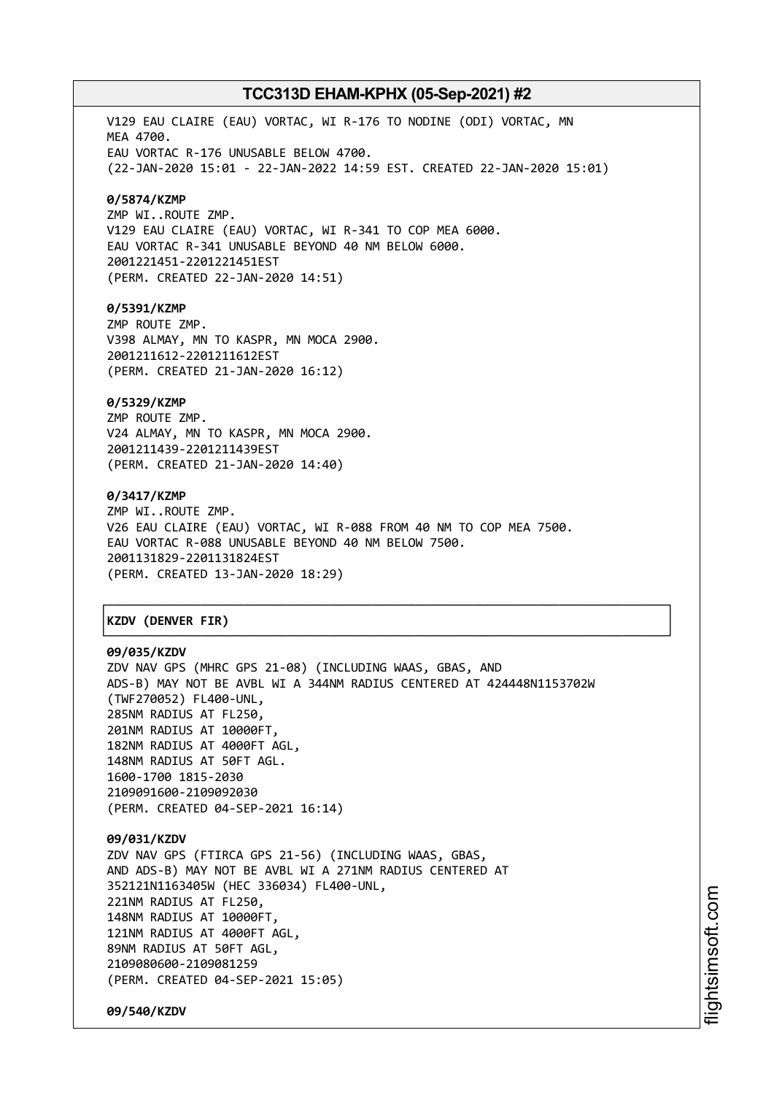V129 EAU CLAIRE (EAU) VORTAC, WI R-176 TO NODINE (ODI) VORTAC, MN MEA 4700. EAU VORTAC R-176 UNUSABLE BELOW 4700. (22-JAN-2020 15:01 - 22-JAN-2022 14:59 EST. CREATED 22-JAN-2020 15:01)

#### **0/5874/KZMP**

ZMP WI..ROUTE ZMP. V129 EAU CLAIRE (EAU) VORTAC, WI R-341 TO COP MEA 6000. EAU VORTAC R-341 UNUSABLE BEYOND 40 NM BELOW 6000. 2001221451-2201221451EST (PERM. CREATED 22-JAN-2020 14:51)

#### **0/5391/KZMP**

ZMP ROUTE ZMP. V398 ALMAY, MN TO KASPR, MN MOCA 2900. 2001211612-2201211612EST (PERM. CREATED 21-JAN-2020 16:12)

#### **0/5329/KZMP**

ZMP ROUTE ZMP. V24 ALMAY, MN TO KASPR, MN MOCA 2900. 2001211439-2201211439EST (PERM. CREATED 21-JAN-2020 14:40)

#### **0/3417/KZMP**

ZMP WI..ROUTE ZMP. V26 EAU CLAIRE (EAU) VORTAC, WI R-088 FROM 40 NM TO COP MEA 7500. EAU VORTAC R-088 UNUSABLE BEYOND 40 NM BELOW 7500. 2001131829-2201131824EST (PERM. CREATED 13-JAN-2020 18:29)

┌──────────────────────────────────────────────────────────────────────────────┐

└──────────────────────────────────────────────────────────────────────────────┘

## │**KZDV (DENVER FIR)** │

#### **09/035/KZDV**

ZDV NAV GPS (MHRC GPS 21-08) (INCLUDING WAAS, GBAS, AND ADS-B) MAY NOT BE AVBL WI A 344NM RADIUS CENTERED AT 424448N1153702W (TWF270052) FL400-UNL, 285NM RADIUS AT FL250, 201NM RADIUS AT 10000FT, 182NM RADIUS AT 4000FT AGL, 148NM RADIUS AT 50FT AGL. 1600-1700 1815-2030 2109091600-2109092030 (PERM. CREATED 04-SEP-2021 16:14)

**09/031/KZDV** ZDV NAV GPS (FTIRCA GPS 21-56) (INCLUDING WAAS, GBAS, AND ADS-B) MAY NOT BE AVBL WI A 271NM RADIUS CENTERED AT 352121N1163405W (HEC 336034) FL400-UNL, 221NM RADIUS AT FL250, 148NM RADIUS AT 10000FT, 121NM RADIUS AT 4000FT AGL, 89NM RADIUS AT 50FT AGL, 2109080600-2109081259 (PERM. CREATED 04-SEP-2021 15:05)

**09/540/KZDV**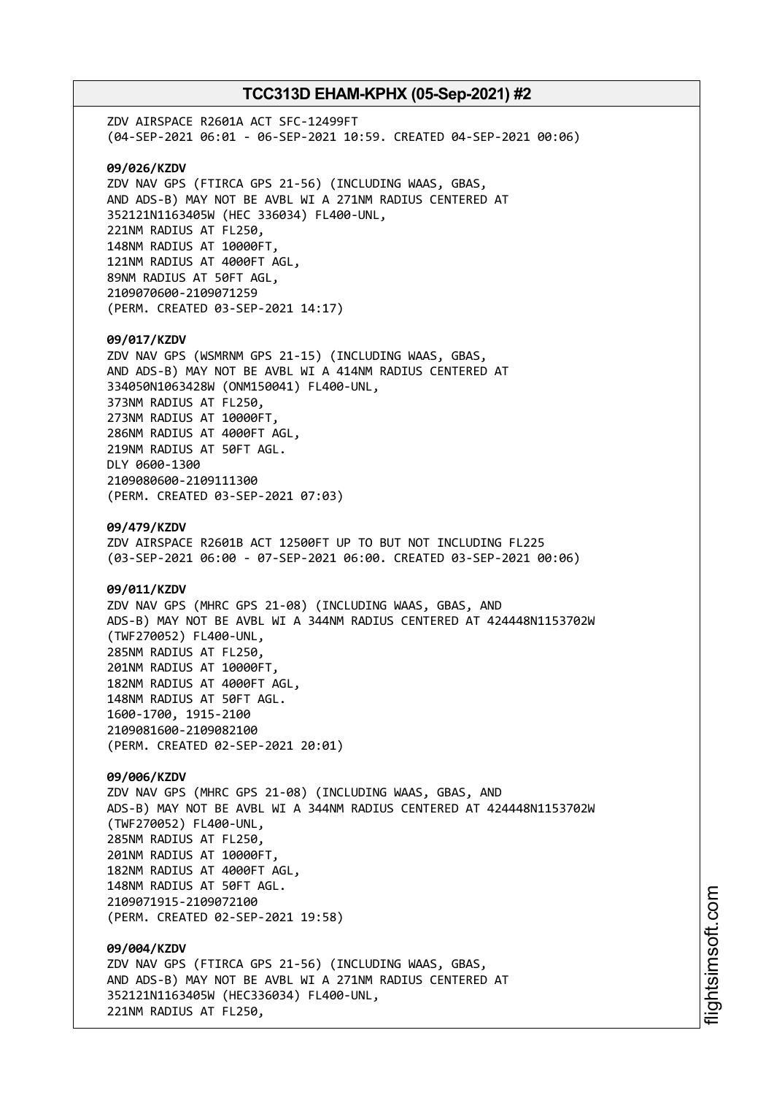ZDV AIRSPACE R2601A ACT SFC-12499FT (04-SEP-2021 06:01 - 06-SEP-2021 10:59. CREATED 04-SEP-2021 00:06) **09/026/KZDV** ZDV NAV GPS (FTIRCA GPS 21-56) (INCLUDING WAAS, GBAS, AND ADS-B) MAY NOT BE AVBL WI A 271NM RADIUS CENTERED AT 352121N1163405W (HEC 336034) FL400-UNL, 221NM RADIUS AT FL250, 148NM RADIUS AT 10000FT, 121NM RADIUS AT 4000FT AGL, 89NM RADIUS AT 50FT AGL, 2109070600-2109071259 (PERM. CREATED 03-SEP-2021 14:17) **09/017/KZDV** ZDV NAV GPS (WSMRNM GPS 21-15) (INCLUDING WAAS, GBAS, AND ADS-B) MAY NOT BE AVBL WI A 414NM RADIUS CENTERED AT 334050N1063428W (ONM150041) FL400-UNL, 373NM RADIUS AT FL250, 273NM RADIUS AT 10000FT, 286NM RADIUS AT 4000FT AGL, 219NM RADIUS AT 50FT AGL. DLY 0600-1300 2109080600-2109111300 (PERM. CREATED 03-SEP-2021 07:03) **09/479/KZDV** ZDV AIRSPACE R2601B ACT 12500FT UP TO BUT NOT INCLUDING FL225 (03-SEP-2021 06:00 - 07-SEP-2021 06:00. CREATED 03-SEP-2021 00:06) **09/011/KZDV** ZDV NAV GPS (MHRC GPS 21-08) (INCLUDING WAAS, GBAS, AND ADS-B) MAY NOT BE AVBL WI A 344NM RADIUS CENTERED AT 424448N1153702W (TWF270052) FL400-UNL, 285NM RADIUS AT FL250, 201NM RADIUS AT 10000FT, 182NM RADIUS AT 4000FT AGL, 148NM RADIUS AT 50FT AGL. 1600-1700, 1915-2100 2109081600-2109082100 (PERM. CREATED 02-SEP-2021 20:01) **09/006/KZDV** ZDV NAV GPS (MHRC GPS 21-08) (INCLUDING WAAS, GBAS, AND ADS-B) MAY NOT BE AVBL WI A 344NM RADIUS CENTERED AT 424448N1153702W (TWF270052) FL400-UNL, 285NM RADIUS AT FL250, 201NM RADIUS AT 10000FT, 182NM RADIUS AT 4000FT AGL, 148NM RADIUS AT 50FT AGL. 2109071915-2109072100 (PERM. CREATED 02-SEP-2021 19:58) **09/004/KZDV** ZDV NAV GPS (FTIRCA GPS 21-56) (INCLUDING WAAS, GBAS, AND ADS-B) MAY NOT BE AVBL WI A 271NM RADIUS CENTERED AT 352121N1163405W (HEC336034) FL400-UNL, 221NM RADIUS AT FL250,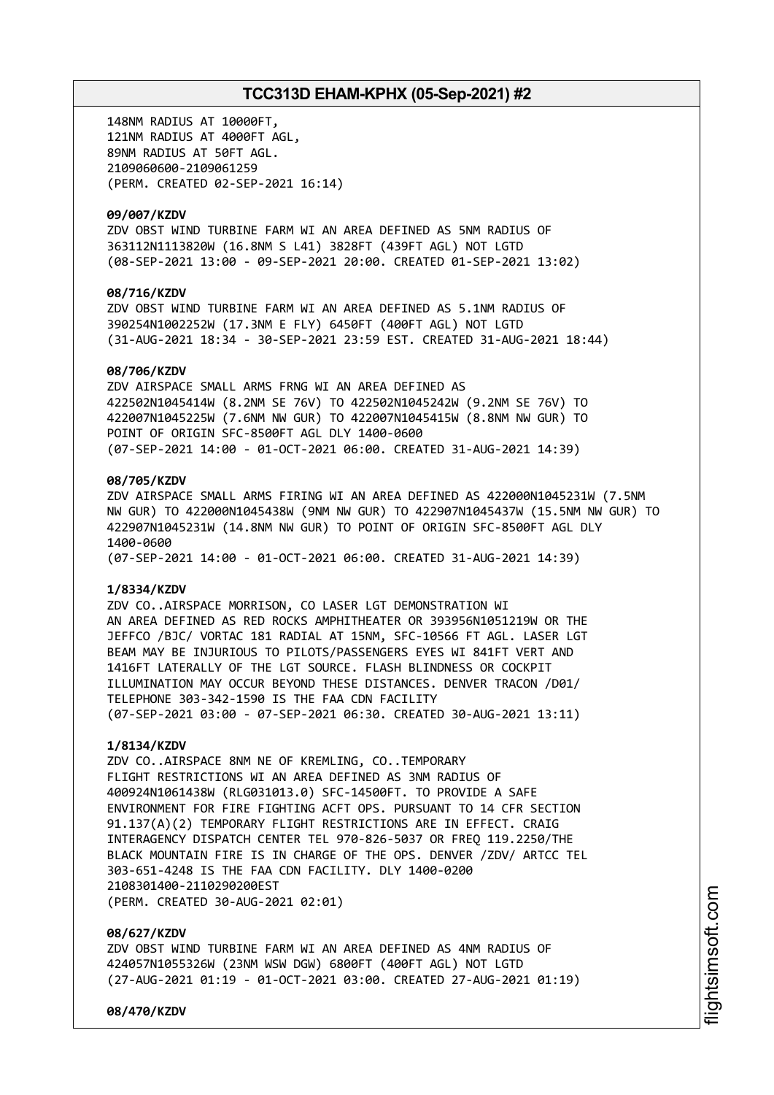148NM RADIUS AT 10000FT, 121NM RADIUS AT 4000FT AGL, 89NM RADIUS AT 50FT AGL. 2109060600-2109061259 (PERM. CREATED 02-SEP-2021 16:14)

#### **09/007/KZDV**

ZDV OBST WIND TURBINE FARM WI AN AREA DEFINED AS 5NM RADIUS OF 363112N1113820W (16.8NM S L41) 3828FT (439FT AGL) NOT LGTD (08-SEP-2021 13:00 - 09-SEP-2021 20:00. CREATED 01-SEP-2021 13:02)

## **08/716/KZDV**

ZDV OBST WIND TURBINE FARM WI AN AREA DEFINED AS 5.1NM RADIUS OF 390254N1002252W (17.3NM E FLY) 6450FT (400FT AGL) NOT LGTD (31-AUG-2021 18:34 - 30-SEP-2021 23:59 EST. CREATED 31-AUG-2021 18:44)

#### **08/706/KZDV**

ZDV AIRSPACE SMALL ARMS FRNG WI AN AREA DEFINED AS 422502N1045414W (8.2NM SE 76V) TO 422502N1045242W (9.2NM SE 76V) TO 422007N1045225W (7.6NM NW GUR) TO 422007N1045415W (8.8NM NW GUR) TO POINT OF ORIGIN SFC-8500FT AGL DLY 1400-0600 (07-SEP-2021 14:00 - 01-OCT-2021 06:00. CREATED 31-AUG-2021 14:39)

#### **08/705/KZDV**

ZDV AIRSPACE SMALL ARMS FIRING WI AN AREA DEFINED AS 422000N1045231W (7.5NM NW GUR) TO 422000N1045438W (9NM NW GUR) TO 422907N1045437W (15.5NM NW GUR) TO 422907N1045231W (14.8NM NW GUR) TO POINT OF ORIGIN SFC-8500FT AGL DLY 1400-0600

(07-SEP-2021 14:00 - 01-OCT-2021 06:00. CREATED 31-AUG-2021 14:39)

#### **1/8334/KZDV**

ZDV CO..AIRSPACE MORRISON, CO LASER LGT DEMONSTRATION WI AN AREA DEFINED AS RED ROCKS AMPHITHEATER OR 393956N1051219W OR THE JEFFCO /BJC/ VORTAC 181 RADIAL AT 15NM, SFC-10566 FT AGL. LASER LGT BEAM MAY BE INJURIOUS TO PILOTS/PASSENGERS EYES WI 841FT VERT AND 1416FT LATERALLY OF THE LGT SOURCE. FLASH BLINDNESS OR COCKPIT ILLUMINATION MAY OCCUR BEYOND THESE DISTANCES. DENVER TRACON /D01/ TELEPHONE 303-342-1590 IS THE FAA CDN FACILITY (07-SEP-2021 03:00 - 07-SEP-2021 06:30. CREATED 30-AUG-2021 13:11)

#### **1/8134/KZDV**

ZDV CO..AIRSPACE 8NM NE OF KREMLING, CO..TEMPORARY FLIGHT RESTRICTIONS WI AN AREA DEFINED AS 3NM RADIUS OF 400924N1061438W (RLG031013.0) SFC-14500FT. TO PROVIDE A SAFE ENVIRONMENT FOR FIRE FIGHTING ACFT OPS. PURSUANT TO 14 CFR SECTION 91.137(A)(2) TEMPORARY FLIGHT RESTRICTIONS ARE IN EFFECT. CRAIG INTERAGENCY DISPATCH CENTER TEL 970-826-5037 OR FREQ 119.2250/THE BLACK MOUNTAIN FIRE IS IN CHARGE OF THE OPS. DENVER /ZDV/ ARTCC TEL 303-651-4248 IS THE FAA CDN FACILITY. DLY 1400-0200 2108301400-2110290200EST (PERM. CREATED 30-AUG-2021 02:01)

#### **08/627/KZDV**

ZDV OBST WIND TURBINE FARM WI AN AREA DEFINED AS 4NM RADIUS OF 424057N1055326W (23NM WSW DGW) 6800FT (400FT AGL) NOT LGTD (27-AUG-2021 01:19 - 01-OCT-2021 03:00. CREATED 27-AUG-2021 01:19)

**08/470/KZDV**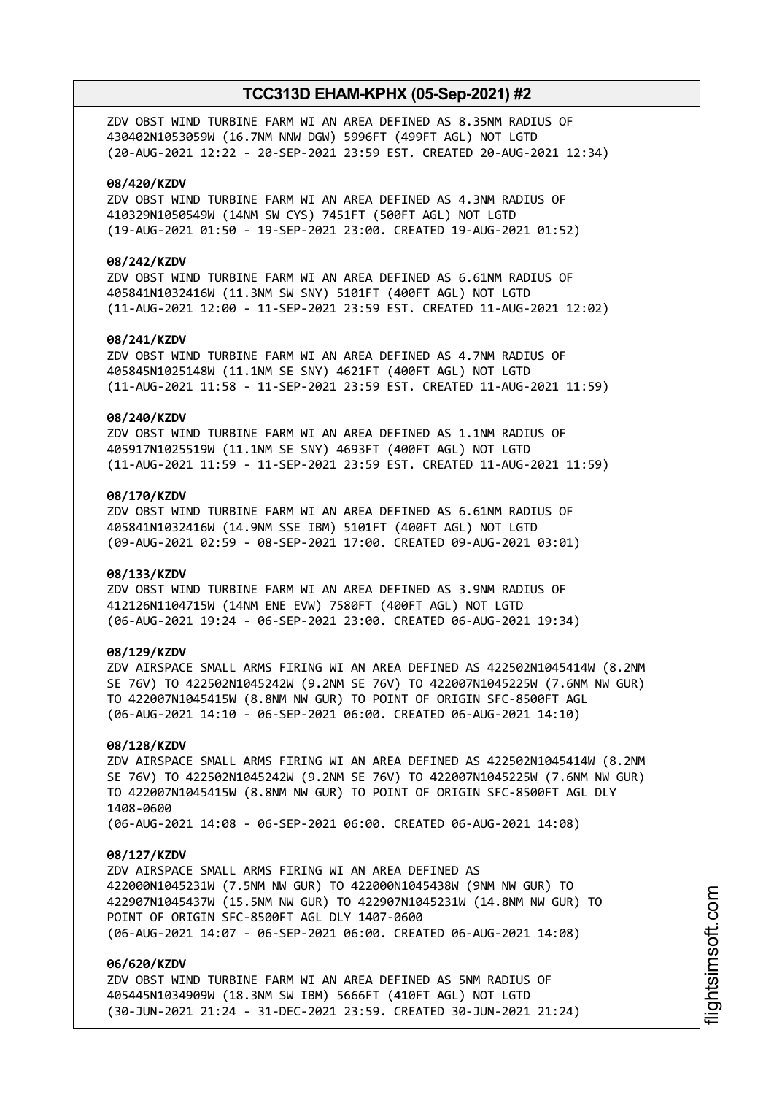ZDV OBST WIND TURBINE FARM WI AN AREA DEFINED AS 8.35NM RADIUS OF 430402N1053059W (16.7NM NNW DGW) 5996FT (499FT AGL) NOT LGTD (20-AUG-2021 12:22 - 20-SEP-2021 23:59 EST. CREATED 20-AUG-2021 12:34)

#### **08/420/KZDV**

ZDV OBST WIND TURBINE FARM WI AN AREA DEFINED AS 4.3NM RADIUS OF 410329N1050549W (14NM SW CYS) 7451FT (500FT AGL) NOT LGTD (19-AUG-2021 01:50 - 19-SEP-2021 23:00. CREATED 19-AUG-2021 01:52)

#### **08/242/KZDV**

ZDV OBST WIND TURBINE FARM WI AN AREA DEFINED AS 6.61NM RADIUS OF 405841N1032416W (11.3NM SW SNY) 5101FT (400FT AGL) NOT LGTD (11-AUG-2021 12:00 - 11-SEP-2021 23:59 EST. CREATED 11-AUG-2021 12:02)

## **08/241/KZDV**

ZDV OBST WIND TURBINE FARM WI AN AREA DEFINED AS 4.7NM RADIUS OF 405845N1025148W (11.1NM SE SNY) 4621FT (400FT AGL) NOT LGTD (11-AUG-2021 11:58 - 11-SEP-2021 23:59 EST. CREATED 11-AUG-2021 11:59)

#### **08/240/KZDV**

ZDV OBST WIND TURBINE FARM WI AN AREA DEFINED AS 1.1NM RADIUS OF 405917N1025519W (11.1NM SE SNY) 4693FT (400FT AGL) NOT LGTD (11-AUG-2021 11:59 - 11-SEP-2021 23:59 EST. CREATED 11-AUG-2021 11:59)

#### **08/170/KZDV**

ZDV OBST WIND TURBINE FARM WI AN AREA DEFINED AS 6.61NM RADIUS OF 405841N1032416W (14.9NM SSE IBM) 5101FT (400FT AGL) NOT LGTD (09-AUG-2021 02:59 - 08-SEP-2021 17:00. CREATED 09-AUG-2021 03:01)

#### **08/133/KZDV**

ZDV OBST WIND TURBINE FARM WI AN AREA DEFINED AS 3.9NM RADIUS OF 412126N1104715W (14NM ENE EVW) 7580FT (400FT AGL) NOT LGTD (06-AUG-2021 19:24 - 06-SEP-2021 23:00. CREATED 06-AUG-2021 19:34)

#### **08/129/KZDV**

ZDV AIRSPACE SMALL ARMS FIRING WI AN AREA DEFINED AS 422502N1045414W (8.2NM SE 76V) TO 422502N1045242W (9.2NM SE 76V) TO 422007N1045225W (7.6NM NW GUR) TO 422007N1045415W (8.8NM NW GUR) TO POINT OF ORIGIN SFC-8500FT AGL (06-AUG-2021 14:10 - 06-SEP-2021 06:00. CREATED 06-AUG-2021 14:10)

## **08/128/KZDV**

ZDV AIRSPACE SMALL ARMS FIRING WI AN AREA DEFINED AS 422502N1045414W (8.2NM SE 76V) TO 422502N1045242W (9.2NM SE 76V) TO 422007N1045225W (7.6NM NW GUR) TO 422007N1045415W (8.8NM NW GUR) TO POINT OF ORIGIN SFC-8500FT AGL DLY 1408-0600

(06-AUG-2021 14:08 - 06-SEP-2021 06:00. CREATED 06-AUG-2021 14:08)

#### **08/127/KZDV**

ZDV AIRSPACE SMALL ARMS FIRING WI AN AREA DEFINED AS 422000N1045231W (7.5NM NW GUR) TO 422000N1045438W (9NM NW GUR) TO 422907N1045437W (15.5NM NW GUR) TO 422907N1045231W (14.8NM NW GUR) TO POINT OF ORIGIN SFC-8500FT AGL DLY 1407-0600 (06-AUG-2021 14:07 - 06-SEP-2021 06:00. CREATED 06-AUG-2021 14:08)

## **06/620/KZDV**

ZDV OBST WIND TURBINE FARM WI AN AREA DEFINED AS 5NM RADIUS OF 405445N1034909W (18.3NM SW IBM) 5666FT (410FT AGL) NOT LGTD (30-JUN-2021 21:24 - 31-DEC-2021 23:59. CREATED 30-JUN-2021 21:24)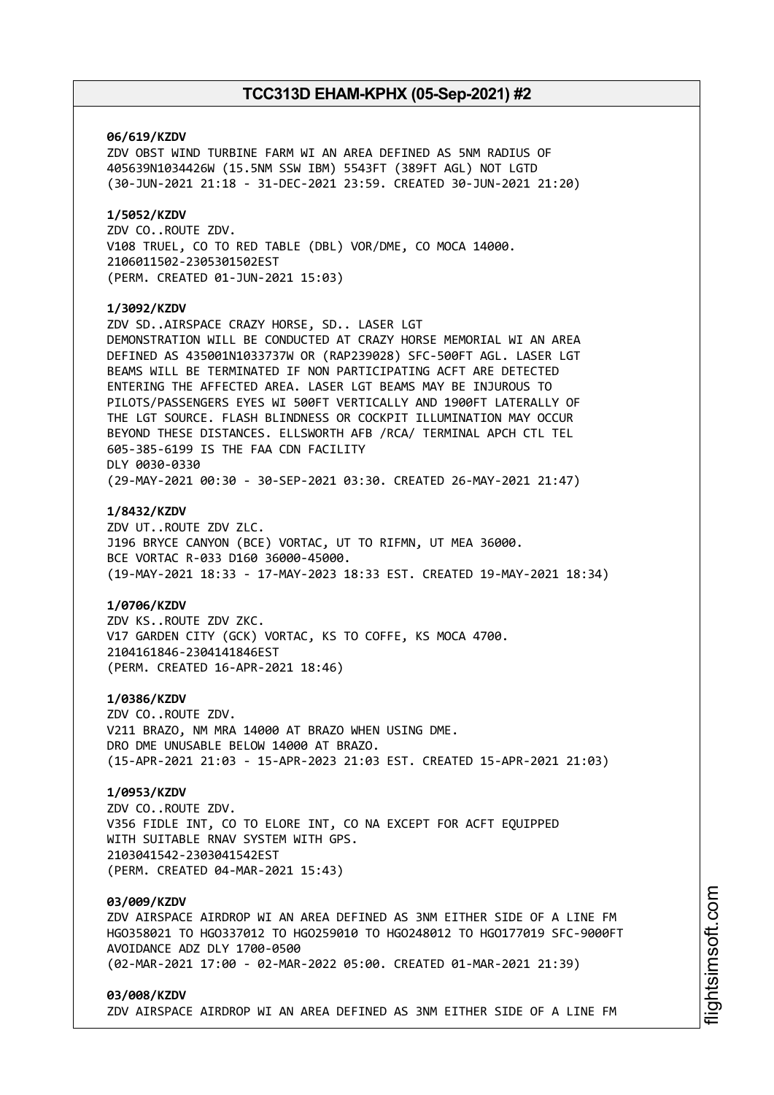#### **06/619/KZDV**

ZDV OBST WIND TURBINE FARM WI AN AREA DEFINED AS 5NM RADIUS OF 405639N1034426W (15.5NM SSW IBM) 5543FT (389FT AGL) NOT LGTD (30-JUN-2021 21:18 - 31-DEC-2021 23:59. CREATED 30-JUN-2021 21:20)

## **1/5052/KZDV**

ZDV CO..ROUTE ZDV. V108 TRUEL, CO TO RED TABLE (DBL) VOR/DME, CO MOCA 14000. 2106011502-2305301502EST (PERM. CREATED 01-JUN-2021 15:03)

#### **1/3092/KZDV**

ZDV SD..AIRSPACE CRAZY HORSE, SD.. LASER LGT DEMONSTRATION WILL BE CONDUCTED AT CRAZY HORSE MEMORIAL WI AN AREA DEFINED AS 435001N1033737W OR (RAP239028) SFC-500FT AGL. LASER LGT BEAMS WILL BE TERMINATED IF NON PARTICIPATING ACFT ARE DETECTED ENTERING THE AFFECTED AREA. LASER LGT BEAMS MAY BE INJUROUS TO PILOTS/PASSENGERS EYES WI 500FT VERTICALLY AND 1900FT LATERALLY OF THE LGT SOURCE. FLASH BLINDNESS OR COCKPIT ILLUMINATION MAY OCCUR BEYOND THESE DISTANCES. ELLSWORTH AFB /RCA/ TERMINAL APCH CTL TEL 605-385-6199 IS THE FAA CDN FACILITY DLY 0030-0330 (29-MAY-2021 00:30 - 30-SEP-2021 03:30. CREATED 26-MAY-2021 21:47)

#### **1/8432/KZDV**

ZDV UT..ROUTE ZDV ZLC. J196 BRYCE CANYON (BCE) VORTAC, UT TO RIFMN, UT MEA 36000. BCE VORTAC R-033 D160 36000-45000. (19-MAY-2021 18:33 - 17-MAY-2023 18:33 EST. CREATED 19-MAY-2021 18:34)

#### **1/0706/KZDV**

ZDV KS..ROUTE ZDV ZKC. V17 GARDEN CITY (GCK) VORTAC, KS TO COFFE, KS MOCA 4700. 2104161846-2304141846EST (PERM. CREATED 16-APR-2021 18:46)

#### **1/0386/KZDV**

ZDV CO..ROUTE ZDV. V211 BRAZO, NM MRA 14000 AT BRAZO WHEN USING DME. DRO DME UNUSABLE BELOW 14000 AT BRAZO. (15-APR-2021 21:03 - 15-APR-2023 21:03 EST. CREATED 15-APR-2021 21:03)

### **1/0953/KZDV**

ZDV CO..ROUTE ZDV. V356 FIDLE INT, CO TO ELORE INT, CO NA EXCEPT FOR ACFT EQUIPPED WITH SUITABLE RNAV SYSTEM WITH GPS. 2103041542-2303041542EST (PERM. CREATED 04-MAR-2021 15:43)

#### **03/009/KZDV**

ZDV AIRSPACE AIRDROP WI AN AREA DEFINED AS 3NM EITHER SIDE OF A LINE FM HGO358021 TO HGO337012 TO HGO259010 TO HGO248012 TO HGO177019 SFC-9000FT AVOIDANCE ADZ DLY 1700-0500 (02-MAR-2021 17:00 - 02-MAR-2022 05:00. CREATED 01-MAR-2021 21:39)

#### **03/008/KZDV**

ZDV AIRSPACE AIRDROP WI AN AREA DEFINED AS 3NM EITHER SIDE OF A LINE FM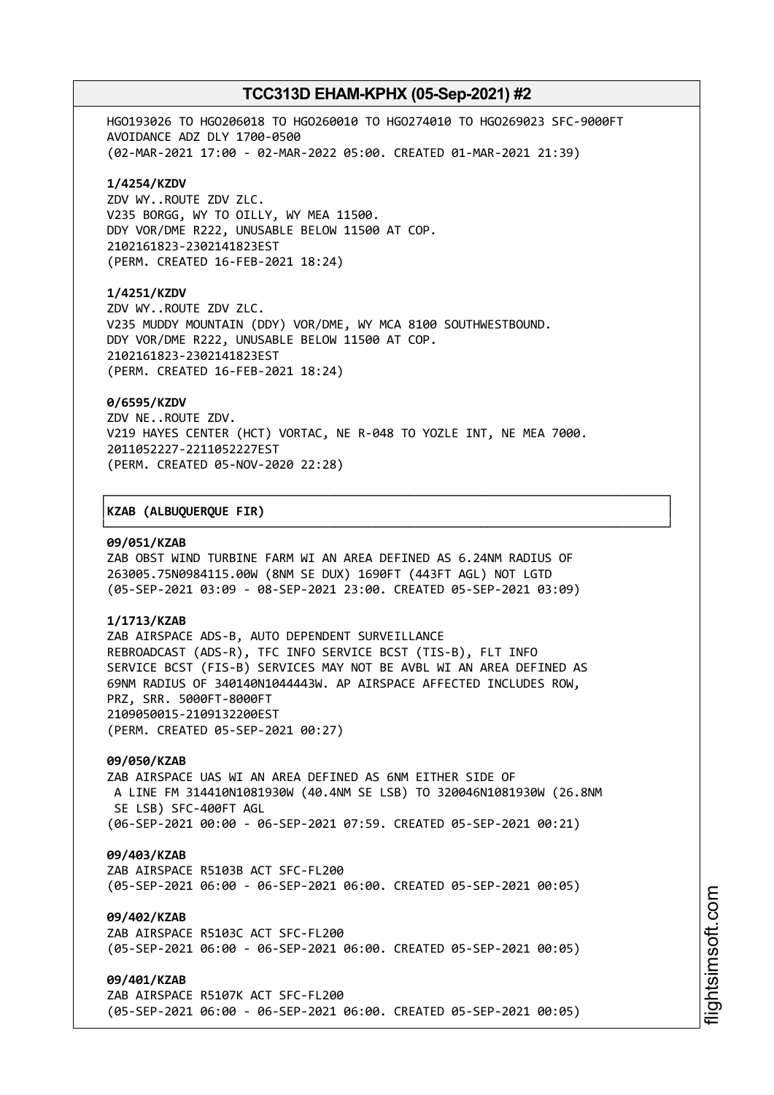HGO193026 TO HGO206018 TO HGO260010 TO HGO274010 TO HGO269023 SFC-9000FT AVOIDANCE ADZ DLY 1700-0500 (02-MAR-2021 17:00 - 02-MAR-2022 05:00. CREATED 01-MAR-2021 21:39)

#### **1/4254/KZDV**

ZDV WY..ROUTE ZDV ZLC. V235 BORGG, WY TO OILLY, WY MEA 11500. DDY VOR/DME R222, UNUSABLE BELOW 11500 AT COP. 2102161823-2302141823EST (PERM. CREATED 16-FEB-2021 18:24)

#### **1/4251/KZDV**

ZDV WY..ROUTE ZDV ZLC. V235 MUDDY MOUNTAIN (DDY) VOR/DME, WY MCA 8100 SOUTHWESTBOUND. DDY VOR/DME R222, UNUSABLE BELOW 11500 AT COP. 2102161823-2302141823EST (PERM. CREATED 16-FEB-2021 18:24)

#### **0/6595/KZDV**

ZDV NE..ROUTE ZDV. V219 HAYES CENTER (HCT) VORTAC, NE R-048 TO YOZLE INT, NE MEA 7000. 2011052227-2211052227EST (PERM. CREATED 05-NOV-2020 22:28)

┌──────────────────────────────────────────────────────────────────────────────┐

└──────────────────────────────────────────────────────────────────────────────┘

#### │**KZAB (ALBUQUERQUE FIR)** │

#### **09/051/KZAB**

ZAB OBST WIND TURBINE FARM WI AN AREA DEFINED AS 6.24NM RADIUS OF 263005.75N0984115.00W (8NM SE DUX) 1690FT (443FT AGL) NOT LGTD (05-SEP-2021 03:09 - 08-SEP-2021 23:00. CREATED 05-SEP-2021 03:09)

#### **1/1713/KZAB**

ZAB AIRSPACE ADS-B, AUTO DEPENDENT SURVEILLANCE REBROADCAST (ADS-R), TFC INFO SERVICE BCST (TIS-B), FLT INFO SERVICE BCST (FIS-B) SERVICES MAY NOT BE AVBL WI AN AREA DEFINED AS 69NM RADIUS OF 340140N1044443W. AP AIRSPACE AFFECTED INCLUDES ROW, PRZ, SRR. 5000FT-8000FT 2109050015-2109132200EST (PERM. CREATED 05-SEP-2021 00:27)

#### **09/050/KZAB**

ZAB AIRSPACE UAS WI AN AREA DEFINED AS 6NM EITHER SIDE OF A LINE FM 314410N1081930W (40.4NM SE LSB) TO 320046N1081930W (26.8NM SE LSB) SFC-400FT AGL (06-SEP-2021 00:00 - 06-SEP-2021 07:59. CREATED 05-SEP-2021 00:21)

#### **09/403/KZAB**

ZAB AIRSPACE R5103B ACT SFC-FL200 (05-SEP-2021 06:00 - 06-SEP-2021 06:00. CREATED 05-SEP-2021 00:05)

## **09/402/KZAB**

ZAB AIRSPACE R5103C ACT SFC-FL200 (05-SEP-2021 06:00 - 06-SEP-2021 06:00. CREATED 05-SEP-2021 00:05)

#### **09/401/KZAB**

ZAB AIRSPACE R5107K ACT SFC-FL200 (05-SEP-2021 06:00 - 06-SEP-2021 06:00. CREATED 05-SEP-2021 00:05)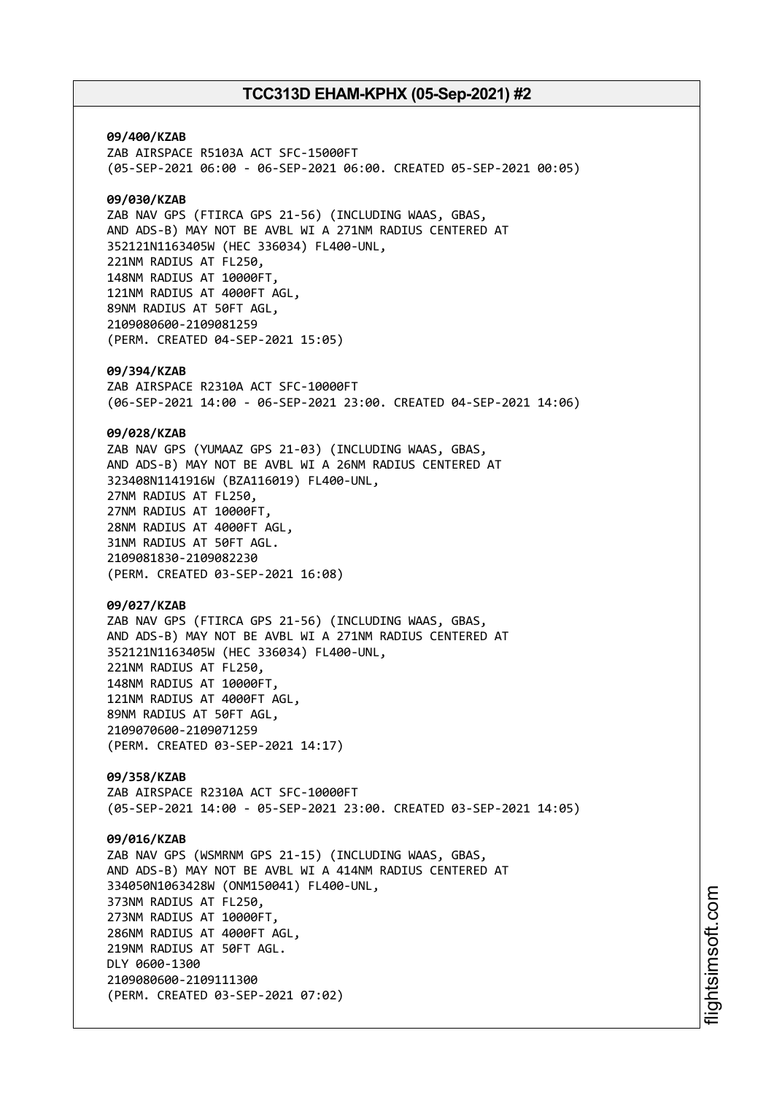**09/400/KZAB** ZAB AIRSPACE R5103A ACT SFC-15000FT (05-SEP-2021 06:00 - 06-SEP-2021 06:00. CREATED 05-SEP-2021 00:05) **09/030/KZAB** ZAB NAV GPS (FTIRCA GPS 21-56) (INCLUDING WAAS, GBAS, AND ADS-B) MAY NOT BE AVBL WI A 271NM RADIUS CENTERED AT 352121N1163405W (HEC 336034) FL400-UNL, 221NM RADIUS AT FL250, 148NM RADIUS AT 10000FT, 121NM RADIUS AT 4000FT AGL, 89NM RADIUS AT 50FT AGL, 2109080600-2109081259 (PERM. CREATED 04-SEP-2021 15:05) **09/394/KZAB** ZAB AIRSPACE R2310A ACT SFC-10000FT (06-SEP-2021 14:00 - 06-SEP-2021 23:00. CREATED 04-SEP-2021 14:06) **09/028/KZAB** ZAB NAV GPS (YUMAAZ GPS 21-03) (INCLUDING WAAS, GBAS, AND ADS-B) MAY NOT BE AVBL WI A 26NM RADIUS CENTERED AT 323408N1141916W (BZA116019) FL400-UNL, 27NM RADIUS AT FL250, 27NM RADIUS AT 10000FT, 28NM RADIUS AT 4000FT AGL, 31NM RADIUS AT 50FT AGL. 2109081830-2109082230 (PERM. CREATED 03-SEP-2021 16:08) **09/027/KZAB** ZAB NAV GPS (FTIRCA GPS 21-56) (INCLUDING WAAS, GBAS, AND ADS-B) MAY NOT BE AVBL WI A 271NM RADIUS CENTERED AT 352121N1163405W (HEC 336034) FL400-UNL, 221NM RADIUS AT FL250, 148NM RADIUS AT 10000FT, 121NM RADIUS AT 4000FT AGL, 89NM RADIUS AT 50FT AGL, 2109070600-2109071259 (PERM. CREATED 03-SEP-2021 14:17) **09/358/KZAB** ZAB AIRSPACE R2310A ACT SFC-10000FT (05-SEP-2021 14:00 - 05-SEP-2021 23:00. CREATED 03-SEP-2021 14:05) **09/016/KZAB** ZAB NAV GPS (WSMRNM GPS 21-15) (INCLUDING WAAS, GBAS, AND ADS-B) MAY NOT BE AVBL WI A 414NM RADIUS CENTERED AT 334050N1063428W (ONM150041) FL400-UNL, 373NM RADIUS AT FL250, 273NM RADIUS AT 10000FT, 286NM RADIUS AT 4000FT AGL, 219NM RADIUS AT 50FT AGL. DLY 0600-1300 2109080600-2109111300 (PERM. CREATED 03-SEP-2021 07:02)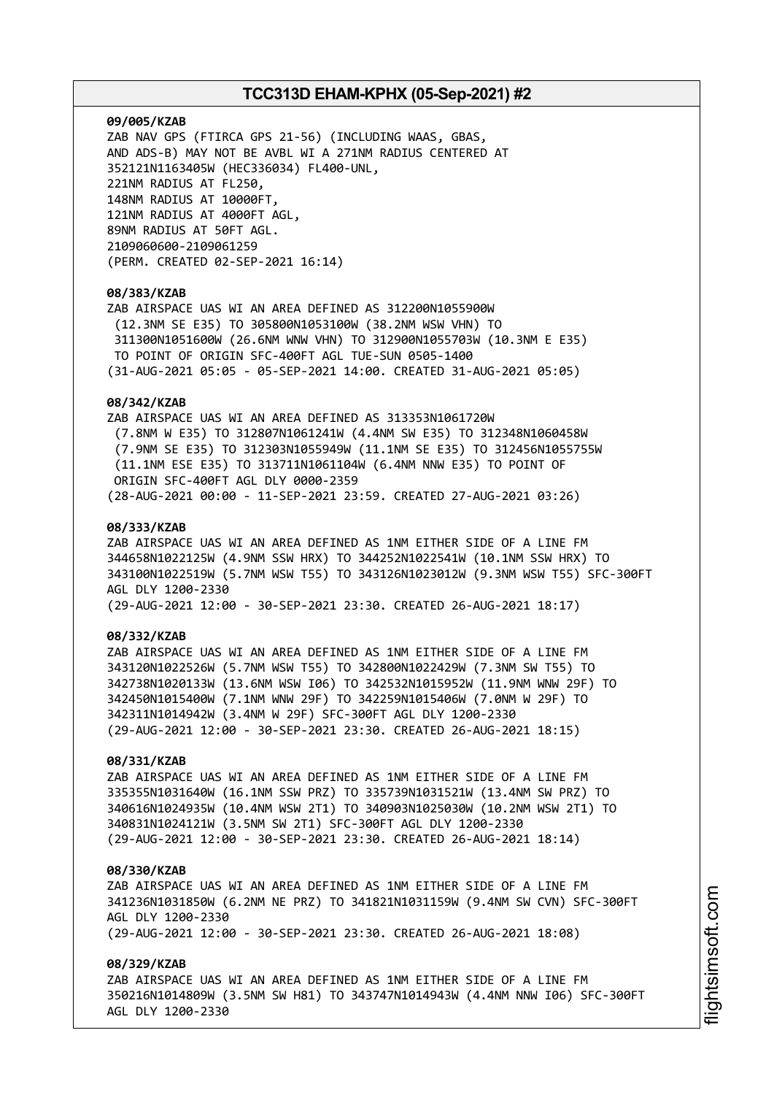# **09/005/KZAB**

ZAB NAV GPS (FTIRCA GPS 21-56) (INCLUDING WAAS, GBAS, AND ADS-B) MAY NOT BE AVBL WI A 271NM RADIUS CENTERED AT 352121N1163405W (HEC336034) FL400-UNL, 221NM RADIUS AT FL250, 148NM RADIUS AT 10000FT, 121NM RADIUS AT 4000FT AGL, 89NM RADIUS AT 50FT AGL. 2109060600-2109061259 (PERM. CREATED 02-SEP-2021 16:14)

# **08/383/KZAB**

ZAB AIRSPACE UAS WI AN AREA DEFINED AS 312200N1055900W (12.3NM SE E35) TO 305800N1053100W (38.2NM WSW VHN) TO 311300N1051600W (26.6NM WNW VHN) TO 312900N1055703W (10.3NM E E35) TO POINT OF ORIGIN SFC-400FT AGL TUE-SUN 0505-1400 (31-AUG-2021 05:05 - 05-SEP-2021 14:00. CREATED 31-AUG-2021 05:05)

## **08/342/KZAB**

ZAB AIRSPACE UAS WI AN AREA DEFINED AS 313353N1061720W (7.8NM W E35) TO 312807N1061241W (4.4NM SW E35) TO 312348N1060458W (7.9NM SE E35) TO 312303N1055949W (11.1NM SE E35) TO 312456N1055755W (11.1NM ESE E35) TO 313711N1061104W (6.4NM NNW E35) TO POINT OF ORIGIN SFC-400FT AGL DLY 0000-2359 (28-AUG-2021 00:00 - 11-SEP-2021 23:59. CREATED 27-AUG-2021 03:26)

# **08/333/KZAB**

ZAB AIRSPACE UAS WI AN AREA DEFINED AS 1NM EITHER SIDE OF A LINE FM 344658N1022125W (4.9NM SSW HRX) TO 344252N1022541W (10.1NM SSW HRX) TO 343100N1022519W (5.7NM WSW T55) TO 343126N1023012W (9.3NM WSW T55) SFC-300FT AGL DLY 1200-2330

(29-AUG-2021 12:00 - 30-SEP-2021 23:30. CREATED 26-AUG-2021 18:17)

## **08/332/KZAB**

ZAB AIRSPACE UAS WI AN AREA DEFINED AS 1NM EITHER SIDE OF A LINE FM 343120N1022526W (5.7NM WSW T55) TO 342800N1022429W (7.3NM SW T55) TO 342738N1020133W (13.6NM WSW I06) TO 342532N1015952W (11.9NM WNW 29F) TO 342450N1015400W (7.1NM WNW 29F) TO 342259N1015406W (7.0NM W 29F) TO 342311N1014942W (3.4NM W 29F) SFC-300FT AGL DLY 1200-2330 (29-AUG-2021 12:00 - 30-SEP-2021 23:30. CREATED 26-AUG-2021 18:15)

# **08/331/KZAB**

ZAB AIRSPACE UAS WI AN AREA DEFINED AS 1NM EITHER SIDE OF A LINE FM 335355N1031640W (16.1NM SSW PRZ) TO 335739N1031521W (13.4NM SW PRZ) TO 340616N1024935W (10.4NM WSW 2T1) TO 340903N1025030W (10.2NM WSW 2T1) TO 340831N1024121W (3.5NM SW 2T1) SFC-300FT AGL DLY 1200-2330 (29-AUG-2021 12:00 - 30-SEP-2021 23:30. CREATED 26-AUG-2021 18:14)

#### **08/330/KZAB**

ZAB AIRSPACE UAS WI AN AREA DEFINED AS 1NM EITHER SIDE OF A LINE FM 341236N1031850W (6.2NM NE PRZ) TO 341821N1031159W (9.4NM SW CVN) SFC-300FT AGL DLY 1200-2330 (29-AUG-2021 12:00 - 30-SEP-2021 23:30. CREATED 26-AUG-2021 18:08)

# **08/329/KZAB**

ZAB AIRSPACE UAS WI AN AREA DEFINED AS 1NM EITHER SIDE OF A LINE FM 350216N1014809W (3.5NM SW H81) TO 343747N1014943W (4.4NM NNW I06) SFC-300FT AGL DLY 1200-2330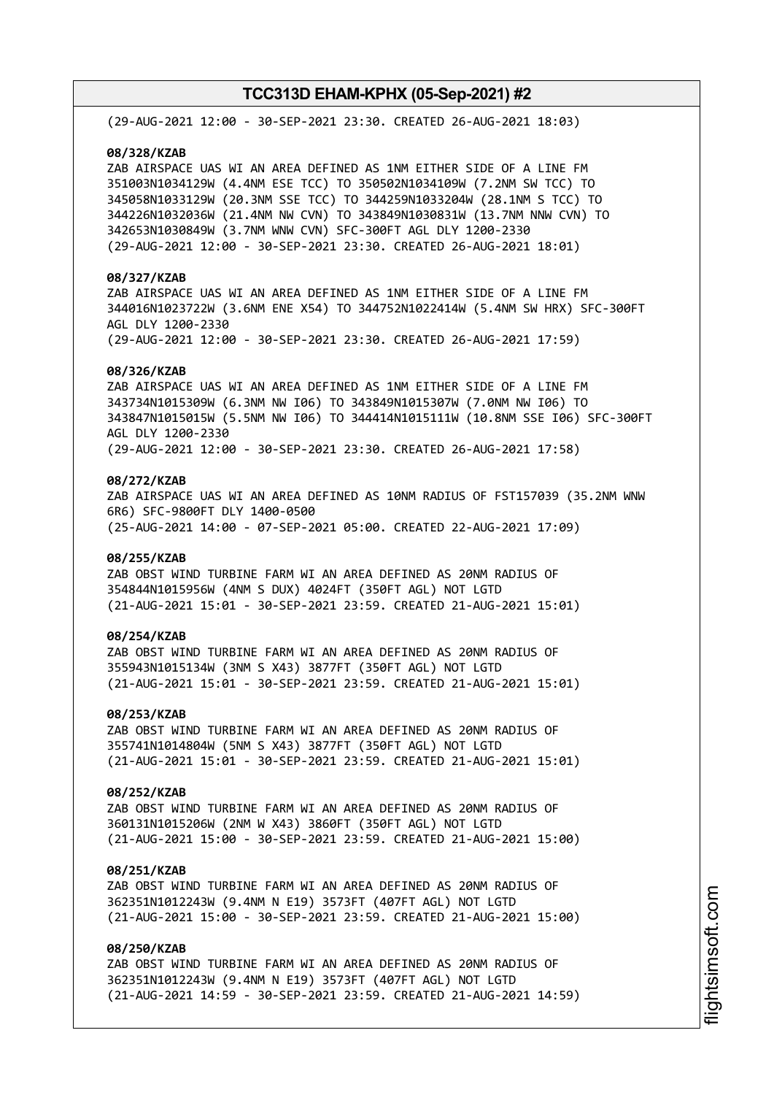(29-AUG-2021 12:00 - 30-SEP-2021 23:30. CREATED 26-AUG-2021 18:03)

## **08/328/KZAB**

ZAB AIRSPACE UAS WI AN AREA DEFINED AS 1NM EITHER SIDE OF A LINE FM 351003N1034129W (4.4NM ESE TCC) TO 350502N1034109W (7.2NM SW TCC) TO 345058N1033129W (20.3NM SSE TCC) TO 344259N1033204W (28.1NM S TCC) TO 344226N1032036W (21.4NM NW CVN) TO 343849N1030831W (13.7NM NNW CVN) TO 342653N1030849W (3.7NM WNW CVN) SFC-300FT AGL DLY 1200-2330 (29-AUG-2021 12:00 - 30-SEP-2021 23:30. CREATED 26-AUG-2021 18:01)

# **08/327/KZAB**

ZAB AIRSPACE UAS WI AN AREA DEFINED AS 1NM EITHER SIDE OF A LINE FM 344016N1023722W (3.6NM ENE X54) TO 344752N1022414W (5.4NM SW HRX) SFC-300FT AGL DLY 1200-2330 (29-AUG-2021 12:00 - 30-SEP-2021 23:30. CREATED 26-AUG-2021 17:59)

#### **08/326/KZAB**

ZAB AIRSPACE UAS WI AN AREA DEFINED AS 1NM EITHER SIDE OF A LINE FM 343734N1015309W (6.3NM NW I06) TO 343849N1015307W (7.0NM NW I06) TO 343847N1015015W (5.5NM NW I06) TO 344414N1015111W (10.8NM SSE I06) SFC-300FT AGL DLY 1200-2330 (29-AUG-2021 12:00 - 30-SEP-2021 23:30. CREATED 26-AUG-2021 17:58)

# **08/272/KZAB**

ZAB AIRSPACE UAS WI AN AREA DEFINED AS 10NM RADIUS OF FST157039 (35.2NM WNW 6R6) SFC-9800FT DLY 1400-0500 (25-AUG-2021 14:00 - 07-SEP-2021 05:00. CREATED 22-AUG-2021 17:09)

## **08/255/KZAB**

ZAB OBST WIND TURBINE FARM WI AN AREA DEFINED AS 20NM RADIUS OF 354844N1015956W (4NM S DUX) 4024FT (350FT AGL) NOT LGTD (21-AUG-2021 15:01 - 30-SEP-2021 23:59. CREATED 21-AUG-2021 15:01)

# **08/254/KZAB**

ZAB OBST WIND TURBINE FARM WI AN AREA DEFINED AS 20NM RADIUS OF 355943N1015134W (3NM S X43) 3877FT (350FT AGL) NOT LGTD (21-AUG-2021 15:01 - 30-SEP-2021 23:59. CREATED 21-AUG-2021 15:01)

#### **08/253/KZAB**

ZAB OBST WIND TURBINE FARM WI AN AREA DEFINED AS 20NM RADIUS OF 355741N1014804W (5NM S X43) 3877FT (350FT AGL) NOT LGTD (21-AUG-2021 15:01 - 30-SEP-2021 23:59. CREATED 21-AUG-2021 15:01)

# **08/252/KZAB**

ZAB OBST WIND TURBINE FARM WI AN AREA DEFINED AS 20NM RADIUS OF 360131N1015206W (2NM W X43) 3860FT (350FT AGL) NOT LGTD (21-AUG-2021 15:00 - 30-SEP-2021 23:59. CREATED 21-AUG-2021 15:00)

### **08/251/KZAB**

ZAB OBST WIND TURBINE FARM WI AN AREA DEFINED AS 20NM RADIUS OF 362351N1012243W (9.4NM N E19) 3573FT (407FT AGL) NOT LGTD (21-AUG-2021 15:00 - 30-SEP-2021 23:59. CREATED 21-AUG-2021 15:00)

# **08/250/KZAB**

ZAB OBST WIND TURBINE FARM WI AN AREA DEFINED AS 20NM RADIUS OF 362351N1012243W (9.4NM N E19) 3573FT (407FT AGL) NOT LGTD (21-AUG-2021 14:59 - 30-SEP-2021 23:59. CREATED 21-AUG-2021 14:59)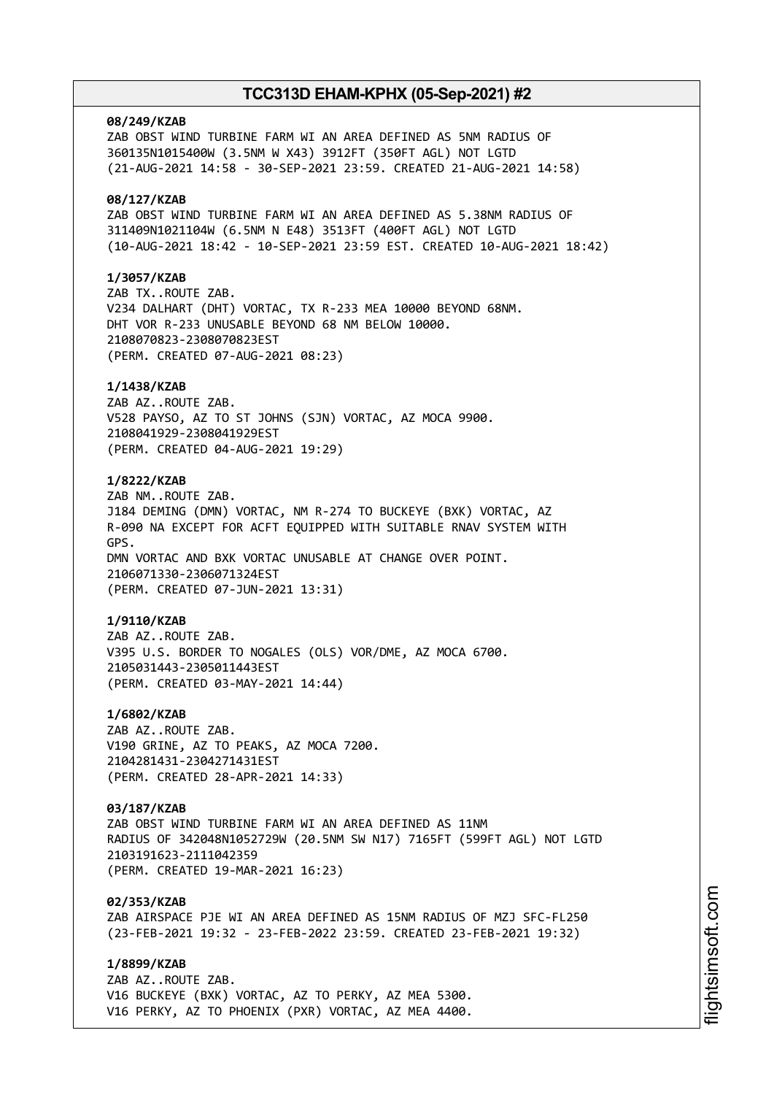# **08/249/KZAB** ZAB OBST WIND TURBINE FARM WI AN AREA DEFINED AS 5NM RADIUS OF 360135N1015400W (3.5NM W X43) 3912FT (350FT AGL) NOT LGTD (21-AUG-2021 14:58 - 30-SEP-2021 23:59. CREATED 21-AUG-2021 14:58) **08/127/KZAB** ZAB OBST WIND TURBINE FARM WI AN AREA DEFINED AS 5.38NM RADIUS OF 311409N1021104W (6.5NM N E48) 3513FT (400FT AGL) NOT LGTD (10-AUG-2021 18:42 - 10-SEP-2021 23:59 EST. CREATED 10-AUG-2021 18:42) **1/3057/KZAB** ZAB TX..ROUTE ZAB. V234 DALHART (DHT) VORTAC, TX R-233 MEA 10000 BEYOND 68NM. DHT VOR R-233 UNUSABLE BEYOND 68 NM BELOW 10000. 2108070823-2308070823EST (PERM. CREATED 07-AUG-2021 08:23) **1/1438/KZAB** ZAB AZ..ROUTE ZAB. V528 PAYSO, AZ TO ST JOHNS (SJN) VORTAC, AZ MOCA 9900. 2108041929-2308041929EST (PERM. CREATED 04-AUG-2021 19:29) **1/8222/KZAB** ZAB NM..ROUTE ZAB. J184 DEMING (DMN) VORTAC, NM R-274 TO BUCKEYE (BXK) VORTAC, AZ R-090 NA EXCEPT FOR ACFT EQUIPPED WITH SUITABLE RNAV SYSTEM WITH GPS. DMN VORTAC AND BXK VORTAC UNUSABLE AT CHANGE OVER POINT. 2106071330-2306071324EST (PERM. CREATED 07-JUN-2021 13:31) **1/9110/KZAB** ZAB AZ..ROUTE ZAB. V395 U.S. BORDER TO NOGALES (OLS) VOR/DME, AZ MOCA 6700. 2105031443-2305011443EST (PERM. CREATED 03-MAY-2021 14:44) **1/6802/KZAB** ZAB AZ..ROUTE ZAB. V190 GRINE, AZ TO PEAKS, AZ MOCA 7200. 2104281431-2304271431EST (PERM. CREATED 28-APR-2021 14:33) **03/187/KZAB** ZAB OBST WIND TURBINE FARM WI AN AREA DEFINED AS 11NM RADIUS OF 342048N1052729W (20.5NM SW N17) 7165FT (599FT AGL) NOT LGTD 2103191623-2111042359 (PERM. CREATED 19-MAR-2021 16:23)

**02/353/KZAB** ZAB AIRSPACE PJE WI AN AREA DEFINED AS 15NM RADIUS OF MZJ SFC-FL250 (23-FEB-2021 19:32 - 23-FEB-2022 23:59. CREATED 23-FEB-2021 19:32)

**1/8899/KZAB** ZAB AZ..ROUTE ZAB. V16 BUCKEYE (BXK) VORTAC, AZ TO PERKY, AZ MEA 5300. V16 PERKY, AZ TO PHOENIX (PXR) VORTAC, AZ MEA 4400.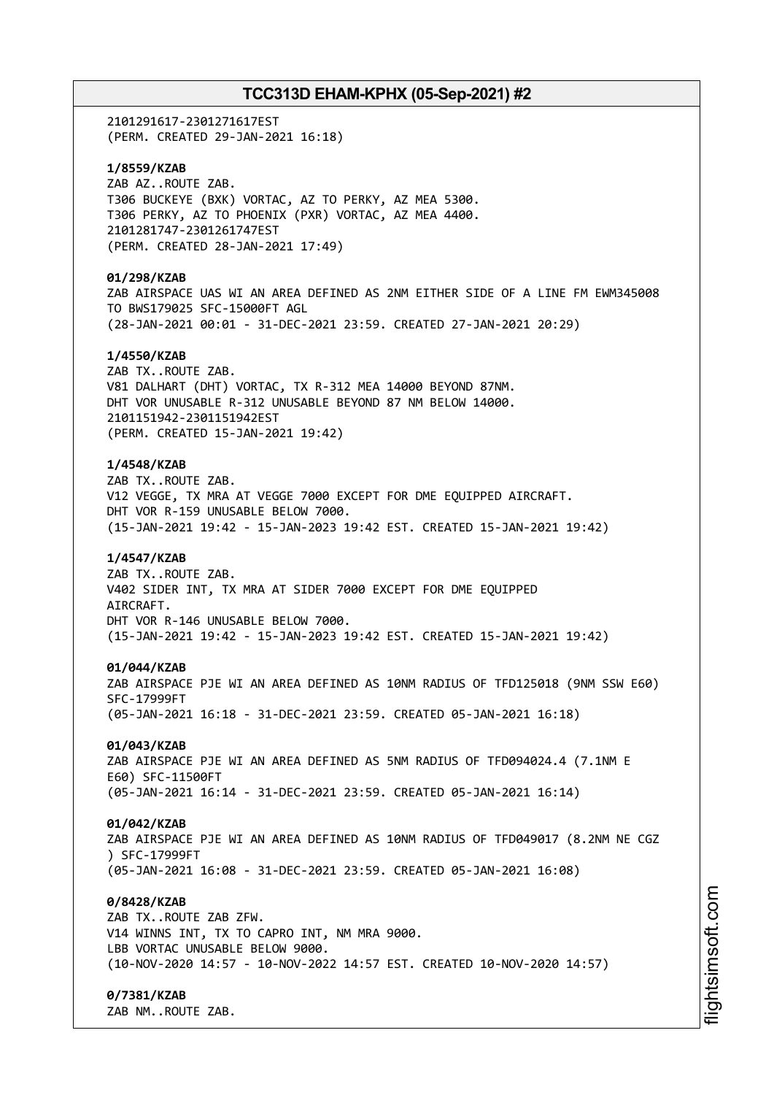2101291617-2301271617EST (PERM. CREATED 29-JAN-2021 16:18)

**1/8559/KZAB** ZAB AZ..ROUTE ZAB. T306 BUCKEYE (BXK) VORTAC, AZ TO PERKY, AZ MEA 5300. T306 PERKY, AZ TO PHOENIX (PXR) VORTAC, AZ MEA 4400. 2101281747-2301261747EST (PERM. CREATED 28-JAN-2021 17:49)

# **01/298/KZAB**

ZAB AIRSPACE UAS WI AN AREA DEFINED AS 2NM EITHER SIDE OF A LINE FM EWM345008 TO BWS179025 SFC-15000FT AGL (28-JAN-2021 00:01 - 31-DEC-2021 23:59. CREATED 27-JAN-2021 20:29)

## **1/4550/KZAB**

ZAB TX..ROUTE ZAB. V81 DALHART (DHT) VORTAC, TX R-312 MEA 14000 BEYOND 87NM. DHT VOR UNUSABLE R-312 UNUSABLE BEYOND 87 NM BELOW 14000. 2101151942-2301151942EST (PERM. CREATED 15-JAN-2021 19:42)

#### **1/4548/KZAB**

ZAB TX..ROUTE ZAB. V12 VEGGE, TX MRA AT VEGGE 7000 EXCEPT FOR DME EQUIPPED AIRCRAFT. DHT VOR R-159 UNUSABLE BELOW 7000. (15-JAN-2021 19:42 - 15-JAN-2023 19:42 EST. CREATED 15-JAN-2021 19:42)

#### **1/4547/KZAB**

ZAB TX..ROUTE ZAB. V402 SIDER INT, TX MRA AT SIDER 7000 EXCEPT FOR DME EQUIPPED AIRCRAFT. DHT VOR R-146 UNUSABLE BELOW 7000. (15-JAN-2021 19:42 - 15-JAN-2023 19:42 EST. CREATED 15-JAN-2021 19:42)

#### **01/044/KZAB**

ZAB AIRSPACE PJE WI AN AREA DEFINED AS 10NM RADIUS OF TFD125018 (9NM SSW E60) SFC-17999FT (05-JAN-2021 16:18 - 31-DEC-2021 23:59. CREATED 05-JAN-2021 16:18)

# **01/043/KZAB**

ZAB AIRSPACE PJE WI AN AREA DEFINED AS 5NM RADIUS OF TFD094024.4 (7.1NM E E60) SFC-11500FT (05-JAN-2021 16:14 - 31-DEC-2021 23:59. CREATED 05-JAN-2021 16:14)

#### **01/042/KZAB**

ZAB AIRSPACE PJE WI AN AREA DEFINED AS 10NM RADIUS OF TFD049017 (8.2NM NE CGZ ) SFC-17999FT (05-JAN-2021 16:08 - 31-DEC-2021 23:59. CREATED 05-JAN-2021 16:08)

# **0/8428/KZAB**

ZAB TX..ROUTE ZAB ZFW. V14 WINNS INT, TX TO CAPRO INT, NM MRA 9000. LBB VORTAC UNUSABLE BELOW 9000. (10-NOV-2020 14:57 - 10-NOV-2022 14:57 EST. CREATED 10-NOV-2020 14:57)

#### **0/7381/KZAB**

ZAB NM..ROUTE ZAB.